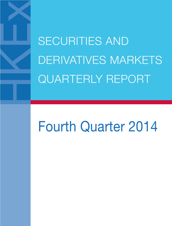SECURITIES AND DERIVATIVES MARKETS QUARTERLY REPORT

# Fourth Quarter 2014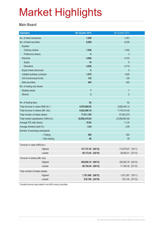#### **Main Board**

| <b>Highlights</b>                       |               | 4th Quarter 2014   | 4th Quarter 2013   |  |
|-----------------------------------------|---------------|--------------------|--------------------|--|
| No. of listed companies                 |               | 1,548              | 1,451              |  |
| No. of listed securities                |               | 8,856              | 8,330              |  |
| <b>Equities</b>                         |               |                    |                    |  |
| Ordinary shares                         |               | 1,549              | 1,452              |  |
| Preference shares                       |               | $6\phantom{1}$     | 3                  |  |
| <b>Warrants</b>                         |               | 4,948              | 4,723              |  |
| Equity                                  |               | 10                 | 8                  |  |
| <b>Derivative</b>                       |               | 4,938              | 4,715              |  |
| Equity linked instrument                |               | $\mathbf{0}$       | $\mathbf{0}$       |  |
| Callable bull/bear contracts            |               | 1,579              | 1,620              |  |
| Unit trusts/mutual funds                |               | 134                | 129                |  |
| Debt securities                         |               | 640                | 403                |  |
| No. of trading only stocks              |               |                    |                    |  |
| Nasdaq stocks                           |               | $\overline{7}$     | $\overline{7}$     |  |
| <b>iShares</b>                          |               | $\overline{2}$     | $\overline{2}$     |  |
|                                         |               |                    |                    |  |
| No. of trading days                     |               | 62                 | 62                 |  |
| Total turnover in value (HK\$ mil.) *   |               | 4,970,894.65       | 3,628,440.12       |  |
| Total turnover in shares (Mil. shs)     |               | 9,522,466.16       | 7,178,314.40       |  |
| Total number of trades (deals)          |               | 71,011,185         | 57,023,273         |  |
| Total market capitalisation (HK\$ mil.) |               | 24,892,419.04      | 23,908,803.80      |  |
| Average P/E ratio (times)               |               | 10.94              | 11.24              |  |
| Average dividend yield (%)              |               | 3.44               | 2.99               |  |
| Number of exchange participants         |               |                    |                    |  |
|                                         | $-$ Trading   | 500                | 504                |  |
|                                         | - Non-trading | 40                 | 39                 |  |
| Turnover in value (HK\$ mil.)           |               |                    |                    |  |
|                                         | Highest       | 147,757.45 (05/12) | 112,075.87 (18/11) |  |
|                                         | Lowest        | 50,172.64 (24/10)  | 38,592.51 (27/12)  |  |
| Turnover in shares (Mil. shs)           |               |                    |                    |  |
|                                         | Highest       | 209,008.19 (09/12) | 165,262.79 (24/10) |  |
|                                         | Lowest        | 96,730.04 (29/12)  | 71,184.32 (27/12)  |  |
| Total number of trades (deals)          |               |                    |                    |  |
|                                         | Highest       | 1,791,690 (09/12)  | 1,421,597 (18/11)  |  |
|                                         | Lowest        | 818,188 (23/10)    | 722,145 (27/12)    |  |
|                                         |               |                    |                    |  |

\* Included turnover value traded in non-HKD currency securities.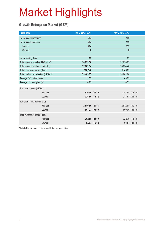### **Growth Enterprise Market (GEM)**

| <b>Highlights</b>                       |         | 4th Quarter 2014 |                | 4th Quarter 2013 |                |
|-----------------------------------------|---------|------------------|----------------|------------------|----------------|
| No. of listed companies                 |         | 204              |                | 192              |                |
| No. of listed securities                |         | 204              |                | 192              |                |
| Equities                                |         | 204              |                | 192              |                |
| Warrants                                |         | $\mathbf{0}$     |                | $\mathbf 0$      |                |
|                                         |         |                  |                |                  |                |
| No. of trading days                     |         | 62               |                | 62               |                |
| Total turnover in value (HK\$ mil.) *   |         | 34,223.56        |                | 32,626.67        |                |
| Total turnover in shares (Mil. shs)     |         | 77,002.94        |                | 78,234.46        |                |
| Total number of trades (deals)          |         | 888,648          |                | 914,205          |                |
| Total market capitalisation (HK\$ mil.) |         | 179,409.87       | 134,002.06     |                  |                |
| Average P/E ratio (times)               |         | 11.59            |                | 49.25            |                |
| Average dividend yield (%)              |         | 0.65             |                | 0.52             |                |
| Turnover in value (HK\$ mil.)           |         |                  |                |                  |                |
|                                         | Highest |                  | 810.40 (23/10) | 1,347.58 (18/10) |                |
|                                         | Lowest  |                  | 325.66 (15/12) |                  | 274.68 (31/10) |
| Turnover in shares (Mil. shs)           |         |                  |                |                  |                |
|                                         | Highest | 2,580.80 (21/11) |                | 2,912.84 (09/10) |                |
|                                         | Lowest  |                  | 804.23 (03/10) |                  | 669.00 (31/10) |
| Total number of trades (deals)          |         |                  |                |                  |                |
|                                         | Highest |                  | 20,758 (23/10) |                  | 32,875 (18/10) |
|                                         | Lowest  |                  | 9,087 (15/12)  |                  | 9,184 (31/10)  |
|                                         |         |                  |                |                  |                |

\* Included turnover value traded in non-HKD currency securities.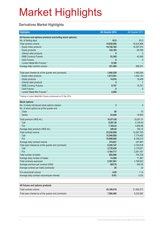### **Derivatives Market Highlights**

| <b>Highlights</b>                                               | 4th Quarter 2014 | 4th Quarter 2013 |
|-----------------------------------------------------------------|------------------|------------------|
| All futures and options products (excluding stock options)      |                  |                  |
| No. of trading days                                             | 62.0             | 62.0             |
| Total contract volume                                           | 19,930,509       | 16,524,908       |
| Equity index products                                           | 19,746,185       | 16,397,570       |
| Equity products                                                 | 122,185          | 86,788           |
| Interest rates products                                         | $\mathbf{0}$     | $\overline{2}$   |
| <b>RMB Currency Futures</b>                                     | 53,349           | 40,548           |
| <b>Gold Futures</b>                                             | 0                | $\overline{0}$   |
| London Metal Mini Futures *                                     | 8,790            |                  |
| Average daily contract volume                                   | 321,460          | 266,531          |
|                                                                 |                  |                  |
| Total open interest as at the quarter end (contracts)           | 1,640,259        | 1,489,264        |
| Equity index products                                           | 1,613,541        | 1,452,153        |
| <b>Equity products</b>                                          | 14,916           | 18,409           |
| Interest rates products                                         | 5                | 1                |
| <b>RMB Currency Futures</b>                                     | 9,747            | 18,701           |
| <b>Gold Futures</b>                                             | $\mathbf{0}$     | $\overline{0}$   |
| London Metal Mini Futures *                                     | 2,050            |                  |
| * Trading in London Metal Mini Futures commenced on 01 Dec 2014 |                  |                  |
| <b>Stock options</b>                                            |                  |                  |
| No. of newly introduced stock options classes                   | $\mathbf{3}$     | $\mathbf{0}$     |
| No. of stock options as at the quarter end                      |                  |                  |
| <b>Class</b>                                                    | 80               | 70               |
| Series                                                          | 23,440           | 16,900           |
| Total premium (HK\$ mil.)                                       | 15,471.60        | 10,051.31        |
| Call                                                            | 8,287.38         | 5,150.45         |
| Put                                                             | 7,184.22         | 4,900.86         |
| Average daily premium (HK\$ mil.)                               | 249.54           | 162.12           |
| Total contract volume                                           | 23,238,909       | 15,367,765       |
| Call                                                            | 12,540,059       | 7,178,492        |
| Put                                                             | 10,698,850       | 8,189,273        |
| Average daily contract volume                                   | 374,821          | 247,867          |
| Total open interest as at the quarter end (contracts)           | 6,320,147        | 4,740,818        |
| Call                                                            | 3,135,430        | 2,179,051        |
| Put                                                             | 3,184,717        | 2,561,767        |
| Total number of trades                                          | 892,086          | 704,729          |
| Average daily number of trades                                  | 14,388           | 11,367           |
| <b>Total contracts exercised</b>                                | 2,397,501        | 1,796,823        |
| Average premium per contract (HK\$)                             | 665.76           | 654.05           |
| Average contract per trade (contracts)                          | 26               | 22               |
| Put volume/call volume                                          | 0.85             | 1.14             |
| Average daily contract volume/open interest                     | 5.9%             | 5.2%             |
|                                                                 |                  |                  |
| All futures and options products                                |                  |                  |
| Total contract volume                                           | 43,169,418       | 31,892,673       |
| Total open interest as at the quarter end (contracts)           | 7,960,406        | 6,230,082        |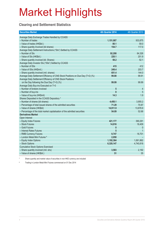### **Clearing and Settlement Statistics**

| <b>Securities Market</b>                                                        | 4th Quarter 2014 | 4th Quarter 2013 |
|---------------------------------------------------------------------------------|------------------|------------------|
| Average Daily Exchange Trades Handled by CCASS                                  |                  |                  |
| - Number of trades                                                              | 1,151,087        | 933,875          |
| - Value of trades (HK\$bil.)                                                    | 80.1             | 59.0             |
| - Share quantity Involved (bil shares)                                          | 154.7            | 117.0            |
| Average Daily Settlement Instructions ("SIs") Settled by CCASS                  |                  |                  |
| - Number of SIs                                                                 | 92,208           | 84,326           |
| - Value of SIs (HK\$bil.)                                                       | 220.1            | 201.9            |
| - Share quantity involved (bil. Shares)                                         | 58.2             | 52.1             |
| Average Daily Investor SIs ("ISIs") Settled by CCASS                            |                  |                  |
| - Number of ISIs                                                                | 415              | 412              |
| - Value of ISIs (HK\$mil.)                                                      | 249.4            | 203.7            |
| - Share quantity involved (mil. shares)                                         | 651.4            | 144.0            |
| Average Daily Settlement Efficiency of CNS Stock Positions on Due Day (T+2) (%) | 99.88            | 99.91            |
| Average Daily Settlement Efficiency of CNS Stock Positions                      |                  |                  |
| on the Day following the Due Day (T+3) (%)                                      | 99.99            | 99.99            |
| Average Daily Buy-ins Executed on T+3                                           |                  |                  |
| - Number of brokers involved                                                    | 5                | 4                |
| - Number of buy-ins                                                             | 8                | 5                |
| - Value of buy-ins (HK\$mil)                                                    | 14.3             | 1.9              |
| Shares Deposited in the CCASS Depository *                                      |                  |                  |
| - Number of shares (bil shares)                                                 | 4,450.1          | 3,955.2          |
| - Percentage of total issued shares of the admitted securities                  | 71.29            | 70.87            |
| - Value of shares (HK\$bil)                                                     | 14,911.9         | 13,878.9         |
| - Percentage of the total market capitalisation of the admitted securities      | 54.09            | 52.68            |
| <b>Derivatives Market</b>                                                       |                  |                  |
| Open Interest                                                                   |                  |                  |
| - Equity Index Futures                                                          | 421,177          | 390,291          |
| - Stock Futures                                                                 | 14,916           | 18,409           |
| - Gold Futures                                                                  | $\bf{0}$         | $\mathbf{0}$     |
| - Interest Rates Futures                                                        | 5                |                  |
| - RMB Currency Futures                                                          | 9,747            | 18,701           |
| - London Metal Mini Futures #                                                   | 2,050            |                  |
| - Equity Index Options                                                          | 1,192,364        | 1,061,862        |
| - Stock Options                                                                 | 6,320,147        | 4,740,818        |
| <b>Cumulative Stock Options Exercised</b>                                       |                  |                  |
| - Share quantity involved (mil. shs)                                            | 3,583            | 2,192            |
| - Value of shares (HK\$bil.)                                                    | 51               | 35               |

\* Share quantity and market value of securities in non-HKD currency are included

# Trading in London Metal Mini Futures commenced on 01 Dec 2014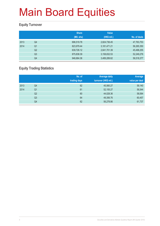### **Equity Turnover**

|      |                | <b>Share</b><br>(Mil. shs) | <b>Value</b><br>(HK\$ mil.) | No. of deals |
|------|----------------|----------------------------|-----------------------------|--------------|
| 2013 | Q4             | 696,519.78                 | 2,824,736.45                | 47,763,753   |
| 2014 | Q <sub>1</sub> | 823,979.44                 | 3,181,471.21                | 56,265,350   |
|      | Q <sub>2</sub> | 639,726.12                 | 2,641,701.39                | 45,496,255   |
|      | Q <sub>3</sub> | 875,838.39                 | 3,158,832.53                | 52,249,276   |
|      | Q4             | 946,664.36                 | 3,489,289.62                | 56,518,377   |

### **Equity Trading Statistics**

|      |                | No. of<br>trading days | <b>Average daily</b><br>turnover (HK\$ mil.) | Average<br>value per deal |
|------|----------------|------------------------|----------------------------------------------|---------------------------|
| 2013 | Q4             | 62                     | 45,560.27                                    | 59,140                    |
| 2014 | Q <sub>1</sub> | 61                     | 52,155.27                                    | 56,544                    |
|      | Q <sub>2</sub> | 60                     | 44,028.36                                    | 58,064                    |
|      | Q <sub>3</sub> | 64                     | 49,356.76                                    | 60,457                    |
|      | Q4             | 62                     | 56,278.86                                    | 61,737                    |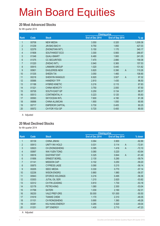#### **20 Most Advanced Stocks**

for 4th quarter 2014

|                |       |                        |                 | <b>Closing price</b> |                          |
|----------------|-------|------------------------|-----------------|----------------------|--------------------------|
| Rank           | Code  | <b>Stock</b>           | End of Dec 2014 | End of Sep 2014      | % up                     |
| 1              | 00708 | <b>NEW MEDIA</b>       | 3.550           | 0.320                | 1,009.38                 |
| $\overline{2}$ | 01239 | <b>JIN BAO BAO H</b>   | 9.750           | 1.850                | 427.03                   |
| 3              | 02379 | ZHONGTIAN INT'L        | 5.150           | 1.170                | 340.17                   |
| 4              | 01908 | SOUTHWEST ECO          | 3.300           | 0.900                | 266.67                   |
| $\overline{5}$ | 01348 | <b>QUALI-SMART</b>     | 6.480           | 1.900                | 241.05                   |
| $6\phantom{.}$ | 01375 | <b>CC SECURITIES</b>   | 7.470           | 2.880                | 159.38                   |
| $\overline{7}$ | 01220 | <b>ZHIDAO INT'L</b>    | 0.940           | 0.365                | 157.53                   |
| $\bf 8$        | 00915 | <b>LINMARK GROUP</b>   | 1.020           | 0.440                | 131.82                   |
| 9              | 00901 | EAGLERIDE-NEW          | 0.820           | 0.390                | 110.26<br>$\overline{A}$ |
| 10             | 01335 | SHEEN TAI              | 3.050           | 1.460                | 108.90                   |
| 11             | 00218 | <b>SHENYIN WANGUO</b>  | 6.920           | 3.507                | $\overline{A}$<br>97.32  |
| 12             | 00566 | <b>HANERGY TFP</b>     | 2.810           | 1.430                | 96.50                    |
| 13             | 01188 | <b>HYBRID KINETIC</b>  | 0.216           | 0.115                | 87.83                    |
| 14             | 01321 | <b>CHINA NEWCITY</b>   | 3.750           | 2.000                | 87.50                    |
| 15             | 00726 | SOUTH EAST GP          | 0.250           | 0.134                | 86.57                    |
| 16             | 00513 | <b>CONTINENTAL H</b>   | 0.223           | 0.120                | 85.83                    |
| 17             | 00593 | <b>SKYOCEAN INTL</b>   | 7.600           | 4.190                | 81.38                    |
| 18             | 06898 | <b>CHINA ALUMCAN</b>   | 1.900           | 1.050                | 80.95                    |
| 19             | 00717 | <b>EMPEROR CAPITAL</b> | 0.730           | 0.405                | 80.25                    |
| 20             | 00572 | CH FOR YOU GP          | 0.720           | 0.400                | 80.00                    |

A Adjusted

#### **20 Most Declined Stocks**

for 4th quarter 2014

|                |       |                        |                 | <b>Closing price</b> |                            |  |
|----------------|-------|------------------------|-----------------|----------------------|----------------------------|--|
| Rank           | Code  | <b>Stock</b>           | End of Dec 2014 | End of Sep 2014      | $%$ down                   |  |
| 1              | 00139 | <b>CHINA JINHAI</b>    | 0.064           | 0.900                | $-92.89$                   |  |
| $\overline{2}$ | 00913 | UNITY INV HOLD         | 0.031           | 0.114                | $-72.81$<br>$\overline{A}$ |  |
| 3              | 02623 | <b>CH ZHONGSHENG</b>   | 0.395           | 1.416                | $\mathsf{A}$<br>$-72.10$   |  |
| 4              | 00897 | <b>WAI YUEN TONG</b>   | 0.080           | 0.220                | $-63.64$                   |  |
| 5              | 00616 | <b>EASYKNIT ENT</b>    | 0.325           | 0.844                | $-61.49$<br>$\mathsf{A}$   |  |
| 6              | 01856 | <b>ERNEST BOREL</b>    | 2.130           | 5.290                | $-59.74$                   |  |
| $\overline{7}$ | 01141 | <b>MISSION CAP</b>     | 0.102           | 0.250                | $-59.20$                   |  |
| 8              | 00875 | <b>CYPRESS JADE</b>    | 0.090           | 0.215                | $-58.14$                   |  |
| 9              | 00205 | <b>SEEC MEDIA</b>      | 0.330           | 0.770                | $-57.14$                   |  |
| 10             | 02236 | <b>WISON ENGRG</b>     | 0.860           | 1.980                | $-56.57$                   |  |
| 11             | 00943 | <b>EFORCE HOLDINGS</b> | 0.216           | 0.495                | $-56.36$                   |  |
| 12             | 03303 | <b>JUTAL OIL SER</b>   | 1.210           | 2.620                | $-53.82$                   |  |
| 13             | 02312 | <b>CH FIN LEASING</b>  | 0.810           | 1.730                | $-53.18$                   |  |
| 14             | 02178 | PETRO-KING             | 1.080           | 2.300                | $-53.04$                   |  |
| 15             | 01768 | <b>SATERI</b>          | 1.030           | 2.160                | $-52.31$                   |  |
| 16             | 06230 | <b>VALE PREF-DRS</b>   | 50.000          | 101.000              | $-50.50$                   |  |
| 17             | 01619 | <b>TIANHE CHEM</b>     | 1.170           | 2.310                | $-49.35$                   |  |
| 18             | 01101 | <b>CH RONGSHENG</b>    | 0.690           | 1.360                | $-49.26$                   |  |
| 19             | 00381 | KIU HUNG ENERGY        | 0.265           | 0.520                | $-49.04$                   |  |
| 20             | 01251 | <b>SPT ENERGY</b>      | 1.430           | 2.710                | $-47.23$                   |  |

A Adjusted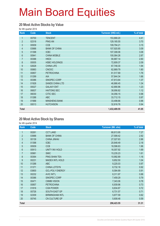#### **20 Most Active Stocks by Value**

for 4th quarter 2014

| Rank             | Code  | <b>Stock</b>           | Turnover (HK\$ mil.) | % of total |
|------------------|-------|------------------------|----------------------|------------|
| 1                | 00700 | <b>TENCENT</b>         | 153,868.20           | 4.41       |
| $\overline{2}$   | 02318 | <b>PING AN</b>         | 129,165.55           | 3.70       |
| $\mathfrak{S}$   | 00939 | <b>CCB</b>             | 109,794.21           | 3.15       |
| $\overline{4}$   | 03988 | <b>BANK OF CHINA</b>   | 107,920.85           | 3.09       |
| 5                | 01398 | <b>ICBC</b>            | 107,308.06           | 3.08       |
| $6\,$            | 00941 | <b>CHINA MOBILE</b>    | 100,064.26           | 2.87       |
| $\overline{7}$   | 00388 | <b>HKEX</b>            | 90,887.14            | 2.60       |
| 8                | 00005 | <b>HSBC HOLDINGS</b>   | 72,809.37            | 2.09       |
| $\boldsymbol{9}$ | 02628 | <b>CHINA LIFE</b>      | 67,748.30            | 1.94       |
| 10               | 00883 | <b>CNOOC</b>           | 62,869.79            | 1.80       |
| 11               | 00857 | <b>PETROCHINA</b>      | 61,517.89            | 1.76       |
| 12               | 01299 | <b>AIA</b>             | 57,844.34            | 1.66       |
| 13               | 00386 | SINOPEC CORP           | 47,813.64            | 1.37       |
| 14               | 01928 | <b>SANDS CHINA LTD</b> | 46,866.45            | 1.34       |
| 15               | 00027 | <b>GALAXY ENT</b>      | 42,890.96            | 1.23       |
| 16               | 06837 | <b>HAITONG SEC</b>     | 38,956.82            | 1.12       |
| 17               | 06030 | <b>CITIC SEC</b>       | 34,056.15            | 0.98       |
| 18               | 01288 | <b>ABC</b>             | 33,712.15            | 0.97       |
| 19               | 01988 | <b>MINSHENG BANK</b>   | 33,498.66            | 0.96       |
| 20               | 00013 | <b>HUTCHISON</b>       | 32,816.76            | 0.94       |
| <b>Total</b>     |       |                        | 1,432,409.55         | 41.05      |

#### **20 Most Active Stock by Shares**

for 4th quarter 2014

| Rank           | Code  | <b>Stock</b>           | <b>Turnover (Mil. shs)</b> | % of total |
|----------------|-------|------------------------|----------------------------|------------|
| 1              | 00261 | <b>CCT LAND</b>        | 68,813.95                  | 7.27       |
| $\overline{2}$ | 03988 | <b>BANK OF CHINA</b>   | 27,599.42                  | 2.92       |
| 3              | 00139 | <b>CHINA JINHAI</b>    | 27,027.63                  | 2.86       |
| $\overline{4}$ | 01398 | <b>ICBC</b>            | 20,648.49                  | 2.18       |
| $\overline{5}$ | 00939 | <b>CCB</b>             | 18,596.63                  | 1.96       |
| 6              | 00913 | <b>UNITY INV HOLD</b>  | 16,007.92                  | 1.69       |
| $\overline{7}$ | 00981 | <b>SMIC</b>            | 15,235.23                  | 1.61       |
| 8              | 00364 | PING SHAN TEA          | 10,992.89                  | 1.16       |
| 9              | 00231 | <b>MADEX INTL HOLD</b> | 9,852.50                   | 1.04       |
| 10             | 01288 | <b>ABC</b>             | 9,225.03                   | 0.97       |
| 11             | 01371 | <b>CHINA LOTSYN</b>    | 8,732.18                   | 0.92       |
| 12             | 03800 | <b>GCL-POLY ENERGY</b> | 8,584.89                   | 0.91       |
| 13             | 00232 | <b>AVIC INT'L</b>      | 8,311.97                   | 0.88       |
| 14             | 00386 | SINOPEC CORP           | 7,459.29                   | 0.79       |
| 15             | 00471 | <b>CMMB VISION</b>     | 7,343.06                   | 0.78       |
| 16             | 00857 | <b>PETROCHINA</b>      | 6,939.96                   | 0.73       |
| 17             | 01816 | <b>CGN POWER</b>       | 6,834.87                   | 0.72       |
| 18             | 00726 | SOUTH EAST GP          | 6,731.57                   | 0.71       |
| 19             | 02309 | <b>BIRMINGHAM INTL</b> | 5,877.59                   | 0.62       |
| 20             | 00745 | CN CULTURE GP          | 5,608.48                   | 0.59       |
| <b>Total</b>   |       |                        | 296,423.55                 | 31.31      |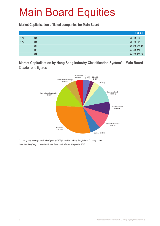**Market Capitalisation of listed companies for Main Board**

|      |    | HK\$ mil.     |
|------|----|---------------|
| 2013 | Q4 | 23,908,803.80 |
| 2014 | Q1 | 22,892,041.53 |
|      | Q2 | 23,780,215.41 |
|      | Q3 | 24,248,110.50 |
|      | Q4 | 24,892,419.04 |

**Market Capitalisation by Hang Seng Industry Classification System\* – Main Board**  Quarter-end figures



Hang Seng Industry Classification System (HSICS) is provided by Hang Seng Indexes Company Limited. Note: New Hang Seng Industry Classification System took effect on 9 September 2013.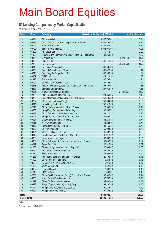#### **50 Leading Companies by Market Capitalisation**

as at the 4th quarter end 2014

| Rank                | <b>Code</b>    | <b>Company</b>                                                          | Market capitalisation (HK\$ mil.) |            | % of market total |
|---------------------|----------------|-------------------------------------------------------------------------|-----------------------------------|------------|-------------------|
| $\mathbf{1}$        | 00941          | China Mobile Ltd.                                                       | 1,845,762.61                      |            | 7.41              |
| $\overline{2}$      | 00939          | China Construction Bank Corporation - H Shares                          | 1,531,458.33                      |            | 6.15              |
| 3                   | 00005          | <b>HSBC Holdings plc</b>                                                | 1,421,989.17                      |            | 5.71              |
| 4                   | 00700          | Tencent Holdings Ltd.                                                   | 1,053,930.94                      |            | 4.23              |
| 5                   | 01299          | AIA Group Ltd.                                                          | 519,746.81                        |            | 2.09              |
| $6\phantom{a}$      | 01398          | Industrial and Commercial Bank of China Ltd. - H Shares                 | 491,254.29                        |            | 1.97              |
| $\overline{7}$      | 00805          | Glencore plc *                                                          |                                   | 482,124.79 | N.A.              |
| 8                   | 00883          | CNOOC Ltd.                                                              | 466,119.44                        |            | 1.87              |
| 9                   | 02378          | Prudential plc *                                                        |                                   | 465,795.28 | N.A.              |
| 10                  | 00013          | Hutchison Whampoa Ltd.                                                  | 380,505.84                        |            | 1.53              |
| 11                  | 03988          | Bank of China Ltd. - H Shares                                           | 365,429.35                        |            | 1.47              |
| 12                  | 00016          | Sun Hung Kai Properties Ltd.                                            | 333,958.53                        |            | 1.34              |
| 13                  | 00267          | CITIC Ltd.                                                              | 329,221.94                        |            | 1.32              |
| 14                  | 01928          | Sands China Ltd.                                                        | 307,782.81                        |            | 1.24              |
| 15                  | 00001          | Cheung Kong (Holdings) Ltd.                                             | 301,796.21                        |            | 1.21              |
| 16                  | 02318          | Ping An Insurance (Group) Co. of China Ltd. - H Shares                  | 294,551.67                        |            | 1.18              |
| 17                  | 02888          | <b>Standard Chartered PLC</b>                                           | 287,054.19                        |            | 1.15              |
| 18                  | 00945          | Manulife Financial Corporation *                                        |                                   | 278,652.23 | N.A.              |
| 19                  | 02388          | BOC Hong Kong (Holdings) Ltd.                                           | 274,363.65                        |            | 1.10              |
| 20                  | 03328          | Bank of Communications Co., Ltd. - H Shares                             | 253,485.89                        |            | 1.02              |
| 21                  | 00762          | China Unicom (Hong Kong) Ltd.                                           | 248,904.58                        |            | 1.00              |
| 22                  | 00011          | Hang Seng Bank Ltd.                                                     | 247,010.08                        |            | 0.99              |
| 23                  | 02628          | China Life Insurance Co. Ltd. - H Shares                                | 226,583.78                        |            | 0.91              |
| 24                  | 00388          | Hong Kong Exchanges and Clearing Ltd.                                   | 200,562.71                        |            | 0.81              |
| 25                  | 00688          | China Overseas Land & Investment Ltd.                                   | 188,410.14                        |            | 0.76              |
| 26                  | 00003          | Hong Kong and China Gas Co. Ltd., The                                   | 186,694.71                        |            | 0.75              |
| 27                  | 00027          | Galaxy Entertainment Group Ltd.                                         | 185,289.43                        |            | 0.74              |
| 28                  | 00066          | MTR Corporation Ltd.                                                    | 185,225.93                        |            | 0.74              |
| 29                  | 00857          | PetroChina Co. Ltd. - H Shares                                          | 181,450.54                        |            | 0.73              |
| 30                  | 00002          | CLP Holdings Ltd.                                                       | 169,903.80                        |            | 0.68              |
| 31                  | 00004          | Wharf (Holdings) Ltd., The                                              | 169,687.13                        |            | 0.68              |
| 32                  | 00012          | Henderson Land Development Co. Ltd.                                     | 162,918.42                        |            | 0.65              |
| 33                  | 00006          | Power Assets Holdings Ltd.                                              | 160,603.19                        |            | 0.65              |
| 34                  | 00386          | China Petroleum & Chemical Corporation - H Shares<br>Swire Pacific Ltd. | 159,458.99                        |            | 0.64              |
| 35<br>36            | 00019<br>01038 | Cheung Kong Infrastructure Holdings Ltd.                                | 146,815.09                        |            | 0.59<br>0.56      |
| 37                  | 00151          | Want Want China Holdings Ltd.                                           | 140,033.67<br>134,863.39          |            | 0.54              |
| 38                  | 01972          | Swire Properties Ltd.                                                   | 133,965.00                        |            | 0.54              |
| 39                  | 01288          | Agricultural Bank of China Ltd. - H Shares                              | 120,496.19                        |            | 0.48              |
| 40                  | 01109          | China Resources Land Ltd.                                               | 119,248.42                        |            | 0.48              |
| 41                  | 00566          | Hanergy Thin Film Power Group Ltd.                                      | 116,949.88                        |            | 0.47              |
| 42                  | 01128          | Wynn Macau, Ltd.                                                        | 113,522.22                        |            | 0.46              |
| 43                  | 00992          | Lenovo Group Ltd.                                                       | 113,308.28                        |            | 0.46              |
| 44                  | 01913          | PRADA S.p.A.                                                            | 112,460.31                        |            | 0.45              |
| 45                  | 02601          | China Pacific Insurance (Group) Co., Ltd. - H Shares                    | 109,346.82                        |            | 0.44              |
| 46                  | 06883          | Melco Crown Entertainment Ltd.                                          | 107,768.98                        |            | 0.43              |
| 47                  | 01929          | Chow Tai Fook Jewellery Group Ltd.                                      | 104,000.00                        |            | 0.42              |
| 48                  | 00322          | Tingyi (Cayman Islands) Holding Corp.                                   | 99,297.55                         |            | 0.40              |
| 49                  | 01044          | Hengan International Group Co. Ltd.                                     | 99,236.38                         |            | 0.40              |
| 50                  | 00101          | Hang Lung Properties Ltd.                                               | 97,555.22                         |            | 0.39              |
| <b>Total</b>        |                |                                                                         | 14,999,982.51                     |            | 60.26             |
| <b>Market Total</b> |                |                                                                         | 24,892,419.04                     |            | 100.00            |
|                     |                |                                                                         |                                   |            |                   |

Notes:

\* not included in Market Total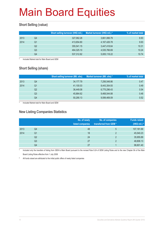### **Short Selling (value)**

|      |    | Short selling turnover (HK\$ mil.) | Market turnover (HK\$ mil.) * | % of market total |
|------|----|------------------------------------|-------------------------------|-------------------|
| 2013 | Q4 | 327,062.28                         | 3,661,066.79                  | 8.93              |
| 2014 | Q1 | 413.654.80                         | 4,167,426.78                  | 9.93              |
|      | Q2 | 355,541.15                         | 3,447,418.64                  | 10.31             |
|      | Q3 | 464,325.10                         | 4,535,766.69                  | 10.24             |
|      | Q4 | 537,312.82                         | 5,005,118.22                  | 10.74             |

Included Market total for Main Board and GEM

### **Short Selling (share)**

|      |    | <b>Short selling turnover (Mil. shs)</b> | Market turnover (Mil. shs) * | % of market total |
|------|----|------------------------------------------|------------------------------|-------------------|
| 2013 | Q4 | 34,177.79                                | 7,256,548.86                 | 0.47              |
| 2014 | Q1 | 41,100.03                                | 8,443,354.93                 | 0.49              |
|      | Q2 | 36.449.08                                | 6,775,296.43                 | 0.54              |
|      | Q3 | 45.864.62                                | 9,468,544.88                 | 0.48              |
|      | Q4 | 50,290.13                                | 9,599,469.09                 | 0.52              |

Included Market total for Main Board and GEM

#### **New Listing Companies Statistics**

|      |                | No. of newly<br>listed companies | No. of companies<br>transferred from GEM* | <b>Funds raised</b><br>(HK\$ mil.) # |
|------|----------------|----------------------------------|-------------------------------------------|--------------------------------------|
| 2013 | Q4             | 48                               | 5                                         | 107,181.69                           |
| 2014 | Q1             | 18                               | $\mathcal{P}$                             | 45,540.23                            |
|      | Q <sub>2</sub> | 24                               | 2                                         | 35,955.89                            |
|      | Q3             | 27                               | C                                         | 48,806.13                            |
|      | Q4             | 27                               |                                           | 98,801.40                            |

Included only the transfers of listing from GEM to Main Board pursuant to the revised Rule 9.24 of GEM Listing Rules and to the new Chapter 9A of the Main Board Listing Rules effective from 1 July 2008

# All funds raised are attributed to the initial public offers of newly listed companies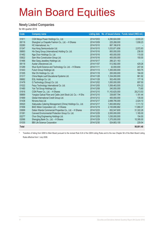#### **Newly Listed Companies**

for 4th quarter 2014

| Code         | <b>Company name</b>                                          |            |                | Listing date No. of issued shares Funds raised (HK\$ mil.) |
|--------------|--------------------------------------------------------------|------------|----------------|------------------------------------------------------------|
| 01811        | CGN Meiya Power Holdings Co., Ltd.                           | 2014/10/03 | 4,290,824,000  | 2,033.23                                                   |
| 06116        | Shanghai La Chapelle Fashion Co., Ltd. - H Shares            | 2014/10/09 | 225,268,000    | 1,938.23                                                   |
| 02280        | HC International, Inc. *                                     | 2014/10/10 | 667,166,618    |                                                            |
| 01347        | Hua Hong Semiconductor Ltd.                                  | 2014/10/15 | 1,033,871,656  | 2,572.83                                                   |
| 06893        | Hin Sang Group (International) Holding Co. Ltd.              | 2014/10/16 | 800,000,000    | 236.00                                                     |
| 01462        | Nga Chun Holdings Co. Ltd.                                   | 2014/10/16 | 400,000,000    | 110.00                                                     |
| 03822        | Sam Woo Construction Group Ltd.                              | 2014/10/16 | 400,000,000    | 150.00                                                     |
| 01466        | Man Sang Jewellery Holdings Ltd.                             | 2014/10/17 | 266,321,163    |                                                            |
| 06118        | Austar Lifesciences Ltd.                                     | 2014/11/07 | 512,582,000    | 429.26                                                     |
| 01289        | Wuxi Sunlit Science and Technology Co. Ltd. - H Shares       | 2014/11/11 | 32,000,000     | 247.04                                                     |
| 01443        | Fulum Group Holdings Ltd.                                    | 2014/11/13 | 1,300,000,000  | 503.75                                                     |
| 01305        | Wai Chi Holdings Co. Ltd.                                    | 2014/11/18 | 200,000,000    | 184.00                                                     |
| 01317        | China Maple Leaf Educational Systems Ltd.                    | 2014/11/28 | 1,334,000,000  | 961.92                                                     |
| 06882        | EGL Holdings Co. Ltd.                                        | 2014/11/28 | 502,450,000    | 177.16                                                     |
| 01478        | Q Technology (Group) Co. Ltd.                                | 2014/12/02 | 1,000,000,000  | 697.50                                                     |
| 01022        | Feiyu Technology International Co. Ltd.                      | 2014/12/05 | 1,506,463,500  | 674.22                                                     |
| 01480        | Yan Tat Group Holdings Ltd.                                  | 2014/12/08 | 240,000,000    | 73.80                                                      |
| 01816        | CGN Power Co., Ltd. - H Shares                               | 2014/12/10 | 11,163,625,000 | 28,213.53                                                  |
| 06869        | Yangtze Optical Fibre and Cable Joint Stock Ltd. Co. - H Shs | 2014/12/10 | 339,697,794    | 1,181.44                                                   |
| 01669        | Global International Credit Group Ltd.                       | 2014/12/12 | 400,000,000    | 135.00                                                     |
| 01438        | Nirvana Asia Ltd.                                            | 2014/12/17 | 2,698,795,000  | 2,024.10                                                   |
| 00520        | Xiabuxiabu Catering Management (China) Holdings Co., Ltd.    | 2014/12/17 | 1,063,800,652  | 1,111.72                                                   |
| 01958        | BAIC Motor Corporation Ltd. - H Shares                       | 2014/12/19 | 2,100,690,682  | 11,880.37                                                  |
| 03699        | Dalian Wanda Commercial Properties Co., Ltd. - H Shares      | 2014/12/23 | 652,547,600    | 31,322.28                                                  |
| 01381        | Canvest Environmental Protection Group Co. Ltd.              | 2014/12/29 | 2,000,000,000  | 1,165.00                                                   |
| 02277        | Chun Sing Engineering Holdings Ltd.                          | 2014/12/29 | 1,030,000,000  | 154.50                                                     |
| 02066        | Shengjing Bank Co., Ltd. - H Shares                          | 2014/12/29 | 1,375,000,000  | 10,395.00                                                  |
| 01035        | <b>BBI Life Science Corporation</b>                          | 2014/12/30 | 524,663,100    | 229.54                                                     |
| <b>Total</b> |                                                              |            |                | 98,801.40                                                  |

Transfers of listing from GEM to Main Board pursuant to the revised Rule 9.24 of the GEM Listing Rules and to the new Chapter 9A of the Main Board Listing Rules effective from 1 July 2008.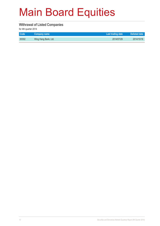#### **Withrawal of Listed Companies**

for 4th quarter 2014

| <b>Code</b> | Company name         | Last trading date | Delisted date |
|-------------|----------------------|-------------------|---------------|
| 00302       | Wing Hang Bank, Ltd. | 2014/07/29        | 2014/10/16    |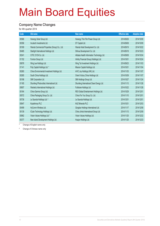#### **Company Name Changes**

for 4th quarter 2014

| Code  | Old name                                      | New name                                   | <b>Effective date</b> | <b>Adoption date</b> |
|-------|-----------------------------------------------|--------------------------------------------|-----------------------|----------------------|
| 00566 | Hanergy Solar Group Ltd.                      | Hanergy Thin Film Power Group Ltd.         | 2014/08/26            | 2014/10/09           |
| 00356 | Incutech Investments Ltd.                     | DT Capital Ltd.                            | 2014/09/08            | 2014/10/09           |
| 00169 | Wanda Commercial Properties (Group) Co., Ltd. | Wanda Hotel Development Co. Ltd.           | 2014/09/19            | 2014/10/22           |
| 00485 | Starlight International Holdings Ltd.         | Shihua Development Co. Ltd.                | 2014/09/18            | 2014/10/23           |
| 00241 | CITIC 21CN Co. Ltd.                           | Alibaba Health Information Technology Ltd. | 2014/09/08            | 2014/10/24           |
| 01152 | Fornton Group Ltd.                            | Infinity Financial Group (Holdings) Ltd.   | 2014/10/01            | 2014/10/24           |
| 00876 | Wing Lee Holdings Ltd.                        | Wing Tai Investment Holdings Ltd.          | 2014/09/23            | 2014/11/03           |
| 01141 | Poly Capital Holdings Ltd. *                  | Mission Capital Holdings Ltd.              | 2014/10/01            | 2014/11/04           |
| 00260 | China Environmental Investment Holdings Ltd.  | AVIC Joy Holdings (HK) Ltd.                | 2014/11/03            | 2014/11/07           |
| 00265 | South China Holdings Ltd.                     | Orient Victory China Holdings Ltd.         | 2014/10/09            | 2014/11/07           |
| 00198 | SMI Corporation Ltd.                          | SMI Holdings Group Ltd.                    | 2014/10/27            | 2014/11/24           |
| 01165 | Shunfeng Photovoltaic International Ltd.      | Shunfeng International Clean Energy Ltd.   | 2014/11/13            | 2014/11/26           |
| 00607 | Warderly International Holdings Ltd.          | Fullshare Holdings Ltd.                    | 2014/10/22            | 2014/11/26           |
| 00164 | China Gamma Group Ltd.                        | REX Global Entertainment Holdings Ltd.     | 2014/10/29            | 2014/12/01           |
| 00572 | China Packaging Group Co. Ltd.                | China For You Group Co. Ltd.               | 2014/11/10            | 2014/12/01           |
| 00738 | Le Saunda Holdings Ltd. #                     | Le Saunda Holdings Ltd.                    | 2014/12/01            | 2014/12/01           |
| 00847 | Kazakhmys PLC                                 | <b>KAZ Minerals PLC</b>                    | 2014/10/31            | 2014/12/03           |
| 00499 | HyComm Wireless Ltd.                          | Qingdao Holdings International Ltd.        | 2014/11/17            | 2014/12/08           |
| 00139 | ICube Technology Holdings Ltd.                | China Jinhai International Group Ltd.      | 2014/11/13            | 2014/12/09           |
| 00862 | Vision Values Holdings Ltd. #                 | Vision Values Holdings Ltd.                | 2014/11/25            | 2014/12/22           |
| 00377 | New Island Development Holdings Ltd.          | Huajun Holdings Ltd.                       | 2014/11/25            | 2014/12/23           |

\* Change of English name only

# Change of Chinese name only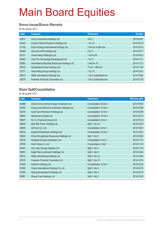#### **Bonus Issues/Bonus Warrants**

for 4th quarter 2014

| Code  | Company                                        | <b>Particulars</b>     | Ex-date    |
|-------|------------------------------------------------|------------------------|------------|
| 00913 | Unity Investments Holdings Ltd.                | 4 for 1                | 2014/10/07 |
| 02342 | Comba Telecom Systems Holdings Ltd.            | 1 for 10               | 2014/10/10 |
| 01102 | Enviro Energy International Holdings Ltd.      | 3 wts for 5 offer shs  | 2014/10/15 |
| 00396 | Hing Lee (HK) Holdings Ltd.                    | $2$ for 1              | 2014/10/17 |
| 00131 | Cheuk Nang (Holdings) Ltd.                     | 1 wt for 50            | 2014/10/23 |
| 03823 | Tech Pro Technology Development Ltd.           | 1 for $5$              | 2014/11/11 |
| 00091 | International Standard Resources Holdings Ltd. | 2 wts for 15           | 2014/11/13 |
| 00723 | Sustainable Forest Holdings Ltd.               | 17 for 1 offer sh      | 2014/11/20 |
| 01271 | Grand Ming Group Holdings Ltd.                 | 1 for 10               | 2014/12/01 |
| 00273 | Willie International Holdings Ltd.             | 1 for 2 subdivided shs | 2014/12/05 |
| 00279 | Freeman Financial Corporation Ltd.             | 1 for 2 subdivided shs | 2014/12/16 |

#### **Share Split/Consolidation**

for 4th quarter 2014

| <b>Company</b>                                 | <b>Particulars</b>      | <b>Effective date</b> |
|------------------------------------------------|-------------------------|-----------------------|
| China Environmental Energy Investment Ltd.     | Consolidation 20 into 1 | 2014/10/03            |
| Energy International Investments Holdings Ltd. | Consolidation 10 into 1 | 2014/10/08            |
| South Sea Petroleum Holdings Ltd.              | Consolidation 10 into 1 | 2014/10/09            |
| Mastermind Capital Ltd.                        | Consolidation 10 into 1 | 2014/10/10            |
| Ko Yo Chemical (Group) Ltd.                    | Consolidation 5 into 1  | 2014/10/14            |
| Blue Sky Power Holdings Ltd.                   | Split 1 into 10         | 2014/10/15            |
| DeTeam Co. Ltd.                                | Consolidation 5 into 1  | 2014/10/21            |
| Easyknit Enterprises Holdings Ltd.             | Consolidation 10 into 1 | 2014/10/21            |
| China Zhongsheng Resources Holdings Ltd.       | Split 1 into 5          | 2014/10/28            |
| Mongolia Energy Corporation Ltd.               | Consolidation 4 into 1  | 2014/11/13            |
| Artini China Co. Ltd.                          | Consolidation 2 into 1  | 2014/11/18            |
| GCL New Energy Holdings Ltd.                   | Split 1 into 4          | 2014/11/19            |
| Eagle Ride Investment Holdings Ltd.            | Split 1 into 8          | 2014/12/04            |
| Willie International Holdings Ltd.             | Split 1 into 10         | 2014/12/04            |
| Freeman Financial Corporation Ltd.             | Split 1 into 10         | 2014/12/15            |
| Kantone Holdings Ltd.                          | Consolidation 10 into 1 | 2014/12/16            |
| Yestar International Holdings Co. Ltd.         | Split 1 into 4          | 2014/12/16            |
| Rising Development Holdings Ltd.               | Split 1 into 4          | 2014/12/19            |
| Sheng Yuan Holdings Ltd.                       | Split 1 into 2          | 2014/12/30            |
|                                                |                         |                       |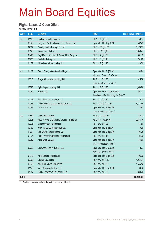#### **Rights Issues & Open Offers**

for 4th quarter 2014

| <b>Month</b> | Code  | <b>Company</b>                                   | <b>Ratio</b>                             | Funds raised (HK\$ mil.) |
|--------------|-------|--------------------------------------------------|------------------------------------------|--------------------------|
| Oct          | 01196 | Realord Group Holdings Ltd.                      | Rts 1 for 4 @\$1.00                      | 158.84                   |
|              | 00923 | Integrated Waste Solutions Group Holdings Ltd.   | Open offer 1 for 1 @\$0.20               | 482.23                   |
|              | 02007 | Country Garden Holdings Co. Ltd.                 | Rts 1 for 15 @\$2.50                     | 3,179.97                 |
|              | 00123 | Yuexiu Property Co. Ltd.                         | Rts 33 for 100 @\$1.25                   | 3,846.27                 |
|              | 01428 | Bright Smart Securities & Commodities Group Ltd. | Rts 1 for 2 @\$1.00                      | 561.15                   |
|              | 00726 | South East Group Ltd.                            | Rts 8 for 1 @\$0.10                      | 291.96                   |
|              | 01172 | Midas International Holdings Ltd.                | Rts 1 for 2 @\$0.10                      | 110.36                   |
|              |       |                                                  |                                          |                          |
| Nov          | 01102 | Enviro Energy International Holdings Ltd.        | Open offer 1 for 2 @\$0.02               | 34.94                    |
|              |       |                                                  | with bonus 3 wts for 5 offer shs         |                          |
|              | 00616 | Easyknit Enterprises Holdings Ltd.               | Rts 8 for 1 @\$0.70                      | 315.09                   |
|              |       |                                                  | (after consolidation 10 into 1)          |                          |
|              | 03383 | Agile Property Holdings Ltd.                     | Rts 1 for 8 @\$3.80                      | 1,653.86                 |
|              | 00495 | Paladin Ltd.                                     | Open offer 1 Convertible Note or         | 39.77*                   |
|              |       |                                                  | 1 Ordinary sh for 2 Ordinary shs @\$0.25 |                          |
|              | 01249 | Tonly Electronics Holdings Ltd.                  | Rts 1 for 2 @\$5.10                      | 423.25                   |
|              | 00966 | China Taiping Insurance Holdings Co. Ltd.        | Rts 21 for 100 @\$11.89                  | 6,413.56                 |
|              | 00065 | DeTeam Co. Ltd.                                  | Open offer 1 for 1 @\$0.50               | 114.62                   |
|              |       |                                                  | (after consolidation 5 into 1)           |                          |
| <b>Dec</b>   | 01862 | Jingrui Holdings Ltd.                            | Rts 3 for 100 @\$ 3.51                   | 132.01                   |
|              | 02328 | PICC Property and Casualty Co. Ltd. - H Shares   | Rts 0.9 for 10 @\$7.46                   | 2,833.14                 |
|              | 00235 | China Strategic Holdings Ltd.                    | Rts 1 for 2 @\$0.08                      | 177.56                   |
|              | 00197 | Heng Tai Consumables Group Ltd.                  | Open offer 1 for 5 @\$0.07               | 76.38                    |
|              | 01001 | Van Shung Chong Holdings Ltd.                    | Open offer 1 for 2 @\$0.50               | 105.38                   |
|              | 01174 | Pacific Andes International Holdings Ltd.        | Rts 1 for 2 @\$0.18                      | 424.99                   |
|              | 00789 | Artini China Co. Ltd.                            | Open offer 3 for 1 @\$0.10               | 185.60                   |
|              |       |                                                  | (after consolidation 2 into 1)           |                          |
|              | 00723 | Sustainable Forest Holdings Ltd.                 | Open offer 1 for 6 @\$0.32               | 118.77                   |
|              |       |                                                  | with bonus 17 for 1 offer sh             |                          |
|              | 01312 | Allied Cement Holdings Ltd.                      | Open offer 1 for 2 @\$1.50               | 495.00                   |
|              | 00069 | Shangri-La Asia Ltd.                             | Rts 1 for 7 @\$11.10                     | 4,967.24                 |
|              | 00975 | Mongolian Mining Corporation                     | Rts 3 for 2 @\$0.28                      | 1,556.12                 |
|              | 01178 | Vitop Bioenergy Holdings Ltd.                    | Open offer 1 for 2 @\$0.10               | 83.42                    |
|              | 01387 | Renhe Commercial Holdings Co. Ltd.               | Rts 1 for 2 @\$0.32                      | 3,383.70                 |
| <b>Total</b> |       |                                                  |                                          | 32,165.18                |
|              |       |                                                  |                                          |                          |

\* Fund raised amount excludes the portion from convertible notes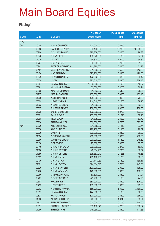### **Placing\***

|              |             |                        | No. of new    | <b>Placing price</b> | <b>Funds raised</b> |
|--------------|-------------|------------------------|---------------|----------------------|---------------------|
| <b>Month</b> | <b>Code</b> | <b>Company</b>         | shares placed | (HK\$)               | (HK\$ mil.)         |
| 2014         |             |                        |               |                      |                     |
| Oct          | 00104       | <b>ASIA COMM HOLD</b>  | 200,000,000   | 0.2550               | 51.00               |
|              | 03988       | <b>BANK OF CHINA#</b>  | 399,400,000   | 126.7800             | 50,635.93           |
|              | 00904       | C CULIANGWANG          | 395,328,000   | 0.2500               | 98.83               |
|              | 00370       | <b>CHINA BEST</b>      | 486,320,000   | 0.1800               | 87.54               |
|              | 01019       | <b>CONVOY</b>          | 95,820,000    | 1.0000               | 95.82               |
|              | 00727       | <b>CROWNICORP</b>      | 330,399,800   | 0.7000               | 231.28              |
|              | 00943       | <b>EFORCE HOLDINGS</b> | 111,370,600   | 0.4600               | 51.23               |
|              | 00451       | <b>GCL NEWENERGY</b>   | 291,000,000   | 2.5500               | 742.05              |
|              | 00474       | <b>HAO TIAN DEV</b>    | 397,200,000   | 0.4800               | 190.66              |
|              | 00872       | <b>JH AUTO SAFETY</b>  | 122,802,000   | 0.4350               | 53.42               |
|              | 00579       | <b>JNCEC</b>           | 393,010,000   | 3.2300               | 1,269.42            |
|              | 00397       | <b>JUNYANG SOLAR</b>   | 1,090,000,000 | 0.1930               | 210.37              |
|              | 00381       | KIU HUNG ENERGY        | 63,600,000    | 0.4750               | 30.21               |
|              | 00905       | <b>MASTERMIND CAP</b>  | 51,952,000    | 0.5400               | 28.05               |
|              | 01237       | <b>MERRY GARDEN</b>    | 165,000,000   | 0.9300               | 153.45              |
|              | 01236       | <b>NATIONAL AGRI</b>   | 125,660,900   | 3.0000               | 376.98              |
|              | 00055       | <b>NEWAY GROUP</b>     | 244,640,000   | 0.1560               | 38.16               |
|              | 01323       | NEWTREE GROUP          | 21,900,000    | 2.4000               | 52.56               |
|              | 00527       | <b>RUIFENG RENEW</b>   | 208,000,000   | 1.0000               | 208.00              |
|              | 01228       | <b>SUPERB SUMMIT</b>   | 100,000,000   | 1.2700               | 127.00              |
|              | 00621       | <b>TAUNG GOLD</b>      | 263,000,000   | 0.1520               | 39.98               |
|              | 01298       | <b>TECHCOMP</b>        | 34,875,000    | 2.4000               | 83.70               |
|              | 00826       | <b>TIANGONG INT'L</b>  | 300,000,000   | 1.7500               | 525.00              |
| Nov          | 00030       | ABC COM (HOLD)         | 331,068,000   | 0.1140               | 37.74               |
|              | 00630       | <b>AMCO UNITED</b>     | 226,200,000   | 0.1180               | 26.69               |
|              | 02339       | <b>BWI INT'L</b>       | 300,000,000   | 0.3300               | 99.00               |
|              | 01194       | C PRECIOUSMETAL        | 250,000,000   | 0.8000               | 200.00              |
|              | 00996       | <b>CARNIVAL GROUP</b>  | 220,000,000   | 1.1300               | 248.60              |
|              | 00138       | <b>CCT FORTIS</b>      | 75,000,000    | 0.9000               | 67.50               |
|              | 00149       | CH AGRI-PROD EX        | 220,000,000   | 0.2700               | 59.40               |
|              | 01380       | <b>CHI KINGSTONE</b>   | 49,384,236    | 0.2030               | 10.02               |
|              | 01380       | <b>CHI KINGSTONE</b>   | 378,867,213   | 0.1285               | 48.68               |
|              | 00139       | <b>CHINA JINHAI</b>    | 495, 192, 763 | 0.1750               | 86.66               |
|              | 00139       | <b>CHINA JINHAI</b>    | 921,141,959   | 0.1500               | 138.17              |
|              | 01371       | <b>CHINA LOTSYN</b>    | 594,034,513   | 0.7500               | 445.53              |
|              | 00326       | <b>CHINA STAR ENT</b>  | 1,500,000,000 | 0.0900               | 135.00              |
|              | 03778       | <b>CHINA WEAVING</b>   | 126,000,000   | 0.8000               | 100.80              |
|              | 00080       | <b>CNEWECON FUND</b>   | 60,600,000    | 0.3500               | 21.21               |
|              | 00707       | <b>CO-PROSPERITY</b>   | 279,700,000   | 0.1600               | 44.75               |
|              | 00607       | <b>FULLSHARE</b>       | 680,000,000   | 0.4500               | 306.00              |
|              | 00733       | <b>HOPEFLUENT</b>      | 133,000,000   | 3.0000               | 399.00              |
|              | 00902       | <b>HUANENG POWER</b>   | 365,000,000   | 8.6000               | 3,139.00            |
|              | 00397       | <b>JUNYANG SOLAR</b>   | 444,000,000   | 0.1860               | 82.58               |
|              | 00827       | KO YO GROUP            | 800,000,000   | 0.3200               | 256.00              |
|              | 01360       | MEGAEXPO HLDG          | 40,000,000    | 1.3810               | 55.24               |
|              | 01822       | <b>PERCEPTIONDIGIT</b> | 1,000,000,000 | 0.1750               | 175.00              |
|              | 00691       | SHANSHUI CEMENT        | 563,190,040   | 2.7700               | 1,560.04            |
|              | 01080       | SHENGLI PIPE           | 248,058,000   | 0.4500               | 111.63              |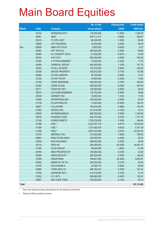|              |       |                        | No. of new    | <b>Placing price</b> | <b>Funds raised</b> |
|--------------|-------|------------------------|---------------|----------------------|---------------------|
| <b>Month</b> | Code  | <b>Company</b>         | shares placed | (HK\$)               | $(HK$$ mil.)        |
|              | 00152 | SHENZHEN INT'L         | 176,000,000   | 11.0000              | 1,936.00            |
|              | 00981 | <b>SMIC</b>            | 938,111,417   | 0.6000               | 562.87              |
|              | 00515 | <b>TC ORI LIGHT</b>    | 88,456,000    | 1.0000               | 88.46               |
|              | 00856 | <b>VST HOLDINGS</b>    | 32,000,000    | 2.5000               | 80.00               |
| Dec          | 00959 | <b>AMAX INT HOLD</b>   | 9,900,000     | 0.9300               | 9.21                |
|              | 00565 | <b>ART TEXTILE</b>     | 208,000,000   | 0.3350               | 69.68               |
|              | 00595 | AV CONCEPT HOLD        | 61,836,000    | 0.4010               | 24.80               |
|              | 00232 | <b>AVIC INT'L</b>      | 900,000,000   | 0.6000               | 540.00              |
|              | 01094 | C P PROCUREMENT        | 73,500,000    | 0.2420               | 17.79               |
|              | 00996 | <b>CARNIVAL GROUP</b>  | 645,000,000   | 1.1500               | 741.75              |
|              | 00633 | CH ALL ACCESS          | 133,332,000   | 3.0000               | 400.00              |
|              | 02349 | <b>WATER PROPERTY</b>  | 185,872,000   | 0.7740               | 143.86              |
|              | 00986 | CH ENV ENERGY          | 48,190,489    | 0.6600               | 31.81               |
|              | 01226 | CH INV FIN GP          | 43,000,000    | 0.3450               | 14.84               |
|              | 01185 | <b>CHINA ENERGINE</b>  | 400,000,000   | 0.7500               | 300.00              |
|              | 03300 | <b>CHINA GLASS</b>     | 260,000,000   | 0.9400               | 244.40              |
|              | 00711 | CHUN WO DEV            | 100,000,000   | 0.4630               | 46.30               |
|              | 00674 | <b>CULTURELANDMARK</b> | 119,752,000   | 0.5000               | 59.88               |
|              | 00339 | <b>EARNEST INV</b>     | 16,000,000    | 1.1000               | 17.60               |
|              | 01808 | <b>ENTERPRISE DEV</b>  | 350,000,000   | 0.2500               | 87.50               |
|              | 01738 | <b>FS ANTHRACITE</b>   | 13,500,000    | 12.0000              | 162.00              |
|              | 00607 | <b>FULLSHARE</b>       | 780,000,000   | 0.4800               | 374.40              |
|              | 01082 | HK EDU INTL            | 271,616,000   | 0.1220               | 33.14               |
|              | 00958 | HN RENEWABLES          | 698,780,832   | 2.5000               | 1,746.95            |
|              | 00816 | <b>HUADIAN FUXIN</b>   | 428,370,000   | 4.0100               | 1,717.76            |
|              | 01188 | <b>HYBRID KINETIC</b>  | 1,780,235,000 | 0.1600               | 284.84              |
|              | 01398 | ICBC <sup>#</sup>      | 3,020,767,778 | 4.9775               | 15,036.00           |
|              | 01398 | ICBC <sup>#</sup>      | 1,251,825,578 | 4.6024               | 5,761.38            |
|              | 01398 | ICBC <sup>#</sup>      | 4,557,432,956 | 5.0318               | 22,932.00           |
|              | 01076 | <b>IMPERIAL PAC</b>    | 510,000,000   | 1.5500               | 790.50              |
|              | 00663 | <b>KING STONE ENGY</b> | 330,000,000   | 0.2500               | 82.50               |
|              | 00254 | <b>NUR HOLDINGS</b>    | 389,460,000   | 0.2300               | 89.58               |
|              | 02318 | <b>PING AN</b>         | 594,056,000   | 62.0000              | 36,831.47           |
|              | 01399 | <b>SCUD GROUP</b>      | 58,000,000    | 1.0600               | 61.48               |
|              | 00766 | SINO PROSPER GP        | 160,000,000   | 0.2160               | 34.56               |
|              | 00299 | SINOCOM SOFT           | 200,000,000   | 0.7000               | 140.00              |
|              | 01099 | <b>SINOPHARM</b>       | 198,801,600   | 28.4000              | 5,645.97            |
|              | 00395 | SMARTAC GP CH          | 300,000,000   | 0.3100               | 93.00               |
|              | 01878 | SOUTHGOBI-S            | 24,360,773    | 2.8555               | 69.56               |
|              | 03886 | <b>TOWN HEALTH</b>     | 459, 183, 673 | 0.7000               | 321.43              |
|              | 01046 | UNIVERSE INT'L         | 414,415,000   | 0.1000               | 41.44               |
|              | 01002 | V.S. INT'L             | 266,680,000   | 0.4500               | 120.01              |
|              | 00897 | <b>WAI YUEN TONG</b>   | 700,000,000   | 0.1330               | 93.10               |
| <b>Total</b> |       |                        |               |                      | 161,114.68          |

Due to the reporting time-lag, placing figures for the quarter are provisional.

# Placing of offshore preference shares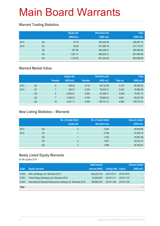### **Warrant Trading Statistics**

|      |                | <b>Equity wts</b><br>(HK\$ mil.) | <b>Derivative wts</b><br>(HK\$ mil.) | <b>Total</b><br>(HK\$ mil.) |
|------|----------------|----------------------------------|--------------------------------------|-----------------------------|
| 2013 | Q4             | 37.19                            | 358,530.50                           | 358,567.70                  |
| 2014 | Q <sub>1</sub> | 30.09                            | 431,689.18                           | 431,719.27                  |
|      | Q <sub>2</sub> | 651.85                           | 384,246.51                           | 384,898.36                  |
|      | Q <sub>3</sub> | 1,251.17                         | 626,632.51                           | 627,883.68                  |
|      | Q4             | 1,124.93                         | 601,944.06                           | 603,068.99                  |

### **Warrant Market Value**

|      |                |               | <b>Equity wts</b> |               | <b>Derivative wts</b> |           | <b>Total</b> |
|------|----------------|---------------|-------------------|---------------|-----------------------|-----------|--------------|
|      |                | <b>Number</b> | (HK\$ mil.)       | <b>Number</b> | (HK\$ mil.)           | Total no. | (HK\$ mil.)  |
| 2013 | Q4             | 8             | 356.40            | 4.715         | 95,733.93             | 4,723     | 96,090.32    |
| 2014 | Q1             |               | 336.27            | 5.335         | 76,633.31             | 5.342     | 76,969.58    |
|      | Q <sub>2</sub> | 5             | 2,493.01          | 5.054         | 67,588.71             | 5,059     | 70,081.72    |
|      | Q <sub>3</sub> |               | 3,338.72          | 4.794         | 76,683.23             | 4,801     | 80,021.95    |
|      | Q4             | 10            | 3,031.11          | 4,938         | 146,741.31            | 4,948     | 149,772.41   |

### **New Listing Statistics – Warrants**

|      |                | No. of newly listed<br>equity wts | No. of newly listed<br>derivative wts | <b>Amount raised</b><br>(HK\$ mil.) |
|------|----------------|-----------------------------------|---------------------------------------|-------------------------------------|
| 2013 | Q4             | 0                                 | 2,046                                 | 45,648.98                           |
| 2014 | Q1             |                                   | 2,188                                 | 51,909.16                           |
|      | Q <sub>2</sub> |                                   | 1,435                                 | 33,081.98                           |
|      | Q <sub>3</sub> | C                                 | 1,951                                 | 44,515.12                           |
|      | Q4             | 3                                 | 1,986                                 | 48,705.91                           |

### **Newly Listed Equity Warrants**

for 4th quarter 2014

|              |                                                              | Initial issued |                            |            | <b>Amount raised</b> |
|--------------|--------------------------------------------------------------|----------------|----------------------------|------------|----------------------|
| Code         | <b>Equity warrants</b>                                       | amount (HK\$)  | <b>Listing date Expiry</b> |            | (HK\$ mil.)          |
| 01403        | HKC (Holdings) Ltd. Warrants 2015                            | 382,224,104    | 2014/10/17                 | 2015/10/15 |                      |
| 01291        | Cheuk Nang (Holdings) Ltd. Warrants 2015                     | 44,663,832     | 2014/11/11                 | 2015/11/10 |                      |
| 01407        | International Standard Resources Holdings Ltd. Warrants 2015 | 189,890,379    | 2014/11/28                 | 2015/11/26 |                      |
| <b>Total</b> |                                                              |                |                            |            |                      |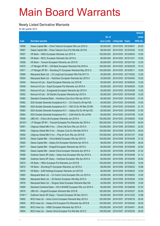#### **Newly Listed Derivative Warrants**

for 4th quarter 2014

|         |                                                                |               |                            |                       | <b>Amount</b> |
|---------|----------------------------------------------------------------|---------------|----------------------------|-----------------------|---------------|
|         |                                                                | No. of        |                            |                       | raised        |
| Code    | <b>Derivative warrants</b>                                     | issue (units) | <b>Listing date Expiry</b> |                       | (HK\$ mil.)   |
| 16566   | Daiwa Capital Mkt - China Telecom European Wts Jun 2015 A      | 80,000,000    | 2014/10/03                 | 2015/06/01            | 20.00         |
| 16567   | Daiwa Capital Mkt - China Telecom Euro Put Wts Mar 2015 B      | 68,000,000    |                            | 2014/10/03 2015/03/02 | 10.20         |
| 16557   | HK Bank - HKEx European Warrants Jun 2015 A                    | 100,000,000   |                            | 2014/10/03 2015/06/30 | 15.00         |
| 16556   | HK Bank - KECL European Warrants Dec 2015 A                    | 80,000,000    | 2014/10/03 2015/12/31      |                       | 12.00         |
| 16558   | HK Bank - Tencent European Warrants Jan 2015 D                 | 80,000,000    | 2014/10/03                 | 2015/01/30            | 12.00         |
| 16570   | J P Morgan SP BV - CM Bank European Warrants Feb 2016 A        | 100,000,000   |                            | 2014/10/03 2016/02/29 | 15.10         |
| 16571   | J P Morgan SP BV - Shunfeng Pv European Warrants May 2015 A    | 100,000,000   | 2014/10/03 2015/05/11      |                       | 15.60         |
| 16569   | Macquarie Bank Ltd. - Ch LongYuan European Wts Feb 2017 A      | 50,000,000    |                            | 2014/10/03 2017/02/02 | 12.50         |
| 16554   | Macquarie Bank Ltd. - Hutchison European Warrants Apr 2015 A   | 30,000,000    |                            | 2014/10/03 2015/04/02 | 10.02         |
| 16550   | Nomura Int'l plc - Esprit European Warrants Jun 2016 B         | 50,000,000    |                            | 2014/10/03 2016/06/30 | 12.50         |
| 16548   | Nomura Int'l plc - Esprit European Put Warrants Jun 2016 A     | 50,000,000    |                            | 2014/10/03 2016/06/30 | 13.00         |
| 16553   | Nomura Int'l plc - Evergrande European Warrants Apr 2015 A     | 50,000,000    | 2014/10/03                 | 2015/04/08            | 13.00         |
| 16552   | Nomura Int'l plc - Sh Electric European Warrants Apr 2015 A    | 50,000,000    |                            | 2014/10/03 2015/04/08 | 12.50         |
| 16560   | Standard Chartered Bank - Hutchison Euro Euro Wts Apr 2015 A   | 60,000,000    |                            | 2014/10/03 2015/04/02 | 21.00         |
| 16562   | SGA Societe Generale Acceptance N.V. - Ch Cinda Eu Wt Apr15A   | 40,000,000    |                            | 2014/10/03 2015/04/08 | 10.00         |
| 16565   | SGA Societe Generale Acceptance N.V. - A50 Ch Eu Wt Mar 2015B  | 70,000,000    | 2014/10/03                 | 2015/03/04            | 21.70         |
| 16563   | SGA Societe Generale Acceptance N.V. - Galaxy Ent Eu Wt Apr15C | 80,000,000    |                            | 2014/10/03 2015/04/08 | 31.60         |
| 16564   | SGA Societe Generale Acceptance N.V. - SJM Hold Eu Wt Jul15A   | 80,000,000    |                            | 2014/10/03 2015/07/06 | 12.00         |
| 16559   | UBS AG - China Life European Warrants Jun 2015 A               | 100,000,000   |                            | 2014/10/03 2015/06/05 | 15.00         |
| 28183 # | J P Morgan SP BV – Tencent European Put Warrants Apr 2015 A    | 350,000,000   | 2014/10/03                 | 2015/04/30            | 49.00         |
| 16591   | Citigroup Global Mkt H Inc. - China Life Euro Wts Jun 2015 A   | 150,000,000   |                            | 2014/10/06 2015/06/23 | 22.50         |
| 16593   | Citigroup Global Mkt H Inc. - Sinopec Corp Eu Wts Mar 2015 A   | 100,000,000   |                            | 2014/10/06 2015/03/16 | 29.00         |
| 16592   | Citigroup Global Mkt H Inc. - Ping An Euro Wts Jan 2015 B      | 100,000,000   |                            | 2014/10/06 2015/01/27 | 16.80         |
| 16578   | Daiwa Capital Mkt - China Mobile European Wts Apr 2015 A       | 108,000,000   | 2014/10/06                 | 2015/04/08            | 31.32         |
| 16580   | Daiwa Capital Mkt - Galaxy Ent European Warrants Apr 2015 A    | 98,000,000    | 2014/10/06                 | 2015/04/08            | 36.26         |
| 16577   | Daiwa Capital Mkt - Kingsoft European Warrants Apr 2015 A      | 80,000,000    | 2014/10/06                 | 2015/04/08            | 20.00         |
| 16582   | Daiwa Capital Mkt - Sands China European Warrants Apr 2015 A   | 80,000,000    | 2014/10/06                 | 2015/04/08            | 27.20         |
| 16588   | Goldman Sachs SP (Asia) - Geely Auto European Wts Apr 2015 A   | 80,000,000    | 2014/10/06 2015/04/08      |                       | 21.12         |
| 16586   | Goldman Sachs SP (Asia) - Hutchison European Wts Apr 2015 A    | 80,000,000    | 2014/10/06 2015/04/08      |                       | 25.60         |
| 16574   | HK Bank - HKEx European Put Warrants Jun 2015 B                | 100,000,000   | 2014/10/06 2015/06/23      |                       | 16.00         |
| 16572   | HK Bank - Shunfeng Pv European Warrants Jun 2015 A             | 68,000,000    |                            | 2014/10/06 2015/06/23 | 10.88         |
| 16575   | HK Bank - SJM Holdings European Warrants Jun 2015 B            | 80,000,000    |                            | 2014/10/06 2015/06/22 | 12.00         |
| 16583   | Macquarie Bank Ltd. - Ch Comm Cons European Wts Jun 2015 A     | 40,000,000    |                            | 2014/10/06 2015/06/02 | 10.00         |
| 16584   | Macquarie Bank Ltd. - Sh Electric European Wts May 2015 A      | 40,000,000    | 2014/10/06                 | 2015/05/26            | 10.00         |
| 16576   | Macquarie Bank Ltd. - Singyes Solar European Warrants May15A   | 40,000,000    |                            | 2014/10/06 2015/05/05 | 10.00         |
| 16585   | Standard Chartered Bank - HS H-SHARE European Wts Jun 2015 A   | 80,000,000    |                            | 2014/10/06 2015/06/26 | 37.20         |
| 16579   | UBS AG - Kingsoft European Warrants Mar 2015 B                 | 100,000,000   | 2014/10/06 2015/03/27      |                       | 20.00         |
| 27461 # | Goldman Sachs SP (Asia) - Tencent European Wt Dec 2014 C       | 80,000,000    | 2014/10/06                 | 2014/12/22            | 10.88         |
| 16602   | BOCI Asia Ltd. - Anhui Conch European Warrants May 2015 A      | 100,000,000   | 2014/10/07                 | 2015/05/18            | 25.00         |
| 16605   | BOCI Asia Ltd. - Galaxy Ent European Put Warrants Apr 2015 B   | 100,000,000   | 2014/10/07                 | 2015/04/02            | 36.00         |
| 16603   | BOCI Asia Ltd. - HSBC European Warrants Apr 2015 A             | 100,000,000   | 2014/10/07                 | 2015/04/01            | 24.00         |
| 16604   | BOCI Asia Ltd. - Sands China European Put Wts Mar 2015 C       | 100,000,000   | 2014/10/07                 | 2015/03/30            | 28.00         |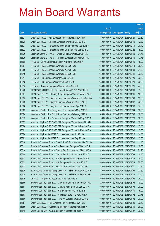|       |                                                              |               |                            |            | <b>Amount</b> |
|-------|--------------------------------------------------------------|---------------|----------------------------|------------|---------------|
|       |                                                              | No. of        |                            |            | raised        |
| Code  | <b>Derivative warrants</b>                                   | issue (units) | <b>Listing date Expiry</b> |            | $(HK$$ mil.)  |
| 16621 | Credit Suisse AG - HSI European Put Warrants Jan 2015 D      | 150,000,000   | 2014/10/07                 | 2015/01/29 | 22.50         |
| 16628 | Credit Suisse AG - Kingsoft European Warrants Mar 2015 D     | 80,000,000    | 2014/10/07 2015/03/30      |            | 12.80         |
| 16627 | Credit Suisse AG - Tencent Holdings European Wts Dec 2016 A  | 120,000,000   | 2014/10/07                 | 2016/12/19 | 20.40         |
| 16622 | Credit Suisse AG - Tencent Holdings Euro Put Wts Dec 2015 C  | 100,000,000   | 2014/10/07 2015/12/22      |            | 15.00         |
| 16630 | Goldman Sachs SP (Asia) - China Cinda Euro Wts Apr 2015 A    | 80,000,000    | 2014/10/07 2015/04/30      |            | 21.76         |
| 16629 | Goldman Sachs SP (Asia) - Kingsoft European Wts Mar 2015 A   | 80,000,000    | 2014/10/07 2015/03/30      |            | 13.76         |
| 16608 | HK Bank - China Unicom European Warrants Jun 2015 A          | 100,000,000   | 2014/10/07                 | 2015/06/30 | 15.00         |
| 16607 | HK Bank – HKEx European Warrants Sep 2015 C                  | 150,000,000   | 2014/10/07 2015/09/14      |            | 28.50         |
| 16606 | HK Bank - HKEx European Warrants Nov 2015 B                  | 150,000,000   | 2014/10/07 2015/11/30      |            | 24.00         |
| 16619 | HK Bank - HKEx European Warrants Dec 2015 B                  | 150,000,000   | 2014/10/07 2015/12/31      |            | 22.50         |
| 16617 | HK Bank - HSI European Warrants Jun 2015 B                   | 150,000,000   | 2014/10/07 2015/06/29      |            | 22.50         |
| 16618 | HK Bank - HSI European Warrants Sep 2015 B                   | 150,000,000   | 2014/10/07 2015/09/29      |            | 22.50         |
| 16615 | HK Bank - Tencent European Warrants Dec 2015 C               | 150,000,000   | 2014/10/07 2015/12/21      |            | 24.00         |
| 16636 | J P Morgan Int'l Der. Ltd. - CC Bank European Wts Apr 2015 A | 200,000,000   | 2014/10/07 2015/04/08      |            | 51.20         |
| 16637 | J P Morgan SP BV - Cheung Kong European Warrants Apr 2015 B  | 60,000,000    | 2014/10/07 2015/04/01      |            | 18.90         |
| 16635 | J P Morgan SP BV - Sinopec Corp European Warrants Dec 2015 A | 100,000,000   | 2014/10/07 2015/12/30      |            | 15.50         |
| 16639 | J P Morgan SP BV - Kingsoft European Warrants Apr 2015 B     | 150,000,000   | 2014/10/07 2015/04/02      |            | 22.65         |
| 16638 | J P Morgan SP BV - Ping An European Warrants Apr 2015 A      | 150,000,000   | 2014/10/07 2015/04/08      |            | 37.80         |
| 16623 | Macquarie Bank Ltd. - Evergrande European Wts May 2015 B     | 40,000,000    | 2014/10/07 2015/05/04      |            | 10.00         |
| 16624 | Macquarie Bank Ltd. - Poly HK Inv European Wts Aug 2015 A    | 40,000,000    | 2014/10/07 2015/08/03      |            | 10.00         |
| 16613 | Macquarie Bank Ltd. - Sinopharm European Warrants May 2015 A | 50,000,000    | 2014/10/07 2015/05/29      |            | 12.50         |
| 16597 | Nomura Int'l plc - CSOP A50 ETF European Warrants Jan 2015 B | 80,000,000    | 2014/10/07 2015/01/30      |            | 12.00         |
| 16600 | Nomura Int'l plc - CSOP A50 ETF European Warrants Feb 2015 A | 60,000,000    | 2014/10/07 2015/02/02      |            | 15.60         |
| 16601 | Nomura Int'l plc - CSOP A50 ETF European Warrants Mar 2015 A | 80,000,000    | 2014/10/07 2015/03/02      |            | 12.00         |
| 16594 | Nomura Int'l plc - Link REIT European Warrants Jul 2015 A    | 80,000,000    | 2014/10/07 2015/07/16      |            | 14.80         |
| 16595 | Nomura Int'l plc - Link REIT European Warrants Sep 2015 A    | 50,000,000    | 2014/10/07 2015/09/30      |            | 12.50         |
| 16614 | Standard Chartered Bank - CAM CSI300 European Wts Mar 2015 A | 60,000,000    | 2014/10/07 2015/03/30      |            | 11.40         |
| 16611 | Standard Chartered Bank - Chi Resources European Wts Jul15 A | 60,000,000    | 2014/10/07 2015/07/23      |            | 10.80         |
| 16610 | Standard Chartered Bank - Galaxy Ent European Wts May 2015 A | 40,000,000    | 2014/10/07 2015/05/04      |            | 21.20         |
| 16609 | Standard Chartered Bank - Galaxy Ent Euro Put Wts Apr 2015 D | 40,000,000    | 2014/10/07 2015/04/09      |            | 14.40         |
| 16631 | Standard Chartered Bank - HSI European Warrants Feb 2015 E   | 100,000,000   | 2014/10/07 2015/02/26      |            | 15.00         |
| 16632 | Standard Chartered Bank - HSI European Put Wts Apr 2015 C    | 100,000,000   | 2014/10/07 2015/04/29      |            | 25.00         |
| 16633 | Standard Chartered Bank - Ping An European Wts Jan 2015 B    | 80,000,000    | 2014/10/07                 | 2015/01/27 | 12.80         |
| 16626 | SGA Societe Generale Acceptance N.V. - HKEx Eu Wt Apr 2015 B | 40,000,000    | 2014/10/07 2015/04/08      |            | 27.60         |
| 16625 | SGA Societe Generale Acceptance N.V. - HSI Eur Wt Feb 2015 B | 150,000,000   | 2014/10/07 2015/02/26      |            | 22.50         |
| 16620 | UBS AG - Kingsoft European Warrants Apr 2015 A               | 100,000,000   | 2014/10/07 2015/04/08      |            | 25.00         |
| 16669 | BNP Paribas Arbit Issu B.V. - Ch Comm Cons Eur Wt Aug 2015 A | 25,000,000    | 2014/10/08                 | 2015/08/04 | 10.00         |
| 16667 | BNP Paribas Arbit Issu B.V. - Cheung Kong Euro Wt Jan 2017 A | 100,000,000   | 2014/10/08 2017/01/04      |            | 20.00         |
| 16665 | BNP Paribas Arbit Issu B.V. - HSI European Wts Jul 2015 B    | 100,000,000   | 2014/10/08 2015/07/30      |            | 15.00         |
| 16668 | BNP Paribas Arbit Issu B.V. - Hutchison Euro Wts Apr 2015 A  | 88,000,000    | 2014/10/08 2015/04/02      |            | 23.76         |
| 16666 | BNP Paribas Arbit Issu B.V. - Ping An European Wt Apr 2015 B | 100,000,000   | 2014/10/08                 | 2015/04/02 | 30.00         |
| 16657 | Credit Suisse AG - HSI European Put Warrants Jan 2015 E      | 150,000,000   | 2014/10/08 2015/01/29      |            | 22.50         |
| 16659 | Credit Suisse AG - Hutchison European Warrants Mar 2015 A    | 100,000,000   | 2014/10/08 2015/03/30      |            | 26.00         |
| 16645 | Daiwa Capital Mkt - CCB European Warrants Mar 2015 A         | 108,000,000   | 2014/10/08 2015/03/27      |            | 20.52         |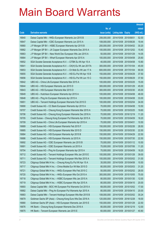|       |                                                               |               |                            | <b>Amount</b> |
|-------|---------------------------------------------------------------|---------------|----------------------------|---------------|
|       |                                                               | No. of        |                            | raised        |
| Code  | <b>Derivative warrants</b>                                    | issue (units) | <b>Listing date Expiry</b> | (HK\$ mil.)   |
| 16640 | Daiwa Capital Mkt - HKEx European Warrants Jun 2015 B         | 208,000,000   | 2014/10/08 2015/06/01      | 52.00         |
| 16647 | Daiwa Capital Mkt - ICBC European Warrants Jun 2015 A         | 108,000,000   | 2014/10/08 2015/06/26      | 19.44         |
| 16660 | J P Morgan SP BV - HSBC European Warrants Apr 2015 B          | 200,000,000   | 2014/10/08 2015/04/02      | 30.20         |
| 16662 | J P Morgan SP BV - JX Copper European Warrants Dec 2015 A     | 100,000,000   | 2014/10/08 2015/12/02      | 15.40         |
| 16663 | J P Morgan SP BV - New World Dev European Wts Jan 2015 A      | 50,000,000    | 2014/10/08 2015/01/29      | 14.05         |
| 16664 | J P Morgan SP BV - Wharf European Warrants Apr 2015 A         | 100,000,000   | 2014/10/08 2015/04/08      | 25.60         |
| 16652 | SGA Societe Generale Acceptance N.V. - CITBK Eu Wt Apr 15 A   | 40,000,000    | 2014/10/08 2015/04/08      | 10.80         |
| 16641 | SGA Societe Generale Acceptance N.V. - CK(H) Eu Wt Jan 2017A  | 300,000,000   | 2014/10/08 2017/01/04      | 45.00         |
| 16653 | SGA Societe Generale Acceptance N.V. - Ch Mob Eu Wt Jan 17 A  | 600,000,000   | 2014/10/08 2017/01/04      | 90.00         |
| 16655 | SGA Societe Generale Acceptance N.V. - HSI Eu Put Wt Apr 15 B | 150,000,000   | 2014/10/08 2015/04/29      | 37.50         |
| 16656 | SGA Societe Generale Acceptance N.V. - HSI Eu Put Wt Jun 15 C | 150,000,000   | 2014/10/08 2015/06/29      | 37.50         |
| 16642 | UBS AG – China Life European Warrants Mar 2015 A              | 100,000,000   | 2014/10/08 2015/03/25      | 15.00         |
| 16644 | UBS AG - HSI European Warrants Jan 2015 D                     | 300,000,000   | 2014/10/08 2015/01/29      | 45.00         |
| 16643 | UBS AG - HSI European Warrants Mar 2015 D                     | 300,000,000   | 2014/10/08 2015/03/30      | 45.00         |
| 16649 | UBS AG - Hutchison European Warrants Apr 2015 A               | 100,000,000   | 2014/10/08 2015/04/08      | 48.00         |
| 16648 | UBS AG - Ping An European Warrants Apr 2015 A                 | 100,000,000   | 2014/10/08 2015/04/08      | 33.00         |
| 16651 | UBS AG – Tencent Holdings European Warrants Feb 2015 D        | 100,000,000   | 2014/10/08 2015/02/04      | 34.00         |
| 16690 | Credit Suisse AG - CC Bank European Warrants Apr 2015 A       | 70,000,000    | 2014/10/09 2015/04/08      | 10.50         |
| 16707 | Credit Suisse AG - Cheung Kong European Warrants Mar 2015 A   | 70,000,000    | 2014/10/09 2015/03/25      | 19.60         |
| 16706 | Credit Suisse AG - Cheung Kong European Warrants Dec 2016 A   | 70,000,000    | 2014/10/09 2016/12/19      | 11.20         |
| 16705 | Credit Suisse – Cheung Kong European Put Warrants Apr 2015 A  | 70,000,000    | 2014/10/09 2015/04/09      | 18.20         |
| 16709 | Credit Suisse AG - China Life European Warrants Apr 2015 A    | 70,000,000    | 2014/10/09 2015/04/01      | 10.50         |
| 16689 | Credit Suisse AG - HSI European Warrants Feb 2015 F           | 150,000,000   | 2014/10/09 2015/02/26      | 28.50         |
| 16685 | Credit Suisse AG - HSI European Warrants Mar 2015 D           | 150,000,000   | 2014/10/09 2015/03/30      | 22.50         |
| 16684 | Credit Suisse AG - HSI European Warrants Apr 2015 B           | 150,000,000   | 2014/10/09 2015/04/29      | 22.50         |
| 16686 | Credit Suisse AG - HSI European Warrants Jul 2015 A           | 150,000,000   | 2014/10/09 2015/07/30      | 22.50         |
| 16692 | Credit Suisse AG - ICBC European Warrants Jan 2015 B          | 70,000,000    | 2014/10/09 2015/01/12      | 10.50         |
| 16691 | Credit Suisse AG - ICBC European Warrants Jul 2015 A          | 70,000,000    | 2014/10/09 2015/07/06      | 11.20         |
| 16704 | Credit Suisse AG - Ping An European Warrants Apr 2015 A       | 70,000,000    | 2014/10/09 2015/04/09      | 18.20         |
| 16712 | Credit Suisse AG - Tencent Holdings European Wts Jan 2015 E   | 100,000,000   | 2014/10/09 2015/01/28      | 39.00         |
| 16711 | Credit Suisse AG - Tencent Holdings European Wts Mar 2015 A   | 100,000,000   | 2014/10/09 2015/03/02      | 31.00         |
| 16723 | Citigroup Global Mkt H Inc. - Cheung Kong Eu Put Wt Apr 15 A  | 35,000,000    | 2014/10/09 2015/04/08      | 10.50         |
| 16717 | Citigroup Global Mkt H Inc. - China Mobile Eur Wt Mar 2015 D  | 80,000,000    | 2014/10/09 2015/03/03      | 31.20         |
| 16721 | Citigroup Global Mkt H Inc. - HKEx European Wts Feb 2015 C    | 50,000,000    | 2014/10/09 2015/02/02      | 28.00         |
| 16720 | Citigroup Global Mkt H Inc. - HKEx European Wts Oct 2015 A    | 300,000,000   | 2014/10/09 2015/10/05      | 75.00         |
| 16718 | Citigroup Global Mkt H Inc. - HSBC European Wts Jan 2015 A    | 80,000,000    | 2014/10/09 2015/01/30      | 12.00         |
| 16719 | Citigroup Global Mkt H Inc. - HSBC European Wts Apr 2015 A    | 80,000,000    | 2014/10/09 2015/04/10      | 20.00         |
| 16693 | Daiwa Capital Mkt - BOC HK European Put Warrants Oct 2015 A   | 68,000,000    | 2014/10/09 2015/10/02      | 17.00         |
| 16682 | Daiwa Capital Mkt - Ping An European Put Warrants Apr 2015 A  | 80,000,000    | 2014/10/09 2015/04/10      | 20.00         |
| 16683 | Daiwa Capital Mkt - Tencent Holdings European Wts Mar 2015 B  | 108,000,000   | 2014/10/09 2015/03/02      | 30.24         |
| 16679 | Goldman Sachs SP (Asia) - Cheung Kong Euro Wts Dec 2016 A     | 120,000,000   | 2014/10/09 2016/12/28      | 18.00         |
| 16680 | Goldman Sachs SP (Asia) - HSI European Warrants Jan 2015 E    | 150,000,000   | 2014/10/09 2015/01/29      | 22.50         |
| 16676 | HK Bank - Cheung Kong European Warrants Dec 2016 A            | 80,000,000    | 2014/10/09 2016/12/19      | 12.00         |
| 16675 | HK Bank - Tencent European Warrants Jan 2015 E                | 60,000,000    | 2014/10/09 2015/01/27      | 40.80         |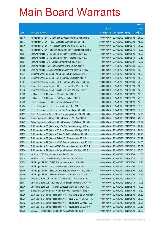|                |                                                                                                   |                          |                                                | <b>Amount</b>  |
|----------------|---------------------------------------------------------------------------------------------------|--------------------------|------------------------------------------------|----------------|
|                |                                                                                                   | No. of                   |                                                | raised         |
| Code           | <b>Derivative warrants</b>                                                                        | issue (units)            | <b>Listing date Expiry</b>                     | (HK\$ mil.)    |
| 16715          | J P Morgan SP BV - Galaxy Ent European Warrants Apr 2015 E                                        | 100,000,000              | 2014/10/09 2015/04/08                          | 25.20          |
| 16713          | J P Morgan SP BV - HKEx European Warrants Sep 2015 B                                              | 300,000,000              | 2014/10/09 2015/09/02                          | 45.30          |
| 16716          | J P Morgan SP BV - HSI European Put Warrants Mar 2015 C                                           | 500,000,000              | 2014/10/09 2015/03/30                          | 76.00          |
| 16714          | J P Morgan SP BV - Sands China European Warrants Mar 2015 C                                       | 100,000,000              | 2014/10/09 2015/03/31                          | 19.20          |
| 16694          | Nomura Int'l plc - CITIC Bank European Warrants Jan 2015 A                                        | 80,000,000               | 2014/10/09 2015/01/09                          | 16.00          |
| 16698          | Nomura Int'l plc - CITIC Bank European Warrants Jun 2015 A                                        | 50,000,000               | 2014/10/09 2015/06/30                          | 12.50          |
| 16697          | Nomura Int'l plc - CSR European Warrants Sep 2016 A                                               | 80,000,000               | 2014/10/09 2016/09/27                          | 12.08          |
| 16696          | Nomura Int'l plc - Foxconn European Warrants Jun 2015 A                                           | 50,000,000               | 2014/10/09 2015/06/30                          | 23.00          |
| 16695          | Nomura Int'l plc - Sunny Optical European Warrants Jul 2015A                                      | 50,000,000               | 2014/10/09 2015/07/31                          | 12.50          |
| 16671          | Standard Chartered Bank - Anhui Conch Euro Wts Apr 2015 B                                         | 60,000,000               | 2014/10/09 2015/04/30                          | 15.00          |
| 16670          | Standard Chartered Bank - Esprit European Wts Dec 2015 A                                          | 80,000,000               | 2014/10/09 2015/12/29                          | 12.00          |
| 16681          | Standard Chartered Bank - HSCEI European Put Wts Jul 2015 A                                       | 100,000,000              | 2014/10/09 2015/07/30                          | 25.00          |
| 16674          | Standard Chartered Bank - SHK P European Put Wts Feb 2015 C                                       | 80,000,000               | 2014/10/09 2015/02/24                          | 12.00          |
| 16673          | Standard Chartered Bank - Zijin Mining Euro Wts Mar 2015 A                                        | 50,000,000               | 2014/10/09 2015/03/30                          | 12.00          |
| 16699          | UBS AG - HSCEI European Warrants Jan 2015 A                                                       | 100,000,000              | 2014/10/09 2015/01/29                          | 19.00          |
| 16702          | UBS AG - HSCEI European Put Warrants Sep 2015 A                                                   | 100,000,000              | 2014/10/09 2015/09/29                          | 25.00          |
| 16732          | Credit Suisse AG - HSBC European Wts Apr 2015 A                                                   | 70,000,000               | 2014/10/10 2015/04/28                          | 13.30          |
| 16734          | Credit Suisse AG - HSI European Warrants Jan 2015 F                                               | 150,000,000              | 2014/10/10 2015/01/29                          | 31.50          |
| 16739          | Credit Suisse AG - HSI European Put Warrants Apr 2015 C                                           | 150,000,000              | 2014/10/10 2015/04/29                          | 37.50          |
| 16733          | Credit Suisse AG - Sands China European Warrants Mar 2015 D                                       | 70,000,000               | 2014/10/10 2015/03/24                          | 14.70          |
| 16745          | Daiwa Capital Mkt - Sinopec Corp European Wts Apr 2015 A                                          | 80,000,000               | 2014/10/10 2015/04/09                          | 20.00          |
| 16747          | Daiwa Capital Mkt - Sinopec Corp European Put Wts Apr 2015 B                                      | 68,000,000               | 2014/10/10 2015/04/09                          | 19.72          |
| 16758          | Goldman Sachs SP (Asia) - Agri Bk European Wts Aug 2015 A                                         | 80,000,000               | 2014/10/10 2015/08/28                          | 20.24          |
| 16756          | Goldman Sachs SP (Asia) - CC Bank European Wts Apr 2015 A                                         | 80,000,000               | 2014/10/10 2015/04/29                          | 26.64          |
| 16753          | Goldman Sachs SP (Asia) - China Cinda Euro Wts Apr 2015 B                                         | 80,000,000               | 2014/10/10 2015/04/10                          | 26.96          |
| 16757          | Goldman Sachs SP (Asia) - Galaxy Ent Euro Wts Apr 2015 A                                          | 80,000,000               | 2014/10/10 2015/04/29                          | 35.12          |
| 16755          | Goldman Sachs SP (Asia) - HSBC European Warrants Apr 2015 A                                       | 80,000,000               | 2014/10/10 2015/04/29                          | 24.56          |
| 16759          | Goldman Sachs Sp (Asia) - ICBC European Warrants Apr 2015 A                                       | 80,000,000               | 2014/10/10 2015/04/29<br>2014/10/10 2015/04/10 | 22.32          |
| 16754<br>16725 | Goldman Sachs SP (Asia) - Ping An European Wts Apr 2015 B                                         | 80,000,000<br>80,000,000 |                                                | 27.60<br>12.00 |
| 16724          | HK Bank - AIA European Warrants Feb 2015 A<br>HK Bank - China Mobile European Warrants Feb 2015 H | 80,000,000               | 2014/10/10 2015/02/09<br>2014/10/10 2015/02/16 | 17.60          |
| 16751          | J P Morgan SP BV - CITIC European Warrants Jul 2015 B                                             | 100,000,000              | 2014/10/10 2015/07/02                          | 15.10          |
| 16752          | J P Morgan SP BV - China Mob European Wts May 2015 A                                              | 200,000,000              | 2014/10/10 2015/05/04                          | 53.40          |
| 16749          | J P Morgan SP BV - Sinopec Corp European Warrants May 2015 A                                      | 100,000,000              | 2014/10/10 2015/05/04                          | 25.80          |
| 16750          | J P Morgan SP BV - SHK Ppt European Warrants May 2015 A                                           | 60,000,000               | 2014/10/10 2015/05/04                          | 15.36          |
| 16735          | Macquarie Bank Ltd. - Anton Oilfield European Wts May 2015 A                                      | 30,000,000               | 2014/10/10 2015/05/19                          | 10.02          |
| 16743          | Macquarie Bank Ltd. - Baiyunshan Ph European Warrants Apr15A                                      | 35,000,000               | 2014/10/10 2015/04/13                          | 10.26          |
| 16736          | Macquarie Bank Ltd. - Kingsoft European Warrants May 2015 A                                       | 40,000,000               | 2014/10/10 2015/05/05                          | 10.00          |
| 16744          | Standard Chartered Bank - HSBC European Put Wts Jul 2015 A                                        | 100,000,000              | 2014/10/10 2015/07/02                          | 18.50          |
| 16726          | SGA Societe Generale Acceptance N.V. - Galaxy Ent Eu Wt May15A                                    | 80,000,000               | 2014/10/10 2015/05/06                          | 38.80          |
| 16728          | SGA Societe Generale Acceptance N.V. - HSBC Eu Wt May 2015 A                                      | 100,000,000              | 2014/10/10 2015/05/06                          | 25.00          |
| 16742          | SGA Societe Generale Acceptance N.V. - HSI Eu Put Wt May 15 A                                     | 150,000,000              | 2014/10/10 2015/05/28                          | 26.25          |
| 16740          | SGA Societe Generale Acceptance N.V. - HSI Eu Put Wt Jul 15 A                                     | 150,000,000              | 2014/10/10 2015/07/30                          | 37.50          |
| 16738          | UBS AG - China Mobile European Put Warrants Apr 2015 A                                            | 100,000,000              | 2014/10/10 2015/04/09                          | 25.00          |
|                |                                                                                                   |                          |                                                |                |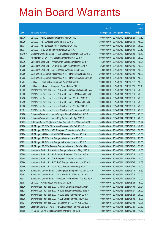|         |                                                               |               |                            |            | <b>Amount</b> |
|---------|---------------------------------------------------------------|---------------|----------------------------|------------|---------------|
|         |                                                               | No. of        |                            |            | raised        |
| Code    | <b>Derivative warrants</b>                                    | issue (units) | <b>Listing date Expiry</b> |            | (HK\$ mil.)   |
| 16730   | UBS AG - HSBC European Warrants Mar 2015 A                    | 100,000,000   | 2014/10/10 2015/03/26      |            | 17.50         |
| 16729   | UBS AG - HSI European Warrants Mar 2015 E                     | 300,000,000   | 2014/10/10 2015/03/30      |            | 48.00         |
| 16737   | UBS AG - HSI European Put Warrants Apr 2015 A                 | 300,000,000   | 2014/10/10 2015/04/29      |            | 75.00         |
| 16731   | UBS AG - ICBC European Warrants Apr 2015 A                    | 100,000,000   | 2014/10/10 2015/04/09      |            | 27.50         |
| 13716 # | Standard Chartered Bank - HKEx European Warrants Jun 2015 D   | 100,000,000   | 2014/10/10 2015/06/22      |            | 10.40         |
| 16771   | J P Morgan SP BV - HSI European Warrants Apr 2015 A           | 500,000,000   | 2014/10/13 2015/04/29      |            | 75.00         |
| 16770   | Macquarie Bank Ltd. - Anhui Conch European Wts May 2015 A     | 35,000,000    | 2014/10/13 2015/05/05      |            | 10.01         |
| 16769   | Macquarie Bank Ltd. - CNBM European Warrants May 2015 A       | 25,000,000    | 2014/10/13 2015/05/05      |            | 10.00         |
| 16768   | Macquarie Bank Ltd. - NCI European Warrants Jul 2015 A        | 40,000,000    | 2014/10/13 2015/07/03      |            | 10.00         |
| 16760   | SGA Societe Generale Acceptance N.V. - HKEx Eu Wt Sep 2015 C  | 300,000,000   | 2014/10/13 2015/09/02      |            | 45.00         |
| 16762   | SGA Societe Generale Acceptance N.V. - HKEx Eu Wt Jan 2016 D  | 300,000,000   | 2014/10/13 2016/01/04      |            | 45.00         |
| 16764   | UBS AG - China Mobile European Warrants Feb 2015 F            | 100,000,000   | 2014/10/13 2015/02/12      |            | 15.00         |
| 16763   | UBS AG - Galaxy Ent European Warrants Mar 2015 D              | 60,000,000    | 2014/10/13 2015/03/26      |            | 11.40         |
| 10302   | BNP Paribas Arbit Issu B.V. - AUD/USD European Wts Jun 2015 A | 100,000,000   | 2014/10/14 2015/06/19      |            | 25.00         |
| 10303   | BNP Paribas Arbit Issu B.V. - AUD/USD Euro Put Wts Jun 2015 B | 100,000,000   | 2014/10/14 2015/06/19      |            | 25.00         |
| 10298   | BNP Paribas Arbit Issu B.V. - EUR/USD Euro Wts Jun 2015 A     | 100,000,000   | 2014/10/14 2015/06/19      |            | 25.00         |
| 10299   | BNP Paribas Arbit Issu B.V. - EUR/USD Euro Put Wt Jun 2015 B  | 100,000,000   | 2014/10/14 2015/06/19      |            | 25.00         |
| 10300   | BNP Paribas Arbit Issu B.V. - USD/YEN Euro Wts Jun 2015 A     | 100,000,000   | 2014/10/14 2015/06/19      |            | 25.00         |
| 10301   | BNP Paribas Arbit Issu B.V. - USD/YEN Eur Put Wts Jun 2015 B  | 100,000,000   | 2014/10/14                 | 2015/06/19 | 25.00         |
| 16780   | Citigroup Global Mkt H Inc. - Sinopec Corp Eu Wts Mar 2015 B  | 100,000,000   | 2014/10/14 2015/03/27      |            | 25.00         |
| 16778   | Citigroup Global Mkt H Inc. - Ping An Euro Wts Apr 2015 A     | 100,000,000   | 2014/10/14 2015/04/13      |            | 28.00         |
| 16775   | Goldman Sachs SP (Asia) - China Gas Hold Euro Wts Jun 2015A   | 80,000,000    | 2014/10/14 2015/06/23      |            | 13.92         |
| 16790   | J P Morgan SP BV - China Mob European Wts Feb 2015 F          | 200,000,000   | 2014/10/14 2015/02/18      |            | 49.40         |
| 16795   | J P Morgan SP BV - HSBC European Warrants Jun 2015 A          | 200,000,000   | 2014/10/14 2015/06/02      |            | 50.00         |
| 16794   | J P Morgan Int'l Der. Ltd. - HSCEI European Wts Nov 2015 A    | 300,000,000   | 2014/10/14 2015/11/27      |            | 45.00         |
| 16772   | J P Morgan SP BV - HSI European Warrants Apr 2015 B           | 500,000,000   | 2014/10/14 2015/04/29      |            | 75.50         |
| 16773   | J P Morgan SP BV - HSI European Put Warrants Mar 2015 D       | 500,000,000   | 2014/10/14 2015/03/30      |            | 75.00         |
| 16791   | J P Morgan SP BV - Tencent European Warrants Feb 2015 D       | 200,000,000   | 2014/10/14 2015/02/02      |            | 83.40         |
| 16785   | Macquarie Bank Ltd. - Avichina European Warrants May 2015 A   | 30,000,000    | 2014/10/14 2015/05/05      |            | 10.50         |
| 16789   | Macquarie Bank Ltd. - BJ Ent Water European Wts Apr 2015 A    | 28,000,000    | 2014/10/14 2015/04/14      |            | 10.50         |
| 16788   | Macquarie Bank Ltd. - CLP European Warrants Jul 2015 A        | 40,000,000    | 2014/10/14 2015/07/03      |            | 10.00         |
| 16784   | Macquarie Bank Ltd. - PICC P&C European Warrants Jan 2016 A   | 60,000,000    | 2014/10/14 2016/01/05      |            | 10.08         |
| 16786   | Macquarie Bank Ltd. - Yurun Food European Wts May 2015 A      | 40,000,000    | 2014/10/14                 | 2015/05/05 | 10.00         |
| 16776   | Standard Chartered Bank - Ch LongYuan European Wts May 2015A  | 40,000,000    | 2014/10/14 2015/05/18      |            | 19.60         |
| 16783   | Standard Chartered Bank - China Mobile Euro Wts Apr 2015 A    | 100,000,000   | 2014/10/14 2015/04/16      |            | 27.00         |
| 16777   | Standard Chartered Bank - NewWorld Dev European Wts Feb 15 A  | 80,000,000    | 2014/10/14 2015/02/24      |            | 12.00         |
| 16781   | UBS AG - AIA European Warrants Mar 2015 A                     | 100,000,000   | 2014/10/14                 | 2015/03/26 | 15.00         |
| 16826   | BNP Paribas Arbit Issu B.V. - Country Garden Eu Wt Jul 2015A  | 68,000,000    | 2014/10/15 2015/07/03      |            | 29.24         |
| 16828   | BNP Paribas Arbit Issu B.V. - HSCEI European Wts Nov 2015 A   | 100,000,000   | 2014/10/15 2015/11/27      |            | 25.00         |
| 16829   | BNP Paribas Arbit Issu B.V. - HSCEI Euro Put Wts May 2015 A   | 100,000,000   | 2014/10/15 2015/05/28      |            | 26.00         |
| 16825   | BNP Paribas Arbit Issu B.V. - KECL European Wts Jun 2016 A    | 100,000,000   | 2014/10/15 2016/06/02      |            | 18.00         |
| 16827   | BNP Paribas Arbit Issu B.V. - Shenzhen Int'l Eu Wt Aug 2015A  | 53,000,000    | 2014/10/15 2015/08/04      |            | 13.25         |
| 16800   | Goldman Sachs SP (Asia) - HSCEI European Put Wts Sep 2015 A   | 150,000,000   | 2014/10/15 2015/09/29      |            | 37.80         |
| 16805   | HK Bank - China Mobile European Warrants Feb 2015 I           | 80,000,000    | 2014/10/15 2015/02/23      |            | 14.40         |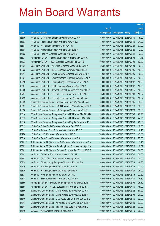|         |                                                               |               |                            | <b>Amount</b> |
|---------|---------------------------------------------------------------|---------------|----------------------------|---------------|
|         |                                                               | No. of        |                            | raised        |
| Code    | <b>Derivative warrants</b>                                    | issue (units) | <b>Listing date Expiry</b> | (HK\$ mil.)   |
| 16806   | HK Bank – CSR Times European Warrants Apr 2015 A              | 60,000,000    | 2014/10/15 2015/04/30      | 15.00         |
| 16803   | HK Bank – Foxconn European Warrants Apr 2015 A                | 80,000,000    | 2014/10/15 2015/04/30      | 24.00         |
| 16801   | HK Bank - HSI European Warrants Feb 2015 I                    | 150,000,000   | 2014/10/15 2015/02/26      | 33.00         |
| 16804   | HK Bank – Mengniu European Warrants Mar 2015 A                | 80,000,000    | 2014/10/15 2015/03/26      | 12.00         |
| 16802   | HK Bank - Ping An European Warrants Mar 2015 B                | 80,000,000    | 2014/10/15 2015/03/31      | 12.00         |
| 16834   | J P Morgan SP BV - Foxconn European Warrants May 2015 A       | 30,000,000    | 2014/10/15 2015/05/04      | 11.46         |
| 16833   | J P Morgan SP BV - HKEx European Warrants Feb 2015 B          | 100,000,000   | 2014/10/15 2015/02/02      | 52.80         |
| 16821   | Macquarie Bank Ltd. - Air China European Warrants Jul 2015 A  | 25,000,000    | 2014/10/15 2015/07/03      | 10.00         |
| 16823   | Macquarie Bank Ltd. - BOCL European Warrants May 2015 A       | 40,000,000    | 2014/10/15 2015/05/05      | 10.00         |
| 16817   | Macquarie Bank Ltd. - China COSCO European Wts Oct 2015 A     | 40,000,000    | 2014/10/15 2015/10/05      | 10.00         |
| 16824   | Macquarie Bank Ltd. - Country Garden European Wts Apr 2015 A  | 40,000,000    | 2014/10/15 2015/04/15      | 10.00         |
| 16819   | Macquarie Bank Ltd. - Cheung Kong European Wts Apr 2015 A     | 70,000,000    | 2014/10/15 2015/04/02      | 10.50         |
| 16807   | Macquarie Bank Ltd. - HSBC European Warrants Apr 2015 A       | 70,000,000    | 2014/10/15 2015/04/02      | 10.50         |
| 16809   | Macquarie Bank Ltd - Skyworth Digital European Wts Apr 2015 A | 40,000,000    | 2014/10/15 2015/04/15      | 10.00         |
| 16797   | Macquarie Bank Ltd. - Tencent European Warrants Feb 2015 C    | 65,000,000    | 2014/10/15 2015/02/03      | 10.27         |
| 16799   | Macquarie Bank Ltd. - Tencent European Put Wts May 2015 A     | 30,000,000    | 2014/10/15 2015/05/05      | 10.02         |
| 16832   | Standard Chartered Bank – Sinopec Corp Euro Wts Aug 2015 A    | 80,000,000    | 2014/10/15 2015/08/05      | 33.60         |
| 16831   | Standard Chartered Bank - HSBC European Warrants May 2015 A   | 100,000,000   | 2014/10/15 2015/05/18      | 50.00         |
| 16830   | Standard Chartered Bank - HSI European Put Wts Jan 2015 E     | 100,000,000   | 2014/10/15 2015/01/29      | 15.00         |
| 16814   | SGA Societe Generale Acceptance N.V. - HSI Eur Wt Mar 2015 D  | 150,000,000   | 2014/10/15 2015/03/30      | 27.75         |
| 16815   | SGA Societe Generale Acceptance N.V. - HSI Eur Wt Jul 2015 B  | 150,000,000   | 2014/10/15 2015/07/30      | 24.75         |
| 16816   | SGA Societe Generale Acceptance N.V. - Ping An Eu Wt Apr 15 C | 80,000,000    | 2014/10/15 2015/04/08      | 22.00         |
| 16812   | UBS AG - China Cinda European Warrants Feb 2015 B             | 70,000,000    | 2014/10/15 2015/02/25      | 10.50         |
| 16811   | UBS AG – Sinopec Corp European Warrants Mar 2015 C            | 70,000,000    | 2014/10/15 2015/03/23      | 19.25         |
| 16796   | UBS AG - HKEx European Warrants Jun 2015 B                    | 300,000,000   | 2014/10/15 2015/06/22      | 45.00         |
| 16810   | UBS AG - PetroChina European Warrants Apr 2015 B              | 50,000,000    | 2014/10/15 2015/04/14      | 27.50         |
| 15702 # | Goldman Sachs SP (Asia) - HKEx European Warrants Apr 2015 A   | 150,000,000   | 2014/10/15 2015/04/01      | 13.20         |
| 16862   | Goldman Sachs SP (Asia) - Sino Biopharm European Wts Apr15A   | 30,000,000    | 2014/10/16 2015/04/16      | 16.62         |
| 16861   | Goldman Sachs SP (Asia) - Tencent European Put Wt Mar 2015 B  | 80,000,000    | 2014/10/16 2015/03/03      | 36.56         |
| 16841   | HK Bank - CC Bank European Warrants Jul 2015 B                | 80,000,000    | 2014/10/16 2015/07/31      | 20.00         |
| 16843   | HK Bank - China Cinda European Warrants Apr 2015 A            | 80,000,000    | 2014/10/16 2015/04/30      | 20.00         |
| 16839   | HK Bank - Cheung Kong European Warrants Mar 2015 A            | 60,000,000    | 2014/10/16 2015/03/23      | 16.80         |
| 16836   | HK Bank - HSI European Put Warrants Jan 2015 E                | 150,000,000   | 2014/10/16 2015/01/29      | 22.50         |
| 16835   | HK Bank – HSI European Put Warrants Apr 2015 A                | 100,000,000   | 2014/10/16 2015/04/29      | 25.00         |
| 16837   | HK Bank - HWL European Warrants Jun 2016 A                    | 150,000,000   | 2014/10/16 2016/06/15      | 22.50         |
| 16838   | HK Bank - SHK Ppt European Warrants Apr 2015 B                | 60,000,000    | 2014/10/16 2015/04/30      | 16.80         |
| 16859   | J P Morgan SP BV - Evergrande European Warrants May 2015 A    | 100,000,000   | 2014/10/16 2015/05/04      | 25.10         |
| 16858   | J P Morgan SP BV - HSCEI European Put Warrants Jul 2015 A     | 300,000,000   | 2014/10/16 2015/07/30      | 45.00         |
| 16856   | Standard Chartered Bank - China Mobile Euro Wts May 2015 A    | 80,000,000    | 2014/10/16 2015/05/22      | 60.00         |
| 16857   | Standard Chartered Bank - China Mobile Euro Wts Aug 2015 A    | 80,000,000    | 2014/10/16 2015/08/03      | 20.00         |
| 16846   | Standard Chartered Bank - CSOP A50 ETF Euro Wts Jun 2015 B    | 80,000,000    | 2014/10/16 2015/06/30      | 32.00         |
| 16847   | Standard Chartered Bank - A50 China Euro Warrants Jun 2015 A  | 80,000,000    | 2014/10/16 2015/06/30      | 27.20         |
| 16844   | Standard Chartered Bank - Tencent Hidg Euro Wts Apr 2015 C    | 60,000,000    | 2014/10/16 2015/04/28      | 33.00         |
| 16849   | UBS AG - AIA European Warrants Apr 2015 A                     | 100,000,000   | 2014/10/16 2015/04/15      | 26.00         |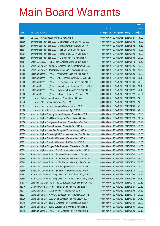|         |                                                              |               |                            |                       | <b>Amount</b> |
|---------|--------------------------------------------------------------|---------------|----------------------------|-----------------------|---------------|
|         |                                                              | No. of        |                            |                       | raised        |
| Code    | <b>Derivative warrants</b>                                   | issue (units) | <b>Listing date Expiry</b> |                       | (HK\$ mil.)   |
| 16851   | UBS AG - AIA European Warrants Apr 2015 B                    | 100,000,000   | 2014/10/16 2015/04/27      |                       | 15.00         |
| 16896   | BNP Paribas Arbit Issu B.V. - Ch Mer Hold Euro Wts Apr 2016A | 60,000,000    |                            | 2014/10/17 2016/04/05 | 15.00         |
| 16900   | BNP Paribas Arbit Issu B.V. - Chsouthcity Euro Wts Jun 2015A | 40,000,000    |                            | 2014/10/17 2015/06/02 | 15.60         |
| 16897   | BNP Paribas Arbit Issu B.V. - Haier Elec Euro Wts Apr 2016 A | 40,000,000    |                            | 2014/10/17 2016/04/05 | 10.00         |
| 16901   | BNP Paribas Arbit Issu B.V. - Huishan Dairy Eu Wt Mar 2016 A | 40,000,000    |                            | 2014/10/17 2016/03/02 | 10.00         |
| 16899   | BNP Paribas Arbit Issu B.V. - NCI European Wts Jan 2016 A    | 80,000,000    |                            | 2014/10/17 2016/01/05 | 20.00         |
| 16884   | Credit Suisse AG - TCL Comm European Warrants Jun 2015 A     | 70,000,000    | 2014/10/17 2015/06/18      |                       | 10.50         |
| 16904   | Daiwa Capital Mkt - CNOOC European Put Warrants Oct 2015 A   | 68,000,000    |                            | 2014/10/17 2015/10/05 | 17.00         |
| 16903   | Daiwa Capital Mkt - PetroChina European Put Wts Jun 2015 A   | 68,000,000    |                            | 2014/10/17 2015/06/08 | 19.72         |
| 16885   | Goldman Sachs SP (Asia) - Anhui Conch Euro Wts Apr 2015 A    | 80,000,000    |                            | 2014/10/17 2015/04/29 | 12.00         |
| 16886   | Goldman Sachs SP (Asia) - CMS European Warrants Dec 2015 B   | 80,000,000    |                            | 2014/10/17 2015/12/30 | 20.16         |
| 16889   | Goldman Sachs SP (Asia) - Ch Overseas Euro Put Wt Jun 2015 B | 80,000,000    |                            | 2014/10/17 2015/06/30 | 20.80         |
| 16906   | Goldman Sachs SP (Asia) - Guangdong Inv European Wts Dec16A  | 40,000,000    |                            | 2014/10/17 2016/12/30 | 10.16         |
| 16887   | Goldman Sachs SP (Asia) - Geely Auto European Wts Apr 2015 B | 80,000,000    |                            | 2014/10/17 2015/04/27 | 20.16         |
| 16888   | Goldman Sachs SP (Asia) - Galaxy Ent Euro Put Wts Mar 2015 C | 80,000,000    | 2014/10/17 2015/03/27      |                       | 24.64         |
| 16869   | HK Bank - Anhui Conch European Warrants Apr 2015 A           | 80,000,000    | 2014/10/17 2015/04/29      |                       | 12.80         |
| 16870   | HK Bank - AIA European Warrants Apr 2015 B                   | 80,000,000    |                            | 2014/10/17 2015/04/29 | 12.00         |
| 16867   | HK Bank - Sinopec Corp European Warrants Apr 2015 A          | 60,000,000    | 2014/10/17 2015/04/30      |                       | 21.60         |
| 16868   | HK Bank - PetroChina European Warrants Apr 2015 A            | 60,000,000    | 2014/10/17 2015/04/30      |                       | 28.80         |
| 16874   | Nomura Int'l plc - Country Garden European Warrants Jul15 A  | 50,000,000    | 2014/10/17 2015/07/31      |                       | 13.00         |
| 16873   | Nomura Int'l plc - Ch Oilfield European Warrants Jun 2015 A  | 80,000,000    |                            | 2014/10/17 2015/06/29 | 12.32         |
| 16890   | Nomura Int'l plc - Evergrande European Warrants Jun 2015 A   | 50,000,000    |                            | 2014/10/17 2015/06/30 | 15.25         |
| 16881   | Nomura Int'l plc - Gome European Warrants Feb 2016 A         | 50,000,000    | 2014/10/17 2016/02/29      |                       | 12.60         |
| 16876   | Nomura Int'l plc - Haier Elec European Warrants Aug 2015 A   | 50,000,000    | 2014/10/17 2015/08/18      |                       | 13.50         |
| 16877   | Nomura Int'l plc - Shunfeng Pv EEuropean Warrants Dec 2015 A | 50,000,000    | 2014/10/17 2015/12/31      |                       | 13.00         |
| 16872   | Nomura Int'l plc - Stanchart European Warrants Jun 2015 A    | 50,000,000    | 2014/10/17 2015/06/30      |                       | 12.90         |
| 16871   | Nomura Int'l plc - Stanchart European Put Wts Dec 2015 A     | 50,000,000    | 2014/10/17 2015/12/30      |                       | 12.50         |
| 16891   | Nomura Int'l plc - Singyes Solar European Warrants Apr 2015A | 50,000,000    | 2014/10/17 2015/04/30      |                       | 14.55         |
| 16875   | Nomura Int'l plc - Yanzhou Coal European Warrants Jun 2015 A | 50,000,000    | 2014/10/17 2015/06/30      |                       | 23.00         |
| 16863   | Standard Chartered Bank - Foxconn European Wts Jul 2015 A    | 50,000,000    | 2014/10/17 2015/07/31      |                       | 14.50         |
| 16864   | Standard Chartered Bank - HKEx European Warrants Dec 2015 A  | 200,000,000   | 2014/10/17 2015/12/18      |                       | 36.00         |
| 16865   | Standard Chartered Bank - HKEx European Warrants Feb 2016 A  | 200,000,000   |                            | 2014/10/17 2016/02/22 | 30.00         |
| 16902   | Standard Chartered Bank - HSI European Warrants Jan 2015 F   | 100,000,000   | 2014/10/17 2015/01/29      |                       | 24.00         |
| 16866   | Standard Chartered Bank - Sands China Euro Wts Aug 2015 A    | 100,000,000   | 2014/10/17 2015/08/18      |                       | 27.00         |
| 16892   | SGA Societe Generale Acceptance N.V. - BYD Eu Wt May 2015 A  | 30,000,000    | 2014/10/17 2015/05/06      |                       | 14.85         |
| 16894   | SGA Societe Generale Acceptance N.V. - CP&CC Eu Wt May 2015A | 80,000,000    | 2014/10/17 2015/05/06      |                       | 34.80         |
| 14637 # | Goldman Sachs SP (Asia) - BOCL European Warrants Sep 2016 A  | 80,000,000    | 2014/10/17                 | 2016/09/30            | 22.80         |
| 16916   | Citigroup Global Mkt H Inc. - HKEx European Wts Mar 2015 A   | 50,000,000    | 2014/10/20 2015/03/27      |                       | 22.50         |
| 16917   | Daiwa Capital Mkt - AIA European Warrants May 2015 A         | 98,000,000    | 2014/10/20 2015/05/04      |                       | 24.50         |
| 16921   | Daiwa Capital Mkt - CNOOC European Put Warrants Oct 2015 B   | 80,000,000    | 2014/10/20 2015/10/15      |                       | 20.00         |
| 16920   | Daiwa Capital Mkt - A50 China European Put Wts Oct 2015 A    | 98,000,000    | 2014/10/20 2015/10/20      |                       | 24.50         |
| 16918   | Daiwa Capital Mkt - HSBC European Put Warrants Aug 2015 A    | 80,000,000    | 2014/10/20 2015/08/31      |                       | 20.00         |
| 16919   | Daiwa Capital Mkt - ICBC European Put Warrants Jun 2015 B    | 80,000,000    | 2014/10/20 2015/06/01      |                       | 20.00         |
| 16915   | Goldman Sachs SP (Asia) - HSI European Put Wts Apr 2015 B    | 150,000,000   | 2014/10/20 2015/04/29      |                       | 23.10         |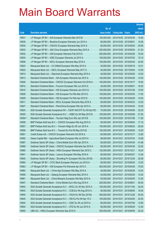|         |                                                                |               |                            |            | <b>Amount</b> |
|---------|----------------------------------------------------------------|---------------|----------------------------|------------|---------------|
|         |                                                                | No. of        |                            |            | raised        |
| Code    | <b>Derivative warrants</b>                                     | issue (units) | <b>Listing date Expiry</b> |            | (HK\$ mil.)   |
| 16931   | J P Morgan SP BV - AIA European Warrants Mar 2015 B            | 100,000,000   | 2014/10/20 2015/03/30      |            | 15.00         |
| 16939   | J P Morgan SP BV - Biostime European Warrants Jun 2015 A       | 60,000,000    | 2014/10/20 2015/06/01      |            | 15.06         |
| 16935   | J P Morgan SP BV - CNOOC European Warrants May 2015 A          | 80,000,000    | 2014/10/20 2015/05/04      |            | 20.80         |
| 16933   | J P Morgan SP BV - A50 China European Warrants May 2015 A      | 200,000,000   | 2014/10/20 2015/05/04      |            | 51.20         |
| 16932   | J P Morgan SP BV - HSI European Warrants Feb 2015 E            | 500,000,000   | 2014/10/20 2015/02/26      |            | 75.00         |
| 16934   | J P Morgan SP BV - ICBC European Warrants Jul 2015 A           | 100,000,000   | 2014/10/20 2015/07/02      |            | 15.10         |
| 16908   | J P Morgan SP BV - KECL European Warrants May 2016 A           | 150,000,000   | 2014/10/20 2016/05/30      |            | 22.80         |
| 16923   | Macquarie Bank Ltd. - Ch Oilfield European Wts May 2015 A      | 35,000,000    | 2014/10/20 2015/05/19      |            | 10.01         |
| 16922   | Macquarie Bank Ltd. - KECL European Warrants May 2017 A        | 40,000,000    | 2014/10/20 2017/05/04      |            | 10.00         |
| 16914   | Macquarie Bank Ltd. - Stanchart European Warrants May 2015 A   | 40,000,000    | 2014/10/20 2015/05/05      |            | 10.00         |
| 16913   | Standard Chartered Bank - AIA European Warrants Apr 2015 A     | 100,000,000   | 2014/10/20 2015/04/28      |            | 15.00         |
| 16926   | Standard Chartered Bank - CNOOC European Warrants Oct 2016 A   | 100,000,000   | 2014/10/20 2016/10/17      |            | 19.50         |
| 16912   | Standard Chartered Bank - Foxconn European Wts Jun 2015 A      | 40,000,000    | 2014/10/20 2015/06/01      |            | 16.00         |
| 16910   | Standard Chartered Bank - HSI European Warrants Jan 2015 G     | 100,000,000   | 2014/10/20 2015/01/29      |            | 15.00         |
| 16928   | Standard Chartered Bank - HSI European Put Wts Mar 2015 G      | 100,000,000   | 2014/10/20 2015/03/30      |            | 17.00         |
| 16929   | Standard Chartered Bank – HSI European Put Wts Apr 2015 D      | 100,000,000   | 2014/10/20 2015/04/29      |            | 15.00         |
| 16911   | Standard Chartered Bank - KECL European Warrants May 2016 A    | 80,000,000    | 2014/10/20 2016/05/23      |            | 12.00         |
| 16927   | Standard Chartered Bank – PetroChina European Wts Apr 2015 A   | 60,000,000    | 2014/10/20 2015/04/20      |            | 15.00         |
| 16924   | SGA Societe Generale Acceptance NV – CSOP A50 ETF Eu Wt Apr15C | 70,000,000    | 2014/10/20 2015/04/08      |            | 32.20         |
| 16925   | SGA Societe Generale Acceptance N.V. - HSBC Eu Wt May 2015 B   | 100,000,000   | 2014/10/20 2015/05/06      |            | 27.50         |
| 16094 # | Standard Chartered Bank - Tencent Hidg Euro Wts Jan 2015 B     | 100,000,000   | 2014/10/20 2015/01/06      |            | 11.90         |
| 16958   | BNP Paribas Arbit Issu B.V. - CNOOC European Wts Aug 2015 A    | 95,000,000    | 2014/10/21 2015/08/04      |            | 17.10         |
| 16957   | BNP Paribas Arbit Issu B.V. - Tencent HIdgs Eu Wt Jun 2015 A   | 100,000,000   | 2014/10/21                 | 2015/06/02 | 26.00         |
| 16956   | BNP Paribas Arbit Issu B.V. - Tencent Eu Put Wt May 2015 B     | 100,000,000   | 2014/10/21 2015/05/05      |            | 15.00         |
| 16951   | Credit Suisse AG - CNOOC European Warrants Oct 2016 A          | 80,000,000    | 2014/10/21                 | 2016/10/17 | 12.80         |
| 16952   | Daiwa Capital Mkt - Agricultural Bank European Wts Jul 2015 A  | 98.000.000    | 2014/10/21                 | 2015/07/24 | 15.68         |
| 16967   | Goldman Sachs SP (Asia) - China Mobile Euro Wts Apr 2015 A     | 80,000,000    | 2014/10/21 2015/04/30      |            | 41.68         |
| 16966   | Goldman Sachs SP (Asia) - CNOOC European Warrants Apr 2015 A   | 80,000,000    | 2014/10/21 2015/04/30      |            | 23.92         |
| 16965   | Goldman Sachs SP (Asia) - HKEx European Warrants Dec 2015 C    | 120,000,000   | 2014/10/21                 | 2015/12/21 | 18.24         |
| 16941   | Goldman Sachs SP (Asia) - Lenovo European Wts May 2016 A       | 80,000,000    | 2014/10/21 2016/05/27      |            | 13.36         |
| 16940   | Goldman Sachs SP (Asia) - Shunfeng Pv European Wts Dec 2015A   | 80,000,000    | 2014/10/21                 | 2015/12/30 | 20.08         |
| 16964   | J P Morgan SP BV - CITIC Bank European Warrants Jun 2015 A     | 80,000,000    | 2014/10/21                 | 2015/06/30 | 12.00         |
| 16963   | J P Morgan SP BV - HSI European Put Warrants Apr 2015 C        | 500,000,000   | 2014/10/21                 | 2015/04/29 | 75.00         |
| 16962   | Macquarie Bank Ltd. - China Agri European Wts May 2015 A       | 40,000,000    | 2014/10/21 2015/05/29      |            | 10.00         |
| 16959   | Macquarie Bank Ltd. - Datang European Warrants May 2015 A      | 40,000,000    | 2014/10/21                 | 2015/05/29 | 10.00         |
| 16961   | Macquarie Bank Ltd. - China Mengniu European Wts May 2015 A    | 50,000,000    | 2014/10/21                 | 2015/05/05 | 12.50         |
| 16947   | Standard Chartered Bank - China Mobile Euro Wts Aug 2016 A     | 200,000,000   | 2014/10/21                 | 2016/08/01 | 50.00         |
| 16942   | SGA Societe Generale Acceptance N.V. - BOCL Eu Wt Nov 2015 A   | 100,000,000   | 2014/10/21                 | 2015/11/04 | 25.00         |
| 16943   | SGA Societe Generale Acceptance N.V. - CCB Eur Wt Aug 2015 A   | 80,000,000    | 2014/10/21                 | 2015/08/05 | 16.00         |
| 16950   | SGA Societe Generale Acceptance N.V. - CK(H) Eu Wt Dec 2015A   | 300,000,000   | 2014/10/21                 | 2015/12/28 | 45.00         |
| 16945   | SGA Societe Generale Acceptance N.V. - HSI Eu Put Wt Apr 15 C  | 150,000,000   | 2014/10/21                 | 2015/04/29 | 22.50         |
| 16944   | SGA Societe Generale Acceptance N.V. - ICBC Eu Wt Jul 2015 A   | 80,000,000    | 2014/10/21                 | 2015/07/06 | 14.80         |
| 16954   | SGA Societe Generale Acceptance N.V. - ZTE Eu Wt Jun 2015 A    | 80,000,000    | 2014/10/21                 | 2015/06/29 | 12.40         |
| 16955   | UBS AG - HKEx European Warrants Sep 2015 D                     | 300,000,000   | 2014/10/21                 | 2015/09/09 | 52.20         |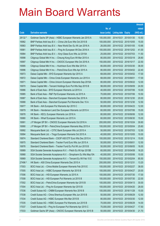|         |                                                                |               |                            |                       | <b>Amount</b> |
|---------|----------------------------------------------------------------|---------------|----------------------------|-----------------------|---------------|
|         |                                                                | No. of        |                            |                       | raised        |
| Code    | <b>Derivative warrants</b>                                     | issue (units) | <b>Listing date Expiry</b> |                       | (HK\$ mil.)   |
| 28132 # | Goldman Sachs SP (Asia) – HSBC European Warrants Jan 2015 A    | 100,000,000   | 2014/10/21 2015/01/30      |                       | 10.50         |
| 16982   | BNP Paribas Arbit Issu B.V. - China Life Euro Wts Oct 2015 B   | 100,000,000   | 2014/10/22 2015/10/05      |                       | 15.00         |
| 16983   | BNP Paribas Arbit Issu B.V. - New World Dev Eu Wt Jan 2016 A   | 26,000,000    | 2014/10/22 2016/01/05      |                       | 10.66         |
| 16981   | BNP Paribas Arbit Issu B.V. - Ping An European Wt Dec 2016 A   | 100,000,000   | 2014/10/22 2016/12/02      |                       | 41.00         |
| 16984   | BNP Paribas Arbit Issu B.V. - Xinyi Glass Euro Wts Jul 2015A   | 25,000,000    |                            | 2014/10/22 2015/07/03 | 11.50         |
| 16998   | Citigroup Global Mkt H Inc. - Cheung Kong Euro Wt Mar 2015 A   | 80,000,000    | 2014/10/22 2015/03/18      |                       | 28.80         |
| 16997   | Citigroup Global Mkt H Inc. - CNOOC European Wts Oct 2016 A    | 150,000,000   | 2014/10/22 2016/10/17      |                       | 22.50         |
| 16995   | Citigroup Global Mkt H Inc. - Hutchison Euro Wts Mar 2015 A    | 80,000,000    | 2014/10/22 2015/03/30      |                       | 36.00         |
| 16996   | Citigroup Global Mkt H Inc. - PetroChina Euro Wts Apr 2015 A   | 80,000,000    |                            | 2014/10/22 2015/04/02 | 22.40         |
| 16973   | Daiwa Capital Mkt - BYD European Warrants Apr 2015 A           | 68,000,000    | 2014/10/22 2015/04/02      |                       | 17.00         |
| 16972   | Daiwa Capital Mkt - China Cinda European Warrants Jun 2015 A   | 68,000,000    | 2014/10/22 2015/06/01      |                       | 17.00         |
| 16971   | Daiwa Capital Mkt - China Unicom European Warrants Sep 2015A   | 80,000,000    | 2014/10/22 2015/09/22      |                       | 12.00         |
| 16970   | Daiwa Capital Mkt - Tencent Holdings Euro Put Wts Sep 2015 B   | 98,000,000    | 2014/10/22 2015/09/09      |                       | 24.50         |
| 16986   | Bank of East Asia - BYD European Warrants Jul 2015 A           | 40,000,000    | 2014/10/22 2015/07/06      |                       | 10.00         |
| 16985   | Bank of East Asia - R&F Ppt European Warrants Jul 2015 A       | 70,000,000    | 2014/10/22 2015/07/06      |                       | 10.50         |
| 16987   | Bank of East Asia – Stanchart European Warrants Dec 2016 A     | 80,000,000    | 2014/10/22 2016/12/30      |                       | 20.00         |
| 16988   | Bank of East Asia – Stanchart European Put Warrants Dec 15 A   | 50,000,000    |                            | 2014/10/22 2015/12/30 | 12.50         |
| 16977   | HK Bank – AIA European Put Warrants Apr 2015 C                 | 80,000,000    | 2014/10/22 2015/04/23      |                       | 12.00         |
| 16979   | HK Bank – Henderson Land Dev European Warrants Jul 2015 A      | 60,000,000    | 2014/10/22 2015/07/06      |                       | 15.00         |
| 16978   | HK Bank – KECL European Warrants Jun 2016 A                    | 80,000,000    | 2014/10/22 2016/06/06      |                       | 12.00         |
| 16980   | HK Bank – Wharf European Warrants Jun 2015 A                   | 60,000,000    |                            | 2014/10/22 2015/06/30 | 15.00         |
| 16991   | J P Morgan SP BV - CNOOC European Warrants Oct 2016 A          | 200,000,000   | 2014/10/22 2016/10/24      |                       | 30.60         |
| 16990   | J P Morgan SP BV - PetroChina European Warrants May 2015 A     | 100,000,000   |                            | 2014/10/22 2015/05/04 | 25.60         |
| 16992   | Macquarie Bank Ltd. - CITIC Bank European Wts Jul 2015 A       | 50,000,000    | 2014/10/22 2015/07/03      |                       | 12.50         |
| 16994   | Macquarie Bank Ltd. - Tingyi European Warrants Oct 2015 A      | 40,000,000    | 2014/10/22 2015/10/05      |                       | 10.00         |
| 16974   | Standard Chartered Bank - CSOP A50 ETF Euro Wts Dec 2015 A     | 100,000,000   | 2014/10/22 2015/12/14      |                       | 15.00         |
| 16975   | Standard Chartered Bank – Tracker Fund Euro Wts Jun 2015 A     | 50,000,000    | 2014/10/22 2015/06/01      |                       | 12.50         |
| 16976   | Standard Chartered Bank - Tracker Fund Eu Put Wt Jun 2015 B    | 50,000,000    | 2014/10/22 2015/06/05      |                       | 16.00         |
| 16989   | SGA Societe Generale Acceptance N.V. - Petch Eu Wt Apr 2015B   | 60,000,000    | 2014/10/22 2015/04/08      |                       | 16.20         |
| 16968   | SGA Societe Generale Acceptance N.V. - Sinopharm Eu Wts May15A | 40,000,000    | 2014/10/22 2015/05/06      |                       | 10.00         |
| 16969   | SGA Societe Generale Acceptance N.V. - Tencent Eu Wt Feb 15 E  | 150,000,000   |                            | 2014/10/22 2015/02/04 | 85.50         |
| 27496 # | HK Bank - A50 China European Warrants Dec 2015 A               | 200,000,000   | 2014/10/22 2015/12/31      |                       | 13.20         |
| 17003   | BOCI Asia Ltd. - China Mobile European Warrants Feb 2015 E     | 100,000,000   | 2014/10/23 2015/02/27      |                       | 38.00         |
| 17005   | BOCI Asia Ltd. - HSBC European Warrants Apr 2015 B             | 100,000,000   | 2014/10/23 2015/04/27      |                       | 20.00         |
| 17006   | BOCI Asia Ltd. - HSI European Warrants Jul 2015 A              | 100,000,000   | 2014/10/23 2015/07/30      |                       | 17.00         |
| 17008   | BOCI Asia Ltd. - HSI European Put Warrants Jul 2015 B          | 100,000,000   | 2014/10/23 2015/07/30      |                       | 22.00         |
| 17002   | BOCI Asia Ltd. - PetroChina European Warrants Apr 2015 B       | 100,000,000   | 2014/10/23 2015/04/13      |                       | 30.00         |
| 17004   | BOCI Asia Ltd. - Ping An European Warrants Apr 2015 B          | 100,000,000   | 2014/10/23 2015/04/20      |                       | 28.00         |
| 17036   | Credit Suisse AG - CNBM European Warrants Nov 2016 B           | 100,000,000   | 2014/10/23 2016/11/28      |                       | 15.00         |
| 17038   | Credit Suisse AG - China Shenhua European Wts Jun 2015 B       | 50,000,000    | 2014/10/23 2015/06/29      |                       | 12.50         |
| 17034   | Credit Suisse AG - HSBC European Wts Mar 2015 B                | 80,000,000    |                            | 2014/10/23 2015/03/30 | 12.00         |
| 17035   | Credit Suisse AG - HSBC European Put Warrants Jun 2015 B       | 70,000,000    | 2014/10/23 2015/06/29      |                       | 14.00         |
| 17037   | Credit Suisse AG - Ping An European Put Warrants Apr 2015 C    | 70,000,000    | 2014/10/23 2015/04/27      |                       | 17.50         |
| 17033   | Goldman Sachs SP (Asia) - CNOOC European Warrants Apr 2015 B   | 50,000,000    | 2014/10/23 2015/04/30      |                       | 21.70         |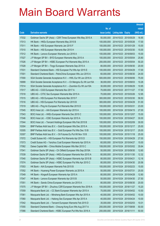|       |                                                                |               |                            |            | <b>Amount</b> |
|-------|----------------------------------------------------------------|---------------|----------------------------|------------|---------------|
|       |                                                                | No. of        |                            |            | raised        |
| Code  | <b>Derivative warrants</b>                                     | issue (units) | <b>Listing date Expiry</b> |            | $(HK$$ mil.)  |
| 17032 | Goldman Sachs SP (Asia) – CSR Times European Wts May 2015 A    | 50,000,000    | 2014/10/23 2015/05/29      |            | 16.95         |
| 17013 | HK Bank – HKEx European Warrants May 2015 B                    | 100,000,000   | 2014/10/23 2015/05/26      |            | 17.00         |
| 17011 | HK Bank – HSI European Warrants Jan 2015 F                     | 100,000,000   | 2014/10/23 2015/01/29      |            | 15.00         |
| 17010 | HK Bank – HSI European Warrants Mar 2015 H                     | 100,000,000   | 2014/10/23 2015/03/30      |            | 15.00         |
| 17012 | HK Bank - Lenovo European Warrants Jun 2016 A                  | 100,000,000   | 2014/10/23 2016/06/03      |            | 15.00         |
| 17027 | J P Morgan SP BV - BYD European Warrants May 2015 A            | 100,000,000   | 2014/10/23 2015/05/04      |            | 25.80         |
| 17026 | J P Morgan SP BV - HSBC European Put Warrants May 2015 A       | 200,000,000   | 2014/10/23                 | 2015/05/04 | 50.20         |
| 17028 | J P Morgan SP BV - Tingyi European Warrants Sep 2015 A         | 80,000,000    | 2014/10/23 2015/09/30      |            | 20.00         |
| 17031 | Standard Chartered Bank - HSI European Put Wts Apr 2015 E      | 100,000,000   | 2014/10/23 2015/04/29      |            | 17.00         |
| 17001 | Standard Chartered Bank - PetroChina European Wts Jun 2015 A   | 60,000,000    | 2014/10/23 2015/06/30      |            | 24.00         |
| 17000 | SGA Societe Generale Acceptance N.V. - HWL Eur Wt Jun 2016 A   | 500,000,000   | 2014/10/23 2016/06/06      |            | 75.00         |
| 16999 | SGA Societe Generale Acceptance N.V. - Ch Mengniu Eu Wt Jun15A | 36,000,000    | 2014/10/23 2015/06/03      |            | 10.26         |
| 17014 | SGA Societe Generale Acceptance N.V. - Zoomlion Eu Wt Jun15A   | 30,000,000    | 2014/10/23 2015/06/29      |            | 10.95         |
| 17017 | UBS AG - CGS European Warrants Nov 2017 A                      | 70,000,000    | 2014/10/23 2017/11/27      |            | 17.50         |
| 17018 | UBS AG – CITIC Sec European Warrants Mar 2015 A                | 70,000,000    | 2014/10/23 2015/03/26      |            | 12.95         |
| 17015 | UBS AG - HSI European Put Warrants Mar 2015 F                  | 300,000,000   | 2014/10/23 2015/03/30      |            | 58.50         |
| 17016 | UBS AG - HSI European Put Warrants Apr 2015 B                  | 300,000,000   | 2014/10/23 2015/04/29      |            | 51.00         |
| 17019 | UBS AG - Ping An European Put Warrants Mar 2015 D              | 100,000,000   | 2014/10/23 2015/03/31      |            | 23.00         |
| 17045 | BOCI Asia Ltd. - AIA European Warrants Apr 2015 A              | 100,000,000   | 2014/10/24                 | 2015/04/15 | 27.00         |
| 17043 | BOCI Asia Ltd. - HKEx European Warrants Dec 2015 C             | 100,000,000   | 2014/10/24 2015/12/07      |            | 15.00         |
| 17046 | BOCI Asia Ltd. - ICBC European Warrants Apr 2015 A             | 100,000,000   | 2014/10/24 2015/04/27      |            | 30.00         |
| 17044 | BOCI Asia Ltd. - Tencent Holdings European Wts Feb 2015 B      | 100,000,000   | 2014/10/24 2015/02/09      |            | 30.00         |
| 10304 | BNP Paribas Arbit Issu B.V. - Gold European Wts Dec 2015 A     | 100,000,000   | 2014/10/24 2015/12/17      |            | 25.00         |
| 10305 | BNP Paribas Arbit Issu B.V. - Gold European Put Wts Dec 15 B   | 100,000,000   | 2014/10/24 2015/12/17      |            | 25.00         |
| 10307 | BNP Paribas Arbit Issu B.V. - Oil Futures Eu Put Wt Nov 15 B   | 100,000,000   | 2014/10/24 2015/11/18      |            | 25.00         |
| 17072 | Credit Suisse AG - HSI European Put Warrants Apr 2015 D        | 150,000,000   | 2014/10/24 2015/04/29      |            | 27.00         |
| 17073 | Credit Suisse AG - Yanzhou Coal European Warrants Apr 2015 A   | 60,000,000    | 2014/10/24 2015/04/27      |            | 15.00         |
| 17062 | Daiwa Capital Mkt - China Mobile European Wts Mar 2015 C       | 108,000,000   | 2014/10/24 2015/03/02      |            | 35.64         |
| 17041 | Goldman Sachs SP (Asia) - Ch Oilfield European Wts Sep 2015A   | 50,000,000    | 2014/10/24 2015/09/30      |            | 12.60         |
| 17039 | Goldman Sachs SP (Asia) - HKEx European Warrants Nov 2015 A    | 80,000,000    | 2014/10/24 2015/11/30      |            | 12.32         |
| 17040 | Goldman Sachs SP (Asia) - HSBC European Warrants Apr 2015 B    | 80,000,000    | 2014/10/24 2015/04/21      |            | 12.16         |
| 17074 | Goldman Sachs SP (Asia) - HSBC European Put Wts Apr 2015 C     | 80,000,000    | 2014/10/24 2015/04/30      |            | 20.56         |
| 17053 | HK Bank - AIA European Warrants Feb 2015 B                     | 100,000,000   | 2014/10/24                 | 2015/02/23 | 15.00         |
| 17052 | HK Bank - Huaneng Power European Warrants Jul 2015 A           | 50,000,000    | 2014/10/24 2015/07/31      |            | 25.00         |
| 17049 | HK Bank - Kingsoft European Warrants Apr 2015 A                | 80,000,000    | 2014/10/24 2015/04/28      |            | 12.80         |
| 17047 | HK Bank - Lenovo European Warrants Apr 2015 B                  | 50,000,000    | 2014/10/24 2015/04/30      |            | 27.50         |
| 17051 | HK Bank - Sands China European Warrants Jun 2015 A             | 80,000,000    | 2014/10/24                 | 2015/06/30 | 20.00         |
| 17075 | J P Morgan SP BV - Zhuzhou CSR European Warrants Nov 2018 A    | 100,000,000   | 2014/10/24 2018/11/27      |            | 15.20         |
| 17059 | Macquarie Bank Ltd. - CC Bank European Warrants Apr 2015 A     | 70,000,000    | 2014/10/24 2015/04/02      |            | 10.50         |
| 17061 | Macquarie Bank Ltd. - Minsheng Bank European Wts Apr 2015 A    | 40,000,000    | 2014/10/24 2015/04/02      |            | 10.00         |
| 17060 | Macquarie Bank Ltd. - Haitong Sec European Wts Apr 2015 A      | 40,000,000    | 2014/10/24 2015/04/24      |            | 10.00         |
| 17042 | Macquarie Bank Ltd. - Tencent European Warrants Feb 2015 D     | 35,000,000    | 2014/10/24 2015/02/03      |            | 10.01         |
| 17055 | Standard Chartered Bank - Cheung Kong Euro Wts Aug 2017 A      | 200,000,000   | 2014/10/24 2017/08/08      |            | 50.00         |
| 17066 | Standard Chartered Bank - HSBC European Put Wts Nov 2016 A     | 200,000,000   | 2014/10/24 2016/11/11      |            | 50.00         |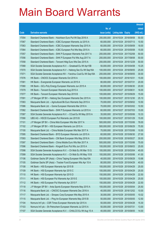|       |                                                                |               |                            |                       | <b>Amount</b> |
|-------|----------------------------------------------------------------|---------------|----------------------------|-----------------------|---------------|
|       |                                                                | No. of        |                            |                       | raised        |
| Code  | <b>Derivative warrants</b>                                     | issue (units) | <b>Listing date Expiry</b> |                       | (HK\$ mil.)   |
| 17054 | Standard Chartered Bank - Hutchison Euro Put Wt Sep 2016 A     | 200,000,000   | 2014/10/24 2016/09/08      |                       | 50.00         |
| 17067 | Standard Chartered Bank - ICBC European Warrants Jul 2015 A    | 60,000,000    | 2014/10/24 2015/07/13      |                       | 10.50         |
| 17063 | Standard Chartered Bank - ICBC European Warrants Sep 2015 A    | 60,000,000    | 2014/10/24 2015/09/09      |                       | 18.00         |
| 17064 | Standard Chartered Bank - ICBC European Put Wts May 2015 A     | 60,000,000    | 2014/10/24 2015/05/08      |                       | 15.00         |
| 17057 | Standard Chartered Bank - SHK P European Warrants Feb 2017 A   | 200,000,000   | 2014/10/24 2017/02/08      |                       | 50.00         |
| 17056 | Standard Chartered Bank - SHK P European Put Wts Aug 2017 A    | 200,000,000   | 2014/10/24 2017/08/08      |                       | 50.00         |
| 17058 | Standard Chartered Bank - Tencent Hidg Euro Wts Dec 2015 A     | 200,000,000   | 2014/10/24 2015/12/29      |                       | 50.00         |
| 17068 | SGA Societe Generale Acceptance N.V. - Greatwall Eu Wt Apr15B  | 50,000,000    | 2014/10/24 2015/04/08      |                       | 10.25         |
| 17070 | SGA Societe Generale Acceptance N.V - Haitong Sec Eu Wt Sep16A | 100,000,000   |                            | 2014/10/24 2016/09/05 | 25.00         |
| 17071 | SGA Societe Generale Acceptance NV - Yanzhou Coal Eu Wt Sep18A | 200,000,000   | 2014/10/24 2018/09/05      |                       | 30.00         |
| 17076 | HK Bank - CNOOC European Warrants Oct 2016 A                   | 100,000,000   | 2014/10/27 2016/10/31      |                       | 15.00         |
| 17081 | HK Bank – Evergrande European Warrants Jul 2015 A              | 80,000,000    | 2014/10/27 2015/07/31      |                       | 20.00         |
| 17080 | HK Bank - GCL-Poly Energy European Warrants Jun 2015 A         | 80,000,000    |                            | 2014/10/27 2015/06/30 | 20.00         |
| 17079 | HK Bank - Tencent European Warrants Aug 2015 A                 | 100,000,000   | 2014/10/27 2015/08/31      |                       | 16.00         |
| 17077 | HK Bank - Tencent European Warrants Sep 2015 B                 | 100,000,000   | 2014/10/27 2015/09/29      |                       | 15.00         |
| 17091 | J P Morgan SP BV - Haitong Sec European Warrants Dec 2015 A    | 100,000,000   | 2014/10/27 2015/12/30      |                       | 25.10         |
| 17083 | Macquarie Bank Ltd. - Agricultural Bk Euro Warrants Sep 2015 A | 70,000,000    |                            | 2014/10/27 2015/09/02 | 10.50         |
| 17086 | Macquarie Bank Ltd. - Gome European Warrants Mar 2016 A        | 70,000,000    |                            | 2014/10/27 2016/03/02 | 10.50         |
| 17082 | Standard Chartered Bank - SHK P European Warrants Jul 2015 A   | 60,000,000    | 2014/10/27 2015/07/03      |                       | 15.00         |
| 17087 | SGA Societe Generale Acceptance N.V. - CCoal Eu Wt May 2015 A  | 35,000,000    | 2014/10/27 2015/05/06      |                       | 10.33         |
| 17090 | UBS AG - HSCEI European Put Warrants Jan 2015 B                | 100,000,000   | 2014/10/27 2015/01/29      |                       | 15.00         |
| 17101 | J P Morgan SP BV - China Mob European Wts Mar 2017 A           | 500,000,000   |                            | 2014/10/28 2017/03/06 | 78.00         |
| 17102 | J P Morgan SP BV - HSI European Warrants Jun 2015 A            | 500,000,000   | 2014/10/28 2015/06/29      |                       | 75.50         |
| 17100 | Macquarie Bank Ltd. - China Mobile European Wts Mar 2017 A     | 70,000,000    | 2014/10/28 2017/03/06      |                       | 10.50         |
| 17095 | Standard Chartered Bank - BYD European Warrants Jun 2015 A     | 60,000,000    |                            | 2014/10/28 2015/06/30 | 27.00         |
| 17093 | Standard Chartered Bank - CM Bank European Wts May 2016 A      | 200,000,000   | 2014/10/28 2016/05/27      |                       | 30.00         |
| 17097 | Standard Chartered Bank – China Mobile Euro Wts Mar 2017 A     | 500,000,000   | 2014/10/28 2017/03/06      |                       | 75.00         |
| 17096 | Standard Chartered Bank - Kingsoft Euro Put Wts Jun 2015 A     | 100,000,000   | 2014/10/28 2015/06/03      |                       | 25.00         |
| 17098 | SGA Societe Generale Acceptance N.V. - Ch Mob Eu Wt Mar 15 G   | 100,000,000   | 2014/10/28 2015/03/04      |                       | 45.00         |
| 17099 | SGA Societe Generale Acceptance N.V. - Ch Mob Eu Wt May 15 B   | 100,000,000   |                            | 2014/10/28 2015/05/06 | 41.00         |
| 17106 | Goldman Sachs SP (Asia) - China Taiping European Wts Sep15A    | 40,000,000    | 2014/10/29 2015/09/29      |                       | 10.68         |
| 17105 | Goldman Sachs SP (Asia) - Tracker Fund European Wts Apr 15 A   | 80,000,000    | 2014/10/29 2015/04/29      |                       | 40.00         |
| 17108 | HK Bank - HSI European Warrants Apr 2015 B                     | 100,000,000   | 2014/10/29                 | 2015/04/29            | 25.00         |
| 17109 | HK Bank - HSI European Warrants Apr 2015 C                     | 100,000,000   | 2014/10/29 2015/04/29      |                       | 25.00         |
| 17110 | HK Bank - HSI European Warrants Apr 2015 D                     | 150,000,000   | 2014/10/29                 | 2015/04/29            | 22.50         |
| 17111 | HK Bank - HSI European Put Warrants Apr 2015 E                 | 100,000,000   | 2014/10/29 2015/04/29      |                       | 25.00         |
| 17112 | HK Bank - HSI European Put Warrants Apr 2015 F                 | 150,000,000   | 2014/10/29                 | 2015/04/29            | 22.50         |
| 17118 | J P Morgan SP BV - Anta Sports European Warrants May 2015 A    | 100,000,000   | 2014/10/29 2015/05/04      |                       | 25.50         |
| 17116 | Macquarie Bank Ltd. - CNOOC European Warrants Dec 2016 A       | 40,000,000    | 2014/10/29                 | 2016/12/02            | 10.00         |
| 17117 | Macquarie Bank Ltd. - Sinopec Corp European Wts May 2015 A     | 30,000,000    | 2014/10/29 2015/05/05      |                       | 10.02         |
| 17115 | Macquarie Bank Ltd. - Ping An European Warrants May 2015 B     | 50,000,000    | 2014/10/29                 | 2015/05/05            | 12.50         |
| 17104 | Nomura Int'l plc - CSR Times European Warrants Apr 2015 A      | 50,000,000    | 2014/10/29 2015/04/28      |                       | 15.30         |
| 17103 | Nomura Int'l plc - Sh Petrochem European Warrants Jul 2015 A   | 50,000,000    | 2014/10/29                 | 2015/07/31            | 13.00         |
| 17107 | SGA Societe Generale Acceptance N.V. - CHALCO Eu Wt Aug 15 A   | 40,000,000    | 2014/10/29 2015/08/05      |                       | 14.00         |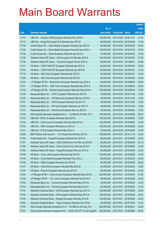|       |                                                                |               |                            |            | <b>Amount</b> |
|-------|----------------------------------------------------------------|---------------|----------------------------|------------|---------------|
|       |                                                                | No. of        |                            |            | raised        |
| Code  | <b>Derivative warrants</b>                                     | issue (units) | <b>Listing date Expiry</b> |            | (HK\$ mil.)   |
| 17114 | UBS AG - Zhuzhou CSR European Warrants Nov 2018 A              | 100,000,000   | 2014/10/29 2018/11/27      |            | 21.00         |
| 17113 | UBS AG – Kingsoft European Put Warrants Apr 2015 B             | 60,000,000    | 2014/10/29 2015/04/28      |            | 15.00         |
| 17130 | Credit Suisse AG - China Mobile European Warrants Apr 2015 A   | 80,000,000    | 2014/10/30 2015/04/29      |            | 30.40         |
| 17129 | Credit Suisse AG - China Mobile European Warrants Dec 2016 A   | 120,000,000   | 2014/10/30 2016/12/19      |            | 18.00         |
| 17136 | Credit Suisse AG - Gome European Warrants Apr 2015 A           | 70,000,000    | 2014/10/30 2015/04/27      |            | 10.50         |
| 17138 | Goldman Sachs SP (Asia) - HSI European Put Wts Mar 2015 F      | 150,000,000   | 2014/10/30 2015/03/30      |            | 23.55         |
| 17139 | Goldman Sachs SP (Asia) - Tencent European Wt Jun 2015 A       | 80,000,000    | 2014/10/30 2015/06/01      |            | 24.96         |
| 17121 | HK Bank – CSOP A50 ETF European Warrants Apr 2015 A            | 60,000,000    | 2014/10/30 2015/04/30      |            | 30.00         |
| 17122 | HK Bank - CSOP A50 ETF European Warrants Apr 2015 B            | 60,000,000    | 2014/10/30 2015/04/01      |            | 13.20         |
| 17119 | HK Bank - A50 China European Warrants Apr 2015 A               | 60,000,000    | 2014/10/30 2015/04/01      |            | 14.40         |
| 17120 | HK Bank - A50 China European Warrants Apr 2015 B               | 60,000,000    | 2014/10/30 2015/04/30      |            | 30.00         |
| 17142 | J P Morgan SP BV - BankComm European Warrants Aug 2015 A       | 80,000,000    | 2014/10/30 2015/08/03      |            | 20.00         |
| 17141 | J P Morgan SP BV - CSR Times European Warrants May 2015 A      | 100,000,000   | 2014/10/30 2015/05/04      |            | 25.30         |
| 17140 | J P Morgan SP BV - Sinopec Seg European Warrants May 2016 A    | 100,000,000   | 2014/10/30 2016/05/30      |            | 15.20         |
| 17128 | Macquarie Bank Ltd. - CITIC European Warrants Nov 2015 A       | 70,000,000    | 2014/10/30 2015/11/03      |            | 10.50         |
| 17126 | Macquarie Bank Ltd. - Chi Resources European Wts Nov 2015 A    | 50,000,000    | 2014/10/30 2015/11/03      |            | 12.50         |
| 17137 | Macquarie Bank Ltd. - CSR European Warrants Oct 2017 A         | 40,000,000    | 2014/10/30 2017/10/03      |            | 10.00         |
| 17123 | Macquarie Bank Ltd. - HK Gas European Warrants Jan 2017 A      | 50,000,000    | 2014/10/30 2017/01/04      |            | 12.50         |
| 17127 | Macquarie Bank Ltd. - PetroChina European Wts Jun 2015 A       | 30,000,000    | 2014/10/30 2015/06/02      |            | 10.02         |
| 17135 | SGA Societe Generale Acceptance N.V. - Ch Mob Eu Wt May 15 C   | 100,000,000   | 2014/10/30 2015/05/06      |            | 60.00         |
| 17134 | UBS AG - BOCL European Warrants Sep 2016 A                     | 100,000,000   | 2014/10/30 2016/09/23      |            | 18.50         |
| 17132 | UBS AG - China Unicom European Warrants Sep 2015 A             | 100,000,000   | 2014/10/30 2015/09/22      |            | 15.00         |
| 17133 | UBS AG - ICBC European Warrants Jun 2015 A                     | 100,000,000   | 2014/10/30 2015/06/26      |            | 20.00         |
| 17131 | UBS AG - ZTE European Warrants Mar 2015 A                      | 70,000,000    | 2014/10/30 2015/03/26      |            | 10.50         |
| 10308 | BNP Paribas Arbit Issu B.V. - Oil Futures Euro Wt Nov 2015 C   | 100,000,000   | 2014/10/31 2015/11/18      |            | 25.00         |
| 17156 | Credit Suisse AG - Kingsoft European Warrants Apr 2015 A       | 80,000,000    | 2014/10/31 2015/04/30      |            | 20.00         |
| 17167 | Goldman Sachs SP (Asia) - CAM CSI300 Euro Put Wts Jun 2016 A   | 80,000,000    | 2014/10/31 2016/06/30      |            | 20.16         |
| 17166 | Goldman Sachs SP (Asia) - China Unicom Euro Wts Sep 2015 A     | 80,000,000    | 2014/10/31 2015/09/30      |            | 12.08         |
| 17165 | Goldman Sachs SP (Asia) - Kingsoft European Wts Jun 2015 A     | 80,000,000    | 2014/10/31                 | 2015/06/30 | 20.24         |
| 17146 | HK Bank - China Life European Warrants Sep 2015 B              | 100,000,000   | 2014/10/31 2015/09/29      |            | 15.00         |
| 17145 | HK Bank - China Mobile European Warrants Feb 2015 J            | 80,000,000    | 2014/10/31                 | 2015/02/24 | 24.00         |
| 17149 | HK Bank - ICBC European Warrants Apr 2015 B                    | 80,000,000    | 2014/10/31                 | 2015/04/30 | 28.00         |
| 17147 | HK Bank - PetroChina European Warrants Mar 2015 B              | 80,000,000    | 2014/10/31                 | 2015/03/30 | 12.80         |
| 17148 | HK Bank - Ping An European Warrants Apr 2015 A                 | 80,000,000    | 2014/10/31 2015/04/30      |            | 24.00         |
| 17164 | J P Morgan SP BV - China Unicom European Warrants Sep 2015 A   | 200,000,000   | 2014/10/31                 | 2015/09/30 | 31.80         |
| 17158 | J P Morgan SP BV - TCL Comm European Warrants Feb 2016 A       | 80,000,000    | 2014/10/31 2016/02/26      |            | 20.00         |
| 17162 | Macquarie Bank Ltd. - Tencent European Warrants May 2015 B     | 30,000,000    | 2014/10/31                 | 2015/05/05 | 10.02         |
| 17163 | Macquarie Bank Ltd. - Tencent European Warrants May 2015 C     | 25,000,000    | 2014/10/31 2015/05/05      |            | 10.00         |
| 17144 | Standard Chartered Bank - CSR European Warrants Sep 2017 A     | 100,000,000   | 2014/10/31                 | 2017/09/28 | 25.00         |
| 17143 | Standard Chartered Bank - HSI European Warrants May 2015 A     | 100,000,000   | 2014/10/31                 | 2015/05/28 | 25.00         |
| 17159 | Standard Chartered Bank - Kingsoft European Wts May 2015 B     | 100,000,000   | 2014/10/31                 | 2015/05/06 | 25.00         |
| 17160 | Standard Chartered Bank - Tingyi European Warrants Oct 2015A   | 60,000,000    | 2014/10/31 2015/10/30      |            | 15.00         |
| 17154 | SGA Societe Generale Acceptance N.V. - Ch Mob Eu Wt Aug 16 A   | 600,000,000   | 2014/10/31                 | 2016/08/01 | 93.00         |
| 17157 | SGA Societe Generale Acceptance NV - CSOP A50 ETF Eu Wt Aug18A | 300,000,000   | 2014/10/31                 | 2018/08/06 | 63.00         |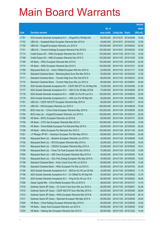|       |                                                                |               |                            |                       | <b>Amount</b> |
|-------|----------------------------------------------------------------|---------------|----------------------------|-----------------------|---------------|
|       |                                                                | No. of        |                            |                       | raised        |
| Code  | <b>Derivative warrants</b>                                     | issue (units) | <b>Listing date Expiry</b> |                       | (HK\$ mil.)   |
| 17161 | SGA Societe Generale Acceptance N.V. - Kingsoft Eu Wt May15A   | 60,000,000    |                            | 2014/10/31 2015/05/06 | 15.00         |
| 17152 | UBS AG - Greatwall Motor European Warrants Mar 2015 A          | 40,000,000    |                            | 2014/10/31 2015/03/23 | 10.00         |
| 17150 | UBS AG - Kingsoft European Warrants Jun 2015 A                 | 100,000,000   | 2014/10/31                 | 2015/06/22            | 32.50         |
| 17151 | UBS AG - Tencent Holdings European Warrants Feb 2015 E         | 100,000,000   |                            | 2014/10/31 2015/02/02 | 15.00         |
| 17173 | Credit Suisse AG - HKEx European Warrants Nov 2015 A           | 100,000,000   |                            | 2014/11/03 2015/11/23 | 15.00         |
| 17168 | Credit Suisse AG - HKEx European Warrants Dec 2015 C           | 100,000,000   |                            | 2014/11/03 2015/12/28 | 15.00         |
| 17169 | HK Bank - HKEx European Warrants Mar 2015 D                    | 150,000,000   |                            | 2014/11/03 2015/03/25 | 22.50         |
| 17174 | HK Bank - HKEx European Warrants Dec 2015 C                    | 150,000,000   | 2014/11/03 2015/12/31      |                       | 22.50         |
| 17180 | Macquarie Bank Ltd. - Anton Oilfield European Wts Nov 2015 A   | 20,000,000    |                            | 2014/11/03 2015/11/17 | 10.00         |
| 17170 | Standard Chartered Bank - Minsheng Bank Euro Wts Mar 2015 A    | 50,000,000    |                            | 2014/11/03 2015/03/24 | 12.50         |
| 17171 | Standard Chartered Bank - Tencent Hidg Euro Wts Feb 2015 D     | 80,000,000    |                            | 2014/11/03 2015/02/23 | 22.40         |
| 17172 | Standard Chartered Bank - Tencent Hidg Euro Wts Jun 2015 A     | 80,000,000    | 2014/11/03 2015/06/01      |                       | 24.00         |
| 17176 | SGA Societe Generale Acceptance NV - CSOP A50 ETF Eu Wt May15A | 70,000,000    |                            | 2014/11/03 2015/05/06 | 31.85         |
| 17177 | SGA Societe Generale Acceptance N.V. - A50 Ch Eu Wt May 2015A  | 70,000,000    |                            | 2014/11/03 2015/05/06 | 29.75         |
| 17178 | SGA Societe Generale Acceptance N.V. - HSBC Eu Put Wt Jun15 A  | 100,000,000   |                            | 2014/11/03 2015/06/03 | 25.00         |
| 17179 | SGA Societe Generale Acceptance N.V. - HWL Eur Put Wt May15A   | 50,000,000    |                            | 2014/11/03 2015/05/06 | 19.25         |
| 17181 | UBS AG - CSOP A50 ETF European Warrants May 2015 A             | 80,000,000    | 2014/11/03 2015/05/11      |                       | 34.40         |
| 17175 | UBS AG - HSI European Warrants Jun 2015 C                      | 300,000,000   |                            | 2014/11/03 2015/06/29 | 75.00         |
| 17183 | BOCI Asia Ltd. - China Cinda European Warrants May 2015 A      | 100,000,000   |                            | 2014/11/04 2015/05/05 | 25.00         |
| 17184 | BOCI Asia Ltd. - Kingsoft European Warrants Jun 2015 A         | 100,000,000   |                            | 2014/11/04 2015/06/15 | 25.00         |
| 17188 | HK Bank - BOCL European Warrants Jul 2015 B                    | 80,000,000    | 2014/11/04 2015/07/31      |                       | 20.00         |
| 17189 | HK Bank - CITIC Sec European Warrants Mar 2015 A               | 100,000,000   |                            | 2014/11/04 2015/03/26 | 15.00         |
| 17185 | HK Bank - China Mobile European Put Warrants May 2015 A        | 80,000,000    |                            | 2014/11/04 2015/05/04 | 20.00         |
| 17186 | HK Bank - HKEx European Put Warrants Nov 2015 C                | 100,000,000   |                            | 2014/11/04 2015/11/30 | 25.00         |
| 17201 | J P Morgan SP BV - Hutchison European Put Wts May 2015 A       | 80,000,000    |                            | 2014/11/04 2015/05/04 | 20.48         |
| 17194 | Macquarie Bank Ltd. - Biostime European Warrants Jun 2015 A    | 40,000,000    | 2014/11/04 2015/06/08      |                       | 10.00         |
| 17192 | Macquarie Bank Ltd. - BYD European Warrants May 2015 A         | 20,000,000    |                            | 2014/11/04 2015/05/05 | 10.00         |
| 17191 | Macquarie Bank Ltd. - CNOOC European Warrants May 2015 A       | 23,000,000    | 2014/11/04 2015/05/05      |                       | 10.01         |
| 17199 | Macquarie Bank Ltd. - Chow Tai Fook European Wts Dec 2015 A    | 70,000,000    |                            | 2014/11/04 2015/12/02 | 10.50         |
| 17200 | Macquarie Bank Ltd. - A50 China European Warrants May 2015 A   | 40,000,000    |                            | 2014/11/04 2015/05/05 | 10.00         |
| 17193 | Macquarie Bank Ltd. - GCL-Poly Energy European Wts May 2015 A  | 30,000,000    |                            | 2014/11/04 2015/05/05 | 10.02         |
| 17198 | Standard Chartered Bank - Anhui Conch Euro Wts Jul 2015 A      | 80,000,000    |                            | 2014/11/04 2015/07/09 | 12.00         |
| 17190 | Standard Chartered Bank - HKEx European Put Wts Jul 2015 C     | 80,000,000    |                            | 2014/11/04 2015/07/03 | 24.00         |
| 17195 | SGA Societe Generale Acceptance N.V. - BOCom Eu Wt Jun 2015A   | 30,000,000    |                            | 2014/11/04 2015/06/03 | 11.10         |
| 17196 | SGA Societe Generale Acceptance N.V - Ch Oilfield Eu Wt Sep15A | 50,000,000    |                            | 2014/11/04 2015/09/02 | 12.75         |
| 17197 | SGA Societe Generale Acceptance N.V. - Ping An Eu Wt Jun 15 A  | 80,000,000    |                            | 2014/11/04 2015/06/03 | 20.00         |
| 17208 | Daiwa Capital Mkt - China Mobile European Wts Jul 2015 A       | 98,000,000    |                            | 2014/11/05 2015/07/27 | 14.70         |
| 17216 | Goldman Sachs SP (Asia) - Ch Comm Cons Euro Wts Jun 2015 A     | 80,000,000    | 2014/11/05 2015/06/01      |                       | 32.48         |
| 17215 | Goldman Sachs SP (Asia) - CSOP A50 ETF Euro Wts May 2015 A     | 80,000,000    |                            | 2014/11/05 2015/05/08 | 28.64         |
| 17213 | Goldman Sachs SP (Asia) - HKEx European Warrants Mar 2015 B    | 80,000,000    |                            | 2014/11/05 2015/03/30 | 36.16         |
| 17217 | Goldman Sachs SP (Asia) - Stanchart European Wts May 2015 A    | 80,000,000    |                            | 2014/11/05 2015/05/08 | 30.64         |
| 17205 | HK Bank - China Railway European Warrants May 2015 A           | 60,000,000    | 2014/11/05 2015/05/04      |                       | 15.00         |
| 17204 | HK Bank - Geely Auto European Warrants Jun 2015 A              | 60,000,000    |                            | 2014/11/05 2015/06/30 | 15.00         |
| 17203 | HK Bank - Haitong Sec European Warrants Dec 2015 A             | 80,000,000    |                            | 2014/11/05 2015/12/22 | 14.40         |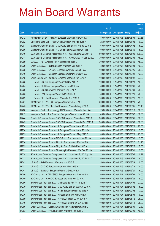|       |                                                                |               |                            | <b>Amount</b> |
|-------|----------------------------------------------------------------|---------------|----------------------------|---------------|
|       |                                                                | No. of        |                            | raised        |
| Code  | <b>Derivative warrants</b>                                     | issue (units) | <b>Listing date Expiry</b> | (HK\$ mil.)   |
| 17212 | J P Morgan SP BV - Ping An European Warrants May 2015 A        | 150,000,000   | 2014/11/05 2015/05/04      | 37.65         |
| 17202 | Macquarie Bank Ltd. - PetroChina European Wts Apr 2015 A       | 25,000,000    | 2014/11/05 2015/04/02      | 10.00         |
| 17207 | Standard Chartered Bank - CSOP A50 ETF Eu Put Wts Jul 2015 B   | 60,000,000    | 2014/11/05 2015/07/02      | 15.00         |
| 17206 | Standard Chartered Bank - HSI European Put Wts Mar 2015 H      | 100,000,000   | 2014/11/05 2015/03/30      | 15.00         |
| 17210 | SGA Societe Generale Acceptance N.V. - CMob Eu Put Wt Jan17B   | 600,000,000   | 2014/11/05 2017/01/09      | 120.00        |
| 17211 | SGA Societe Generale Acceptance N.V. - CNOOC Eu Wt Dec 2016A   | 300,000,000   | 2014/11/05 2016/12/05      | 45.00         |
| 17209 | UBS AG - HSI European Put Warrants Mar 2015 G                  | 300,000,000   | 2014/11/05 2015/03/30      | 45.00         |
| 17239 | Credit Suisse AG - BYD European Warrants Mar 2015 A            | 80,000,000    | 2014/11/06 2015/03/23      | 16.00         |
| 17238 | Credit Suisse AG - CNOOC European Warrants Sep 2016 A          | 100,000,000   | 2014/11/06 2016/09/26      | 25.00         |
| 17240 | Credit Suisse AG - Stanchart European Warrants Dec 2016 A      | 80,000,000    | 2014/11/06 2016/12/22      | 12.00         |
| 17218 | Daiwa Capital Mkt - CNOOC European Warrants Nov 2015 A         | 108,000,000   | 2014/11/06 2015/11/02      | 27.00         |
| 17223 | HK Bank - CNOOC European Warrants Nov 2016 A                   | 100,000,000   | 2014/11/06 2016/11/28      | 16.00         |
| 17224 | HK Bank - Ch Oilfield European Warrants Jul 2015 A             | 80,000,000    | 2014/11/06 2015/07/31      | 20.00         |
| 17226 | HK Bank - CRCC European Warrants Sep 2016 A                    | 100,000,000   | 2014/11/06 2016/09/30      | 25.00         |
| 17225 | HK Bank - HWL European Warrants Mar 2015 B                     | 80,000,000    | 2014/11/06 2015/03/26      | 20.00         |
| 17222 | HK Bank - Stanchart European Warrants Dec 2016 A               | 100,000,000   | 2014/11/06 2016/12/21      | 15.00         |
| 17221 | J P Morgan SP BV - HSI European Warrants Apr 2015 D            | 500,000,000   | 2014/11/06 2015/04/29      | 75.50         |
| 17245 | J P Morgan SP BV - Stanchart European Warrants May 2015 A      | 30,000,000    | 2014/11/06 2015/05/05      | 11.40         |
| 17220 | Macquarie Bank Ltd. - Hanergy TFP European Warrants Jun 15 A   | 25,000,000    | 2014/11/06 2015/06/16      | 10.00         |
| 17219 | Macquarie Bank Ltd. - Stanchart European Warrants Jun 2015 A   | 40,000,000    | 2014/11/06 2015/06/02      | 10.00         |
| 17244 | Standard Chartered Bank - CNOOC European Warrants Jul 2015 A   | 200,000,000   | 2014/11/06 2015/07/31      | 50.00         |
| 17243 | Standard Chartered Bank - CNOOC European Warrants Dec 2016 A   | 200,000,000   | 2014/11/06 2016/12/30      | 50.00         |
| 17234 | Standard Chartered Bank - HSI European Warrants Apr 2015 F     | 100,000,000   | 2014/11/06 2015/04/29      | 22.00         |
| 17236 | Standard Chartered Bank - HSI European Warrants Apr 2015 G     | 100,000,000   | 2014/11/06 2015/04/29      | 15.00         |
| 17235 | Standard Chartered Bank - HSI European Put Wts May 2015 B      | 100,000,000   | 2014/11/06 2015/05/28      | 25.00         |
| 17231 | Standard Chartered Bank - PICC Group European Wts Jun 2015 A   | 60,000,000    | 2014/11/06 2015/06/30      | 15.00         |
| 17230 | Standard Chartered Bank – Ping An European Wts Mar 2015 B      | 80,000,000    | 2014/11/06 2015/03/27      | 31.20         |
| 17229 | Standard Chartered Bank - Ping An Euro Put Wts Feb 2015 A      | 80,000,000    | 2014/11/06 2015/02/25      | 17.60         |
| 17232 | Standard Chartered Bank - Shunfeng Pv European Wts Dec 2015A   | 60,000,000    | 2014/11/06 2015/12/31      | 15.00         |
| 17228 | SGA Societe Generale Acceptance N.V. - Stanchart Eu Wt Aug15 A | 13,000,000    | 2014/11/06 2015/08/05      | 10.27         |
| 17227 | SGA Societe Generale Acceptance N.V. - Stanchart Eu Wt Jan17 A | 100,000,000   | 2014/11/06 2017/01/04      | 19.00         |
| 17242 | UBS AG - BYD European Warrants Mar 2015 B                      | 50,000,000    | 2014/11/06 2015/03/23      | 10.50         |
| 17237 | UBS AG - CNOOC European Warrants May 2016 A                    | 100,000,000   | 2014/11/06 2016/05/13      | 25.00         |
| 17241 | UBS AG - Stanchart European Warrants Dec 2016 A                | 100,000,000   | 2014/11/06 2016/12/21      | 16.00         |
| 17250 | BOCI Asia Ltd. - CAM CSI300 European Warrants Nov 2015 A       | 100,000,000   | 2014/11/07 2015/11/02      | 25.00         |
| 17249 | BOCI Asia Ltd. - CNOOC European Warrants Nov 2016 A            | 100,000,000   | 2014/11/07 2016/11/28      | 15.00         |
| 17280 | BNP Paribas Arbit Issu B.V. - Ch Mobile Eu Put Wt Jul 2015 A   | 100,000,000   | 2014/11/07 2015/07/03      | 27.00         |
| 17279 | BNP Paribas Arbit Issu B.V. - CSOP A50 ETF Eu Wts Apr 2015 A   | 100,000,000   | 2014/11/07 2015/04/02      | 15.00         |
| 17281 | BNP Paribas Arbit Issu B.V. - HKEx European Wts Sep 2015 A     | 100,000,000   | 2014/11/07 2015/09/02      | 17.00         |
| 17276 | BNP Paribas Arbit Issu B.V. - Kingsoft Euro Wts May 2015 A     | 100,000,000   | 2014/11/07 2015/05/05      | 19.00         |
| 10309 | BNP Paribas Arbit Issu B.V. - Nikkei 225 Index Eu Wt Jun15 A   | 100,000,000   | 2014/11/07 2015/06/12      | 25.00         |
| 10310 | BNP Paribas Arbit Issu B.V. - Nikkei 225 Eu Put Wt Jun 2015B   | 100,000,000   | 2014/11/07 2015/06/12      | 25.00         |
| 17266 | Credit Suisse AG - Galaxy Ent European Warrants Mar 2015 C     | 80,000,000    | 2014/11/07 2015/03/09      | 12.80         |
| 17263 | Credit Suisse AG - HKEx European Warrants Feb 2015 G           | 80,000,000    | 2014/11/07 2015/02/09      | 46.40         |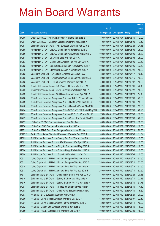|         |                                                                |               |                            | <b>Amount</b> |
|---------|----------------------------------------------------------------|---------------|----------------------------|---------------|
|         |                                                                | No. of        |                            | raised        |
| Code    | <b>Derivative warrants</b>                                     | issue (units) | <b>Listing date Expiry</b> | (HK\$ mil.)   |
| 17265   | Credit Suisse AG – Ping An European Warrants Mar 2015 B        | 80,000,000    | 2014/11/07 2015/03/30      | 12.00         |
| 17267   | Credit Suisse AG - Stanchart European Warrants May 2015 A      | 70,000,000    | 2014/11/07 2015/05/06      | 17.50         |
| 17287   | Goldman Sachs SP (Asia) - HSI European Warrants Feb 2015 B     | 150,000,000   | 2014/11/07 2015/02/26      | 24.15         |
| 17285   | J P Morgan SP BV - CNOOC European Warrants May 2015 B          | 100,000,000   | 2014/11/07 2015/05/06      | 25.20         |
| 17286   | J P Morgan SP BV - CNOOC European Put Warrants May 2015 C      | 100,000,000   | 2014/11/07 2015/05/06      | 25.30         |
| 17284   | J P Morgan SP BV - Ch Oilfield Euro Wts Aug 2015 A             | 100,000,000   | 2014/11/07 2015/08/04      | 25.00         |
| 17283   | J P Morgan SP BV - Galaxy Ent European Put Wts May 2015 A      | 100,000,000   | 2014/11/07 2015/05/06      | 27.50         |
| 17282   | J P Morgan SP BV - Sands China European Put Wts May 2015 A     | 100,000,000   | 2014/11/07 2015/05/06      | 33.40         |
| 17246   | J P Morgan SP BV - Stanchart European Warrants Dec 2016 A      | 300,000,000   | 2014/11/07 2016/12/21      | 45.00         |
| 17252   | Macquarie Bank Ltd. - Ch Oilfield European Wts Jul 2015 A      | 33,000,000    | 2014/11/07 2015/07/17      | 10.10         |
| 17255   | Macquarie Bank Ltd. - Chinares Cement European Wt Jun 2015 A   | 20,000,000    | 2014/11/07 2015/06/16      | 10.00         |
| 17253   | Macquarie Bank Ltd. - HKEx European Warrants Jun 2015 A        | 40,000,000    | 2014/11/07 2015/06/02      | 10.00         |
| 17258   | Standard Chartered Bank - CSOP A50 ETF Euro Wts Jun 2015 C     | 80,000,000    | 2014/11/07 2015/06/01      | 22.40         |
| 17262   | Standard Chartered Bank - China Unicom Euro Wts Sep 2015 A     | 100,000,000   | 2014/11/07 2015/09/22      | 15.00         |
| 17259   | Standard Chartered Bank - A50 China Euro Warrants Apr 2015 A   | 80,000,000    | 2014/11/07 2015/04/28      | 14.40         |
| 17268   | SGA Societe Generale Acceptance N.V. - AGBK Eu Wt May 2015 A   | 100,000,000   | 2014/11/07 2015/05/06      | 25.00         |
| 17269   | SGA Societe Generale Acceptance N.V. - CMB Eu Wts Jun 2016 A   | 100,000,000   | 2014/11/07 2016/06/06      | 15.50         |
| 17270   | SGA Societe Generale Acceptance N.V. - CMob Eu Put Wt May15D   | 70,000,000    | 2014/11/07 2015/05/06      | 19.95         |
| 17274   | SGA Societe Generale Acceptance NV - CSOP A50 ETF Eu Wt May15B | 70,000,000    | 2014/11/07 2015/05/06      | 26.25         |
| 17275   | SGA Societe Generale Acceptance N.V. - A50 Ch Eu Wt May 2015B  | 70,000,000    | 2014/11/07 2015/05/06      | 17.50         |
| 17272   | SGA Societe Generale Acceptance N.V. - Galaxy Ent Eu Wt May15B | 80,000,000    | 2014/11/07 2015/05/06      | 20.00         |
| 17257   | UBS AG - CNOOC European Warrants Nov 2016 A                    | 100,000,000   | 2014/11/07 2016/11/25      | 19.50         |
| 17256   | UBS AG - HSBC European Put Warrants Apr 2015 A                 | 50,000,000    | 2014/11/07 2015/04/08      | 16.50         |
| 17273   | UBS AG - SPDR Gold Trust European Warrants Jun 2015 A          | 40,000,000    | 2014/11/07 2015/06/29      | 20.80         |
| 16987 # | Bank of East Asia – Stanchart European Warrants Dec 2016 A     | 80,000,000    | 2014/11/07 2016/12/30      | 11.04         |
| 17305   | BNP Paribas Arbit Issu B.V. - Galaxy Ent Euro Wts Apr 2015 B   | 100,000,000   | 2014/11/10 2015/04/02      | 15.00         |
| 17303   | BNP Paribas Arbit Issu B.V. - HSBC European Wts Apr 2015 A     | 100,000,000   | 2014/11/10 2015/04/02      | 15.00         |
| 17307   | BNP Paribas Arbit Issu B.V. - Ping An European Wt May 2015 A   | 100,000,000   | 2014/11/10 2015/05/05      | 19.00         |
| 17306   | BNP Paribas Arbit Issu B.V. - SJM Holdings Eu Wts Dec 2015 A   | 100,000,000   | 2014/11/10 2015/12/02      | 15.00         |
| 17304   | BNP Paribas Arbit Issu B.V. - Stanchart Euro Wts Jan 2017 A    | 100,000,000   | 2014/11/10 2017/01/04      | 15.00         |
| 10312   | Daiwa Capital Mkt - Nikkei 225 Index European Wts Jun 2015 A   | 250,000,000   | 2014/11/10 2015/06/12      | 62.50         |
| 10311   | Daiwa Capital Mkt - Nikkei 225 Index European Wts Sep 2015 A   | 250,000,000   | 2014/11/10 2015/09/11      | 62.50         |
| 10314   | Daiwa Capital Mkt - Nikkei 225 Index Euro Put Wts Jun 2015 B   | 250,000,000   | 2014/11/10 2015/06/12      | 62.50         |
| 10313   | Daiwa Capital Mkt - Nikkei 225 Index Euro Put Wts Sep 2015 B   | 250,000,000   | 2014/11/10 2015/09/11      | 62.50         |
| 17317   | Goldman Sachs SP (Asia) - China Mobile Eu Put Wts Feb 2015 D   | 80,000,000    | 2014/11/10 2015/02/24      | 20.16         |
| 17315   | Goldman Sachs SP (Asia) - Galaxy Ent Euro Wts May 2015 A       | 80,000,000    | 2014/11/10 2015/05/11      | 22.16         |
| 17316   | Goldman Sachs SP (Asia) - Galaxy Ent Euro Put Wts Jun 2015 A   | 80,000,000    | 2014/11/10 2015/06/30      | 31.76         |
| 17297   | Goldman Sachs SP (Asia) - Kingdee Intl European Wts Jun15A     | 40,000,000    | 2014/11/10 2015/06/30      | 14.12         |
| 17298   | Goldman Sachs SP (Asia) - China Vanke European Wts Jul15A      | 60,000,000    | 2014/11/10 2015/07/30      | 15.60         |
| 17293   | HK Bank - BYD European Warrants May 2015 A                     | 50,000,000    | 2014/11/10 2015/05/29      | 20.00         |
| 17290   | HK Bank - China Mobile European Warrants Mar 2017 A            | 150,000,000   | 2014/11/10 2017/03/07      | 22.50         |
| 17291   | HK Bank - China Mobile European Put Warrants May 2015 B        | 80,000,000    | 2014/11/10 2015/05/11      | 40.00         |
| 17292   | HK Bank - Galaxy Ent European Warrants Jun 2015 B              | 60,000,000    | 2014/11/10 2015/06/30      | 18.00         |
| 17289   | HK Bank - HSCEI European Put Warrants Sep 2015 A               | 100,000,000   | 2014/11/10 2015/09/29      | 15.00         |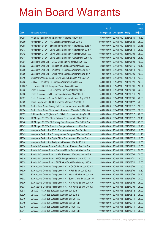|                |                                                                                                                               |                            |                            |                          | <b>Amount</b>  |
|----------------|-------------------------------------------------------------------------------------------------------------------------------|----------------------------|----------------------------|--------------------------|----------------|
|                |                                                                                                                               | No. of                     |                            |                          | raised         |
| Code           | <b>Derivative warrants</b>                                                                                                    | issue (units)              | <b>Listing date Expiry</b> |                          | (HK\$ mil.)    |
| 17294          | HK Bank - Sands China European Warrants Jun 2015 B                                                                            | 60,000,000                 | 2014/11/10 2015/06/30      |                          | 16.80          |
| 17299          | J P Morgan SP BV - HSI European Warrants Jun 2015 B                                                                           | 500,000,000                | 2014/11/10 2015/06/29      |                          | 75.00          |
| 17288          | J P Morgan SP BV - Shunfeng Pv European Warrants Nov 2015 A                                                                   | 80,000,000                 | 2014/11/10 2015/11/30      |                          | 20.16          |
| 17313          | J P Morgan SP BV - China Vanke European Warrants May 2015 A                                                                   | 100,000,000                | 2014/11/10 2015/05/11      |                          | 25.30          |
| 17312          | J P Morgan SP BV - China Vanke European Warrants Oct 2015 A                                                                   | 100,000,000                | 2014/11/10 2015/10/02      |                          | 25.20          |
| 17311          | J P Morgan SP BV - China Vanke European Put Warrants Jun15 A                                                                  | 100,000,000                | 2014/11/10 2015/06/02      |                          | 25.10          |
| 17301          | Macquarie Bank Ltd. - CRCC European Warrants Jun 2015 A                                                                       | 40,000,000                 | 2014/11/10 2015/06/02      |                          | 10.00          |
| 17302          | Macquarie Bank Ltd. - Kingdee Intl European Warrants Jun15 A                                                                  | 23,000,000                 | 2014/11/10 2015/06/16      |                          | 10.12          |
| 17296          | Macquarie Bank Ltd. - Shunfeng Pv European Warrants Jan 16 A                                                                  | 40,000,000                 | 2014/11/10 2016/01/18      |                          | 10.00          |
| 17300          | Macquarie Bank Ltd. - China Vanke European Warrants Oct 15 A                                                                  | 40,000,000                 | 2014/11/10 2015/10/05      |                          | 10.00          |
| 17310          | Standard Chartered Bank - China Vanke European Wts Dec15A                                                                     | 50,000,000                 | 2014/11/10 2015/12/18      |                          | 13.00          |
| 17295          | UBS AG - Shunfeng Pv European Warrants Dec 2015 A                                                                             | 50,000,000                 | 2014/11/10 2015/12/21      |                          | 12.50          |
| 16405 #        | HK Bank - CNOOC European Warrants Jun 2015 A                                                                                  | 380,000,000                | 2014/11/10 2015/06/01      |                          | 10.64          |
| 17335          | Credit Suisse AG - HSI European Put Warrants Mar 2015 E                                                                       | 150,000,000                | 2014/11/11 2015/03/30      |                          | 22.50          |
| 17338          | Credit Suisse AG - MCC European Warrants May 2015 A                                                                           | 40,000,000                 | 2014/11/11                 | 2015/05/11               | 10.00          |
| 17337          | Credit Suisse AG - Sound Global European Warrants Aug 2015 A                                                                  | 80,000,000                 | 2014/11/11 2015/08/31      |                          | 20.00          |
| 17322          | Daiwa Capital Mkt - BOCL European Warrants Apr 2015 B                                                                         | 80,000,000                 | 2014/11/11                 | 2015/04/27               | 20.00          |
| 17333          | Bank of East Asia - Galaxy Ent European Warrants May 2015 B                                                                   | 40,000,000                 | 2014/11/11                 | 2015/05/12               | 10.80          |
| 17334          | Bank of East Asia - China Vanke European Warrants Oct 2015 A                                                                  | 40,000,000                 | 2014/11/11                 | 2015/10/22               | 10.00          |
| 17339          | Goldman Sachs SP (Asia) - Ch Oilfield European Wts Aug 2015A                                                                  | 80,000,000                 | 2014/11/11                 | 2015/08/17               | 20.00          |
| 17341          | J P Morgan SP BV - China Railway European Wts May 2015 A                                                                      | 40,000,000                 | 2014/11/11                 | 2015/05/12               | 10.16          |
| 17340          | J P Morgan SP BV - Ch Railway Cons European Wts Oct 2017 A                                                                    | 100,000,000                | 2014/11/11                 | 2017/10/03               | 25.00          |
| 17342          | J P Morgan SP BV - Zoomlion European Warrants Jul 2015 A                                                                      | 40,000,000                 | 2014/11/11                 | 2015/07/31               | 10.28          |
| 17343          | Macquarie Bank Ltd. - BOCL European Warrants Dec 2015 A                                                                       | 40,000,000                 | 2014/11/11 2015/12/02      |                          | 10.00          |
| 17345          | Macquarie Bank Ltd. - Ch Molybdenum European Wts Jun 2015 A                                                                   | 30,000,000                 | 2014/11/11                 | 2015/06/30               | 11.13          |
| 17320          | Macquarie Bank Ltd. - Digital China European Wts Mar 2017 A                                                                   | 40,000,000                 | 2014/11/11                 | 2017/03/16               | 10.00          |
| 17344          | Macquarie Bank Ltd. - Geely Auto European Wts Jul 2015 A                                                                      | 40,000,000                 | 2014/11/11 2015/07/03      |                          | 10.00          |
| 17324          | Standard Chartered Bank - Cathay Pac Air Euro Wts Dec 2016 A                                                                  | 50,000,000                 | 2014/11/11 2016/12/23      |                          | 12.50          |
| 17336          | Standard Chartered Bank - Greatwall Motor Euro Wt May 2015 A                                                                  | 80,000,000                 | 2014/11/11                 | 2015/05/11               | 20.00          |
| 17318          | Standard Chartered Bank - HSBC European Warrants Jun 2015 B                                                                   | 80,000,000                 | 2014/11/11                 | 2015/06/02               | 20.00          |
| 17319<br>17325 | Standard Chartered Bank - KECL European Warrants Apr 2017 A                                                                   | 100,000,000<br>50,000,000  | 2014/11/11<br>2014/11/11   | 2017/04/27<br>2015/08/21 | 15.00<br>15.00 |
| 17328          | Standard Chartered Bank - SPDR Gold Trust Euro Wt Aug 2015 A<br>SGA Societe Generale Acceptance N.V. - CCCCL Eu Wt Jun 2015 A | 25,000,000                 | 2014/11/11                 | 2015/06/03               | 11.50          |
| 17329          | SGA Societe Generale Acceptance N.V. - CRail Eu Wt Jun 2015A                                                                  | 30,000,000                 | 2014/11/11                 | 2015/06/03               | 10.80          |
| 17327          | SGA Societe Generale Acceptance N.V. - Galaxy Eu Put Wt Jun15A                                                                | 80,000,000                 | 2014/11/11                 | 2015/06/03               | 35.20          |
| 17332          | SGA Societe Generale Acceptance N.V - Sands China Eu Wt Jun15A                                                                | 80,000,000                 | 2014/11/11                 | 2015/06/03               | 20.00          |
| 17330          | SGA Societe Generale Acceptance N.V. - Ch Vanke Eu Wts Jun15A                                                                 | 100,000,000                | 2014/11/11                 | 2015/06/03               | 25.00          |
| 17331          |                                                                                                                               | 100,000,000                | 2014/11/11                 |                          | 25.00          |
| 10318          | SGA Societe Generale Acceptance N.V. - Ch Vanke Eu Wts Oct15A<br>UBS AG - Nikkei 225 European Warrants Jun 2015 A             | 100,000,000                | 2014/11/11                 | 2015/10/05<br>2015/06/12 | 25.00          |
| 10320          |                                                                                                                               |                            |                            |                          | 25.00          |
| 10316          | UBS AG - Nikkei 225 European Warrants Jun 2015 B<br>UBS AG - Nikkei 225 European Warrants Sep 2015 A                          | 100,000,000<br>100,000,000 | 2014/11/11<br>2014/11/11   | 2015/06/12<br>2015/09/11 | 25.00          |
| 10319          | UBS AG - Nikkei 225 European Warrants Sep 2015 B                                                                              | 100,000,000                | 2014/11/11                 | 2015/09/11               | 25.00          |
| 10315          | UBS AG - Nikkei 225 European Warrants Dec 2015 A                                                                              | 100,000,000                | 2014/11/11                 | 2015/12/11               | 25.00          |
| 10317          |                                                                                                                               | 100,000,000                |                            |                          |                |
|                | UBS AG - Nikkei 225 European Warrants Dec 2015 B                                                                              |                            | 2014/11/11                 | 2015/12/11               | 25.00          |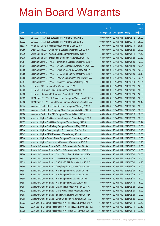|        |                                                                |               |                       | <b>Amount</b> |
|--------|----------------------------------------------------------------|---------------|-----------------------|---------------|
|        |                                                                | No. of        |                       | raised        |
| Code   | <b>Derivative warrants</b>                                     | issue (units) | Listing date Expiry   | (HK\$ mil.)   |
| 10321  | UBS AG - Nikkei 225 European Put Warrants Jun 2015 C           | 100,000,000   | 2014/11/11 2015/06/12 | 25.00         |
| 10322  | UBS AG - Nikkei 225 European Put Warrants Sep 2015 C           | 100,000,000   | 2014/11/11 2015/09/11 | 25.00         |
| 16333# | HK Bank - China Mobile European Warrants Dec 2016 A            | 230,000,000   | 2014/11/11 2016/12/19 | 36.11         |
| 17380  | Credit Suisse AG - China Vanke European Warrants Jun 2015 A    | 80,000,000    | 2014/11/12 2015/06/29 | 20.00         |
| 17376  | Daiwa Capital Mkt - CCCCL European Warrants May 2015 A         | 58,000,000    | 2014/11/12 2015/05/11 | 14.50         |
| 17375  | Daiwa Capital Mkt - PetroChina European Warrants Apr 2015 A    | 68,000,000    | 2014/11/12 2015/04/24 | 23.80         |
| 17357  | Goldman Sachs SP (Asia) - BankComm European Wts May 2015 A     | 40,000,000    | 2014/11/12 2015/05/29 | 12.00         |
| 17361  | Goldman Sachs SP (Asia) - CNOOC European Warrants Nov 2016 A   | 80,000,000    | 2014/11/12 2016/11/28 | 12.24         |
| 17356  | Goldman Sachs SP (Asia) - China Railway Euro Wts May 2015 A    | 40,000,000    | 2014/11/12 2015/05/29 | 12.52         |
| 17359  | Goldman Sachs SP (Asia) - CRCC European Warrants May 2015 A    | 30,000,000    | 2014/11/12 2015/05/29 | 20.19         |
| 17358  | Goldman Sachs SP (Asia) - PetroChina European Wts May 2015 A   | 80,000,000    | 2014/11/12 2015/05/15 | 32.64         |
| 17387  | Goldman Sachs SP (Asia) - Stanchart European Wts May 2015 B    | 40,000,000    | 2014/11/12 2015/05/14 | 14.04         |
| 17354  | HK Bank - AIA European Put Warrants Mar 2015 B                 | 80,000,000    | 2014/11/12 2015/03/26 | 12.80         |
| 17362  | HK Bank - Ch Comm Cons European Warrants Jul 2015 A            | 60,000,000    | 2014/11/12 2015/07/31 | 18.00         |
| 17353  | HK Bank - Shunfeng Pv European Warrants Dec 2015 A             | 80,000,000    | 2014/11/12 2015/12/24 | 12.80         |
| 17389  | J P Morgan SP BV - Ch Comm Cons European Warrants Jul 2015 A   | 50,000,000    | 2014/11/12 2015/07/30 | 12.60         |
| 17388  | J P Morgan SP BV - Sound Global European Warrants Aug 2015 A   | 60,000,000    | 2014/11/12 2015/08/03 | 15.12         |
| 17374  | Macquarie Bank Ltd. - China Res Gas European Wts Aug 2015 A    | 40,000,000    | 2014/11/12 2015/08/31 | 10.00         |
| 17385  | Macquarie Bank Ltd. - Dongfeng Motor European Wts Dec 2016 A   | 40,000,000    | 2014/11/12 2016/12/02 | 10.00         |
| 17386  | Macquarie Bank Ltd. - ZTE European Warrants Dec 2015 A         | 40,000,000    | 2014/11/12 2015/12/16 | 10.00         |
| 17350  | Nomura Int'l plc - Ch Comm Cons European Warrants May 2015 A   | 50,000,000    | 2014/11/12 2015/05/29 | 18.00         |
| 17352  | Nomura Int'l plc - Ch Oilfield European Warrants Aug 2015 A    | 80,000,000    | 2014/11/12 2015/08/31 | 13.44         |
| 17347  | Nomura Int'l plc - Ch Railway European Warrants May 2015 A     | 50,000,000    | 2014/11/12 2015/05/29 | 15.50         |
| 17346  | Nomura Int'l plc - Guangdong Inv European Wts Dec 2016 A       | 50,000,000    | 2014/11/12 2016/12/30 | 13.45         |
| 17349  | Nomura Int'l plc - MCC European Warrants May 2015 A            | 50,000,000    | 2014/11/12 2015/05/12 | 12.50         |
| 17348  | Nomura Int'l plc - Sound Global European Warrants Aug 2015 A   | 50,000,000    | 2014/11/12 2015/08/28 | 12.50         |
| 17351  | Nomura Int'l plc - China Vanke European Warrants Jul 2015 A    | 50,000,000    | 2014/11/12 2015/07/31 | 12.70         |
| 17364  | Standard Chartered Bank - BOC HK European Wts Dec 2015 A       | 70,000,000    | 2014/11/12 2015/12/22 | 10.50         |
| 17365  | Standard Chartered Bank - BOC HK European Wts Oct 2016 A       | 70,000,000    | 2014/11/12 2016/10/07 | 10.50         |
| 17366  | Standard Chartered Bank - China Cinda Euro Put Wts Aug 2015A   | 80,000,000    | 2014/11/12 2015/08/31 | 20.00         |
| 17373  | Standard Chartered Bank - Ch Oilfield European Wts Sep15A      | 70,000,000    | 2014/11/12 2015/09/22 | 10.50         |
| 89015  | Standard Chartered Bank - CSOP A50 ETF Euro Wts Jun 2015 A     | 40,000,000    | 2014/11/12 2015/06/30 | 14.70         |
| 17369  | Standard Chartered Bank - Dongfeng European Wts Dec 2016 A     | 60,000,000    | 2014/11/12 2016/12/23 | 15.00         |
| 17381  | Standard Chartered Bank - HSI European Warrants Jun 2015 B     | 100,000,000   | 2014/11/12 2015/06/29 | 15.00         |
| 17382  | Standard Chartered Bank - HSI European Warrants Jun 2015 C     | 100,000,000   | 2014/11/12 2015/06/29 | 15.00         |
| 17384  | Standard Chartered Bank - HSI European Put Wts Mar 2015 I      | 100,000,000   | 2014/11/12 2015/03/30 | 18.00         |
| 17383  | Standard Chartered Bank - HSI European Put Wts Jul 2015 B      | 100,000,000   | 2014/11/12 2015/07/30 | 15.00         |
| 17367  | Standard Chartered Bank - Li & Fung European Wts Aug 2015 A    | 80,000,000    | 2014/11/12 2015/08/28 | 20.00         |
| 17372  | Standard Chartered Bank - China Mengniu Euro Wts Aug 2015 A    | 60,000,000    | 2014/11/12 2015/08/21 | 19.20         |
| 17363  | Standard Chartered Bank - Sands China Eu Put Wts Mar 2015 D    | 80,000,000    | 2014/11/12 2015/03/26 | 12.00         |
| 17368  | Standard Chartered Bank - Wharf European Warrants Jun 2015 A   | 80,000,000    | 2014/11/12 2015/06/26 | 23.20         |
| 10323  | SGA Societe Generale Acceptance NV - Nikkei 225 Eu Wt Jun 15 A | 150,000,000   | 2014/11/12 2015/06/12 | 37.50         |
| 10324  | SGA Societe Generale Acceptance NV - Nikkei 225 Eu Wt Sep 15 A | 150,000,000   | 2014/11/12 2015/09/11 | 37.50         |
| 10325  | SGA Societe Generale Acceptance NV - N225 Eu Put Wt Jun 2015 B | 150,000,000   | 2014/11/12 2015/06/12 | 37.50         |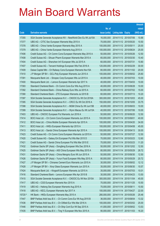|         |                                                                |               |                            |                       | <b>Amount</b> |
|---------|----------------------------------------------------------------|---------------|----------------------------|-----------------------|---------------|
|         |                                                                | No. of        |                            |                       | raised        |
| Code    | <b>Derivative warrants</b>                                     | issue (units) | <b>Listing date Expiry</b> |                       | (HK\$ mil.)   |
| 17355   | SGA Societe Generale Acceptance NV - NewWorld Dev Eu Wt Jul15A | 16,000,000    |                            | 2014/11/12 2015/07/06 | 10.88         |
| 17377   | UBS AG - CITIC Sec European Warrants May 2015 A                | 70,000,000    |                            | 2014/11/12 2015/05/20 | 10.50         |
| 17378   | UBS AG - China Vanke European Warrants May 2015 A              | 100,000,000   | 2014/11/12 2015/05/11      |                       | 25.00         |
| 17379   | UBS AG - China Vanke European Warrants Aug 2015 A              | 100,000,000   | 2014/11/12 2015/08/24      |                       | 25.00         |
| 17406   | Credit Suisse AG - Ch Comm Cons European Warrants May 2015 A   | 50,000,000    |                            | 2014/11/13 2015/05/26 | 12.50         |
| 17408   | Credit Suisse AG - Sihuan Pharm European Warrants Mar 2015 A   | 65,000,000    |                            | 2014/11/13 2015/03/30 | 10.40         |
| 17404   | Credit Suisse AG - Shenzhen Int'l European Wts Jul 2015 A      | 60,000,000    | 2014/11/13 2015/07/31      |                       | 10.80         |
| 17407   | Credit Suisse AG - Tencent Holdings European Wts Feb 2016 A    | 120,000,000   | 2014/11/13 2016/02/29      |                       | 30.00         |
| 17409   | Daiwa Capital Mkt - Ch Railway Cons European Warrants Nov15A   | 80,000,000    |                            | 2014/11/13 2015/11/02 | 20.00         |
| 17410   | J P Morgan SP BV - GCL-Poly European Warrants Jun 2015 A       | 100,000,000   |                            | 2014/11/13 2015/06/02 | 25.60         |
| 17391   | Macquarie Bank Ltd. - Sinopec Corp European Wts Jul 2015 A     | 40,000,000    | 2014/11/13 2015/07/03      |                       | 10.00         |
| 17400   | Macquarie Bank Ltd. - Lenovo European Warrants Apr 2017 A      | 40,000,000    | 2014/11/13 2017/04/03      |                       | 10.00         |
| 17393   | Standard Chartered Bank - Ch Comm Cons Eur Wts Aug 2015 A      | 40,000,000    |                            | 2014/11/13 2015/08/28 | 10.00         |
| 17392   | Standard Chartered Bank - China Railway Euro Wts Jul 2015 A    | 60,000,000    |                            | 2014/11/13 2015/07/02 | 15.00         |
| 17390   | Standard Chartered Bank - ZTE European Warrants Jul 2015 B     | 60,000,000    | 2014/11/13 2015/07/13      |                       | 10.20         |
| 17397   | SGA Societe Generale Acceptance N.V. - CNOOC Eu Wt Oct 2016A   | 300,000,000   |                            | 2014/11/13 2016/10/03 | 45.00         |
| 17395   | SGA Societe Generale Acceptance N.V. - CRCC Eu Wt Oct 2016 A   | 150,000,000   |                            | 2014/11/13 2016/10/05 | 33.75         |
| 17398   | SGA Societe Generale Acceptance N.V. - MGM China Eu Wt Jun15B  | 40,000,000    |                            | 2014/11/13 2015/06/03 | 10.00         |
| 17399   | SGA Societe Generale Acceptance N.V. - Wynn Macau Eu Wt Jul15A | 40,000,000    |                            | 2014/11/13 2015/07/06 | 10.00         |
| 17403   | UBS AG - CNOOC European Put Warrants Jun 2016 A                | 50,000,000    |                            | 2014/11/13 2016/06/20 | 12.50         |
| 17414   | BOCI Asia Ltd. - Ch Comm Cons European Warrants Jun 2015 A     | 100,000,000   | 2014/11/14 2015/06/01      |                       | 40.00         |
| 17412   | BOCI Asia Ltd. - China Mobile European Warrants Apr 2015 A     | 100,000,000   |                            | 2014/11/14 2015/04/20 | 34.00         |
| 17411   | BOCI Asia Ltd. - HKEx European Warrants Apr 2015 A             | 100,000,000   | 2014/11/14 2015/04/08      |                       | 45.00         |
| 17413   | BOCI Asia Ltd. - Sands China European Warrants Apr 2015 A      | 100,000,000   |                            | 2014/11/14 2015/04/13 | 30.00         |
| 17423   | Credit Suisse AG - Ch Comm Cons European Warrants Jul 2015 A   | 50,000,000    | 2014/11/14 2015/07/27      |                       | 12.50         |
| 17420   | Credit Suisse AG - Galaxy Ent European Put Wts Mar 2015 D      | 70,000,000    |                            | 2014/11/14 2015/03/23 | 12.60         |
| 17421   | Credit Suisse AG - Sands China European Put Wts Mar 2015 E     | 70,000,000    |                            | 2014/11/14 2015/03/23 | 11.20         |
| 17432   | Goldman Sachs SP (Asia) - Dongfeng European Wts Dec 2016 A     | 50,000,000    | 2014/11/14 2016/12/02      |                       | 12.50         |
| 17425   | Goldman Sachs SP (Asia) - A50 China European Wts May 2015 A    | 80,000,000    | 2014/11/14 2015/05/29      |                       | 26.72         |
| 17431   | Goldman Sachs SP (Asia) - China Mengniu Euro Wt Jun 2015 A     | 50,000,000    | 2014/11/14 2015/06/30      |                       | 12.50         |
| 17426   | Goldman Sachs SP (Asia) - Yurun Food European Wts May 2015 A   | 80,000,000    | 2014/11/14 2015/05/29      |                       | 20.72         |
| 17427   | J P Morgan SP BV - Chinares Cement Euro Warrants Jun 2015 A    | 30,000,000    |                            | 2014/11/14 2015/06/02 | 12.12         |
| 17428   | J P Morgan SP BV - Xinyi Glass European Warrants Jun 2015 A    | 35,000,000    | 2014/11/14 2015/06/30      |                       | 10.57         |
| 17424   | Macquarie Bank Ltd. - Kingsoft European Warrants Jul 2015 A    | 35,000,000    |                            | 2014/11/14 2015/07/03 | 10.01         |
| 17416   | Standard Chartered Bank - Lenovo European Wts Apr 2015 B       | 30,000,000    | 2014/11/14 2015/04/23      |                       | 13.50         |
| 17415   | SGA Societe Generale Acceptance N.V. - CNOOC Eu Wt Nov 2015A   | 300,000,000   | 2014/11/14 2015/11/04      |                       | 45.00         |
| 17417   | UBS AG - CGS European Warrants Nov 2015 A                      | 70,000,000    | 2014/11/14 2015/11/25      |                       | 10.50         |
| 17419   | UBS AG - Haitong Sec European Warrants Aug 2015 A              | 70,000,000    | 2014/11/14 2015/08/11      |                       | 10.50         |
| 17418   | UBS AG - KECL European Warrants Apr 2017 A                     | 100,000,000   | 2014/11/14 2017/04/27      |                       | 22.00         |
| 15720 # | HK Bank - HKEx European Warrants May 2015 A                    | 280,000,000   | 2014/11/14 2015/05/26      |                       | 25.48         |
| 17447   | BNP Paribas Arbit Issu B.V. - Ch Comm Cons Eur Wt Aug 2015 B   | 36,000,000    | 2014/11/17 2015/08/04      |                       | 13.32         |
| 17436   | BNP Paribas Arbit Issu B.V. - Ch Oilfield Eur Wts Mar 2016 A   | 100,000,000   | 2014/11/17 2016/03/02      |                       | 25.00         |
| 17446   | BNP Paribas Arbit Issu B.V. - Ch Ship Cont Eur Wt Sep 2015 A   | 41,000,000    |                            | 2014/11/17 2015/09/02 | 13.53         |
| 17435   | BNP Paribas Arbit Issu B.V. - Ting Yi European Wts Nov 2015 A  | 90,000,000    | 2014/11/17 2015/11/03      |                       | 16.20         |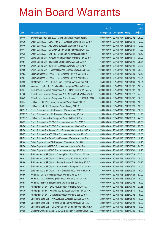|         |                                                                |               |                            | <b>Amount</b> |
|---------|----------------------------------------------------------------|---------------|----------------------------|---------------|
|         |                                                                | No. of        |                            | raised        |
| Code    | <b>Derivative warrants</b>                                     | issue (units) | <b>Listing date Expiry</b> | (HK\$ mil.)   |
| 17445   | BNP Paribas Arbit Issu B.V. - China Vanke Euro Wts Sep15A      | 100,000,000   | 2014/11/17 2015/09/02      | 25.00         |
| 17439   | Credit Suisse AG - CSOP A50 ETF European Warrants Mar 2015 A   | 80,000,000    | 2014/11/17 2015/03/30      | 12.00         |
| 17440   | Credit Suisse AG - A50 China European Warrants Mar 2015 B      | 80,000,000    | 2014/11/17 2015/03/30      | 12.00         |
| 17441   | Credit Suisse AG – GCL-Poly Energy European Wts Apr 2015 A     | 70,000,000    | 2014/11/17 2015/04/27      | 11.20         |
| 17438   | Credit Suisse AG - Link REIT European Warrants Aug 2015 A      | 70,000,000    | 2014/11/17 2015/08/31      | 10.50         |
| 17448   | Daiwa Capital Mkt - Cheung Kong European Warrants Nov 2015 A   | 80,000,000    | 2014/11/17 2015/11/11      | 20.00         |
| 17451   | Daiwa Capital Mkt - Hutchison European Put Wts Jun 2015 A      | 68,000,000    | 2014/11/17 2015/06/01      | 25.84         |
| 17449   | Daiwa Capital Mkt - SHK Ppt European Warrants Jun 2015 A       | 58,000,000    | 2014/11/17 2015/06/01      | 24.36         |
| 17450   | Daiwa Capital Mkt - Tencent Holdings European Wts Jun 2015 A   | 128,000,000   | 2014/11/17 2015/06/08      | 25.60         |
| 17453   | Goldman Sachs SP (Asia) - HSI European Put Wts Mar 2015 G      | 80,000,000    | 2014/11/17 2015/03/30      | 12.40         |
| 17454   | Goldman Sachs SP (Asia) - HSI European Put Wts Apr 2015 C      | 80,000,000    | 2014/11/17 2015/04/29      | 14.24         |
| 17452   | J P Morgan SP BV - Ch Ship Cont European Warrants Apr 2015 B   | 65,000,000    | 2014/11/17 2015/04/30      | 10.01         |
| 17433   | Macquarie Bank Ltd. - Yanzhou Coal European Wts Jun 2015 A     | 30,000,000    | 2014/11/17 2015/06/02      | 10.02         |
| 17434   | SGA Societe Generale Acceptance N.V. - HKEx Eu Put Wt Dec15B   | 300,000,000   | 2014/11/17 2015/12/02      | 45.00         |
| 10326   | SGA Societe Generale Acceptance NV - Nikkei 225 Eu Wt Jun 15 C | 150,000,000   | 2014/11/17 2015/06/12      | 27.00         |
| 17442   | SGA Societe Generale Acceptance N.V - Tencent Eu Put Wt Dec15B | 500,000,000   | 2014/11/17 2015/12/02      | 92.50         |
| 17444   | UBS AG – GCL-Poly Energy European Warrants Jul 2015 A          | 40,000,000    | 2014/11/17 2015/07/09      | 10.00         |
| 17437   | UBS AG - Link REIT European Warrants Aug 2015 A                | 70,000,000    | 2014/11/17 2015/08/26      | 10.50         |
| 14651 # | Credit Suisse AG - HKEx European Warrants Mar 2015 B           | 100,000,000   | 2014/11/17 2015/03/31      | 10.90         |
| 15087 # | Credit Suisse AG - HKEx European Warrants May 2015 A           | 120,000,000   | 2014/11/17 2015/05/29      | 11.76         |
| 15957 # | UBS AG – China Mobile European Warrants Mar 2017 A             | 500,000,000   | 2014/11/17 2017/03/13      | 74.50         |
| 17477   | Credit Suisse AG - CNOOC European Warrants Oct 2015 B          | 150,000,000   | 2014/11/18 2015/10/26      | 22.50         |
| 17476   | Credit Suisse AG - CNOOC European Warrants May 2016 A          | 150,000,000   | 2014/11/18 2016/05/06      | 22.50         |
| 17474   | Credit Suisse AG - Sinopec Corp European Warrants Apr 2015 A   | 70,000,000    | 2014/11/18 2015/04/30      | 16.10         |
| 17467   | Credit Suisse AG - A50 China European Warrants Mar 2015 C      | 80,000,000    | 2014/11/18 2015/03/30      | 12.00         |
| 17475   | Credit Suisse AG - PetroChina European Warrants Apr 2015 A     | 70,000,000    | 2014/11/18 2015/04/27      | 16.10         |
| 17468   | Daiwa Capital Mkt - CCB European Warrants Apr 2015 B           | 108,000,000   | 2014/11/18 2015/04/01      | 16.20         |
| 17470   | Daiwa Capital Mkt - HSBC European Warrants May 2015 A          | 98,000,000    | 2014/11/18 2015/05/04      | 24.50         |
| 17469   | Daiwa Capital Mkt - ICBC European Warrants Apr 2015 A          | 108,000,000   | 2014/11/18 2015/04/01      | 16.20         |
| 17482   | Goldman Sachs SP (Asia) - Cheung Kong Euro Wts May 2015 A      | 60,000,000    | 2014/11/18 2015/05/19      | 23.04         |
| 17483   | Goldman Sachs SP (Asia) - Chi Resources Euro Wt Sep 2015 A     | 60,000,000    | 2014/11/18 2015/09/30      | 15.00         |
| 17486   | Goldman Sachs SP (Asia) - Greatwall Motor Eur Wts May 2015 A   | 60,000,000    | 2014/11/18 2015/05/29      | 20.10         |
| 17487   | Goldman Sachs SP (Asia) - Shenzhen Int'l European Wts Mar16A   | 40,000,000    | 2014/11/18 2016/03/31      | 10.00         |
| 17484   | Goldman Sachs SP (Asia) - Xinyi Glass European Wts May 2015A   | 40,000,000    | 2014/11/18 2015/05/29      | 16.04         |
| 17456   | HK Bank - China Mobile European Warrants Jul 2016 A            | 300,000,000   | 2014/11/18 2016/07/25      | 63.00         |
| 17457   | HK Bank - GCL-Poly Energy European Warrants May 2015 A         | 60,000,000    | 2014/11/18 2015/05/29      | 15.00         |
| 17458   | HK Bank - Tencent European Put Warrants Sep 2015 C             | 100,000,000   | 2014/11/18 2015/09/02      | 15.00         |
| 17481   | J P Morgan SP BV - BOC HK European Warrants Apr 2017 A         | 150,000,000   | 2014/11/18 2017/04/03      | 37.65         |
| 17479   | J P Morgan SP BV - Haitong Sec European Warrants Aug 2015 A    | 100,000,000   | 2014/11/18 2015/08/11      | 15.00         |
| 17480   | J P Morgan SP BV - Link Reit European Warrants Sep 2015 A      | 100,000,000   | 2014/11/18 2015/09/02      | 15.20         |
| 17460   | Macquarie Bank Ltd. - AAC Acoustic European Wts Jun 2015 A     | 20,000,000    | 2014/11/18 2015/06/09      | 10.00         |
| 17459   | Macquarie Bank Ltd. - Foxconn European Warrants Jun 2015 A     | 20,000,000    | 2014/11/18 2015/06/02      | 10.00         |
| 17478   | Macquarie Bank Ltd. - GCL-Poly Energy European Wts Jun 2015 A  | 25,000,000    | 2014/11/18 2015/06/02      | 10.00         |
| 17465   | Standard Chartered Bank - CNOOC European Warrants Oct 2015 A   | 100,000,000   | 2014/11/18 2015/10/26      | 15.00         |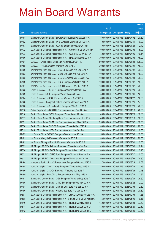|       |                                                                |               |                            | <b>Amount</b> |
|-------|----------------------------------------------------------------|---------------|----------------------------|---------------|
|       |                                                                | No. of        |                            | raised        |
| Code  | <b>Derivative warrants</b>                                     | issue (units) | <b>Listing date Expiry</b> | (HK\$ mil.)   |
| 17464 | Standard Chartered Bank - SPDR Gold Trust Eu Put Wt Jul 15 A   | 50,000,000    | 2014/11/18 2015/07/02      | 20.50         |
| 17462 | Standard Chartered Bank - TVB European Warrants Dec 2015 A     | 40,000,000    | 2014/11/18 2015/12/31      | 10.00         |
| 17463 | Standard Chartered Bank - YZ Coal European Wts Apr 2015 B      | 40,000,000    | 2014/11/18 2015/04/28      | 12.40         |
| 17472 | SGA Societe Generale Acceptance N.V. - ChiUnicom Eu Wt Oct 15A | 100,000,000   | 2014/11/18 2015/10/05      | 15.00         |
| 17473 | SGA Societe Generale Acceptance N.V. - GCL-Poly Eu Wt Jul15A   | 52,000,000    | 2014/11/18 2015/07/06      | 10.14         |
| 17466 | SGA Societe Generale Acceptance N.V. - HKEx Eu Wt Oct 2015 A   | 300,000,000   | 2014/11/18 2015/10/05      | 45.00         |
| 17461 | UBS AG - China Mobile European Warrants Apr 2017 A             | 500,000,000   | 2014/11/18 2017/04/24      | 125.00        |
| 17455 | UBS AG - HKEx European Warrants Sep 2015 E                     | 300,000,000   | 2014/11/18 2015/09/22      | 45.00         |
| 17500 | BNP Paribas Arbit Issu B.V. - BOCL European Wts Sep 2016 A     | 100,000,000   | 2014/11/19 2016/09/02      | 29.00         |
| 17503 | BNP Paribas Arbit Issu B.V. - China Life Euro Wts Aug 2015 A   | 100,000,000   | 2014/11/19 2015/08/04      | 15.00         |
| 17502 | BNP Paribas Arbit Issu B.V. - CRCC European Wts Dec 2017 A     | 100,000,000   | 2014/11/19 2017/12/04      | 25.00         |
| 17499 | BNP Paribas Arbit Issu B.V. - HKEx European Wts Dec 2015 A     | 100,000,000   | 2014/11/19 2015/12/02      | 15.00         |
| 17501 | BNP Paribas Arbit Issu B.V. - HSBC European Wts Jun 2015 A     | 100,000,000   | 2014/11/19 2015/06/02      | 20.00         |
| 17525 | Credit Suisse AG - BOC HK European Warrants Mar 2016 A         | 80,000,000    | 2014/11/19 2016/03/29      | 20.00         |
| 17529 | Credit Suisse - CSCL European Warrants Jun 2015 A              | 50,000,000    | 2014/11/19 2015/06/01      | 12.50         |
| 17524 | Credit Suisse AG - KECL European Warrants Apr 2017 A           | 80,000,000    | 2014/11/19 2017/04/27      | 12.00         |
| 17528 | Credit Suisse - Shanghai Electric European Warrants May 15 A   | 50,000,000    | 2014/11/19 2015/05/26      | 17.50         |
| 17526 | Credit Suisse AG - Shenzhen Int'l European Wts Sep 2015 A      | 80,000,000    | 2014/11/19 2015/09/29      | 20.00         |
| 17518 | Daiwa Capital Mkt - BOC HK European Warrants Nov 2015 A        | 88,000,000    | 2014/11/19 2015/11/16      | 22.00         |
| 17516 | Bank of East Asia - BOCL European Warrants Apr 2016 A          | 40,000,000    | 2014/11/19 2016/04/29      | 10.80         |
| 17517 | Bank of East Asia - Minsheng Bank European Warrants Jun 15 A   | 40,000,000    | 2014/11/19 2015/06/10      | 12.00         |
| 17531 | Bank of East Asia - Ch Mobile European Warrants May 2017 A     | 250,000,000   | 2014/11/19 2017/05/02      | 62.50         |
| 17530 | Bank of East Asia - CNOOC European Warrants Dec 2016 A         | 80,000,000    | 2014/11/19 2016/12/30      | 20.00         |
| 17515 | Bank of East Asia - HKEx European Warrants Nov 2015 A          | 70,000,000    | 2014/11/19 2015/11/30      | 10.50         |
| 17493 | HK Bank - China COSCO European Warrants Jun 2015 A             | 50,000,000    | 2014/11/19 2015/06/30      | 12.50         |
| 17491 | HK Bank - Mengniu European Warrants Jul 2015 A                 | 80,000,000    | 2014/11/19 2015/07/30      | 20.00         |
| 17492 | HK Bank - Shanghai Electric European Warrants Jul 2015 A       | 50,000,000    | 2014/11/19 2015/07/31      | 15.00         |
| 17523 | J P Morgan SP BV - Avichina European Warrants Jun 2015 A       | 40,000,000    | 2014/11/19 2015/06/30      | 10.24         |
| 17520 | J P Morgan SP BV - BOCL European Warrants Dec 2015 A           | 100,000,000   | 2014/11/19 2015/12/02      | 15.10         |
| 17521 | J P Morgan SP BV - CITIC Bank European Warrants Feb 2015 A     | 100,000,000   | 2014/11/19 2015/02/27      | 15.00         |
| 17522 | J P Morgan SP BV - A50 China European Warrants Jun 2015 A      | 100,000,000   | 2014/11/19 2015/06/02      | 25.30         |
| 17498 | Macquarie Bank Ltd. - HN Renewables European Wts Aug 2015 A    | 27,000,000    | 2014/11/19 2015/08/18      | 10.02         |
| 17488 | Nomura Int'l plc - Cheung Kong European Warrants Dec 2016 A    | 80,000,000    | 2014/11/19 2016/12/28      | 13.76         |
| 17490 | Nomura Int'l plc - CNOOC European Warrants Nov 2016 A          | 80,000,000    | 2014/11/19 2016/11/25      | 12.48         |
| 17489 | Nomura Int'l plc - PetroChina European Warrants May 2015 A     | 80,000,000    | 2014/11/19 2015/05/26      | 12.32         |
| 17497 | Standard Chartered Bank - CGS European Warrants May 2015 A     | 80,000,000    | 2014/11/19 2015/05/29      | 25.60         |
| 17495 | Standard Chartered Bank - CITIC Sec European Wts May 2015 A    | 80,000,000    | 2014/11/19 2015/05/22      | 12.00         |
| 17494 | Standard Chartered Bank - Ch Ship Cont Euro Wts Sep 2015 A     | 50,000,000    | 2014/11/19 2015/09/03      | 12.50         |
| 17496 | Standard Chartered Bank - Haitong Sec Euro Wts Dec 2015 A      | 80,000,000    | 2014/11/19 2015/12/22      | 20.80         |
| 17507 | SGA Societe Generale Acceptance N.V - Chi COSCO Eu Wt Oct 15 A | 30,000,000    | 2014/11/19 2015/10/05      | 11.85         |
| 17508 | SGA Societe Generale Acceptance NV - Ch Ship Cont Eu Wt May15A | 55,000,000    | 2014/11/19 2015/05/06      | 10.18         |
| 17510 | SGA Societe Generale Acceptance N.V. - HSI Eur Wt May 2015 B   | 150,000,000   | 2014/11/19 2015/05/28      | 37.50         |
| 17511 | SGA Societe Generale Acceptance N.V. - HSI Eur Wt Jun 2015 D   | 150,000,000   | 2014/11/19 2015/06/29      | 22.50         |
| 17512 | SGA Societe Generale Acceptance N.V. - HSI Eu Put Wt Jun 15 E  | 150,000,000   | 2014/11/19 2015/06/29      | 37.50         |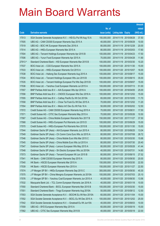|        |                                                               |               |                            | <b>Amount</b> |
|--------|---------------------------------------------------------------|---------------|----------------------------|---------------|
|        |                                                               | No. of        |                            | raised        |
| Code   | <b>Derivative warrants</b>                                    | issue (units) | <b>Listing date Expiry</b> | (HK\$ mil.)   |
| 17513  | SGA Societe Generale Acceptance N.V. - HSI Eu Put Wt Aug 15 A | 150,000,000   | 2014/11/19 2015/08/28      | 37.50         |
| 17505  | UBS AG - CAM CSI300 European Warrants Sep 2015 A              | 40,000,000    | 2014/11/19 2015/09/29      | 10.00         |
| 17519  | UBS AG - BOC HK European Warrants Dec 2016 A                  | 80,000,000    | 2014/11/19 2016/12/28      | 20.00         |
| 17514  | UBS AG - HKEx European Warrants Mar 2015 A                    | 80,000,000    | 2014/11/19 2015/03/03      | 17.60         |
| 17504  | UBS AG - Tencent Holdings European Warrants Apr 2015 B        | 100,000,000   | 2014/11/19 2015/04/23      | 17.50         |
| 17506  | UBS AG - Yurun Food European Warrants Apr 2015 A              | 70,000,000    | 2014/11/19 2015/04/28      | 11.90         |
| 27913# | Standard Chartered Bank - HSI European Warrants Mar 2015 B    | 100,000,000   | 2014/11/19 2015/03/30      | 10.20         |
| 17537  | BOCI Asia Ltd. - CGS European Warrants Nov 2015 A             | 100,000,000   | 2014/11/20 2015/11/30      | 15.00         |
| 17533  | BOCI Asia Ltd. - HKEx European Warrants Oct 2015 A            | 100,000,000   | 2014/11/20 2015/10/07      | 16.00         |
| 17538  | BOCI Asia Ltd. - Haitong Sec European Warrants Aug 2015 A     | 100,000,000   | 2014/11/20 2015/08/17      | 15.00         |
| 17534  | BOCI Asia Ltd. - Tencent Holdings European Wts Jun 2015 B     | 100,000,000   | 2014/11/20 2015/06/15      | 35.00         |
| 17535  | BOCI Asia Ltd. - Tencent Holdings European Put Wts Sep 2015 B | 100,000,000   | 2014/11/20 2015/09/07      | 15.00         |
| 17536  | BOCI Asia Ltd. - Yanzhou Coal European Warrants Jul 2015 A    | 100,000,000   | 2014/11/20 2015/07/13      | 51.00         |
| 17557  | BNP Paribas Arbit Issu B.V. - AIA European Wts Apr 2016 A     | 100,000,000   | 2014/11/20 2016/04/05      | 25.00         |
| 17556  | BNP Paribas Arbit Issu B.V. - CNOOC European Wts Dec 2016 A   | 100,000,000   | 2014/11/20 2016/12/02      | 15.00         |
| 17555  | BNP Paribas Arbit Issu B.V. - Cathay Pacific Eu Wt Oct 2015A  | 65,000,000    | 2014/11/20 2015/10/05      | 11.70         |
| 17558  | BNP Paribas Arbit Issu B.V. - Chow Tai Fook Eu Wt Dec 2015 A  | 70,000,000    | 2014/11/20 2015/12/02      | 11.20         |
| 17554  | BNP Paribas Arbit Issu B.V. - Melco Int'l Dev Eu Wt Feb 16 A  | 50,000,000    | 2014/11/20 2016/02/02      | 12.50         |
| 17572  | Credit Suisse AG - CAM CSI300 European Warrants Aug 2015 A    | 70,000,000    | 2014/11/20 2015/08/31      | 17.50         |
| 17571  | Credit Suisse AG - CITIC Sec European Warrants May 2015 A     | 70,000,000    | 2014/11/20 2015/05/26      | 10.50         |
| 17567  | Credit Suisse AG - China Mobile European Warrants Nov 2017 B  | 150,000,000   | 2014/11/20 2017/11/27      | 37.50         |
| 17568  | Credit Suisse AG - HKEx European Put Warrants Jun 2015 D      | 100,000,000   | 2014/11/20 2015/06/29      | 15.00         |
| 17570  | Credit Suisse AG - HKEx European Put Warrants Nov 2015 B      | 100,000,000   | 2014/11/20 2015/11/30      | 15.00         |
| 17544  | Goldman Sachs SP (Asia) - AIA European Warrants Jun 2015 A    | 80,000,000    | 2014/11/20 2015/06/25      | 13.04         |
| 17549  | Goldman Sachs SP (Asia) – Ch Comm Cons Euro Wts Jul 2015 A    | 80,000,000    | 2014/11/20 2015/07/08      | 28.72         |
| 17546  | Goldman Sachs SP (Asia) - China Mobile Euro Wts Mar 2015 C    | 80,000,000    | 2014/11/20 2015/03/30      | 15.68         |
| 17545  | Goldman Sachs SP (Asia) - China Mobile Euro Wts Jul 2015 A    | 80,000,000    | 2014/11/20 2015/07/30      | 20.40         |
| 17547  | Goldman Sachs SP (Asia) - Lenovo European Wts May 2015 A      | 80,000,000    | 2014/11/20 2015/05/28      | 41.44         |
| 17548  | Goldman Sachs SP (Asia) - Sh Electric European Wts Jul 2015A  | 40,000,000    | 2014/11/20 2015/07/31      | 14.80         |
| 17573  | Goldman Sachs SP (Asia) - Tencent European Wt Jun 2015 B      | 80,000,000    | 2014/11/20 2015/06/15      | 27.52         |
| 17541  | HK Bank - CAM CSI300 European Warrants Sep 2015 A             | 80,000,000    | 2014/11/20 2015/09/30      | 20.00         |
| 17540  | HK Bank - HSCEI European Warrants Mar 2015 A                  | 150,000,000   | 2014/11/20 2015/03/30      | 22.50         |
| 17539  | HK Bank - HSCEI European Warrants Nov 2015 A                  | 150,000,000   | 2014/11/20 2015/11/27      | 22.50         |
| 17574  | J P Morgan SP BV - HKEx European Warrants Sep 2015 C          | 300,000,000   | 2014/11/20 2015/09/30      | 45.30         |
| 17575  | J P Morgan SP BV - China Mengniu European Warrants Jul 2015A  | 100,000,000   | 2014/11/20 2015/07/03      | 25.10         |
| 17576  | J P Morgan SP BV - Yanzhou Coal European Warrants Jun 2015 A  | 40,000,000    | 2014/11/20 2015/06/30      | 13.56         |
| 17532  | Macquarie Bank Ltd. - TCL Comm European Warrants Jan 2016 A   | 40,000,000    | 2014/11/20 2016/01/18      | 10.00         |
| 17550  | Standard Chartered Bank - BOCL European Warrants Mar 2015 B   | 100,000,000   | 2014/11/20 2015/03/30      | 15.00         |
| 17551  | Standard Chartered Bank - Tingyi European Warrants Aug 2015A  | 50,000,000    | 2014/11/20 2015/08/12      | 12.50         |
| 17553  | SGA Societe Generale Acceptance N.V. - BOCHK Eu Wt Nov 2015A  | 60,000,000    | 2014/11/20 2015/11/04      | 15.00         |
| 17552  | SGA Societe Generale Acceptance N.V. - BOCL Eu Wt Dec 2015 A  | 100,000,000   | 2014/11/20 2015/12/02      | 25.00         |
| 17542  | SGA Societe Generale Acceptance N.V. - Greatwall Eu Wt Jun15A | 40,000,000    | 2014/11/20 2015/06/03      | 10.00         |
| 17559  | UBS AG - BYD European Warrants May 2015 A                     | 60,000,000    | 2014/11/20 2015/05/19      | 15.00         |
| 17562  | UBS AG - CITIC Sec European Warrants May 2015 B               | 40,000,000    | 2014/11/20 2015/05/19      | 22.00         |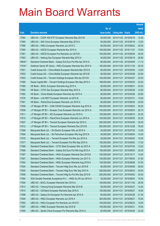|         |                                                              |               |                            |            | <b>Amount</b> |
|---------|--------------------------------------------------------------|---------------|----------------------------|------------|---------------|
|         |                                                              | No. of        |                            |            | raised        |
| Code    | <b>Derivative warrants</b>                                   | issue (units) | <b>Listing date Expiry</b> |            | $(HK$$ mil.)  |
| 17564   | UBS AG - CSOP A50 ETF European Warrants May 2015 B           | 50,000,000    | 2014/11/20 2015/05/19      |            | 12.50         |
| 17565   | UBS AG - A50 China European Warrants May 2015 A              | 50,000,000    | 2014/11/20 2015/05/19      |            | 12.50         |
| 17566   | UBS AG - HKEx European Warrants Jun 2015 C                   | 80,000,000    | 2014/11/20 2015/06/22      |            | 20.00         |
| 17560   | UBS AG - HSCEI European Warrants Nov 2015 A                  | 100,000,000   | 2014/11/20 2015/11/27      |            | 15.50         |
| 17561   | UBS AG - HSCEI European Put Warrants Jun 2015 B              | 100,000,000   | 2014/11/20 2015/06/29      |            | 25.00         |
| 17563   | UBS AG - Haitong Sec European Warrants May 2015 A            | 40,000,000    | 2014/11/20 2015/05/19      |            | 26.80         |
| 16609 # | Standard Chartered Bank - Galaxy Ent Euro Put Wts Apr 2015 D | 80,000,000    | 2014/11/20 2015/04/09      |            | 11.12         |
| 17039 # | Goldman Sachs SP (Asia) - HKEx European Warrants Nov 2015 A  | 150,000,000   | 2014/11/20 2015/11/30      |            | 25.35         |
| 17601   | Credit Suisse AG – China Mobile European Warrants Mar 2015 D | 80,000,000    | 2014/11/21                 | 2015/03/30 | 12.00         |
| 17602   | Credit Suisse AG - China Mobile European Warrants Apr 2015 B | 80,000,000    | 2014/11/21                 | 2015/04/09 | 20.80         |
| 17603   | Credit Suisse AG - Tencent Holdings European Wts Apr 2015 B  | 100,000,000   | 2014/11/21                 | 2015/04/27 | 20.00         |
| 17585   | Daiwa Capital Mkt - Tencent Holdings European Wts Sep 2015 C | 168,000,000   | 2014/11/21 2015/09/23      |            | 25.20         |
| 17580   | HK Bank - BOCL European Warrants Aug 2015 A                  | 80,000,000    | 2014/11/21                 | 2015/08/31 | 20.00         |
| 17583   | HK Bank – CITIC Sec European Warrants May 2015 A             | 80,000,000    | 2014/11/21                 | 2015/05/29 | 12.00         |
| 17582   | HK Bank - China Mobile European Warrants Apr 2015 A          | 80,000,000    | 2014/11/21                 | 2015/04/28 | 20.80         |
| 17579   | HK Bank - Link REIT European Warrants Jul 2015 B             | 60,000,000    | 2014/11/21 2015/07/31      |            | 15.00         |
| 17581   | HK Bank - PetroChina European Warrants Jun 2015 A            | 60,000,000    | 2014/11/21                 | 2015/06/30 | 24.00         |
| 17608   | J P Morgan SP BV - CAM CSI300 European Warrants Aug 2015 A   | 200,000,000   | 2014/11/21                 | 2015/08/03 | 50.20         |
| 17609   | J P Morgan SP BV - Sinopec Corp European Warrants Jun 2015 A | 100,000,000   | 2014/11/21                 | 2015/06/03 | 26.10         |
| 17611   | J P Morgan SP BV - NCI European Warrants Jun 2015 A          | 100,000,000   | 2014/11/21                 | 2015/06/15 | 25.30         |
| 17610   | J P Morgan SP BV – PetroChina European Warrants Jun 2015 A   | 100,000,000   | 2014/11/21                 | 2015/06/30 | 25.30         |
| 17607   | J P Morgan SP BV - Tencent European Warrants Apr 2015 C      | 200,000,000   | 2014/11/21                 | 2015/04/30 | 30.40         |
| 17612   | J P Morgan SP BV - Tencent European Warrants Dec 2015 B      | 500,000,000   | 2014/11/21                 | 2015/12/28 | 76.00         |
| 17589   | Macquarie Bank Ltd. - Sh Electric European Wts Jul 2015 A    | 30,000,000    | 2014/11/21 2015/07/30      |            | 13.26         |
| 17590   | Macquarie Bank Ltd. - Sh Petrochem European Wts Aug 2015 A   | 40,000,000    | 2014/11/21                 | 2015/08/04 | 10.00         |
| 17578   | Macquarie Bank Ltd. - Tencent European Put Wts Jun 2015 A    | 20,000,000    | 2014/11/21                 | 2015/06/02 | 10.00         |
| 17577   | Macquarie Bank Ltd. - Tencent European Put Wts Sep 2015 A    | 100,000,000   | 2014/11/21 2015/09/02      |            | 17.00         |
| 17588   | Standard Chartered Bank - CITIC Bank European Wts Jul 2015 A | 50,000,000    | 2014/11/21 2015/07/24      |            | 12.50         |
| 17586   | Standard Chartered Bank - Galaxy Ent Euro Put Wts Aug 2015 A | 100,000,000   | 2014/11/21                 | 2015/08/03 | 25.00         |
| 17587   | Standard Chartered Bank - HKEx European Warrants Dec 2015 B  | 100,000,000   | 2014/11/21                 | 2015/12/17 | 15.00         |
| 17591   | Standard Chartered Bank - HKEx European Warrants Jun 2017 A  | 150,000,000   | 2014/11/21                 | 2017/06/30 | 37.50         |
| 17592   | Standard Chartered Bank - HKEx European Warrants Aug 2018 A  | 150,000,000   | 2014/11/21                 | 2018/08/08 | 37.50         |
| 17604   | Standard Chartered Bank - Tencent Hidg Euro Wts Jun 2015 B   | 80,000,000    | 2014/11/21                 | 2015/06/08 | 28.00         |
| 17605   | Standard Chartered Bank - Tencent Hidg Euro Wts Sep 2015 A   | 300,000,000   | 2014/11/21                 | 2015/09/23 | 45.00         |
| 17606   | Standard Chartered Bank - Tencent Hidg Eu Put Wts Sep 2015 B | 200,000,000   | 2014/11/21                 | 2015/09/02 | 30.00         |
| 17584   | SGA Societe Generale Acceptance N.V. - HKEx Eu Wt Jun 2015 A | 30,000,000    | 2014/11/21                 | 2015/06/03 | 18.30         |
| 17594   | UBS AG - BOCL European Warrants Nov 2015 A                   | 100,000,000   | 2014/11/21                 | 2015/11/30 | 25.00         |
| 17613   | UBS AG - Cheung Kong European Warrants Mar 2015 B            | 50,000,000    | 2014/11/21                 | 2015/03/27 | 14.25         |
| 17614   | UBS AG - CM Bank European Warrants Sep 2016 A                | 100,000,000   | 2014/11/21                 | 2016/09/27 | 16.50         |
| 17596   | UBS AG - Galaxy Ent European Put Warrants Apr 2015 A         | 60,000,000    | 2014/11/21                 | 2015/04/28 | 21.00         |
| 17600   | UBS AG - HKEx European Warrants Jun 2016 A                   | 300,000,000   | 2014/11/21                 | 2016/06/27 | 75.00         |
| 17593   | UBS AG - HKEx European Put Warrants Jun 2015 D               | 100,000,000   | 2014/11/21                 | 2015/06/23 | 15.00         |
| 17597   | UBS AG - HSBC European Warrants Apr 2015 B                   | 100,000,000   | 2014/11/21                 | 2015/04/21 | 15.00         |
| 17595   | UBS AG - Sands China European Put Warrants May 2015 A        | 60,000,000    | 2014/11/21                 | 2015/05/20 | 22.20         |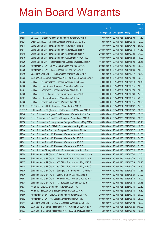|        |                                                               |               |                            |            | <b>Amount</b> |
|--------|---------------------------------------------------------------|---------------|----------------------------|------------|---------------|
|        |                                                               | No. of        |                            |            | raised        |
| Code   | <b>Derivative warrants</b>                                    | issue (units) | <b>Listing date Expiry</b> |            | (HK\$ mil.)   |
| 17598  | UBS AG – Tencent Holdings European Warrants Mar 2015 B        | 50,000,000    | 2014/11/21                 | 2015/03/03 | 11.50         |
| 17621  | Credit Suisse AG – Kingsoft European Warrants Mar 2015 E      | 80,000,000    | 2014/11/24 2015/03/30      |            | 12.00         |
| 17618  | Daiwa Capital Mkt - HKEx European Warrants Jul 2015 B         | 188,000,000   | 2014/11/24 2015/07/02      |            | 56.40         |
| 17617  | Daiwa Capital Mkt - HKEx European Warrants Aug 2015 A         | 208,000,000   | 2014/11/24 2015/08/11      |            | 41.60         |
| 17615  | Daiwa Capital Mkt - HKEx European Warrants Sep 2015 A         | 208,000,000   | 2014/11/24 2015/09/22      |            | 31.20         |
| 17619  | Daiwa Capital Mkt - HKEx European Put Warrants Nov 2015 A     | 108,000,000   | 2014/11/24 2015/11/23      |            | 16.20         |
| 17620  | Daiwa Capital Mkt - Tencent Holdings European Wts Nov 2015 A  | 168,000,000   | 2014/11/24 2015/11/02      |            | 28.56         |
| 17630  | J P Morgan SP BV - China Mob European Wts Aug 2016 A          | 500,000,000   | 2014/11/24 2016/08/01      |            | 98.00         |
| 17629  | J P Morgan SP BV - HKEx European Put Wts Nov 2015 A           | 300,000,000   | 2014/11/24 2015/11/30      |            | 45.30         |
| 17616  | Macquarie Bank Ltd. - HKEx European Warrants Dec 2015 A       | 70,000,000    | 2014/11/24 2015/12/17      |            | 10.50         |
| 17622  | SGA Societe Generale Acceptance N.V. - CP&CC Eu Wt Jun 2015A  | 80,000,000    | 2014/11/24 2015/06/03      |            | 32.80         |
| 17625  | UBS AG - Ch Comm Cons European Warrants Jul 2015 A            | 40,000,000    | 2014/11/24 2015/07/13      |            | 10.40         |
| 17626  | UBS AG - China Railway European Warrants Jun 2015 A           | 40,000,000    | 2014/11/24 2015/06/15      |            | 10.80         |
| 17624  | UBS AG - Evergrande European Warrants May 2015 B              | 40,000,000    | 2014/11/24 2015/05/29      |            | 10.00         |
| 17623  | UBS AG - Fosun Pharma European Warrants Dec 2016 A            | 70,000,000    | 2014/11/24 2016/12/30      |            | 17.50         |
| 17627  | UBS AG - Hutchison European Warrants Jun 2015 A               | 100,000,000   | 2014/11/24 2015/06/15      |            | 25.00         |
| 17628  | UBS AG - PetroChina European Warrants Jun 2015 A              | 50,000,000    | 2014/11/24 2015/06/15      |            | 18.75         |
| 15861# | BOCI Asia Ltd. - HKEx European Warrants Nov 2015 A            | 100,000,000   | 2014/11/24 2015/11/02      |            | 17.90         |
| 28617# | Goldman Sachs SP (Asia) - HKEx European Put Wts Mar 2015 A    | 160,000,000   | 2014/11/24 2015/03/02      |            | 10.56         |
| 17648  | Credit Suisse AG - Angang Steel European Warrants Apr 2015 A  | 60,000,000    | 2014/11/25 2015/04/27      |            | 13.80         |
| 17645  | Credit Suisse AG - China EB Ltd European Warrants Jul 2015 A  | 70,000,000    | 2014/11/25 2015/07/31      |            | 10.50         |
| 17650  | Credit Suisse AG - Ch Molybdenum European Warrants May 2015A  | 60,000,000    | 2014/11/25 2015/05/26      |            | 23.40         |
| 17647  | Credit Suisse AG - Ch Oilfield European Warrants Aug 2015 A   | 70,000,000    | 2014/11/25 2015/08/31      |            | 10.50         |
| 17646  | Credit Suisse AG - Fosun Intl European Warrants Apr 2015 A    | 70,000,000    | 2014/11/25 2015/04/27      |            | 10.50         |
| 17644  | Credit Suisse AG - HKEx European Warrants Jun 2015 E          | 150,000,000   | 2014/11/25 2015/06/29      |            | 31.50         |
| 17651  | Credit Suisse AG - HKEx European Warrants Sep 2015 E          | 150,000,000   | 2014/11/25 2015/09/29      |            | 34.50         |
| 17642  | Credit Suisse AG - HKEx European Warrants Nov 2015 C          | 150,000,000   | 2014/11/25 2015/11/30      |            | 22.50         |
| 17643  | Credit Suisse AG - HKEx European Warrants Nov 2015 D          | 150,000,000   | 2014/11/25 2015/11/02      |            | 31.50         |
| 17649  | Credit Suisse - Shanghai Electric European Warrants Jun 15 A  | 60,000,000    | 2014/11/25 2015/06/22      |            | 27.00         |
| 17658  | Goldman Sachs SP (Asia) - China Agri European Warrants Jun15A | 40,000,000    | 2014/11/25 2015/06/30      |            | 12.04         |
| 17640  | Goldman Sachs SP (Asia) - CSOP A50 ETF Euro Wts May 2015 B    | 80,000,000    | 2014/11/25 2015/05/29      |            | 20.64         |
| 17637  | Goldman Sachs SP (Asia) - A50 China European Wts May 2015 B   | 80,000,000    | 2014/11/25 2015/05/29      |            | 20.16         |
| 17638  | Goldman Sachs SP (Asia) - A50 China European Wts May 2015 C   | 80,000,000    | 2014/11/25 2015/05/29      |            | 46.80         |
| 17635  | Goldman Sachs SP (Asia) - Guangdong Inv European Wts Jun15 A  | 40,000,000    | 2014/11/25 2015/06/30      |            | 17.36         |
| 17636  | Goldman Sachs SP (Asia) - Galaxy Ent Euro Wts May 2015 B      | 40,000,000    | 2014/11/25 2015/05/29      |            | 21.00         |
| 17663  | Goldman Sachs SP (Asia) - HKEx European Warrants Aug 2015 A   | 120,000,000   | 2014/11/25 2015/08/18      |            | 18.00         |
| 17634  | Goldman Sachs SP (Asia) - NCI European Warrants Jun 2015 A    | 80,000,000    | 2014/11/25 2015/06/30      |            | 20.16         |
| 17631  | HK Bank - CNOOC European Warrants Oct 2015 A                  | 150,000,000   | 2014/11/25 2015/10/30      |            | 22.50         |
| 17632  | HK Bank - Sinopec Corp European Warrants Jun 2015 A           | 60,000,000    | 2014/11/25 2015/06/30      |            | 16.80         |
| 17660  | J P Morgan SP BV - CNOOC European Warrants Oct 2015 A         | 200,000,000   | 2014/11/25 2015/10/30      |            | 30.20         |
| 17662  | J P Morgan SP BV - HSI European Warrants Mar 2015 E           | 500,000,000   | 2014/11/25 2015/03/30      |            | 75.00         |
| 17641  | Macquarie Bank Ltd. - CHALCO European Warrants Jul 2015 A     | 40,000,000    | 2014/11/25 2015/07/03      |            | 10.00         |
| 17652  | SGA Societe Generale Acceptance N.V. - Ch Mob Eu Wt Apr 17 A  | 700,000,000   | 2014/11/25 2017/04/26      |            | 140.00        |
| 17633  | SGA Societe Generale Acceptance N.V. - KECL Eu Wt Aug 2015 A  | 15,000,000    | 2014/11/25 2015/08/05      |            | 10.35         |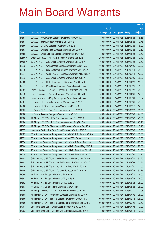|         |                                                              |               |                            |                       | <b>Amount</b> |
|---------|--------------------------------------------------------------|---------------|----------------------------|-----------------------|---------------|
|         |                                                              | No. of        |                            |                       | raised        |
| Code    | <b>Derivative warrants</b>                                   | issue (units) | <b>Listing date Expiry</b> |                       | (HK\$ mil.)   |
| 17654   | UBS AG - Anhui Conch European Warrants Nov 2015 A            | 70,000,000    |                            | 2014/11/25 2015/11/23 | 18.55         |
| 17657   | UBS AG - BYD European Warrants May 2015 B                    | 50,000,000    | 2014/11/25 2015/05/26      |                       | 19.75         |
| 17656   | UBS AG - CNOOC European Warrants Oct 2015 A                  | 100,000,000   | 2014/11/25 2015/10/26      |                       | 15.00         |
| 17653   | UBS AG - Chi Res Land European Warrants Dec 2015 A           | 70,000,000    | 2014/11/25 2015/12/28      |                       | 17.50         |
| 17655   | UBS AG - China Mengniu European Warrants Nov 2015 A          | 70,000,000    |                            | 2014/11/25 2015/11/23 | 19.60         |
| 13556 # | Credit Suisse AG - Ping An European Warrants Dec 2015 A      | 200,000,000   |                            | 2014/11/25 2015/12/23 | 12.40         |
| 15565 # | BOCI Asia Ltd. - A50 China European Warrants Dec 2016 A      | 100,000,000   | 2014/11/25 2016/12/28      |                       | 10.60         |
| 17672   | BOCI Asia Ltd. - China Mobile European Warrants Jul 2016 A   | 100,000,000   | 2014/11/26 2016/07/25      |                       | 22.00         |
| 17670   | BOCI Asia Ltd. - Sinopec Corp European Warrants May 2015 A   | 100,000,000   | 2014/11/26 2015/05/11      |                       | 25.00         |
| 17674   | BOCI Asia Ltd. - CSOP A50 ETFEuropean Warrants May 2015 A    | 100,000,000   | 2014/11/26 2015/05/11      |                       | 40.00         |
| 17673   | BOCI Asia Ltd. - A50 China European Warrants Jun 2015 A      | 100,000,000   | 2014/11/26 2015/06/29      |                       | 38.00         |
| 17669   | BOCI Asia Ltd. - HKEx European Put Warrants Nov 2015 C       | 100,000,000   | 2014/11/26 2015/11/23      |                       | 15.00         |
| 17671   | BOCI Asia Ltd. - PetroChina European Warrants Jun 2015 A     | 100,000,000   | 2014/11/26 2015/06/29      |                       | 31.00         |
| 17681   | Credit Suisse AG - CNOOC European Put Warrants Dec 2015 B    | 100,000,000   | 2014/11/26 2015/12/28      |                       | 25.00         |
| 17679   | Credit Suisse AG - Ping An European Warrants Apr 2015 D      | 80,000,000    | 2014/11/26 2015/04/30      |                       | 12.80         |
| 17685   | Daiwa Capital Mkt - Ping An European Warrants Jun 2015 A     | 98,000,000    | 2014/11/26 2015/06/01      |                       | 33.32         |
| 17667   | HK Bank - China Mobile European Warrants Mar 2015 A          | 80,000,000    |                            | 2014/11/26 2015/03/30 | 28.00         |
| 17666   | HK Bank - Ch Oilfield European Warrants Jul 2015 B           | 80,000,000    | 2014/11/26 2015/07/10      |                       | 12.00         |
| 17665   | HK Bank - Ch Ship Cont European Warrants Jun 2015 A          | 60,000,000    | 2014/11/26 2015/06/29      |                       | 15.00         |
| 17668   | HK Bank - Tencent European Warrants Jun 2015 B               | 80,000,000    | 2014/11/26 2015/06/09      |                       | 24.00         |
| 17686   | J P Morgan SP BV - HKEx European Warrants Oct 2015 A         | 300,000,000   |                            | 2014/11/26 2015/10/30 | 45.60         |
| 17664   | J P Morgan SP BV - KECL European Warrants Aug 2017 A         | 100,000,000   | 2014/11/26 2017/08/31      |                       | 25.10         |
| 17687   | J P Morgan SP BV - Shenzhen Int'l European Warrants Sep 15 A | 100,000,000   |                            | 2014/11/26 2015/09/22 | 15.10         |
| 17677   | Macquarie Bank Ltd. - PetroChina European Wts Jun 2015 B     | 20,000,000    | 2014/11/26 2015/06/02      |                       | 10.00         |
| 17682   | SGA Societe Generale Acceptance N.V. - BOCHK Eu Wt Apr 2016A | 70,000,000    |                            | 2014/11/26 2016/04/06 | 10.50         |
| 17675   | SGA Societe Generale Acceptance N.V. - CITBK Eu Wt Jul 15 A  | 40,000,000    | 2014/11/26 2015/07/06      |                       | 10.00         |
| 17676   | SGA Societe Generale Acceptance N.V. - Ch Mob Eu Wt Dec 16 A | 700,000,000   |                            | 2014/11/26 2016/12/05 | 175.00        |
| 17684   | SGA Societe Generale Acceptance N.V. - HKEx Eu Wt May 2015 A | 30,000,000    | 2014/11/26 2015/05/06      |                       | 22.50         |
| 17683   | SGA Societe Generale Acceptance N.V. - HKEx Eu Wt Jun 2015 B | 300,000,000   | 2014/11/26 2015/06/03      |                       | 51.00         |
| 17678   | SGA Societe Generale Acceptance N.V. - Petch Eu Wt Jul 2015A | 60,000,000    |                            | 2014/11/26 2015/07/06 | 25.20         |
| 17708   | Goldman Sachs SP (Asia) - BYD European Warrants May 2015 A   | 80,000,000    | 2014/11/27 2015/05/29      |                       | 37.20         |
| 17707   | Goldman Sachs SP (Asia) - HKEx European Put Wts Dec 2015 D   | 120,000,000   | 2014/11/27 2015/12/02      |                       | 21.36         |
| 17710   | Goldman Sachs SP (Asia) - Poly HK Inv Euro Wts Jul 2015 A    | 50,000,000    | 2014/11/27 2015/07/30      |                       | 12.50         |
| 17709   | Goldman Sachs SP (Asia) - Tencent European Wt Dec 2015 A     | 150,000,000   | 2014/11/27 2015/12/28      |                       | 30.15         |
| 17694   | HK Bank - HSI European Warrants Feb 2015 J                   | 100,000,000   | 2014/11/27 2015/02/26      |                       | 18.00         |
| 17691   | HK Bank - HSI European Warrants May 2015 B                   | 100,000,000   | 2014/11/27 2015/05/28      |                       | 25.00         |
| 17692   | HK Bank - HSI European Warrants May 2015 C                   | 100,000,000   | 2014/11/27 2015/05/28      |                       | 25.00         |
| 17693   | HK Bank - HSI European Put Warrants May 2015 D               | 100,000,000   | 2014/11/27 2015/05/28      |                       | 25.00         |
| 17706   | J P Morgan Int'l Der. Ltd. - Ch Res Ent Euro Wts Oct 2015 A  | 80,000,000    | 2014/11/27 2015/10/30      |                       | 20.08         |
| 17688   | J P Morgan SP BV - Hutchison European Warrants Jul 2015 A    | 80,000,000    |                            | 2014/11/27 2015/07/02 | 25.20         |
| 17689   | J P Morgan SP BV - Tencent European Warrants Dec 2015 C      | 600,000,000   | 2014/11/27 2015/12/18      |                       | 105.00        |
| 17690   | J P Morgan SP BV - Tencent European Put Warrants Sep 2015 B  | 600,000,000   | 2014/11/27 2015/09/02      |                       | 90.60         |
| 17704   | Macquarie Bank Ltd. - China Coal European Wts Jul 2015 A     | 25,000,000    | 2014/11/27 2015/07/03      |                       | 10.00         |
| 17703   | Macquarie Bank Ltd. - Sinopec Seg European Wts Aug 2017 A    | 40,000,000    | 2014/11/27 2017/08/16      |                       | 10.00         |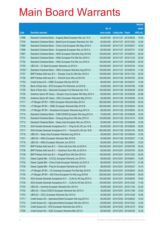|         |                                                                |               |                                  |            | <b>Amount</b> |
|---------|----------------------------------------------------------------|---------------|----------------------------------|------------|---------------|
|         |                                                                | No. of        |                                  |            | raised        |
| Code    | <b>Derivative warrants</b>                                     | issue (units) | <b>Listing date Expiry</b>       |            | $(HK$$ mil.)  |
| 17696   | Standard Chartered Bank - Angang Steel European Wts Jun 15 A   | 40,000,000    | 2014/11/27 2015/06/26            |            | 10.00         |
| 17700   | Standard Chartered Bank - BankComm European Warrants Oct 15A   | 50,000,000    | 2014/11/27 2015/10/02            |            | 12.50         |
| 17699   | Standard Chartered Bank - China Coal European Wts May 2015 A   | 60,000,000    | 2014/11/27 2015/05/27            |            | 15.00         |
| 17698   | Standard Chartered Bank – Evergrande European Wts Jul 2015 A   | 60,000,000    | 2014/11/27 2015/07/31            |            | 15.00         |
| 17697   | Standard Chartered Bank - HKEx European Warrants Sep 2015 B    | 100,000,000   | 2014/11/27 2015/09/10            |            | 25.00         |
| 17701   | Standard Chartered Bank - HKEx European Put Wts Nov 2015 C     | 100,000,000   | 2014/11/27 2015/11/23            |            | 23.00         |
| 17702   | Standard Chartered Bank - HKEx European Put Wts Jun 2016 A     | 100,000,000   | 2014/11/27 2016/06/28            |            | 25.00         |
| 17705   | UBS AG - CC Bank European Warrants Jul 2015 A                  | 100,000,000   | 2014/11/27 2015/07/24            |            | 15.00         |
| 13702 # | Standard Chartered Bank - HKEx European Warrants Aug 2015 A    | 100,000,000   | 2014/11/27 2015/08/18            |            | 11.40         |
| 17727   | BNP Paribas Arbit Issu B.V. - Sinopec Corp Eu Wts Nov 2015 A   | 100,000,000   | 2014/11/28 2015/11/03            |            | 25.00         |
| 17728   | BNP Paribas Arbit Issu B.V. - PetroCh Euro Wts Jul 2015 B      | 100,000,000   | 2014/11/28 2015/07/03            |            | 25.00         |
| 17722   | Credit Suisse AG - HSBC European Wts Apr 2015 B                | 80,000,000    | 2014/11/28 2015/04/27            |            | 12.00         |
| 17730   | Bank of East Asia – BYD European Put Warrants Jul 2015 B       | 40,000,000    | 2014/11/28 2015/07/06            |            | 13.68         |
| 17729   | Bank of East Asia - Stanchart European Put Warrants Apr 16 A   | 100,000,000   | 2014/11/28 2016/04/29            |            | 25.00         |
| 17726   | Goldman Sachs SP (Asia) - Sinopec Corp European Wts May 2015 A | 80,000,000    | 2014/11/28 2015/05/29            |            | 20.96         |
| 17725   | Goldman Sachs SP (Asia) - KECL European Warrants May 2015 A    | 80,000,000    | 2014/11/28 2015/05/29            |            | 27.04         |
| 17711   | J P Morgan SP BV - HKEx European Warrants May 2015 A           | 300,000,000   | 2014/11/28 2015/05/29            |            | 45.30         |
| 17723   | J P Morgan SP BV - HSBC European Warrants May 2015 B           | 200,000,000   | 2014/11/28 2015/05/04            |            | 30.40         |
| 17724   | J P Morgan SP BV - Sinopharm European Warrants Aug 2015 A      | 80,000,000    | 2014/11/28 2015/08/03            |            | 20.16         |
| 17714   | Standard Chartered Bank - CAM CSI300 European Wts Aug 2015 A   | 70,000,000    | 2014/11/28 2015/08/28            |            | 10.50         |
| 17715   | Standard Chartered Bank - Cheung Kong Euro Wts Dec 2015 A      | 100,000,000   | 2014/11/28 2015/12/14            |            | 18.00         |
| 17712   | Standard Chartered Bank - Geely Auto European Wts Jun 2015 A   | 50,000,000    | 2014/11/28 2015/06/09            |            | 12.50         |
| 17716   | SGA Societe Generale Acceptance N.V. - Ping An Eu Wt Jun 15 B  | 80,000,000    | 2014/11/28 2015/06/03            |            | 30.80         |
| 17717   | SGA Societe Generale Acceptance N.V. - Tencent Eu Wt Jan 16 B  | 500,000,000   | 2014/11/28 2016/01/04            |            | 95.00         |
| 17718   | UBS AG - Geely Auto European Warrants Aug 2015 A               | 40,000,000    | 2014/11/28 2015/08/24            |            | 12.00         |
| 17721   | UBS AG - HKEx European Warrants Mar 2015 B                     | 40,000,000    | 2014/11/28 2015/03/27            |            | 11.20         |
| 17719   | UBS AG - HKEx European Warrants Jun 2015 E                     |               | 60,000,000 2014/11/28 2015/06/01 |            | 10.20         |
| 17737   | BNP Paribas Arbit Issu B.V. - China Life Euro Wts Jul 2016 A   | 100,000,000   | 2014/12/01 2016/07/05            |            | 25.00         |
| 17736   | BNP Paribas Arbit Issu B.V. - Hutchison Euro Wts Jul 2015 A    | 80,000,000    | 2014/12/01                       | 2015/07/03 | 20.00         |
| 17738   | BNP Paribas Arbit Issu B.V. - Kingsoft Euro Wts Dec 2015 A     | 100,000,000   | 2014/12/01                       | 2015/12/02 | 25.00         |
| 17731   | Daiwa Capital Mkt - CCCCL European Warrants Jun 2015 A         | 58,000,000    | 2014/12/01                       | 2015/06/01 | 14.50         |
| 17732   | Daiwa Capital Mkt - China Cinda European Warrants Jul 2015 A   | 68,000,000    | 2014/12/01                       | 2015/07/15 | 21.08         |
| 17739   | Daiwa Capital Mkt - Ping An European Warrants Apr 2015 B       | 98,000,000    | 2014/12/01                       | 2015/04/27 | 14.70         |
| 17741   | J P Morgan SP BV - Ch Overseas European Put Wts May 2015 B     | 200,000,000   | 2014/12/01                       | 2015/05/04 | 30.00         |
| 17740   | J P Morgan SP BV - A50 China European Put Wts Aug 2016 B       | 200,000,000   | 2014/12/01                       | 2016/08/30 | 30.00         |
| 17733   | SGA Societe Generale Acceptance N.V. - CLife Eu Wt Aug 2015 A  | 100,000,000   | 2014/12/01                       | 2015/08/05 | 19.00         |
| 17735   | SGA Societe Generale Acceptance N.V. - CLife Eu Wt Dec 2015 A  | 100,000,000   | 2014/12/01                       | 2015/12/02 | 17.00         |
| 17744   | UBS AG - Avichina European Warrants Nov 2015 A                 | 40,000,000    | 2014/12/01                       | 2015/11/30 | 23.20         |
| 17742   | UBS AG - China COSCO European Warrants Nov 2015 A              | 30,000,000    | 2014/12/01                       | 2015/11/09 | 10.50         |
| 17743   | UBS AG - CSCL European Warrants Dec 2015 A                     | 40,000,000    | 2014/12/01                       | 2015/12/28 | 10.60         |
| 17771   | Credit Suisse AG - Agricultural Bank European Wts Aug 2015 A   | 80,000,000    | 2014/12/02 2015/08/24            |            | 12.00         |
| 17772   | Credit Suisse AG - Agricultural Bank European Wts Dec 2015 A   | 80,000,000    | 2014/12/02 2015/12/22            |            | 12.00         |
| 17774   | Credit Suisse AG - BYD European Warrants Dec 2016 A            | 120,000,000   | 2014/12/02 2016/12/19            |            | 18.00         |
| 17769   | Credit Suisse AG - ICBC European Warrants Mar 2015 A           | 80,000,000    | 2014/12/02 2015/03/30            |            | 12.00         |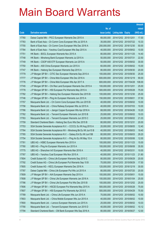|       |                                                                |               |                            | <b>Amount</b> |
|-------|----------------------------------------------------------------|---------------|----------------------------|---------------|
|       |                                                                | No. of        |                            | raised        |
| Code  | <b>Derivative warrants</b>                                     | issue (units) | <b>Listing date Expiry</b> | (HK\$ mil.)   |
| 17760 | Daiwa Capital Mkt - PICC European Warrants Dec 2015 A          | 68,000,000    | 2014/12/02 2015/12/01      | 17.00         |
| 17783 | Bank of East Asia - Ch Comm Cons European Wts Jul 2015 A       | 35,000,000    | 2014/12/02 2015/07/22      | 10.33         |
| 17755 | Bank of East Asia - Ch Comm Cons European Wts Dec 2016 A       | 200,000,000   | 2014/12/02 2016/12/30      | 50.00         |
| 17784 | Bank of East Asia - Yanzhou Coal European Wts Sep 2015 A       | 40,000,000    | 2014/12/02 2015/09/02      | 10.00         |
| 17751 | HK Bank - BOCL European Warrants Nov 2015 A                    | 80,000,000    | 2014/12/02 2015/11/25      | 14.40         |
| 17748 | HK Bank - Minsheng Bank European Warrants Jul 2015 A           | 50,000,000    | 2014/12/02 2015/07/31      | 22.50         |
| 17749 | HK Bank - CSOP A50 ETF European Warrants Jun 2015 A            | 50,000,000    | 2014/12/02 2015/06/02      | 30.00         |
| 17750 | HK Bank - A50 China European Warrants Jun 2015 A               | 60,000,000    | 2014/12/02 2015/06/02      | 15.00         |
| 17747 | HK Bank - Haitong Sec European Warrants Sep 2015 A             | 80,000,000    | 2014/12/02 2015/09/30      | 20.00         |
| 17779 | J P Morgan SP BV - CITIC Sec European Warrants Sep 2015 A      | 100,000,000   | 2014/12/02 2015/09/30      | 25.00         |
| 17777 | J P Morgan SP BV - China Mob European Wts Dec 2016 A           | 600,000,000   | 2014/12/02 2016/12/19      | 90.00         |
| 17776 | J P Morgan SP BV - China Mob European Wts Apr 2017 A           | 600,000,000   | 2014/12/02 2017/04/28      | 108.00        |
| 17745 | J P Morgan SP BV - Chi Res Land European Warrants Dec 2015 A   | 100,000,000   | 2014/12/02 2015/12/01      | 25.00         |
| 17778 | J P Morgan SP BV - HSI European Put Warrants May 2015 A        | 500,000,000   | 2014/12/02 2015/05/28      | 75.00         |
| 17782 | J P Morgan SP BV - Haitong Sec European Warrants Dec 2015 B    | 100,000,000   | 2014/12/02 2015/12/30      | 25.00         |
| 17746 | J P Morgan SP BV - Ping An European Warrants Jun 2015 A        | 150,000,000   | 2014/12/02 2015/06/01      | 37.50         |
| 17757 | Macquarie Bank Ltd. - Ch Comm Cons European Wts Jun 2015 B     | 40,000,000    | 2014/12/02 2015/06/02      | 10.00         |
| 17756 | Macquarie Bank Ltd. - China Railway European Wts Jul 2015 A    | 40,000,000    | 2014/12/02 2015/07/03      | 10.00         |
| 17766 | Macquarie Bank Ltd. - Jiangxi Copper European Wts Apr 2016 A   | 68,000,000    | 2014/12/02 2016/04/26      | 10.20         |
| 17762 | Macquarie Bank Ltd. - Tencent European Warrants Jun 2015 B     | 25,000,000    | 2014/12/02 2015/06/02      | 10.03         |
| 17763 | Macquarie Bank Ltd. - Tencent European Warrants Jun 2015 C     | 25,000,000    | 2014/12/02 2015/06/02      | 21.03         |
| 17759 | Standard Chartered Bank - Haitong Sec Euro Wts Dec 2015 B      | 80,000,000    | 2014/12/02 2015/12/31      | 20.00         |
| 17753 | SGA Societe Generale Acceptance N.V. - CCCCL Eu Wt Aug 2015 A  | 20,000,000    | 2014/12/02 2015/08/05      | 12.40         |
| 17764 | SGA Societe Generale Acceptance NV - Minsheng Bk Eu Wt Jun15 B | 40,000,000    | 2014/12/02 2015/06/03      | 19.40         |
| 17765 | SGA Societe Generale Acceptance N.V. - Galaxy Ent Eu Wt Jun15B | 80,000,000    | 2014/12/02 2015/06/03      | 29.20         |
| 17754 | SGA Societe Generale Acceptance N.V. - Ping An Eu Wt May 15 A  | 80,000,000    | 2014/12/02 2015/05/06      | 12.00         |
| 17781 | UBS AG - HSBC European Warrants Nov 2015 A                     | 100,000,000   | 2014/12/02 2015/11/23      | 15.00         |
| 17780 | UBS AG - Ping An European Warrants Jun 2015 A                  | 100,000,000   | 2014/12/02 2015/06/08      | 35.50         |
| 17775 | UBS AG - Shenzhen Int'l European Warrants Mar 2016 A           | 40,000,000    | 2014/12/02 2016/03/31      | 10.00         |
| 17767 | UBS AG - Yanzhou Coal European Wts Nov 2015 A                  | 40,000,000    | 2014/12/02 2015/11/23      | 21.80         |
| 17804 | Credit Suisse AG - China Life European Warrants Sep 2015 C     | 80,000,000    | 2014/12/03 2015/09/29      | 20.00         |
| 17792 | Credit Suisse AG - China Life European Put Warrants Sep 15 B   | 70,000,000    | 2014/12/03 2015/09/29      | 17.50         |
| 17805 | Credit Suisse AG - KECL European Warrants Dec 2016 A           | 120,000,000   | 2014/12/03 2016/12/19      | 30.00         |
| 17787 | Daiwa Capital Mkt - China Life European Put Wts Jul 2015 A     | 80,000,000    | 2014/12/03 2015/07/20      | 20.00         |
| 17809 | J P Morgan SP BV - AIA European Warrants Sep 2015 A            | 100,000,000   | 2014/12/03 2015/09/01      | 15.00         |
| 17808 | J P Morgan SP BV - China Life European Warrants Jan 2016 A     | 100,000,000   | 2014/12/03 2016/01/04      | 25.00         |
| 17786 | J P Morgan SP BV - China Life European Put Wts Dec 2015 B      | 100,000,000   | 2014/12/03 2015/12/02      | 25.00         |
| 17806 | J P Morgan SP BV - HSCEI European Put Warrants May 2015 A      | 500,000,000   | 2014/12/03 2015/05/28      | 75.00         |
| 17807 | J P Morgan SP BV - HSI European Put Warrants Apr 2015 E        | 500,000,000   | 2014/12/03 2015/04/29      | 75.50         |
| 17789 | Macquarie Bank Ltd. - China Life European Wts Jun 2015 A       | 70,000,000    | 2014/12/03 2015/06/02      | 10.50         |
| 17803 | Macquarie Bank Ltd. - China Mobile European Wts Jun 2015 A     | 40,000,000    | 2014/12/03 2015/06/02      | 10.00         |
| 17800 | Macquarie Bank Ltd. - Lenovo European Warrants Jun 2015 A      | 25,000,000    | 2014/12/03 2015/06/02      | 10.03         |
| 17790 | Macquarie Bank Ltd. - Tencent European Warrants Jun 2015 D     | 40,000,000    | 2014/12/03 2015/06/02      | 10.12         |
| 17794 | Standard Chartered Bank - CM Bank European Wts Sep 2016 A      | 80,000,000    | 2014/12/03 2016/09/27      | 12.00         |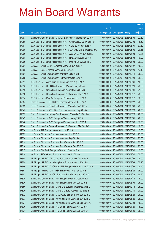|       |                                                                |                                   |                            | <b>Amount</b> |
|-------|----------------------------------------------------------------|-----------------------------------|----------------------------|---------------|
|       |                                                                | No. of                            |                            | raised        |
| Code  | <b>Derivative warrants</b>                                     | issue (units)                     | <b>Listing date Expiry</b> | (HK\$ mil.)   |
| 17793 | Standard Chartered Bank - CNOOC European Warrants May 2016 A   | 150,000,000                       | 2014/12/03 2016/05/06      | 22.50         |
| 17785 | SGA Societe Generale Acceptance N.V. - CAM CSI300 Eu Wt Sep15A | 100,000,000                       | 2014/12/03 2015/09/02      | 18.50         |
| 17797 | SGA Societe Generale Acceptance N.V. - CLife Eu Wt Jun 2016 A  | 150,000,000                       | 2014/12/03 2016/06/01      | 37.50         |
| 17795 | SGA Societe Generale Acceptance NV - CSOP A50 ETF Eu Wt May15C | 70,000,000                        | 2014/12/03 2015/05/06      | 20.65         |
| 17796 | SGA Societe Generale Acceptance N.V. - A50 Ch Eu Wt Jun 2015A  | 70,000,000                        | 2014/12/03 2015/06/03      | 17.85         |
| 17798 | SGA Societe Generale Acceptance N.V. - HKEx Eu Wt Jun 2015 C   | 40,000,000                        | 2014/12/03 2015/06/03      | 19.20         |
| 17799 | SGA Societe Generale Acceptance N.V. - Ping An Eu Wt Jun 15 C  | 80,000,000                        | 2014/12/03 2015/06/03      | 20.00         |
| 17791 | UBS AG - China EB Int'l European Warrants Jun 2016 A           | 60,000,000                        | 2014/12/03 2016/06/27      | 15.00         |
| 17802 | UBS AG - CGS European Warrants Jul 2015 A                      | 30,000,000                        | 2014/12/03 2015/07/20      | 17.10         |
| 17801 | UBS AG - China Life European Warrants Oct 2015 B               | 100,000,000                       | 2014/12/03 2015/10/12      | 25.00         |
| 17788 | UBS AG - China Life European Put Warrants Oct 2015 A           | 100,000,000                       | 2014/12/03 2015/10/23      | 25.00         |
| 17811 | BOCI Asia Ltd. - Agricultural Bk European Wts Aug 2015 A       | 100,000,000                       | 2014/12/04 2015/08/31      | 15.00         |
| 17815 | BOCI Asia Ltd. - CITIC Sec European Warrants May 2015 A        | 100,000,000                       | 2014/12/04 2015/05/29      | 23.00         |
| 17812 | BOCI Asia Ltd. - China Life European Warrants Jun 2015 B       | 100,000,000                       | 2014/12/04 2015/06/01      | 21.00         |
| 17813 | BOCI Asia Ltd. - China Life European Put Warrants Oct 2015 A   | 100,000,000                       | 2014/12/04 2015/10/12      | 25.00         |
| 17814 | BOCI Asia Ltd. - Ping An European Put Warrants Jun 2015 A      | 100,000,000                       | 2014/12/04 2015/06/12      | 30.00         |
| 17854 | Credit Suisse AG - CITIC Sec European Warrants Jul 2015 A      | 80,000,000                        | 2014/12/04 2015/07/27      | 20.00         |
| 17852 | Credit Suisse AG - China Life European Warrants Jun 2015 A     | 100,000,000                       | 2014/12/04 2015/06/30      | 25.00         |
| 17845 | Credit Suisse AG - A50 China European Warrants Sep 2018 A      | 150,000,000                       | 2014/12/04 2018/09/28      | 22.50         |
| 17853 | Credit Suisse AG - Haitong Sec European Warrants Oct 2015 A    | 80,000,000                        | 2014/12/04 2015/10/26      | 20.00         |
| 17849 | Credit Suisse AG - ICBC European Warrants Aug 2015 A           | 80,000,000                        | 2014/12/04 2015/08/31      | 20.00         |
| 17848 | Credit Suisse AG - ICBC European Put Warrants Jun 2015 A       | 70,000,000                        | 2014/12/04 2015/06/03      | 17.50         |
| 17846 | Credit Suisse AG - Ping An European Put Warrants Mar 2015 C    | 70,000,000                        | 2014/12/04 2015/03/03      | 10.50         |
| 17820 | HK Bank - AIA European Warrants Jun 2015 A                     | 100,000,000                       | 2014/12/04 2015/06/30      | 15.00         |
| 17823 | HK Bank - China Life European Warrants Jun 2015 C              | 100,000,000                       | 2014/12/04 2015/06/30      | 25.00         |
| 17824 | HK Bank - China Life European Warrants Aug 2015 A              | 100,000,000                       | 2014/12/04 2015/08/31      | 25.00         |
| 17819 | HK Bank - China Life European Put Warrants Sep 2015 C          | 100,000,000 2014/12/04 2015/09/30 |                            | 25.00         |
| 17816 | HK Bank - China Life European Put Warrants Dec 2015 B          | 100,000,000                       | 2014/12/04 2015/12/31      | 25.00         |
| 17817 | HK Bank - CM Bank European Warrants Sep 2016 A                 | 100,000,000                       | 2014/12/04 2016/09/30      | 15.00         |
| 17818 | HK Bank - PICC Group European Warrants Jul 2015 A              | 100,000,000                       | 2014/12/04 2015/07/31      | 25.00         |
| 17858 | J P Morgan SP BV - China Life European Warrants Oct 2015 B     | 100,000,000                       | 2014/12/04 2015/10/02      | 25.00         |
| 17859 | J P Morgan SP BV - Minsheng Bank European Wts Jul 2015 A       | 100,000,000                       | 2014/12/04 2015/07/03      | 25.10         |
| 17860 | J P Morgan SP BV - CSOP A50 ETF European Warrants Jun 2015 A   | 100,000,000                       | 2014/12/04 2015/06/03      | 25.40         |
| 17861 | J P Morgan Int'l Der. Ltd. - HSCEI European Wts Aug 2015 B     | 300,000,000                       | 2014/12/04 2015/08/28      | 75.00         |
| 17857 | J P Morgan SP BV - HSCEI European Put Warrants Aug 2015 A      | 300,000,000                       | 2014/12/04 2015/08/28      | 75.90         |
| 17825 | Standard Chartered Bank - AIA European Warrants Jul 2015 A     | 100,000,000                       | 2014/12/04 2015/07/13      | 15.00         |
| 17826 | Standard Chartered Bank - AIA European Put Wts Jun 2015 B      | 100,000,000                       | 2014/12/04 2015/06/03      | 25.00         |
| 17856 | Standard Chartered Bank - China Life European Wts Dec 2015 C   | 100,000,000                       | 2014/12/04 2015/12/18      | 25.00         |
| 17829 | Standard Chartered Bank - China Life Euro Put Wts Sep 2015 B   | 80,000,000                        | 2014/12/04 2015/09/30      | 20.00         |
| 17832 | Standard Chartered Bank - CSOP A50 ETF Euro Wts Jun 2015 D     | 100,000,000                       | 2014/12/04 2015/06/26      | 26.00         |
| 17833 | Standard Chartered Bank - A50 China Euro Warrants Jun 2015 B   | 100,000,000                       | 2014/12/04 2015/06/26      | 25.00         |
| 17834 | Standard Chartered Bank - A50 China Euro Warrants Sep 2018 A   | 100,000,000                       | 2014/12/04 2018/09/28      | 15.00         |
| 17830 | Standard Chartered Bank - HSI European Put Wts Apr 2015 H      | 100,000,000                       | 2014/12/04 2015/04/29      | 15.00         |
| 17831 | Standard Chartered Bank - HSI European Put Wts Jun 2015 D      | 100,000,000                       | 2014/12/04 2015/06/29      | 25.00         |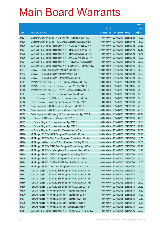|       |                                                                |               |                            |                       | <b>Amount</b> |
|-------|----------------------------------------------------------------|---------------|----------------------------|-----------------------|---------------|
|       |                                                                | No. of        |                            |                       | raised        |
| Code  | <b>Derivative warrants</b>                                     | issue (units) | <b>Listing date Expiry</b> |                       | (HK\$ mil.)   |
| 17827 | Standard Chartered Bank - NCI European Warrants Jun 2015 A     | 40,000,000    |                            | 2014/12/04 2015/06/25 | 10.00         |
| 17828 | Standard Chartered Bank - PICC Group European Wts Jul 2015 A   | 60,000,000    |                            | 2014/12/04 2015/07/02 | 15.00         |
| 17836 | SGA Societe Generale Acceptance N.V. - CLife Eu Wt Sep 2015 A  | 150,000,000   | 2014/12/04                 | 2015/09/02            | 37.50         |
| 17837 | SGA Societe Generale Acceptance N.V. - HKEx Eu Put Wt Jul16A   | 300,000,000   |                            | 2014/12/04 2016/07/06 | 52.50         |
| 17838 | SGA Societe Generale Acceptance N.V. - HWL Eur Wt Jun 2015 A   | 50,000,000    |                            | 2014/12/04 2015/06/03 | 18.75         |
| 17839 | SGA Societe Generale Acceptance N.V. - PICC Eu Wts Sep 2015A   | 40,000,000    |                            | 2014/12/04 2015/09/02 | 10.00         |
| 17821 | SGA Societe Generale Acceptance N.V - Ping An Eu Put Wt Jul15A | 80,000,000    | 2014/12/04                 | 2015/07/06            | 26.80         |
| 17842 | SGA Societe Generale Acceptance NV - Sands Ch Eu Put Wt Jul15A | 80,000,000    |                            | 2014/12/04 2015/07/06 | 38.00         |
| 17844 | UBS AG - China Life European Warrants Jan 2016 A               | 100,000,000   | 2014/12/04 2016/01/11      |                       | 25.00         |
| 17843 | UBS AG - Ping An European Warrants Apr 2015 B                  | 100,000,000   |                            | 2014/12/04 2015/04/28 | 21.00         |
| 17835 | UBS AG - Ping An European Put Warrants Jun 2015 B              | 100,000,000   | 2014/12/04 2015/06/08      |                       | 25.00         |
| 17881 | BNP Paribas Arbit Issu B.V. - BYD European Wts Jan 2017 A      | 100,000,000   |                            | 2014/12/05 2017/01/04 | 15.00         |
| 17883 | BNP Paribas Arbit Issu B.V. - China Life Euro Wts Apr 2016 A   | 100,000,000   |                            | 2014/12/05 2016/04/05 | 25.00         |
| 17882 | BNP Paribas Arbit Issu B.V. - Ping An European Wt Nov 2015 A   | 100,000,000   |                            | 2014/12/05 2015/11/03 | 25.00         |
| 17887 | Credit Suisse AG - BOCL European Warrants Aug 2015 A           | 70,000,000    | 2014/12/05 2015/08/31      |                       | 17.50         |
| 17886 | Credit Suisse AG - CITIC Bank European Warrants Jul 2015 A     | 70,000,000    |                            | 2014/12/05 2015/07/07 | 17.50         |
| 17885 | Credit Suisse AG - Minsheng Bank European Wts Jul 2015 A       | 70,000,000    | 2014/12/05 2015/07/31      |                       | 25.90         |
| 17892 | Daiwa Capital Mkt - BOCL European Warrants Oct 2015 A          | 108,000,000   |                            | 2014/12/05 2015/10/02 | 27.00         |
| 17890 | Daiwa Capital Mkt - CMB European Warrants Dec 2015 A           | 80,000,000    | 2014/12/05 2015/12/01      |                       | 21.60         |
| 17893 | Daiwa Capital Mkt - Minsheng Bk European Warrants Apr 2015 A   | 80,000,000    | 2014/12/05 2015/04/28      |                       | 22.40         |
| 17880 | HK Bank - ICBC European Warrants Jul 2015 B                    | 80,000,000    | 2014/12/05 2015/07/31      |                       | 20.00         |
| 17872 | HK Bank - Ping An European Warrants Apr 2015 B                 | 80,000,000    |                            | 2014/12/05 2015/04/27 | 16.00         |
| 17874 | HK Bank - Ping An European Warrants Apr 2015 C                 | 80,000,000    | 2014/12/05 2015/04/27      |                       | 27.20         |
| 17873 | HK Bank - Ping An European Put Warrants Jun 2015 A             | 80,000,000    |                            | 2014/12/05 2015/06/04 | 20.00         |
| 17900 | J P Morgan SP BV - BOCL European Warrants Oct 2015 A           | 200,000,000   |                            | 2014/12/05 2015/10/06 | 50.20         |
| 17898 | J P Morgan SP BV - BankComm European Warrants Apr 2015 A       | 80,000,000    | 2014/12/05 2015/04/30      |                       | 12.56         |
| 17896 | J P Morgan Int'l Der. Ltd. - CC Bank European Wts Sep 2015 A   | 200,000,000   | 2014/12/05 2015/09/01      |                       | 50.60         |
| 17899 | J P Morgan SP BV - CITIC Bank European Warrants Aug 2015 A     | 100,000,000   | 2014/12/05 2015/08/03      |                       | 25.20         |
| 17901 | J P Morgan SP BV - Minsheng Bank European Wts May 2015 A       | 80,000,000    | 2014/12/05 2015/05/04      |                       | 12.16         |
| 17869 | J P Morgan SP BV - CNOOC European Warrants May 2016 A          | 200,000,000   |                            | 2014/12/05 2016/05/06 | 30.40         |
| 17870 | J P Morgan SP BV - CNOOC European Warrants Sep 2016 A          | 200,000,000   | 2014/12/05 2016/09/30      |                       | 30.00         |
| 17895 | J P Morgan SP BV - CSOP A50 ETF Euro Put Wts Oct 2016 A        | 100,000,000   |                            | 2014/12/05 2016/10/03 | 15.00         |
| 17894 | J P Morgan SP BV - A50 China European Warrants Apr 2015 A      | 100,000,000   | 2014/12/05 2015/04/01      |                       | 15.00         |
| 17862 | Nomura Int'l plc - CSOP A50 ETF European Warrants Jun 2015 A   | 50,000,000    |                            | 2014/12/05 2015/06/30 | 17.00         |
| 17863 | Nomura Int'l plc - CSOP A50 ETF European Warrants Jun 2015 B   | 50,000,000    | 2014/12/05 2015/06/30      |                       | 13.00         |
| 17864 | Nomura Int'l plc - CSOP A50 ETF European Warrants Jun 2015 C   | 50,000,000    | 2014/12/05 2015/06/30      |                       | 43.00         |
| 17866 | Nomura Int'l plc - CSOP A50 ETF European Warrants Jun 2015 E   | 50,000,000    | 2014/12/05 2015/06/30      |                       | 25.00         |
| 17865 | Nomura Int'l plc - CSOP A50 ETF European Put Wts Jun 2015 D    | 50,000,000    | 2014/12/05 2015/06/30      |                       | 26.50         |
| 17875 | Nomura Int'l plc - A50 China European Warrants Mar 2015 B      | 50,000,000    | 2014/12/05 2015/03/31      |                       | 15.50         |
| 17876 | Nomura Int'l plc - A50 China European Warrants May 2015 A      | 50,000,000    | 2014/12/05 2015/05/29      |                       | 14.00         |
| 17877 | Nomura Int'l plc - A50 China European Warrants Jun 2015 B      | 50,000,000    | 2014/12/05 2015/06/30      |                       | 12.50         |
| 17879 | Nomura Int'l plc - A50 China European Warrants Jul 2015 A      | 50,000,000    | 2014/12/05 2015/07/31      |                       | 12.50         |
| 17878 | Nomura Int'l plc - A50 China European Put Wts Aug 2016 A       | 80,000,000    | 2014/12/05 2016/08/31      |                       | 12.00         |
| 17884 | SGA Societe Generale Acceptance N.V. - CNOOC Eu Wt Jul 2015A   | 40,000,000    | 2014/12/05 2015/07/06      |                       | 22.80         |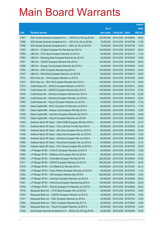|       |                                                               |               |                            |            | <b>Amount</b> |
|-------|---------------------------------------------------------------|---------------|----------------------------|------------|---------------|
|       |                                                               | No. of        |                            |            | raised        |
| Code  | <b>Derivative warrants</b>                                    | issue (units) | <b>Listing date Expiry</b> |            | $(HK$$ mil.)  |
| 17867 | SGA Societe Generale Acceptance N.V. - CNOOC Eu Wt Aug 2015A  | 300,000,000   | 2014/12/05 2015/08/05      |            | 58.50         |
| 17889 | SGA Societe Generale Acceptance N.V. - A50 Ch Eu Wt Jul 2015A | 70,000,000    | 2014/12/05 2015/07/06      |            | 17.85         |
| 17868 | SGA Societe Generale Acceptance N.V. - KECL Eu Wt Jul 2015 B  | 15,000,000    | 2014/12/05 2015/07/06      |            | 10.20         |
| 17905 | UBS AG - CC Bank European Put Warrants Apr 2015 A             | 100,000,000   | 2014/12/05 2015/04/27      |            | 26.50         |
| 17909 | UBS AG - CITIC Bank European Warrants Jul 2015 A              | 40,000,000    | 2014/12/05 2015/07/13      |            | 11.40         |
| 17903 | UBS AG - Minsheng Bank European Warrants Apr 2015 A           | 40,000,000    | 2014/12/05 2015/04/28      |            | 10.60         |
| 17871 | UBS AG - CNOOC European Warrants Feb 2016 A                   | 100,000,000   | 2014/12/05 2016/02/29      |            | 25.00         |
| 17908 | UBS AG – Sinopec Corp European Warrants Apr 2015 A            | 40,000,000    | 2014/12/05 2015/04/28      |            | 10.00         |
| 17904 | UBS AG - ICBC European Warrants Aug 2015 A                    | 100,000,000   | 2014/12/05 2015/08/24      |            | 25.00         |
| 17907 | UBS AG - PetroChina European Warrants Jun 2015 B              | 50,000,000    | 2014/12/05 2015/06/15      |            | 24.00         |
| 17912 | BOCI Asia Ltd. - AIA European Warrants Jul 2015 A             | 100,000,000   | 2014/12/08 2015/07/02      |            | 18.00         |
| 17913 | BOCI Asia Ltd. - BOC HK European Warrants Nov 2015 A          | 100,000,000   | 2014/12/08 2015/11/16      |            | 18.00         |
| 17914 | Credit Suisse AG - CNOOC European Warrants Jul 2015 A         | 150,000,000   | 2014/12/08 2015/07/31      |            | 25.50         |
| 17916 | Credit Suisse AG – CNOOC European Warrants Dec 2015 C         | 150,000,000   | 2014/12/08 2015/12/31      |            | 37.50         |
| 17946 | Credit Suisse AG - Hutchison European Warrants Nov 2015 A     | 150,000,000   | 2014/12/08                 | 2015/11/30 | 22.50         |
| 17947 | Credit Suisse AG - Hutchison European Warrants Jun 2016 A     | 150,000,000   | 2014/12/08 2016/06/15      |            | 22.50         |
| 17945 | Credit Suisse AG - Ping An European Warrants Jun 2015 A       | 70,000,000    | 2014/12/08 2015/06/08      |            | 17.50         |
| 17920 | Daiwa Capital Mkt - BOCL European Put Warrants Jul 2015 A     | 68,000,000    | 2014/12/08 2015/07/15      |            | 17.00         |
| 17921 | Daiwa Capital Mkt - Sinopec Corp European Wts May 2015 A      | 80,000,000    | 2014/12/08                 | 2015/05/04 | 13.60         |
| 17938 | Daiwa Capital Mkt - Hutchison European Warrants Apr 2015 A    | 80,000,000    | 2014/12/08 2015/04/01      |            | 18.40         |
| 17919 | Daiwa Capital Mkt - Ping An European Warrants Jun 2015 B      | 98,000,000    | 2014/12/08 2015/06/08      |            | 24.50         |
| 17943 | Goldman Sachs SP (Asia) - CAM CSI300 European Wts Nov 2015 A  | 80,000,000    | 2014/12/08 2015/11/30      |            | 22.72         |
| 17941 | Goldman Sachs SP (Asia) - China Life Euro Put Wts Sep 2015 A  | 80,000,000    | 2014/12/08                 | 2015/09/30 | 21.28         |
| 17942 | Goldman Sachs SP (Asia) - A50 China European Wts Jun 2015 A   | 80,000,000    | 2014/12/08 2015/06/30      |            | 30.00         |
| 17948 | Goldman Sachs SP (Asia) – Geely Auto European Wts Jun 2015 A  | 50,000,000    | 2014/12/08 2015/06/30      |            | 12.50         |
| 17949 | Goldman Sachs SP (Asia) - Hutchison European Wts Jun 2015 A   | 80,000,000    | 2014/12/08 2015/06/30      |            | 25.68         |
| 17950 | Goldman Sachs SP (Asia) - PetroChina European Wts Jun 2015 A  | 50,000,000    | 2014/12/08 2015/06/30      |            | 15.10         |
| 17939 | Goldman Sachs SP (Asia) - PICC Group European Wts Jul 2015 A  | 80,000,000    | 2014/12/08 2015/07/30      |            | 20.00         |
| 17956 | J P Morgan SP BV - CHALCO European Warrants Jul 2015 A        | 40,000,000    | 2014/12/08 2015/07/02      |            | 10.08         |
| 17953 | J P Morgan SP BV - Brilliance Chi European Wts Oct 2015 A     | 80,000,000    | 2014/12/08 2015/10/02      |            | 12.24         |
| 17957 | J P Morgan SP BV - China Mob European Wts May 2015 B          | 200,000,000   | 2014/12/08 2015/05/04      |            | 57.80         |
| 17911 | J P Morgan SP BV - CNOOC European Warrants Jul 2015 A         | 200,000,000   | 2014/12/08 2015/07/31      |            | 30.40         |
| 17910 | J P Morgan SP BV - Ch Oilfield Euro Wts Dec 2015 A            | 100,000,000   | 2014/12/08                 | 2015/12/01 | 25.10         |
| 17954 | J P Morgan SP BV - Fosun Pharma European Warrants Jul 2015 A  | 45,000,000    | 2014/12/08 2015/07/02      |            | 11.25         |
| 17952 | J P Morgan SP BV - HSI European Warrants May 2015 B           | 500,000,000   | 2014/12/08 2015/05/28      |            | 75.00         |
| 17955 | J P Morgan SP BV - Hutchison European Warrants Jun 2015 A     | 80,000,000    | 2014/12/08 2015/06/08      |            | 20.00         |
| 17951 | J P Morgan SP BV - PetroChina European Warrants Aug 2015 A    | 100,000,000   | 2014/12/08                 | 2015/08/03 | 25.40         |
| 17958 | J P Morgan SP BV - Ping An European Put Warrants Jun 2015 B   | 100,000,000   | 2014/12/08 2015/06/08      |            | 25.00         |
| 17918 | Macquarie Bank Ltd. - CITIC Bank European Wts Jul 2015 B      | 40,000,000    | 2014/12/08 2015/07/03      |            | 10.00         |
| 17923 | Macquarie Bank Ltd. - CNOOC European Warrants Jul 2015 A      | 20,000,000    | 2014/12/08 2015/07/03      |            | 10.00         |
| 17917 | Macquarie Bank Ltd. - ICBC European Warrants Jul 2015 A       | 40,000,000    | 2014/12/08                 | 2015/07/03 | 10.00         |
| 17924 | Macquarie Bank Ltd. - KECL European Warrants Sep 2017 A       | 50,000,000    | 2014/12/08 2017/09/04      |            | 10.00         |
| 17922 | Macquarie Bank Ltd. - Ping An European Warrants Jul 2015 A    | 50,000,000    | 2014/12/08 2015/07/03      |            | 12.50         |
| 17932 | SGA Societe Generale Acceptance N.V. - BOCom Eu Wt Aug 2015A  | 30,000,000    | 2014/12/08 2015/08/05      |            | 10.05         |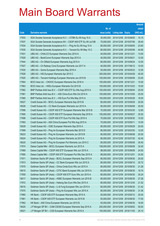|       |                                                                |               |                            |            | <b>Amount</b> |
|-------|----------------------------------------------------------------|---------------|----------------------------|------------|---------------|
|       |                                                                | No. of        |                            |            | raised        |
| Code  | <b>Derivative warrants</b>                                     | issue (units) | <b>Listing date Expiry</b> |            | (HK\$ mil.)   |
| 17933 | SGA Societe Generale Acceptance N.V. - CITBK Eu Wt Aug 15 A    | 35,000,000    | 2014/12/08 2015/08/05      |            | 10.15         |
| 17937 | SGA Societe Generale Acceptance NV – CSOP A50 ETF Eu Wt Jul15B | 70,000,000    | 2014/12/08 2015/07/06      |            | 29.40         |
| 17934 | SGA Societe Generale Acceptance N.V. - Ping An Eu Wt Aug 15 A  | 80,000,000    | 2014/12/08 2015/08/05      |            | 23.60         |
| 17935 | SGA Societe Generale Acceptance N.V. - Tencent Eu Wt May 15 C  | 80,000,000    | 2014/12/08 2015/05/06      |            | 44.80         |
| 17931 | UBS AG - CHALCO European Warrants Dec 2015 A                   | 40,000,000    | 2014/12/08 2015/12/21      |            | 13.00         |
| 17929 | UBS AG - BankComm European Warrants Sep 2015 A                 | 40,000,000    | 2014/12/08 2015/09/21      |            | 12.00         |
| 17944 | UBS AG - Ch Oilfield European Warrants Aug 2015 A              | 80,000,000    | 2014/12/08 2015/08/24      |            | 12.00         |
| 17927 | UBS AG - Ch Railway Cons European Warrants Jun 2017 A          | 40,000,000    | 2014/12/08 2017/06/12      |            | 10.00         |
| 17930 | UBS AG - Gome European Warrants May 2016 A                     | 50,000,000    | 2014/12/08 2016/05/23      |            | 12.50         |
| 17928 | UBS AG - HSI European Warrants Apr 2015 C                      | 300,000,000   | 2014/12/08 2015/04/29      |            | 45.00         |
| 17925 | UBS AG - Tencent Holdings European Warrants Jun 2015 B         | 100,000,000   | 2014/12/08 2015/06/08      |            | 23.00         |
| 17964 | BOCI Asia Ltd. - CNOOC European Warrants Dec 2016 A            | 100,000,000   | 2014/12/09 2016/12/21      |            | 15.00         |
| 17963 | BOCI Asia Ltd. - HKEx European Warrants Oct 2015 B             | 100,000,000   | 2014/12/09 2015/10/23      |            | 15.00         |
| 17982 | BNP Paribas Arbit Issu B.V. - CSOP A50 ETF Eu Wts Aug 2015 A   | 100,000,000   | 2014/12/09 2015/08/04      |            | 25.00         |
| 17981 | BNP Paribas Arbit Issu B.V. - A50 China Euro Wts Oct 2015 A    | 100,000,000   | 2014/12/09                 | 2015/10/05 | 25.00         |
| 17985 | BNP Paribas Arbit Issu B.V. - HSI Euro Put Wts May 2015 A      | 100,000,000   | 2014/12/09 2015/05/28      |            | 18.00         |
| 18027 | Credit Suisse AG - BOCL European Warrants Sep 2015 B           | 80,000,000    | 2014/12/09 2015/09/29      |            | 20.00         |
| 18026 | Credit Suisse AG - CC Bank European Warrants Jun 2015 A        | 80,000,000    | 2014/12/09 2015/06/08      |            | 20.00         |
| 17996 | Credit Suisse AG - CSOP A50 ETF European Warrants Mar 2015 B   | 70,000,000    | 2014/12/09                 | 2015/03/30 | 12.60         |
| 17995 | Credit Suisse AG - CSOP A50 ETF European Warrants Sep 2018 A   | 150,000,000   | 2014/12/09 2018/09/27      |            | 25.50         |
| 17998 | Credit Suisse AG - CSOP A50 ETF Euro Put Wts Sep 2016 A        | 70,000,000    | 2014/12/09 2016/09/30      |            | 10.50         |
| 17993 | Credit Suisse AG - A50 China European Put Wts Aug 2015 A       | 70,000,000    | 2014/12/09 2015/08/11      |            | 10.50         |
| 18028 | Credit Suisse AG - ICBC European Warrants Sep 2015 A           | 80,000,000    | 2014/12/09                 | 2015/09/29 | 20.00         |
| 17999 | Credit Suisse AG – Ping An European Warrants Mar 2015 D        | 80,000,000    | 2014/12/09 2015/03/30      |            | 12.00         |
| 18023 | Credit Suisse AG - Ping An European Warrants Jun 2015 B        | 80,000,000    | 2014/12/09 2015/06/08      |            | 20.00         |
| 18024 | Credit Suisse AG - Ping An European Warrants Jul 2015 A        | 80,000,000    | 2014/12/09 2015/07/30      |            | 42.40         |
| 18025 | Credit Suisse AG - Ping An European Put Warrants Jun 2015 C    | 80,000,000    | 2014/12/09 2015/06/08      |            | 30.40         |
| 17974 | Daiwa Capital Mkt - BOCL European Warrants Jun 2015 A          | 108,000,000   | 2014/12/09 2015/06/08      |            | 32.40         |
| 17989 | Daiwa Capital Mkt - CSOP A50 ETF European Wts Jun 2015 A       | 98,000,000    | 2014/12/09 2015/06/08      |            | 24.50         |
| 17990 | Daiwa Capital Mkt - CSOP A50 ETF European Put Wts Dec 2015 A   | 98,000,000    | 2014/12/09 2015/12/01      |            | 24.50         |
| 17971 | Goldman Sachs SP (Asia) - BOCL European Warrants Sep 2015 A    | 80,000,000    | 2014/12/09 2015/09/30      |            | 20.00         |
| 17973 | Goldman Sachs SP (Asia) – CC Bank European Wts Jun 2015 A      | 80,000,000    | 2014/12/09 2015/06/10      |            | 20.72         |
| 17979 | Goldman Sachs SP (Asia) - China Cinda Euro Wts Jun 2015 A      | 80,000,000    | 2014/12/09 2015/06/30      |            | 21.28         |
| 18015 | Goldman Sachs SP (Asia) - CITIC Bank European Wts Jun 2015 A   | 60,000,000    | 2014/12/09 2015/06/30      |            | 16.74         |
| 17959 | Goldman Sachs SP (Asia) - CSOP A50 ETF Euro Wts Jun 2015 A     | 80,000,000    | 2014/12/09 2015/06/30      |            | 30.24         |
| 18017 | Goldman Sachs SP (Asia) - HSBC European Warrants Jun 2015 B    | 80,000,000    | 2014/12/09 2015/06/30      |            | 27.28         |
| 17972 | Goldman Sachs SP (Asia) - Haitong Sec Euro Wts Dec 2015 A      | 80,000,000    | 2014/12/09 2015/12/30      |            | 21.52         |
| 18016 | Goldman Sachs SP (Asia) - Li & Fung European Wts Jun 2015 A    | 60,000,000    | 2014/12/09 2015/06/30      |            | 21.42         |
| 17970 | Goldman Sachs SP (Asia) - Ping An European Wts Jun 2015 A      | 80,000,000    | 2014/12/09 2015/06/30      |            | 31.36         |
| 17960 | HK Bank - CSOP A50 ETF European Warrants May 2015 A            | 50,000,000    | 2014/12/09 2015/05/12      |            | 25.00         |
| 17961 | HK Bank - CSOP A50 ETF European Warrants Jun 2015 B            | 50,000,000    | 2014/12/09 2015/06/30      |            | 17.00         |
| 17962 | HK Bank - A50 China European Warrants Jun 2015 B               | 50,000,000    | 2014/12/09 2015/06/30      |            | 16.00         |
| 18020 | J P Morgan SP BV - CAM CSI300 European Warrants Sep 2015 A     | 200,000,000   | 2014/12/09 2015/09/02      |            | 50.00         |
| 18021 | J P Morgan SP BV - CGS European Warrants Nov 2016 A            | 100,000,000   | 2014/12/09 2016/11/03      |            | 25.10         |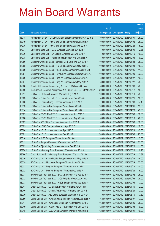|         |                                                                |               |                            |            | <b>Amount</b> |
|---------|----------------------------------------------------------------|---------------|----------------------------|------------|---------------|
|         |                                                                | No. of        |                            |            | raised        |
| Code    | <b>Derivative warrants</b>                                     | issue (units) | <b>Listing date Expiry</b> |            | $(HK$$ mil.)  |
| 18018   | J P Morgan SP BV - CSOP A50 ETF European Warrants Apr 2015 B   | 100,000,000   | 2014/12/09                 | 2015/04/01 | 25.20         |
| 18019   | J P Morgan SP BV - A50 China European Warrants Jul 2015 A      | 100,000,000   | 2014/12/09                 | 2015/07/02 | 25.00         |
| 17975   | J P Morgan SP BV - A50 China European Put Wts Oct 2015 A       | 100,000,000   | 2014/12/09                 | 2015/10/28 | 15.00         |
| 17977   | Macquarie Bank Ltd. - CGS European Warrants Jun 2015 A         | 40,000,000    | 2014/12/09 2015/06/09      |            | 12.36         |
| 17976   | Macquarie Bank Ltd. - Ch Oilfield European Wts Oct 2015 A      | 40,000,000    | 2014/12/09                 | 2015/10/16 | 10.00         |
| 17978   | Macquarie Bank Ltd. - Haitong Sec European Wts Oct 2015 A      | 40,000,000    | 2014/12/09                 | 2015/10/05 | 10.00         |
| 17986   | Standard Chartered Bank - Sinopec Corp Euro Wts Jun 2015 A     | 100,000,000   | 2014/12/09                 | 2015/06/23 | 25.00         |
| 17988   | Standard Chartered Bank - HSI European Put Wts May 2015 C      | 100,000,000   | 2014/12/09 2015/05/28      |            | 18.00         |
| 17969   | Standard Chartered Bank - KECL European Warrants Jul 2015 B    | 40,000,000    | 2014/12/09                 | 2015/07/06 | 11.20         |
| 17987   | Standard Chartered Bank - PetroChina European Wts Oct 2015 A   | 100,000,000   | 2014/12/09                 | 2015/10/09 | 32.00         |
| 17966   | Standard Chartered Bank - Ping An European Wts Apr 2015 A      | 80,000,000    | 2014/12/09                 | 2015/04/27 | 16.00         |
| 17967   | Standard Chartered Bank - Ping An European Wts May 2015 A      | 80,000,000    | 2014/12/09 2015/05/22      |            | 28.00         |
| 17968   | Standard Chartered Bank - Ping An Euro Put Wts Jun 2015 A      | 80,000,000    | 2014/12/09                 | 2015/06/08 | 28.00         |
| 17980   | SGA Societe Generale Acceptance NV - CSOP A50 Eu Put Wt Oct16A | 300,000,000   | 2014/12/09                 | 2016/10/12 | 45.00         |
| 18011   | UBS AG - CC Bank European Warrants Aug 2015 A                  | 100,000,000   | 2014/12/09                 | 2015/08/10 | 25.00         |
| 18003   | UBS AG - China Gas Hold European Warrants Dec 2015 A           | 40,000,000    | 2014/12/09 2015/12/21      |            | 10.00         |
| 18006   | UBS AG – Cheung Kong European Warrants Jun 2015 A              | 70,000,000    | 2014/12/09                 | 2015/06/08 | 37.10         |
| 18013   | UBS AG - China Mobile European Warrants Apr 2015 B             | 100,000,000   | 2014/12/09                 | 2015/04/01 | 19.80         |
| 18014   | UBS AG - China Mobile European Warrants Apr 2015 C             | 100,000,000   | 2014/12/09                 | 2015/04/23 | 43.00         |
| 18009   | UBS AG - CSOP A50 ETF European Warrants Jun 2015 B             | 80,000,000    | 2014/12/09 2015/06/08      |            | 32.80         |
| 18008   | UBS AG - CSOP A50 ETF European Warrants Aug 2015 A             | 80,000,000    | 2014/12/09                 | 2015/08/10 | 28.00         |
| 18007   | UBS AG - A50 China European Warrants Jun 2015 A                | 80,000,000    | 2014/12/09                 | 2015/06/08 | 32.80         |
| 18005   | UBS AG - HSBC European Warrants Apr 2015 C                     | 100,000,000   | 2014/12/09                 | 2015/04/30 | 19.00         |
| 18000   | UBS AG - HSI European Warrants Apr 2015 D                      | 300,000,000   | 2014/12/09 2015/04/29      |            | 45.00         |
| 18001   | UBS AG - HSI European Warrants Dec 2015 B                      | 300,000,000   | 2014/12/09 2015/12/30      |            | 75.00         |
| 18010   | UBS AG - ICBC European Warrants Jun 2016 A                     | 100,000,000   | 2014/12/09 2016/06/27      |            | 15.00         |
| 18012   | UBS AG - Ping An European Warrants Jun 2015 C                  | 100,000,000   | 2014/12/09 2015/06/08      |            | 32.50         |
| 18002   | UBS AG - Zijin Mining European Warrants Dec 2015 A             | 40,000,000    | 2014/12/09 2015/12/28      |            | 11.00         |
| 23878 # | UBS AG - Minsheng Bank European Warrants May 2015 A            | 110,000,000   | 2014/12/09 2015/05/26      |            | 10.23         |
| 29286 # | Credit Suisse AG - Minsheng Bank European Wts May 2015 A       | 130,000,000   | 2014/12/09 2015/05/29      |            | 12.87         |
| 18030   | BOCI Asia Ltd. - China Mobile European Warrants May 2015 A     | 100,000,000   | 2014/12/10 2015/05/26      |            | 46.00         |
| 18029   | BOCI Asia Ltd. - Hutchison European Warrants Jun 2015 A        | 100,000,000   | 2014/12/10 2015/06/29      |            | 27.00         |
| 18031   | BOCI Asia Ltd. - Ping An European Warrants Jun 2015 B          | 100,000,000   | 2014/12/10 2015/06/15      |            | 40.00         |
| 18032   | BOCI Asia Ltd. - Ping An European Warrants Dec 2015 A          | 100,000,000   | 2014/12/10 2015/12/28      |            | 15.00         |
| 18071   | BNP Paribas Arbit Issu B.V. - BOCL European Wts Feb 2016 A     | 100,000,000   | 2014/12/10 2016/02/02      |            | 25.00         |
| 18072   | BNP Paribas Arbit Issu B.V. - GCL-Poly Euro Wts Oct 2015 A     | 100,000,000   | 2014/12/10 2015/10/05      |            | 25.00         |
| 18073   | BNP Paribas Arbit Issu B.V. - KECL European Wts Sep 2017 A     | 100,000,000   | 2014/12/10 2017/09/04      |            | 17.00         |
| 18041   | Credit Suisse AG - CC Bank European Warrants Apr 2015 B        | 80,000,000    | 2014/12/10 2015/04/30      |            | 12.00         |
| 18040   | Credit Suisse AG - China Life European Warrants May 2015 B     | 80,000,000    | 2014/12/10 2015/05/29      |            | 12.00         |
| 18039   | Credit Suisse AG - A50 China European Warrants Mar 2015 D      | 70,000,000    | 2014/12/10 2015/03/10      |            | 13.30         |
| 18050   | Daiwa Capital Mkt - China Cinda European Warrants Aug 2015 A   | 68,000,000    | 2014/12/10 2015/08/07      |            | 17.00         |
| 18047   | Daiwa Capital Mkt - China Life European Warrants May 2015 B    | 168,000,000   | 2014/12/10 2015/05/26      |            | 25.20         |
| 18049   | Daiwa Capital Mkt - CSOP A50 ETF European Wts Dec 2015 B       | 128,000,000   | 2014/12/10 2015/12/03      |            | 19.20         |
| 18048   | Daiwa Capital Mkt - A50 China European Warrants Apr 2015 B     | 128,000,000   | 2014/12/10 2015/04/01      |            | 19.20         |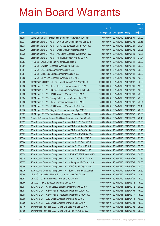|       |                                                                |               |                            |            | <b>Amount</b> |
|-------|----------------------------------------------------------------|---------------|----------------------------|------------|---------------|
|       |                                                                | No. of        |                            |            | raised        |
| Code  | <b>Derivative warrants</b>                                     | issue (units) | <b>Listing date Expiry</b> |            | (HK\$ mil.)   |
| 18068 | Daiwa Capital Mkt - PetroChina European Warrants Jun 2015 B    | 80,000,000    | 2014/12/10 2015/06/09      |            | 20.00         |
| 18034 | Goldman Sachs SP (Asia) - CAM CSI300 European Wts Dec 2015 A   | 80,000,000    | 2014/12/10 2015/12/02      |            | 20.56         |
| 18038 | Goldman Sachs SP (Asia) - CITIC Sec European Wts Sep 2015 A    | 80,000,000    | 2014/12/10 2015/09/29      |            | 20.24         |
| 18036 | Goldman Sachs SP (Asia) - China Life Euro Wts Dec 2015 A       | 80,000,000    | 2014/12/10 2015/12/02      |            | 20.08         |
| 18035 | Goldman Sachs SP (Asia) - A50 China European Wts Mar 2015 A    | 80,000,000    | 2014/12/10 2015/03/30      |            | 12.08         |
| 18037 | Goldman Sachs SP (Asia) - Ping An European Wts Jul 2015 A      | 80,000,000    | 2014/12/10 2015/07/30      |            | 21.04         |
| 18053 | HK Bank - BOCL European Warrants Aug 2015 B                    | 80,000,000    | 2014/12/10 2015/08/31      |            | 20.00         |
| 18051 | HK Bank - CC Bank European Warrants Aug 2015 A                 | 80,000,000    | 2014/12/10 2015/08/31      |            | 20.00         |
| 18057 | HK Bank - CGS European Warrants Jul 2016 A                     | 80,000,000    | 2014/12/10 2016/07/29      |            | 20.00         |
| 18054 | HK Bank - CITIC Sec European Warrants Jul 2015 A               | 80,000,000    | 2014/12/10 2015/07/31      |            | 20.00         |
| 18055 | HK Bank - China Life European Warrants Jun 2015 D              | 80,000,000    | 2014/12/10 2015/06/09      |            | 12.00         |
| 18080 | J P Morgan Int'l Der. Ltd. - CC Bank European Wts Apr 2015 B   | 200,000,000   | 2014/12/10 2015/04/02      |            | 30.20         |
| 18058 | J P Morgan SP BV - China Life European Warrants Jun 2015 C     | 100,000,000   | 2014/12/10 2015/06/01      |            | 15.00         |
| 18085 | J P Morgan SP BV - CNOOC European Put Warrants Jul 2015 B      | 100,000,000   | 2014/12/10 2015/07/02      |            | 46.50         |
| 18083 | J P Morgan SP BV - CPIC European Warrants Sep 2015 A           | 100,000,000   | 2014/12/10 2015/09/03      |            | 25.50         |
| 18084 | J P Morgan SP BV - Galaxy Ent European Warrants Jul 2015 B     | 100,000,000   | 2014/12/10 2015/07/02      |            | 25.00         |
| 18086 | J P Morgan SP BV - HKEx European Warrants Jun 2015 C           | 80,000,000    | 2014/12/10 2015/06/02      |            | 29.04         |
| 18081 | J P Morgan SP BV - ICBC European Warrants Apr 2015 A           | 100,000,000   | 2014/12/10 2015/04/02      |            | 15.10         |
| 18078 | J P Morgan SP BV - Ping An European Warrants Apr 2015 B        | 150,000,000   | 2014/12/10 2015/04/02      |            | 22.65         |
| 18082 | J P Morgan SP BV - Sands China European Warrants Jul 2015 A    | 100,000,000   | 2014/12/10 2015/07/02      |            | 25.00         |
| 18033 | Standard Chartered Bank - A50 China Euro Warrants Dec 2015 B   | 120,000,000   | 2014/12/10 2015/12/29      |            | 20.40         |
| 18059 | SGA Societe Generale Acceptance N.V. - AGBK Eu Wt Dec 2015 A   | 100,000,000   | 2014/12/10 2015/12/02      |            | 15.00         |
| 18042 | SGA Societe Generale Acceptance N.V. - CCB Eur Wt Aug 2015 B   | 80,000,000    | 2014/12/10 2015/08/05      |            | 20.00         |
| 18043 | SGA Societe Generale Acceptance N.V. - CCB Eur Wt Sep 2015 A   | 80,000,000    | 2014/12/10 2015/09/02      |            | 13.20         |
| 18063 | SGA Societe Generale Acceptance N.V. - CITIC Sec Eu Wt Sep15A  | 80,000,000    | 2014/12/10 2015/09/02      |            | 20.00         |
| 18044 | SGA Societe Generale Acceptance N.V. - CLife Eu Wt Jun 2015 C  | 150,000,000   | 2014/12/10 2015/06/03      |            | 22.50         |
| 18060 | SGA Societe Generale Acceptance N.V. - CLife Eu Wt Oct 2015 B  | 150,000,000   | 2014/12/10 2015/10/05      |            | 33.00         |
| 18061 | SGA Societe Generale Acceptance N.V. - CLife Eu Wt Mar 2016 A  | 150,000,000   | 2014/12/10 2016/03/02      |            | 37.50         |
| 18062 | SGA Societe Generale Acceptance N.V. - CLife Eu Put Wt Oct15C  | 150,000,000   | 2014/12/10 2015/10/05      |            | 30.00         |
| 18075 | SGA Societe Generale Acceptance NV - CSOP A50 ETF Eu Wt Jul15C | 70,000,000    | 2014/12/10 2015/07/06      |            | 24.85         |
| 18074 | SGA Societe Generale Acceptance N.V. - A50 Ch Eu Wt Jul 2015B  | 70,000,000    | 2014/12/10 2015/07/06      |            | 21.35         |
| 18077 | SGA Societe Generale Acceptance N.V - Haitong Sec Eu Wt Aug15B | 80,000,000    | 2014/12/10 2015/08/05      |            | 20.00         |
| 18046 | SGA Societe Generale Acceptance N.V. - ICBC Eu Wt Aug 2015 A   | 80,000,000    | 2014/12/10 2015/08/05      |            | 20.00         |
| 18076 | SGA Societe Generale Acceptance N.V - Sands China Eu Wt Jul15B | 80,000,000    | 2014/12/10 2015/07/06      |            | 25.60         |
| 18064 | UBS AG - Agricultural Bank European Warrants Dec 2015 A        | 50,000,000    | 2014/12/10 2015/12/22      |            | 10.75         |
| 18067 | UBS AG - CC Bank European Warrants Apr 2015 B                  | 100,000,000   | 2014/12/10 2015/04/28      |            | 15.00         |
| 18066 | UBS AG - KECL European Warrants Dec 2016 A                     | 100,000,000   | 2014/12/10 2016/12/12      |            | 16.00         |
| 18097 | BOCI Asia Ltd. - CAM CSI300 European Warrants Oct 2015 A       | 100,000,000   | 2014/12/11                 | 2015/10/12 | 36.00         |
| 18093 | BOCI Asia Ltd. - CSOP A50 ETFEuropean Warrants Jul 2015 A      | 100,000,000   | 2014/12/11                 | 2015/07/06 | 46.00         |
| 18098 | BOCI Asia Ltd. - CSOP A50 ETFEuropean Warrants Dec 2015 A      | 100,000,000   | 2014/12/11                 | 2015/12/17 | 15.00         |
| 18095 | BOCI Asia Ltd. - A50 China European Warrants Jul 2015 B        | 100,000,000   | 2014/12/11                 | 2015/07/13 | 40.00         |
| 18096 | BOCI Asia Ltd. - A50 China European Warrants Dec 2015 A        | 100,000,000   | 2014/12/11                 | 2015/12/28 | 18.00         |
| 18110 | BNP Paribas Arbit Issu B.V. - China Life Euro Wts Sep 2016 A   | 100,000,000   | 2014/12/11                 | 2016/09/02 | 25.00         |
| 18109 | BNP Paribas Arbit Issu B.V. - China Life Eu Put Wt Aug 2016A   | 100,000,000   | 2014/12/11                 | 2016/08/02 | 25.00         |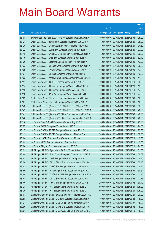|       |                                                              |               |                            |            | <b>Amount</b> |
|-------|--------------------------------------------------------------|---------------|----------------------------|------------|---------------|
|       |                                                              | No. of        |                            |            | raised        |
| Code  | <b>Derivative warrants</b>                                   | issue (units) | <b>Listing date Expiry</b> |            | $(HK$$ mil.)  |
| 18108 | BNP Paribas Arbit Issu B.V. - Ping An European Wt Aug 2015 A | 100,000,000   | 2014/12/11                 | 2015/08/04 | 25.00         |
| 18121 | Credit Suisse AG - BankComm European Warrants Jun 2015 A     | 80,000,000    | 2014/12/11                 | 2015/06/29 | 35.20         |
| 18125 | Credit Suisse AG - China Coal European Warrants Jun 2015 A   | 80,000,000    | 2014/12/11                 | 2015/06/29 | 24.80         |
| 18122 | Credit Suisse AG - CEB Bank European Warrants Jun 2015 A     | 80,000,000    | 2014/12/11                 | 2015/06/29 | 23.20         |
| 18118 | Credit Suisse AG - China EB Ltd European Warrants Aug 2015 A | 80,000,000    | 2014/12/11                 | 2015/08/31 | 20.00         |
| 18119 | Credit Suisse AG – CM Bank European Warrants Jun 2015 A      | 80,000,000    | 2014/12/11                 | 2015/06/29 | 62.40         |
| 18120 | Credit Suisse AG - Minsheng Bank European Wts Jun 2015 A     | 80,000,000    | 2014/12/11                 | 2015/06/29 | 43.20         |
| 18133 | Credit Suisse AG - Sinopec Corp European Warrants Jun 2015 A | 80,000,000    | 2014/12/11                 | 2015/06/29 | 20.00         |
| 18126 | Credit Suisse AG - Jiangxi Copper European Wts Apr 2016 A    | 100,000,000   | 2014/12/11                 | 2016/04/29 | 17.00         |
| 18127 | Credit Suisse AG - Kingsoft European Warrants Apr 2015 B     | 80,000,000    | 2014/12/11                 | 2015/04/30 | 12.00         |
| 18123 | Credit Suisse AG - Yanzhou Coal European Warrants Jun 2015 A | 80,000,000    | 2014/12/11                 | 2015/06/29 | 44.00         |
| 18111 | Daiwa Capital Mkt - HSBC European Warrants Jun 2015 A        | 98,000,000    | 2014/12/11                 | 2015/06/10 | 36.26         |
| 18114 | Daiwa Capital Mkt - Hutchison European Warrants Nov 2015 A   | 128,000,000   | 2014/12/11                 | 2015/11/23 | 19.20         |
| 18112 | Daiwa Capital Mkt - Hutchison European Put Wts Jun 2015 B    | 68,000,000    | 2014/12/11                 | 2015/06/10 | 17.00         |
| 18113 | Daiwa Capital Mkt - Ping An European Warrants Jun 2015 C     | 98,000,000    | 2014/12/11                 | 2015/06/10 | 24.50         |
| 18102 | Bank of East Asia - China Life European Warrants Sep 2015 A  | 40,000,000    | 2014/12/11                 | 2015/09/30 | 10.00         |
| 18101 | Bank of East Asia - CM Bank European Warrants May 2016 A     | 40,000,000    | 2014/12/11                 | 2016/05/03 | 10.00         |
| 18143 | Goldman Sachs SP (Asia) – CSOP A50 ETF Euro Wts Jul 2015 B   | 80,000,000    | 2014/12/11                 | 2015/07/30 | 58.96         |
| 18142 | Goldman Sachs SP (Asia) - CSOP A50 ETF Euro Wts Dec 2016 A   | 80,000,000    | 2014/12/11                 | 2016/12/30 | 20.08         |
| 18141 | Goldman Sachs SP (Asia) - A50 China European Wts Jul 2015 A  | 80,000,000    | 2014/12/11                 | 2015/07/30 | 46.00         |
| 18140 | Goldman Sachs SP (Asia) – A50 China European Wts Dec 2016 B  | 80,000,000    | 2014/12/11                 | 2016/12/30 | 20.00         |
| 18116 | HK Bank - CAM CSI300 European Warrants Aug 2015 B            | 100,000,000   | 2014/12/11                 | 2015/08/31 | 25.00         |
| 18107 | HK Bank - BOCL European Warrants Jul 2015 C                  | 80,000,000    | 2014/12/11                 | 2015/07/31 | 24.00         |
| 18117 | HK Bank - CSOP A50 ETF European Warrants Apr 2015 C          | 50,000,000    | 2014/12/11                 | 2015/04/08 | 25.00         |
| 18115 | HK Bank - CSOP A50 ETF European Warrants Nov 2015 A          | 200,000,000   | 2014/12/11                 | 2015/11/16 | 30.00         |
| 18104 | HK Bank - HSCEI European Put Warrants May 2015 A             | 100,000,000   | 2014/12/11                 | 2015/05/28 | 15.00         |
| 18105 | HK Bank – KECL European Warrants Dec 2016 A                  | 100,000,000   | 2014/12/11 2016/12/12      |            | 15.00         |
| 18106 | HK Bank - Ping An European Warrants Jun 2015 B               | 80,000,000    | 2014/12/11 2015/06/10      |            | 24.00         |
| 18151 | J P Morgan SP BV - Agricultural Bk Euro Warrants Dec 2015 A  | 200,000,000   | 2014/12/11                 | 2015/12/01 | 31.60         |
| 18149 | J P Morgan SP BV - BankComm European Warrants Aug 2015 B     | 80,000,000    | 2014/12/11                 | 2015/08/03 | 20.08         |
| 18153 | J P Morgan SP BV - CGS European Warrants Aug 2016 A          | 100,000,000   | 2014/12/11                 | 2016/08/03 | 25.20         |
| 18154 | J P Morgan SP BV - China Cinda European Warrants Jul 2015 A  | 100,000,000   | 2014/12/11                 | 2015/07/03 | 25.40         |
| 18152 | J P Morgan SP BV - CITIC Sec European Warrants Jul 2015 A    | 100,000,000   | 2014/12/11                 | 2015/07/03 | 25.20         |
| 18150 | J P Morgan SP BV - Minsheng Bank European Wts Aug 2015 A     | 80,000,000    | 2014/12/11                 | 2015/08/03 | 30.64         |
| 18144 | J P Morgan SP BV - CSOP A50 ETF European Warrants Apr 2015 C | 200,000,000   | 2014/12/11                 | 2015/04/02 | 41.80         |
| 18148 | J P Morgan SP BV - China Shenhua European Wts Jun 2015 A     | 80,000,000    | 2014/12/11                 | 2015/06/02 | 12.16         |
| 18146 | J P Morgan SP BV - A50 China European Warrants Apr 2015 B    | 200,000,000   | 2014/12/11                 | 2015/04/02 | 30.40         |
| 18128 | J P Morgan SP BV - HSI European Put Warrants Jun 2015 C      | 500,000,000   | 2014/12/11                 | 2015/06/29 | 125.00        |
| 18129 | J P Morgan SP BV - HSI European Put Warrants Jun 2015 D      | 500,000,000   | 2014/12/11                 | 2015/06/29 | 125.00        |
| 18103 | Standard Chartered Bank - BOCL European Warrants Oct 2015 A  | 80,000,000    | 2014/12/11                 | 2015/10/29 | 20.00         |
| 18088 | Standard Chartered Bank - CC Bank European Wts Aug 2015 A    | 100,000,000   | 2014/12/11                 | 2015/08/28 | 15.00         |
| 18134 | Standard Chartered Bank - CGS European Warrants Oct 2016 A   | 60,000,000    | 2014/12/11                 | 2016/10/07 | 15.00         |
| 18090 | Standard Chartered Bank - China Life European Wts Jun 2015 C | 100,000,000   | 2014/12/11                 | 2015/06/02 | 15.00         |
| 18091 | Standard Chartered Bank - CSOP A50 ETF Euro Wts Jun 2015 E   | 60,000,000    | 2014/12/11                 | 2015/06/10 | 15.00         |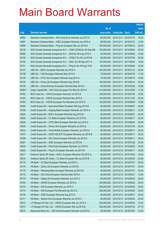|         |                                                                |               |                            |                       | <b>Amount</b> |
|---------|----------------------------------------------------------------|---------------|----------------------------|-----------------------|---------------|
|         |                                                                | No. of        |                            |                       | raised        |
| Code    | <b>Derivative warrants</b>                                     | issue (units) | <b>Listing date Expiry</b> |                       | (HK\$ mil.)   |
| 18092   | Standard Chartered Bank - A50 China Euro Warrants Jul 2015 A   | 60,000,000    | 2014/12/11                 | 2015/07/10            | 15.00         |
| 18087   | Standard Chartered Bank - ICBC European Warrants Jan 2016 A    | 80,000,000    | 2014/12/11                 | 2016/01/27            | 12.00         |
| 18089   | Standard Chartered Bank - Ping An European Wts Jun 2015 B      | 100,000,000   | 2014/12/11                 | 2015/06/10            | 25.00         |
| 18130   | SGA Societe Generale Acceptance N.V. - CAM CSI300 Eu Wt Sep15B | 100,000,000   | 2014/12/11                 | 2015/09/02            | 25.00         |
| 18099   | SGA Societe Generale Acceptance N.V. - BYD Eu Wt Aug 2015 A    | 30,000,000    | 2014/12/11                 | 2015/08/05            | 15.60         |
| 18132   | SGA Societe Generale Acceptance N.V. - CP&CC Eu Wt Jul 2015A   | 80,000,000    | 2014/12/11                 | 2015/07/06            | 20.00         |
| 18100   | SGA Societe Generale Acceptance N.V. - KECL Eu Wt Sep 2017 A   | 100,000,000   | 2014/12/11                 | 2017/09/04            | 16.50         |
| 18131   | SGA Societe Generale Acceptance N.V. - Ping An Eu Wt Aug 15 B  | 80,000,000    | 2014/12/11                 | 2015/08/05            | 23.60         |
| 18137   | UBS AG - BOCL European Warrants Jan 2016 A                     | 100,000,000   | 2014/12/11                 | 2016/01/12            | 25.00         |
| 18138   | UBS AG - CGS European Warrants May 2016 A                      | 70,000,000    | 2014/12/11                 | 2016/05/16            | 17.50         |
| 18139   | UBS AG - CITIC Sec European Warrants Aug 2015 A                | 70,000,000    | 2014/12/11                 | 2015/08/10            | 19.60         |
| 18135   | UBS AG - China Life European Warrants Sep 2015 B               | 100,000,000   | 2014/12/11                 | 2015/09/14            | 25.00         |
| 18136   | UBS AG - China Shenhua European Warrants May 2015 A            | 60,000,000    | 2014/12/11                 | 2015/05/26            | 10.68         |
| 16920 # | Daiwa Capital Mkt - A50 China European Put Wts Oct 2015 A      | 210,000,000   | 2014/12/11                 | 2015/10/20            | 17.22         |
| 18162   | BOCI Asia Ltd. - HSCEI European Warrants Jul 2015 A            | 100,000,000   |                            | 2014/12/12 2015/07/30 | 15.00         |
| 18163   | BOCI Asia Ltd. - HSCEI European Warrants Nov 2015 A            | 100,000,000   | 2014/12/12 2015/11/27      |                       | 24.00         |
| 18164   | BOCI Asia Ltd. - HSCEI European Put Warrants Jun 2015 A        | 100,000,000   |                            | 2014/12/12 2015/06/29 | 15.00         |
| 18209   | Credit Suisse AG - Agricultural Bank European Wts Aug 2015 B   | 80,000,000    | 2014/12/12 2015/08/31      |                       | 20.00         |
| 18199   | Credit Suisse AG - Angang Steel European Warrants Jun 2015 A   | 60,000,000    | 2014/12/12 2015/06/11      |                       | 27.00         |
| 18205   | Credit Suisse AG - BOCL European Warrants Aug 2015 B           | 80,000,000    | 2014/12/12 2015/08/31      |                       | 20.00         |
| 18208   | Credit Suisse AG - CC Bank European Warrants Jun 2015 B        | 80,000,000    | 2014/12/12 2015/06/11      |                       | 22.40         |
| 18206   | Credit Suisse AG - CITIC Bank European Warrants Jun 2015 A     | 80,000,000    |                            | 2014/12/12 2015/06/29 | 20.00         |
| 18200   | Credit Suisse AG - China Life European Warrants Jul 2015 A     | 80,000,000    | 2014/12/12 2015/07/30      |                       | 20.00         |
| 18210   | Credit Suisse AG - China Mobile European Warrants Jun 2015 A   | 80,000,000    | 2014/12/12 2015/06/11      |                       | 20.00         |
| 18197   | Credit Suisse AG - CSOP A50 ETF European Warrants Jun 2015 B   | 80,000,000    | 2014/12/12 2015/06/11      |                       | 39.20         |
| 18198   | Credit Suisse AG - A50 China European Warrants Jun 2015 A      | 80,000,000    | 2014/12/12 2015/06/11      |                       | 38.40         |
| 18207   | Credit Suisse AG - ICBC European Warrants Jul 2015 B           | 80,000,000    |                            | 2014/12/12 2015/07/30 | 20.00         |
| 18204   | Credit Suisse AG - PetroChina European Warrants Jun 2015 A     | 80,000,000    | 2014/12/12 2015/06/29      |                       | 20.00         |
| 18202   | Credit Suisse AG - Ping An European Warrants Jun 2015 D        | 80,000,000    | 2014/12/12 2015/06/11      |                       | 25.60         |
| 18217   | Goldman Sachs SP (Asia) - BOCL European Warrants Oct 2015 A    | 80,000,000    |                            | 2014/12/12 2015/10/02 | 20.00         |
| 18216   | Goldman Sachs SP (Asia) - CC Bank European Wts Jun 2015 B      | 80,000,000    | 2014/12/12 2015/06/30      |                       | 20.56         |
| 18179   | HK Bank - CC Bank European Warrants Jul 2015 C                 | 80,000,000    | 2014/12/12 2015/07/31      |                       | 20.00         |
| 18175   | HK Bank - China Life European Warrants Jul 2015 B              | 80,000,000    | 2014/12/12 2015/07/31      |                       | 20.00         |
| 18178   | HK Bank - Minsheng Bank European Warrants Jul 2015 B           | 50,000,000    | 2014/12/12 2015/07/31      |                       | 22.50         |
| 18172   | HK Bank - A50 China European Warrants Mar 2015 A               | 50,000,000    | 2014/12/12 2015/03/31      |                       | 12.50         |
| 18170   | HK Bank - Galaxy Ent European Warrants Jun 2015 C              | 80,000,000    | 2014/12/12 2015/06/30      |                       | 28.00         |
| 18180   | HK Bank - HSCEI European Warrants Jun 2015 A                   | 200,000,000   | 2014/12/12 2015/06/29      |                       | 30.00         |
| 18173   | HK Bank - HSI European Warrants Jun 2015 C                     | 200,000,000   | 2014/12/12 2015/06/29      |                       | 30.00         |
| 18174   | HK Bank - HSI European Put Warrants Apr 2015 G                 | 200,000,000   | 2014/12/12 2015/04/29      |                       | 30.00         |
| 18176   | HK Bank - ICBC European Warrants Aug 2015 A                    | 80,000,000    | 2014/12/12 2015/08/31      |                       | 20.00         |
| 18171   | HK Bank - Sands China European Warrants Jun 2015 C             | 80,000,000    | 2014/12/12 2015/06/30      |                       | 20.00         |
| 18212   | J P Morgan Int'l Der. Ltd. - HSCEI European Wts Jun 2015 A     | 250,000,000   | 2014/12/12 2015/06/29      |                       | 37.50         |
| 18213   | J P Morgan Int'l Der. Ltd. - HSCEI European Wts Jul 2015 B     | 250,000,000   | 2014/12/12 2015/07/30      |                       | 37.75         |
| 18215   | Macquarie Bank Ltd. - A50 China European Warrants Jul 2015 A   | 30,000,000    | 2014/12/12 2015/07/03      |                       | 10.50         |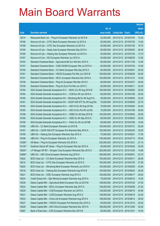|         |                                                                |               |                            | <b>Amount</b> |
|---------|----------------------------------------------------------------|---------------|----------------------------|---------------|
|         |                                                                | No. of        |                            | raised        |
| Code    | <b>Derivative warrants</b>                                     | issue (units) | <b>Listing date Expiry</b> | (HK\$ mil.)   |
| 18214   | Macquarie Bank Ltd. - Ping An European Warrants Jul 2015 B     | 32,000,000    | 2014/12/12 2015/07/03      | 10.24         |
| 18166   | Nomura Int'l plc - CITIC Bank European Warrants Jul 2015 A     | 50,000,000    | 2014/12/12 2015/07/30      | 13.00         |
| 18168   | Nomura Int'l plc - CITIC Sec European Warrants Jul 2015 A      | 50,000,000    | 2014/12/12 2015/07/30      | 19.75         |
| 18165   | Nomura Int'l plc – Geely Auto European Warrants Sep 2015 A     | 80,000,000    | 2014/12/12 2015/09/30      | 26.40         |
| 18169   | Nomura Int'l plc - Haitong Sec European Warrants Jul 2015 A    | 50,000,000    | 2014/12/12 2015/07/30      | 13.75         |
| 18167   | Nomura Int'l plc - NCI European Warrants Jun 2015 A            | 50,000,000    | 2014/12/12 2015/06/30      | 12.60         |
| 18193   | Standard Chartered Bank - Agricultural Bk Eur Wts Nov 2015 A   | 80,000,000    | 2014/12/12 2015/11/30      | 12.00         |
| 18157   | Standard Chartered Bank – CAM CSI300 European Wts Jul 2015 A   | 60,000,000    | 2014/12/12 2015/07/02      | 15.00         |
| 18190   | Standard Chartered Bank - CC Bank European Wts Sep 2015 A      | 80,000,000    | 2014/12/12 2015/09/01      | 20.00         |
| 18161   | Standard Chartered Bank - HSCEI European Put Wts Jun 2015 B    | 100,000,000   | 2014/12/12 2015/06/29      | 25.00         |
| 18191   | Standard Chartered Bank - KECL European Warrants Dec 2016 A    | 100,000,000   | 2014/12/12 2016/12/12      | 15.00         |
| 18158   | Standard Chartered Bank - Ping An European Wts Mar 2015 C      | 80,000,000    | 2014/12/12 2015/03/27      | 20.00         |
| 18159   | Standard Chartered Bank – Ping An Euro Put Wts Jun 2015 C      | 80,000,000    | 2014/12/12 2015/06/11      | 32.00         |
| 18194   | SGA Societe Generale Acceptance N.V. - BOCL Eu Wt Aug 2015 B   | 100,000,000   | 2014/12/12 2015/08/05      | 25.00         |
| 18184   | SGA Societe Generale Acceptance N.V. - CCB Eur Wt Jan 2016 A   | 80,000,000    | 2014/12/12 2016/01/06      | 20.00         |
| 18195   | SGA Societe Generale Acceptance NV - Minsheng Bk Eu Wt Aug15 A | 40,000,000    | 2014/12/12 2015/08/05      | 23.20         |
| 18181   | SGA Societe Generale Acceptance NV – CSOP A50 ETF Eu Wt Aug15A | 70,000,000    | 2014/12/12 2015/08/05      | 22.75         |
| 18182   | SGA Societe Generale Acceptance N.V. - A50 Ch Eu Wt Aug 2015A  | 70,000,000    | 2014/12/12 2015/08/05      | 23.45         |
| 18183   | SGA Societe Generale Acceptance N.V. - A50 Ch Eu Put Wt Jul15C | 70,000,000    | 2014/12/12 2015/07/06      | 40.60         |
| 18196   | SGA Societe Generale Acceptance N.V. - HSBC Eu Wt Sep 2015 B   | 100,000,000   | 2014/12/12 2015/09/02      | 25.00         |
| 18185   | SGA Societe Generale Acceptance N.V. - ICBC Eu Wt Sep 2015 A   | 80,000,000    | 2014/12/12 2015/09/02      | 20.00         |
| 18156   | SGA Societe Generale Acceptance N.V. - Petch Eu Wt Jul 2015B   | 60,000,000    | 2014/12/12 2015/07/06      | 15.00         |
| 18186   | UBS AG - CC Bank European Warrants Jul 2015 B                  | 100,000,000   | 2014/12/12 2015/07/31      | 25.00         |
| 18187   | UBS AG - CSOP A50 ETF European Put Warrants May 2016 A         | 100,000,000   | 2014/12/12 2016/05/30      | 25.00         |
| 18189   | UBS AG - Haitong Sec European Warrants Sep 2015 A              | 70,000,000    | 2014/12/12 2015/09/21      | 17.50         |
| 18188   | UBS AG – Ping An European Warrants Jul 2015 A                  | 100,000,000   | 2014/12/12 2015/07/13      | 50.00         |
| 13298 # | HK Bank - Ping An European Warrants Oct 2016 A                 | 230,000,000   | 2014/12/12 2016/10/21      | 27.14         |
| 16128 # | Goldman Sachs SP (Asia) - Ping An European Wts Apr 2015 A      | 80,000,000    | 2014/12/12 2015/04/02      | 32.00         |
| 16635 # | J P Morgan SP BV - Sinopec Corp European Warrants Dec 2015 A   | 200,000,000   | 2014/12/12 2015/12/30      | 14.80         |
| 22888 # | UBS AG - A50 China European Warrants Aug 2016 A                | 300,000,000   | 2014/12/12 2016/08/01      | 23.70         |
| 18222   | BOCI Asia Ltd. - CC Bank European Warrants May 2015 A          | 100,000,000   | 2014/12/15 2015/05/11      | 26.00         |
| 18219   | BOCI Asia Ltd. - CITIC Sec European Warrants Jul 2015 A        | 100,000,000   | 2014/12/15 2015/07/20      | 27.00         |
| 18220   | BOCI Asia Ltd. - Minsheng Bank European Warrants Jun 2015 A    | 100,000,000   | 2014/12/15 2015/06/29      | 43.00         |
| 18218   | BOCI Asia Ltd. - Haitong Sec European Warrants Aug 2015 B      | 100,000,000   | 2014/12/15 2015/08/24      | 26.00         |
| 18221   | BOCI Asia Ltd. - ICBC European Warrants Aug 2015 A             | 100,000,000   | 2014/12/15 2015/08/17      | 28.00         |
| 18224   | Credit Suisse AG - Zijin Mining European Warrants Aug 2015 A   | 70,000,000    | 2014/12/15 2015/08/10      | 10.50         |
| 18236   | Daiwa Capital Mkt - Agricultural Bank European Wts Jul 2015 B  | 108,000,000   | 2014/12/15 2015/07/20      | 27.00         |
| 18232   | Daiwa Capital Mkt - BOCL European Warrants Sep 2015 A          | 108,000,000   | 2014/12/15 2015/09/08      | 27.00         |
| 18229   | Daiwa Capital Mkt - CCB European Warrants Jun 2015 A           | 128,000,000   | 2014/12/15 2015/06/15      | 44.80         |
| 18231   | Daiwa Capital Mkt - CCB European Warrants Aug 2015 A           | 128,000,000   | 2014/12/15 2015/08/19      | 32.00         |
| 18233   | Daiwa Capital Mkt - China Life European Warrants Aug 2015 A    | 158,000,000   | 2014/12/15 2015/08/14      | 39.50         |
| 18237   | Daiwa Capital Mkt - CNOOC European Put Warrants Dec 2015 A     | 80,000,000    | 2014/12/15 2015/12/15      | 20.00         |
| 18228   | Daiwa Capital Mkt - A50 China European Warrants Dec 2015 A     | 168,000,000   | 2014/12/15 2015/12/08      | 42.00         |
| 18287   | Bank of East Asia - CGS European Warrants Dec 2015 B           | 60,000,000    | 2014/12/15 2015/12/31      | 15.00         |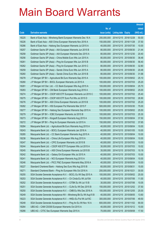|       |                                                                |               |                            | <b>Amount</b> |
|-------|----------------------------------------------------------------|---------------|----------------------------|---------------|
|       |                                                                | No. of        |                            | raised        |
| Code  | <b>Derivative warrants</b>                                     | issue (units) | <b>Listing date Expiry</b> | (HK\$ mil.)   |
| 18225 | Bank of East Asia – Minsheng Bank European Warrants Dec 16 A   | 200,000,000   | 2014/12/15 2016/12/28      | 50.00         |
| 18226 | Bank of East Asia – A50 China European Warrants Nov 2016 A     | 150,000,000   | 2014/12/15 2016/11/28      | 37.50         |
| 18286 | Bank of East Asia – Haitong Sec European Warrants Jul 2015 A   | 40,000,000    | 2014/12/15 2015/07/30      | 10.00         |
| 18257 | Goldman Sachs SP (Asia) – AIA European Warrants Jun 2015 B     | 80,000,000    | 2014/12/15 2015/06/30      | 21.44         |
| 18258 | Goldman Sachs SP (Asia) – AIA European Warrants Dec 2015 A     | 80,000,000    | 2014/12/15 2015/12/30      | 20.40         |
| 18256 | Goldman Sachs SP (Asia) - China Mobile Euro Wts Jun 2015 A     | 80,000,000    | 2014/12/15 2015/06/30      | 36.48         |
| 18261 | Goldman Sachs SP (Asia) - Ping An European Wts Jun 2015 B      | 80,000,000    | 2014/12/15 2015/06/30      | 56.40         |
| 18262 | Goldman Sachs SP (Asia) – Ping An European Wts Jun 2015 C      | 80,000,000    | 2014/12/15 2015/06/30      | 32.80         |
| 18259 | Goldman Sachs SP (Asia) – Sands China Euro Wts Jun 2015 A      | 80,000,000    | 2014/12/15 2015/06/30      | 20.48         |
| 18260 | Goldman Sachs SP (Asia) – Sands China Euro Wts Jun 2015 B      | 80,000,000    | 2014/12/15 2015/06/30      | 31.68         |
| 18278 | J P Morgan SP BV - Agricultural Bk Euro Warrants Sep 2015 A    | 100,000,000   | 2014/12/15 2015/09/02      | 25.10         |
| 18280 | J P Morgan SP BV - BOCL European Warrants Jul 2015 A           | 100,000,000   | 2014/12/15 2015/07/03      | 25.20         |
| 18281 | J P Morgan Int'l Der. Ltd. - CC Bank European Wts Aug 2015 A   | 100,000,000   | 2014/12/15 2015/08/04      | 25.70         |
| 18283 | J P Morgan SP BV - CM Bank European Warrants Aug 2016 A        | 100,000,000   | 2014/12/15 2016/08/02      | 25.00         |
| 18274 | J P Morgan SP BV - CSOP A50 ETF European Warrants Jul 2015 C   | 100,000,000   | 2014/12/15 2015/07/02      | 25.40         |
| 18275 | J P Morgan SP BV - CSOP A50 ETF Euro Put Wts Jul 2015 D        | 100,000,000   | 2014/12/15 2015/07/02      | 26.90         |
| 18276 | J P Morgan SP BV - A50 China European Warrants Jul 2015 B      | 100,000,000   | 2014/12/15 2015/07/02      | 25.20         |
| 18282 | J P Morgan SP BV - HSI European Put Warrants Mar 2015 F        | 500,000,000   | 2014/12/15 2015/03/30      | 75.00         |
| 18277 | J P Morgan SP BV - Haitong Sec European Warrants Sep 2015 A    | 100,000,000   | 2014/12/15 2015/09/02      | 25.50         |
| 18279 | J P Morgan SP BV - ICBC European Warrants Jul 2015 B           | 100,000,000   | 2014/12/15 2015/07/03      | 25.30         |
| 18273 | J P Morgan SP BV – Kingsoft European Warrants Aug 2015 A       | 150,000,000   | 2014/12/15 2015/08/04      | 37.50         |
| 18272 | J P Morgan SP BV - Ping An European Warrants Jul 2015 A        | 150,000,000   | 2014/12/15 2015/07/02      | 37.65         |
| 18284 | Macquarie Bank Ltd. - Agricultural Bk Euro Warrants Aug 2015 A | 40,000,000    | 2014/12/15 2015/08/04      | 10.00         |
| 18243 | Macquarie Bank Ltd. - BOCL European Warrants Jan 2016 A        | 40,000,000    | 2014/12/15 2016/01/05      | 10.00         |
| 18285 | Macquarie Bank Ltd. - CC Bank European Warrants Aug 2015 A     | 40,000,000    | 2014/12/15 2015/08/04      | 10.00         |
| 18238 | Macquarie Bank Ltd. - China Life European Wts Aug 2015 A       | 40.000.000    | 2014/12/15 2015/08/04      | 10.00         |
| 18247 | Macquarie Bank Ltd. - CPIC European Warrants Jul 2015 B        | 40,000,000    | 2014/12/15 2015/07/03      | 10.00         |
| 18244 | Macquarie Bank Ltd. - CSOP A50 ETF European Wts Jul 2015 A     | 30,000,000    | 2014/12/15 2015/07/03      | 10.02         |
| 18245 | Macquarie Bank Ltd. - A50 China European Warrants Jul 2015 B   | 35,000,000    | 2014/12/15 2015/07/03      | 10.19         |
| 18242 | Macquarie Bank Ltd. - Galaxy Ent European Wts Jul 2015 A       | 40,000,000    | 2014/12/15 2015/07/03      | 10.00         |
| 18241 | Macquarie Bank Ltd. - NCI European Warrants Aug 2015 A         | 40,000,000    | 2014/12/15 2015/08/04      | 10.00         |
| 18246 | Macquarie Bank Ltd. - PICC P&C European Warrants May 2016 A    | 40,000,000    | 2014/12/15 2016/05/04      | 10.00         |
| 18227 | Standard Chartered Bank - Haitong Sec Euro Wts Aug 2015 B      | 60,000,000    | 2014/12/15 2015/08/31      | 15.00         |
| 18271 | Standard Chartered Bank - Ping An European Wts Oct 2016 A      | 200,000,000   | 2014/12/15 2016/10/21      | 30.00         |
| 18255 | SGA Societe Generale Acceptance N.V. - BOCL Eu Wt Sep 2015 A   | 100,000,000   | 2014/12/15 2015/09/02      | 25.00         |
| 18253 | SGA Societe Generale Acceptance N.V. - Ch Cinda Eu Wt Jul15A   | 40,000,000    | 2014/12/15 2015/07/06      | 11.00         |
| 18252 | SGA Societe Generale Acceptance N.V. - CITBK Eu Wt Jul 15 B    | 30,000,000    | 2014/12/15 2015/07/06      | 10.05         |
| 18251 | SGA Societe Generale Acceptance N.V. - CLife Eu Wt Dec 2015 B  | 150,000,000   | 2014/12/15 2015/12/02      | 37.50         |
| 18250 | SGA Societe Generale Acceptance N.V. - CMB Eu Wts Dec 2016 A   | 100,000,000   | 2014/12/15 2016/12/05      | 25.00         |
| 18249 | SGA Societe Generale Acceptance NV - Minsheng Bk Eu Wt Aug15 B | 40,000,000    | 2014/12/15 2015/08/05      | 13.60         |
| 18223 | SGA Societe Generale Acceptance N.V. - HKEx Eu Put Wt Jul15C   | 300,000,000   | 2014/12/15 2015/07/06      | 49.50         |
| 18248 | SGA Societe Generale Acceptance N.V. - Ping An Eu Wt Nov 16 A  | 600,000,000   | 2014/12/15 2016/11/02      | 90.00         |
| 18264 | UBS AG - CAM CSI300 European Warrants Oct 2015 A               | 40,000,000    | 2014/12/15 2015/10/12      | 10.00         |
| 18266 | UBS AG - CITIC Sec European Warrants Sep 2015 A                | 70,000,000    | 2014/12/15 2015/09/08      | 17.50         |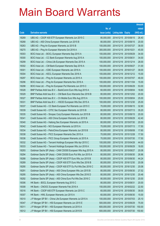|                |                                                                                                                           |                          |                                                |                       | <b>Amount</b>  |
|----------------|---------------------------------------------------------------------------------------------------------------------------|--------------------------|------------------------------------------------|-----------------------|----------------|
|                |                                                                                                                           | No. of                   |                                                |                       | raised         |
| Code           | <b>Derivative warrants</b>                                                                                                | issue (units)            | <b>Listing date Expiry</b>                     |                       | (HK\$ mil.)    |
| 18269          | UBS AG - CSOP A50 ETF European Warrants Jun 2015 C                                                                        | 80,000,000               | 2014/12/15 2015/06/15                          |                       | 26.40          |
| 18268          | UBS AG - A50 China European Warrants Jun 2015 B                                                                           | 80,000,000               | 2014/12/15 2015/06/15                          |                       | 20.00          |
| 18263          | UBS AG - Ping An European Warrants Jul 2015 B                                                                             | 100,000,000              | 2014/12/15 2015/07/27                          |                       | 38.00          |
| 18270          | UBS AG - Ping An European Warrants Oct 2016 A                                                                             | 300,000,000              | 2014/12/15 2016/10/21                          |                       | 45.00          |
| 18303          | BOCI Asia Ltd. - BOCL European Warrants Sep 2015 A                                                                        | 100,000,000              |                                                | 2014/12/16 2015/09/29 | 34.00          |
| 18300          | BOCI Asia Ltd. - CC Bank European Warrants Aug 2015 A                                                                     | 100,000,000              | 2014/12/16 2015/08/31                          |                       | 34.00          |
| 18299          | BOCI Asia Ltd. - China Life European Warrants Dec 2015 A                                                                  | 100,000,000              |                                                | 2014/12/16 2015/12/14 | 28.00          |
| 18302          | BOCI Asia Ltd. - CM Bank European Warrants Sep 2016 A                                                                     | 100,000,000              | 2014/12/16 2016/09/27                          |                       | 31.00          |
| 18301          | BOCI Asia Ltd. - ICBC European Warrants Jan 2016 A                                                                        | 100,000,000              |                                                | 2014/12/16 2016/01/27 | 39.00          |
| 18304          | BOCI Asia Ltd. - KECL European Warrants Dec 2016 A                                                                        | 100,000,000              |                                                | 2014/12/16 2016/12/12 | 15.00          |
| 18297          | BOCI Asia Ltd. - Ping An European Warrants Jul 2015 A                                                                     | 100,000,000              | 2014/12/16 2015/07/07                          |                       | 46.00          |
| 18296          | BOCI Asia Ltd. - Ping An European Warrants Nov 2016 A                                                                     | 100,000,000              | 2014/12/16 2016/11/04                          |                       | 15.00          |
| 18298          | BOCI Asia Ltd. - Ping An European Put Warrants Jun 2015 C                                                                 | 100,000,000              |                                                | 2014/12/16 2015/06/29 | 53.00          |
| 18328          | BNP Paribas Arbit Issu B.V. - BankComm Euro Wts Aug 2015 A                                                                | 60,000,000               | 2014/12/16 2015/08/04                          |                       | 18.60          |
| 18329          | BNP Paribas Arbit Issu B.V. - CM Bank Euro Warrants Dec 2016 B                                                            | 80,000,000               |                                                | 2014/12/16 2016/12/02 | 20.00          |
| 18327          | BNP Paribas Arbit Issu B.V. - Ch Mobile Euro Wts Aug 2015 A                                                               | 100,000,000              | 2014/12/16 2015/08/04                          |                       | 25.00          |
| 18331          | BNP Paribas Arbit Issu B.V. - HSCEI European Wts Dec 2015 A                                                               | 100,000,000              |                                                | 2014/12/16 2015/12/30 | 25.00          |
| 18337          | Credit Suisse AG - CC Bank European Put Warrants Jun 2015 C                                                               | 70,000,000               | 2014/12/16 2015/06/15                          |                       | 32.90          |
| 18339          | Credit Suisse AG - CITIC Sec European Warrants Jul 2015 B                                                                 | 80,000,000               | 2014/12/16 2015/07/13                          |                       | 35.20          |
| 18335          | Credit Suisse AG - Sinopec Corp European Warrants Jun 2015 B                                                              | 80,000,000               | 2014/12/16 2015/06/15                          |                       | 20.00          |
| 18341          | Credit Suisse AG - A50 China European Warrants Jun 2015 B                                                                 | 80,000,000               | 2014/12/16 2015/06/29                          |                       | 42.40          |
| 18340          | Credit Suisse AG - Haitong Sec European Warrants Jul 2015 A                                                               | 80,000,000               | 2014/12/16 2015/07/30                          |                       | 20.00          |
| 18342          | Credit Suisse AG - NCI European Warrants Jul 2015 A                                                                       | 70,000,000               | 2014/12/16 2015/07/13                          |                       | 17.50          |
| 18334          | Credit Suisse AG - PetroChina European Warrants Jun 2015 B                                                                | 80,000,000               | 2014/12/16 2015/06/08                          |                       | 17.60          |
| 18338<br>18336 | Credit Suisse AG - PICC European Warrants Dec 2015 A                                                                      | 70,000,000<br>70,000,000 | 2014/12/16 2015/12/28<br>2014/12/16 2015/07/30 |                       | 17.50<br>17.50 |
| 18332          | Credit Suisse AG - PICC Group European Warrants Jul 2015 A<br>Credit Suisse AG - Tencent Holdings European Wts Apr 2015 C | 100,000,000              | 2014/12/16 2015/04/28                          |                       | 44.00          |
| 18333          | Credit Suisse AG - Tencent Holdings European Wts Jun 2016 A                                                               | 100,000,000              | 2014/12/16 2016/06/29                          |                       | 18.00          |
| 18293          | Goldman Sachs SP (Asia) - CAM CSI300 European Wts Aug 2015 A                                                              | 80,000,000               | 2014/12/16 2015/08/27                          |                       | 20.08          |
| 18294          | Goldman Sachs SP (Asia) - CAM CSI300 Euro Put Wts Jun 2015 A                                                              | 80,000,000               | 2014/12/16 2015/06/30                          |                       | 26.96          |
| 18288          | Goldman Sachs SP (Asia) - CSOP A50 ETF Euro Wts Jun 2015 B                                                                | 80,000,000               |                                                | 2014/12/16 2015/06/30 | 44.24          |
| 18289          | Goldman Sachs SP (Asia) - CSOP A50 ETF Euro Wts Dec 2016 B                                                                | 80,000,000               | 2014/12/16 2016/12/30                          |                       | 20.08          |
| 18290          | Goldman Sachs SP (Asia) - CSOP A50 ETF Eu Put Wts Dec 2016 C                                                              | 80,000,000               |                                                | 2014/12/16 2016/12/30 | 20.08          |
| 18291          | Goldman Sachs SP (Asia) - A50 China European Wts Jun 2015 B                                                               | 80,000,000               | 2014/12/16 2015/06/30                          |                       | 27.52          |
| 18295          | Goldman Sachs SP (Asia) - A50 China European Wts Dec 2016 D                                                               | 80,000,000               | 2014/12/16 2016/12/30                          |                       | 20.48          |
| 18292          | Goldman Sachs SP (Asia) - A50 China Euro Put Wts Dec 2016 C                                                               | 80,000,000               | 2014/12/16 2016/12/30                          |                       | 20.00          |
| 18306          | HK Bank - BOCL European Warrants Aug 2015 C                                                                               | 80,000,000               | 2014/12/16 2015/08/31                          |                       | 20.00          |
| 18308          | HK Bank - CNOOC European Warrants Feb 2016 A                                                                              | 150,000,000              | 2014/12/16 2016/02/22                          |                       | 22.50          |
| 18316          | HK Bank - CSOP A50 ETF European Warrants Jun 2015 C                                                                       | 60,000,000               |                                                | 2014/12/16 2015/06/30 | 39.00          |
| 18307          | HK Bank - HWL European Warrants Jun 2015 A                                                                                | 60,000,000               | 2014/12/16 2015/06/30                          |                       | 15.00          |
| 18310          | J P Morgan SP BV - China Life European Warrants Jul 2015 A                                                                | 100,000,000              | 2014/12/16 2015/07/03                          |                       | 25.10          |
| 18347          | J P Morgan SP BV - HSI European Warrants Jun 2015 E                                                                       | 500,000,000              | 2014/12/16 2015/06/29                          |                       | 75.00          |
| 18311          | J P Morgan SP BV - HSI European Warrants Jul 2015 A                                                                       | 600,000,000              |                                                | 2014/12/16 2015/07/30 | 150.00         |
| 18312          | J P Morgan SP BV - HSI European Warrants Jul 2015 B                                                                       | 600,000,000              | 2014/12/16 2015/07/30                          |                       | 150.60         |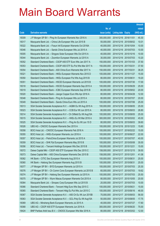|       |                                                                |               |                            |            | <b>Amount</b> |
|-------|----------------------------------------------------------------|---------------|----------------------------|------------|---------------|
|       |                                                                | No. of        |                            |            | raised        |
| Code  | <b>Derivative warrants</b>                                     | issue (units) | <b>Listing date Expiry</b> |            | (HK\$ mil.)   |
| 18309 | J P Morgan SP BV - Ping An European Warrants Nov 2016 A        | 300,000,000   | 2014/12/16 2016/11/01      |            | 45.30         |
| 18317 | Macquarie Bank Ltd. - China Life European Wts Jun 2015 B       | 55,000,000    | 2014/12/16 2015/06/02      |            | 10.01         |
| 18322 | Macquarie Bank Ltd. - Fosun Intl European Warrants Oct 2016A   | 40,000,000    | 2014/12/16 2016/10/04      |            | 10.00         |
| 18346 | Macquarie Bank Ltd. - Sands China European Wts Jul 2015 A      | 40,000,000    | 2014/12/16 2015/07/03      |            | 10.00         |
| 18305 | Macquarie Bank Ltd. - Singyes Solar European Wts Oct 2015 A    | 40,000,000    | 2014/12/16 2015/10/16      |            | 10.00         |
| 18344 | Macquarie Bank Ltd. - Zoomlion European Warrants Jul 2015 A    | 30,000,000    | 2014/12/16 2015/07/03      |            | 10.20         |
| 18352 | Standard Chartered Bank - CSOP A50 ETF Euro Wts Jan 2017 A     | 150,000,000   | 2014/12/16 2017/01/03      |            | 37.50         |
| 18353 | Standard Chartered Bank - CSOP A50 ETF Eu Put Wts Mar 2017 A   | 150,000,000   | 2014/12/16 2017/03/31      |            | 37.50         |
| 18354 | Standard Chartered Bank - A50 China Euro Warrants Mar 2017 A   | 150,000,000   | 2014/12/16 2017/03/31      |            | 38.25         |
| 18321 | Standard Chartered Bank - HKEx European Warrants Nov 2015 D    | 100,000,000   | 2014/12/16 2015/11/27      |            | 15.00         |
| 18350 | Standard Chartered Bank - HKEx European Put Wts Aug 2015 B     | 80,000,000    | 2014/12/16 2015/08/31      |            | 19.20         |
| 18351 | Standard Chartered Bank - HSCEI European Warrants Jul 2015 B   | 100,000,000   | 2014/12/16 2015/07/30      |            | 17.00         |
| 18318 | Standard Chartered Bank - HSCEI European Warrants Sep 2015 A   | 100,000,000   | 2014/12/16 2015/09/29      |            | 25.00         |
| 18319 | Standard Chartered Bank - ICBC European Warrants Sep 2015 B    | 80,000,000    | 2014/12/16 2015/09/02      |            | 20.00         |
| 18320 | Standard Chartered Bank - Jiangxi Copper Euro Wts Apr 2016 A   | 80,000,000    | 2014/12/16 2016/04/28      |            | 12.00         |
| 18348 | Standard Chartered Bank - Ping An European Wts Jul 2015 A      | 80,000,000    | 2014/12/16 2015/07/07      |            | 20.00         |
| 18349 | Standard Chartered Bank - Sands China Euro Wts Jul 2015 A      | 100,000,000   | 2014/12/16 2015/07/06      |            | 25.00         |
| 18313 | SGA Societe Generale Acceptance N.V. - AGBK Eu Wt Aug 2015 A   | 100,000,000   | 2014/12/16 2015/08/05      |            | 25.00         |
| 18323 | SGA Societe Generale Acceptance N.V. - CCB Eur Wt Jun 2015 A   | 80,000,000    | 2014/12/16 2015/06/03      |            | 26.80         |
| 18314 | SGA Societe Generale Acceptance N.V - Ch Oilfield Eu Wt Aug15A | 100,000,000   | 2014/12/16 2015/08/05      |            | 25.00         |
| 18315 | SGA Societe Generale Acceptance N.V. - HKEx Eu Wt Mar 2016 A   | 300,000,000   | 2014/12/16 2016/03/02      |            | 45.00         |
| 18325 | SGA Societe Generale Acceptance N.V. - Ping An Eu Wt Jun 15 D  | 80,000,000    | 2014/12/16 2015/06/03      |            | 39.60         |
| 18326 | UBS AG - CNOOC European Warrants Dec 2015 A                    | 100,000,000   | 2014/12/16 2015/12/23      |            | 15.60         |
| 18358 | BOCI Asia Ltd. - CNOOC European Warrants Feb 2016 A            | 100,000,000   | 2014/12/17 2016/02/22      |            | 15.00         |
| 18355 | BOCI Asia Ltd. - HKEx European Warrants Jun 2016 A             | 100,000,000   | 2014/12/17 2016/06/27      |            | 22.00         |
| 18357 | BOCI Asia Ltd. - PetroChina European Warrants Jul 2015 A       | 100,000,000   | 2014/12/17 2015/07/07      |            | 40.00         |
| 18359 | BOCI Asia Ltd. - SHK Ppt European Warrants May 2015 B          | 100,000,000   | 2014/12/17 2015/05/08      |            | 35.00         |
| 18356 | BOCI Asia Ltd. - Tencent Holdings European Wts Dec 2015 B      | 100,000,000   | 2014/12/17 2015/12/21      |            | 15.00         |
| 18372 | Daiwa Capital Mkt - CSOP A50 ETF European Wts Dec 2015 C       | 158,000,000   | 2014/12/17 2015/12/15      |            | 39.50         |
| 18373 | Daiwa Capital Mkt - A50 China European Warrants Dec 2015 B     | 158,000,000   | 2014/12/17 2015/12/01      |            | 41.08         |
| 18362 | HK Bank - CITIC Sec European Warrants Aug 2015 A               | 100,000,000   | 2014/12/17 2015/08/31      |            | 25.00         |
| 18360 | HK Bank - Haitong Sec European Warrants Aug 2015 B             | 100,000,000   | 2014/12/17 2015/08/31      |            | 25.00         |
| 18377 | J P Morgan SP BV - BYD European Warrants Jul 2015 A            | 100,000,000   | 2014/12/17                 | 2015/07/03 | 25.30         |
| 18376 | J P Morgan SP BV - Ch Comm Cons European Warrants Jul 2015 B   | 60,000,000    | 2014/12/17 2015/07/03      |            | 19.62         |
| 18374 | J P Morgan SP BV - Haitong Sec European Warrants Jul 2015 A    | 100,000,000   | 2014/12/17 2015/07/03      |            | 25.50         |
| 18375 | J P Morgan SP BV - Wynn Macau European Warrants Oct 2015 A     | 80,000,000    | 2014/12/17 2015/10/05      |            | 20.00         |
| 18364 | Macquarie Bank Ltd. - Sinopec Corp European Wts Jul 2015 B     | 20,000,000    | 2014/12/17 2015/07/03      |            | 10.00         |
| 18366 | Standard Chartered Bank - Tencent Hidg Euro Wts Sep 2015 C     | 100,000,000   | 2014/12/17 2015/09/21      |            | 15.00         |
| 18365 | Standard Chartered Bank - Tencent Hidg Eu Put Wts Jun 2015 C   | 100,000,000   | 2014/12/17 2015/06/16      |            | 46.00         |
| 18367 | SGA Societe Generale Acceptance N.V. - A50 Ch Eu Wt Jun 2015B  | 70,000,000    | 2014/12/17 2015/06/03      |            | 56.00         |
| 18363 | SGA Societe Generale Acceptance N.V. - GCL-Poly Eu Wt Aug15A   | 50,000,000    | 2014/12/17                 | 2015/08/05 | 17.75         |
| 18369 | UBS AG - Minsheng Bank European Warrants Jul 2015 A            | 40,000,000    | 2014/12/17 2015/07/27      |            | 17.60         |
| 18368 | UBS AG - CSOP A50 ETF European Warrants Jun 2016 A             | 300,000,000   | 2014/12/17                 | 2016/06/20 | 75.00         |
| 18424 | BNP Paribas Arbit Issu B.V. - CNOOC European Wts Mar 2016 A    | 80,000,000    | 2014/12/18 2016/03/02      |            | 12.00         |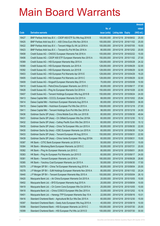|       |                                                              |               |                            | <b>Amount</b> |
|-------|--------------------------------------------------------------|---------------|----------------------------|---------------|
|       |                                                              | No. of        |                            | raised        |
| Code  | <b>Derivative warrants</b>                                   | issue (units) | <b>Listing date Expiry</b> | (HK\$ mil.)   |
| 18427 | BNP Paribas Arbit Issu B.V. - CSOP A50 ETF Eu Wts Aug 2016 B | 100,000,000   | 2014/12/18 2016/08/02      | 25.00         |
| 18425 | BNP Paribas Arbit Issu B.V. - A50 China Euro Wts Nov 2016 A  | 100,000,000   | 2014/12/18 2016/11/02      | 25.00         |
| 18422 | BNP Paribas Arbit Issu B.V. - Tencent HIdgs Eu Wt Jul 2016 A | 100,000,000   | 2014/12/18 2016/07/05      | 19.00         |
| 18423 | BNP Paribas Arbit Issu B.V. - Tencent Eu Put Wt Dec 2016 A   | 80,000,000    | 2014/12/18 2016/12/02      | 20.00         |
| 18408 | Credit Suisse AG - CNOOC European Warrants Feb 2016 A        | 100,000,000   | 2014/12/18 2016/02/22      | 15.00         |
| 18406 | Credit Suisse AG - CSOP A50 ETF European Warrants Nov 2015 A | 150,000,000   | 2014/12/18 2015/11/02      | 27.00         |
| 18389 | Credit Suisse AG - HSI European Warrants May 2015 A          | 128,000,000   | 2014/12/18 2015/05/28      | 24.32         |
| 18390 | Credit Suisse AG - HSI European Warrants Jun 2015 A          | 128,000,000   | 2014/12/18 2015/06/29      | 32.00         |
| 18392 | Credit Suisse AG - HSI European Warrants Jun 2015 B          | 128,000,000   | 2014/12/18 2015/06/29      | 32.00         |
| 18403 | Credit Suisse AG - HSI European Put Warrants Apr 2015 E      | 128,000,000   | 2014/12/18 2015/04/29      | 19.20         |
| 18405 | Credit Suisse AG - HSI European Put Warrants Jun 2015 C      | 128,000,000   | 2014/12/18 2015/06/29      | 32.00         |
| 18409 | Credit Suisse AG - Kingsoft European Warrants May 2015 A     | 70,000,000    | 2014/12/18 2015/05/08      | 10.50         |
| 18410 | Credit Suisse AG - PetroChina European Warrants Jun 2015 C   | 80,000,000    | 2014/12/18 2015/06/17      | 37.60         |
| 18428 | Credit Suisse AG - Ping An European Warrants Oct 2016 A      | 150,000,000   | 2014/12/18 2016/10/28      | 22.50         |
| 18407 | Credit Suisse AG - Tencent Holdings European Wts Aug 2015 B  | 150,000,000   | 2014/12/18 2015/08/24      | 24.00         |
| 18413 | Daiwa Capital Mkt - CCCCL European Warrants Oct 2015 A       | 68,000,000    | 2014/12/18 2015/10/02      | 25.84         |
| 18414 | Daiwa Capital Mkt - Hutchison European Warrants Aug 2015 A   | 80,000,000    | 2014/12/18 2015/08/03      | 36.00         |
| 18415 | Daiwa Capital Mkt - Hutchison European Put Wts Dec 2015 A    | 108,000,000   | 2014/12/18 2015/12/18      | 27.00         |
| 18411 | Daiwa Capital Mkt - Tencent Holdings Euro Put Wts Dec 2015 A | 98,000,000    | 2014/12/18 2015/12/18      | 24.50         |
| 18436 | Goldman Sachs SP (Asia) – China Mobile Euro Wts Jun 2015 B   | 80,000,000    | 2014/12/18 2015/06/30      | 48.64         |
| 18431 | Goldman Sachs SP (Asia) – Ch Oilfield European Wts Dec 2015A | 60,000,000    | 2014/12/18 2015/12/30      | 15.12         |
| 18432 | Goldman Sachs SP (Asia) – Cathay Pacific Euro Wts Dec 2015 A | 60,000,000    | 2014/12/18 2015/12/30      | 15.12         |
| 18435 | Goldman Sachs SP (Asia) - China Tel European Wts Jun 2015 A  | 80,000,000    | 2014/12/18 2015/06/30      | 22.00         |
| 18430 | Goldman Sachs Sp (Asia) – ICBC European Warrants Jun 2015 A  | 60,000,000    | 2014/12/18 2015/06/30      | 15.24         |
| 18433 | Goldman Sachs SP (Asia) - Tencent European Wt Aug 2015 A     | 150,000,000   | 2014/12/18 2015/08/31      | 22.50         |
| 18439 | Goldman Sachs SP (Asia) - China Vanke European Wts Aug 2015A | 60,000,000    | 2014/12/18 2015/08/31      | 15.00         |
| 18387 | HK Bank – CITIC Bank European Warrants Jul 2015 A            | 50,000,000    | 2014/12/18 2015/07/31      | 15.00         |
| 18384 | HK Bank - Minsheng Bank European Warrants Jul 2015 C         | 50,000,000    | 2014/12/18 2015/07/31      | 20.00         |
| 18382 | HK Bank - Ping An European Warrants Jun 2015 C               | 80,000,000    | 2014/12/18 2015/06/01      | 28.00         |
| 18383 | HK Bank - Ping An European Put Warrants Jun 2015 D           | 60,000,000    | 2014/12/18 2015/06/17      | 24.00         |
| 18381 | HK Bank - Tencent European Warrants Jun 2016 A               | 180,000,000   | 2014/12/18 2016/06/28      | 28.80         |
| 18385 | HK Bank - Yanzhou Coal European Warrants Jun 2015 A          | 50,000,000    | 2014/12/18 2015/06/30      | 17.50         |
| 18379 | J P Morgan SP BV - China Tel European Warrants Aug 2015 A    | 80,000,000    | 2014/12/18 2015/08/04      | 20.00         |
| 18378 | J P Morgan SP BV - SJM Holdings European Warrants Nov 2016 A | 80,000,000    | 2014/12/18 2016/11/02      | 20.24         |
| 18440 | J P Morgan SP BV - Tencent European Warrants May 2015 A      | 100,000,000   | 2014/12/18 2015/05/04      | 26.10         |
| 18420 | Macquarie Bank Ltd. - Air China European Warrants Oct 2015 A | 20,000,000    | 2014/12/18 2015/10/05      | 10.00         |
| 18402 | Macquarie Bank Ltd. - BYD European Warrants Aug 2015 A       | 20,000,000    | 2014/12/18 2015/08/04      | 10.00         |
| 18419 | Macquarie Bank Ltd. - Ch Comm Cons European Wts Oct 2015 A   | 25,000,000    | 2014/12/18 2015/10/05      | 10.00         |
| 18418 | Macquarie Bank Ltd. - China COSCO European Wts Dec 2015 A    | 33,000,000    | 2014/12/18 2015/12/02      | 10.16         |
| 18401 | Macquarie Bank Ltd. - Hanergy TFP European Warrants Sep 15 A | 22,000,000    | 2014/12/18 2015/09/16      | 10.01         |
| 18416 | Standard Chartered Bank - Agricultural Bk Eur Wts Dec 2015 A | 60,000,000    | 2014/12/18 2015/12/30      | 15.00         |
| 18397 | Standard Chartered Bank - Geely Auto European Wts Aug 2015 A | 40,000,000    | 2014/12/18 2015/08/19      | 10.00         |
| 18398 | Standard Chartered Bank - HSI European Warrants Jul 2015 C   | 100,000,000   | 2014/12/18 2015/07/30      | 25.00         |
| 18399 | Standard Chartered Bank - HSI European Put Wts Jul 2015 D    | 100,000,000   | 2014/12/18 2015/07/30      | 30.00         |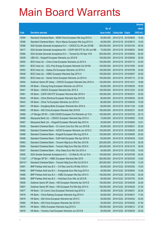|         |                                                                |               |                            |            | <b>Amount</b> |
|---------|----------------------------------------------------------------|---------------|----------------------------|------------|---------------|
|         |                                                                | No. of        |                            |            | raised        |
| Code    | <b>Derivative warrants</b>                                     | issue (units) | <b>Listing date Expiry</b> |            | (HK\$ mil.)   |
| 18394   | Standard Chartered Bank – MGM China European Wts Aug 2015 A    | 40,000,000    | 2014/12/18 2015/08/05      |            | 10.00         |
| 18396   | Standard Chartered Bank - Wynn Macau European Wts Aug 2015 A   | 40,000,000    | 2014/12/18 2015/08/12      |            | 10.00         |
| 18388   | SGA Societe Generale Acceptance N.V. - CNOOC Eu Wt Jan 2016B   | 300,000,000   | 2014/12/18 2016/01/04      |            | 48.00         |
| 18417   | SGA Societe Generale Acceptance NV - CSOP A50 ETF Eu Wt Jun15B | 70.000.000    | 2014/12/18 2015/06/03      |            | 58.80         |
| 18380   | SGA Societe Generale Acceptance N.V. - Tencent Eu Wt Sep 15 B  | 500,000,000   | 2014/12/18 2015/09/02      |            | 82.50         |
| 18429   | UBS AG - Kingsoft European Warrants Jun 2015 B                 | 100,000,000   | 2014/12/18 2015/06/29      |            | 25.00         |
| 18450   | BOCI Asia Ltd. - China Cinda European Warrants Jul 2015 A      | 100,000,000   | 2014/12/19 2015/07/13      |            | 23.00         |
| 18451   | BOCI Asia Ltd. - GCL-Poly Energy European Warrants Oct 2015A   | 100,000,000   | 2014/12/19 2015/10/05      |            | 24.00         |
| 18453   | BOCI Asia Ltd. - Galaxy Ent European Warrants Jul 2015 A       | 100,000,000   | 2014/12/19 2015/07/08      |            | 33.00         |
| 18448   | BOCI Asia Ltd. - HSBC European Warrants Sep 2015 A             | 100,000,000   | 2014/12/19 2015/09/07      |            | 25.00         |
| 18452   | BOCI Asia Ltd. - Sands China European Warrants Jul 2015 A      | 100,000,000   | 2014/12/19 2015/07/13      |            | 27.00         |
| 18454   | Goldman Sachs SP (Asia) - CNOOC European Warrants Dec 2015 A   | 120,000,000   | 2014/12/19 2015/12/31      |            | 18.60         |
| 18446   | HK Bank – Cheung Kong European Warrants Jun 2015 A             | 60,000,000    | 2014/12/19 2015/06/30      |            | 18.00         |
| 18441   | HK Bank - CNOOC European Warrants Dec 2015 A                   | 150,000,000   | 2014/12/19 2015/12/23      |            | 22.50         |
| 18461   | HK Bank - CSOP A50 ETF European Warrants Mar 2016 A            | 180,000,000   | 2014/12/19                 | 2016/03/31 | 45.00         |
| 18445   | HK Bank - China Shenhua European Warrants Sep 2015 B           | 80,000,000    | 2014/12/19 2015/09/30      |            | 20.00         |
| 18443   | HK Bank - China Tel European Warrants Jun 2015 A               | 60,000,000    | 2014/12/19 2015/06/30      |            | 15.00         |
| 18447   | HK Bank – Dongfeng Motor European Warrants Nov 2016 A          | 80,000,000    | 2014/12/19 2016/11/25      |            | 12.80         |
| 18460   | HK Bank - A50 China European Warrants Mar 2016 B               | 180,000,000   | 2014/12/19                 | 2016/03/31 | 45.00         |
| 18469   | J P Morgan SP BV - CAM CSI300 European Put Warrants Jul 15 A   | 100,000,000   | 2014/12/19 2015/07/03      |            | 25.10         |
| 18468   | Macquarie Bank Ltd. - CNOOC European Warrants Sep 2015 A       | 15,000,000    | 2014/12/19 2015/09/02      |            | 10.02         |
| 18467   | Macquarie Bank Ltd. - Kingsoft European Warrants Sep 2015 A    | 35,000,000    | 2014/12/19 2015/09/02      |            | 10.01         |
| 18459   | Standard Chartered Bank - Ch Comm Cons Eur Wts Jun 2015 B      | 50,000,000    | 2014/12/19 2015/06/01      |            | 25.00         |
| 18462   | Standard Chartered Bank - HSCEI European Warrants Jun 2015 C   | 100,000,000   | 2014/12/19 2015/06/29      |            | 25.00         |
| 18466   | Standard Chartered Bank – Kingsoft European Wts Aug 2015 A     | 100,000,000   | 2014/12/19 2015/08/05      |            | 25.00         |
| 18458   | Standard Chartered Bank - SJM Hold European Wts Apr 2016 A     | 60.000.000    | 2014/12/19 2016/04/29      |            | 15.00         |
| 18463   | Standard Chartered Bank - Tencent Hidg Euro Wts Dec 2015 B     | 200,000,000   | 2014/12/19 2015/12/18      |            | 30.00         |
| 18464   | Standard Chartered Bank - Tencent Hidg Euro Wts Dec 2016 A     | 200,000,000   | 2014/12/19 2016/12/19      |            | 30.00         |
| 18457   | Standard Chartered Bank - Xinyi Glass Euro Wts Oct 2015 A      | 40,000,000    | 2014/12/19 2015/10/02      |            | 10.00         |
| 18455   | SGA Societe Generale Acceptance N.V. - Ch Mob Eu Wt Jul 15 A   | 100,000,000   | 2014/12/19 2015/07/06      |            | 45.00         |
| 11332 # | J P Morgan SP BV - HSBC European Warrants Mar 2016             | 500,000,000   | 2014/12/19 2016/03/30      |            | 13.50         |
| 29410 # | Standard Chartered Bank - Tencent Hidg Euro Wts Oct 2015 A     | 200,000,000   | 2014/12/19 2015/10/26      |            | 13.20         |
| 18491   | BNP Paribas Arbit Issu B.V. - Chi Res Land Eu Wt Mar 2016 A    | 60,000,000    | 2014/12/22 2016/03/02      |            | 15.00         |
| 18492   | BNP Paribas Arbit Issu B.V. - Evergrande Euro Wts Aug 2015 A   | 40,000,000    | 2014/12/22 2015/08/04      |            | 10.00         |
| 18489   | BNP Paribas Arbit Issu B.V. - HSBC European Wts Dec 2015 C     | 100,000,000   | 2014/12/22 2015/12/02      |            | 25.00         |
| 18490   | BNP Paribas Arbit Issu B.V. - Hutchison Euro Wts Jul 2015 B    | 80,000,000    | 2014/12/22 2015/07/03      |            | 20.00         |
| 18506   | Goldman Sachs SP (Asia) - HSI European Warrants Apr 2015 D     | 150,000,000   | 2014/12/22 2015/04/29      |            | 22.80         |
| 18507   | Goldman Sachs SP (Asia) - HSI European Put Wts Sep 2015 A      | 150,000,000   | 2014/12/22 2015/09/29      |            | 37.50         |
| 18477   | HK Bank - Ch Comm Cons European Warrants Aug 2015 A            | 50,000,000    | 2014/12/22 2015/08/31      |            | 20.00         |
| 18476   | HK Bank - China Railway European Warrants Aug 2015 A           | 50,000,000    | 2014/12/22 2015/08/31      |            | 17.50         |
| 18479   | HK Bank - A50 China European Warrants Apr 2015 C               | 50,000,000    | 2014/12/22 2015/04/02      |            | 33.00         |
| 18480   | HK Bank - A50 China European Warrants Apr 2015 D               | 50,000,000    | 2014/12/22 2015/04/02      |            | 47.50         |
| 18475   | HK Bank - HKEx European Warrants Aug 2015 A                    | 180,000,000   | 2014/12/22 2015/08/12      |            | 27.00         |
| 18478   | HK Bank - Yanzhou Coal European Warrants Jun 2015 B            | 50,000,000    | 2014/12/22 2015/06/30      |            | 20.00         |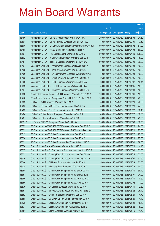|         |                                                              |               |                            | <b>Amount</b> |
|---------|--------------------------------------------------------------|---------------|----------------------------|---------------|
|         |                                                              | No. of        |                            | raised        |
| Code    | <b>Derivative warrants</b>                                   | issue (units) | <b>Listing date Expiry</b> | (HK\$ mil.)   |
| 18486   | J P Morgan SP BV - China Mob European Wts May 2015 C         | 200,000,000   | 2014/12/22 2015/05/04      | 94.60         |
| 18501   | J P Morgan SP BV - China Railway European Wts Sep 2015 A     | 40,000,000    | 2014/12/22 2015/09/01      | 17.52         |
| 18505   | J P Morgan SP BV - CSOP A50 ETF European Warrants Nov 2015 A | 500,000,000   | 2014/12/22 2015/11/02      | 81.00         |
| 18488   | J P Morgan SP BV - HSBC European Warrants Jul 2015 A         | 200,000,000   | 2014/12/22 2015/07/03      | 56.20         |
| 18504   | J P Morgan SP BV - HSI European Put Warrants Jul 2015 C      | 500,000,000   | 2014/12/22 2015/07/30      | 125.00        |
| 18502   | J P Morgan SP BV - MGM China European Warrants Sep 2015 A    | 60,000,000    | 2014/12/22 2015/09/02      | 15.00         |
| 18487   | J P Morgan SP BV - Tencent European Warrants Sep 2015 C      | 600,000,000   | 2014/12/22 2015/09/02      | 90.00         |
| 18494   | Macquarie Bank Ltd. - Anhui Conch European Wts Aug 2015 A    | 40,000,000    | 2014/12/22 2015/08/04      | 10.00         |
| 18498   | Macquarie Bank Ltd. - Bank of EA European Wts Jul 2016 A     | 40,000,000    | 2014/12/22 2016/07/05      | 10.00         |
| 18496   | Macquarie Bank Ltd. - Ch Comm Cons European Wts Dec 2017 A   | 40,000,000    | 2014/12/22 2017/12/04      | 10.00         |
| 18495   | Macquarie Bank Ltd. - China Railway European Wts Oct 2015 A  | 25,000,000    | 2014/12/22 2015/10/05      | 10.00         |
| 18500   | Macquarie Bank Ltd. - HSBC European Warrants Sep 2015 A      | 60,000,000    | 2014/12/22 2015/09/02      | 10.44         |
| 18499   | Macquarie Bank Ltd. - Poly HK Inv European Wts Jan 2016 A    | 40,000,000    | 2014/12/22 2016/01/05      | 10.00         |
| 18497   | Macquarie Bank Ltd. - Stanchart European Warrants Jul 2015 C | 40,000,000    | 2014/12/22 2015/07/03      | 10.00         |
| 18493   | Standard Chartered Bank – HSBC European Warrants Sep 2015 A  | 100,000,000   | 2014/12/22 2015/09/01      | 15.00         |
| 18470   | SGA Societe Generale Acceptance N.V. - HSBC Eu Wt Jul 2015 A | 100,000,000   | 2014/12/22 2015/07/06      | 25.00         |
| 18482   | UBS AG - BYD European Warrants Jul 2015 A                    | 50,000,000    | 2014/12/22 2015/07/20      | 20.00         |
| 18485   | UBS AG - Ch Comm Cons European Warrants May 2015 A           | 40,000,000    | 2014/12/22 2015/05/26      | 24.00         |
| 18483   | UBS AG – Sinopec Corp European Warrants Jun 2015 A           | 70,000,000    | 2014/12/22 2015/06/22      | 30.10         |
| 18484   | UBS AG - China Railway European Warrants Jun 2015 B          | 40,000,000    | 2014/12/22 2015/06/22      | 10.00         |
| 18481   | UBS AG - Hutchison European Warrants Jun 2015 B              | 100,000,000   | 2014/12/22 2015/06/29      | 45.00         |
| 17631 # | HK Bank - CNOOC European Warrants Oct 2015 A                 | 230,000,000   | 2014/12/22 2015/10/30      | 10.58         |
| 18523   | BOCI Asia Ltd. - CSOP A50 ETF European Warrants Dec 2016 B   | 100,000,000   | 2014/12/23 2016/12/28      | 24.00         |
| 18522   | BOCI Asia Ltd. - CSOP A50 ETF European Put Warrants Dec 16 A | 100,000,000   | 2014/12/23 2016/12/21      | 25.00         |
| 18519   | BOCI Asia Ltd. - A50 China European Warrants Dec 2016 B      | 100,000,000   | 2014/12/23 2016/12/22      | 22.00         |
| 18520   | BOCI Asia Ltd. - A50 China European Warrants Dec 2016 C      | 100,000,000   | 2014/12/23 2016/12/23      | 27.00         |
| 18521   | BOCI Asia Ltd. - A50 China European Put Warrants Dec 2016 D  | 100,000,000   | 2014/12/23 2016/12/30      | 29.00         |
| 18550   | Credit Suisse AG - AIA European Warrants Jun 2015 B          | 80,000,000    | 2014/12/23 2015/06/29      | 14.40         |
| 18527   | Credit Suisse AG - Ch Comm Cons European Warrants Jun 2015 A | 60,000,000    | 2014/12/23 2015/06/02      | 33.00         |
| 18533   | Credit Suisse AG - Cheung Kong European Warrants Dec 2015 A  | 150,000,000   | 2014/12/23 2015/12/14      | 22.50         |
| 18530   | Credit Suisse AG - Cheung Kong European Warrants Aug 2017 A  | 150,000,000   | 2014/12/23 2017/08/01      | 31.50         |
| 18540   | Credit Suisse AG - CM Bank European Warrants Jul 2016 A      | 150,000,000   | 2014/12/23 2016/07/29      | 33.00         |
| 18528   | Credit Suisse AG - Minsheng Bank European Wts Dec 2016 A     | 150,000,000   | 2014/12/23 2016/12/19      | 30.00         |
| 18554   | Credit Suisse AG - China Mobile European Warrants Apr 2015 C | 80,000,000    | 2014/12/23 2015/04/30      | 38.40         |
| 18553   | Credit Suisse AG - China Mobile European Warrants May 2015 A | 80,000,000    | 2014/12/23 2015/05/07      | 24.00         |
| 18556   | Credit Suisse AG - China Mobile European Put Wts Apr 2015 D  | 70,000,000    | 2014/12/23 2015/04/30      | 10.50         |
| 18555   | Credit Suisse AG - China Mobile European Put Wts Oct 2015 A  | 70,000,000    | 2014/12/23 2015/10/02      | 11.90         |
| 18539   | Credit Suisse AG - Ch Oilfield European Warrants Jul 2015 A  | 80,000,000    | 2014/12/23 2015/07/31      | 12.80         |
| 18557   | Credit Suisse AG - Sinopec Corp European Warrants Jun 2015 C | 80,000,000    | 2014/12/23 2015/06/22      | 26.40         |
| 18552   | Credit Suisse AG - China Tel European Warrants Jun 2015 A    | 70,000,000    | 2014/12/23 2015/06/29      | 14.70         |
| 18558   | Credit Suisse AG - GCL-Poly Energy European Wts May 2015 A   | 80,000,000    | 2014/12/23 2015/05/29      | 14.40         |
| 18535   | Credit Suisse AG - Galaxy Ent European Warrants May 2015 A   | 80,000,000    | 2014/12/23 2015/05/22      | 18.40         |
| 18537   | Credit Suisse AG - Galaxy Ent European Put Wts May 2015 B    | 70,000,000    | 2014/12/23 2015/05/22      | 18.20         |
| 18551   | Credit Suisse AG - Gome European Warrants May 2016 A         | 70,000,000    | 2014/12/23 2016/05/16      | 14.70         |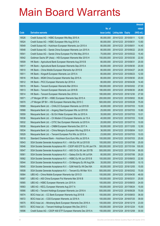|       |                                                                |               |                            |                       | <b>Amount</b> |
|-------|----------------------------------------------------------------|---------------|----------------------------|-----------------------|---------------|
|       |                                                                | No. of        |                            |                       | raised        |
| Code  | <b>Derivative warrants</b>                                     | issue (units) | <b>Listing date Expiry</b> |                       | (HK\$ mil.)   |
| 18526 | Credit Suisse AG - HSBC European Wts May 2015 A                | 80,000,000    | 2014/12/23 2015/05/11      |                       | 12.00         |
| 18524 | Credit Suisse AG - HSBC European Wts Aug 2015 A                | 80,000,000    | 2014/12/23 2015/08/31      |                       | 13.60         |
| 18549 | Credit Suisse AG - Hutchison European Warrants Jun 2015 A      | 80,000,000    | 2014/12/23 2015/06/01      |                       | 14.40         |
| 18548 | Credit Suisse AG - Sands China European Warrants Jun 2015 A    | 80,000,000    | 2014/12/23 2015/06/22      |                       | 20.00         |
| 18541 | Credit Suisse AG - Sands China European Put Wts May 2015 A     | 70,000,000    |                            | 2014/12/23 2015/05/22 | 15.40         |
| 18542 | Goldman Sachs SP (Asia) - HSI European Warrants Mar 2015 H     | 150,000,000   |                            | 2014/12/23 2015/03/30 | 22.50         |
| 18509 | HK Bank - Agricultural Bank European Warrants Aug 2015 B       | 80,000,000    | 2014/12/23 2015/08/31      |                       | 20.00         |
| 18517 | HK Bank - Agricultural Bank European Warrants Sep 2015 A       | 80,000,000    | 2014/12/23 2015/09/30      |                       | 20.00         |
| 18510 | HK Bank - China Mobile European Warrants Apr 2015 B            | 80,000,000    |                            | 2014/12/23 2015/04/27 | 24.00         |
| 18511 | HK Bank - Kingsoft European Warrants Jun 2015 A                | 80,000,000    |                            | 2014/12/23 2015/06/23 | 12.00         |
| 18516 | HK Bank - MGM China European Warrants Sep 2015 A               | 80,000,000    |                            | 2014/12/23 2015/09/30 | 20.00         |
| 18512 | HK Bank - PICC European Warrants Apr 2016 A                    | 80,000,000    |                            | 2014/12/23 2016/04/26 | 14.40         |
| 18515 | HK Bank - Tencent European Warrants Mar 2016 A                 | 180,000,000   |                            | 2014/12/23 2016/03/02 | 27.00         |
| 18513 | HK Bank - Tencent European Warrants Jun 2016 B                 | 180,000,000   |                            | 2014/12/23 2016/06/30 | 28.80         |
| 18514 | HK Bank - Tencent European Warrants Dec 2016 A                 | 180,000,000   |                            | 2014/12/23 2016/12/30 | 27.00         |
| 18571 | J P Morgan SP BV - HSBC European Warrants Sep 2015 A           | 200,000,000   |                            | 2014/12/23 2015/09/02 | 55.80         |
| 18570 | J P Morgan SP BV - HSI European Warrants May 2015 C            | 500,000,000   |                            | 2014/12/23 2015/05/28 | 75.00         |
| 18569 | Macquarie Bank Ltd. - CHALCO European Warrants Jul 2015 B      | 40,000,000    | 2014/12/23 2015/07/03      |                       | 10.00         |
| 18568 | Macquarie Bank Ltd. - Angang Steel European Wts Jul 2015 B     | 25,000,000    | 2014/12/23 2015/07/03      |                       | 10.80         |
| 18559 | Macquarie Bank Ltd. - BJ Ent Water European Wts Jul 2015 A     | 35,000,000    | 2014/12/23 2015/07/03      |                       | 10.01         |
| 18536 | Macquarie Bank Ltd. - Ch Modern D European Warrants Jul 15 A   | 40,000,000    |                            | 2014/12/23 2015/07/03 | 10.00         |
| 18532 | Macquarie Bank Ltd. - CITIC Sec European Warrants Jul 2015 A   | 20,000,000    |                            | 2014/12/23 2015/07/10 | 10.00         |
| 18538 | Macquarie Bank Ltd. - CNBM European Warrants Dec 2017 A        | 50,000,000    |                            | 2014/12/23 2017/12/05 | 12.50         |
| 18534 | Macquarie Bank Ltd. - China Mengniu European Wts Aug 2015 A    | 36,000,000    | 2014/12/23 2015/08/04      |                       | 10.01         |
| 18529 | Macquarie Bank Ltd. - Tencent European Put Wts Jul 2015 A      | 23,000,000    |                            | 2014/12/23 2015/07/03 | 10.03         |
| 18518 | Standard Chartered Bank - Hutchison Euro Euro Wts Jul 2015 A   | 100,000,000   | 2014/12/23 2015/07/03      |                       | 25.00         |
| 18543 | SGA Societe Generale Acceptance N.V. - AIA Eur Wt Jul 2015 B   | 100,000,000   |                            | 2014/12/23 2015/07/06 | 25.00         |
| 18546 | SGA Societe Generale Acceptance NV - CSOP A50 ETF Eu Wt Jan17A | 500,000,000   | 2014/12/23 2017/01/04      |                       | 100.00        |
| 18547 | SGA Societe Generale Acceptance N.V. - A50 Ch Eu Wt Jan 2017B  | 500,000,000   | 2014/12/23 2017/01/04      |                       | 95.00         |
| 18561 | SGA Societe Generale Acceptance N.V. - Galaxy Ent Eu Wt Jul15A | 80,000,000    |                            | 2014/12/23 2015/07/06 | 29.20         |
| 18562 | SGA Societe Generale Acceptance N.V. - HSBC Eu Wt Jun 2015 B   | 100,000,000   | 2014/12/23 2015/06/03      |                       | 22.50         |
| 18544 | SGA Societe Generale Acceptance N.V. - Ch Mengniu Eu Wt Aug15A | 35,000,000    | 2014/12/23 2015/08/05      |                       | 10.15         |
| 18545 | SGA Societe Generale Acceptance N.V. - SJM Hold Eu Wt Dec16A   | 60,000,000    | 2014/12/23 2016/12/05      |                       | 15.00         |
| 18508 | SGA Societe Generale Acceptance N.V. - Tencent Eu Wt Mar 16 A  | 500,000,000   |                            | 2014/12/23 2016/03/02 | 75.00         |
| 18564 | UBS AG - China Mobile European Warrants Apr 2015 D             | 100,000,000   | 2014/12/23 2015/04/30      |                       | 48.00         |
| 18567 | UBS AG - A50 China European Put Warrants Mar 2016 B            | 100,000,000   | 2014/12/23 2016/03/31      |                       | 25.00         |
| 18565 | UBS AG - HSBC European Warrants Jun 2015 A                     | 100,000,000   | 2014/12/23 2015/06/03      |                       | 24.00         |
| 18563 | UBS AG - KECL European Warrants Aug 2017 A                     | 100,000,000   | 2014/12/23 2017/08/24      |                       | 15.00         |
| 18566 | UBS AG - Tencent Holdings European Warrants Jun 2016 A         | 500,000,000   | 2014/12/23 2016/06/28      |                       | 75.00         |
| 18574 | BOCI Asia Ltd. - CC Bank European Warrants Aug 2015 B          | 100,000,000   | 2014/12/24 2015/08/03      |                       | 36.00         |
| 18572 | BOCI Asia Ltd. - CGS European Warrants Jul 2016 A              | 100,000,000   | 2014/12/24 2016/07/25      |                       | 39.00         |
| 18575 | BOCI Asia Ltd. - Minsheng Bank European Warrants Dec 2016 A    | 100,000,000   | 2014/12/24 2016/12/19      |                       | 23.00         |
| 18573 | BOCI Asia Ltd. - Tencent Holdings European Wts Dec 2015 C      | 100,000,000   | 2014/12/24 2015/12/24      |                       | 15.00         |
| 18596 | Credit Suisse AG - CSOP A50 ETF European Warrants Dec 2015 A   | 150,000,000   | 2014/12/24 2015/12/08      |                       | 30.00         |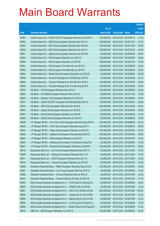|       |                                                                |               |                            |            | <b>Amount</b> |
|-------|----------------------------------------------------------------|---------------|----------------------------|------------|---------------|
|       |                                                                | No. of        |                            |            | raised        |
| Code  | <b>Derivative warrants</b>                                     | issue (units) | <b>Listing date Expiry</b> |            | (HK\$ mil.)   |
| 18597 | Credit Suisse AG - CSOP A50 ETF European Warrants Jun 2016 A   | 150,000,000   | 2014/12/24 2016/06/13      |            | 31.50         |
| 18594 | Credit Suisse AG - A50 China European Warrants Nov 2015 A      | 150,000,000   | 2014/12/24 2015/11/27      |            | 27.00         |
| 18593 | Credit Suisse AG - A50 China European Warrants Dec 2016 B      | 150,000,000   | 2014/12/24 2016/12/23      |            | 33.00         |
| 18595 | Credit Suisse AG - A50 China European Warrants Dec 2016 C      | 150,000,000   | 2014/12/24 2016/12/23      |            | 40.50         |
| 18601 | Credit Suisse AG - Galaxy Ent European Warrants Jun 2015 B     | 80,000,000    | 2014/12/24 2015/06/29      |            | 29.60         |
| 18590 | Credit Suisse AG - HSI European Warrants Jun 2015 D            | 128,000,000   | 2014/12/24 2015/06/29      |            | 20.48         |
| 18589 | Credit Suisse AG - HSI European Warrants Jul 2015 B            | 128,000,000   | 2014/12/24                 | 2015/07/30 | 19.20         |
| 18591 | Credit Suisse AG - HSI European Put Warrants Jun 2015 E        | 128,000,000   | 2014/12/24 2015/06/29      |            | 32.00         |
| 18592 | Credit Suisse AG - HSI European Put Warrants Jun 2015 F        | 128,000,000   | 2014/12/24 2015/06/29      |            | 32.00         |
| 18602 | Credit Suisse AG - Sands China European Warrants Jun 2015 B    | 80,000,000    | 2014/12/24 2015/06/29      |            | 20.00         |
| 18598 | Credit Suisse AG - Tencent Holdings Euro Put Wts Apr 2015 D    | 70,000,000    | 2014/12/24                 | 2015/04/30 | 23.10         |
| 18600 | Credit Suisse AG - Tencent Holdings Euro Put Wts Oct 2015 A    | 100,000,000   | 2014/12/24 2015/10/30      |            | 25.00         |
| 18599 | Credit Suisse AG - Tencent Holdings Euro Put Wts Aug 2016 A    | 100,000,000   | 2014/12/24 2016/08/29      |            | 25.00         |
| 18579 | HK Bank - CGS European Warrants Sep 2015 A                     | 100,000,000   | 2014/12/24 2015/09/30      |            | 25.00         |
| 18582 | HK Bank - Ch Oilfield European Warrants Nov 2015 A             | 80,000,000    | 2014/12/24 2015/11/24      |            | 15.20         |
| 18580 | HK Bank - Sinopec Corp European Warrants Jun 2015 B            | 60,000,000    | 2014/12/24 2015/06/30      |            | 18.00         |
| 18577 | HK Bank - CSOP A50 ETF European Put Warrants Mar 2017 A        | 150,000,000   | 2014/12/24 2017/03/24      |            | 28.50         |
| 18576 | HK Bank - A50 China European Warrants Dec 2016 B               | 200,000,000   | 2014/12/24 2016/12/28      |            | 36.00         |
| 18583 | HK Bank - Galaxy Ent European Warrants Jun 2015 D              | 60,000,000    | 2014/12/24                 | 2015/06/30 | 30.00         |
| 18581 | HK Bank – PetroChina European Warrants Jun 2015 B              | 60,000,000    | 2014/12/24 2015/06/30      |            | 21.00         |
| 18584 | HK Bank - Sands China European Warrants Jun 2015 D             | 60,000,000    | 2014/12/24 2015/06/30      |            | 18.00         |
| 18626 | J P Morgan SP BV - Ch Comm Cons European Warrants Aug 2016 A   | 100,000,000   | 2014/12/24 2016/08/02      |            | 25.10         |
| 18625 | J P Morgan SP BV - CITIC Sec European Warrants Aug 2015 A      | 100,000,000   | 2014/12/24                 | 2015/08/03 | 38.80         |
| 18623 | J P Morgan SP BV - Geely Auto European Warrants Jul 2015 A     | 100,000,000   | 2014/12/24 2015/07/03      |            | 25.70         |
| 18629 | J P Morgan SP BV - Galaxy Ent European Warrants May 2015 B     | 100,000,000   | 2014/12/24 2015/05/04      |            | 25.90         |
| 18630 | J P Morgan SP BV - HSI European Warrants Jul 2015 D            | 500,000,000   | 2014/12/24 2015/07/30      |            | 75.00         |
| 18624 | J P Morgan SP BV - Haitong Sec European Put Warrants Aug15 B   | 50,000,000    | 2014/12/24 2015/08/03      |            | 19.20         |
| 18627 | J P Morgan SP BV - Sands China European Warrants Jul 2015 B    | 100,000,000   | 2014/12/24 2015/07/03      |            | 25.40         |
| 18610 | Macquarie Bank Ltd. - Air China European Warrants Dec 2017 A   | 40,000,000    | 2014/12/24 2017/12/04      |            | 10.00         |
| 18585 | Macquarie Bank Ltd. - Beijing Air European Warrants Dec 17 A   | 40,000,000    | 2014/12/24 2017/12/04      |            | 10.00         |
| 18611 | Macquarie Bank Ltd. - CRCC European Warrants Dec 2017 A        | 34,000,000    | 2014/12/24 2017/12/04      |            | 10.20         |
| 18612 | Macquarie Bank Ltd. - Tencent European Warrants Jul 2015 B     | 25,000,000    | 2014/12/24 2015/07/03      |            | 10.00         |
| 18588 | Standard Chartered Bank - HSBC European Warrants Sep 2015 B    | 100,000,000   | 2014/12/24                 | 2015/09/02 | 30.00         |
| 18587 | Standard Chartered Bank - Li & Fung European Wts Sep 2015 A    | 40,000,000    | 2014/12/24 2015/09/08      |            | 14.00         |
| 18586 | Standard Chartered Bank - Tencent Hldg Euro Wts Jul 2015 A     | 40,000,000    | 2014/12/24 2015/07/06      |            | 24.00         |
| 18613 | Standard Chartered Bank - Tencent Hidg Eu Put Wts Jul 2015 B   | 60,000,000    | 2014/12/24 2015/07/06      |            | 21.00         |
| 18604 | SGA Societe Generale Acceptance N.V. - CITIC Sec Eu Wt Aug15A  | 60,000,000    | 2014/12/24                 | 2015/08/05 | 38.40         |
| 18603 | SGA Societe Generale Acceptance N.V. - CRail Eu Wt Jul 2015A   | 25,000,000    | 2014/12/24 2015/07/06      |            | 14.25         |
| 18607 | SGA Societe Generale Acceptance N.V. - A50 Ch Eu Wt Dec 2015A  | 500,000,000   | 2014/12/24 2015/12/02      |            | 105.00        |
| 18605 | SGA Societe Generale Acceptance N.V. - Galaxy Ent Eu Wt Jul15B | 80,000,000    | 2014/12/24 2015/07/06      |            | 43.20         |
| 18606 | SGA Societe Generale Acceptance N.V - Haitong Sec Eu Wt Jul15A | 80,000,000    | 2014/12/24                 | 2015/07/06 | 27.20         |
| 18608 | SGA Societe Generale Acceptance N.V. - Li & Fung Eu Wt Aug15 A | 20,000,000    | 2014/12/24 2015/08/05      |            | 10.20         |
| 18609 | SGA Societe Generale Acceptance N.V - Sands China Eu Wt Aug15A | 80,000,000    | 2014/12/24                 | 2015/08/05 | 37.60         |
| 18616 | UBS AG - AIA European Warrants Jun 2015 A                      | 100,000,000   | 2014/12/24 2015/06/23      |            | 25.00         |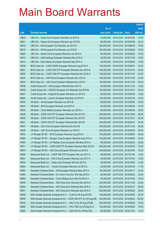|       |                                                                |               |                            |                       | <b>Amount</b> |
|-------|----------------------------------------------------------------|---------------|----------------------------|-----------------------|---------------|
|       |                                                                | No. of        |                            |                       | raised        |
| Code  | <b>Derivative warrants</b>                                     | issue (units) | <b>Listing date Expiry</b> |                       | $(HK$$ mil.)  |
| 18622 | UBS AG - Geely Auto European Warrants Jul 2015 A               | 40,000,000    | 2014/12/24                 | 2015/07/09            | 10.00         |
| 18621 | UBS AG – Galaxy Ent European Warrants Apr 2015 B               | 60,000,000    | 2014/12/24 2015/04/29      |                       | 22.20         |
| 18618 | UBS AG - HSI European Put Warrants Jun 2015 D                  | 300,000,000   | 2014/12/24                 | 2015/06/29            | 79.50         |
| 18619 | UBS AG - HSI European Put Warrants Jun 2015 E                  | 300,000,000   | 2014/12/24 2015/06/29      |                       | 75.00         |
| 18620 | UBS AG - Sands China European Warrants Jun 2015 A              | 60,000,000    |                            | 2014/12/24 2015/06/23 | 19.20         |
| 18615 | UBS AG - SJM Holdings European Warrants Nov 2016 A             | 40,000,000    | 2014/12/24 2016/11/28      |                       | 10.00         |
| 18614 | UBS AG - Wynn Macau European Warrants Sep 2015 A               | 40,000,000    | 2014/12/24                 | 2015/09/29            | 10.00         |
| 18636 | BOCI Asia Ltd. - CAM CSI300 European Warrants Aug 2015 A       | 100,000,000   | 2014/12/29 2015/08/31      |                       | 30.00         |
| 18631 | BOCI Asia Ltd. - CSOP A50 ETF European Warrants Dec 2015 B     | 100,000,000   |                            | 2014/12/29 2015/12/14 | 25.00         |
| 18632 | BOCI Asia Ltd. - CSOP A50 ETF European Warrants Nov 2016 A     | 100,000,000   | 2014/12/29 2016/11/07      |                       | 25.00         |
| 18634 | BOCI Asia Ltd. - A50 China European Warrants Nov 2015 A        | 100,000,000   | 2014/12/29                 | 2015/11/30            | 23.00         |
| 18633 | BOCI Asia Ltd. - A50 China European Warrants Nov 2016 A        | 100,000,000   | 2014/12/29 2016/11/28      |                       | 25.00         |
| 18648 | Credit Suisse AG - AIA European Warrants Nov 2015 A            | 80,000,000    |                            | 2014/12/29 2015/11/23 | 12.00         |
| 18649 | Credit Suisse AG - CNOOC European Put Warrants Oct 2016 B      | 120,000,000   | 2014/12/29 2016/10/31      |                       | 30.00         |
| 18647 | Credit Suisse AG - Kingsoft European Warrants Jun 2015 A       | 80,000,000    | 2014/12/29                 | 2015/06/22            | 12.80         |
| 18650 | Credit Suisse AG - Lenovo European Warrants Jul 2016 A         | 130,000,000   | 2014/12/29 2016/07/25      |                       | 19.50         |
| 18644 | HK Bank - AIA European Warrants Jun 2015 B                     | 80,000,000    |                            | 2014/12/29 2015/06/30 | 20.00         |
| 18643 | HK Bank - BYD European Warrants Jun 2015 A                     | 50,000,000    | 2014/12/29                 | 2015/06/30            | 15.00         |
| 18642 | HK Bank - China Mobile European Warrants Jun 2015 A            | 80,000,000    | 2014/12/29                 | 2015/06/30            | 32.00         |
| 18639 | HK Bank - CSOP A50 ETF European Warrants Dec 2015 D            | 200,000,000   | 2014/12/29 2015/12/08      |                       | 48.00         |
| 18640 | HK Bank - CSOP A50 ETF European Warrants Dec 2015 E            | 200,000,000   | 2014/12/29                 | 2015/12/31            | 50.00         |
| 18641 | HK Bank - CSOP A50 ETF European Warrants Mar 2016 B            | 200,000,000   | 2014/12/29 2016/03/31      |                       | 50.00         |
| 18637 | HK Bank - A50 China European Warrants Nov 2015 B               | 200,000,000   | 2014/12/29                 | 2015/11/24            | 46.00         |
| 18638 | HK Bank - A50 China European Warrants Jun 2016 A               | 200,000,000   | 2014/12/29 2016/06/30      |                       | 50.00         |
| 18672 | J P Morgan SP BV - BYD European Warrants Aug 2015 A            | 100,000,000   | 2014/12/29 2015/08/03      |                       | 49.50         |
| 18668 | J P Morgan SP BV - Sinopec Corp European Warrants Aug 2015 A   | 100,000,000   | 2014/12/29 2015/08/04      |                       | 25.50         |
| 18669 | J P Morgan SP BV - Ch Railway Cons European Wts May 2016 A     | 80,000,000    | 2014/12/29 2016/05/03      |                       | 20.08         |
| 18671 | J P Morgan SP BV - CSOP A50 ETF European Warrants May 2016 A   | 300,000,000   | 2014/12/29 2016/05/03      |                       | 75.00         |
| 18670 | J P Morgan SP BV - A50 China European Warrants Jul 2016 A      | 300,000,000   | 2014/12/29                 | 2016/07/04            | 75.30         |
| 18656 | Macquarie Bank Ltd. - CSOP A50 ETF European Wts Jan 2017 A     | 40,000,000    | 2014/12/29 2017/01/04      |                       | 10.00         |
| 18657 | Macquarie Bank Ltd. - A50 China European Warrants Jan 2017 A   | 40,000,000    | 2014/12/29 2017/01/04      |                       | 10.00         |
| 18655 | Macquarie Bank Ltd. - Geely Auto European Wts Oct 2015 A       | 35,000,000    | 2014/12/29 2015/10/05      |                       | 10.50         |
| 18654 | Macquarie Bank Ltd. - Tencent European Warrants Jul 2015 C     | 20,000,000    | 2014/12/29                 | 2015/07/03            | 11.78         |
| 18664 | Standard Chartered Bank - AIA European Warrants May 2015 A     | 100,000,000   | 2014/12/29 2015/05/11      |                       | 22.00         |
| 18663 | Standard Chartered Bank - Ch Comm Cons Eur Wts Sep 2016 A      | 80,000,000    | 2014/12/29                 | 2016/09/02            | 20.00         |
| 18662 | Standard Chartered Bank - China Railway Euro Wts Oct 2015 A    | 40,000,000    | 2014/12/29 2015/10/02      |                       | 10.00         |
| 18646 | Standard Chartered Bank - A50 China Euro Warrants Nov 2015 A   | 200,000,000   | 2014/12/29                 | 2015/11/24            | 52.00         |
| 18653 | Standard Chartered Bank - A50 China Euro Warrants Mar 2016 A   | 200,000,000   | 2014/12/29 2016/03/31      |                       | 50.00         |
| 18651 | Standard Chartered Bank - A50 China Euro Warrants Sep 2016 A   | 200,000,000   | 2014/12/29                 | 2016/09/30            | 50.00         |
| 18658 | SGA Societe Generale Acceptance N.V. - CLife Eu Wt Aug 2015 B  | 150,000,000   | 2014/12/29                 | 2015/08/05            | 26.25         |
| 18659 | SGA Societe Generale Acceptance NV - CSOP A50 ETF Eu Wt Aug16B | 500,000,000   | 2014/12/29                 | 2016/08/03            | 102.50        |
| 18645 | SGA Societe Generale Acceptance N.V. - A50 Ch Eu Wt Aug 2016B  | 500,000,000   | 2014/12/29                 | 2016/08/03            | 75.00         |
| 18660 | SGA Societe Generale Acceptance N.V. - PICC P&C Eu Wt May16 A  | 100,000,000   | 2014/12/29                 | 2016/05/04            | 19.00         |
| 18665 | SGA Societe Generale Acceptance N.V. - SJM Hold Eu Wt Nov16A   | 80,000,000    | 2014/12/29                 | 2016/11/02            | 12.00         |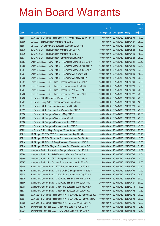|       |                                                                |               |                            |            | <b>Amount</b> |
|-------|----------------------------------------------------------------|---------------|----------------------------|------------|---------------|
|       |                                                                | No. of        |                            |            | raised        |
| Code  | <b>Derivative warrants</b>                                     | issue (units) | <b>Listing date Expiry</b> |            | (HK\$ mil.)   |
| 18661 | SGA Societe Generale Acceptance N.V. - Wynn Macau Eu Wt Aug15A | 50,000,000    | 2014/12/29 2015/08/05      |            | 10.00         |
| 18666 | UBS AG - BYD European Warrants Jul 2015 B                      | 50,000,000    | 2014/12/29 2015/07/27      |            | 25.00         |
| 18667 | UBS AG - Ch Comm Cons European Warrants Jul 2015 B             | 40,000,000    | 2014/12/29 2015/07/20      |            | 42.00         |
| 18675 | BOCI Asia Ltd. - HSI European Warrants May 2015 A              | 100,000,000   | 2014/12/30 2015/05/28      |            | 15.00         |
| 18676 | BOCI Asia Ltd. - HSI European Warrants Jul 2015 C              | 100,000,000   | 2014/12/30 2015/07/30      |            | 18.00         |
| 18674 | BOCI Asia Ltd. - HSI European Put Warrants Aug 2015 A          | 100,000,000   | 2014/12/30 2015/08/28      |            | 25.00         |
| 18683 | Credit Suisse AG - CSOP A50 ETF European Warrants Mar 2016 A   | 150,000,000   | 2014/12/30 2016/03/21      |            | 37.50         |
| 18685 | Credit Suisse AG - CSOP A50 ETF European Warrants Apr 2016 A   | 150,000,000   | 2014/12/30 2016/04/29      |            | 37.50         |
| 18687 | Credit Suisse AG - CSOP A50 ETF European Warrants Jul 2016 A   | 150,000,000   | 2014/12/30 2016/07/29      |            | 37.50         |
| 18704 | Credit Suisse AG - CSOP A50 ETF Euro Put Wts Nov 2015 B        | 100,000,000   | 2014/12/30 2015/11/30      |            | 18.00         |
| 18705 | Credit Suisse AG - CSOP A50 ETF Euro Put Wts May 2016 A        | 100,000,000   | 2014/12/30 2016/05/23      |            | 20.00         |
| 18681 | Credit Suisse AG - A50 China European Warrants Mar 2016 A      | 150,000,000   | 2014/12/30 2016/03/30      |            | 37.50         |
| 18682 | Credit Suisse AG - A50 China European Warrants Jul 2016 A      | 150,000,000   | 2014/12/30 2016/07/29      |            | 37.50         |
| 18707 | Credit Suisse AG - A50 China European Put Wts Mar 2016 B       | 100,000,000   | 2014/12/30 2016/03/30      |            | 25.00         |
| 18706 | Credit Suisse AG - A50 China European Put Wts Dec 2016 D       | 100,000,000   | 2014/12/30 2016/12/22      |            | 25.00         |
| 18700 | HK Bank - CRCC European Warrants Dec 2015 A                    | 100,000,000   | 2014/12/30 2015/12/31      |            | 25.00         |
| 18701 | HK Bank - Geely Auto European Warrants Sep 2015 A              | 50,000,000    | 2014/12/30 2015/09/30      |            | 12.50         |
| 18691 | HK Bank - HSCEI European Warrants Sep 2015 B                   | 180,000,000   | 2014/12/30 2015/09/29      |            | 27.00         |
| 18692 | HK Bank – HSCEI European Put Warrants Jun 2015 B               | 180,000,000   | 2014/12/30 2015/06/29      |            | 45.00         |
| 18690 | HK Bank - HSI European Warrants May 2015 E                     | 180,000,000   | 2014/12/30 2015/05/28      |            | 27.00         |
| 18703 | HK Bank - HSI European Warrants Jun 2015 F                     | 180,000,000   | 2014/12/30 2015/06/29      |            | 45.00         |
| 18688 | HK Bank - HSI European Put Warrants Jun 2015 D                 | 180,000,000   | 2014/12/30 2015/06/29      |            | 45.00         |
| 18689 | HK Bank - HSI European Put Warrants Jun 2015 E                 | 180,000,000   | 2014/12/30 2015/06/29      |            | 45.00         |
| 18702 | HK Bank - SJM Holdings European Warrants Sep 2016 A            | 100,000,000   | 2014/12/30 2016/09/30      |            | 25.00         |
| 18715 | J P Morgan SP BV - BYD European Warrants Aug 2015 B            | 100,000,000   | 2014/12/30 2015/08/03      |            | 35.40         |
| 18713 | J P Morgan SP BV - China Life European Warrants Dec 2015 C     | 100,000,000   | 2014/12/30 2015/12/01      |            | 15.00         |
| 18716 | J P Morgan SP BV - Li & Fung European Warrants Aug 2015 A      | 50,000,000    | 2014/12/30 2015/08/03      |            | 17.00         |
| 18714 | J P Morgan SP BV - Ping An European Put Warrants Jun 2015 C    | 150,000,000   | 2014/12/30 2015/06/04      |            | 51.90         |
| 18711 | Macquarie Bank Ltd. - Avichina European Warrants Oct 2015 A    | 30,000,000    | 2014/12/30 2015/10/05      |            | 10.02         |
| 18698 | Macquarie Bank Ltd. - BYD European Warrants Oct 2015 A         | 15,000,000    | 2014/12/30 2015/10/05      |            | 10.01         |
| 18699 | Macquarie Bank Ltd. - CRCC European Warrants Aug 2015 A        | 20,000,000    | 2014/12/30 2015/08/04      |            | 10.00         |
| 18697 | Macquarie Bank Ltd. - Tencent European Warrants Jul 2015 D     | 25,000,000    | 2014/12/30 2015/07/03      |            | 10.00         |
| 18709 | Standard Chartered Bank - BYD European Warrants Jan 2016 A     | 40,000,000    | 2014/12/30 2016/01/04      |            | 21.20         |
| 18710 | Standard Chartered Bank - China COSCO European Wt Jul 2015 A   | 40,000,000    | 2014/12/30 2015/07/03      |            | 13.20         |
| 18678 | Standard Chartered Bank - CRCC European Warrants Aug 2015 A    | 40,000,000    | 2014/12/30 2015/08/28      |            | 24.80         |
| 18679 | Standard Chartered Bank - CSOP A50 ETF Euro Wts Mar 2016 A     | 200,000,000   | 2014/12/30 2016/03/03      |            | 50.00         |
| 18680 | Standard Chartered Bank - CSOP A50 ETF Euro Wts Jul 2016 A     | 200,000,000   | 2014/12/30 2016/07/27      |            | 50.00         |
| 18708 | Standard Chartered Bank - Geely Auto European Wts Sep 2015 A   | 40,000,000    | 2014/12/30 2015/09/18      |            | 10.00         |
| 18677 | Standard Chartered Bank - Galaxy Ent European Wts Jul 2015 A   | 80,000,000    | 2014/12/30 2015/07/02      |            | 17.60         |
| 18693 | SGA Societe Generale Acceptance NV - CSOP A50 Eu Put Wt Dec15A | 400,000,000   | 2014/12/30 2015/12/02      |            | 70.00         |
| 18694 | SGA Societe Generale Acceptance NV - CSOP A50 Eu Put Wt Jan17B | 400,000,000   | 2014/12/30 2017/01/04      |            | 90.00         |
| 18695 | SGA Societe Generale Acceptance N.V. - ZTE Eu Wt Dec 2015 A    | 80,000,000    | 2014/12/30 2015/12/09      |            | 12.00         |
| 18719 | BNP Paribas Arbit Issu B.V. - Geely Auto Euro Wts Aug 2015 A   | 50,000,000    | 2014/12/31                 | 2015/08/04 | 12.50         |
| 18721 | BNP Paribas Arbit Issu B.V. - PICC Group Euro Wts Nov 2015 A   | 50,000,000    | 2014/12/31 2015/11/03      |            | 12.50         |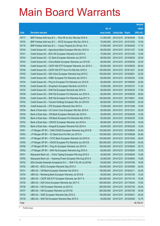|       |                                                              |               |                            |            | <b>Amount</b> |
|-------|--------------------------------------------------------------|---------------|----------------------------|------------|---------------|
|       |                                                              | No. of        |                            |            | raised        |
| Code  | <b>Derivative warrants</b>                                   | issue (units) | <b>Listing date Expiry</b> |            | (HK\$ mil.)   |
| 18717 | BNP Paribas Arbit Issu B.V. - Poly HK Inv Eur Wts Apr 2016 A | 31,000,000    | 2014/12/31                 | 2016/04/05 | 10.54         |
| 18720 | BNP Paribas Arbit Issu B.V. - SFCE European Wts Dec 2015 A   | 70,000,000    | 2014/12/31                 | 2015/12/02 | 10.50         |
| 18718 | BNP Paribas Arbit Issu B.V. - Yuexiu Property Eu Wt Apr 16 A | 47,000,000    | 2014/12/31                 | 2016/04/05 | 11.75         |
| 18740 | Credit Suisse AG – Agricultural Bank European Wts Nov 2015 A | 80,000,000    | 2014/12/31                 | 2015/11/27 | 12.80         |
| 18741 | Credit Suisse AG - BOC HK European Warrants Oct 2015 A       | 70,000,000    | 2014/12/31                 | 2015/10/30 | 10.50         |
| 18744 | Credit Suisse AG - CC Bank European Warrants Jun 2015 D      | 80,000,000    | 2014/12/31                 | 2015/06/30 | 20.00         |
| 18743 | Credit Suisse AG - China Mobile European Warrants Jun 2015 B | 80,000,000    | 2014/12/31                 | 2015/06/30 | 32.00         |
| 18746 | Credit Suisse AG - CSOP A50 ETF European Warrants Jun 2015 C | 80,000,000    | 2014/12/31                 | 2015/06/30 | 80.00         |
| 18749 | Credit Suisse AG - CSOP A50 ETF Euro Put Wts Dec 2016 A      | 100,000,000   | 2014/12/31                 | 2016/12/21 | 22.00         |
| 18745 | Credit Suisse AG - A50 China European Warrants Aug 2016 C    | 150,000,000   | 2014/12/31                 | 2016/08/01 | 22.50         |
| 18723 | Credit Suisse AG - HSBC European Put Warrants Apr 2015 C     | 60,000,000    | 2014/12/31                 | 2015/04/30 | 12.00         |
| 18724 | Credit Suisse AG – Ping An European Put Warrants Jun 2015 E  | 60,000,000    | 2014/12/31                 | 2015/06/04 | 22.80         |
| 18739 | Credit Suisse AG - Sinopharm European Warrants Jul 2015 A    | 70,000,000    | 2014/12/31                 | 2015/07/27 | 11.20         |
| 18725 | Credit Suisse AG - SHK Ppt European Warrants Apr 2015 A      | 80,000,000    | 2014/12/31                 | 2015/04/30 | 17.60         |
| 18728 | Credit Suisse AG - SHK Ppt European Put Warrants Jun 2015 A  | 60,000,000    | 2014/12/31                 | 2015/06/30 | 28.80         |
| 18726 | Credit Suisse AG - SHK Ppt European Put Warrants Aug 2017 A  | 100,000,000   | 2014/12/31                 | 2017/08/01 | 18.00         |
| 18742 | Credit Suisse AG - Tencent Holdings European Wts Jun 2015 B  | 80,000,000    | 2014/12/31                 | 2015/06/30 | 42.40         |
| 18738 | Credit Suisse AG - ZTE European Warrants Dec 2015 A          | 70,000,000    | 2014/12/31                 | 2015/12/09 | 10.50         |
| 18754 | Bank of East Asia - Ch Comm Cons European Wts Dec 2015 A     | 80,000,000    | 2014/12/31                 | 2015/12/31 | 20.00         |
| 18755 | Bank of East Asia - CM Bank European Warrants Apr 2016 A     | 50,000,000    | 2014/12/31                 | 2016/04/29 | 12.50         |
| 18756 | Bank of East Asia – CM Bank European Put Warrants Mar 2016 A | 50,000,000    | 2014/12/31                 | 2016/03/30 | 12.50         |
| 18753 | Bank of East Asia - CNOOC European Warrants Jan 2016 A       | 80,000,000    | 2014/12/31                 | 2016/01/06 | 16.00         |
| 18752 | Bank of East Asia - Kingsoft European Warrants Feb 2016 A    | 50,000,000    | 2014/12/31                 | 2016/02/29 | 12.50         |
| 18761 | J P Morgan SP BV - CAM CSI300 European Warrants Aug 2015 B   | 100,000,000   | 2014/12/31                 | 2015/08/04 | 25.40         |
| 18763 | J P Morgan SP BV - CC Bank Euro Put Wts Jun 2015 A           | 100,000,000   | 2014/12/31                 | 2015/06/08 | 25.80         |
| 18757 | J P Morgan SP BV - CITIC Bank European Warrants Oct 2015 A   | 100,000,000   | 2014/12/31                 | 2015/10/02 | 25.00         |
| 18760 | J P Morgan SP BV - HSCEI European Put Warrants Jun 2015 B    | 300,000,000   | 2014/12/31 2015/06/29      |            | 45.30         |
| 18758 | J P Morgan SP BV - Ping An European Warrants Jun 2015 D      | 100,000,000   | 2014/12/31 2015/06/04      |            | 35.70         |
| 18762 | J P Morgan SP BV - SHK Ppt European Warrants Aug 2015 A      | 60,000,000    | 2014/12/31                 | 2015/08/04 | 15.30         |
| 18751 | Macquarie Bank Ltd. - China Taiping European Wts Aug 2015 A  | 40,000,000    | 2014/12/31 2015/08/04      |            | 10.00         |
| 18750 | Macquarie Bank Ltd. - Huaneng Power European Wts Aug 2015 A  | 25,000,000    | 2014/12/31                 | 2015/08/04 | 10.65         |
| 18722 | SGA Societe Generale Acceptance N.V. - SHK P Eu Wt Jul 2015A | 50,000,000    | 2014/12/31                 | 2015/07/06 | 18.00         |
| 18732 | UBS AG - BOCL European Warrants Sep 2015 A                   | 100,000,000   | 2014/12/31                 | 2015/09/08 | 25.00         |
| 18731 | UBS AG - CM Bank European Warrants Feb 2016 A                | 100,000,000   | 2014/12/31                 | 2016/02/11 | 25.00         |
| 18734 | UBS AG - Minsheng Bank European Warrants Jul 2015 B          | 40,000,000    | 2014/12/31                 | 2015/07/20 | 15.20         |
| 18729 | UBS AG - CSOP A50 ETF European Warrants Jan 2017 A           | 300,000,000   | 2014/12/31                 | 2017/01/16 | 75.00         |
| 18730 | UBS AG - A50 China European Warrants Apr 2017 A              | 300,000,000   | 2014/12/31                 | 2017/04/24 | 75.00         |
| 18736 | UBS AG - HSI European Warrants Jul 2015 A                    | 300,000,000   | 2014/12/31                 | 2015/07/30 | 45.00         |
| 18737 | UBS AG - HSI European Warrants Jul 2015 B                    | 300,000,000   | 2014/12/31                 | 2015/07/30 | 45.00         |
| 18733 | UBS AG - ICBC European Warrants Sep 2015 A                   | 100,000,000   | 2014/12/31                 | 2015/09/21 | 25.00         |
| 18735 | UBS AG - SHK Ppt European Warrants May 2015 A                | 50,000,000    | 2014/12/31                 | 2015/05/26 | 12.75         |
| Total |                                                              |               |                            |            | 48,705.91     |

# Further issue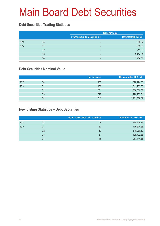#### **Debt Securities Trading Statistics**

|      |                |                                | <b>Turnover value</b>   |
|------|----------------|--------------------------------|-------------------------|
|      |                | Exchange fund notes (HK\$ mil) | Market total (HK\$ mil) |
| 2013 | Q4             | -                              | 886.67                  |
| 2014 | Q1             | -                              | 695.99                  |
|      | Q <sub>2</sub> | -                              | 711.36                  |
|      | Q <sub>3</sub> | -                              | 3,414.81                |
|      | Q4             | -                              | 1,264.59                |

#### **Debt Securities Nominal Value**

|      |    | No. of issues | Nominal value (HK\$ mil.) |
|------|----|---------------|---------------------------|
| 2013 | Q4 | 403           | 1,378,794.08              |
| 2014 | Q1 | 456           | 1,541,903.06              |
|      | Q2 | 531           | 1,839,650.08              |
|      | Q3 | 578           | 1,990,202.04              |
|      | Q4 | 640           | 2,221,339.57              |

#### **New Listing Statistics – Debt Securities**

|                | No. of newly listed debt securities | Amount raised (HK\$ mil.) |
|----------------|-------------------------------------|---------------------------|
| Q4             | 48                                  | 190,108.73                |
| Q1             | 62                                  | 175,574.56                |
| Q2             | 83                                  | 318,930.32                |
| Q <sub>3</sub> | 61                                  | 199,702.38                |
| Q4             | 75                                  | 267,144.56                |
|                |                                     |                           |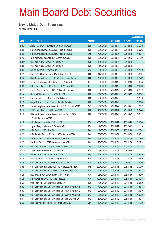#### **Newly Listed Debt Securities**

for 4th quarter 2014

|         |                                                                       |                  |               |                     |                 | <b>Amount raised</b> |
|---------|-----------------------------------------------------------------------|------------------|---------------|---------------------|-----------------|----------------------|
| Code    | <b>Debt securities</b>                                                | <b>Principal</b> |               | <b>Listing date</b> | <b>Maturity</b> | (HK\$ mil.)          |
| 05807   | Zhejiang Energy Group (Hong Kong) Ltd. 2.30% Bonds 2017               | <b>USD</b>       | 300,000,000   | 2014/10/03          | 2017/09/30      | 2,336.56             |
| 05808   | Bank of Communications Co., Ltd. Tier 2 Capital Bonds 2024            | <b>USD</b>       | 1,200,000,000 | 2014/10/06          | 2024/10/03      | 9,307.02             |
| 05809   | Bank of Communications Co., Ltd. Tier 2 Capital Bonds 2026            | <b>EUR</b>       | 500,000,000   | 2014/10/06          | 2026/10/03      | 4,880.77             |
| 05810   | Geely Automobile Holdings Ltd. 5.25% Senior Notes 2019                | <b>USD</b>       | 300,000,000   | 2014/10/07          | 2019/10/06      | 2,340.00             |
| 05755#  | China Agri-Products Exchange Ltd. 1% Notes 2024                       | <b>HKD</b>       | 120,000,000   | 2014/10/07          | 2024/09/30      | -                    |
| 05755 # | China Agri-Products Exchange Ltd. 1% Notes 2024                       | <b>HKD</b>       | 40,000,000    | 2014/10/08          | 2024/09/30      |                      |
| 05806   | Far East Horizon Ltd. 4.25% Notes 2019                                | SGD              | 200,000,000   | 2014/10/09          | 2019/10/08      | 1,215.76             |
| 05811   | Sunshine 100 China Holdings Ltd. 12.75% Senior Notes 2017             | <b>USD</b>       | 115,000,000   | 2014/10/09          | 2017/10/08      | 895.91               |
| 05812   | Huatai International Finance I Ltd. 3.625% Credit Enhanced Bonds 2019 | <b>USD</b>       | 400,000,000   | 2014/10/09          | 2019/10/08      | 3,117.32             |
| 85983#  | Times Property Holdings Ltd. 10.375% Senior CNY Notes 2017            | <b>RMB</b>       | 600,000,000   | 2014/10/15          | 2017/07/16      | 760.55               |
| 85995   | Bohai General Capital Ltd. 6.40% Guaranteed CNY Bonds 2017            | <b>RMB</b>       | 1,000,000,000 | 2014/10/17          | 2017/10/16      | 1,266.30             |
| 05813   | Advance Wisdom Investments Ltd. 2.10% Guaranteed Notes 2017           | <b>USD</b>       | 300,000,000   | 2014/10/17          | 2017/10/16      | 2,333.52             |
| 05814   | Greenland Global Investment Ltd. 3.50% Notes 2017                     | <b>USD</b>       | 500,000,000   | 2014/10/20          | 2017/10/17      | 3,868.65             |
| 05815   | Korean Reinsurance Co. Subordinated Capital Securities                | <b>USD</b>       | 200,000,000   | 2014/10/22          | -               | 1,553.10             |
| 05816   | Dianjian Haixing Ltd. Senior Guaranteed Perpetual Securities          | <b>USD</b>       | 500,000,000   | 2014/10/22          | -               | 3,900.00             |
| 85996   | Yunnan Energy Investment (Overseas) Co. Ltd. 5.50% CNY Bonds 2017     | <b>RMB</b>       | 600,000,000   | 2014/10/22          | 2017/10/21      | 758.12               |
| 05817   | ENN Energy Holdings Ltd. 3.25% Bonds 2019                             | <b>USD</b>       | 400,000,000   | 2014/10/24          | 2019/10/23      | 3,104.46             |
| 05818   | Hebei Iron & Steel (Hong Kong) International Trade Co., Ltd. 2.75%    | <b>USD</b>       | 500,000,000   | 2014/10/28          | 2017/10/27      | 3,891.19             |
|         | Credit Enhanced Notes 2017                                            |                  |               |                     |                 |                      |
| 05819   | China Resources Land Ltd. 6.10% Notes 2029                            | <b>HKD</b>       | 3,500,000,000 | 2014/10/29          | 2029/10/28      | 3,500.00             |
| 05821   | Skyfame Realty (Holdings) Ltd. 0.10% Bonds 2024                       | <b>HKD</b>       | 10,000,000    | 2014/10/29          | 2024/09/12      |                      |
| 05776 # | CITIC Pacific Ltd. 4.70% Notes 2024                                   | <b>USD</b>       | 90,000,000    | 2014/10/30          | 2024/01/18      | 725.85               |
| 05820   | CITIC Securities Finance MTN Co., Ltd. 3.50% Guar. Notes 2019         | <b>USD</b>       | 650,000,000   | 2014/10/31          | 2019/10/30      | 5,067.21             |
| 05822   | King Power Capital Ltd. 3.875% Guaranteed Notes 2019                  | <b>USD</b>       | 300,000,000   | 2014/11/04          | 2019/11/03      | 2,339.04             |
| 05823   | King Power Capital Ltd. 5.625% Guaranteed Notes 2024                  | <b>USD</b>       | 700,000,000   | 2014/11/04          | 2024/11/03      | 5,428.28             |
| 85997   | Hong Kong Aviation Ltd. 7.50% Guaranteed CNY Notes 2016               | <b>RMB</b>       | 800,000,000   | 2014/11/05          | 2016/11/04      | 1,012.15             |
| 05821#  | Skyfame Realty (Holdings) Ltd. 0.10% Bonds 2024                       | <b>HKD</b>       | 50,000,000    | 2014/11/06          | 2024/09/12      |                      |
| 05824   | New World China Land Ltd. 5.375% Notes 2019                           | <b>USD</b>       | 900,000,000   | 2014/11/07          | 2019/11/06      | 6,997.26             |
| 04224   | The Govt of the HKSAR of the PRC 0.83% Bonds 2017                     | <b>HKD</b>       | 3,000,000,000 | 2014/11/07          | 2017/11/06      | 2,986.80             |
| 05825   | China Oil And Gas Group Ltd. 5.00% Senior Notes 2020                  | <b>USD</b>       | 300,000,000   | 2014/11/10          | 2020/05/07      | 2,340.00             |
| 85998   | China Construction Bank Corporation Tier 2 Dated Capital CNY B2024    | <b>RMB</b>       | 2,000,000,000 | 2014/11/13          | 2024/11/12      | 2,532.00             |
| 05827   | SDSC International Finance Ltd. 3.625% Credit Enhanced Bonds 2019     | <b>USD</b>       | 200,000,000   | 2014/11/13          | 2019/11/12      | 1,552.81             |
| 05826   | Nexteer Automotive Group Ltd. 5.875% Senior Notes 2021                | <b>USD</b>       | 250,000,000   | 2014/11/14          | 2021/11/15      | 1,950.00             |
| 05828   | Bank of China Ltd. 5.00% Tier 2 Capital Notes 2024                    | <b>USD</b>       | 3,000,000,000 | 2014/11/14          | 2024/11/13      | 23,303.58            |
| 05829   | Double Rosy Ltd. 3.625% Guaranteed Notes 2019                         | <b>USD</b>       | 800,000,000   | 2014/11/19          | 2019/11/18      | 6,208.36             |
| 85999   | China Construction Bank (Asia) Corporation Ltd. 3.30% CNY Notes 2016  | <b>RMB</b>       | 700,000,000   | 2014/11/19          | 2016/11/18      | 886.41               |
| 86000   | China Construction Bank (Asia) Corporation Ltd. 3.75% CNY Notes 2019  | <b>RMB</b>       | 1,000,000,000 | 2014/11/19          | 2019/11/18      | 1,266.30             |
| 85700   | China Construction Bank (Asia) Corporation Ltd. 3.95% CNY Notes 2021  | <b>RMB</b>       | 1,000,000,000 | 2014/11/19          | 2021/11/18      | 1,266.30             |
| 85701   | China Construction Bank (Asia) Corporation Ltd. 4.08 % CNY Notes 2024 | <b>RMB</b>       | 600,000,000   | 2014/11/19          | 2024/11/18      | 759.78               |
| 05830   | Hong Kong Mortgage Corporation Ltd., The FR Notes 2015                | <b>GBP</b>       | 100,000,000   | 2014/11/19          | 2015/11/18      | 1,212.50             |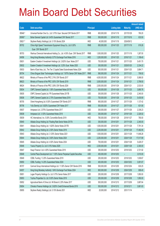|         |                                                                                       |                  |               |                     |                 | <b>Amount raised</b> |
|---------|---------------------------------------------------------------------------------------|------------------|---------------|---------------------|-----------------|----------------------|
| Code    | <b>Debt securities</b>                                                                | <b>Principal</b> |               | <b>Listing date</b> | <b>Maturity</b> | (HK\$ mil.)          |
| 85946 # | Universal Number One Co., Ltd. 5.70% Guar. Secured CNY Bonds 2017                     | <b>RMB</b>       | 600,000,000   | 2014/11/19          | 2017/01/29      | 760.20               |
| 85995 # | Bohai General Capital Ltd. 6.40% Guaranteed CNY Bonds 2017                            | <b>RMB</b>       | 500,000,000   | 2014/11/19          | 2017/10/16      | 633.50               |
| 05821#  | Skyfame Realty (Holdings) Ltd. 0.10% Bonds 2024                                       | <b>HKD</b>       | 40,000,000    | 2014/11/19          | 2024/09/12      |                      |
| 85702   | China High Speed Transmission Equipment Group Co., Ltd. 8.30%<br>Guar. CNY Bonds 2017 | <b>RMB</b>       | 650,000,000   | 2014/11/20          | 2017/11/19      | 819.26               |
| 85703   | Wanhua Chemcial International Holding Co., Ltd. 4.50% Guar. CNY Bonds 2017            | <b>RMB</b>       | 1,000,000,000 | 2014/11/20          | 2017/11/19      | 1,267.00             |
| 04056   | Hong Kong Monetary Authority 0.37% Exchange Fund Notes 2016                           | <b>HKD</b>       | 1,200,000,000 | 2014/11/20          | 2016/11/21      | 1,199.40             |
| 05831   | Eastern Creation II Investment Holdings Ltd. 2.625% Guar. Notes 2017                  | <b>USD</b>       | 700,000,000   | 2014/11/21          | 2017/11/20      | 5,451.70             |
| 05832   | Eastern Creation II Investment Holdings Ltd. 3.25% Guar. Notes 2020                   | <b>USD</b>       | 300,000,000   | 2014/11/21          | 2020/01/20      | 2,334.22             |
| 05833   | Bank of East Asia, Ltd., The Tier 2 Capital Dated Subordinated Notes 2024             | <b>USD</b>       | 500,000,000   | 2014/11/21          | 2024/11/20      | 3,884.71             |
| 85704   | China Singyes Solar Technologies Holdings Ltd. 7.875% Senior CNY Notes 2017           | <b>RMB</b>       | 560,000,000   | 2014/11/24          | 2017/11/21      | 706.92               |
| 86622   | Ministry of Finance of the PRC 2.74% CNY Bonds 2017                                   | <b>RMB</b>       | 4,000,000,000 | 2014/11/24          | 2017/11/21      | 5,066.00             |
| 86623   | Ministry of Finance of the PRC 3.00% CNY Bonds 2019                                   | <b>RMB</b>       | 3,000,000,000 | 2014/11/24          | 2019/11/21      | 3,799.50             |
| 86624   | Ministry of Finance of the PRC 3.38% CNY Bonds 2024                                   | <b>RMB</b>       | 2,000,000,000 | 2014/11/24          | 2024/11/21      | 2,533.00             |
| 05834   | CNPC General Capital Ltd. 1.95% Guaranteed Notes 2017A                                | <b>USD</b>       | 500,000,000   | 2014/11/26          | 2017/11/25      | 3,890.76             |
| 05835   | CNPC General Capital Ltd. FR Guaranteed Notes 2017B                                   | <b>USD</b>       | 300,000,000   | 2014/11/26          | 2017/11/25      | 2,340.00             |
| 05836   | CNPC General Capital Ltd. 2.70% Guaranteed Notes 2019                                 | <b>USD</b>       | 700,000,000   | 2014/11/26          | 2019/11/25      | 5,430.90             |
| 85705   | Orient Hongsheng Ltd. 6.50% Guaranteed CNY Bonds 2017                                 | <b>RMB</b>       | 900,000,000   | 2014/11/27          | 2017/11/26      | 1,137.42             |
| 85706   | Yufu Eternity Ltd. 5.625% Guaranteed CNY Notes 2017                                   | <b>RMB</b>       | 500,000,000   | 2014/11/27          | 2017/11/26      | 631.90               |
| 05837   | Amipeace Ltd. 2.375% Guaranteed Notes 2017                                            | <b>USD</b>       | 300,000,000   | 2014/11/27          | 2017/11/26      | 2,336.23             |
| 05838   | Amipeace Ltd. 3.125% Guaranteed Notes 2019                                            | <b>USD</b>       | 300,000,000   | 2014/11/27          | 2019/11/26      | 2,326.92             |
| 05839   | HC International, Inc. 5.00% Convertible Bonds 2019                                   | <b>HKD</b>       | 780,000,000   | 2014/11/28          | 2019/11/27      | 780.00               |
| 05840   | Alibaba Group Holding Ltd. Floating Rate Senior Notes 2017A                           | <b>USD</b>       | 300,000,000   | 2014/12/01          | 2017/11/28      | 2,340.00             |
| 05841   | Alibaba Group Holding Ltd. 1.625% Senior Notes 2017B                                  | <b>USD</b>       | 1,000,000,000 | 2014/12/01          | 2017/11/28      | 7,791.34             |
| 05842   | Alibaba Group Holding Ltd. 2.50% Senior Notes 2019                                    | <b>USD</b>       | 2,250,000,000 | 2014/12/01          | 2019/11/28      | 17,482.95            |
| 05843   | Alibaba Group Holding Ltd. 3.125% Senior Notes 2021                                   | <b>USD</b>       | 1,500,000,000 | 2014/12/01          | 2021/11/28      | 11,648.28            |
| 05844   | Alibaba Group Holding Ltd. 3.60% Senior Notes 2024                                    | <b>USD</b>       | 2,250,000,000 | 2014/12/01          | 2024/11/28      | 17,517.89            |
| 05845   | Alibaba Group Holding Ltd. 4.50% Senior Notes 2034                                    | <b>USD</b>       | 700,000,000   | 2014/12/01          | 2034/11/28      | 5,429.37             |
| 05846   | Yuexiu Property Co. Ltd. 6.10% Notes 2029                                             | <b>HKD</b>       | 2,300,000,000 | 2014/12/01          | 2029/11/28      | 2,300.00             |
| 05847   | Huayi Finance I Ltd. 4.00% Guaranteed Notes 2019                                      | <b>USD</b>       | 350,000,000   | 2014/12/03          | 2019/12/02      | 2,721.92             |
| 05848   | Central Plaza Development Ltd. 7.125% Senior Perpetual Capital Securities             | <b>USD</b>       | 450,000,000   | 2014/12/03          |                 | 3,510.00             |
| 05849   | CDBL Funding 1 3.25% Guaranteed Notes 2019                                            | <b>USD</b>       | 250,000,000   | 2014/12/03          | 2019/12/02      | 1.939.67             |
| 05850   | CDBL Funding 1 4.25% Guaranteed Notes 2024                                            | <b>USD</b>       | 400,000,000   | 2014/12/03          | 2024/12/02      | 3,091.67             |
| 85707   | Carnival Group International Holdings Ltd. 11.50% Senior CNY Bonds 2016               | <b>RMB</b>       | 500,000,000   | 2014/12/05          | 2016/12/04      | 630.25               |
| 04057   | Hong Kong Monetary Authority 1.84% Exchange Fund Notes 2024                           | <b>HKD</b>       | 800,000,000   | 2014/12/09          | 2024/12/09      | 806.40               |
| 05851   | Logan Property Holdings Co. Ltd. 9.75% Senior Notes 2017                              | <b>USD</b>       | 250,000,000   | 2014/12/09          | 2017/12/08      | 1,950.00             |
| 05853   | Yuzhou Properties Co. Ltd. 9.00% Senior Notes 2019                                    | <b>USD</b>       | 250,000,000   | 2014/12/09          | 2019/12/08      | 1,950.00             |
| 05852   | Agricultural Bank of China Ltd. HK Branch 2.25% Notes 2017                            | <b>USD</b>       | 500,000,000   | 2014/12/10          | 2017/12/09      | 3,887.64             |
| 05854   | Chinalco Finance Holdings Ltd. 3.625% Credit Enhanced Bonds 2019                      | <b>USD</b>       | 500,000,000   | 2014/12/12          | 2019/12/11      | 3,881.83             |
| 05855   | Skyfame Realty (Holdings) Ltd. 0.10% Bonds 2031                                       | <b>HKD</b>       | 20,000,000    | 2014/12/12          | 2031/11/14      |                      |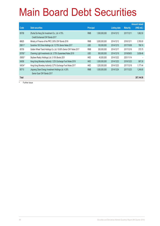|         |                                                                    |                  |               |                     |                 | <b>Amount raised</b> |
|---------|--------------------------------------------------------------------|------------------|---------------|---------------------|-----------------|----------------------|
| Code    | <b>Debt securities</b>                                             | <b>Principal</b> |               | <b>Listing date</b> | <b>Maturity</b> | (HK\$ mil.)          |
| 85708   | Zhuhai Da Heng Qin Investment Co., Ltd. 4.75%                      | <b>RMB</b>       | 1,500,000,000 | 2014/12/12          | 2017/12/11      | 1,882.50             |
|         | Credit Enchanced CNY Bonds 2017                                    |                  |               |                     |                 |                      |
| 86625   | Ministry of Finance of the PRC 2.93% CNY Bonds 2016                | <b>RMB</b>       | 3,000,000,000 | 2014/12/12          | 2016/12/11      | 3,765.00             |
| 05811#  | Sunshine 100 China Holdings Ltd. 12.75% Senior Notes 2017          | <b>USD</b>       | 100,000,000   | 2014/12/15          | 2017/10/08      | 788.74               |
| 85709   | Golden Wheel Tiandi Holdings Co. Ltd. 10.80% Senior CNY Notes 2017 | <b>RMB</b>       | 300,000,000   | 2014/12/17          | 2017/12/16      | 375.75               |
| 05795 # | Charming Light Investments Ltd. 3.75% Guaranteed Notes 2019        | <b>USD</b>       | 500,000,000   | 2014/12/19          | 2019/09/03      | 3,838.46             |
| 05855#  | Skyfame Realty (Holdings) Ltd. 0.10% Bonds 2031                    | <b>HKD</b>       | 40,000,000    | 2014/12/22          | 2031/11/14      |                      |
| 04058   | Hong Kong Monetary Authority 1.32% Exchange Fund Notes 2019        | <b>HKD</b>       | 1,000,000,000 | 2014/12/23          | 2019/12/23      | 997.30               |
| 04034 # | Hong Kong Monetary Authority 0.27% Exchange Fund Notes 2017        | <b>HKD</b>       | 1,200,000,000 | 2014/12/23          | 2017/12/18      | 1,177.44             |
| 85710   | Jingneng Clean Energy Investment Holdings Ltd. 4.30%               | <b>RMB</b>       | 1,000,000,000 | 2014/12/24          | 2017/12/23      | 1,246.80             |
|         | Senior Guar CNY Bonds 2017                                         |                  |               |                     |                 |                      |
| Total   |                                                                    |                  |               |                     |                 | 267,144.56           |

# Further issue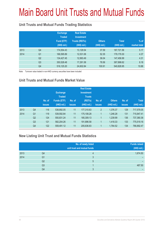# Main Board Unit Trusts and Mutual Funds

#### **Unit Trusts and Mutual Funds Trading Statistics**

|      |                | <b>Exchange</b><br><b>Traded</b><br>Fund (ETF)<br>(HK\$ mil.) | <b>Real Estate</b><br><b>Investment</b><br><b>Trusts (REITs)</b><br>(HK\$ mil.) | <b>Others</b><br>(HK\$ mil.) | <b>Total</b><br>(HK\$ mil.) | $%$ of<br>market total |
|------|----------------|---------------------------------------------------------------|---------------------------------------------------------------------------------|------------------------------|-----------------------------|------------------------|
| 2013 | Q4             | 174,554.43                                                    | 13,129.54                                                                       | 37.59                        | 187,721.56                  | 5.17                   |
| 2014 | Q <sub>1</sub> | 166,595.89                                                    | 12,531.06                                                                       | 52.35                        | 179,179.30                  | 4.37                   |
|      | Q <sub>2</sub> | 134,427.45                                                    | 12,993.49                                                                       | 36.04                        | 147,456.99                  | 4.31                   |
|      | Q <sub>3</sub> | 350,528.48                                                    | 17,291.58                                                                       | 78.56                        | 367,898.62                  | 8.18                   |
|      | Q4             | 516,125.20                                                    | 24,602.84                                                                       | 100.91                       | 540,828.95                  | 10.88                  |

Note: Turnover value traded in non-HKD currency securities have been included

#### **Unit Trusts and Mutual Funds Market Value**

|      |                | No. of<br><b>issues</b> | <b>Exchange</b><br><b>Traded</b><br><b>Funds (ETF)</b><br>(HK\$ mil.) | No. of<br><b>issues</b> | <b>Real Estate</b><br><b>Investment</b><br><b>Trusts</b><br>(REITs)<br>(HK\$ mil.) | No. of<br><b>issues</b> | <b>Others</b><br>(HK\$ mil.) | No. of<br><b>issues</b> | <b>Total</b><br>(HK\$ mil.) |
|------|----------------|-------------------------|-----------------------------------------------------------------------|-------------------------|------------------------------------------------------------------------------------|-------------------------|------------------------------|-------------------------|-----------------------------|
| 2013 | Q <sub>4</sub> | 116                     | 538,892.05                                                            | 11                      | 177,310.63                                                                         | $\overline{2}$          | 1,376.37                     | 129                     | 717,579.05                  |
| 2014 | Q <sub>1</sub> | 119                     | 539,592.84                                                            | 11                      | 175,108.28                                                                         |                         | 1,246.28                     | 131                     | 715,947.41                  |
|      | Q2             | 124                     | 550,831.24                                                            | 11                      | 185,309.13                                                                         |                         | 1,239.99                     | 136                     | 737,380.36                  |
|      | Q <sub>3</sub> | 121                     | 582,204.26                                                            | 11                      | 191,896.58                                                                         |                         | 1,418.33                     | 133                     | 775,519.16                  |
|      | Q <sub>4</sub> | 122                     | 559,491.12                                                            | 11                      | 205,636.83                                                                         | 1                       | 1,764.52                     | 134                     | 766,892.47                  |

#### **New Listing Unit Trust and Mutual Funds Statistics**

|      |                | No. of newly listed<br>unit trust and mutual funds | <b>Funds raised</b><br>(HK\$ mil.) |
|------|----------------|----------------------------------------------------|------------------------------------|
| 2013 | Q4             |                                                    | 1,674.50                           |
| 2014 | Q1             |                                                    |                                    |
|      | Q <sub>2</sub> | 5                                                  |                                    |
|      | Q3             |                                                    | 487.50                             |
|      | Q <sub>4</sub> |                                                    |                                    |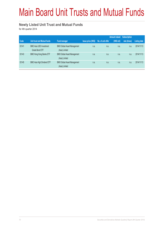# Main Board Unit Trusts and Mutual Funds

#### **Newly Listed Unit Trust and Mutual Funds**

for 4th quarter 2014

|       |                                                  |                                                      |                           |                   | <b>Amount raised</b> | <b>Subscription</b> |              |
|-------|--------------------------------------------------|------------------------------------------------------|---------------------------|-------------------|----------------------|---------------------|--------------|
| Code  | Unit trust and Mutual funds                      | <b>Fund manager</b>                                  | <b>Issue price (HK\$)</b> | No. of unit offer | (HK\$ mil)           | rate (times)        | Listing date |
| 03141 | <b>BMO Asia USD Investment</b><br>Grade Bond ETF | <b>BMO Global Asset Management</b><br>(Asia) Limited | n.a.                      | n.a.              | n.a.                 | n.a.                | 2014/11/13   |
| 03143 | <b>BMO Hong Kong Banks ETF</b>                   | <b>BMO Global Asset Management</b><br>(Asia) Limited | n.a.                      | n.a.              | n.a.                 | n.a.                | 2014/11/13   |
| 03145 | <b>BMO Asia High Dividend ETF</b>                | <b>BMO Global Asset Management</b><br>(Asia) Limited | n.a.                      | n.a.              | n.a.                 | n.a.                | 2014/11/13   |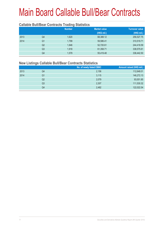## Main Board Callable Bull/Bear Contracts

#### **Callable Bull/Bear Contracts Trading Statistics**

|      |                | <b>Number</b> | <b>Market value</b> | <b>Turnover value</b> |  |
|------|----------------|---------------|---------------------|-----------------------|--|
|      |                |               | (HK\$ mil.)         | (HK\$ mil.)           |  |
| 2013 | Q4             | 1,620         | 68,388.12           | 256,527.75            |  |
| 2014 | Q <sub>1</sub> | 1,799         | 59,586.41           | 310,519.71            |  |
|      | Q <sub>2</sub> | 1,846         | 52,720.61           | 244,418.59            |  |
|      | Q <sub>3</sub> | 1.918         | 61,358.71           | 338,575.61            |  |
|      | Q4             | 1,579         | 55,419.48           | 336,442.50            |  |
|      |                |               |                     |                       |  |

#### **New Listings Callable Bull/Bear Contracts Statistics**

|    | No. of newly listed CBBC | Amount raised (HK\$ mil.) |
|----|--------------------------|---------------------------|
| Q4 | 2,156                    | 112,648.01                |
| Q1 | 3,115                    | 146,272.13                |
| Q2 | 2,079                    | 93,001.85                 |
| Q3 | 2,307                    | 111,530.32                |
| Q4 | 2,482                    | 122,022.54                |
|    |                          |                           |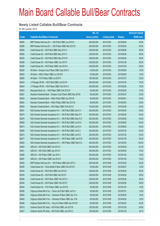#### **Newly Listed Callable Bull/Bear Contracts**

for 4th quarter 2014

|       |                                                                | No. of        |                     |               | <b>Amount raised</b> |
|-------|----------------------------------------------------------------|---------------|---------------------|---------------|----------------------|
| Code  | <b>Callable Bull/Bear Contracts</b>                            | issue (units) | <b>Listing date</b> | <b>Expiry</b> | (HK\$ mil.)          |
| 68285 | BNP Paribas Arbit Issu B.V. - HSI R Bull CBBC Jun 2015 K       | 200,000,000   | 2014/10/03          | 2015/06/29    | 50.00                |
| 68286 | BNP Paribas Arbit Issu B.V. - HSI R Bear CBBC Mar 2015 B       | 200,000,000   | 2014/10/03          | 2015/03/30    | 50.00                |
| 68294 | Credit Suisse AG - HSI R Bull CBBC May 2015 U                  | 238,000,000   | 2014/10/03          | 2015/05/28    | 59.50                |
| 68295 | Credit Suisse AG - HSI R Bull CBBC May 2015 V                  | 238,000,000   | 2014/10/03          | 2015/05/28    | 59.50                |
| 68300 | Credit Suisse AG - HSI R Bull CBBC May 2015 W                  | 238,000,000   | 2014/10/03          | 2015/05/28    | 59.50                |
| 68289 | Credit Suisse AG - HSI R Bear CBBC Jan 2015 F                  | 238,000,000   | 2014/10/03          | 2015/01/29    | 59.50                |
| 68290 | Credit Suisse AG - HSI R Bear CBBC Jan 2015 N                  | 238,000,000   | 2014/10/03          | 2015/01/29    | 59.50                |
| 68250 | HK Bank - Sinopec Corp R Bear CBBC Sep 2015 A                  | 40,000,000    | 2014/10/03          | 2015/09/29    | 10.00                |
| 68245 | HK Bank - HKEx R Bear CBBC Jun 2015 B                          | 50,000,000    | 2014/10/03          | 2015/06/29    | 12.50                |
| 68265 | HK Bank - TCH R Bear CBBC Jul 2015 F                           | 100,000,000   | 2014/10/03          | 2015/07/27    | 25.00                |
| 68243 | J P Morgan SP BV - HSI R Bull CBBC Jul 2015 R                  | 300,000,000   | 2014/10/03          | 2015/07/30    | 75.00                |
| 68244 | J P Morgan SP BV - HSI R Bear CBBC Feb 2015 U                  | 300,000,000   | 2014/10/03          | 2015/02/26    | 75.00                |
| 68293 | Macquarie Bank Ltd. - HSI R Bear CBBC Feb 2015 B               | 50,000,000    | 2014/10/03          | 2015/02/26    | 12.50                |
| 68281 | Standard Chartered Bank - Sinopec Corp R Bear CBBC Mar 2015A   | 80,000,000    | 2014/10/03          | 2015/03/27    | 20.00                |
| 68283 | Standard Chartered Bank - HKEx R Bull CBBC Apr 2015 B          | 80,000,000    | 2014/10/03          | 2015/04/01    | 20.00                |
| 68282 | Standard Chartered Bank - HKEx R Bear CBBC Mar 2015 B          | 80,000,000    | 2014/10/03          | 2015/03/02    | 20.00                |
| 68284 | Standard Chartered Bank - HSI R Bear CBBC Feb 2015 E           | 100,000,000   | 2014/10/03          | 2015/02/26    | 25.00                |
| 68291 | SGA Societe Generale Acceptance N.V. - HSI R Bull CBBC Apr15 V | 200,000,000   | 2014/10/03          | 2015/04/29    | 50.00                |
| 68274 | SGA Societe Generale Acceptance N.V. - HSI R Bull CBBC May15 F | 200,000,000   | 2014/10/03          | 2015/05/28    | 50.00                |
| 68276 | SGA Societe Generale Acceptance N.V. - HSI R Bull CBBC May15 G | 200,000,000   | 2014/10/03          | 2015/05/28    | 50.00                |
| 68269 | SGA Societe Generale Acceptance N.V. - HSI R Bull CBBC Jun15 G | 200,000,000   | 2014/10/03          | 2015/06/29    | 50.00                |
| 68273 | SGA Societe Generale Acceptance N.V. - HSI R Bull CBBC Jun15 H | 200,000,000   | 2014/10/03          | 2015/06/29    | 50.00                |
| 68268 | SGA Societe Generale Acceptance N.V. - HSI R Bull CBBC Jul15 C | 200,000,000   | 2014/10/03          | 2015/07/30    | 50.00                |
| 68272 | SGA Societe Generale Acceptance N.V. - HSI R Bull CBBC Jul15 D | 200,000,000   | 2014/10/03          | 2015/07/30    | 50.00                |
| 68277 | SGA Societe Generale Acceptance N.V. - HSI R Bear CBBC Jan15 M | 200,000,000   | 2014/10/03          | 2015/01/29    | 50.00                |
| 68292 | SGA Societe Generale Acceptance N.V. - HSI R Bear CBBC Mar15 C | 400,000,000   | 2014/10/03          | 2015/03/30    | 100.00               |
| 68302 | UBS AG - HSI R Bull CBBC Feb 2015 X                            | 350,000,000   | 2014/10/03          | 2015/02/26    | 87.50                |
| 68301 | UBS AG - HSI R Bull CBBC Apr 2015 K                            | 300,000,000   | 2014/10/03          | 2015/04/29    | 75.00                |
| 68288 | UBS AG - HSI R Bear CBBC Jan 2015 I                            | 300,000,000   | 2014/10/03          | 2015/01/29    | 75.00                |
| 68287 | UBS AG - HSI R Bear CBBC Jan 2015 K                            | 300,000,000   | 2014/10/03          | 2015/01/29    | 75.00                |
| 68402 | BNP Paribas Arbit Issu B.V. - HSI R Bear CBBC Mar 2015 C       | 200,000,000   | 2014/10/06          | 2015/03/30    | 50.00                |
| 68338 | Credit Suisse AG - China Mobile R Bear CBBC Feb 2015 D         | 50,000,000    | 2014/10/06          | 2015/02/27    | 12.50                |
| 68344 | Credit Suisse AG - HSI R Bull CBBC Apr 2015 B                  | 238,000,000   | 2014/10/06          | 2015/04/29    | 59.50                |
| 68339 | Credit Suisse AG - HSI R Bull CBBC Apr 2015 F                  | 238,000,000   | 2014/10/06          | 2015/04/29    | 59.50                |
| 68346 | Credit Suisse AG - HSI R Bear CBBC Feb 2015 C                  | 238,000,000   | 2014/10/06          | 2015/02/26    | 59.50                |
| 68345 | Credit Suisse AG - HSI R Bear CBBC Feb 2015 F                  | 238,000,000   | 2014/10/06          | 2015/02/26    | 59.50                |
| 68334 | Credit Suisse AG - TCH R Bear CBBC Jan 2015 D                  | 50,000,000    | 2014/10/06          | 2015/01/30    | 12.50                |
| 68390 | Citigroup Global Mkt H Inc. - China Life R Bull CBBC Jul15 A   | 50,000,000    | 2014/10/06          | 2015/07/07    | 12.50                |
| 68393 | Citigroup Global Mkt H Inc. - Hutchison R Bear CBBC Apr 15 A   | 60,000,000    | 2014/10/06          | 2015/04/20    | 15.00                |
| 68400 | Citigroup Global Mkt H Inc. - Hutchison R Bear CBBC Apr 15 B   | 60,000,000    | 2014/10/06          | 2015/04/20    | 15.00                |
| 68388 | Citigroup Global Mkt H Inc. - Ping An R Bear CBBC Apr 2015 B   | 80,000,000    | 2014/10/06          | 2015/04/22    | 20.00                |
| 68319 | Goldman Sachs SP (Asia) - HSI R Bull CBBC Jan 2015 B           | 150,000,000   | 2014/10/06          | 2015/01/29    | 38.55                |
| 68327 | Goldman Sachs SP (Asia) - HSI R Bull CBBC Jan 2015 C           | 150,000,000   | 2014/10/06          | 2015/01/29    | 39.15                |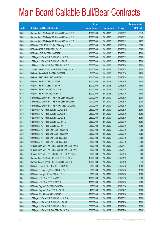|             |                                                               | No. of        |                     |               | <b>Amount raised</b> |
|-------------|---------------------------------------------------------------|---------------|---------------------|---------------|----------------------|
| <b>Code</b> | <b>Callable Bull/Bear Contracts</b>                           | issue (units) | <b>Listing date</b> | <b>Expiry</b> | $(HK$$ mil.)         |
| 68332       | Goldman Sachs SP (Asia) - HSI R Bear CBBC Jan 2015 D          | 150,000,000   | 2014/10/06          | 2015/01/29    | 38.10                |
| 68333       | Goldman Sachs SP (Asia) - HSI R Bear CBBC Jan 2015 E          | 150,000,000   | 2014/10/06          | 2015/01/29    | 38.40                |
| 68380       | Goldman Sachs SP (Asia) - HSI R Bear CBBC Jan 2015 F          | 150,000,000   | 2014/10/06          | 2015/01/29    | 49.95                |
| 68316       | HK Bank - CSOP A50 ETF R Bull CBBC May 2015 D                 | 200,000,000   | 2014/10/06          | 2015/05/18    | 50.00                |
| 68310       | HK Bank - A50 R Bull CBBC May 2015 D                          | 200,000,000   | 2014/10/06          | 2015/05/18    | 50.00                |
| 68303       | HK Bank - HSI R Bull CBBC Jun 2015 H                          | 100,000,000   | 2014/10/06          | 2015/06/29    | 25.00                |
| 68377       | J P Morgan SP BV - HSI R Bull CBBC Jun 2015 D                 | 300,000,000   | 2014/10/06          | 2015/06/29    | 75.00                |
| 68378       | J P Morgan SP BV - HSI R Bull CBBC Jul 2015 S                 | 300,000,000   | 2014/10/06          | 2015/07/30    | 75.00                |
| 68379       | J P Morgan SP BV - HSI R Bear CBBC Feb 2015 V                 | 300,000,000   | 2014/10/06          | 2015/02/26    | 75.00                |
| 68355       | Standard Chartered Bank - HSI R Bull CBBC Aug 2015 N          | 100,000,000   | 2014/10/06          | 2015/08/28    | 25.00                |
| 68375       | UBS AG - Galaxy Ent R Bull CBBC Oct 2015 B                    | 50,000,000    | 2014/10/06          | 2015/10/26    | 12.50                |
| 68376       | UBS AG - HSBC R Bull CBBC Sep 2015 C                          | 100,000,000   | 2014/10/06          | 2015/09/14    | 25.00                |
| 68341       | UBS AG - HSI R Bull CBBC Mar 2015 H                           | 300,000,000   | 2014/10/06          | 2015/03/30    | 75.00                |
| 68340       | UBS AG - HSI R Bull CBBC Jun 2015 F                           | 300,000,000   | 2014/10/06          | 2015/06/29    | 75.00                |
| 68374       | UBS AG - HSI R Bear CBBC Jan 2015 R                           | 300,000,000   | 2014/10/06          | 2015/01/29    | 75.00                |
| 68360       | UBS AG - HSI R Bear CBBC Feb 2015 M                           | 300,000,000   | 2014/10/06          | 2015/02/26    | 75.00                |
| 68404       | BNP Paribas Arbit Issu B.V. - HSI R Bull CBBC Jun 2015 G      | 200,000,000   | 2014/10/07          | 2015/06/29    | 50.00                |
| 68406       | BNP Paribas Arbit Issu B.V. - HSI R Bull CBBC Jun 2015 H      | 200,000,000   | 2014/10/07          | 2015/06/29    | 50.00                |
| 68561       | BNP Paribas Arbit Issu B.V. - HSI R Bear CBBC Mar 2015 D      | 200,000,000   | 2014/10/07          | 2015/03/30    | 50.00                |
| 68495       | Credit Suisse AG - HSI R Bull CBBC Jun 2015 R                 | 238,000,000   | 2014/10/07          | 2015/06/29    | 59.50                |
| 68499       | Credit Suisse AG - HSI R Bull CBBC Jun 2015 S                 | 238,000,000   | 2014/10/07          | 2015/06/29    | 59.50                |
| 68515       | Credit Suisse AG - HSI R Bull CBBC Jun 2015 T                 | 238,000,000   | 2014/10/07          | 2015/06/29    | 59.50                |
| 68543       | Credit Suisse AG - HSI R Bull CBBC Jul 2015 G                 | 238,000,000   | 2014/10/07          | 2015/07/30    | 59.50                |
| 68548       | Credit Suisse AG - HSI R Bull CBBC Jul 2015 H                 | 238,000,000   | 2014/10/07          | 2015/07/30    | 59.50                |
| 68575       | Credit Suisse AG - HSI R Bear CBBC Feb 2015 G                 | 238,000,000   | 2014/10/07          | 2015/02/26    | 59.50                |
| 68576       | Credit Suisse AG - HSI R Bear CBBC Feb 2015 O                 | 238,000,000   | 2014/10/07          | 2015/02/26    | 59.50                |
| 68555       | Credit Suisse AG - HSI R Bear CBBC Jun 2015 A                 | 238,000,000   | 2014/10/07          | 2015/06/29    | 59.50                |
| 68556       | Credit Suisse AG - HSI R Bear CBBC Jun 2015 B                 | 238,000,000   | 2014/10/07          | 2015/06/29    | 59.50                |
| 68587       | Citigroup Global Mkt H Inc. - China Mobile R Bear CBBC Apr15S | 80,000,000    | 2014/10/07          | 2015/04/24    | 20.00                |
| 68598       | Citigroup Global Mkt H Inc. - China Mobile R Bear CBBC Apr15T | 80,000,000    | 2014/10/07          | 2015/04/24    | 20.00                |
| 68584       | Citigroup Global Mkt H Inc. - HSBC R Bear CBBC Apr 2015 C     | 80,000,000    | 2014/10/07          | 2015/04/15    | 20.00                |
| 68565       | Goldman Sachs SP (Asia) - HSI R Bull CBBC Jan 2015 D          | 150,000,000   | 2014/10/07          | 2015/01/29    | 39.00                |
| 68574       | Goldman Sachs SP (Asia) - HSI R Bear CBBC Jan 2015 G          | 150,000,000   | 2014/10/07          | 2015/01/29    | 39.75                |
| 68429       | HK Bank - China Mobile R Bear CBBC Jul 2015 H                 | 60,000,000    | 2014/10/07          | 2015/07/06    | 15.00                |
| 68438       | HK Bank - Cheung Kong R Bear CBBC Jul 2015 B                  | 50,000,000    | 2014/10/07          | 2015/07/06    | 12.50                |
| 68426       | HK Bank - Galaxy Ent R Bear CBBC Jul 2015 C                   | 60,000,000    | 2014/10/07          | 2015/07/06    | 15.00                |
| 68421       | HK Bank - HSI R Bear CBBC May 2015 K                          | 100,000,000   | 2014/10/07          | 2015/05/28    | 25.00                |
| 68415       | HK Bank - HSI R Bear CBBC Jul 2015 C                          | 100,000,000   | 2014/10/07          | 2015/07/30    | 25.00                |
| 68428       | HK Bank - Ping An R Bull CBBC Oct 2015 A                      | 60,000,000    | 2014/10/07          | 2015/10/26    | 15.00                |
| 68427       | HK Bank - Ping An R Bear CBBC Apr 2015 A                      | 40,000,000    | 2014/10/07          | 2015/04/29    | 10.00                |
| 68414       | HK Bank - TCH R Bear CBBC Jul 2015 G                          | 100,000,000   | 2014/10/07          | 2015/07/16    | 25.00                |
| 68442       | J P Morgan SP BV - HSI R Bull CBBC Jun 2015 B                 | 300,000,000   | 2014/10/07          | 2015/06/29    | 75.00                |
| 68439       | J P Morgan SP BV - HSI R Bull CBBC Jul 2015 T                 | 300,000,000   | 2014/10/07          | 2015/07/30    | 75.00                |
| 68580       | J P Morgan SP BV - HSI R Bull CBBC Jul 2015 U                 | 300,000,000   | 2014/10/07          | 2015/07/30    | 75.00                |
| 68563       | J P Morgan SP BV - HSI R Bear CBBC Feb 2015 W                 | 300,000,000   | 2014/10/07          | 2015/02/26    | 75.00                |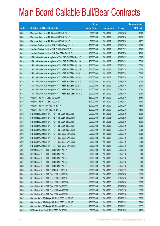|       |                                                                | No. of        |                     |               | <b>Amount raised</b> |
|-------|----------------------------------------------------------------|---------------|---------------------|---------------|----------------------|
| Code  | <b>Callable Bull/Bear Contracts</b>                            | issue (units) | <b>Listing date</b> | <b>Expiry</b> | $(HK$$ mil.)         |
| 68557 | Macquarie Bank Ltd. - HSI R Bear CBBC Feb 2015 C               | 50,000,000    | 2014/10/07          | 2015/02/26    | 13.00                |
| 68559 | Macquarie Bank Ltd. - HSI R Bear CBBC Feb 2015 D               | 50,000,000    | 2014/10/07          | 2015/02/26    | 12.50                |
| 68560 | Macquarie Bank Ltd. - HSI R Bear CBBC Feb 2015 E               | 50,000,000    | 2014/10/07          | 2015/02/26    | 12.75                |
| 68447 | Standard Chartered Bank - HSI R Bull CBBC Aug 2015 O           | 100,000,000   | 2014/10/07          | 2015/08/28    | 25.00                |
| 68452 | Standard Chartered Bank - HSI R Bull CBBC Oct 2015 A           | 100,000,000   | 2014/10/07          | 2015/10/29    | 25.00                |
| 68451 | Standard Chartered Bank - HSI R Bear CBBC Feb 2015 I           | 100,000,000   | 2014/10/07          | 2015/02/26    | 25.00                |
| 68492 | SGA Societe Generale Acceptance N.V. - HSI R Bull CBBC Apr15 F | 200,000,000   | 2014/10/07          | 2015/04/29    | 50.00                |
| 68488 | SGA Societe Generale Acceptance N.V. - HSI R Bull CBBC Apr15 X | 200,000,000   | 2014/10/07          | 2015/04/29    | 50.00                |
| 68489 | SGA Societe Generale Acceptance N.V. - HSI R Bull CBBC Apr15 Y | 200,000,000   | 2014/10/07          | 2015/04/29    | 50.00                |
| 68491 | SGA Societe Generale Acceptance N.V. - HSI R Bull CBBC Apr15 Z | 200,000,000   | 2014/10/07          | 2015/04/29    | 50.00                |
| 68481 | SGA Societe Generale Acceptance N.V. - HSI R Bull CBBC Jun15 I | 200,000,000   | 2014/10/07          | 2015/06/29    | 50.00                |
| 68485 | SGA Societe Generale Acceptance N.V. - HSI R Bull CBBC Jun15 J | 200,000,000   | 2014/10/07          | 2015/06/29    | 50.00                |
| 68466 | SGA Societe Generale Acceptance N.V. - HSI R Bull CBBC Jul15 E | 200,000,000   | 2014/10/07          | 2015/07/30    | 50.00                |
| 68484 | SGA Societe Generale Acceptance N.V. - HSI R Bull CBBC Jul15 F | 200,000,000   | 2014/10/07          | 2015/07/30    | 50.00                |
| 68493 | SGA Societe Generale Acceptance N.V. - HSI R Bear CBBC Jan15 N | 200,000,000   | 2014/10/07          | 2015/01/29    | 50.00                |
| 68562 | SGA Societe Generale Acceptance N.V. - HSI R Bear CBBC Jan15 O | 200,000,000   | 2014/10/07          | 2015/01/29    | 50.00                |
| 68535 | UBS AG - HSI R Bull CBBC Mar 2015 K                            | 350,000,000   | 2014/10/07          | 2015/03/30    | 87.50                |
| 68534 | UBS AG - HSI R Bull CBBC May 2015 L                            | 300,000,000   | 2014/10/07          | 2015/05/28    | 75.00                |
| 68577 | UBS AG - HSI R Bear CBBC Feb 2015 N                            | 300,000,000   | 2014/10/07          | 2015/02/26    | 75.00                |
| 68578 | UBS AG - HSI R Bear CBBC Feb 2015 O                            | 300,000,000   | 2014/10/07          | 2015/02/26    | 75.00                |
| 68849 | BNP Paribas Arbit Issu B.V. - HSI R Bull CBBC Jun 2015 L       | 200,000,000   | 2014/10/08          | 2015/06/29    | 50.00                |
| 68862 | BNP Paribas Arbit Issu B.V. - HSI R Bull CBBC Jun 2015 M       | 200,000,000   | 2014/10/08          | 2015/06/29    | 50.00                |
| 68867 | BNP Paribas Arbit Issu B.V. - HSI R Bull CBBC Jun 2015 N       | 200,000,000   | 2014/10/08          | 2015/06/29    | 50.00                |
| 68922 | BNP Paribas Arbit Issu B.V. - HSI R Bull CBBC Jun 2015 O       | 200,000,000   | 2014/10/08          | 2015/06/29    | 50.00                |
| 68905 | BNP Paribas Arbit Issu B.V. - HSI R Bull CBBC Jun 2015 W       | 200,000,000   | 2014/10/08          | 2015/06/29    | 50.00                |
| 69205 | BNP Paribas Arbit Issu B.V. - HSI R Bear CBBC Mar 2015 E       | 200,000,000   | 2014/10/08          | 2015/03/30    | 50.00                |
| 69206 | BNP Paribas Arbit Issu B.V. - HSI R Bear CBBC Mar 2015 F       | 200,000,000   | 2014/10/08          | 2015/03/30    | 50.00                |
| 69210 | BNP Paribas Arbit Issu B.V. - HSI R Bear CBBC Mar 2015 G       | 200,000,000   | 2014/10/08          | 2015/03/30    | 50.00                |
| 69247 | BNP Paribas Arbit Issu B.V. - HSI R Bear CBBC Mar 2015 H       | 200,000,000   | 2014/10/08          | 2015/03/30    | 50.00                |
| 68811 | Credit Suisse AG - HSI R Bull CBBC May 2015 A                  | 238,000,000   | 2014/10/08          | 2015/05/28    | 59.50                |
| 68833 | Credit Suisse AG - HSI R Bull CBBC May 2015 B                  | 238,000,000   | 2014/10/08          | 2015/05/28    | 59.50                |
| 68778 | Credit Suisse AG - HSI R Bull CBBC May 2015 X                  | 238,000,000   | 2014/10/08          | 2015/05/28    | 59.50                |
| 68787 | Credit Suisse AG - HSI R Bull CBBC May 2015 Y                  | 238,000,000   | 2014/10/08          | 2015/05/28    | 59.50                |
| 68803 | Credit Suisse AG - HSI R Bull CBBC May 2015 Z                  | 238,000,000   | 2014/10/08          | 2015/05/28    | 59.50                |
| 69608 | Credit Suisse AG - HSI R Bull CBBC Jun 2015 U                  | 238,000,000   | 2014/10/08          | 2015/06/29    | 59.50                |
| 69555 | Credit Suisse AG - HSI R Bear CBBC Feb 2015 D                  | 238,000,000   | 2014/10/08          | 2015/02/26    | 59.50                |
| 69531 | Credit Suisse AG - HSI R Bear CBBC Feb 2015 P                  | 238,000,000   | 2014/10/08          | 2015/02/26    | 59.50                |
| 69533 | Credit Suisse AG - HSI R Bear CBBC Feb 2015 Q                  | 238,000,000   | 2014/10/08          | 2015/02/26    | 59.50                |
| 69556 | Credit Suisse AG - HSI R Bear CBBC Feb 2015 V                  | 238,000,000   | 2014/10/08          | 2015/02/26    | 59.50                |
| 69586 | Credit Suisse AG - HSI R Bear CBBC Mar 2015 M                  | 238,000,000   | 2014/10/08          | 2015/03/30    | 59.50                |
| 69607 | Credit Suisse AG - HSI R Bear CBBC Mar 2015 N                  | 238,000,000   | 2014/10/08          | 2015/03/30    | 59.50                |
| 69417 | Goldman Sachs SP (Asia) - HSI R Bull CBBC Jan 2015 E           | 150,000,000   | 2014/10/08          | 2015/01/29    | 37.50                |
| 69461 | Goldman Sachs SP (Asia) - HSI R Bull CBBC Jan 2015 F           | 150,000,000   | 2014/10/08          | 2015/01/29    | 37.80                |
| 69423 | Goldman Sachs SP (Asia) - HSI R Bear CBBC Jan 2015 H           | 150,000,000   | 2014/10/08          | 2015/01/29    | 38.25                |
| 68617 | HK Bank - Anhui Conch R Bull CBBC Dec 2015 A                   | 50,000,000    | 2014/10/08          | 2015/12/18    | 12.50                |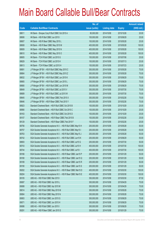|       |                                                                | No. of        |                     |               | <b>Amount raised</b> |
|-------|----------------------------------------------------------------|---------------|---------------------|---------------|----------------------|
| Code  | <b>Callable Bull/Bear Contracts</b>                            | issue (units) | <b>Listing date</b> | <b>Expiry</b> | $(HK$$ mil.)         |
| 68611 | HK Bank - Sinopec Corp R Bull CBBC Oct 2015 A                  | 80,000,000    | 2014/10/08          | 2015/10/26    | 20.00                |
| 68606 | HK Bank - HSI R Bull CBBC Jun 2015 I                           | 100,000,000   | 2014/10/08          | 2015/06/29    | 25.00                |
| 68607 | HK Bank - HSI R Bear CBBC May 2015 L                           | 100,000,000   | 2014/10/08          | 2015/05/28    | 25.00                |
| 68608 | HK Bank - HSI R Bear CBBC May 2015 M                           | 400,000,000   | 2014/10/08          | 2015/05/28    | 100.00               |
| 68609 | HK Bank - HSI R Bear CBBC May 2015 N                           | 400,000,000   | 2014/10/08          | 2015/05/28    | 100.00               |
| 68610 | HK Bank - HSI R Bear CBBC May 2015 O                           | 400,000,000   | 2014/10/08          | 2015/05/28    | 100.00               |
| 68605 | HK Bank - TCH R Bull CBBC Jul 2015 G                           | 100,000,000   | 2014/10/08          | 2015/07/06    | 25.00                |
| 68629 | HK Bank - TCH R Bull CBBC Jul 2015 H                           | 100,000,000   | 2014/10/08          | 2015/07/13    | 25.00                |
| 68613 | HK Bank - TCH R Bear CBBC Jul 2015 H                           | 100,000,000   | 2014/10/08          | 2015/07/23    | 25.00                |
| 68691 | J P Morgan SP BV - HSI R Bull CBBC May 2015 C                  | 300,000,000   | 2014/10/08          | 2015/05/28    | 75.00                |
| 68664 | J P Morgan SP BV - HSI R Bull CBBC May 2015 Z                  | 300,000,000   | 2014/10/08          | 2015/05/28    | 75.00                |
| 68632 | J P Morgan SP BV - HSI R Bull CBBC Jun 2015 K                  | 300,000,000   | 2014/10/08          | 2015/06/29    | 75.00                |
| 68665 | J P Morgan SP BV - HSI R Bull CBBC Jun 2015 L                  | 300,000,000   | 2014/10/08          | 2015/06/29    | 75.00                |
| 68680 | J P Morgan SP BV - HSI R Bull CBBC Jun 2015 M                  | 300,000,000   | 2014/10/08          | 2015/06/29    | 75.00                |
| 68649 | J P Morgan SP BV - HSI R Bull CBBC Jul 2015 V                  | 300,000,000   | 2014/10/08          | 2015/07/30    | 75.00                |
| 68689 | J P Morgan SP BV - HSI R Bull CBBC Jul 2015 W                  | 300,000,000   | 2014/10/08          | 2015/07/30    | 75.00                |
| 69645 | J P Morgan SP BV - HSI R Bear CBBC Feb 2015 X                  | 300,000,000   | 2014/10/08          | 2015/02/26    | 75.00                |
| 69646 | J P Morgan SP BV - HSI R Bear CBBC Feb 2015 Y                  | 300,000,000   | 2014/10/08          | 2015/02/26    | 75.00                |
| 68923 | Standard Chartered Bank - HSI R Bull CBBC Oct 2015 B           | 100,000,000   | 2014/10/08          | 2015/10/29    | 25.00                |
| 68990 | Standard Chartered Bank - HSI R Bull CBBC Oct 2015 C           | 100,000,000   | 2014/10/08          | 2015/10/29    | 25.00                |
| 69163 | Standard Chartered Bank - HSI R Bull CBBC Oct 2015 D           | 100,000,000   | 2014/10/08          | 2015/10/29    | 25.00                |
| 69107 | Standard Chartered Bank - HSI R Bear CBBC Feb 2015 B           | 100,000,000   | 2014/10/08          | 2015/02/26    | 25.00                |
| 69129 | Standard Chartered Bank - HSI R Bear CBBC Feb 2015 F           | 100,000,000   | 2014/10/08          | 2015/02/26    | 25.00                |
| 68756 | SGA Societe Generale Acceptance N.V. - HSI R Bull CBBC May15 H | 200,000,000   | 2014/10/08          | 2015/05/28    | 50.00                |
| 68757 | SGA Societe Generale Acceptance N.V. - HSI R Bull CBBC May15 I | 200,000,000   | 2014/10/08          | 2015/05/28    | 50.00                |
| 68763 | SGA Societe Generale Acceptance N.V. - HSI R Bull CBBC May15 J | 200,000,000   | 2014/10/08          | 2015/05/28    | 50.00                |
| 68742 | SGA Societe Generale Acceptance N.V. - HSI R Bull CBBC Jun15 K | 200,000,000   | 2014/10/08          | 2015/06/29    | 50.00                |
| 68693 | SGA Societe Generale Acceptance N.V. - HSI R Bull CBBC Jul15 G | 200,000,000   | 2014/10/08          | 2015/07/30    | 50.00                |
| 68743 | SGA Societe Generale Acceptance N.V. - HSI R Bull CBBC Jul15 H | 400,000,000   | 2014/10/08          | 2015/07/30    | 100.00               |
| 68744 | SGA Societe Generale Acceptance N.V. - HSI R Bull CBBC Jul15 I | 400,000,000   | 2014/10/08          | 2015/07/30    | 100.00               |
| 69166 | SGA Societe Generale Acceptance N.V. - HSI R Bear CBBC Jan15 P | 200,000,000   | 2014/10/08          | 2015/01/29    | 50.00                |
| 69180 | SGA Societe Generale Acceptance N.V. - HSI R Bear CBBC Jan15 Q | 200,000,000   | 2014/10/08          | 2015/01/29    | 50.00                |
| 69189 | SGA Societe Generale Acceptance N.V. - HSI R Bear CBBC Jan15 R | 200,000,000   | 2014/10/08          | 2015/01/29    | 50.00                |
| 69190 | SGA Societe Generale Acceptance N.V. - HSI R Bear CBBC Jan15 S | 200,000,000   | 2014/10/08          | 2015/01/29    | 50.00                |
| 69202 | SGA Societe Generale Acceptance N.V. - HSI R Bear CBBC Mar15 D | 400,000,000   | 2014/10/08          | 2015/03/30    | 100.00               |
| 69204 | SGA Societe Generale Acceptance N.V. - HSI R Bear CBBC Mar15 E | 400,000,000   | 2014/10/08          | 2015/03/30    | 100.00               |
| 69105 | UBS AG - HSI R Bull CBBC Mar 2015 I                            | 350,000,000   | 2014/10/08          | 2015/03/30    | 87.50                |
| 69087 | UBS AG - HSI R Bull CBBC Apr 2015 L                            | 300,000,000   | 2014/10/08          | 2015/04/29    | 75.00                |
| 69088 | UBS AG - HSI R Bull CBBC Apr 2015 M                            | 300,000,000   | 2014/10/08          | 2015/04/29    | 75.00                |
| 69014 | UBS AG - HSI R Bull CBBC May 2015 M                            | 300,000,000   | 2014/10/08          | 2015/05/28    | 75.00                |
| 69064 | UBS AG - HSI R Bull CBBC May 2015 N                            | 300,000,000   | 2014/10/08          | 2015/05/28    | 75.00                |
| 69063 | UBS AG - HSI R Bull CBBC Jun 2015 G                            | 300,000,000   | 2014/10/08          | 2015/06/29    | 75.00                |
| 69071 | UBS AG - HSI R Bull CBBC Jun 2015 H                            | 300,000,000   | 2014/10/08          | 2015/06/29    | 75.00                |
| 69086 | UBS AG - HSI R Bull CBBC Jun 2015 I                            | 300,000,000   | 2014/10/08          | 2015/06/29    | 75.00                |
| 69291 | UBS AG - HSI R Bear CBBC Jan 2015 S                            | 300,000,000   | 2014/10/08          | 2015/01/29    | 75.00                |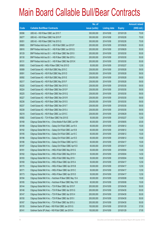|       |                                                               | No. of        |                     |               | <b>Amount raised</b> |
|-------|---------------------------------------------------------------|---------------|---------------------|---------------|----------------------|
| Code  | <b>Callable Bull/Bear Contracts</b>                           | issue (units) | <b>Listing date</b> | <b>Expiry</b> | (HK\$ mil.)          |
| 69396 | UBS AG - HSI R Bear CBBC Jan 2015 T                           | 300,000,000   | 2014/10/08          | 2015/01/29    | 75.00                |
| 69277 | UBS AG - HSI R Bear CBBC Feb 2015 P                           | 300,000,000   | 2014/10/08          | 2015/02/26    | 75.00                |
| 69351 | UBS AG - HSI R Bear CBBC Feb 2015 Q                           | 300,000,000   | 2014/10/08          | 2015/02/26    | 75.00                |
| 69905 | BNP Paribas Arbit Issu B.V. - HSI R Bull CBBC Jun 2015 P      | 200,000,000   | 2014/10/09          | 2015/06/29    | 50.00                |
| 69916 | BNP Paribas Arbit Issu B.V. - HSI R Bull CBBC Jun 2015 Q      | 200,000,000   | 2014/10/09          | 2015/06/29    | 50.00                |
| 60129 | BNP Paribas Arbit Issu B.V. - HSI R Bear CBBC Mar 2015 I      | 200,000,000   | 2014/10/09          | 2015/03/30    | 50.00                |
| 60130 | BNP Paribas Arbit Issu B.V. - HSI R Bear CBBC Mar 2015 J      | 200,000,000   | 2014/10/09          | 2015/03/30    | 50.00                |
| 60131 | BNP Paribas Arbit Issu B.V. - HSI R Bear CBBC Mar 2015 K      | 200,000,000   | 2014/10/09          | 2015/03/30    | 50.00                |
| 60083 | Credit Suisse AG - HKEx R Bear CBBC Feb 2015 D                | 50,000,000    | 2014/10/09          | 2015/02/27    | 12.50                |
| 60089 | Credit Suisse AG - HSI R Bull CBBC May 2015 C                 | 238,000,000   | 2014/10/09          | 2015/05/28    | 59.50                |
| 60091 | Credit Suisse AG - HSI R Bull CBBC May 2015 D                 | 238,000,000   | 2014/10/09          | 2015/05/28    | 59.50                |
| 60092 | Credit Suisse AG - HSI R Bull CBBC May 2015 E                 | 238,000,000   | 2014/10/09          | 2015/05/28    | 59.50                |
| 60217 | Credit Suisse AG - HSI R Bull CBBC May 2015 F                 | 238,000,000   | 2014/10/09          | 2015/05/28    | 59.50                |
| 60220 | Credit Suisse AG - HSI R Bear CBBC Mar 2015 O                 | 238,000,000   | 2014/10/09          | 2015/03/30    | 59.50                |
| 60224 | Credit Suisse AG - HSI R Bear CBBC Mar 2015 P                 | 238,000,000   | 2014/10/09          | 2015/03/30    | 59.50                |
| 60225 | Credit Suisse AG - HSI R Bear CBBC Mar 2015 Q                 | 238,000,000   | 2014/10/09          | 2015/03/30    | 59.50                |
| 60227 | Credit Suisse AG - HSI R Bear CBBC Mar 2015 R                 | 238,000,000   | 2014/10/09          | 2015/03/30    | 59.50                |
| 60236 | Credit Suisse AG - HSI R Bear CBBC Mar 2015 S                 | 238,000,000   | 2014/10/09          | 2015/03/30    | 59.50                |
| 60237 | Credit Suisse AG - HSI R Bear CBBC Mar 2015 T                 | 238,000,000   | 2014/10/09          | 2015/03/30    | 59.50                |
| 60238 | Credit Suisse AG - HSI R Bear CBBC Mar 2015 U                 | 238,000,000   | 2014/10/09          | 2015/03/30    | 59.50                |
| 60218 | Credit Suisse AG - HSI R Bear CBBC Jun 2015 C                 | 238,000,000   | 2014/10/09          | 2015/06/29    | 59.50                |
| 60082 | Credit Suisse AG - TCH R Bear CBBC Feb 2015 E                 | 50,000,000    | 2014/10/09          | 2015/02/27    | 12.50                |
| 60168 | Citigroup Global Mkt H Inc. - China Mobile R Bull CBBC Jun15H | 80,000,000    | 2014/10/09          | 2015/06/05    | 20.00                |
| 60189 | Citigroup Global Mkt H Inc. - Galaxy Ent R Bull CBBC Jun15 A  | 60,000,000    | 2014/10/09          | 2015/06/12    | 15.00                |
| 60192 | Citigroup Global Mkt H Inc. - Galaxy Ent R Bull CBBC Jun15 B  | 60,000,000    | 2014/10/09          | 2015/06/12    | 15.00                |
| 60195 | Citigroup Global Mkt H Inc. - Galaxy Ent R Bull CBBC Jun15 C  | 60,000,000    | 2014/10/09          | 2015/06/12    | 15.00                |
| 60196 | Citigroup Global Mkt H Inc. - Galaxy Ent R Bull CBBC Jun15 D  | 60,000,000    | 2014/10/09          | 2015/06/12    | 15.00                |
| 60186 | Citigroup Global Mkt H Inc. - Galaxy Ent R Bear CBBC Apr15 C  | 60,000,000    | 2014/10/09          | 2015/04/17    | 15.00                |
| 60187 | Citigroup Global Mkt H Inc. - Galaxy Ent R Bear CBBC Apr15 D  | 60,000,000    | 2014/10/09          | 2015/04/17    | 15.00                |
| 60181 | Citigroup Global Mkt H Inc. - HKEx R Bull CBBC May 2015 G     | 50,000,000    | 2014/10/09          | 2015/05/04    | 13.00                |
| 60182 | Citigroup Global Mkt H Inc. - HKEx R Bull CBBC May 2015 H     | 50,000,000    | 2014/10/09          | 2015/05/04    | 14.50                |
| 60183 | Citigroup Global Mkt H Inc. - HKEx R Bull CBBC May 2015 I     | 50,000,000    | 2014/10/09          | 2015/05/04    | 16.00                |
| 60169 | Citigroup Global Mkt H Inc. - HKEx R Bear CBBC Apr 2015 A     | 50,000,000    | 2014/10/09          | 2015/04/17    | 12.50                |
| 60170 | Citigroup Global Mkt H Inc. - HKEx R Bear CBBC Apr 2015 B     | 50,000,000    | 2014/10/09          | 2015/04/17    | 12.50                |
| 60171 | Citigroup Global Mkt H Inc. - HKEx R Bear CBBC Apr 2015 C     | 50,000,000    | 2014/10/09          | 2015/04/17    | 12.50                |
| 60173 | Citigroup Global Mkt H Inc. - HKEx R Bear CBBC Apr 2015 D     | 50,000,000    | 2014/10/09          | 2015/04/17    | 12.50                |
| 60184 | Citigroup Global Mkt H Inc. - Hutchison R Bear CBBC May 15 A  | 60,000,000    | 2014/10/09          | 2015/05/08    | 15.00                |
| 60185 | Citigroup Global Mkt H Inc. - Hutchison R Bear CBBC May 15 B  | 60,000,000    | 2014/10/09          | 2015/05/08    | 15.00                |
| 60144 | Citigroup Global Mkt H Inc. - TCH R Bear CBBC Apr 2015 F      | 200,000,000   | 2014/10/09          | 2015/04/30    | 50.00                |
| 60146 | Citigroup Global Mkt H Inc. - TCH R Bear CBBC Apr 2015 G      | 200,000,000   | 2014/10/09          | 2015/04/30    | 50.00                |
| 60147 | Citigroup Global Mkt H Inc. - TCH R Bear CBBC Apr 2015 H      | 200,000,000   | 2014/10/09          | 2015/04/30    | 50.00                |
| 60150 | Citigroup Global Mkt H Inc. - TCH R Bear CBBC Apr 2015 I      | 200,000,000   | 2014/10/09          | 2015/04/30    | 50.00                |
| 60167 | Citigroup Global Mkt H Inc. - TCH R Bear CBBC Apr 2015 J      | 200,000,000   | 2014/10/09          | 2015/04/30    | 50.00                |
| 60135 | Goldman Sachs SP (Asia) - HSI R Bull CBBC Jan 2015 G          | 150,000,000   | 2014/10/09          | 2015/01/29    | 37.50                |
| 60141 | Goldman Sachs SP (Asia) - HSI R Bull CBBC Jan 2015 H          | 150,000,000   | 2014/10/09          | 2015/01/29    | 37.95                |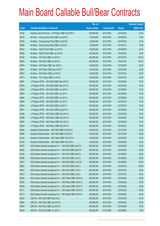|       |                                                                | No. of        |                     |               | <b>Amount raised</b> |
|-------|----------------------------------------------------------------|---------------|---------------------|---------------|----------------------|
| Code  | <b>Callable Bull/Bear Contracts</b>                            | issue (units) | <b>Listing date</b> | <b>Expiry</b> | (HK\$ mil.)          |
| 60138 | Goldman Sachs SP (Asia) - HSI R Bear CBBC Feb 2015 A           | 150,000,000   | 2014/10/09          | 2015/02/26    | 37.65                |
| 69790 | HK Bank - Cheung Kong R Bull CBBC Jun 2015 C                   | 60,000,000    | 2014/10/09          | 2015/06/29    | 15.00                |
| 69792 | HK Bank - Cheung Kong R Bull CBBC Jul 2015 B                   | 60,000,000    | 2014/10/09          | 2015/07/06    | 15.00                |
| 69882 | HK Bank - Cheung Kong R Bull CBBC Jul 2015 C                   | 60,000,000    | 2014/10/09          | 2015/07/13    | 16.80                |
| 69732 | HK Bank - HSCEI R Bull CBBC Jun 2015 C                         | 100,000,000   | 2014/10/09          | 2015/06/29    | 25.00                |
| 69765 | HK Bank - HSCEI R Bull CBBC Jul 2015 B                         | 100,000,000   | 2014/10/09          | 2015/07/30    | 25.00                |
| 69796 | HK Bank - HSI R Bull CBBC Jul 2015 C                           | 400,000,000   | 2014/10/09          | 2015/07/30    | 100.00               |
| 69803 | HK Bank - HSI R Bull CBBC Jul 2015 D                           | 400,000,000   | 2014/10/09          | 2015/07/30    | 100.00               |
| 69878 | HK Bank - HSI R Bear CBBC Apr 2015 Q                           | 100,000,000   | 2014/10/09          | 2015/04/29    | 25.00                |
| 69647 | HK Bank - HSI R Bear CBBC May 2015 P                           | 100,000,000   | 2014/10/09          | 2015/05/28    | 25.00                |
| 69651 | HK Bank - HSI R Bear CBBC Jul 2015 D                           | 100,000,000   | 2014/10/09          | 2015/07/30    | 25.00                |
| 69775 | HK Bank - TCH R Bear CBBC Jul 2015 I                           | 100,000,000   | 2014/10/09          | 2015/07/30    | 25.00                |
| 69991 | J P Morgan SP BV - HSI R Bull CBBC May 2015 B                  | 300,000,000   | 2014/10/09          | 2015/05/28    | 75.00                |
| 60033 | J P Morgan SP BV - HSI R Bull CBBC May 2015 N                  | 300,000,000   | 2014/10/09          | 2015/05/28    | 75.00                |
| 60032 | J P Morgan SP BV - HSI R Bull CBBC Jun 2015 H                  | 300,000,000   | 2014/10/09          | 2015/06/29    | 75.00                |
| 69942 | J P Morgan SP BV - HSI R Bull CBBC Jun 2015 I                  | 300,000,000   | 2014/10/09          | 2015/06/29    | 75.00                |
| 69994 | J P Morgan SP BV - HSI R Bull CBBC Jun 2015 J                  | 300,000,000   | 2014/10/09          | 2015/06/29    | 75.00                |
| 69949 | J P Morgan SP BV - HSI R Bull CBBC Jul 2015 X                  | 300,000,000   | 2014/10/09          | 2015/07/30    | 75.00                |
| 60034 | J P Morgan SP BV - HSI R Bull CBBC Jul 2015 Y                  | 300,000,000   | 2014/10/09          | 2015/07/30    | 75.00                |
| 60031 | J P Morgan SP BV - HSI R Bull CBBC Aug 2015 C                  | 300,000,000   | 2014/10/09          | 2015/08/28    | 75.00                |
| 60096 | J P Morgan SP BV - HSI R Bear CBBC Jan 2015 N                  | 300,000,000   | 2014/10/09          | 2015/01/29    | 75.00                |
| 60098 | J P Morgan SP BV - HSI R Bear CBBC Feb 2015 A                  | 300,000,000   | 2014/10/09          | 2015/02/26    | 75.00                |
| 60097 | J P Morgan SP BV - HSI R Bear CBBC Feb 2015 Z                  | 300,000,000   | 2014/10/09          | 2015/02/26    | 75.00                |
| 60240 | J P Morgan SP BV - HSI R Bear CBBC Mar 2015 A                  | 300,000,000   | 2014/10/09          | 2015/03/30    | 75.00                |
| 60065 | Standard Chartered Bank - HSI R Bull CBBC Oct 2015 E           | 100,000,000   | 2014/10/09          | 2015/10/29    | 25.00                |
| 60066 | Standard Chartered Bank - HSI R Bull CBBC Oct 2015 F           | 100,000,000   | 2014/10/09          | 2015/10/29    | 25.00                |
| 60142 | Standard Chartered Bank - HSI R Bear CBBC Feb 2015 H           | 100,000,000   | 2014/10/09          | 2015/02/26    | 25.00                |
| 60143 | Standard Chartered Bank - HSI R Bear CBBC Feb 2015 J           | 100,000,000   | 2014/10/09          | 2015/02/26    | 25.00                |
| 60019 | SGA Societe Generale Acceptance N.V. - HSI R Bull CBBC Apr15 K | 200,000,000   | 2014/10/09          | 2015/04/29    | 50.00                |
| 60025 | SGA Societe Generale Acceptance N.V. - HSI R Bull CBBC May15 K | 200,000,000   | 2014/10/09          | 2015/05/28    | 50.00                |
| 60106 | SGA Societe Generale Acceptance N.V. - HSI R Bull CBBC May15 L | 200,000,000   | 2014/10/09          | 2015/05/28    | 50.00                |
| 60008 | SGA Societe Generale Acceptance N.V. - HSI R Bull CBBC Jun15 L | 200,000,000   | 2014/10/09          | 2015/06/29    | 50.00                |
| 60014 | SGA Societe Generale Acceptance N.V. - HSI R Bull CBBC Jun15 M | 200,000,000   | 2014/10/09          | 2015/06/29    | 50.00                |
| 60000 | SGA Societe Generale Acceptance N.V. - HSI R Bull CBBC Jul15 J | 400,000,000   | 2014/10/09          | 2015/07/30    | 100.00               |
| 60007 | SGA Societe Generale Acceptance N.V. - HSI R Bull CBBC Jul15 K | 200,000,000   | 2014/10/09          | 2015/07/30    | 50.00                |
| 60012 | SGA Societe Generale Acceptance N.V. - HSI R Bull CBBC Jul15 L | 200,000,000   | 2014/10/09          | 2015/07/30    | 50.00                |
| 60026 | SGA Societe Generale Acceptance N.V. - HSI R Bear CBBC Feb15 N | 200,000,000   | 2014/10/09          | 2015/02/26    | 50.00                |
| 60029 | SGA Societe Generale Acceptance N.V. - HSI R Bear CBBC Feb15 O | 200,000,000   | 2014/10/09          | 2015/02/26    | 50.00                |
| 60030 | SGA Societe Generale Acceptance N.V. - HSI R Bear CBBC Feb15 P | 200,000,000   | 2014/10/09          | 2015/02/26    | 50.00                |
| 60111 | SGA Societe Generale Acceptance N.V. - HSI R Bear CBBC Feb15 Q | 200,000,000   | 2014/10/09          | 2015/02/26    | 50.00                |
| 60113 | SGA Societe Generale Acceptance N.V. - HSI R Bear CBBC Feb15 R | 200,000,000   | 2014/10/09          | 2015/02/26    | 50.00                |
| 60035 | UBS AG - HSI R Bull CBBC Mar 2015 J                            | 350,000,000   | 2014/10/09          | 2015/03/30    | 87.50                |
| 60040 | UBS AG - HSI R Bull CBBC Apr 2015 N                            | 300,000,000   | 2014/10/09          | 2015/04/29    | 75.00                |
| 60043 | UBS AG - HSI R Bull CBBC Apr 2015 O                            | 300,000,000   | 2014/10/09          | 2015/04/29    | 75.00                |
| 60042 | UBS AG - HSI R Bull CBBC Jun 2015 J                            | 300,000,000   | 2014/10/09          | 2015/06/29    | 75.00                |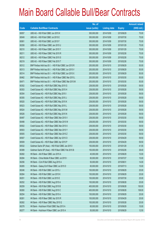|       |                                                          | No. of        |                     |               | <b>Amount raised</b> |
|-------|----------------------------------------------------------|---------------|---------------------|---------------|----------------------|
| Code  | <b>Callable Bull/Bear Contracts</b>                      | issue (units) | <b>Listing date</b> | <b>Expiry</b> | $(HK$$ mil.)         |
| 60057 | UBS AG - HSI R Bull CBBC Jun 2015 K                      | 300,000,000   | 2014/10/09          | 2015/06/29    | 75.00                |
| 60049 | UBS AG - HSI R Bull CBBC Jul 2015 E                      | 300,000,000   | 2014/10/09          | 2015/07/30    | 75.00                |
| 60061 | UBS AG - HSI R Bull CBBC Jul 2015 F                      | 300,000,000   | 2014/10/09          | 2015/07/30    | 75.00                |
| 60208 | UBS AG - HSI R Bear CBBC Jan 2015 U                      | 300,000,000   | 2014/10/09          | 2015/01/29    | 75.00                |
| 60210 | UBS AG - HSI R Bear CBBC Jan 2015 Y                      | 300,000,000   | 2014/10/09          | 2015/01/29    | 75.00                |
| 60211 | UBS AG - HSI R Bear CBBC Feb 2015 R                      | 300,000,000   | 2014/10/09          | 2015/02/26    | 75.00                |
| 60212 | UBS AG - HSI R Bear CBBC Feb 2015 S                      | 300,000,000   | 2014/10/09          | 2015/02/26    | 75.00                |
| 60219 | UBS AG - HSI R Bear CBBC Feb 2015 T                      | 300,000,000   | 2014/10/09          | 2015/02/26    | 75.00                |
| 60312 | BNP Paribas Arbit Issu B.V. - HSI R Bull CBBC Jun 2015 R | 200,000,000   | 2014/10/10          | 2015/06/29    | 50.00                |
| 60313 | BNP Paribas Arbit Issu B.V. - HSI R Bull CBBC Jun 2015 V | 200,000,000   | 2014/10/10          | 2015/06/29    | 50.00                |
| 60314 | BNP Paribas Arbit Issu B.V. - HSI R Bull CBBC Jun 2015 X | 200,000,000   | 2014/10/10          | 2015/06/29    | 50.00                |
| 60462 | BNP Paribas Arbit Issu B.V. - HSI R Bear CBBC Mar 2015 L | 200,000,000   | 2014/10/10          | 2015/03/30    | 50.00                |
| 60471 | BNP Paribas Arbit Issu B.V. - HSI R Bear CBBC Mar 2015 M | 200,000,000   | 2014/10/10          | 2015/03/30    | 50.00                |
| 60352 | Credit Suisse AG - HSI R Bull CBBC May 2015 G            | 238,000,000   | 2014/10/10          | 2015/05/28    | 59.50                |
| 60353 | Credit Suisse AG - HSI R Bull CBBC May 2015 H            | 238,000,000   | 2014/10/10          | 2015/05/28    | 59.50                |
| 60354 | Credit Suisse AG - HSI R Bull CBBC May 2015 I            | 238,000,000   | 2014/10/10          | 2015/05/28    | 59.50                |
| 60355 | Credit Suisse AG - HSI R Bull CBBC May 2015 J            | 238,000,000   | 2014/10/10          | 2015/05/28    | 59.50                |
| 60520 | Credit Suisse AG - HSI R Bull CBBC May 2015 K            | 238,000,000   | 2014/10/10          | 2015/05/28    | 59.50                |
| 60523 | Credit Suisse AG - HSI R Bull CBBC May 2015 L            | 238,000,000   | 2014/10/10          | 2015/05/28    | 59.50                |
| 60524 | Credit Suisse AG - HSI R Bull CBBC May 2015 M            | 238,000,000   | 2014/10/10          | 2015/05/28    | 59.50                |
| 60526 | Credit Suisse AG - HSI R Bull CBBC May 2015 N            | 238,000,000   | 2014/10/10          | 2015/05/28    | 59.50                |
| 60497 | Credit Suisse AG - HSI R Bear CBBC Mar 2015 V            | 238,000,000   | 2014/10/10          | 2015/03/30    | 59.50                |
| 60498 | Credit Suisse AG - HSI R Bear CBBC Mar 2015 W            | 238,000,000   | 2014/10/10          | 2015/03/30    | 59.50                |
| 60502 | Credit Suisse AG - HSI R Bear CBBC Mar 2015 X            | 238,000,000   | 2014/10/10          | 2015/03/30    | 59.50                |
| 60503 | Credit Suisse AG - HSI R Bear CBBC Mar 2015 Y            | 238,000,000   | 2014/10/10          | 2015/03/30    | 59.50                |
| 60505 | Credit Suisse AG - HSI R Bear CBBC Mar 2015 Z            | 238,000,000   | 2014/10/10          | 2015/03/30    | 59.50                |
| 60507 | Credit Suisse AG - HSI R Bear CBBC Apr 2015 O            | 238,000,000   | 2014/10/10          | 2015/04/29    | 59.50                |
| 60509 | Credit Suisse AG - HSI R Bear CBBC Apr 2015 P            | 238,000,000   | 2014/10/10          | 2015/04/29    | 59.50                |
| 60532 | Goldman Sachs SP (Asia) - HSI R Bull CBBC Jan 2015 I     | 150,000,000   | 2014/10/10          | 2015/01/29    | 41.55                |
| 60389 | Goldman Sachs SP (Asia) - HSI R Bear CBBC Feb 2015 B     | 150,000,000   | 2014/10/10          | 2015/02/26    | 38.40                |
| 60282 | HK Bank - AIA R Bear CBBC Jun 2015 A                     | 40,000,000    | 2014/10/10          | 2015/06/29    | 10.00                |
| 60284 | HK Bank - China Mobile R Bear CBBC Jul 2015 I            | 60,000,000    | 2014/10/10          | 2015/07/27    | 15.00                |
| 60256 | HK Bank - CUni R Bull CBBC Aug 2015 A                    | 50,000,000    | 2014/10/10          | 2015/08/31    | 14.00                |
| 60265 | HK Bank - Galaxy Ent R Bear CBBC Jul 2015 D              | 60,000,000    | 2014/10/10          | 2015/07/13    | 15.00                |
| 60246 | HK Bank - HSI R Bull CBBC Jun 2015 J                     | 100,000,000   | 2014/10/10          | 2015/06/29    | 25.00                |
| 60264 | HK Bank - HSI R Bull CBBC Jun 2015 K                     | 100,000,000   | 2014/10/10          | 2015/06/29    | 25.00                |
| 60251 | HK Bank - HSI R Bull CBBC Jul 2015 E                     | 100,000,000   | 2014/10/10          | 2015/07/30    | 25.00                |
| 60252 | HK Bank - HSI R Bull CBBC Aug 2015 A                     | 100,000,000   | 2014/10/10          | 2015/08/28    | 25.00                |
| 60259 | HK Bank - HSI R Bull CBBC Aug 2015 B                     | 400,000,000   | 2014/10/10          | 2015/08/28    | 100.00               |
| 60260 | HK Bank - HSI R Bull CBBC Aug 2015 C                     | 400,000,000   | 2014/10/10          | 2015/08/28    | 108.00               |
| 60254 | HK Bank - HSI R Bull CBBC Sep 2015 A                     | 100,000,000   | 2014/10/10          | 2015/09/29    | 25.00                |
| 60261 | HK Bank - HSI R Bear CBBC Apr 2015 R                     | 100,000,000   | 2014/10/10          | 2015/04/29    | 25.00                |
| 60262 | HK Bank - HSI R Bear CBBC May 2015 Q                     | 100,000,000   | 2014/10/10          | 2015/05/28    | 25.00                |
| 60278 | HK Bank - Hutchison R Bull CBBC Sep 2015 A               | 60,000,000    | 2014/10/10          | 2015/09/29    | 15.00                |
| 60277 | HK Bank - Hutchison R Bear CBBC Jun 2015 A               | 50,000,000    | 2014/10/10          | 2015/06/29    | 12.50                |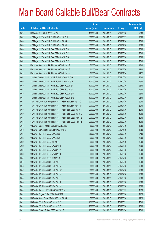|       |                                                                | No. of        |                     |               | <b>Amount raised</b> |
|-------|----------------------------------------------------------------|---------------|---------------------|---------------|----------------------|
| Code  | <b>Callable Bull/Bear Contracts</b>                            | issue (units) | <b>Listing date</b> | <b>Expiry</b> | (HK\$ mil.)          |
| 60285 | HK Bank - TCH R Bull CBBC Jun 2015 H                           | 100,000,000   | 2014/10/10          | 2015/06/08    | 25.00                |
| 60302 | J P Morgan SP BV - HSI R Bull CBBC Jun 2015 N                  | 300,000,000   | 2014/10/10          | 2015/06/29    | 75.00                |
| 60310 | J P Morgan SP BV - HSI R Bull CBBC Jul 2015 A                  | 300,000,000   | 2014/10/10          | 2015/07/30    | 75.00                |
| 60300 | J P Morgan SP BV - HSI R Bull CBBC Jul 2015 Z                  | 300,000,000   | 2014/10/10          | 2015/07/30    | 75.00                |
| 60356 | J P Morgan SP BV - HSI R Bear CBBC Mar 2015 B                  | 300,000,000   | 2014/10/10          | 2015/03/30    | 75.00                |
| 60365 | J P Morgan SP BV - HSI R Bear CBBC Mar 2015 C                  | 300,000,000   | 2014/10/10          | 2015/03/30    | 75.00                |
| 60375 | J P Morgan SP BV - HSI R Bear CBBC Mar 2015 D                  | 300,000,000   | 2014/10/10          | 2015/03/30    | 75.00                |
| 60531 | J P Morgan SP BV - HSI R Bear CBBC Mar 2015 E                  | 300,000,000   | 2014/10/10          | 2015/03/30    | 75.00                |
| 60473 | Macquarie Bank Ltd. - HSI R Bear CBBC Feb 2015 F               | 50,000,000    | 2014/10/10          | 2015/02/26    | 13.00                |
| 60479 | Macquarie Bank Ltd. - HSI R Bear CBBC Feb 2015 G               | 50,000,000    | 2014/10/10          | 2015/02/26    | 12.50                |
| 60482 | Macquarie Bank Ltd. - HSI R Bear CBBC Feb 2015 H               | 50,000,000    | 2014/10/10          | 2015/02/26    | 12.75                |
| 60513 | Standard Chartered Bank - HSI R Bull CBBC Oct 2015 G           | 100,000,000   | 2014/10/10          | 2015/10/29    | 25.00                |
| 60515 | Standard Chartered Bank - HSI R Bull CBBC Oct 2015 H           | 100,000,000   | 2014/10/10          | 2015/10/29    | 25.00                |
| 60319 | Standard Chartered Bank - HSI R Bear CBBC Feb 2015 C           | 100,000,000   | 2014/10/10          | 2015/02/26    | 25.00                |
| 60321 | Standard Chartered Bank - HSI R Bear CBBC Feb 2015 L           | 100,000,000   | 2014/10/10          | 2015/02/26    | 25.00                |
| 60455 | Standard Chartered Bank - HSI R Bear CBBC Feb 2015 O           | 100,000,000   | 2014/10/10          | 2015/02/26    | 25.00                |
| 60461 | Standard Chartered Bank - HSI R Bear CBBC Feb 2015 Q           | 100,000,000   | 2014/10/10          | 2015/02/26    | 25.00                |
| 60331 | SGA Societe Generale Acceptance N.V. - HSI R Bull CBBC Apr15 O | 200,000,000   | 2014/10/10          | 2015/04/29    | 50.00                |
| 60334 | SGA Societe Generale Acceptance N.V. - HSI R Bull CBBC Apr15 W | 200,000,000   | 2014/10/10          | 2015/04/29    | 50.00                |
| 60335 | SGA Societe Generale Acceptance N.V. - HSI R Bear CBBC Jan15 T | 200,000,000   | 2014/10/10          | 2015/01/29    | 50.00                |
| 60340 | SGA Societe Generale Acceptance N.V. - HSI R Bear CBBC Jan15 U | 200,000,000   | 2014/10/10          | 2015/01/29    | 50.00                |
| 60384 | SGA Societe Generale Acceptance N.V. - HSI R Bear CBBC Feb15 S | 200,000,000   | 2014/10/10          | 2015/02/26    | 50.00                |
| 60387 | SGA Societe Generale Acceptance N.V. - HSI R Bear CBBC Feb15 T | 200,000,000   | 2014/10/10          | 2015/02/26    | 50.00                |
| 60454 | UBS AG - Cheung Kong R Bull CBBC Oct 2015 A                    | 50,000,000    | 2014/10/10          | 2015/10/19    | 12.50                |
| 60426 | UBS AG - Galaxy Ent R Bull CBBC Nov 2015 A                     | 50,000,000    | 2014/10/10          | 2015/11/09    | 12.50                |
| 60351 | UBS AG - HSI R Bull CBBC Mar 2015 L                            | 350,000,000   | 2014/10/10          | 2015/03/30    | 87.50                |
| 60392 | UBS AG - HSI R Bull CBBC Mar 2015 N                            | 300,000,000   | 2014/10/10          | 2015/03/30    | 75.00                |
| 60350 | UBS AG - HSI R Bull CBBC Apr 2015 P                            | 300,000,000   | 2014/10/10          | 2015/04/29    | 75.00                |
| 60349 | UBS AG - HSI R Bull CBBC May 2015 O                            | 300,000,000   | 2014/10/10          | 2015/05/28    | 75.00                |
| 60394 | UBS AG - HSI R Bull CBBC May 2015 P                            | 300,000,000   | 2014/10/10          | 2015/05/28    | 75.00                |
| 60396 | UBS AG - HSI R Bull CBBC May 2015 Q                            | 300,000,000   | 2014/10/10          | 2015/05/28    | 75.00                |
| 60527 | UBS AG - HSI R Bull CBBC Jul 2015 G                            | 300,000,000   | 2014/10/10          | 2015/07/30    | 75.00                |
| 60484 | UBS AG - HSI R Bear CBBC Feb 2015 U                            | 300,000,000   | 2014/10/10          | 2015/02/26    | 75.00                |
| 60486 | UBS AG - HSI R Bear CBBC Feb 2015 V                            | 300,000,000   | 2014/10/10          | 2015/02/26    | 75.00                |
| 60489 | UBS AG - HSI R Bear CBBC Feb 2015 W                            | 300,000,000   | 2014/10/10          | 2015/02/26    | 75.00                |
| 60496 | UBS AG - HSI R Bear CBBC Feb 2015 X                            | 300,000,000   | 2014/10/10          | 2015/02/26    | 75.00                |
| 60485 | UBS AG - HSI R Bear CBBC Mar 2015 I                            | 300,000,000   | 2014/10/10          | 2015/03/30    | 75.00                |
| 60488 | UBS AG - HSI R Bear CBBC Mar 2015 J                            | 300,000,000   | 2014/10/10          | 2015/03/30    | 75.00                |
| 60495 | UBS AG - HSI R Bear CBBC Mar 2015 K                            | 300,000,000   | 2014/10/10          | 2015/03/30    | 75.00                |
| 60435 | UBS AG - Hutchison R Bull CBBC Oct 2015 A                      | 50,000,000    | 2014/10/10          | 2015/10/05    | 12.50                |
| 60401 | UBS AG - Kingsoft R Bull CBBC Jun 2016 B                       | 50,000,000    | 2014/10/10          | 2016/06/06    | 12.50                |
| 60402 | UBS AG - Sands China R Bull CBBC Aug 2015 A                    | 50,000,000    | 2014/10/10          | 2015/08/10    | 12.50                |
| 60412 | UBS AG - TCH R Bull CBBC Jun 2015 D                            | 100,000,000   | 2014/10/10          | 2015/06/22    | 25.00                |
| 60415 | UBS AG - TCH R Bull CBBC Jun 2015 E                            | 100,000,000   | 2014/10/10          | 2015/06/08    | 25.00                |
| 60409 | UBS AG - Tencent R Bear CBBC Apr 2015 B                        | 100,000,000   | 2014/10/10          | 2015/04/20    | 25.00                |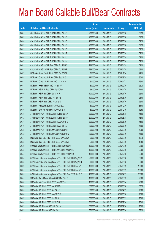|       |                                                                | No. of        |                     |               | <b>Amount raised</b> |
|-------|----------------------------------------------------------------|---------------|---------------------|---------------|----------------------|
| Code  | <b>Callable Bull/Bear Contracts</b>                            | issue (units) | <b>Listing date</b> | <b>Expiry</b> | $(HK$$ mil.)         |
| 60641 | Credit Suisse AG - HSI R Bull CBBC May 2015 O                  | 238,000,000   | 2014/10/13          | 2015/05/28    | 59.50                |
| 60643 | Credit Suisse AG - HSI R Bull CBBC May 2015 P                  | 238,000,000   | 2014/10/13          | 2015/05/28    | 59.50                |
| 60636 | Credit Suisse AG - HSI R Bull CBBC May 2015 Q                  | 238,000,000   | 2014/10/13          | 2015/05/28    | 59.50                |
| 60637 | Credit Suisse AG - HSI R Bull CBBC May 2015 R                  | 238,000,000   | 2014/10/13          | 2015/05/28    | 59.50                |
| 60639 | Credit Suisse AG - HSI R Bull CBBC May 2015 S                  | 238,000,000   | 2014/10/13          | 2015/05/28    | 59.50                |
| 60640 | Credit Suisse AG - HSI R Bull CBBC May 2015 T                  | 238,000,000   | 2014/10/13          | 2015/05/28    | 59.50                |
| 60646 | Credit Suisse AG - HSI R Bull CBBC May 2015 U                  | 238,000,000   | 2014/10/13          | 2015/05/28    | 59.50                |
| 60647 | Credit Suisse AG - HSI R Bull CBBC May 2015 V                  | 238,000,000   | 2014/10/13          | 2015/05/28    | 59.50                |
| 60582 | Credit Suisse AG - HSI R Bear CBBC Apr 2015 Q                  | 238,000,000   | 2014/10/13          | 2015/04/29    | 59.50                |
| 60583 | Credit Suisse AG - HSI R Bear CBBC Apr 2015 R                  | 238,000,000   | 2014/10/13          | 2015/04/29    | 59.50                |
| 60567 | HK Bank - Anhui Conch R Bull CBBC Dec 2015 B                   | 50,000,000    | 2014/10/13          | 2015/12/16    | 12.50                |
| 60558 | HK Bank - China Mobile R Bull CBBC Sep 2015 A                  | 120,000,000   | 2014/10/13          | 2015/09/29    | 30.00                |
| 60561 | HK Bank - China Life R Bear CBBC Apr 2015 A                    | 60,000,000    | 2014/10/13          | 2015/04/27    | 16.80                |
| 60557 | HK Bank - HKEx R Bull CBBC Sep 2015 A                          | 60,000,000    | 2014/10/13          | 2015/09/29    | 25.20                |
| 60547 | HK Bank - HSCEI R Bear CBBC Apr 2015 C                         | 68,000,000    | 2014/10/13          | 2015/04/29    | 17.00                |
| 60536 | HK Bank - HSI R Bull CBBC Jul 2015 F                           | 100,000,000   | 2014/10/13          | 2015/07/30    | 25.00                |
| 60544 | HK Bank - HSI R Bear CBBC Jun 2015 B                           | 100,000,000   | 2014/10/13          | 2015/06/29    | 25.00                |
| 60537 | HK Bank - HSI R Bear CBBC Jul 2015 E                           | 100,000,000   | 2014/10/13          | 2015/07/30    | 25.00                |
| 60548 | HK Bank - Kingsoft R Bull CBBC Oct 2015 A                      | 50,000,000    | 2014/10/13          | 2015/10/26    | 31.00                |
| 60550 | HK Bank - SHK Ppt R Bear CBBC Oct 2015 B                       | 50,000,000    | 2014/10/13          | 2015/10/19    | 12.50                |
| 60698 | J P Morgan SP BV - HSI R Bull CBBC May 2015 K                  | 300,000,000   | 2014/10/13          | 2015/05/28    | 75.00                |
| 60672 | J P Morgan SP BV - HSI R Bull CBBC May 2015 P                  | 300,000,000   | 2014/10/13          | 2015/05/28    | 75.00                |
| 60691 | J P Morgan SP BV - HSI R Bull CBBC Jun 2015 O                  | 300,000,000   | 2014/10/13          | 2015/06/29    | 75.00                |
| 60706 | J P Morgan SP BV - HSI R Bull CBBC Jul 2015 B                  | 300,000,000   | 2014/10/13          | 2015/07/30    | 75.00                |
| 60588 | J P Morgan SP BV - HSI R Bear CBBC Mar 2015 F                  | 300,000,000   | 2014/10/13          | 2015/03/30    | 75.00                |
| 60602 | J P Morgan SP BV - HSI R Bear CBBC Mar 2015 G                  | 300,000,000   | 2014/10/13          | 2015/03/30    | 75.00                |
| 60644 | Macquarie Bank Ltd. - HSI R Bull CBBC Mar 2015 A               | 50,000,000    | 2014/10/13          | 2015/03/30    | 12.75                |
| 60645 | Macquarie Bank Ltd. - HSI R Bull CBBC Mar 2015 B               | 50,000,000    | 2014/10/13          | 2015/03/30    | 12.50                |
| 60649 | Standard Chartered Bank - HSI R Bull CBBC Oct 2015 I           | 100,000,000   | 2014/10/13          | 2015/10/29    | 25.00                |
| 60585 | Standard Chartered Bank - HSI R Bear CBBC Feb 2015 K           | 100,000,000   | 2014/10/13          | 2015/02/26    | 25.00                |
| 60584 | Standard Chartered Bank - HSI R Bear CBBC Feb 2015 R           | 100,000,000   | 2014/10/13          | 2015/02/26    | 25.00                |
| 60604 | SGA Societe Generale Acceptance N.V. - HSI R Bull CBBC May15 M | 200,000,000   | 2014/10/13          | 2015/05/28    | 50.00                |
| 60615 | SGA Societe Generale Acceptance N.V. - HSI R Bull CBBC May15 N | 200,000,000   | 2014/10/13          | 2015/05/28    | 50.00                |
| 60609 | SGA Societe Generale Acceptance N.V. - HSI R Bull CBBC Jun15 N | 400,000,000   | 2014/10/13          | 2015/06/29    | 100.00               |
| 60631 | SGA Societe Generale Acceptance N.V. - HSI R Bull CBBC Jun15 O | 400,000,000   | 2014/10/13          | 2015/06/29    | 100.00               |
| 60635 | SGA Societe Generale Acceptance N.V. - HSI R Bear CBBC Apr15 C | 400,000,000   | 2014/10/13          | 2015/04/29    | 100.00               |
| 60581 | UBS AG - China Mobile R Bear CBBC Mar 2015 B                   | 100,000,000   | 2014/10/13          | 2015/03/23    | 25.00                |
| 60580 | UBS AG - A50 China R Bull CBBC May 2015 A                      | 100,000,000   | 2014/10/13          | 2015/05/04    | 25.00                |
| 60670 | UBS AG - HSI R Bull CBBC Mar 2015 Q                            | 350,000,000   | 2014/10/13          | 2015/03/30    | 87.50                |
| 60655 | UBS AG - HSI R Bull CBBC Apr 2015 Q                            | 300,000,000   | 2014/10/13          | 2015/04/29    | 75.00                |
| 60656 | UBS AG - HSI R Bull CBBC May 2015 R                            | 300,000,000   | 2014/10/13          | 2015/05/28    | 75.00                |
| 60657 | UBS AG - HSI R Bull CBBC Jun 2015 L                            | 300,000,000   | 2014/10/13          | 2015/06/29    | 75.00                |
| 60660 | UBS AG - HSI R Bull CBBC Jul 2015 H                            | 300,000,000   | 2014/10/13          | 2015/07/30    | 75.00                |
| 60572 | UBS AG - HSI R Bear CBBC Feb 2015 Y                            | 300,000,000   | 2014/10/13          | 2015/02/26    | 75.00                |
| 60579 | UBS AG - HSI R Bear CBBC Mar 2015 L                            | 350,000,000   | 2014/10/13          | 2015/03/30    | 87.50                |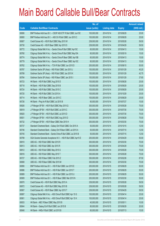|       |                                                                | No. of        |                     |               | <b>Amount raised</b> |
|-------|----------------------------------------------------------------|---------------|---------------------|---------------|----------------------|
| Code  | <b>Callable Bull/Bear Contracts</b>                            | issue (units) | <b>Listing date</b> | <b>Expiry</b> | (HK\$ mil.)          |
| 60806 | BNP Paribas Arbit Issu B.V. - CSOP A50 ETF R Bull CBBC Jun15C  | 100,000,000   | 2014/10/14          | 2015/06/29    | 25.00                |
| 60800 | BNP Paribas Arbit Issu B.V. - A50 Ch R Bull CBBC Jun 2015 C    | 100,000,000   | 2014/10/14          | 2015/06/29    | 25.00                |
| 60807 | Credit Suisse AG - HSI R Bull CBBC May 2015 W                  | 238,000,000   | 2014/10/14          | 2015/05/28    | 59.50                |
| 60730 | Credit Suisse AG - HSI R Bear CBBC Apr 2015 S                  | 238,000,000   | 2014/10/14          | 2015/04/29    | 59.50                |
| 60772 | Citigroup Global Mkt H Inc. - Sands China R Bull CBBC Apr15C   | 60,000,000    | 2014/10/14          | 2015/04/13    | 15.00                |
| 60760 | Citigroup Global Mkt H Inc. - Sands China R Bull CBBC May15A   | 60,000,000    | 2014/10/14          | 2015/05/19    | 15.00                |
| 60774 | Citigroup Global Mkt H Inc. - Sands China R Bear CBBC Apr15B   | 60,000,000    | 2014/10/14          | 2015/04/13    | 15.00                |
| 60779 | Citigroup Global Mkt H Inc. - Sands China R Bear CBBC Apr15C   | 60,000,000    | 2014/10/14          | 2015/04/13    | 15.00                |
| 60762 | Citigroup Global Mkt H Inc. - TCH R Bull CBBC Jun 2015 D       | 200,000,000   | 2014/10/14          | 2015/06/15    | 50.00                |
| 60787 | Goldman Sachs SP (Asia) - HSI R Bull CBBC Jan 2015 J           | 150,000,000   | 2014/10/14          | 2015/01/29    | 40.20                |
| 60789 | Goldman Sachs SP (Asia) - HSI R Bull CBBC Jan 2015 K           | 150,000,000   | 2014/10/14          | 2015/01/29    | 42.75                |
| 60784 | Goldman Sachs SP (Asia) - HSI R Bear CBBC Jan 2015 I           | 150,000,000   | 2014/10/14          | 2015/01/29    | 37.65                |
| 60723 | HK Bank - HSI R Bull CBBC Aug 2015 D                           | 100,000,000   | 2014/10/14          | 2015/08/28    | 25.00                |
| 60718 | HK Bank - HSI R Bull CBBC Sep 2015 B                           | 100,000,000   | 2014/10/14          | 2015/09/29    | 25.00                |
| 60724 | HK Bank - HSI R Bull CBBC Sep 2015 C                           | 100,000,000   | 2014/10/14          | 2015/09/29    | 25.00                |
| 60720 | HK Bank - HSI R Bull CBBC Oct 2015 A                           | 100,000,000   | 2014/10/14          | 2015/10/29    | 25.00                |
| 60714 | HK Bank - HSI R Bear CBBC Jun 2015 C                           | 100,000,000   | 2014/10/14          | 2015/06/29    | 25.00                |
| 60726 | HK Bank - Ping An R Bull CBBC Jul 2015 B                       | 60,000,000    | 2014/10/14          | 2015/07/27    | 15.00                |
| 60826 | J P Morgan SP BV - HSI R Bull CBBC May 2015 Q                  | 300,000,000   | 2014/10/14          | 2015/05/28    | 75.00                |
| 60819 | J P Morgan SP BV - HSI R Bull CBBC Jul 2015 C                  | 300,000,000   | 2014/10/14          | 2015/07/30    | 75.00                |
| 60820 | J P Morgan SP BV - HSI R Bull CBBC Jul 2015 D                  | 300,000,000   | 2014/10/14          | 2015/07/30    | 75.00                |
| 60831 | J P Morgan SP BV - HSI R Bull CBBC Aug 2015 D                  | 300,000,000   | 2014/10/14          | 2015/08/28    | 75.00                |
| 60732 | J P Morgan SP BV - HSI R Bear CBBC Mar 2015 H                  | 300,000,000   | 2014/10/14          | 2015/03/30    | 75.00                |
| 60737 | Standard Chartered Bank - Galaxy Ent R Bull CBBC Oct 2015 A    | 50,000,000    | 2014/10/14          | 2015/10/15    | 12.50                |
| 60746 | Standard Chartered Bank - Galaxy Ent R Bear CBBC Jul 2015 A    | 50,000,000    | 2014/10/14          | 2015/07/10    | 12.50                |
| 60745 | Standard Chartered Bank - Sands China R Bull CBBC Jul 2015 B   | 50,000,000    | 2014/10/14          | 2015/07/15    | 12.50                |
| 60799 | SGA Societe Generale Acceptance N.V. - HSI R Bull CBBC Apr15 E | 200.000.000   | 2014/10/14          | 2015/04/29    | 50.00                |
| 60810 | UBS AG - HSI R Bull CBBC Mar 2015 R                            | 300,000,000   | 2014/10/14          | 2015/03/30    | 75.00                |
| 60813 | UBS AG - HSI R Bull CBBC Apr 2015 R                            | 300,000,000   | 2014/10/14          | 2015/04/29    | 75.00                |
| 60812 | UBS AG - HSI R Bull CBBC May 2015 S                            | 300,000,000   | 2014/10/14          | 2015/05/28    | 75.00                |
| 60816 | UBS AG - HSI R Bull CBBC May 2015 T                            | 300,000,000   | 2014/10/14          | 2015/05/28    | 75.00                |
| 60727 | UBS AG - HSI R Bear CBBC Feb 2015 Z                            | 350,000,000   | 2014/10/14          | 2015/02/26    | 87.50                |
| 60808 | UBS AG - HSI R Bear CBBC Mar 2015 M                            | 300,000,000   | 2014/10/14          | 2015/03/30    | 75.00                |
| 60890 | BNP Paribas Arbit Issu B.V. - HSI R Bull CBBC Jun 2015 E       | 200,000,000   | 2014/10/15          | 2015/06/29    | 50.00                |
| 60886 | BNP Paribas Arbit Issu B.V. - HSI R Bull CBBC Jun 2015 T       | 200,000,000   | 2014/10/15          | 2015/06/29    | 50.00                |
| 60889 | BNP Paribas Arbit Issu B.V. - HSI R Bull CBBC Jun 2015 U       | 200,000,000   | 2014/10/15          | 2015/06/29    | 50.00                |
| 60909 | BNP Paribas Arbit Issu B.V. - HSI R Bear CBBC Mar 2015 N       | 200,000,000   | 2014/10/15          | 2015/03/30    | 50.00                |
| 60870 | Credit Suisse AG - HSI R Bull CBBC May 2015 A                  | 238,000,000   | 2014/10/15          | 2015/05/28    | 59.50                |
| 60872 | Credit Suisse AG - HSI R Bull CBBC May 2015 B                  | 238,000,000   | 2014/10/15          | 2015/05/28    | 59.50                |
| 60907 | Credit Suisse AG - HSI R Bear CBBC Apr 2015 T                  | 238,000,000   | 2014/10/15          | 2015/04/29    | 59.50                |
| 60897 | Citigroup Global Mkt H Inc. - A50 China R Bull CBBC Apr 15 G   | 100,000,000   | 2014/10/15          | 2015/04/14    | 25.00                |
| 60901 | Citigroup Global Mkt H Inc. - A50 China R Bull CBBC Apr 15 H   | 100,000,000   | 2014/10/15          | 2015/04/14    | 25.00                |
| 60833 | HK Bank - ABC R Bear CBBC May 2015 B                           | 40,000,000    | 2014/10/15          | 2015/05/11    | 10.00                |
| 60844 | HK Bank - Galaxy Ent R Bull CBBC Jun 2015 B                    | 80,000,000    | 2014/10/15          | 2015/06/29    | 20.00                |
| 60848 | HK Bank - HKEx R Bull CBBC Jul 2015 B                          | 60,000,000    | 2014/10/15          | 2015/07/13    | 15.00                |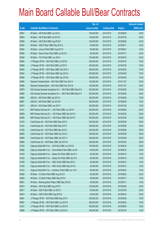|       |                                                                | No. of        |                     |               | <b>Amount raised</b> |
|-------|----------------------------------------------------------------|---------------|---------------------|---------------|----------------------|
| Code  | <b>Callable Bull/Bear Contracts</b>                            | issue (units) | <b>Listing date</b> | <b>Expiry</b> | $(HK$$ mil.)         |
| 60857 | HK Bank - HSI R Bull CBBC Jun 2015 L                           | 100,000,000   | 2014/10/15          | 2015/06/29    | 25.00                |
| 60863 | HK Bank - HSI R Bull CBBC Jul 2015 G                           | 100,000,000   | 2014/10/15          | 2015/07/30    | 25.00                |
| 60859 | HK Bank - HSI R Bull CBBC Aug 2015 E                           | 100,000,000   | 2014/10/15          | 2015/08/28    | 25.00                |
| 60834 | HK Bank - ICBC R Bear CBBC May 2015 A                          | 40,000,000    | 2014/10/15          | 2015/05/11    | 10.00                |
| 60854 | HK Bank - Lenovo R Bull CBBC Aug 2015 C                        | 60,000,000    | 2014/10/15          | 2015/08/31    | 15.00                |
| 60846 | HK Bank - Sands China R Bull CBBC Jul 2015 D                   | 80,000,000    | 2014/10/15          | 2015/07/17    | 20.00                |
| 60836 | HK Bank - TCH R Bull CBBC Jun 2015 I                           | 100,000,000   | 2014/10/15          | 2015/06/18    | 25.00                |
| 60864 | J P Morgan SP BV - HSI R Bull CBBC Jul 2015 E                  | 300,000,000   | 2014/10/15          | 2015/07/30    | 75.00                |
| 60868 | J P Morgan SP BV - HSI R Bull CBBC Jul 2015 F                  | 300,000,000   | 2014/10/15          | 2015/07/30    | 75.00                |
| 60902 | J P Morgan SP BV - HSI R Bear CBBC Feb 2015 Y                  | 300,000,000   | 2014/10/15          | 2015/02/26    | 75.00                |
| 60904 | J P Morgan SP BV - HSI R Bear CBBC Apr 2015 A                  | 300,000,000   | 2014/10/15          | 2015/04/29    | 75.00                |
| 60906 | J P Morgan SP BV - HSI R Bear CBBC Apr 2015 B                  | 300,000,000   | 2014/10/15          | 2015/04/29    | 75.00                |
| 60895 | Standard Chartered Bank - HSI R Bull CBBC Nov 2015 A           | 100,000,000   | 2014/10/15          | 2015/11/27    | 25.00                |
| 60896 | Standard Chartered Bank - HSI R Bull CBBC Nov 2015 B           | 100,000,000   | 2014/10/15          | 2015/11/27    | 25.00                |
| 60879 | SGA Societe Generale Acceptance N.V. - HSI R Bull CBBC May15 O | 200,000,000   | 2014/10/15          | 2015/05/28    | 50.00                |
| 60880 | SGA Societe Generale Acceptance N.V. - HSI R Bull CBBC May15 P | 200,000,000   | 2014/10/15          | 2015/05/28    | 50.00                |
| 60884 | UBS AG - HSI R Bull CBBC Apr 2015 S                            | 300,000,000   | 2014/10/15          | 2015/04/29    | 75.00                |
| 60881 | UBS AG - HSI R Bull CBBC Jun 2015 M                            | 300,000,000   | 2014/10/15          | 2015/06/29    | 75.00                |
| 60910 | UBS AG - HSI R Bear CBBC Jan 2015 T                            | 300,000,000   | 2014/10/15          | 2015/01/29    | 75.00                |
| 61041 | BNP Paribas Arbit Issu B.V. - HSI R Bull CBBC Jun 2015 F       | 200,000,000   | 2014/10/16          | 2015/06/29    | 50.00                |
| 60955 | BNP Paribas Arbit Issu B.V. - HSI R Bear CBBC Mar 2015 O       | 200,000,000   | 2014/10/16          | 2015/03/30    | 50.00                |
| 60956 | BNP Paribas Arbit Issu B.V. - HSI R Bear CBBC Mar 2015 P       | 200,000,000   | 2014/10/16          | 2015/03/30    | 50.00                |
| 61033 | Credit Suisse AG - HSI R Bull CBBC May 2015 X                  | 238,000,000   | 2014/10/16          | 2015/05/28    | 59.50                |
| 61034 | Credit Suisse AG - HSI R Bull CBBC May 2015 Y                  | 238,000,000   | 2014/10/16          | 2015/05/28    | 59.50                |
| 61035 | Credit Suisse AG - HSI R Bull CBBC May 2015 Z                  | 238,000,000   | 2014/10/16          | 2015/05/28    | 59.50                |
| 60963 | Credit Suisse AG - HSI R Bear CBBC Apr 2015 U                  | 238,000,000   | 2014/10/16          | 2015/04/29    | 59.50                |
| 60964 | Credit Suisse AG - HSI R Bear CBBC Apr 2015 V                  | 238,000,000   | 2014/10/16          | 2015/04/29    | 59.50                |
| 60969 | Credit Suisse AG - HSI R Bear CBBC Apr 2015 W                  | 238,000,000   | 2014/10/16          | 2015/04/29    | 59.50                |
| 61042 | Citigroup Global Mkt H Inc. - AIA R Bull CBBC Jun 2015 B       | 100,000,000   | 2014/10/16          | 2015/06/18    | 25.00                |
| 60992 | Citigroup Global Mkt H Inc. - China Mobile R Bull CBBC Jun15I  | 80,000,000    | 2014/10/16          | 2015/06/18    | 20.00                |
| 61022 | Citigroup Global Mkt H Inc. - Galaxy Ent R Bull CBBC Apr15 C   | 60,000,000    | 2014/10/16          | 2015/04/15    | 15.00                |
| 61024 | Citigroup Global Mkt H Inc. - Galaxy Ent R Bull CBBC Apr15 D   | 60,000,000    | 2014/10/16          | 2015/04/15    | 15.00                |
| 61000 | Citigroup Global Mkt H Inc. - HKEx R Bull CBBC May 2015 J      | 50,000,000    | 2014/10/16          | 2015/05/12    | 12.50                |
| 61002 | Citigroup Global Mkt H Inc. - HKEx R Bull CBBC May 2015 K      | 50,000,000    | 2014/10/16          | 2015/05/12    | 12.50                |
| 61015 | Citigroup Global Mkt H Inc. - Hutchison R Bull CBBC Jun 15 A   | 60,000,000    | 2014/10/16          | 2015/06/24    | 15.00                |
| 60936 | HK Bank - CC Bank R Bull CBBC Aug 2015 D                       | 80,000,000    | 2014/10/16          | 2015/08/24    | 20.00                |
| 60942 | HK Bank - CC Bank R Bear CBBC May 2015 A                       | 40,000,000    | 2014/10/16          | 2015/05/11    | 10.00                |
| 60951 | HK Bank - Minsheng Bank R Bear CBBC May 2015 B                 | 40,000,000    | 2014/10/16          | 2015/05/11    | 10.00                |
| 60915 | HK Bank - HSI R Bull CBBC Aug 2015 F                           | 100,000,000   | 2014/10/16          | 2015/08/28    | 25.00                |
| 60917 | HK Bank - ICBC R Bull CBBC Jul 2015 C                          | 80,000,000    | 2014/10/16          | 2015/07/20    | 20.00                |
| 60916 | HK Bank - ICBC R Bull CBBC Aug 2015 B                          | 80,000,000    | 2014/10/16          | 2015/08/10    | 20.00                |
| 60991 | J P Morgan SP BV - HSI R Bull CBBC May 2015 I                  | 300,000,000   | 2014/10/16          | 2015/05/28    | 75.00                |
| 60987 | J P Morgan SP BV - HSI R Bull CBBC Jun 2015 P                  | 300,000,000   | 2014/10/16          | 2015/06/29    | 75.00                |
| 61037 | J P Morgan SP BV - HSI R Bull CBBC Jun 2015 R                  | 300,000,000   | 2014/10/16          | 2015/06/29    | 75.00                |
| 60986 | J P Morgan SP BV - HSI R Bull CBBC Jul 2015 G                  | 300,000,000   | 2014/10/16          | 2015/07/30    | 75.00                |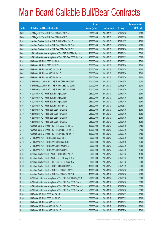|             |                                                                | No. of        |                     |               | <b>Amount raised</b> |
|-------------|----------------------------------------------------------------|---------------|---------------------|---------------|----------------------|
| <b>Code</b> | <b>Callable Bull/Bear Contracts</b>                            | issue (units) | <b>Listing date</b> | <b>Expiry</b> | (HK\$ mil.)          |
| 60952       | J P Morgan SP BV - HSI R Bear CBBC Feb 2015 A                  | 300,000,000   | 2014/10/16          | 2015/02/26    | 75.00                |
| 60954       | J P Morgan SP BV - HSI R Bear CBBC Mar 2015 I                  | 300,000,000   | 2014/10/16          | 2015/03/30    | 75.00                |
| 61039       | Standard Chartered Bank - HSI R Bull CBBC Nov 2015 C           | 100,000,000   | 2014/10/16          | 2015/11/27    | 25.00                |
| 60959       | Standard Chartered Bank - HSI R Bear CBBC Feb 2015 S           | 100,000,000   | 2014/10/16          | 2015/02/26    | 25.00                |
| 60962       | Standard Chartered Bank - HSI R Bear CBBC Feb 2015 T           | 100,000,000   | 2014/10/16          | 2015/02/26    | 25.00                |
| 60981       | SGA Societe Generale Acceptance N.V. - HSI R Bull CBBC Apr15 H | 200,000,000   | 2014/10/16          | 2015/04/29    | 50.00                |
| 60982       | SGA Societe Generale Acceptance N.V. - HSI R Bear CBBC Jan15 V | 200,000,000   | 2014/10/16          | 2015/01/29    | 50.00                |
| 61031       | UBS AG - HSI R Bull CBBC Jun 2015 N                            | 300,000,000   | 2014/10/16          | 2015/06/29    | 75.00                |
| 61032       | UBS AG - HSI R Bull CBBC Jul 2015 I                            | 300,000,000   | 2014/10/16          | 2015/07/30    | 75.00                |
| 60970       | UBS AG - HSI R Bear CBBC Jan 2015 S                            | 300,000,000   | 2014/10/16          | 2015/01/29    | 75.00                |
| 60971       | UBS AG - HSI R Bear CBBC Feb 2015 C                            | 300,000,000   | 2014/10/16          | 2015/02/26    | 75.00                |
| 60976       | UBS AG - HSI R Bear CBBC Mar 2015 N                            | 350,000,000   | 2014/10/16          | 2015/03/30    | 87.50                |
| 61175       | BNP Paribas Arbit Issu B.V. - HSI R Bull CBBC Jun 2015 D       | 200,000,000   | 2014/10/17          | 2015/06/29    | 50.00                |
| 61178       | BNP Paribas Arbit Issu B.V. - HSI R Bear CBBC Mar 2015 Q       | 200,000,000   | 2014/10/17          | 2015/03/30    | 50.00                |
| 61212       | BNP Paribas Arbit Issu B.V. - HSI R Bear CBBC Mar 2015 R       | 200,000,000   | 2014/10/17          | 2015/03/30    | 50.00                |
| 61104       | Credit Suisse AG - HSI R Bull CBBC Apr 2015 G                  | 238,000,000   | 2014/10/17          | 2015/04/29    | 59.50                |
| 61110       | Credit Suisse AG - HSI R Bull CBBC Apr 2015 L                  | 238,000,000   | 2014/10/17          | 2015/04/29    | 59.50                |
| 61129       | Credit Suisse AG - HSI R Bull CBBC Apr 2015 M                  | 238,000,000   | 2014/10/17          | 2015/04/29    | 59.50                |
| 61094       | Credit Suisse AG - HSI R Bull CBBC May 2015 C                  | 238,000,000   | 2014/10/17          | 2015/05/28    | 59.50                |
| 61189       | Credit Suisse AG - HSI R Bear CBBC Apr 2015 E                  | 238,000,000   | 2014/10/17          | 2015/04/29    | 59.50                |
| 61130       | Credit Suisse AG - HSI R Bear CBBC Apr 2015 X                  | 238,000,000   | 2014/10/17          | 2015/04/29    | 59.50                |
| 61144       | Credit Suisse AG - HSI R Bear CBBC Apr 2015 Y                  | 238,000,000   | 2014/10/17          | 2015/04/29    | 59.50                |
| 61161       | Credit Suisse AG - HSI R Bear CBBC Apr 2015 Z                  | 238,000,000   | 2014/10/17          | 2015/04/29    | 59.50                |
| 61174       | Goldman Sachs SP (Asia) - HSI R Bull CBBC Jan 2015 L           | 150,000,000   | 2014/10/17          | 2015/01/29    | 37.80                |
| 61173       | Goldman Sachs SP (Asia) - HSI R Bear CBBC Feb 2015 C           | 150,000,000   | 2014/10/17          | 2015/02/26    | 37.95                |
| 61167       | Goldman Sachs SP (Asia) - HSI R Bear CBBC Mar 2015 A           | 150,000,000   | 2014/10/17          | 2015/03/30    | 37.80                |
| 61052       | J P Morgan SP BV - HSI R Bull CBBC Jul 2015 H                  | 300,000,000   | 2014/10/17          | 2015/07/30    | 75.00                |
| 61119       | J P Morgan SP BV - HSI R Bear CBBC Jan 2015 N                  | 300,000,000   | 2014/10/17          | 2015/01/29    | 75.00                |
| 61127       | J P Morgan SP BV - HSI R Bear CBBC Feb 2015 X                  | 300,000,000   | 2014/10/17          | 2015/02/26    | 75.00                |
| 61203       | J P Morgan SP BV - HSI R Bear CBBC Mar 2015 J                  | 300,000,000   | 2014/10/17          | 2015/03/30    | 75.00                |
| 61064       | Standard Chartered Bank - AIA R Bull CBBC May 2015 A           | 50,000,000    | 2014/10/17          | 2015/05/05    | 12.50                |
| 61055       | Standard Chartered Bank - AIA R Bear CBBC May 2015 A           | 50,000,000    | 2014/10/17          | 2015/05/05    | 12.50                |
| 61180       | Standard Chartered Bank - HKEx R Bull CBBC Aug 2015 A          | 80,000,000    | 2014/10/17          | 2015/08/18    | 28.00                |
| 61053       | Standard Chartered Bank - HSI R Bull CBBC Oct 2015 J           | 100,000,000   | 2014/10/17          | 2015/10/29    | 25.00                |
| 61181       | Standard Chartered Bank - HSI R Bear CBBC Feb 2015 F           | 100,000,000   | 2014/10/17          | 2015/02/26    | 25.00                |
| 61182       | Standard Chartered Bank - HSI R Bear CBBC Feb 2015 H           | 100,000,000   | 2014/10/17          | 2015/02/26    | 25.00                |
| 61111       | SGA Societe Generale Acceptance N.V. - HSI R Bull CBBC May15 Q | 200,000,000   | 2014/10/17          | 2015/05/28    | 50.00                |
| 61113       | SGA Societe Generale Acceptance N.V. - HSI R Bear CBBC Feb15 U | 200,000,000   | 2014/10/17          | 2015/02/26    | 50.00                |
| 61116       | SGA Societe Generale Acceptance N.V. - HSI R Bear CBBC Feb15 V | 200,000,000   | 2014/10/17          | 2015/02/26    | 50.00                |
| 61118       | SGA Societe Generale Acceptance N.V. - HSI R Bear CBBC Feb15 W | 200,000,000   | 2014/10/17          | 2015/02/26    | 50.00                |
| 61043       | UBS AG - HSI R Bull CBBC Apr 2015 T                            | 300,000,000   | 2014/10/17          | 2015/04/29    | 75.00                |
| 61050       | UBS AG - HSI R Bull CBBC Jun 2015 O                            | 300,000,000   | 2014/10/17          | 2015/06/29    | 75.00                |
| 61202       | UBS AG - HSI R Bear CBBC Jan 2015 U                            | 300,000,000   | 2014/10/17          | 2015/01/29    | 75.00                |
| 61193       | UBS AG - HSI R Bear CBBC Feb 2015 E                            | 300,000,000   | 2014/10/17          | 2015/02/26    | 75.00                |
| 61201       | UBS AG - HSI R Bear CBBC Feb 2015 Q                            | 300,000,000   | 2014/10/17          | 2015/02/26    | 75.00                |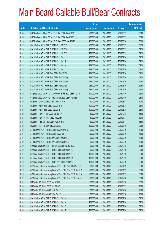|       |                                                                | No. of        |                     |               | <b>Amount raised</b> |
|-------|----------------------------------------------------------------|---------------|---------------------|---------------|----------------------|
| Code  | <b>Callable Bull/Bear Contracts</b>                            | issue (units) | <b>Listing date</b> | <b>Expiry</b> | (HK\$ mil.)          |
| 61246 | BNP Paribas Arbit Issu B.V. - HSI R Bull CBBC Jun 2015 S       | 200,000,000   | 2014/10/20          | 2015/06/29    | 50.00                |
| 61248 | BNP Paribas Arbit Issu B.V. - HSI R Bull CBBC Jun 2015 Y       | 200,000,000   | 2014/10/20          | 2015/06/29    | 50.00                |
| 61290 | BNP Paribas Arbit Issu B.V. - HSI R Bear CBBC Mar 2015 S       | 200,000,000   | 2014/10/20          | 2015/03/30    | 50.00                |
| 61262 | Credit Suisse AG - HSI R Bull CBBC Jun 2015 V                  | 238,000,000   | 2014/10/20          | 2015/06/29    | 59.50                |
| 61264 | Credit Suisse AG - HSI R Bull CBBC Jun 2015 W                  | 238,000,000   | 2014/10/20          | 2015/06/29    | 59.50                |
| 61312 | Credit Suisse AG - HSI R Bull CBBC Jun 2015 Y                  | 238,000,000   | 2014/10/20          | 2015/06/29    | 59.50                |
| 61270 | Credit Suisse AG - HSI R Bull CBBC Jul 2015 I                  | 238,000,000   | 2014/10/20          | 2015/07/30    | 59.50                |
| 61272 | Credit Suisse AG - HSI R Bull CBBC Jul 2015 J                  | 238,000,000   | 2014/10/20          | 2015/07/30    | 59.50                |
| 61274 | Credit Suisse AG - HSI R Bull CBBC Jul 2015 K                  | 238,000,000   | 2014/10/20          | 2015/07/30    | 59.50                |
| 61275 | Credit Suisse AG - HSI R Bull CBBC Jul 2015 L                  | 238,000,000   | 2014/10/20          | 2015/07/30    | 59.50                |
| 61295 | Credit Suisse AG - HSI R Bear CBBC Feb 2015 P                  | 238,000,000   | 2014/10/20          | 2015/02/26    | 59.50                |
| 61304 | Credit Suisse AG - HSI R Bear CBBC Feb 2015 Q                  | 238,000,000   | 2014/10/20          | 2015/02/26    | 59.50                |
| 61299 | Credit Suisse AG - HSI R Bear CBBC Mar 2015 O                  | 238,000,000   | 2014/10/20          | 2015/03/30    | 59.50                |
| 61306 | Credit Suisse AG - HSI R Bear CBBC Mar 2015 P                  | 238,000,000   | 2014/10/20          | 2015/03/30    | 59.50                |
| 61311 | Credit Suisse AG - HSI R Bear CBBC Mar 2015 Q                  | 238,000,000   | 2014/10/20          | 2015/03/30    | 59.50                |
| 61266 | Citigroup Global Mkt H Inc. - CSOP A50 ETF R Bear CBBC Apr15E  | 100,000,000   | 2014/10/20          | 2015/04/20    | 25.00                |
| 61268 | Citigroup Global Mkt H Inc. - A50 China R Bear CBBC Apr 15 E   | 100,000,000   | 2014/10/20          | 2015/04/20    | 25.00                |
| 61216 | HK Bank - CNOOC R Bear CBBC Aug 2015 A                         | 40,000,000    | 2014/10/20          | 2015/08/03    | 10.00                |
| 61213 | HK Bank - HSI R Bear CBBC May 2015 R                           | 100,000,000   | 2014/10/20          | 2015/05/28    | 25.00                |
| 61215 | HK Bank - HSI R Bear CBBC May 2015 S                           | 100,000,000   | 2014/10/20          | 2015/05/28    | 25.00                |
| 61229 | HK Bank - PetCh R Bull CBBC Oct 2015 A                         | 60,000,000    | 2014/10/20          | 2015/10/28    | 15.00                |
| 61228 | HK Bank - PetCh R Bear CBBC Jul 2015 C                         | 40,000,000    | 2014/10/20          | 2015/07/31    | 10.00                |
| 61221 | HK Bank - Ping An R Bull CBBC Aug 2015 A                       | 60,000,000    | 2014/10/20          | 2015/08/17    | 15.00                |
| 61222 | HK Bank - TCH R Bear CBBC Jul 2015 J                           | 100,000,000   | 2014/10/20          | 2015/07/16    | 25.00                |
| 61232 | J P Morgan SP BV - HSI R Bull CBBC Jun 2015 S                  | 300,000,000   | 2014/10/20          | 2015/06/29    | 75.00                |
| 61234 | J P Morgan SP BV - HSI R Bull CBBC Jul 2015 I                  | 300,000,000   | 2014/10/20          | 2015/07/30    | 75.00                |
| 61281 | J P Morgan SP BV - HSI R Bear CBBC Feb 2015 Z                  | 300,000,000   | 2014/10/20          | 2015/02/26    | 75.00                |
| 61316 | JP Morgan SP BV - HSIR Bear CBBC Mar 2015 K                    | 300,000,000   | 2014/10/20          | 2015/03/30    | 75.00                |
| 61288 | Standard Chartered Bank - HSBC R Bull CBBC Oct 2015 A          | 50,000,000    | 2014/10/20          | 2015/10/22    | 12.50                |
| 61240 | Standard Chartered Bank - HSI R Bull CBBC Oct 2015 K           | 200,000,000   | 2014/10/20          | 2015/10/29    | 50.00                |
| 61241 | Standard Chartered Bank - HSI R Bull CBBC Oct 2015 L           | 100,000,000   | 2014/10/20          | 2015/10/29    | 25.00                |
| 61245 | Standard Chartered Bank - HSI R Bull CBBC Oct 2015 M           | 100,000,000   | 2014/10/20          | 2015/10/29    | 25.00                |
| 61285 | Standard Chartered Bank - HSI R Bear CBBC Feb 2015 J           | 100,000,000   | 2014/10/20          | 2015/02/26    | 25.00                |
| 61254 | SGA Societe Generale Acceptance N.V. - HSI R Bull CBBC Apr15 N | 200,000,000   | 2014/10/20          | 2015/04/29    | 50.00                |
| 61259 | SGA Societe Generale Acceptance N.V. - HSI R Bear CBBC Jan15 W | 200,000,000   | 2014/10/20          | 2015/01/29    | 50.00                |
| 61260 | SGA Societe Generale Acceptance N.V. - HSI R Bear CBBC Jan15 X | 200,000,000   | 2014/10/20          | 2015/01/29    | 50.00                |
| 61279 | SGA Societe Generale Acceptance N.V. - HSI R Bear CBBC Feb15 X | 200,000,000   | 2014/10/20          | 2015/02/26    | 50.00                |
| 61315 | UBS AG - HSI R Bull CBBC Mar 2015 P                            | 350,000,000   | 2014/10/20          | 2015/03/30    | 87.50                |
| 61236 | UBS AG - HSI R Bull CBBC Jun 2015 P                            | 300,000,000   | 2014/10/20          | 2015/06/29    | 75.00                |
| 61310 | UBS AG - HSI R Bear CBBC Feb 2015 R                            | 300,000,000   | 2014/10/20          | 2015/02/26    | 75.00                |
| 61307 | UBS AG - HSI R Bear CBBC Mar 2015 O                            | 300,000,000   | 2014/10/20          | 2015/03/30    | 75.00                |
| 61352 | Credit Suisse AG - HSI R Bull CBBC Jul 2015 M                  | 238,000,000   | 2014/10/21          | 2015/07/30    | 59.50                |
| 61353 | Credit Suisse AG - HSI R Bull CBBC Jul 2015 N                  | 238,000,000   | 2014/10/21          | 2015/07/30    | 59.50                |
| 61357 | Credit Suisse AG - HSI R Bull CBBC Jul 2015 O                  | 238,000,000   | 2014/10/21          | 2015/07/30    | 59.50                |
| 61358 | Credit Suisse AG - HSI R Bull CBBC Jul 2015 P                  | 238,000,000   | 2014/10/21          | 2015/07/30    | 59.50                |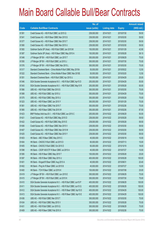|       |                                                                | No. of        |                     |               | <b>Amount raised</b> |
|-------|----------------------------------------------------------------|---------------|---------------------|---------------|----------------------|
| Code  | <b>Callable Bull/Bear Contracts</b>                            | issue (units) | <b>Listing date</b> | <b>Expiry</b> | $(HK$$ mil.)         |
| 61381 | Credit Suisse AG - HSI R Bull CBBC Jul 2015 Q                  | 238,000,000   | 2014/10/21          | 2015/07/30    | 59.50                |
| 61341 | Credit Suisse AG - HSI R Bear CBBC Mar 2015 S                  | 238,000,000   | 2014/10/21          | 2015/03/30    | 59.50                |
| 61377 | Credit Suisse AG - HSI R Bear CBBC Mar 2015 T                  | 238,000,000   | 2014/10/21          | 2015/03/30    | 59.50                |
| 61380 | Credit Suisse AG - HSI R Bear CBBC Mar 2015 U                  | 238,000,000   | 2014/10/21          | 2015/03/30    | 59.50                |
| 61383 | Goldman Sachs SP (Asia) - HSI R Bull CBBC Jan 2015 M           | 150,000,000   | 2014/10/21          | 2015/01/29    | 42.90                |
| 61387 | Goldman Sachs SP (Asia) - HSI R Bear CBBC May 2015 A           | 150,000,000   | 2014/10/21          | 2015/05/28    | 38.10                |
| 61348 | J P Morgan SP BV - HSI R Bull CBBC Jun 2015 T                  | 300,000,000   | 2014/10/21          | 2015/06/29    | 75.00                |
| 61350 | J P Morgan SP BV - HSI R Bull CBBC Jul 2015 J                  | 300,000,000   | 2014/10/21          | 2015/07/30    | 75.00                |
| 61376 | J P Morgan SP BV - HSI R Bear CBBC Mar 2015 L                  | 300,000,000   | 2014/10/21          | 2015/03/30    | 75.00                |
| 61317 | Standard Chartered Bank - China Mobile R Bull CBBC May 2015A   | 50,000,000    | 2014/10/21          | 2015/05/22    | 12.50                |
| 61322 | Standard Chartered Bank - China Mobile R Bear CBBC Mar 2015E   | 50,000,000    | 2014/10/21          | 2015/03/20    | 12.50                |
| 61351 | Standard Chartered Bank - HSI R Bull CBBC Apr 2015 U           | 100,000,000   | 2014/10/21          | 2015/04/29    | 25.00                |
| 61346 | SGA Societe Generale Acceptance N.V. - HSI R Bull CBBC Apr15 D | 200,000,000   | 2014/10/21          | 2015/04/29    | 50.00                |
| 61343 | SGA Societe Generale Acceptance N.V. - HSI R Bull CBBC May15 R | 200,000,000   | 2014/10/21          | 2015/05/28    | 50.00                |
| 61366 | UBS AG - HSI R Bull CBBC Mar 2015 S                            | 300,000,000   | 2014/10/21          | 2015/03/30    | 75.00                |
| 61368 | UBS AG - HSI R Bull CBBC Apr 2015 U                            | 300,000,000   | 2014/10/21          | 2015/04/29    | 75.00                |
| 61375 | UBS AG - HSI R Bull CBBC May 2015 U                            | 300,000,000   | 2014/10/21          | 2015/05/28    | 75.00                |
| 61323 | UBS AG - HSI R Bear CBBC Jan 2015 Y                            | 300,000,000   | 2014/10/21          | 2015/01/29    | 75.00                |
| 61361 | UBS AG - HSI R Bear CBBC Feb 2015 T                            | 300,000,000   | 2014/10/21          | 2015/02/26    | 75.00                |
| 61365 | UBS AG - HSI R Bear CBBC Feb 2015 W                            | 350,000,000   | 2014/10/21          | 2015/02/26    | 87.50                |
| 61423 | BNP Paribas Arbit Issu B.V. - HSI R Bull CBBC Jun 2015 C       | 200,000,000   | 2014/10/22          | 2015/06/29    | 50.00                |
| 61421 | Credit Suisse AG - HSI R Bull CBBC May 2015 D                  | 238,000,000   | 2014/10/22          | 2015/05/28    | 59.50                |
| 61422 | Credit Suisse AG - HSI R Bull CBBC May 2015 E                  | 238,000,000   | 2014/10/22          | 2015/05/28    | 59.50                |
| 61406 | Credit Suisse AG - HSI R Bear CBBC Mar 2015 V                  | 238,000,000   | 2014/10/22          | 2015/03/30    | 59.50                |
| 61407 | Credit Suisse AG - HSI R Bear CBBC Mar 2015 W                  | 238,000,000   | 2014/10/22          | 2015/03/30    | 59.50                |
| 61425 | Credit Suisse AG - HSI R Bear CBBC Mar 2015 Y                  | 238,000,000   | 2014/10/22          | 2015/03/30    | 59.50                |
| 61403 | HK Bank - ABC R Bear CBBC May 2015 C                           | 40,000,000    | 2014/10/22          | 2015/05/18    | 10.00                |
| 61404 | HK Bank - CNOOC R Bull CBBC Jul 2015 D                         | 60,000,000    | 2014/10/22          | 2015/07/13    | 15.00                |
| 61405 | HK Bank - CNOOC R Bull CBBC Oct 2015 D                         | 60,000,000    | 2014/10/22          | 2015/10/19    | 18.00                |
| 61398 | HK Bank - CSOP A50 ETF R Bear CBBC Jul 2015 A                  | 40,000,000    | 2014/10/22          | 2015/07/27    | 10.00                |
| 61395 | HK Bank - HSI R Bear CBBC May 2015 T                           | 100,000,000   | 2014/10/22          | 2015/05/28    | 25.00                |
| 61397 | HK Bank - HSI R Bear CBBC May 2015 U                           | 400,000,000   | 2014/10/22          | 2015/05/28    | 100.00               |
| 61401 | HK Bank - Kingsoft R Bear CBBC Aug 2015 A                      | 40,000,000    | 2014/10/22          | 2015/08/31    | 20.40                |
| 61402 | HK Bank - Ping An R Bear CBBC Jul 2015 B                       | 40,000,000    | 2014/10/22          | 2015/07/27    | 10.00                |
| 61400 | HK Bank - TCH R Bear CBBC Jul 2015 K                           | 100,000,000   | 2014/10/22          | 2015/07/08    | 25.00                |
| 61419 | J P Morgan SP BV - HSI R Bull CBBC Jun 2015 E                  | 300,000,000   | 2014/10/22          | 2015/06/29    | 75.00                |
| 61415 | J P Morgan SP BV - HSI R Bull CBBC Jul 2015 K                  | 300,000,000   | 2014/10/22          | 2015/07/30    | 75.00                |
| 61410 | SGA Societe Generale Acceptance N.V. - HSI R Bull CBBC Jun15 P | 400,000,000   | 2014/10/22          | 2015/06/29    | 100.00               |
| 61411 | SGA Societe Generale Acceptance N.V. - HSI R Bull CBBC Jun15 Q | 400,000,000   | 2014/10/22          | 2015/06/29    | 100.00               |
| 61412 | SGA Societe Generale Acceptance N.V. - HSI R Bear CBBC Apr15 D | 400,000,000   | 2014/10/22          | 2015/04/29    | 100.00               |
| 61413 | SGA Societe Generale Acceptance N.V. - HSI R Bear CBBC Apr15 E | 400,000,000   | 2014/10/22          | 2015/04/29    | 100.00               |
| 61436 | UBS AG - HSI R Bull CBBC Mar 2015 T                            | 300,000,000   | 2014/10/22          | 2015/03/30    | 75.00                |
| 61434 | UBS AG - HSI R Bull CBBC May 2015 V                            | 300,000,000   | 2014/10/22          | 2015/05/28    | 75.00                |
| 61431 | UBS AG - HSI R Bull CBBC Jun 2015 Q                            | 300,000,000   | 2014/10/22          | 2015/06/29    | 75.00                |
| 61409 | UBS AG - HSI R Bear CBBC Feb 2015 X                            | 300,000,000   | 2014/10/22          | 2015/02/26    | 75.00                |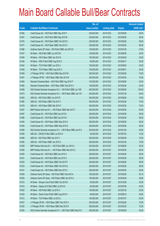|       |                                                                | No. of        |                     |               | <b>Amount raised</b> |
|-------|----------------------------------------------------------------|---------------|---------------------|---------------|----------------------|
| Code  | <b>Callable Bull/Bear Contracts</b>                            | issue (units) | <b>Listing date</b> | <b>Expiry</b> | $(HK$$ mil.)         |
| 61466 | Credit Suisse AG - HSI R Bull CBBC May 2015 F                  | 238,000,000   | 2014/10/23          | 2015/05/28    | 59.50                |
| 61467 | Credit Suisse AG - HSI R Bull CBBC May 2015 M                  | 238,000,000   | 2014/10/23          | 2015/05/28    | 59.50                |
| 61476 | Credit Suisse AG - HSI R Bear CBBC Feb 2015 D                  | 238,000,000   | 2014/10/23          | 2015/02/26    | 59.50                |
| 61477 | Credit Suisse AG - HSI R Bear CBBC Feb 2015 V                  | 238,000,000   | 2014/10/23          | 2015/02/26    | 59.50                |
| 61486 | Goldman Sachs SP (Asia) - HSI R Bull CBBC Jan 2015 N           | 150,000,000   | 2014/10/23          | 2015/01/29    | 37.80                |
| 61437 | HK Bank - HSI R Bull CBBC Jun 2015 M                           | 100,000,000   | 2014/10/23          | 2015/06/29    | 25.00                |
| 61458 | HK Bank - HSI R Bear CBBC Apr 2015 S                           | 100,000,000   | 2014/10/23          | 2015/04/29    | 25.00                |
| 61438 | HK Bank - ICBC R Bull CBBC Aug 2015 C                          | 80,000,000    | 2014/10/23          | 2015/08/17    | 20.00                |
| 61442 | HK Bank - TCH R Bull CBBC Jun 2015 J                           | 100,000,000   | 2014/10/23          | 2015/06/29    | 25.00                |
| 61448 | HK Bank - TCH R Bear CBBC Aug 2015 A                           | 100,000,000   | 2014/10/23          | 2015/08/31    | 25.00                |
| 61459 | J P Morgan SP BV - HSI R Bull CBBC May 2015 M                  | 300,000,000   | 2014/10/23          | 2015/05/28    | 75.00                |
| 61481 | J P Morgan SP BV - HSI R Bear CBBC Mar 2015 M                  | 300,000,000   | 2014/10/23          | 2015/03/30    | 75.00                |
| 61483 | Standard Chartered Bank - HSI R Bull CBBC Aug 2015 P           | 100,000,000   | 2014/10/23          | 2015/08/28    | 25.00                |
| 61485 | Standard Chartered Bank - HSI R Bear CBBC Feb 2015 C           | 100,000,000   | 2014/10/23          | 2015/02/26    | 25.00                |
| 61468 | SGA Societe Generale Acceptance N.V. - HSI R Bull CBBC Jun 15R | 400,000,000   | 2014/10/23          | 2015/06/29    | 100.00               |
| 61472 | SGA Societe Generale Acceptance N.V. - HSI R Bear CBBC Jan 15Y | 200,000,000   | 2014/10/23          | 2015/01/29    | 50.00                |
| 61463 | UBS AG - HSI R Bull CBBC Jun 2015 R                            | 300,000,000   | 2014/10/23          | 2015/06/29    | 75.00                |
| 61480 | UBS AG - HSI R Bear CBBC Feb 2015 Y                            | 300,000,000   | 2014/10/23          | 2015/02/26    | 75.00                |
| 61478 | UBS AG - HSI R Bear CBBC Mar 2015 P                            | 300,000,000   | 2014/10/23          | 2015/03/30    | 75.00                |
| 61487 | BNP Paribas Arbit Issu B.V. - HSI R Bear CBBC Mar 2015 T       | 200,000,000   | 2014/10/24          | 2015/03/30    | 50.00                |
| 61497 | Credit Suisse AG - HSI R Bull CBBC Apr 2015 K                  | 238,000,000   | 2014/10/24          | 2015/04/29    | 59.50                |
| 61496 | Credit Suisse AG - HSI R Bull CBBC Apr 2015 N                  | 238,000,000   | 2014/10/24          | 2015/04/29    | 59.50                |
| 61494 | Credit Suisse AG - HSI R Bear CBBC May 2015 C                  | 238,000,000   | 2014/10/24          | 2015/05/28    | 59.50                |
| 61495 | Credit Suisse AG - HSI R Bear CBBC May 2015 D                  | 238,000,000   | 2014/10/24          | 2015/05/28    | 59.50                |
| 61489 | SGA Societe Generale Acceptance N.V. - HSI R Bear CBBC Jan15 Z | 200,000,000   | 2014/10/24          | 2015/01/29    | 50.00                |
| 61500 | UBS AG - CNOOC R Bull CBBC Jul 2015 A                          | 50,000,000    | 2014/10/24          | 2015/07/20    | 12.50                |
| 61498 | UBS AG - HSI R Bull CBBC Apr 2015 V                            | 300,000,000   | 2014/10/24          | 2015/04/29    | 75.00                |
| 61490 | UBS AG - HSI R Bear CBBC Jan 2015 U                            | 300,000,000   | 2014/10/24          | 2015/01/29    | 75.00                |
| 61539 | BNP Paribas Arbit Issu B.V. - HSI R Bull CBBC Jun 2015 A       | 200,000,000   | 2014/10/27          | 2015/06/29    | 50.00                |
| 61526 | BNP Paribas Arbit Issu B.V. - HSI R Bear CBBC Mar 2015 U       | 200,000,000   | 2014/10/27          | 2015/03/30    | 50.00                |
| 61540 | Credit Suisse AG - HSI R Bull CBBC Apr 2015 H                  | 238,000,000   | 2014/10/27          | 2015/04/29    | 59.50                |
| 61541 | Credit Suisse AG - HSI R Bull CBBC Apr 2015 O                  | 238,000,000   | 2014/10/27          | 2015/04/29    | 59.50                |
| 61532 | Credit Suisse AG - HSI R Bear CBBC Feb 2015 P                  | 238,000,000   | 2014/10/27          | 2015/02/26    | 59.50                |
| 61533 | Credit Suisse AG - HSI R Bear CBBC Feb 2015 Q                  | 238,000,000   | 2014/10/27          | 2015/02/26    | 59.50                |
| 61531 | Credit Suisse AG - HSI R Bear CBBC Mar 2015 Z                  | 238,000,000   | 2014/10/27          | 2015/03/30    | 59.50                |
| 61549 | Goldman Sachs SP (Asia) - HSI R Bull CBBC Feb 2015 A           | 150,000,000   | 2014/10/27          | 2015/02/26    | 42.15                |
| 61550 | Goldman Sachs SP (Asia) - HSI R Bear CBBC Apr 2015 A           | 150,000,000   | 2014/10/27          | 2015/04/29    | 38.85                |
| 61515 | HK Bank - Sinopec Corp R Bull CBBC Oct 2015 B                  | 80,000,000    | 2014/10/27          | 2015/10/26    | 20.00                |
| 61519 | HK Bank - Galaxy Ent R Bull CBBC Jul 2015 E                    | 80,000,000    | 2014/10/27          | 2015/07/06    | 20.00                |
| 61502 | HK Bank - HSI R Bull CBBC Jul 2015 H                           | 100,000,000   | 2014/10/27          | 2015/07/30    | 25.00                |
| 61525 | HK Bank - Sands China R Bull CBBC Aug 2015 A                   | 80,000,000    | 2014/10/27          | 2015/08/10    | 20.00                |
| 61512 | HK Bank - TCH R Bear CBBC Jul 2015 L                           | 100,000,000   | 2014/10/27          | 2015/07/27    | 25.00                |
| 61547 | J P Morgan SP BV - HSI R Bear CBBC Feb 2015 X                  | 300,000,000   | 2014/10/27          | 2015/02/26    | 75.00                |
| 61535 | J P Morgan SP BV - HSI R Bear CBBC Mar 2015 N                  | 300,000,000   | 2014/10/27          | 2015/03/30    | 75.00                |
| 61536 | SGA Societe Generale Acceptance N.V. - HSI R Bull CBBC May15 S | 200,000,000   | 2014/10/27          | 2015/05/28    | 50.00                |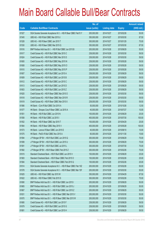|       |                                                                | No. of        |                     |               | <b>Amount raised</b> |
|-------|----------------------------------------------------------------|---------------|---------------------|---------------|----------------------|
| Code  | <b>Callable Bull/Bear Contracts</b>                            | issue (units) | <b>Listing date</b> | <b>Expiry</b> | $(HK$$ mil.)         |
| 61527 | SGA Societe Generale Acceptance N.V. - HSI R Bear CBBC Feb15 Y | 200,000,000   | 2014/10/27          | 2015/02/26    | 50.00                |
| 61545 | UBS AG - HSI R Bull CBBC Mar 2015 U                            | 350,000,000   | 2014/10/27          | 2015/03/30    | 87.50                |
| 61528 | UBS AG - HSI R Bear CBBC Jan 2015 T                            | 300,000,000   | 2014/10/27          | 2015/01/29    | 75.00                |
| 61530 | UBS AG - HSI R Bear CBBC Mar 2015 Q                            | 350,000,000   | 2014/10/27          | 2015/03/30    | 87.50                |
| 61616 | BNP Paribas Arbit Issu B.V. - HSI R Bull CBBC Jun 2015 B       | 200,000,000   | 2014/10/28          | 2015/06/29    | 50.00                |
| 61617 | Credit Suisse AG - HSI R Bull CBBC Mar 2015 C                  | 238,000,000   | 2014/10/28          | 2015/03/30    | 59.50                |
| 61624 | Credit Suisse AG - HSI R Bull CBBC Mar 2015 D                  | 238,000,000   | 2014/10/28          | 2015/03/30    | 59.50                |
| 61600 | Credit Suisse AG - HSI R Bull CBBC May 2015 N                  | 238,000,000   | 2014/10/28          | 2015/05/28    | 59.50                |
| 61608 | Credit Suisse AG - HSI R Bull CBBC May 2015 O                  | 238,000,000   | 2014/10/28          | 2015/05/28    | 59.50                |
| 61610 | Credit Suisse AG - HSI R Bull CBBC May 2015 P                  | 238,000,000   | 2014/10/28          | 2015/05/28    | 59.50                |
| 61607 | Credit Suisse AG - HSI R Bull CBBC Jun 2015 A                  | 238,000,000   | 2014/10/28          | 2015/06/29    | 59.50                |
| 61609 | Credit Suisse AG - HSI R Bull CBBC Jun 2015 B                  | 238,000,000   | 2014/10/28          | 2015/06/29    | 59.50                |
| 61612 | Credit Suisse AG - HSI R Bull CBBC Jun 2015 C                  | 238,000,000   | 2014/10/28          | 2015/06/29    | 59.50                |
| 61613 | Credit Suisse AG - HSI R Bull CBBC Jun 2015 D                  | 238,000,000   | 2014/10/28          | 2015/06/29    | 59.50                |
| 61603 | Credit Suisse AG - HSI R Bull CBBC Jun 2015 Z                  | 238,000,000   | 2014/10/28          | 2015/06/29    | 59.50                |
| 61620 | Credit Suisse AG - HSI R Bear CBBC Mar 2015 O                  | 238,000,000   | 2014/10/28          | 2015/03/30    | 59.50                |
| 61618 | Credit Suisse AG - HSI R Bear CBBC Mar 2015 R                  | 238,000,000   | 2014/10/28          | 2015/03/30    | 59.50                |
| 61619 | Credit Suisse AG - HSI R Bear CBBC Mar 2015 X                  | 238,000,000   | 2014/10/28          | 2015/03/30    | 59.50                |
| 61566 | HK Bank - CUni R Bull CBBC Oct 2015 A                          | 50,000,000    | 2014/10/28          | 2015/10/26    | 12.50                |
| 61577 | HK Bank - Sinopec Corp R Bear CBBC Jul 2015 A                  | 40,000,000    | 2014/10/28          | 2015/07/27    | 10.00                |
| 61551 | HK Bank - HSI R Bull CBBC Jun 2015 N                           | 100,000,000   | 2014/10/28          | 2015/06/29    | 25.00                |
| 61558 | HK Bank - HSI R Bull CBBC Jul 2015 I                           | 400,000,000   | 2014/10/28          | 2015/07/30    | 100.00               |
| 61552 | HK Bank - HSI R Bear CBBC Apr 2015 T                           | 100,000,000   | 2014/10/28          | 2015/04/29    | 25.00                |
| 61564 | HK Bank - HSI R Bear CBBC May 2015 V                           | 400,000,000   | 2014/10/28          | 2015/05/28    | 100.00               |
| 61573 | HK Bank - Lenovo R Bear CBBC Jun 2015 E                        | 40,000,000    | 2014/10/28          | 2015/06/10    | 10.00                |
| 61575 | HK Bank - PetCh R Bull CBBC Nov 2015 A                         | 60,000,000    | 2014/10/28          | 2015/11/30    | 15.60                |
| 61594 | J P Morgan SP BV - HSI R Bull CBBC Jun 2015 Q                  | 300,000,000   | 2014/10/28          | 2015/06/29    | 75.00                |
| 61599 | J P Morgan SP BV - HSI R Bull CBBC Jun 2015 U                  | 300,000,000   | 2014/10/28          | 2015/06/29    | 75.00                |
| 61591 | J P Morgan SP BV - HSI R Bull CBBC Jul 2015 L                  | 300,000,000   | 2014/10/28          | 2015/07/30    | 75.00                |
| 61582 | JP Morgan SP BV - HSI R Bear CBBC Feb 2015 Z                   | 300,000,000   | 2014/10/28          | 2015/02/26    | 75.00                |
| 61615 | Standard Chartered Bank - HSI R Bull CBBC Jun 2015 V           | 100,000,000   | 2014/10/28          | 2015/06/29    | 25.00                |
| 61583 | Standard Chartered Bank - HSI R Bear CBBC Feb 2015 O           | 100,000,000   | 2014/10/28          | 2015/02/26    | 25.00                |
| 61584 | Standard Chartered Bank - HSI R Bear CBBC Feb 2015 Q           | 100,000,000   | 2014/10/28          | 2015/02/26    | 25.00                |
| 61614 | SGA Societe Generale Acceptance N.V. - HSI R Bear CBBC Feb 15Z | 200,000,000   | 2014/10/28          | 2015/02/26    | 50.00                |
| 61578 | SGA Societe Generale Acceptance N.V. - HSI R Bear CBBC Mar 15F | 200,000,000   | 2014/10/28          | 2015/03/30    | 50.00                |
| 61625 | UBS AG - HSI R Bull CBBC Apr 2015 W                            | 350,000,000   | 2014/10/28          | 2015/04/29    | 87.50                |
| 61622 | UBS AG - HSI R Bear CBBC Feb 2015 S                            | 300,000,000   | 2014/10/28          | 2015/02/26    | 75.00                |
| 61690 | BNP Paribas Arbit Issu B.V. - HSI R Bull CBBC Jun 2015 I       | 200,000,000   | 2014/10/29          | 2015/06/29    | 50.00                |
| 61665 | BNP Paribas Arbit Issu B.V. - HSI R Bull CBBC Jun 2015 J       | 200,000,000   | 2014/10/29          | 2015/06/29    | 50.00                |
| 61667 | BNP Paribas Arbit Issu B.V. - HSI R Bull CBBC Jun 2015 Z       | 200,000,000   | 2014/10/29          | 2015/06/29    | 50.00                |
| 61631 | BNP Paribas Arbit Issu B.V. - HSI R Bear CBBC Mar 2015 V       | 200,000,000   | 2014/10/29          | 2015/03/30    | 50.00                |
| 61670 | BNP Paribas Arbit Issu B.V. - HSI R Bear CBBC Mar 2015 W       | 200,000,000   | 2014/10/29          | 2015/03/30    | 50.00                |
| 61680 | Credit Suisse AG - HSI R Bull CBBC Jun 2015 F                  | 238,000,000   | 2014/10/29          | 2015/06/29    | 59.50                |
| 61679 | Credit Suisse AG - HSI R Bull CBBC Jun 2015 G                  | 238,000,000   | 2014/10/29          | 2015/06/29    | 59.50                |
| 61681 | Credit Suisse AG - HSI R Bull CBBC Jun 2015 H                  | 238,000,000   | 2014/10/29          | 2015/06/29    | 59.50                |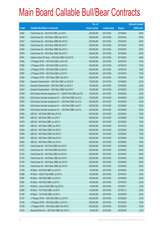|       |                                                                | No. of        |                     |               | <b>Amount raised</b> |
|-------|----------------------------------------------------------------|---------------|---------------------|---------------|----------------------|
| Code  | <b>Callable Bull/Bear Contracts</b>                            | issue (units) | <b>Listing date</b> | <b>Expiry</b> | (HK\$ mil.)          |
| 61682 | Credit Suisse AG - HSI R Bull CBBC Jun 2015 I                  | 238,000,000   | 2014/10/29          | 2015/06/29    | 59.50                |
| 61640 | Credit Suisse AG - HSI R Bear CBBC Mar 2015 P                  | 238,000,000   | 2014/10/29          | 2015/03/30    | 59.50                |
| 61637 | Credit Suisse AG - HSI R Bear CBBC Mar 2015 S                  | 238,000,000   | 2014/10/29          | 2015/03/30    | 59.50                |
| 61638 | Credit Suisse AG - HSI R Bear CBBC Mar 2015 T                  | 238,000,000   | 2014/10/29          | 2015/03/30    | 59.50                |
| 61639 | Credit Suisse AG - HSI R Bear CBBC Mar 2015 U                  | 238,000,000   | 2014/10/29          | 2015/03/30    | 59.50                |
| 61676 | Credit Suisse AG - HSI R Bear CBBC Mar 2015 V                  | 238,000,000   | 2014/10/29          | 2015/03/30    | 59.50                |
| 61691 | Goldman Sachs SP (Asia) - HSI R Bull CBBC Feb 2015 B           | 150,000,000   | 2014/10/29          | 2015/02/26    | 48.60                |
| 61683 | J P Morgan SP BV - HSI R Bull CBBC Jul 2015 M                  | 300,000,000   | 2014/10/29          | 2015/07/30    | 75.00                |
| 61685 | J P Morgan SP BV - HSI R Bull CBBC Jul 2015 N                  | 300,000,000   | 2014/10/29          | 2015/07/30    | 75.00                |
| 61672 | J P Morgan SP BV - HSI R Bull CBBC Jul 2015 O                  | 300,000,000   | 2014/10/29          | 2015/07/30    | 75.00                |
| 61687 | J P Morgan SP BV - HSI R Bull CBBC Jul 2015 P                  | 300,000,000   | 2014/10/29          | 2015/07/30    | 75.00                |
| 61628 | J P Morgan SP BV - HSI R Bear CBBC Feb 2015 Y                  | 300,000,000   | 2014/10/29          | 2015/02/26    | 75.00                |
| 61642 | Standard Chartered Bank - HSI R Bull CBBC Jun 2015 W           | 100,000,000   | 2014/10/29          | 2015/06/29    | 25.00                |
| 61673 | Standard Chartered Bank - HSI R Bull CBBC Jun 2015 X           | 100,000,000   | 2014/10/29          | 2015/06/29    | 25.00                |
| 61643 | Standard Chartered Bank - HSI R Bear CBBC Feb 2015 F           | 100,000,000   | 2014/10/29          | 2015/02/26    | 25.00                |
| 61649 | SGA Societe Generale Acceptance N.V - CSA50 R Bull CBBC Apr15D | 100,000,000   | 2014/10/29          | 2015/04/29    | 25.00                |
| 61650 | SGA Societe Generale Acceptance N.V. - A50 R Bull CBBC Apr15 A | 100,000,000   | 2014/10/29          | 2015/04/29    | 25.00                |
| 61652 | SGA Societe Generale Acceptance N.V. - HSI R Bull CBBC Jun15 S | 200,000,000   | 2014/10/29          | 2015/06/29    | 50.00                |
| 61655 | SGA Societe Generale Acceptance N.V. - HSI R Bull CBBC Jun15 T | 200,000,000   | 2014/10/29          | 2015/06/29    | 50.00                |
| 61658 | SGA Societe Generale Acceptance N.V. - HSI R Bull CBBC Jun15 U | 200,000,000   | 2014/10/29          | 2015/06/29    | 50.00                |
| 61662 | UBS AG - HSI R Bull CBBC May 2015 W                            | 300,000,000   | 2014/10/29          | 2015/05/28    | 75.00                |
| 61661 | UBS AG - HSI R Bull CBBC Jun 2015 T                            | 300,000,000   | 2014/10/29          | 2015/06/29    | 75.00                |
| 61675 | UBS AG - HSI R Bull CBBC Jun 2015 V                            | 300,000,000   | 2014/10/29          | 2015/06/29    | 75.00                |
| 61633 | UBS AG - HSI R Bear CBBC Jan 2015 Y                            | 300,000,000   | 2014/10/29          | 2015/01/29    | 75.00                |
| 61632 | UBS AG - HSI R Bear CBBC Feb 2015 V                            | 300,000,000   | 2014/10/29          | 2015/02/26    | 75.00                |
| 61648 | UBS AG - HSI R Bear CBBC Feb 2015 Z                            | 300,000,000   | 2014/10/29          | 2015/02/26    | 75.00                |
| 61647 | UBS AG - HSI R Bear CBBC May 2015 C                            | 300,000,000   | 2014/10/29          | 2015/05/28    | 75.00                |
| 61646 | UBS AG - HSI R Bear CBBC Jun 2015 A                            | 300,000,000   | 2014/10/29          | 2015/06/29    | 75.00                |
| 61731 | Credit Suisse AG - HSI R Bull CBBC Apr 2015 P                  | 238,000,000   | 2014/10/30          | 2015/04/29    | 59.50                |
| 61733 | Credit Suisse AG - HSI R Bull CBBC Apr 2015 Q                  | 238,000,000   | 2014/10/30          | 2015/04/29    | 59.50                |
| 61735 | Credit Suisse AG - HSI R Bull CBBC Apr 2015 R                  | 238,000,000   | 2014/10/30          | 2015/04/29    | 59.50                |
| 61743 | Credit Suisse AG - HSI R Bear CBBC Apr 2015 F                  | 238,000,000   | 2014/10/30          | 2015/04/29    | 59.50                |
| 61745 | Credit Suisse AG - HSI R Bear CBBC Apr 2015 O                  | 238,000,000   | 2014/10/30          | 2015/04/29    | 59.50                |
| 61744 | Credit Suisse AG - HSI R Bear CBBC Apr 2015 R                  | 238,000,000   | 2014/10/30          | 2015/04/29    | 59.50                |
| 61702 | HK Bank - AIA R Bull CBBC Jun 2015 D                           | 60,000,000    | 2014/10/30          | 2015/06/29    | 15.00                |
| 61698 | HK Bank - HSCEI R Bull CBBC Jul 2015 C                         | 100,000,000   | 2014/10/30          | 2015/07/30    | 25.00                |
| 61697 | HK Bank - HSI R Bull CBBC Jun 2015 O                           | 100,000,000   | 2014/10/30          | 2015/06/29    | 25.00                |
| 61695 | HK Bank - HSI R Bull CBBC Jul 2015 J                           | 100,000,000   | 2014/10/30          | 2015/07/30    | 25.00                |
| 61701 | HK Bank - Lenovo R Bull CBBC Aug 2015 D                        | 40,000,000    | 2014/10/30          | 2015/08/17    | 10.00                |
| 61699 | HK Bank - TCH R Bull CBBC Jul 2015 I                           | 100,000,000   | 2014/10/30          | 2015/07/13    | 25.00                |
| 61700 | HK Bank - TCH R Bull CBBC Jul 2015 J                           | 100,000,000   | 2014/10/30          | 2015/07/06    | 25.00                |
| 61737 | J P Morgan SP BV - HSI R Bull CBBC Jun 2015 G                  | 300,000,000   | 2014/10/30          | 2015/06/29    | 75.00                |
| 61736 | J P Morgan SP BV - HSI R Bull CBBC Jul 2015 Q                  | 300,000,000   | 2014/10/30          | 2015/07/30    | 75.00                |
| 61738 | J P Morgan SP BV - HSI R Bear CBBC Feb 2015 A                  | 300,000,000   | 2014/10/30          | 2015/02/26    | 75.00                |
| 61703 | Macquarie Bank Ltd. - HSI R Bull CBBC Mar 2015 C               | 50,000,000    | 2014/10/30          | 2015/03/30    | 12.50                |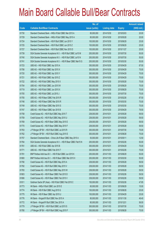|       |                                                                | No. of        |                     |               | <b>Amount raised</b> |
|-------|----------------------------------------------------------------|---------------|---------------------|---------------|----------------------|
| Code  | <b>Callable Bull/Bear Contracts</b>                            | issue (units) | <b>Listing date</b> | <b>Expiry</b> | (HK\$ mil.)          |
| 61730 | Standard Chartered Bank - HKEx R Bull CBBC Mar 2015 A          | 80,000,000    | 2014/10/30          | 2015/03/03    | 20.00                |
| 61729 | Standard Chartered Bank - HKEx R Bull CBBC May 2015 A          | 80,000,000    | 2014/10/30          | 2015/05/28    | 20.00                |
| 61724 | Standard Chartered Bank - HSI R Bull CBBC Jun 2015 Y           | 100,000,000   | 2014/10/30          | 2015/06/29    | 25.00                |
| 61725 | Standard Chartered Bank - HSI R Bull CBBC Jun 2015 Z           | 100,000,000   | 2014/10/30          | 2015/06/29    | 25.00                |
| 61727 | Standard Chartered Bank - HSI R Bull CBBC Nov 2015 D           | 100,000,000   | 2014/10/30          | 2015/11/27    | 25.00                |
| 61739 | SGA Societe Generale Acceptance N.V. - HSI R Bull CBBC Jul15 M | 200,000,000   | 2014/10/30          | 2015/07/30    | 50.00                |
| 61740 | SGA Societe Generale Acceptance N.V. - HSI R Bull CBBC Jul15 N | 200,000,000   | 2014/10/30          | 2015/07/30    | 50.00                |
| 61741 | SGA Societe Generale Acceptance N.V. - HSI R Bear CBBC Mar15 G | 200,000,000   | 2014/10/30          | 2015/03/30    | 50.00                |
| 61723 | UBS AG - HSI R Bull CBBC Apr 2015 A                            | 350,000,000   | 2014/10/30          | 2015/04/29    | 87.50                |
| 61706 | UBS AG - HSI R Bull CBBC Apr 2015 X                            | 300,000,000   | 2014/10/30          | 2015/04/29    | 75.00                |
| 61720 | UBS AG - HSI R Bull CBBC Apr 2015 Y                            | 300,000,000   | 2014/10/30          | 2015/04/29    | 75.00                |
| 61721 | UBS AG - HSI R Bull CBBC Apr 2015 Z                            | 300,000,000   | 2014/10/30          | 2015/04/29    | 75.00                |
| 61722 | UBS AG - HSI R Bull CBBC May 2015 X                            | 300,000,000   | 2014/10/30          | 2015/05/28    | 75.00                |
| 61704 | UBS AG - HSI R Bull CBBC Jun 2015 W                            | 300,000,000   | 2014/10/30          | 2015/06/29    | 75.00                |
| 61719 | UBS AG - HSI R Bull CBBC Jun 2015 X                            | 300,000,000   | 2014/10/30          | 2015/06/29    | 75.00                |
| 61705 | UBS AG - HSI R Bull CBBC Jul 2015 J                            | 300,000,000   | 2014/10/30          | 2015/07/30    | 75.00                |
| 61755 | UBS AG - HSI R Bear CBBC Feb 2015 R                            | 350,000,000   | 2014/10/30          | 2015/02/26    | 87.50                |
| 61748 | UBS AG - HSI R Bear CBBC Mar 2015 R                            | 300,000,000   | 2014/10/30          | 2015/03/30    | 75.00                |
| 61749 | UBS AG - HSI R Bear CBBC Mar 2015 S                            | 300,000,000   | 2014/10/30          | 2015/03/30    | 75.00                |
| 61747 | UBS AG - HSI R Bear CBBC Apr 2015 B                            | 300,000,000   | 2014/10/30          | 2015/04/29    | 79.50                |
| 61758 | Credit Suisse AG - HSI R Bull CBBC May 2015 T                  | 238,000,000   | 2014/10/31          | 2015/05/28    | 59.50                |
| 61759 | Credit Suisse AG - HSI R Bull CBBC May 2015 U                  | 238,000,000   | 2014/10/31          | 2015/05/28    | 59.50                |
| 61769 | Credit Suisse AG - HSI R Bear CBBC May 2015 E                  | 238,000,000   | 2014/10/31          | 2015/05/28    | 59.50                |
| 61770 | Credit Suisse AG - HSI R Bear CBBC May 2015 F                  | 238,000,000   | 2014/10/31          | 2015/05/28    | 59.50                |
| 61763 | J P Morgan SP BV - HSI R Bull CBBC Jul 2015 R                  | 300,000,000   | 2014/10/31          | 2015/07/30    | 75.00                |
| 61762 | J P Morgan SP BV - HSI R Bull CBBC Aug 2015 E                  | 300,000,000   | 2014/10/31          | 2015/08/28    | 75.00                |
| 61757 | Standard Chartered Bank - China Life R Bear CBBC May 2015 A    | 50,000,000    | 2014/10/31          | 2015/05/11    | 12.50                |
| 61764 | SGA Societe Generale Acceptance N.V. - HSI R Bear CBBC Feb15 N | 200,000,000   | 2014/10/31          | 2015/02/26    | 50.00                |
| 61761 | UBS AG - HSI R Bull CBBC Apr 2015 B                            | 300,000,000   | 2014/10/31          | 2015/04/29    | 75.00                |
| 61771 | UBS AG - HSI R Bear CBBC Feb 2015 T                            | 300,000,000   | 2014/10/31          | 2015/02/26    | 75.00                |
| 61781 | BNP Paribas Arbit Issu B.V. - HSI R Bull CBBC Jun 2015 K       | 200,000,000   | 2014/11/03          | 2015/06/29    | 50.00                |
| 61800 | BNP Paribas Arbit Issu B.V. - HSI R Bear CBBC Mar 2015 X       | 200,000,000   | 2014/11/03          | 2015/03/30    | 50.00                |
| 61790 | Credit Suisse AG - HSI R Bull CBBC May 2015 A                  | 238,000,000   | 2014/11/03          | 2015/05/28    | 59.50                |
| 61782 | Credit Suisse AG - HSI R Bull CBBC May 2015 V                  | 238,000,000   | 2014/11/03          | 2015/05/28    | 59.50                |
| 61783 | Credit Suisse AG - HSI R Bull CBBC May 2015 W                  | 238,000,000   | 2014/11/03          | 2015/05/28    | 59.50                |
| 61803 | Credit Suisse AG - HSI R Bear CBBC Feb 2015 D                  | 238,000,000   | 2014/11/03          | 2015/02/26    | 59.50                |
| 61806 | Credit Suisse AG - HSI R Bear CBBC Feb 2015 V                  | 238,000,000   | 2014/11/03          | 2015/02/26    | 59.50                |
| 61811 | Goldman Sachs SP (Asia) - HSI R Bull CBBC Feb 2015 C           | 150,000,000   | 2014/11/03          | 2015/02/26    | 47.85                |
| 61773 | HK Bank - HKEx R Bull CBBC Jun 2015 E                          | 60,000,000    | 2014/11/03          | 2015/06/29    | 15.00                |
| 61774 | HK Bank - HSI R Bull CBBC Aug 2015 G                           | 100,000,000   | 2014/11/03          | 2015/08/28    | 25.00                |
| 61775 | HK Bank - HSI R Bear CBBC Apr 2015 U                           | 100,000,000   | 2014/11/03          | 2015/04/29    | 25.00                |
| 61776 | HK Bank - Kingsoft R Bull CBBC Nov 2015 A                      | 80,000,000    | 2014/11/03          | 2015/11/30    | 46.40                |
| 61772 | HK Bank - Kingsoft R Bull CBBC Dec 2015 A                      | 80,000,000    | 2014/11/03          | 2015/12/21    | 56.00                |
| 61779 | J P Morgan SP BV - HSI R Bull CBBC Jul 2015 S                  | 300,000,000   | 2014/11/03          | 2015/07/30    | 75.00                |
| 61780 | J P Morgan SP BV - HSI R Bull CBBC Aug 2015 F                  | 300,000,000   | 2014/11/03          | 2015/08/28    | 75.00                |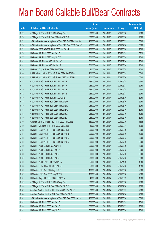|       |                                                                | No. of        |                     |               | <b>Amount raised</b> |
|-------|----------------------------------------------------------------|---------------|---------------------|---------------|----------------------|
| Code  | <b>Callable Bull/Bear Contracts</b>                            | issue (units) | <b>Listing date</b> | <b>Expiry</b> | $(HK$$ mil.)         |
| 61799 | J P Morgan SP BV - HSI R Bull CBBC Aug 2015 G                  | 300,000,000   | 2014/11/03          | 2015/08/28    | 75.00                |
| 61798 | J P Morgan SP BV - HSI R Bear CBBC Mar 2015 O                  | 300,000,000   | 2014/11/03          | 2015/03/30    | 75.00                |
| 61793 | SGA Societe Generale Acceptance N.V. - HSI R Bull CBBC Jun15 V | 200,000,000   | 2014/11/03          | 2015/06/29    | 50.00                |
| 61794 | SGA Societe Generale Acceptance N.V. - HSI R Bear CBBC Feb15 O | 200,000,000   | 2014/11/03          | 2015/02/26    | 50.00                |
| 61795 | UBS AG - CSOP A50 ETF R Bull CBBC Jun 2015 A                   | 100,000,000   | 2014/11/03          | 2015/06/08    | 25.00                |
| 61778 | UBS AG - HSI R Bull CBBC Apr 2015 D                            | 350,000,000   | 2014/11/03          | 2015/04/29    | 87.50                |
| 61777 | UBS AG - HSI R Bull CBBC May 2015 Y                            | 300,000,000   | 2014/11/03          | 2015/05/28    | 75.00                |
| 61801 | UBS AG - HSI R Bear CBBC Feb 2015 W                            | 300,000,000   | 2014/11/03          | 2015/02/26    | 75.00                |
| 61802 | UBS AG - HSI R Bear CBBC Mar 2015 T                            | 300,000,000   | 2014/11/03          | 2015/03/30    | 75.00                |
| 61796 | UBS AG - Kingsoft R Bull CBBC Jun 2015 A                       | 20,000,000    | 2014/11/03          | 2015/06/15    | 10.00                |
| 61910 | BNP Paribas Arbit Issu B.V. - HSI R Bull CBBC Jun 2015 G       | 200,000,000   | 2014/11/04          | 2015/06/29    | 50.00                |
| 61860 | BNP Paribas Arbit Issu B.V. - HSI R Bear CBBC Mar 2015 Y       | 200,000,000   | 2014/11/04          | 2015/03/30    | 50.00                |
| 61881 | Credit Suisse AG - HSI R Bull CBBC May 2015 B                  | 238,000,000   | 2014/11/04          | 2015/05/28    | 59.50                |
| 61887 | Credit Suisse AG - HSI R Bull CBBC May 2015 X                  | 238,000,000   | 2014/11/04          | 2015/05/28    | 59.50                |
| 61890 | Credit Suisse AG - HSI R Bull CBBC May 2015 Y                  | 238,000,000   | 2014/11/04          | 2015/05/28    | 59.50                |
| 61892 | Credit Suisse AG - HSI R Bull CBBC May 2015 Z                  | 238,000,000   | 2014/11/04          | 2015/05/28    | 59.50                |
| 61899 | Credit Suisse AG - HSI R Bull CBBC Jun 2015 J                  | 238,000,000   | 2014/11/04          | 2015/06/29    | 59.50                |
| 61853 | Credit Suisse AG - HSI R Bear CBBC Mar 2015 O                  | 238,000,000   | 2014/11/04          | 2015/03/30    | 59.50                |
| 61856 | Credit Suisse AG - HSI R Bear CBBC Mar 2015 R                  | 238,000,000   | 2014/11/04          | 2015/03/30    | 59.50                |
| 61848 | Credit Suisse AG - HSI R Bear CBBC Mar 2015 W                  | 238,000,000   | 2014/11/04          | 2015/03/30    | 59.50                |
| 61857 | Credit Suisse AG - HSI R Bear CBBC Mar 2015 X                  | 238,000,000   | 2014/11/04          | 2015/03/30    | 59.50                |
| 61849 | Credit Suisse AG - HSI R Bear CBBC Mar 2015 Z                  | 238,000,000   | 2014/11/04          | 2015/03/30    | 59.50                |
| 61909 | Goldman Sachs SP (Asia) - HSI R Bull CBBC Feb 2015 D           | 150,000,000   | 2014/11/04          | 2015/02/26    | 46.95                |
| 61839 | HK Bank - Minsheng Bank R Bull CBBC Sep 2015 B                 | 40,000,000    | 2014/11/04          | 2015/09/21    | 10.00                |
| 61815 | HK Bank - CSOP A50 ETF R Bull CBBC Jun 2015 B                  | 200,000,000   | 2014/11/04          | 2015/06/29    | 50.00                |
| 61817 | HK Bank - CSOP A50 ETF R Bull CBBC Jul 2015 B                  | 200,000,000   | 2014/11/04          | 2015/07/06    | 50.00                |
| 61818 | HK Bank - CSOP A50 ETF R Bull CBBC Jul 2015 C                  | 200,000,000   | 2014/11/04          | 2015/07/13    | 50.00                |
| 61822 | HK Bank - CSOP A50 ETF R Bull CBBC Jul 2015 D                  | 200,000,000   | 2014/11/04          | 2015/07/20    | 50.00                |
| 61829 | HK Bank - A50 R Bull CBBC Jun 2015 B                           | 200,000,000   | 2014/11/04          | 2015/06/29    | 50.00                |
| 61814 | HK Bank - A50 R Bull CBBC Jul 2015 A                           | 200,000,000   | 2014/11/04          | 2015/07/13    | 50.00                |
| 61816 | HK Bank - A50 R Bull CBBC Jul 2015 B                           | 200,000,000   | 2014/11/04          | 2015/07/20    | 50.00                |
| 61831 | HK Bank - A50 R Bull CBBC Jul 2015 C                           | 200,000,000   | 2014/11/04          | 2015/07/06    | 50.00                |
| 61836 | HK Bank - A50 R Bear CBBC Nov 2015 A                           | 50,000,000    | 2014/11/04          | 2015/11/09    | 12.50                |
| 61838 | HK Bank - HKEx R Bear CBBC Jul 2015 C                          | 50,000,000    | 2014/11/04          | 2015/07/06    | 12.50                |
| 61813 | HK Bank - HSI R Bull CBBC May 2015 C                           | 100,000,000   | 2014/11/04          | 2015/05/28    | 25.00                |
| 61812 | HK Bank - HSI R Bear CBBC May 2015 W                           | 100,000,000   | 2014/11/04          | 2015/05/28    | 25.00                |
| 61837 | HK Bank - Kingsoft R Bear CBBC Sep 2015 A                      | 40,000,000    | 2014/11/04          | 2015/09/29    | 16.80                |
| 61902 | J P Morgan SP BV - HSI R Bull CBBC Aug 2015 H                  | 300,000,000   | 2014/11/04          | 2015/08/28    | 75.00                |
| 61908 | J P Morgan SP BV - HSI R Bear CBBC Feb 2015 X                  | 300,000,000   | 2014/11/04          | 2015/02/26    | 75.00                |
| 61847 | Standard Chartered Bank - HKEx R Bear CBBC Mar 2015 C          | 80,000,000    | 2014/11/04          | 2015/03/05    | 20.00                |
| 61846 | Standard Chartered Bank - HSI R Bear CBBC Feb 2015 J           | 100,000,000   | 2014/11/04          | 2015/02/26    | 25.00                |
| 61842 | SGA Societe Generale Acceptance N.V. - HSI R Bear CBBC Mar15 H | 200,000,000   | 2014/11/04          | 2015/03/30    | 50.00                |
| 61862 | UBS AG - HSI R Bull CBBC Apr 2015 C                            | 300,000,000   | 2014/11/04          | 2015/04/29    | 75.00                |
| 61866 | UBS AG - HSI R Bull CBBC Apr 2015 E                            | 300,000,000   | 2014/11/04          | 2015/04/29    | 75.00                |
| 61879 | UBS AG - HSI R Bull CBBC May 2015 Z                            | 300,000,000   | 2014/11/04          | 2015/05/28    | 75.00                |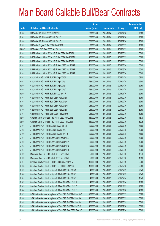|        |                                                                | No. of        |                     |               | <b>Amount raised</b> |
|--------|----------------------------------------------------------------|---------------|---------------------|---------------|----------------------|
| Code   | <b>Callable Bull/Bear Contracts</b>                            | issue (units) | <b>Listing date</b> | <b>Expiry</b> | (HK\$ mil.)          |
| 61880  | UBS AG - HSI R Bull CBBC Jul 2015 K                            | 300,000,000   | 2014/11/04          | 2015/07/30    | 75.00                |
| 61841  | UBS AG - HSI R Bear CBBC Feb 2015 C                            | 300,000,000   | 2014/11/04          | 2015/02/26    | 75.00                |
| 61858  | UBS AG - HSI R Bear CBBC Feb 2015 Q                            | 300,000,000   | 2014/11/04          | 2015/02/26    | 75.00                |
| 61859  | UBS AG - Kingsoft R Bull CBBC Jun 2015 B                       | 20,000,000    | 2014/11/04          | 2015/06/29    | 10.00                |
| 65950# | HK Bank - HSI R Bear CBBC Apr 2015 N                           | 180,000,000   | 2014/11/04          | 2015/04/29    | 13.68                |
| 61999  | BNP Paribas Arbit Issu B.V. - HSI R Bull CBBC Jun 2015 H       | 200,000,000   | 2014/11/05          | 2015/06/29    | 50.00                |
| 62000  | BNP Paribas Arbit Issu B.V. - HSI R Bull CBBC Jun 2015 M       | 200,000,000   | 2014/11/05          | 2015/06/29    | 50.00                |
| 62002  | BNP Paribas Arbit Issu B.V. - HSI R Bull CBBC Jun 2015 N       | 200,000,000   | 2014/11/05          | 2015/06/29    | 50.00                |
| 61932  | BNP Paribas Arbit Issu B.V. - HSI R Bear CBBC Mar 2015 E       | 200,000,000   | 2014/11/05          | 2015/03/30    | 50.00                |
| 61933  | BNP Paribas Arbit Issu B.V. - HSI R Bear CBBC Mar 2015 F       | 200,000,000   | 2014/11/05          | 2015/03/30    | 50.00                |
| 61929  | BNP Paribas Arbit Issu B.V. - HSI R Bear CBBC Mar 2015 Z       | 200,000,000   | 2014/11/05          | 2015/03/30    | 50.00                |
| 62032  | Credit Suisse AG - HSI R Bull CBBC Apr 2015 I                  | 238,000,000   | 2014/11/05          | 2015/04/29    | 59.50                |
| 62033  | Credit Suisse AG - HSI R Bull CBBC Apr 2015 J                  | 238,000,000   | 2014/11/05          | 2015/04/29    | 59.50                |
| 62030  | Credit Suisse AG - HSI R Bull CBBC Apr 2015 S                  | 238,000,000   | 2014/11/05          | 2015/04/29    | 59.50                |
| 62034  | Credit Suisse AG - HSI R Bull CBBC Apr 2015 T                  | 238,000,000   | 2014/11/05          | 2015/04/29    | 59.50                |
| 62029  | Credit Suisse AG - HSI R Bull CBBC Jul 2015 R                  | 238,000,000   | 2014/11/05          | 2015/07/30    | 59.50                |
| 61948  | Credit Suisse AG - HSI R Bear CBBC Feb 2015 B                  | 238,000,000   | 2014/11/05          | 2015/02/26    | 59.50                |
| 61958  | Credit Suisse AG - HSI R Bear CBBC Feb 2015 C                  | 238,000,000   | 2014/11/05          | 2015/02/26    | 59.50                |
| 62028  | Credit Suisse AG - HSI R Bear CBBC Feb 2015 G                  | 238,000,000   | 2014/11/05          | 2015/02/26    | 59.50                |
| 61946  | Credit Suisse AG - HSI R Bear CBBC Feb 2015 P                  | 238,000,000   | 2014/11/05          | 2015/02/26    | 59.50                |
| 61947  | Credit Suisse AG - HSI R Bear CBBC Feb 2015 Q                  | 238,000,000   | 2014/11/05          | 2015/02/26    | 59.50                |
| 62035  | Goldman Sachs SP (Asia) - HSI R Bull CBBC Feb 2015 E           | 150,000,000   | 2014/11/05          | 2015/02/26    | 45.30                |
| 62036  | Goldman Sachs SP (Asia) - HSI R Bull CBBC Feb 2015 F           | 150,000,000   | 2014/11/05          | 2015/02/26    | 52.35                |
| 61991  | J P Morgan SP BV - HSI R Bull CBBC Jul 2015 T                  | 300,000,000   | 2014/11/05          | 2015/07/30    | 75.00                |
| 61985  | J P Morgan SP BV - HSI R Bull CBBC Aug 2015 I                  | 300,000,000   | 2014/11/05          | 2015/08/28    | 75.00                |
| 61990  | J P Morgan SP BV - HSI R Bull CBBC Aug 2015 J                  | 300,000,000   | 2014/11/05          | 2015/08/28    | 75.00                |
| 61961  | J P Morgan SP BV - HSI R Bear CBBC Feb 2015 Z                  | 300,000,000   | 2014/11/05          | 2015/02/26    | 75.00                |
| 61962  | J P Morgan SP BV - HSI R Bear CBBC Mar 2015 P                  | 300,000,000   | 2014/11/05          | 2015/03/30    | 75.00                |
| 61963  | J P Morgan SP BV - HSI R Bear CBBC Mar 2015 Q                  | 300,000,000   | 2014/11/05          | 2015/03/30    | 75.00                |
| 61984  | J P Morgan SP BV - HSI R Bear CBBC Mar 2015 R                  | 300,000,000   | 2014/11/05          | 2015/03/30    | 75.00                |
| 61992  | Macquarie Bank Ltd. - HSI R Bull CBBC Mar 2015 D               | 50,000,000    | 2014/11/05          | 2015/03/30    | 12.75                |
| 61993  | Macquarie Bank Ltd. - HSI R Bull CBBC Mar 2015 E               | 50,000,000    | 2014/11/05          | 2015/03/30    | 12.50                |
| 61937  | Standard Chartered Bank - HSI R Bull CBBC Jun 2015 A           | 100,000,000   | 2014/11/05          | 2015/06/29    | 25.00                |
| 61938  | Standard Chartered Bank - HSI R Bear CBBC Feb 2015 S           | 100,000,000   | 2014/11/05          | 2015/02/26    | 25.00                |
| 61939  | Standard Chartered Bank - Kingsoft R Bull CBBC Dec 2015 A      | 40,000,000    | 2014/11/05          | 2015/12/02    | 28.40                |
| 61940  | Standard Chartered Bank - Kingsoft R Bull CBBC Dec 2015 B      | 40,000,000    | 2014/11/05          | 2015/12/03    | 20.40                |
| 61941  | Standard Chartered Bank - Kingsoft R Bull CBBC Dec 2015 C      | 40,000,000    | 2014/11/05          | 2015/12/04    | 12.40                |
| 61942  | Standard Chartered Bank - Kingsoft R Bear CBBC Nov 2015 A      | 40,000,000    | 2014/11/05          | 2015/11/04    | 16.80                |
| 61943  | Standard Chartered Bank - Kingsoft R Bear CBBC Nov 2015 B      | 40,000,000    | 2014/11/05          | 2015/11/05    | 28.80                |
| 61944  | Standard Chartered Bank - Kingsoft R Bear CBBC Nov 2015 C      | 40,000,000    | 2014/11/05          | 2015/11/06    | 40.80                |
| 61972  | SGA Societe Generale Acceptance N.V. - HSI R Bull CBBC Jun15 W | 200,000,000   | 2014/11/05          | 2015/06/29    | 50.00                |
| 61974  | SGA Societe Generale Acceptance N.V. - HSI R Bull CBBC Jun15 X | 200,000,000   | 2014/11/05          | 2015/06/29    | 50.00                |
| 61978  | SGA Societe Generale Acceptance N.V. - HSI R Bull CBBC Jun15 Y | 200,000,000   | 2014/11/05          | 2015/06/29    | 50.00                |
| 61913  | SGA Societe Generale Acceptance N.V. - HSI R Bull CBBC Jul15 O | 200,000,000   | 2014/11/05          | 2015/07/30    | 50.00                |
| 61914  | SGA Societe Generale Acceptance N.V. - HSI R Bear CBBC Feb15 Q | 200,000,000   | 2014/11/05          | 2015/02/26    | 50.00                |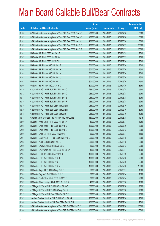|       |                                                                | No. of        |                     |               | <b>Amount raised</b> |
|-------|----------------------------------------------------------------|---------------|---------------------|---------------|----------------------|
| Code  | <b>Callable Bull/Bear Contracts</b>                            | issue (units) | <b>Listing date</b> | <b>Expiry</b> | $(HK$$ mil.)         |
| 61920 | SGA Societe Generale Acceptance N.V. - HSI R Bear CBBC Feb15 R | 200,000,000   | 2014/11/05          | 2015/02/26    | 50.00                |
| 61979 | SGA Societe Generale Acceptance N.V. - HSI R Bear CBBC Feb15 S | 200,000,000   | 2014/11/05          | 2015/02/26    | 50.00                |
| 61981 | SGA Societe Generale Acceptance N.V. - HSI R Bear CBBC Mar15 I | 200,000,000   | 2014/11/05          | 2015/03/30    | 50.00                |
| 61982 | SGA Societe Generale Acceptance N.V. - HSI R Bear CBBC Apr15 F | 400,000,000   | 2014/11/05          | 2015/04/29    | 100.00               |
| 61983 | SGA Societe Generale Acceptance N.V. - HSI R Bear CBBC Apr15 G | 400,000,000   | 2014/11/05          | 2015/04/29    | 100.00               |
| 62003 | UBS AG - HSI R Bull CBBC Apr 2015 F                            | 300,000,000   | 2014/11/05          | 2015/04/29    | 75.00                |
| 62027 | UBS AG - HSI R Bull CBBC Jun 2015 Y                            | 300,000,000   | 2014/11/05          | 2015/06/29    | 75.00                |
| 62004 | UBS AG - HSI R Bull CBBC Jul 2015 L                            | 300,000,000   | 2014/11/05          | 2015/07/30    | 75.00                |
| 61936 | UBS AG - HSI R Bear CBBC Feb 2015 E                            | 300,000,000   | 2014/11/05          | 2015/02/26    | 75.00                |
| 61934 | UBS AG - HSI R Bear CBBC Feb 2015 X                            | 300,000,000   | 2014/11/05          | 2015/02/26    | 75.00                |
| 61935 | UBS AG - HSI R Bear CBBC Feb 2015 Y                            | 300,000,000   | 2014/11/05          | 2015/02/26    | 75.00                |
| 62022 | UBS AG - HSI R Bear CBBC Mar 2015 U                            | 300,000,000   | 2014/11/05          | 2015/03/30    | 76.50                |
| 62023 | UBS AG - HSI R Bear CBBC Mar 2015 V                            | 300,000,000   | 2014/11/05          | 2015/03/30    | 75.00                |
| 62006 | UBS AG - HSI R Bear CBBC Apr 2015 C                            | 300,000,000   | 2014/11/05          | 2015/04/29    | 82.50                |
| 62110 | Credit Suisse AG - HSI R Bull CBBC May 2015 C                  | 238,000,000   | 2014/11/06          | 2015/05/28    | 59.50                |
| 62112 | Credit Suisse AG - HSI R Bull CBBC May 2015 D                  | 238,000,000   | 2014/11/06          | 2015/05/28    | 59.50                |
| 62111 | Credit Suisse AG - HSI R Bull CBBC May 2015 E                  | 238,000,000   | 2014/11/06          | 2015/05/28    | 59.50                |
| 62115 | Credit Suisse AG - HSI R Bull CBBC May 2015 F                  | 238,000,000   | 2014/11/06          | 2015/05/28    | 59.50                |
| 62119 | Credit Suisse AG - HSI R Bear CBBC Mar 2015 M                  | 238,000,000   | 2014/11/06          | 2015/03/30    | 59.50                |
| 62120 | Credit Suisse AG - HSI R Bear CBBC Mar 2015 N                  | 238,000,000   | 2014/11/06          | 2015/03/30    | 59.50                |
| 62118 | Credit Suisse AG - HSI R Bear CBBC Mar 2015 Y                  | 238,000,000   | 2014/11/06          | 2015/03/30    | 59.50                |
| 62134 | Goldman Sachs SP (Asia) - HSI R Bear CBBC May 2015 B           | 150,000,000   | 2014/11/06          | 2015/05/28    | 42.15                |
| 62060 | HK Bank - Anhui Conch R Bull CBBC Jun 2016 A                   | 50,000,000    | 2014/11/06          | 2016/06/27    | 12.50                |
| 62038 | HK Bank - China Mobile R Bull CBBC Jul 2015 K                  | 120,000,000   | 2014/11/06          | 2015/07/20    | 30.00                |
| 62059 | HK Bank - China Mobile R Bull CBBC Jul 2015 L                  | 120,000,000   | 2014/11/06          | 2015/07/13    | 30.00                |
| 62066 | HK Bank - China Life R Bull CBBC Jul 2015 C                    | 60,000,000    | 2014/11/06          | 2015/07/24    | 15.00                |
| 62057 | HK Bank - CSOP A50 ETF R Bull CBBC May 2015 E                  | 200,000,000   | 2014/11/06          | 2015/05/18    | 50.00                |
| 62055 | HK Bank - A50 R Bull CBBC May 2015 E                           | 200,000,000   | 2014/11/06          | 2015/05/18    | 50.00                |
| 62039 | HK Bank - Galaxy Ent R Bull CBBC Jul 2015 F                    | 80,000,000    | 2014/11/06          | 2015/07/13    | 20.00                |
| 62062 | HK Bank - Great Wall Motor R Bull CBBC Jun 2016 A              | 40,000,000    | 2014/11/06          | 2016/06/27    | 10.00                |
| 62054 | HK Bank - HSCEI R Bull CBBC Jun 2015 D                         | 100,000,000   | 2014/11/06          | 2015/06/29    | 25.00                |
| 62041 | HK Bank - HSI R Bull CBBC Jul 2015 K                           | 100,000,000   | 2014/11/06          | 2015/07/30    | 25.00                |
| 62042 | HK Bank - HSI R Bull CBBC Jul 2015 L                           | 100,000,000   | 2014/11/06          | 2015/07/30    | 25.00                |
| 62050 | HK Bank - HSI R Bull CBBC Jul 2015 M                           | 400,000,000   | 2014/11/06          | 2015/07/30    | 100.00               |
| 62063 | HK Bank - Kingsoft R Bull CBBC Aug 2015 C                      | 50,000,000    | 2014/11/06          | 2015/08/31    | 15.00                |
| 62065 | HK Bank - Ping An R Bull CBBC Jul 2015 C                       | 60,000,000    | 2014/11/06          | 2015/07/24    | 15.00                |
| 62064 | HK Bank - Sands China R Bull CBBC Jul 2015 E                   | 80,000,000    | 2014/11/06          | 2015/07/24    | 20.00                |
| 62069 | HK Bank - Wharf Holdings R Bull CBBC Oct 2015 A                | 40,000,000    | 2014/11/06          | 2015/10/26    | 10.00                |
| 62072 | J P Morgan SP BV - HSI R Bull CBBC Jul 2015 W                  | 300,000,000   | 2014/11/06          | 2015/07/30    | 75.00                |
| 62071 | J P Morgan SP BV - HSI R Bull CBBC Aug 2015 K                  | 300,000,000   | 2014/11/06          | 2015/08/28    | 75.00                |
| 62117 | J P Morgan SP BV - HSI R Bear CBBC Feb 2015 T                  | 300,000,000   | 2014/11/06          | 2015/02/26    | 75.00                |
| 62073 | Standard Chartered Bank - HSI R Bull CBBC Jul 2015 A           | 100,000,000   | 2014/11/06          | 2015/07/30    | 25.00                |
| 62074 | Standard Chartered Bank - HSI R Bear CBBC Feb 2015 H           | 100,000,000   | 2014/11/06          | 2015/02/26    | 25.00                |
| 62091 | SGA Societe Generale Acceptance N.V. - HSI R Bull CBBC Jul15 P | 400,000,000   | 2014/11/06          | 2015/07/30    | 100.00               |
| 62096 | SGA Societe Generale Acceptance N.V. - HSI R Bull CBBC Jul15 Q | 400,000,000   | 2014/11/06          | 2015/07/30    | 100.00               |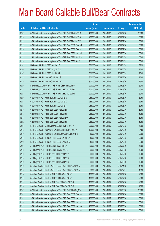|             |                                                                | No. of        |                     |               | <b>Amount raised</b> |
|-------------|----------------------------------------------------------------|---------------|---------------------|---------------|----------------------|
| <b>Code</b> | <b>Callable Bull/Bear Contracts</b>                            | issue (units) | <b>Listing date</b> | <b>Expiry</b> | $(HK$$ mil.)         |
| 62099       | SGA Societe Generale Acceptance N.V. - HSI R Bull CBBC Jul15 R | 400,000,000   | 2014/11/06          | 2015/07/30    | 100.00               |
| 62100       | SGA Societe Generale Acceptance N.V. - HSI R Bull CBBC Jul15 S | 200,000,000   | 2014/11/06          | 2015/07/30    | 50.00                |
| 62101       | SGA Societe Generale Acceptance N.V. - HSI R Bull CBBC Jul15 T | 200,000,000   | 2014/11/06          | 2015/07/30    | 50.00                |
| 62102       | SGA Societe Generale Acceptance N.V. - HSI R Bear CBBC Feb15 T | 200,000,000   | 2014/11/06          | 2015/02/26    | 50.00                |
| 62104       | SGA Societe Generale Acceptance N.V. - HSI R Bear CBBC Feb15 U | 200,000,000   | 2014/11/06          | 2015/02/26    | 50.00                |
| 62105       | SGA Societe Generale Acceptance N.V. - HSI R Bear CBBC Mar15 J | 200,000,000   | 2014/11/06          | 2015/03/30    | 50.00                |
| 62103       | SGA Societe Generale Acceptance N.V. - HSI R Bear CBBC Apr15 H | 200,000,000   | 2014/11/06          | 2015/04/29    | 50.00                |
| 62108       | SGA Societe Generale Acceptance N.V. - HSI R Bear CBBC Apr15 I | 200,000,000   | 2014/11/06          | 2015/04/29    | 50.00                |
| 62081       | UBS AG - HSI R Bull CBBC Apr 2015 G                            | 350,000,000   | 2014/11/06          | 2015/04/29    | 87.50                |
| 62080       | UBS AG - HSI R Bull CBBC May 2015 A                            | 300,000,000   | 2014/11/06          | 2015/05/28    | 75.00                |
| 62077       | UBS AG - HSI R Bull CBBC Jun 2015 Z                            | 300,000,000   | 2014/11/06          | 2015/06/29    | 75.00                |
| 62131       | UBS AG - HSI R Bear CBBC Feb 2015 S                            | 300,000,000   | 2014/11/06          | 2015/02/26    | 75.00                |
| 62129       | UBS AG - HSI R Bear CBBC Mar 2015 W                            | 300,000,000   | 2014/11/06          | 2015/03/30    | 75.00                |
| 62219       | BNP Paribas Arbit Issu B.V. - HSI R Bull CBBC Jun 2015 O       | 200,000,000   | 2014/11/07          | 2015/06/29    | 50.00                |
| 62178       | BNP Paribas Arbit Issu B.V. - HSI R Bear CBBC Mar 2015 G       | 200,000,000   | 2014/11/07          | 2015/03/30    | 50.00                |
| 62211       | BNP Paribas Arbit Issu B.V. - HSI R Bear CBBC Mar 2015 I       | 200,000,000   | 2014/11/07          | 2015/03/30    | 50.00                |
| 62215       | Credit Suisse AG - HSI R Bull CBBC Jun 2015 E                  | 238,000,000   | 2014/11/07          | 2015/06/29    | 59.50                |
| 62213       | Credit Suisse AG - HSI R Bull CBBC Jun 2015 K                  | 238,000,000   | 2014/11/07          | 2015/06/29    | 59.50                |
| 62214       | Credit Suisse AG - HSI R Bull CBBC Jun 2015 L                  | 238,000,000   | 2014/11/07          | 2015/06/29    | 59.50                |
| 62165       | Credit Suisse AG - HSI R Bear CBBC Feb 2015 E                  | 238,000,000   | 2014/11/07          | 2015/02/26    | 59.50                |
| 62173       | Credit Suisse AG - HSI R Bear CBBC Feb 2015 F                  | 238,000,000   | 2014/11/07          | 2015/02/26    | 59.50                |
| 62164       | Credit Suisse AG - HSI R Bear CBBC Feb 2015 O                  | 238,000,000   | 2014/11/07          | 2015/02/26    | 59.50                |
| 62212       | Credit Suisse AG - HSI R Bear CBBC Mar 2015 P                  | 238,000,000   | 2014/11/07          | 2015/03/30    | 59.50                |
| 62201       | Bank of East Asia - Anhui Conch R Bull CBBC Dec 2015 A         | 200,000,000   | 2014/11/07          | 2015/12/22    | 50.00                |
| 62195       | Bank of East Asia - Great Wall Motor R Bull CBBC Dec 2015 A    | 150,000,000   | 2014/11/07          | 2015/12/30    | 37.50                |
| 62196       | Bank of East Asia - Great Wall Motor R Bear CBBC Dec 2015 A    | 80,000,000    | 2014/11/07          | 2015/12/30    | 20.00                |
| 62197       | Bank of East Asia - Kingsoft R Bull CBBC Oct 2015 A            | 40,000,000    | 2014/11/07          | 2015/10/22    | 20.00                |
| 62200       | Bank of East Asia - Kingsoft R Bull CBBC Dec 2015 A            | 40,000,000    | 2014/11/07          | 2015/12/22    | 26.00                |
| 62217       | J P Morgan SP BV - HSI R Bull CBBC Jul 2015 A                  | 300,000,000   | 2014/11/07          | 2015/07/30    | 75.00                |
| 62188       | J P Morgan SP BV - HSI R Bull CBBC Aug 2015 L                  | 300,000,000   | 2014/11/07          | 2015/08/28    | 75.00                |
| 62136       | JP Morgan SP BV - HSI R Bear CBBC Feb 2015 V                   | 300,000,000   | 2014/11/07          | 2015/02/26    | 75.00                |
| 62185       | J P Morgan SP BV - HSI R Bear CBBC Feb 2015 W                  | 300,000,000   | 2014/11/07          | 2015/02/26    | 75.00                |
| 62139       | JP Morgan SP BV - HSIR Bear CBBC Mar 2015 S                    | 300,000,000   | 2014/11/07          | 2015/03/30    | 75.00                |
| 62189       | Standard Chartered Bank - Anhui Conch R Bull CBBC Nov 2015 A   | 50,000,000    | 2014/11/07          | 2015/11/30    | 12.50                |
| 62190       | Standard Chartered Bank - Anhui Conch R Bull CBBC Dec 2015 A   | 50,000,000    | 2014/11/07          | 2015/12/31    | 12.50                |
| 62174       | Standard Chartered Bank - HSI R Bull CBBC Jul 2015 B           | 100,000,000   | 2014/11/07          | 2015/07/30    | 25.00                |
| 62191       | Standard Chartered Bank - HSI R Bull CBBC Jul 2015 C           | 100,000,000   | 2014/11/07          | 2015/07/30    | 25.00                |
| 62175       | Standard Chartered Bank - HSI R Bear CBBC Feb 2015 C           | 100,000,000   | 2014/11/07          | 2015/02/26    | 25.00                |
| 62176       | Standard Chartered Bank - HSI R Bear CBBC Feb 2015 O           | 100,000,000   | 2014/11/07          | 2015/02/26    | 25.00                |
| 62142       | SGA Societe Generale Acceptance N.V. - HSI R Bull CBBC Aug15 A | 400,000,000   | 2014/11/07          | 2015/08/28    | 100.00               |
| 62145       | SGA Societe Generale Acceptance N.V. - HSI R Bear CBBC Feb15 X | 200,000,000   | 2014/11/07          | 2015/02/26    | 50.00                |
| 62143       | SGA Societe Generale Acceptance N.V. - HSI R Bear CBBC Mar15 K | 200,000,000   | 2014/11/07          | 2015/03/30    | 50.00                |
| 62148       | SGA Societe Generale Acceptance N.V. - HSI R Bear CBBC Mar15 L | 200,000,000   | 2014/11/07          | 2015/03/30    | 50.00                |
| 62179       | SGA Societe Generale Acceptance N.V. - HSI R Bear CBBC Mar15 M | 200,000,000   | 2014/11/07          | 2015/03/30    | 50.00                |
| 62182       | SGA Societe Generale Acceptance N.V. - HSI R Bear CBBC Mar15 N | 200,000,000   | 2014/11/07          | 2015/03/30    | 50.00                |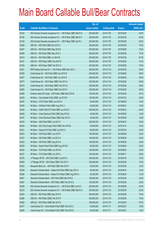|       |                                                                | No. of        |                     |               | <b>Amount raised</b> |
|-------|----------------------------------------------------------------|---------------|---------------------|---------------|----------------------|
| Code  | <b>Callable Bull/Bear Contracts</b>                            | issue (units) | <b>Listing date</b> | <b>Expiry</b> | $(HK$$ mil.)         |
| 62183 | SGA Societe Generale Acceptance N.V. - HSI R Bear CBBC Mar15 O | 200,000,000   | 2014/11/07          | 2015/03/30    | 50.00                |
| 62184 | SGA Societe Generale Acceptance N.V. - HSI R Bear CBBC Mar15 P | 200,000,000   | 2014/11/07          | 2015/03/30    | 50.00                |
| 62159 | SGA Societe Generale Acceptance N.V. - HSI R Bear CBBC Apr15 J | 200,000,000   | 2014/11/07          | 2015/04/29    | 50.00                |
| 62206 | UBS AG - HSI R Bull CBBC Apr 2015 H                            | 300,000,000   | 2014/11/07          | 2015/04/29    | 75.00                |
| 62207 | UBS AG - HSI R Bull CBBC May 2015 B                            | 300,000,000   | 2014/11/07          | 2015/05/28    | 75.00                |
| 62208 | UBS AG - HSI R Bull CBBC May 2015 C                            | 300,000,000   | 2014/11/07          | 2015/05/28    | 75.00                |
| 62210 | UBS AG - HSI R Bull CBBC Jul 2015 M                            | 350,000,000   | 2014/11/07          | 2015/07/30    | 87.50                |
| 62161 | UBS AG - HSI R Bear CBBC Feb 2015 N                            | 300,000,000   | 2014/11/07          | 2015/02/26    | 75.00                |
| 62162 | UBS AG - HSI R Bear CBBC Feb 2015 O                            | 300,000,000   | 2014/11/07          | 2015/02/26    | 75.00                |
| 62251 | BNP Paribas Arbit Issu B.V. - HSI R Bear CBBC Mar 2015 J       | 200,000,000   | 2014/11/10          | 2015/03/30    | 50.00                |
| 62255 | Credit Suisse AG - HSI R Bull CBBC Jun 2015 M                  | 238,000,000   | 2014/11/10          | 2015/06/29    | 59.50                |
| 62257 | Credit Suisse AG - HSI R Bull CBBC Jun 2015 N                  | 238,000,000   | 2014/11/10          | 2015/06/29    | 59.50                |
| 62277 | Credit Suisse AG - HSI R Bear CBBC Feb 2015 A                  | 238,000,000   | 2014/11/10          | 2015/02/26    | 59.50                |
| 62279 | Credit Suisse AG - HSI R Bear CBBC Feb 2015 D                  | 238,000,000   | 2014/11/10          | 2015/02/26    | 59.50                |
| 62283 | Credit Suisse AG - HSI R Bear CBBC Feb 2015 V                  | 238,000,000   | 2014/11/10          | 2015/02/26    | 59.50                |
| 62285 | Goldman Sachs SP (Asia) - HSI R Bear CBBC Mar 2015 B           | 150,000,000   | 2014/11/10          | 2015/03/30    | 39.75                |
| 62239 | HK Bank - China Mobile R Bull CBBC Jul 2015 M                  | 120,000,000   | 2014/11/10          | 2015/07/23    | 30.00                |
| 62242 | HK Bank - CITIC R Bull CBBC Jun 2015 A                         | 40,000,000    | 2014/11/10          | 2015/06/29    | 10.00                |
| 62249 | HK Bank - CM Bank R Bull CBBC Aug 2015 A                       | 40,000,000    | 2014/11/10          | 2015/08/31    | 10.00                |
| 62228 | HK Bank - CSOP A50 ETF R Bull CBBC Jun 2015 C                  | 200,000,000   | 2014/11/10          | 2015/06/15    | 50.00                |
| 62246 | HK Bank - China Shenhua R Bull CBBC Sep 2015 A                 | 40,000,000    | 2014/11/10          | 2015/09/29    | 12.80                |
| 62247 | HK Bank - China Shenhua R Bear CBBC Sep 2015 A                 | 40,000,000    | 2014/11/10          | 2015/09/29    | 16.00                |
| 62233 | HK Bank - A50 R Bull CBBC Jun 2015 C                           | 200,000,000   | 2014/11/10          | 2015/06/15    | 50.00                |
| 62248 | HK Bank - GCL-Poly Energy R Bull CBBC Dec 2015 B               | 40,000,000    | 2014/11/10          | 2015/12/14    | 10.00                |
| 62241 | HK Bank - Galaxy Ent R Bull CBBC Jul 2015 G                    | 80,000,000    | 2014/11/10          | 2015/07/20    | 20.00                |
| 62225 | HK Bank - HSI R Bull CBBC Jun 2015 P                           | 100,000,000   | 2014/11/10          | 2015/06/29    | 25.00                |
| 62227 | HK Bank - HSI R Bull CBBC Jun 2015 Q                           | 100,000,000   | 2014/11/10          | 2015/06/29    | 25.00                |
| 62220 | HK Bank - HSI R Bull CBBC Aug 2015 H                           | 100,000,000   | 2014/11/10          | 2015/08/28    | 25.00                |
| 62236 | HK Bank - Sands China R Bull CBBC Aug 2015 B                   | 80,000,000    | 2014/11/10          | 2015/08/03    | 20.00                |
| 62235 | HK Bank - TCH R Bull CBBC Jun 2015 K                           | 100,000,000   | 2014/11/10          | 2015/06/24    | 25.00                |
| 62237 | HK Bank - TCH R Bull CBBC Jun 2015 L                           | 100,000,000   | 2014/11/10          | 2015/06/17    | 25.00                |
| 62276 | J P Morgan SP BV - HSI R Bull CBBC Jul 2015 X                  | 300,000,000   | 2014/11/10          | 2015/07/30    | 75.00                |
| 62250 | J P Morgan SP BV - HSI R Bear CBBC Feb 2015 Y                  | 300,000,000   | 2014/11/10          | 2015/02/26    | 75.00                |
| 62253 | Macquarie Bank Ltd. - HSI R Bull CBBC Mar 2015 F               | 50,000,000    | 2014/11/10          | 2015/03/30    | 12.50                |
| 62258 | Standard Chartered Bank - Galaxy Ent R Bull CBBC Sep 2015 A    | 50,000,000    | 2014/11/10          | 2015/09/18    | 12.50                |
| 62260 | Standard Chartered Bank - Galaxy Ent R Bear CBBC Aug 2015 A    | 50,000,000    | 2014/11/10          | 2015/08/24    | 12.50                |
| 62261 | Standard Chartered Bank - HSI R Bull CBBC Mar 2015 E           | 100,000,000   | 2014/11/10          | 2015/03/30    | 25.00                |
| 62267 | Standard Chartered Bank - HSI R Bear CBBC Feb 2015 Q           | 100,000,000   | 2014/11/10          | 2015/02/26    | 25.00                |
| 62269 | SGA Societe Generale Acceptance N.V. - HSI R Bull CBBC Jun15 Z | 200,000,000   | 2014/11/10          | 2015/06/29    | 50.00                |
| 62275 | SGA Societe Generale Acceptance N.V. - HSI R Bear CBBC Mar15 Q | 200,000,000   | 2014/11/10          | 2015/03/30    | 50.00                |
| 62252 | UBS AG - HSI R Bull CBBC May 2015 D                            | 300,000,000   | 2014/11/10          | 2015/05/28    | 75.00                |
| 62280 | UBS AG - HSI R Bear CBBC Feb 2015 P                            | 300,000,000   | 2014/11/10          | 2015/02/26    | 75.00                |
| 62282 | UBS AG - HSI R Bear CBBC Mar 2015 X                            | 350,000,000   | 2014/11/10          | 2015/03/30    | 87.50                |
| 62377 | Credit Suisse AG - China Mobile R Bull CBBC Feb 2015 C         | 50,000,000    | 2014/11/11          | 2015/02/27    | 12.50                |
| 62380 | Credit Suisse AG - China Mobile R Bull CBBC Feb 2015 D         | 50,000,000    | 2014/11/11          | 2015/02/27    | 12.50                |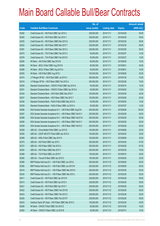|       |                                                                | No. of        |                     |               | <b>Amount raised</b> |
|-------|----------------------------------------------------------------|---------------|---------------------|---------------|----------------------|
| Code  | <b>Callable Bull/Bear Contracts</b>                            | issue (units) | <b>Listing date</b> | <b>Expiry</b> | (HK\$ mil.)          |
| 62382 | Credit Suisse AG - HSI R Bull CBBC Apr 2015 U                  | 238,000,000   | 2014/11/11          | 2015/04/29    | 59.50                |
| 62383 | Credit Suisse AG - HSI R Bull CBBC Apr 2015 V                  | 238,000,000   | 2014/11/11          | 2015/04/29    | 59.50                |
| 62325 | Credit Suisse AG - HSI R Bear CBBC Mar 2015 S                  | 238,000,000   | 2014/11/11          | 2015/03/30    | 59.50                |
| 62332 | Credit Suisse AG - HSI R Bear CBBC Mar 2015 T                  | 238,000,000   | 2014/11/11          | 2015/03/30    | 59.50                |
| 62381 | Credit Suisse AG - HSI R Bear CBBC Mar 2015 U                  | 238,000,000   | 2014/11/11          | 2015/03/30    | 59.50                |
| 62375 | Credit Suisse AG - TCH R Bull CBBC Feb 2015 C                  | 50,000,000    | 2014/11/11          | 2015/02/27    | 12.50                |
| 62376 | Credit Suisse AG - TCH R Bull CBBC Feb 2015 D                  | 50,000,000    | 2014/11/11          | 2015/02/27    | 12.50                |
| 62295 | HK Bank - AIA R Bull CBBC Sep 2015 B                           | 60,000,000    | 2014/11/11          | 2015/09/29    | 15.00                |
| 62286 | HK Bank - BOCL R Bull CBBC Aug 2015 B                          | 80,000,000    | 2014/11/11          | 2015/08/31    | 20.00                |
| 62288 | HK Bank - BOCL R Bear CBBC Aug 2015 A                          | 40,000,000    | 2014/11/11          | 2015/08/31    | 10.00                |
| 62293 | HK Bank - HSI R Bull CBBC Aug 2015 I                           | 100,000,000   | 2014/11/11          | 2015/08/28    | 25.00                |
| 62374 | J P Morgan SP BV - HSI R Bull CBBC Jul 2015 C                  | 300,000,000   | 2014/11/11          | 2015/07/30    | 75.00                |
| 62316 | J P Morgan SP BV - HSI R Bear CBBC Feb 2015 A                  | 300,000,000   | 2014/11/11          | 2015/02/26    | 75.00                |
| 62350 | Standard Chartered Bank - CNOOC R Bull CBBC Apr 2015 A         | 50,000,000    | 2014/11/11          | 2015/04/15    | 12.50                |
| 62351 | Standard Chartered Bank - CNOOC R Bear CBBC Apr 2015 A         | 50,000,000    | 2014/11/11          | 2015/04/20    | 12.50                |
| 62334 | Standard Chartered Bank - HSI R Bull CBBC Mar 2015 F           | 100,000,000   | 2014/11/11          | 2015/03/30    | 25.00                |
| 62337 | Standard Chartered Bank - HSI R Bear CBBC Feb 2015 T           | 100,000,000   | 2014/11/11          | 2015/02/26    | 25.00                |
| 62338 | Standard Chartered Bank - PetCh R Bull CBBC May 2015 A         | 50,000,000    | 2014/11/11          | 2015/05/20    | 12.50                |
| 62339 | Standard Chartered Bank - PetCh R Bear CBBC Jul 2015 A         | 50,000,000    | 2014/11/11          | 2015/07/07    | 12.50                |
| 62296 | SGA Societe Generale Acceptance N.V. - HSI R Bull CBBC Aug15 B | 400,000,000   | 2014/11/11          | 2015/08/28    | 100.00               |
| 62297 | SGA Societe Generale Acceptance N.V. - HSI R Bear CBBC Feb15 V | 200,000,000   | 2014/11/11          | 2015/02/26    | 50.00                |
| 62299 | SGA Societe Generale Acceptance N.V. - HSI R Bear CBBC Feb15 W | 200,000,000   | 2014/11/11          | 2015/02/26    | 50.00                |
| 62298 | SGA Societe Generale Acceptance N.V. - HSI R Bear CBBC Feb15 Y | 200,000,000   | 2014/11/11          | 2015/02/26    | 50.00                |
| 62309 | SGA Societe Generale Acceptance N.V. - HSI R Bear CBBC Feb15 Z | 200,000,000   | 2014/11/11          | 2015/02/26    | 50.00                |
| 62359 | UBS AG - China Mobile R Bull CBBC Jun 2015 D                   | 100,000,000   | 2014/11/11          | 2015/06/08    | 25.00                |
| 62355 | UBS AG - CSOP A50 ETF R Bull CBBC Apr 2015 A                   | 100,000,000   | 2014/11/11          | 2015/04/20    | 25.00                |
| 62369 | UBS AG - HKEx R Bull CBBC Sep 2015 H                           | 100,000,000   | 2014/11/11          | 2015/09/08    | 25.00                |
| 62370 | UBS AG - HSI R Bull CBBC Apr 2015 I                            | 350,000,000   | 2014/11/11          | 2015/04/29    | 87.50                |
| 62372 | UBS AG - HSI R Bear CBBC Feb 2015 U                            | 350,000,000   | 2014/11/11          | 2015/02/26    | 87.50                |
| 62354 | UBS AG - HSI R Bear CBBC Mar 2015 Y                            | 300,000,000   | 2014/11/11          | 2015/03/30    | 75.00                |
| 62368 | UBS AG - TCH R Bull CBBC Jun 2015 F                            | 100,000,000   | 2014/11/11          | 2015/06/15    | 25.00                |
| 62360 | UBS AG - Tencent R Bear CBBC Apr 2015 C                        | 100,000,000   | 2014/11/11          | 2015/04/20    | 25.00                |
| 62389 | BNP Paribas Arbit Issu B.V. - HSI R Bull CBBC Jun 2015 L       | 200,000,000   | 2014/11/12          | 2015/06/29    | 50.00                |
| 62385 | BNP Paribas Arbit Issu B.V. - HSI R Bull CBBC Jun 2015 W       | 200,000,000   | 2014/11/12          | 2015/06/29    | 50.00                |
| 62418 | BNP Paribas Arbit Issu B.V. - HSI R Bear CBBC Mar 2015 K       | 200,000,000   | 2014/11/12          | 2015/03/30    | 50.00                |
| 62434 | BNP Paribas Arbit Issu B.V. - HSI R Bear CBBC Mar 2015 L       | 200,000,000   | 2014/11/12          | 2015/03/30    | 50.00                |
| 62411 | Credit Suisse AG - HSI R Bull CBBC Apr 2015 W                  | 238,000,000   | 2014/11/12          | 2015/04/29    | 59.50                |
| 62413 | Credit Suisse AG - HSI R Bull CBBC Apr 2015 X                  | 238,000,000   | 2014/11/12          | 2015/04/29    | 59.50                |
| 62421 | Credit Suisse AG - HSI R Bull CBBC Apr 2015 Y                  | 238,000,000   | 2014/11/12          | 2015/04/29    | 59.50                |
| 62422 | Credit Suisse AG - HSI R Bear CBBC Feb 2015 B                  | 238,000,000   | 2014/11/12          | 2015/02/26    | 59.50                |
| 62423 | Credit Suisse AG - HSI R Bear CBBC Feb 2015 C                  | 238,000,000   | 2014/11/12          | 2015/02/26    | 59.50                |
| 62425 | Credit Suisse AG - HSI R Bear CBBC Feb 2015 P                  | 238,000,000   | 2014/11/12          | 2015/02/26    | 59.50                |
| 62433 | Goldman Sachs SP (Asia) - HSI R Bear CBBC Mar 2015 C           | 150,000,000   | 2014/11/12          | 2015/03/30    | 40.50                |
| 62406 | HK Bank - CNOOC R Bull CBBC Oct 2015 E                         | 60,000,000    | 2014/11/12          | 2015/10/30    | 19.20                |
| 62405 | HK Bank - CNOOC R Bear CBBC Jul 2015 B                         | 40,000,000    | 2014/11/12          | 2015/07/31    | 10.00                |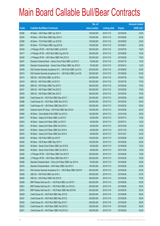|       |                                                                | No. of        |                     |               | <b>Amount raised</b> |
|-------|----------------------------------------------------------------|---------------|---------------------|---------------|----------------------|
| Code  | <b>Callable Bull/Bear Contracts</b>                            | issue (units) | <b>Listing date</b> | <b>Expiry</b> | $(HK$$ mil.)         |
| 62396 | HK Bank - HSI R Bear CBBC Apr 2015 V                           | 100,000,000   | 2014/11/12          | 2015/04/29    | 25.00                |
| 62393 | HK Bank - HSI R Bear CBBC May 2015 X                           | 100,000,000   | 2014/11/12          | 2015/05/28    | 25.00                |
| 62398 | HK Bank - TCH R Bull CBBC Jun 2015 M                           | 100,000,000   | 2014/11/12          | 2015/06/29    | 25.00                |
| 62401 | HK Bank - TCH R Bear CBBC Aug 2015 B                           | 100,000,000   | 2014/11/12          | 2015/08/31    | 25.00                |
| 62435 | J P Morgan SP BV - HSI R Bull CBBC Jul 2015 D                  | 300,000,000   | 2014/11/12          | 2015/07/30    | 75.00                |
| 62417 | J P Morgan SP BV - HSI R Bull CBBC Aug 2015 M                  | 300,000,000   | 2014/11/12          | 2015/08/28    | 75.00                |
| 62436 | J P Morgan SP BV - HSI R Bear CBBC Feb 2015 Q                  | 300,000,000   | 2014/11/12          | 2015/02/26    | 75.00                |
| 62407 | Standard Chartered Bank - Sands China R Bull CBBC Jul 2015 C   | 50,000,000    | 2014/11/12          | 2015/07/16    | 12.50                |
| 62408 | Standard Chartered Bank - Sands China R Bear CBBC Apr 2015 C   | 50,000,000    | 2014/11/12          | 2015/04/14    | 12.50                |
| 62409 | SGA Societe Generale Acceptance N.V. - HSI R Bull CBBC Jun15 A | 200,000,000   | 2014/11/12          | 2015/06/29    | 50.00                |
| 62410 | SGA Societe Generale Acceptance N.V. - HSI R Bull CBBC Jun15 B | 200,000,000   | 2014/11/12          | 2015/06/29    | 50.00                |
| 62415 | UBS AG - HSI R Bull CBBC Jul 2015 N                            | 300,000,000   | 2014/11/12          | 2015/07/30    | 75.00                |
| 62416 | UBS AG - HSI R Bull CBBC Jul 2015 O                            | 300,000,000   | 2014/11/12          | 2015/07/30    | 75.00                |
| 62428 | UBS AG - HSI R Bear CBBC Feb 2015 V                            | 300,000,000   | 2014/11/12          | 2015/02/26    | 75.00                |
| 62431 | UBS AG - HSI R Bear CBBC Feb 2015 Z                            | 300,000,000   | 2014/11/12          | 2015/02/26    | 75.00                |
| 62430 | UBS AG - HSI R Bear CBBC Mar 2015 Z                            | 300,000,000   | 2014/11/12          | 2015/03/30    | 75.00                |
| 62469 | Credit Suisse AG - HSI R Bull CBBC May 2015 C                  | 238,000,000   | 2014/11/13          | 2015/05/28    | 59.50                |
| 62486 | Credit Suisse AG - HSI R Bear CBBC Mar 2015 O                  | 238,000,000   | 2014/11/13          | 2015/03/30    | 59.50                |
| 62485 | Credit Suisse AG - HSI R Bear CBBC Mar 2015 V                  | 238,000,000   | 2014/11/13          | 2015/03/30    | 59.50                |
| 62487 | Goldman Sachs SP (Asia) - HSI R Bull CBBC Mar 2015 A           | 150,000,000   | 2014/11/13          | 2015/03/30    | 42.45                |
| 62460 | HK Bank - China Mobile R Bull CBBC Oct 2015 A                  | 120,000,000   | 2014/11/13          | 2015/10/30    | 36.00                |
| 62441 | HK Bank - Galaxy Ent R Bear CBBC Jul 2015 E                    | 60,000,000    | 2014/11/13          | 2015/07/13    | 15.00                |
| 62443 | HK Bank - Galaxy Ent R Bear CBBC Jul 2015 F                    | 60,000,000    | 2014/11/13          | 2015/07/31    | 15.00                |
| 62451 | HK Bank - Galaxy Ent R Bear CBBC Oct 2015 A                    | 60,000,000    | 2014/11/13          | 2015/10/30    | 15.00                |
| 62447 | HK Bank - Galaxy Ent R Bear CBBC Nov 2015 A                    | 60,000,000    | 2014/11/13          | 2015/11/30    | 16.20                |
| 62454 | HK Bank - Galaxy Ent R Bear CBBC Dec 2015 A                    | 60,000,000    | 2014/11/13          | 2015/12/21    | 20.40                |
| 62439 | HK Bank - HSI R Bull CBBC Apr 2015 F                           | 100,000,000   | 2014/11/13          | 2015/04/29    | 25.00                |
| 62440 | HK Bank - HSI R Bear CBBC May 2015 Y                           | 100,000,000   | 2014/11/13          | 2015/05/28    | 25.00                |
| 62444 | HK Bank - Sands China R Bear CBBC Apr 2015 B                   | 60,000,000    | 2014/11/13          | 2015/04/29    | 15.00                |
| 62450 | HK Bank - Sands China R Bear CBBC Oct 2015 A                   | 60,000,000    | 2014/11/13          | 2015/10/30    | 15.00                |
| 62492 | J P Morgan SP BV - HSI R Bear CBBC Feb 2015 R                  | 300,000,000   | 2014/11/13          | 2015/02/26    | 75.00                |
| 62488 | J P Morgan SP BV - HSI R Bear CBBC Mar 2015 T                  | 300,000,000   | 2014/11/13          | 2015/03/30    | 75.00                |
| 62466 | Standard Chartered Bank - China Life R Bear CBBC Apr 2015 A    | 50,000,000    | 2014/11/13          | 2015/04/02    | 25.00                |
| 62476 | Standard Chartered Bank - HSI R Bear CBBC Feb 2015 F           | 100,000,000   | 2014/11/13          | 2015/02/26    | 25.00                |
| 62472 | SGA Societe Generale Acceptance N.V. - HSI R Bear CBBC Feb15 P | 200,000,000   | 2014/11/13          | 2015/02/26    | 50.00                |
| 62468 | UBS AG - HSI R Bull CBBC Apr 2015 J                            | 350,000,000   | 2014/11/13          | 2015/04/29    | 87.50                |
| 62483 | UBS AG - HSI R Bear CBBC Feb 2015 R                            | 300,000,000   | 2014/11/13          | 2015/02/26    | 75.00                |
| 62499 | BNP Paribas Arbit Issu B.V. - HSI R Bull CBBC Jun 2015 P       | 200,000,000   | 2014/11/14          | 2015/06/29    | 50.00                |
| 62501 | BNP Paribas Arbit Issu B.V. - HSI R Bull CBBC Jun 2015 Q       | 200,000,000   | 2014/11/14          | 2015/06/29    | 50.00                |
| 62576 | BNP Paribas Arbit Issu B.V. - HSI R Bear CBBC Mar 2015 M       | 200,000,000   | 2014/11/14          | 2015/03/30    | 50.00                |
| 62529 | Credit Suisse AG - HSI R Bull CBBC May 2015 D                  | 238,000,000   | 2014/11/14          | 2015/05/28    | 59.50                |
| 62527 | Credit Suisse AG - HSI R Bull CBBC May 2015 E                  | 238,000,000   | 2014/11/14          | 2015/05/28    | 59.50                |
| 62530 | Credit Suisse AG - HSI R Bull CBBC May 2015 F                  | 238,000,000   | 2014/11/14          | 2015/05/28    | 59.50                |
| 62532 | Credit Suisse AG - HSI R Bear CBBC Feb 2015 E                  | 238,000,000   | 2014/11/14          | 2015/02/26    | 59.50                |
| 62531 | Credit Suisse AG - HSI R Bear CBBC Feb 2015 Q                  | 238,000,000   | 2014/11/14          | 2015/02/26    | 59.50                |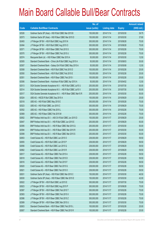|       |                                                                | No. of        |                     |               | <b>Amount raised</b> |
|-------|----------------------------------------------------------------|---------------|---------------------|---------------|----------------------|
| Code  | <b>Callable Bull/Bear Contracts</b>                            | issue (units) | <b>Listing date</b> | <b>Expiry</b> | $(HK$$ mil.)         |
| 62526 | Goldman Sachs SP (Asia) - HSI R Bull CBBC Mar 2015 B           | 150,000,000   | 2014/11/14          | 2015/03/30    | 39.75                |
| 62573 | Goldman Sachs SP (Asia) - HSI R Bear CBBC Mar 2015 D           | 150,000,000   | 2014/11/14          | 2015/03/30    | 37.80                |
| 62493 | J P Morgan SP BV - HSI R Bull CBBC Aug 2015 N                  | 300,000,000   | 2014/11/14          | 2015/08/28    | 75.00                |
| 62494 | J P Morgan SP BV - HSI R Bull CBBC Aug 2015 O                  | 300,000,000   | 2014/11/14          | 2015/08/28    | 75.00                |
| 62571 | J P Morgan SP BV - HSI R Bear CBBC Feb 2015 S                  | 300,000,000   | 2014/11/14          | 2015/02/26    | 75.00                |
| 62570 | J P Morgan SP BV - HSI R Bear CBBC Feb 2015 U                  | 300,000,000   | 2014/11/14          | 2015/02/26    | 75.00                |
| 62574 | Macquarie Bank Ltd. - HSI R Bear CBBC Mar 2015 A               | 50,000,000    | 2014/11/14          | 2015/03/30    | 12.50                |
| 62505 | Standard Chartered Bank - China Life R Bull CBBC Aug 2015 A    | 50,000,000    | 2014/11/14          | 2015/08/03    | 30.00                |
| 62507 | Standard Chartered Bank - Galaxy Ent R Bull CBBC May 2015 A    | 50,000,000    | 2014/11/14          | 2015/05/08    | 12.50                |
| 62508 | Standard Chartered Bank - HSI R Bull CBBC Feb 2015 D           | 100,000,000   | 2014/11/14          | 2015/02/26    | 25.00                |
| 62550 | Standard Chartered Bank - HSI R Bull CBBC Feb 2015 E           | 100,000,000   | 2014/11/14          | 2015/02/26    | 25.00                |
| 62551 | Standard Chartered Bank - HSI R Bear CBBC Feb 2015 I           | 100,000,000   | 2014/11/14          | 2015/02/26    | 25.00                |
| 62506 | Standard Chartered Bank - Hutchison R Bull CBBC Apr 2015 A     | 50,000,000    | 2014/11/14          | 2015/04/02    | 12.50                |
| 62513 | SGA Societe Generale Acceptance N.V. - HSI R Bull CBBC Jul15 U | 200,000,000   | 2014/11/14          | 2015/07/30    | 50.00                |
| 62514 | SGA Societe Generale Acceptance N.V. - HSI R Bull CBBC Jul15 V | 200,000,000   | 2014/11/14          | 2015/07/30    | 50.00                |
| 62517 | SGA Societe Generale Acceptance N.V. - HSI R Bear CBBC Mar15 R | 200,000,000   | 2014/11/14          | 2015/03/30    | 50.00                |
| 62524 | UBS AG - HSCEI R Bull CBBC Sep 2015 A                          | 100,000,000   | 2014/11/14          | 2015/09/29    | 25.00                |
| 62518 | UBS AG - HSI R Bull CBBC May 2015 E                            | 300,000,000   | 2014/11/14          | 2015/05/28    | 75.00                |
| 62523 | UBS AG - HSI R Bull CBBC Jun 2015 C                            | 300,000,000   | 2014/11/14          | 2015/06/29    | 75.00                |
| 62552 | UBS AG - HSI R Bear CBBC Feb 2015 L                            | 300,000,000   | 2014/11/14          | 2015/02/26    | 75.00                |
| 62569 | UBS AG - HSI R Bear CBBC Feb 2015 M                            | 300,000,000   | 2014/11/14          | 2015/02/26    | 75.00                |
| 62652 | BNP Paribas Arbit Issu B.V. - A50 Ch R Bull CBBC Jun 2015 D    | 100,000,000   | 2014/11/17          | 2015/06/29    | 25.00                |
| 62647 | BNP Paribas Arbit Issu B.V. - HSI R Bull CBBC Jun 2015 E       | 200,000,000   | 2014/11/17          | 2015/06/29    | 50.00                |
| 62595 | BNP Paribas Arbit Issu B.V. - HSI R Bear CBBC Mar 2015 Q       | 200,000,000   | 2014/11/17          | 2015/03/30    | 50.00                |
| 62594 | BNP Paribas Arbit Issu B.V. - HSI R Bear CBBC Mar 2015 R       | 200,000,000   | 2014/11/17          | 2015/03/30    | 50.00                |
| 62599 | BNP Paribas Arbit Issu B.V. - HSI R Bear CBBC Mar 2015 S       | 200,000,000   | 2014/11/17          | 2015/03/30    | 50.00                |
| 62653 | Credit Suisse AG - HSI R Bull CBBC Jun 2015 O                  | 238,000,000   | 2014/11/17          | 2015/06/29    | 59.50                |
| 62655 | Credit Suisse AG - HSI R Bull CBBC Jun 2015 P                  | 238,000,000   | 2014/11/17          | 2015/06/29    | 59.50                |
| 62656 | Credit Suisse AG - HSI R Bull CBBC Jun 2015 Q                  | 238,000,000   | 2014/11/17          | 2015/06/29    | 59.50                |
| 62662 | Credit Suisse AG - HSI R Bull CBBC Jun 2015 R                  | 238,000,000   | 2014/11/17          | 2015/06/29    | 59.50                |
| 62617 | Credit Suisse AG - HSI R Bear CBBC Feb 2015 A                  | 238,000,000   | 2014/11/17          | 2015/02/26    | 59.50                |
| 62618 | Credit Suisse AG - HSI R Bear CBBC Feb 2015 D                  | 238,000,000   | 2014/11/17          | 2015/02/26    | 59.50                |
| 62616 | Credit Suisse AG - HSI R Bear CBBC Feb 2015 F                  | 238,000,000   | 2014/11/17          | 2015/02/26    | 59.50                |
| 62620 | Credit Suisse AG - HSI R Bear CBBC Feb 2015 G                  | 238,000,000   | 2014/11/17          | 2015/02/26    | 59.50                |
| 62621 | Credit Suisse AG - HSI R Bear CBBC Feb 2015 O                  | 238,000,000   | 2014/11/17          | 2015/02/26    | 59.50                |
| 62631 | Goldman Sachs SP (Asia) - HSI R Bull CBBC Mar 2015 C           | 150,000,000   | 2014/11/17          | 2015/03/30    | 46.50                |
| 62630 | Goldman Sachs SP (Asia) - HSI R Bear CBBC Mar 2015 E           | 150,000,000   | 2014/11/17          | 2015/03/30    | 42.00                |
| 62622 | J P Morgan SP BV - HSI R Bull CBBC Jul 2015 E                  | 300,000,000   | 2014/11/17          | 2015/07/30    | 75.00                |
| 62623 | J P Morgan SP BV - HSI R Bull CBBC Aug 2015 P                  | 300,000,000   | 2014/11/17          | 2015/08/28    | 75.00                |
| 62587 | J P Morgan SP BV - HSI R Bear CBBC Feb 2015 T                  | 300,000,000   | 2014/11/17          | 2015/02/26    | 75.00                |
| 62583 | J P Morgan SP BV - HSI R Bear CBBC Feb 2015 X                  | 300,000,000   | 2014/11/17          | 2015/02/26    | 75.00                |
| 62586 | J P Morgan SP BV - HSI R Bear CBBC Feb 2015 Z                  | 300,000,000   | 2014/11/17          | 2015/02/26    | 75.00                |
| 62589 | J P Morgan SP BV - HSI R Bear CBBC Mar 2015 U                  | 300,000,000   | 2014/11/17          | 2015/03/30    | 75.00                |
| 62603 | Standard Chartered Bank - HSI R Bear CBBC Feb 2015 L           | 100,000,000   | 2014/11/17          | 2015/02/26    | 25.00                |
| 62607 | Standard Chartered Bank - HSI R Bear CBBC Feb 2015 R           | 100,000,000   | 2014/11/17          | 2015/02/26    | 25.00                |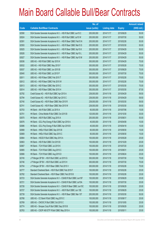|       |                                                                | No. of        |                     |               | <b>Amount raised</b> |
|-------|----------------------------------------------------------------|---------------|---------------------|---------------|----------------------|
| Code  | <b>Callable Bull/Bear Contracts</b>                            | issue (units) | <b>Listing date</b> | <b>Expiry</b> | $(HK$$ mil.)         |
| 62590 | SGA Societe Generale Acceptance N.V. - HSI R Bull CBBC Jun15 C | 200,000,000   | 2014/11/17          | 2015/06/29    | 50.00                |
| 62624 | SGA Societe Generale Acceptance N.V. - HSI R Bull CBBC Jul15 W | 200,000,000   | 2014/11/17          | 2015/07/30    | 50.00                |
| 62591 | SGA Societe Generale Acceptance N.V. - HSI R Bear CBBC Feb15 N | 200,000,000   | 2014/11/17          | 2015/02/26    | 50.00                |
| 62593 | SGA Societe Generale Acceptance N.V. - HSI R Bear CBBC Mar15 S | 200,000,000   | 2014/11/17          | 2015/03/30    | 50.00                |
| 62625 | SGA Societe Generale Acceptance N.V. - HSI R Bear CBBC Apr15 K | 200,000,000   | 2014/11/17          | 2015/04/29    | 50.00                |
| 62626 | SGA Societe Generale Acceptance N.V. - HSI R Bear CBBC Apr15 L | 200,000,000   | 2014/11/17          | 2015/04/29    | 50.00                |
| 62627 | SGA Societe Generale Acceptance N.V. - HSI R Bear CBBC Apr15 M | 200,000,000   | 2014/11/17          | 2015/04/29    | 50.00                |
| 62636 | UBS AG - HSI R Bull CBBC Apr 2015 K                            | 300,000,000   | 2014/11/17          | 2015/04/29    | 75.00                |
| 62632 | UBS AG - HSI R Bull CBBC May 2015 F                            | 300,000,000   | 2014/11/17          | 2015/05/28    | 75.00                |
| 62637 | UBS AG - HSI R Bull CBBC Jun 2015 B                            | 300,000,000   | 2014/11/17          | 2015/06/29    | 75.00                |
| 62640 | UBS AG - HSI R Bull CBBC Jul 2015 P                            | 300,000,000   | 2014/11/17          | 2015/07/30    | 75.00                |
| 62611 | UBS AG - HSI R Bear CBBC Feb 2015 T                            | 300,000,000   | 2014/11/17          | 2015/02/26    | 75.00                |
| 62612 | UBS AG - HSI R Bear CBBC Feb 2015 W                            | 300,000,000   | 2014/11/17          | 2015/02/26    | 75.00                |
| 62613 | UBS AG - HSI R Bear CBBC Mar 2015 C                            | 300,000,000   | 2014/11/17          | 2015/03/30    | 75.00                |
| 62614 | UBS AG - HSI R Bear CBBC Mar 2015 H                            | 350,000,000   | 2014/11/17          | 2015/03/30    | 87.50                |
| 62792 | Credit Suisse AG - HSI R Bull CBBC Apr 2015 A                  | 238,000,000   | 2014/11/18          | 2015/04/29    | 59.50                |
| 62794 | Credit Suisse AG - HSI R Bull CBBC Apr 2015 C                  | 238,000,000   | 2014/11/18          | 2015/04/29    | 59.50                |
| 62740 | Credit Suisse AG - HSI R Bear CBBC Mar 2015 R                  | 238,000,000   | 2014/11/18          | 2015/03/30    | 59.50                |
| 62741 | Credit Suisse AG - HSI R Bear CBBC Mar 2015 W                  | 238,000,000   | 2014/11/18          | 2015/03/30    | 59.50                |
| 62703 | HK Bank - AIA R Bull CBBC Jul 2015 A                           | 60,000,000    | 2014/11/18          | 2015/07/06    | 15.00                |
| 62701 | HK Bank - China Mobile R Bull CBBC Oct 2015 B                  | 120,000,000   | 2014/11/18          | 2015/10/30    | 30.00                |
| 62670 | HK Bank - A50 R Bull CBBC Aug 2015 A                           | 200,000,000   | 2014/11/18          | 2015/08/31    | 50.00                |
| 62676 | HK Bank - GCL-Poly Energy R Bull CBBC Apr 2016 A               | 40,000,000    | 2014/11/18          | 2016/04/08    | 10.00                |
| 62686 | HK Bank - GCL-Poly Energy R Bull CBBC Apr 2016 B               | 40,000,000    | 2014/11/18          | 2016/04/18    | 10.00                |
| 62668 | HK Bank - HKEx R Bull CBBC Sep 2015 B                          | 60,000,000    | 2014/11/18          | 2015/09/30    | 15.00                |
| 62669 | HK Bank - HKEx R Bull CBBC Sep 2015 C                          | 60,000,000    | 2014/11/18          | 2015/09/30    | 15.00                |
| 62664 | HK Bank - HSCEI R Bull CBBC May 2015 A                         | 100,000,000   | 2014/11/18          | 2015/05/28    | 25.00                |
| 62663 | HK Bank - HSI R Bull CBBC Oct 2015 B                           | 100,000,000   | 2014/11/18          | 2015/10/29    | 25.00                |
| 62667 | HK Bank - TCH R Bull CBBC Jul 2015 K                           | 100,000,000   | 2014/11/18          | 2015/07/20    | 25.00                |
| 62665 | HK Bank - TCH R Bull CBBC Aug 2015 C                           | 100,000,000   | 2014/11/18          | 2015/08/31    | 25.00                |
| 62666 | HK Bank - TCH R Bull CBBC Aug 2015 D                           | 100,000,000   | 2014/11/18          | 2015/08/24    | 25.00                |
| 62745 | J P Morgan SP BV - HSI R Bull CBBC Jul 2015 G                  | 300,000,000   | 2014/11/18          | 2015/07/30    | 75.00                |
| 62746 | J P Morgan SP BV - HSI R Bull CBBC Jul 2015 H                  | 300,000,000   | 2014/11/18          | 2015/07/30    | 75.00                |
| 62704 | J P Morgan SP BV - HSI R Bear CBBC Feb 2015 V                  | 300,000,000   | 2014/11/18          | 2015/02/26    | 75.00                |
| 62777 | Standard Chartered Bank - HSI R Bull CBBC Feb 2015 F           | 100,000,000   | 2014/11/18          | 2015/02/26    | 25.00                |
| 62782 | Standard Chartered Bank - HSI R Bear CBBC Feb 2015 B           | 100,000,000   | 2014/11/18          | 2015/02/26    | 25.00                |
| 62723 | SGA Societe Generale Acceptance N.V - CSA50 R Bull CBBC Jun15F | 100,000,000   | 2014/11/18          | 2015/06/29    | 25.00                |
| 62721 | SGA Societe Generale Acceptance N.V - CSA50 R Bull CBBC Jul15A | 100,000,000   | 2014/11/18          | 2015/07/30    | 25.00                |
| 62726 | SGA Societe Generale Acceptance N.V - CSA50 R Bear CBBC Jun15C | 100,000,000   | 2014/11/18          | 2015/06/29    | 25.00                |
| 62727 | SGA Societe Generale Acceptance N.V. - A50 R Bull CBBC Jun 15E | 100,000,000   | 2014/11/18          | 2015/06/29    | 25.00                |
| 62739 | SGA Societe Generale Acceptance N.V. - HSI R Bear CBBC Mar 15T | 200,000,000   | 2014/11/18          | 2015/03/30    | 50.00                |
| 62768 | UBS AG - CC Bank R Bull CBBC Aug 2015 C                        | 100,000,000   | 2014/11/18          | 2015/08/17    | 25.00                |
| 62769 | UBS AG - CNOOC R Bull CBBC Oct 2015 C                          | 100,000,000   | 2014/11/18          | 2015/10/05    | 25.00                |
| 62774 | UBS AG - Sinopec Corp R Bull CBBC Sep 2015 B                   | 100,000,000   | 2014/11/18          | 2015/09/29    | 25.00                |
| 62763 | UBS AG - CSOP A50 ETF R Bull CBBC May 2015 A                   | 100,000,000   | 2014/11/18          | 2015/05/11    | 25.00                |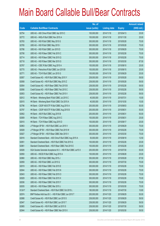|        |                                                                | No. of        |                     |               | <b>Amount raised</b> |
|--------|----------------------------------------------------------------|---------------|---------------------|---------------|----------------------|
| Code   | <b>Callable Bull/Bear Contracts</b>                            | issue (units) | <b>Listing date</b> | <b>Expiry</b> | $(HK$$ mil.)         |
| 62754  | UBS AG - A50 China R Bull CBBC Apr 2015 C                      | 100,000,000   | 2014/11/18          | 2015/04/13    | 25.00                |
| 62772  | UBS AG - HKEx R Bull CBBC Nov 2015 A                           | 100,000,000   | 2014/11/18          | 2015/11/30    | 25.00                |
| 62783  | UBS AG - HSI R Bull CBBC May 2015 G                            | 300,000,000   | 2014/11/18          | 2015/05/28    | 75.00                |
| 62785  | UBS AG - HSI R Bull CBBC May 2015 I                            | 300,000,000   | 2014/11/18          | 2015/05/28    | 75.00                |
| 62786  | UBS AG - HSI R Bull CBBC Jun 2015 D                            | 300,000,000   | 2014/11/18          | 2015/06/29    | 75.00                |
| 62706  | UBS AG - HSI R Bear CBBC Feb 2015 C                            | 300,000,000   | 2014/11/18          | 2015/02/26    | 75.00                |
| 62714  | UBS AG - HSI R Bear CBBC Feb 2015 Q                            | 300,000,000   | 2014/11/18          | 2015/02/26    | 75.00                |
| 62718  | UBS AG - HSI R Bear CBBC Mar 2015 G                            | 350,000,000   | 2014/11/18          | 2015/03/30    | 87.50                |
| 62767  | UBS AG - ICBC R Bull CBBC Aug 2015 A                           | 100,000,000   | 2014/11/18          | 2015/08/10    | 25.00                |
| 62770  | UBS AG - Petrochina R Bull CBBC Jun 2015 B                     | 100,000,000   | 2014/11/18          | 2015/06/15    | 25.00                |
| 62771  | UBS AG - TCH R Bull CBBC Jun 2015 G                            | 100,000,000   | 2014/11/18          | 2015/06/29    | 25.00                |
| 62857  | Credit Suisse AG - HSI R Bull CBBC May 2015 Y                  | 238,000,000   | 2014/11/19          | 2015/05/28    | 59.50                |
| 62858  | Credit Suisse AG - HSI R Bull CBBC May 2015 Z                  | 238,000,000   | 2014/11/19          | 2015/05/28    | 59.50                |
| 62854  | Credit Suisse AG - HSI R Bear CBBC Feb 2015 B                  | 238,000,000   | 2014/11/19          | 2015/02/26    | 59.50                |
| 62856  | Credit Suisse AG - HSI R Bear CBBC Feb 2015 C                  | 238,000,000   | 2014/11/19          | 2015/02/26    | 59.50                |
| 62853  | Credit Suisse AG - HSI R Bear CBBC Feb 2015 V                  | 238,000,000   | 2014/11/19          | 2015/02/26    | 59.50                |
| 62812  | HK Bank - Minsheng Bank R Bull CBBC Jul 2015 C                 | 40,000,000    | 2014/11/19          | 2015/07/31    | 10.00                |
| 62815  | HK Bank - Minsheng Bank R Bull CBBC Oct 2015 A                 | 40,000,000    | 2014/11/19          | 2015/10/30    | 10.00                |
| 62796  | HK Bank - CSOP A50 ETF R Bull CBBC Aug 2015 A                  | 200,000,000   | 2014/11/19          | 2015/08/03    | 50.00                |
| 62797  | HK Bank - CSOP A50 ETF R Bull CBBC Aug 2015 B                  | 200,000,000   | 2014/11/19          | 2015/08/31    | 50.00                |
| 62802  | HK Bank - A50 R Bull CBBC Aug 2015 B                           | 200,000,000   | 2014/11/19          | 2015/08/31    | 50.00                |
| 62809  | HK Bank - TCH R Bear CBBC Aug 2015 C                           | 100,000,000   | 2014/11/19          | 2015/08/31    | 25.00                |
| 62810  | HK Bank - TCH R Bear CBBC Aug 2015 D                           | 100,000,000   | 2014/11/19          | 2015/08/17    | 25.00                |
| 62863  | J P Morgan SP BV - HSI R Bull CBBC Jun 2015 V                  | 300,000,000   | 2014/11/19          | 2015/06/29    | 75.00                |
| 62828  | J P Morgan SP BV - HSI R Bear CBBC Feb 2015 W                  | 300,000,000   | 2014/11/19          | 2015/02/26    | 75.00                |
| 62827  | J P Morgan SP BV - HSI R Bear CBBC Mar 2015 V                  | 300,000,000   | 2014/11/19          | 2015/03/30    | 75.00                |
| 62816  | Standard Chartered Bank - A50 China R Bull CBBC Aug 2015 A     | 50,000,000    | 2014/11/19          | 2015/08/18    | 12.50                |
| 62851  | Standard Chartered Bank - HSI R Bull CBBC Feb 2015 G           | 100,000,000   | 2014/11/19          | 2015/02/26    | 25.00                |
| 62861  | Standard Chartered Bank - HSI R Bear CBBC Feb 2015 E           | 100,000,000   | 2014/11/19          | 2015/02/26    | 25.00                |
| 62826  | SGA Societe Generale Acceptance N.V. - HSI R Bull CBBC Jul15 X | 200,000,000   | 2014/11/19          | 2015/07/30    | 50.00                |
| 62850  | UBS AG - HSCEI R Bull CBBC Aug 2015 A                          | 100,000,000   | 2014/11/19          | 2015/08/28    | 25.00                |
| 62860  | UBS AG - HSI R Bull CBBC May 2015 J                            | 350,000,000   | 2014/11/19          | 2015/05/28    | 87.50                |
| 62859  | UBS AG - HSI R Bull CBBC Jul 2015 Q                            | 300,000,000   | 2014/11/19          | 2015/07/30    | 75.00                |
| 62819  | UBS AG - HSI R Bear CBBC Feb 2015 E                            | 300,000,000   | 2014/11/19          | 2015/02/26    | 75.00                |
| 62844  | UBS AG - HSI R Bear CBBC Feb 2015 N                            | 300,000,000   | 2014/11/19          | 2015/02/26    | 75.00                |
| 62843  | UBS AG - HSI R Bear CBBC Feb 2015 O                            | 300,000,000   | 2014/11/19          | 2015/02/26    | 75.00                |
| 62829  | UBS AG - HSI R Bear CBBC Feb 2015 X                            | 300,000,000   | 2014/11/19          | 2015/02/26    | 75.00                |
| 62836  | UBS AG - HSI R Bear CBBC Feb 2015 Y                            | 300,000,000   | 2014/11/19          | 2015/02/26    | 75.00                |
| 62835  | UBS AG - HSI R Bear CBBC Mar 2015 J                            | 300,000,000   | 2014/11/19          | 2015/03/30    | 75.00                |
| 61241# | Standard Chartered Bank - HSI R Bull CBBC Oct 2015 L           | 180,000,000   | 2014/11/19          | 2014/07/30    | 10.80                |
| 62974  | BNP Paribas Arbit Issu B.V. - HSI R Bull CBBC Jun 2015 T       | 200,000,000   | 2014/11/20          | 2015/06/29    | 50.00                |
| 62888  | Credit Suisse AG - HSI R Bull CBBC Jun 2015 S                  | 238,000,000   | 2014/11/20          | 2015/06/29    | 59.50                |
| 62947  | Credit Suisse AG - HSI R Bull CBBC Jun 2015 T                  | 238,000,000   | 2014/11/20          | 2015/06/29    | 59.50                |
| 62865  | Credit Suisse AG - HSI R Bull CBBC Jul 2015 S                  | 238,000,000   | 2014/11/20          | 2015/07/30    | 59.50                |
| 62944  | Credit Suisse AG - HSI R Bear CBBC Mar 2015 X                  | 238,000,000   | 2014/11/20          | 2015/03/30    | 59.50                |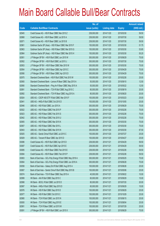|       |                                                            | No. of        |                     |               | <b>Amount raised</b> |
|-------|------------------------------------------------------------|---------------|---------------------|---------------|----------------------|
| Code  | <b>Callable Bull/Bear Contracts</b>                        | issue (units) | <b>Listing date</b> | <b>Expiry</b> | $(HK$$ mil.)         |
| 62945 | Credit Suisse AG - HSI R Bear CBBC Mar 2015 Z              | 238,000,000   | 2014/11/20          | 2015/03/30    | 59.50                |
| 62868 | Credit Suisse AG - HSI R Bear CBBC Jul 2015 A              | 238,000,000   | 2014/11/20          | 2015/07/30    | 59.50                |
| 62871 | Credit Suisse AG - HSI R Bear CBBC Jul 2015 B              | 238,000,000   | 2014/11/20          | 2015/07/30    | 59.50                |
| 62961 | Goldman Sachs SP (Asia) - HSI R Bear CBBC Mar 2015 F       | 150,000,000   | 2014/11/20          | 2015/03/30    | 51.75                |
| 62963 | Goldman Sachs SP (Asia) - HSI R Bear CBBC Mar 2015 G       | 150,000,000   | 2014/11/20          | 2015/03/30    | 53.85                |
| 62964 | Goldman Sachs SP (Asia) - HSI R Bear CBBC Mar 2015 H       | 150,000,000   | 2014/11/20          | 2015/03/30    | 55.20                |
| 62951 | J P Morgan SP BV - HSI R Bull CBBC Jun 2015 W              | 300,000,000   | 2014/11/20          | 2015/06/29    | 75.00                |
| 62952 | J P Morgan SP BV - HSI R Bull CBBC Jul 2015 J              | 300,000,000   | 2014/11/20          | 2015/07/30    | 75.00                |
| 62953 | J P Morgan SP BV - HSI R Bear CBBC Mar 2015 W              | 300,000,000   | 2014/11/20          | 2015/03/30    | 75.00                |
| 62954 | J P Morgan SP BV - HSI R Bear CBBC Apr 2015 C              | 300,000,000   | 2014/11/20          | 2015/04/29    | 75.00                |
| 62956 | J P Morgan SP BV - HSI R Bear CBBC Apr 2015 D              | 300,000,000   | 2014/11/20          | 2015/04/29    | 75.00                |
| 62975 | Standard Chartered Bank - HSI R Bull CBBC Feb 2015 W       | 100,000,000   | 2014/11/20          | 2015/02/26    | 25.00                |
| 62900 | Standard Chartered Bank - Lenovo R Bear CBBC Sep 2015 A    | 50,000,000    | 2014/11/20          | 2015/09/10    | 12.50                |
| 62890 | Standard Chartered Bank - Ping An R Bear CBBC May 2015 A   | 50,000,000    | 2014/11/20          | 2015/05/22    | 12.50                |
| 62891 | Standard Chartered Bank - TCH R Bull CBBC Aug 2015 C       | 80,000,000    | 2014/11/20          | 2015/08/19    | 20.00                |
| 62892 | Standard Chartered Bank - TCH R Bear CBBC Aug 2015 A       | 80,000,000    | 2014/11/20          | 2015/08/20    | 20.00                |
| 62924 | UBS AG - CSOP A50 ETF R Bull CBBC Mar 2015 F               | 100,000,000   | 2014/11/20          | 2015/03/23    | 25.00                |
| 62941 | UBS AG - HKEx R Bull CBBC Oct 2015 D                       | 100,000,000   | 2014/11/20          | 2015/10/05    | 25.00                |
| 62946 | UBS AG - HSI R Bull CBBC Jun 2015 A                        | 300,000,000   | 2014/11/20          | 2015/06/29    | 75.00                |
| 62922 | UBS AG - HSI R Bear CBBC Feb 2015 P                        | 300,000,000   | 2014/11/20          | 2015/02/26    | 75.00                |
| 62923 | UBS AG - HSI R Bear CBBC Feb 2015 S                        | 300,000,000   | 2014/11/20          | 2015/02/26    | 75.00                |
| 62942 | UBS AG - HSI R Bear CBBC Feb 2015 U                        | 300,000,000   | 2014/11/20          | 2015/02/26    | 75.00                |
| 62905 | UBS AG - HSI R Bear CBBC Mar 2015 K                        | 300,000,000   | 2014/11/20          | 2015/03/30    | 75.00                |
| 62907 | UBS AG - HSI R Bear CBBC Mar 2015 L                        | 300,000,000   | 2014/11/20          | 2015/03/30    | 75.00                |
| 62943 | UBS AG - HSI R Bear CBBC Mar 2015 N                        | 350,000,000   | 2014/11/20          | 2015/03/30    | 87.50                |
| 62925 | UBS AG - Sands China R Bull CBBC Jul 2015 C                | 100,000,000   | 2014/11/20          | 2015/07/27    | 25.00                |
| 62929 | UBS AG - Tencent R Bear CBBC Apr 2015 D                    | 100,000,000   | 2014/11/20          | 2015/04/27    | 25.00                |
| 63086 | Credit Suisse AG - HSI R Bull CBBC Apr 2015 D              | 238,000,000   | 2014/11/21          | 2015/04/29    | 59.50                |
| 63087 | Credit Suisse AG - HSI R Bull CBBC Apr 2015 E              | 238,000,000   | 2014/11/21          | 2015/04/29    | 59.50                |
| 63085 | Credit Suisse AG - HSI R Bear CBBC Feb 2015 E              | 238,000,000   | 2014/11/21          | 2015/02/26    | 59.50                |
| 63084 | Credit Suisse AG - HSI R Bear CBBC Feb 2015 P              | 238,000,000   | 2014/11/21          | 2015/02/26    | 59.50                |
| 63063 | Bank of East Asia - GCL-Poly Energy R Bull CBBC May 2016 A | 300,000,000   | 2014/11/21          | 2016/05/25    | 75.00                |
| 63064 | Bank of East Asia - GCL-Poly Energy R Bull CBBC Jun 2016 A | 300,000,000   | 2014/11/21          | 2016/06/28    | 75.00                |
| 63058 | Bank of East Asia - Galaxy Ent R Bull CBBC Aug 2015 A      | 100,000,000   | 2014/11/21          | 2015/08/26    | 25.00                |
| 63067 | Bank of East Asia - Sands China R Bull CBBC May 2015 B     | 100,000,000   | 2014/11/21          | 2015/05/06    | 25.00                |
| 63074 | Bank of East Asia - TCH R Bear CBBC Sep 2015 A             | 40,000,000    | 2014/11/21          | 2015/09/22    | 10.00                |
| 62999 | HK Bank - AIA R Bull CBBC Sep 2015 C                       | 60,000,000    | 2014/11/21          | 2015/09/29    | 15.00                |
| 62998 | HK Bank - BOCL R Bull CBBC Jul 2015 D                      | 80,000,000    | 2014/11/21          | 2015/07/20    | 20.00                |
| 62997 | HK Bank - HKEx R Bull CBBC Sep 2015 D                      | 60,000,000    | 2014/11/21          | 2015/09/29    | 15.00                |
| 62976 | HK Bank - HSI R Bull CBBC Sep 2015 D                       | 100,000,000   | 2014/11/21          | 2015/09/29    | 25.00                |
| 62977 | HK Bank - HSI R Bull CBBC Oct 2015 C                       | 100,000,000   | 2014/11/21          | 2015/10/29    | 25.00                |
| 62980 | HK Bank - TCH R Bull CBBC Jun 2015 N                       | 100,000,000   | 2014/11/21          | 2015/06/15    | 25.00                |
| 63000 | HK Bank - TCH R Bull CBBC Aug 2015 E                       | 100,000,000   | 2014/11/21          | 2015/08/04    | 25.00                |
| 62991 | HK Bank - TCH R Bear CBBC Jul 2015 M                       | 100,000,000   | 2014/11/21          | 2015/07/29    | 25.00                |
| 63091 | J P Morgan SP BV - HSI R Bull CBBC Jun 2015 X              | 300,000,000   | 2014/11/21          | 2015/06/29    | 75.00                |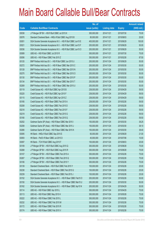|       |                                                                | No. of        |                     |               | <b>Amount raised</b> |
|-------|----------------------------------------------------------------|---------------|---------------------|---------------|----------------------|
| Code  | <b>Callable Bull/Bear Contracts</b>                            | issue (units) | <b>Listing date</b> | <b>Expiry</b> | $(HK$$ mil.)         |
| 63038 | J P Morgan SP BV - HSI R Bull CBBC Jul 2015 K                  | 300,000,000   | 2014/11/21          | 2015/07/30    | 75.00                |
| 63076 | Standard Chartered Bank - HKEx R Bull CBBC Aug 2015 B          | 80,000,000    | 2014/11/21          | 2015/08/03    | 20.00                |
| 63001 | SGA Societe Generale Acceptance N.V. - HSI R Bull CBBC Jun15 E | 400,000,000   | 2014/11/21          | 2015/06/29    | 100.00               |
| 63021 | SGA Societe Generale Acceptance N.V. - HSI R Bull CBBC Jun15 F | 200,000,000   | 2014/11/21          | 2015/06/29    | 50.00                |
| 63036 | SGA Societe Generale Acceptance N.V. - HSI R Bull CBBC Jun15 O | 200,000,000   | 2014/11/21          | 2015/06/29    | 50.00                |
| 63089 | UBS AG - HSI R Bull CBBC Jul 2015 R                            | 300,000,000   | 2014/11/21          | 2015/07/30    | 75.00                |
| 63056 | UBS AG - HSI R Bear CBBC Feb 2015 Z                            | 350,000,000   | 2014/11/21          | 2015/02/26    | 87.50                |
| 63120 | BNP Paribas Arbit Issu B.V. - HSI R Bull CBBC Jun 2015 U       | 200,000,000   | 2014/11/24          | 2015/06/29    | 50.00                |
| 63272 | BNP Paribas Arbit Issu B.V. - HSI R Bear CBBC Mar 2015 C       | 200,000,000   | 2014/11/24          | 2015/03/30    | 50.00                |
| 63128 | BNP Paribas Arbit Issu B.V. - HSI R Bear CBBC Mar 2015 N       | 200,000,000   | 2014/11/24          | 2015/03/30    | 50.00                |
| 63270 | BNP Paribas Arbit Issu B.V. - HSI R Bear CBBC Mar 2015 O       | 200,000,000   | 2014/11/24          | 2015/03/30    | 50.00                |
| 63130 | BNP Paribas Arbit Issu B.V. - HSI R Bear CBBC Mar 2015 P       | 200,000,000   | 2014/11/24          | 2015/03/30    | 50.00                |
| 63134 | BNP Paribas Arbit Issu B.V. - HSI R Bear CBBC Mar 2015 T       | 200,000,000   | 2014/11/24          | 2015/03/30    | 50.00                |
| 63269 | BNP Paribas Arbit Issu B.V. - HSI R Bear CBBC Mar 2015 U       | 200,000,000   | 2014/11/24          | 2015/03/30    | 50.00                |
| 63119 | Credit Suisse AG - HSI R Bull CBBC Apr 2015 B                  | 238,000,000   | 2014/11/24          | 2015/04/29    | 59.50                |
| 63220 | Credit Suisse AG - HSI R Bull CBBC Apr 2015 F                  | 238,000,000   | 2014/11/24          | 2015/04/29    | 59.50                |
| 63115 | Credit Suisse AG - HSI R Bull CBBC Apr 2015 Z                  | 238,000,000   | 2014/11/24          | 2015/04/29    | 59.50                |
| 63185 | Credit Suisse AG - HSI R Bear CBBC Feb 2015 A                  | 238,000,000   | 2014/11/24          | 2015/02/26    | 59.50                |
| 63208 | Credit Suisse AG - HSI R Bear CBBC Feb 2015 D                  | 238,000,000   | 2014/11/24          | 2015/02/26    | 59.50                |
| 63218 | Credit Suisse AG - HSI R Bear CBBC Feb 2015 F                  | 238,000,000   | 2014/11/24          | 2015/02/26    | 59.50                |
| 63219 | Credit Suisse AG - HSI R Bear CBBC Feb 2015 G                  | 238,000,000   | 2014/11/24          | 2015/02/26    | 59.50                |
| 63180 | Credit Suisse AG - HSI R Bear CBBC Feb 2015 Q                  | 238,000,000   | 2014/11/24          | 2015/02/26    | 59.50                |
| 63252 | Goldman Sachs SP (Asia) - HSI R Bear CBBC Mar 2015 I           | 150,000,000   | 2014/11/24          | 2015/03/30    | 38.25                |
| 63258 | Goldman Sachs SP (Asia) - HSI R Bear CBBC Mar 2015 J           | 150,000,000   | 2014/11/24          | 2015/03/30    | 38.10                |
| 63266 | Goldman Sachs SP (Asia) - HSI R Bear CBBC Mar 2015 K           | 150,000,000   | 2014/11/24          | 2015/03/30    | 38.40                |
| 63095 | HK Bank - HKEx R Bull CBBC Sep 2015 E                          | 60,000,000    | 2014/11/24          | 2015/09/29    | 21.00                |
| 63093 | HK Bank - PetCh R Bear CBBC Jul 2015 D                         | 40,000,000    | 2014/11/24          | 2015/07/06    | 10.00                |
| 63097 | HK Bank - TCH R Bull CBBC Aug 2015 F                           | 100,000,000   | 2014/11/24          | 2015/08/03    | 25.00                |
| 63109 | J P Morgan SP BV - HSI R Bull CBBC Aug 2015 Q                  | 300,000,000   | 2014/11/24          | 2015/08/28    | 75.00                |
| 63268 | J P Morgan SP BV - HSI R Bull CBBC Aug 2015 R                  | 300,000,000   | 2014/11/24          | 2015/08/28    | 75.00                |
| 63107 | J P Morgan SP BV - HSI R Bear CBBC Feb 2015 A                  | 300,000,000   | 2014/11/24          | 2015/02/26    | 75.00                |
| 63267 | J P Morgan SP BV - HSI R Bear CBBC Feb 2015 Q                  | 300,000,000   | 2014/11/24          | 2015/02/26    | 75.00                |
| 63106 | J P Morgan SP BV - HSI R Bear CBBC Feb 2015 Y                  | 300,000,000   | 2014/11/24          | 2015/02/26    | 75.00                |
| 63139 | Standard Chartered Bank - HSI R Bull CBBC Feb 2015 Y           | 100,000,000   | 2014/11/24          | 2015/02/26    | 25.00                |
| 63238 | Standard Chartered Bank - HSI R Bear CBBC Feb 2015 G           | 100,000,000   | 2014/11/24          | 2015/02/26    | 25.00                |
| 63239 | Standard Chartered Bank - HSI R Bear CBBC Feb 2015 J           | 100,000,000   | 2014/11/24          | 2015/02/26    | 25.00                |
| 63152 | SGA Societe Generale Acceptance N.V. - HSI R Bear CBBC Feb15 O | 200,000,000   | 2014/11/24          | 2015/02/26    | 50.00                |
| 63150 | SGA Societe Generale Acceptance N.V. - HSI R Bear CBBC Mar15 U | 200,000,000   | 2014/11/24          | 2015/03/30    | 50.00                |
| 63162 | SGA Societe Generale Acceptance N.V. - HSI R Bear CBBC Apr15 N | 200,000,000   | 2014/11/24          | 2015/04/29    | 50.00                |
| 63114 | UBS AG - HSI R Bull CBBC Apr 2015 L                            | 300,000,000   | 2014/11/24          | 2015/04/29    | 75.00                |
| 63113 | UBS AG - HSI R Bull CBBC May 2015 H                            | 300,000,000   | 2014/11/24          | 2015/05/28    | 75.00                |
| 63222 | UBS AG - HSI R Bear CBBC Feb 2015 L                            | 300,000,000   | 2014/11/24          | 2015/02/26    | 75.00                |
| 63232 | UBS AG - HSI R Bear CBBC Feb 2015 M                            | 300,000,000   | 2014/11/24          | 2015/02/26    | 75.00                |
| 63172 | UBS AG - HSI R Bear CBBC Feb 2015 R                            | 300,000,000   | 2014/11/24          | 2015/02/26    | 75.00                |
| 63174 | UBS AG - HSI R Bear CBBC Feb 2015 V                            | 300,000,000   | 2014/11/24          | 2015/02/26    | 75.00                |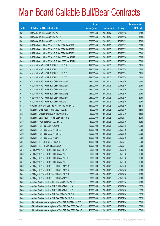|       |                                                                | No. of        |                     |               | <b>Amount raised</b> |
|-------|----------------------------------------------------------------|---------------|---------------------|---------------|----------------------|
| Code  | <b>Callable Bull/Bear Contracts</b>                            | issue (units) | <b>Listing date</b> | <b>Expiry</b> | $(HK$$ mil.)         |
| 63231 | UBS AG - HSI R Bear CBBC Mar 2015 I                            | 300,000,000   | 2014/11/24          | 2015/03/30    | 75.00                |
| 63179 | UBS AG - HSI R Bear CBBC Mar 2015 O                            | 300,000,000   | 2014/11/24          | 2015/03/30    | 75.00                |
| 63175 | UBS AG - HSI R Bear CBBC Apr 2015 D                            | 300,000,000   | 2014/11/24          | 2015/04/29    | 75.00                |
| 63382 | BNP Paribas Arbit Issu B.V. - HSI R Bull CBBC Jun 2015 D       | 200,000,000   | 2014/11/25          | 2015/06/29    | 50.00                |
| 63361 | BNP Paribas Arbit Issu B.V. - HSI R Bull CBBC Jun 2015 F       | 200,000,000   | 2014/11/25          | 2015/06/29    | 50.00                |
| 63385 | BNP Paribas Arbit Issu B.V. - HSI R Bull CBBC Jun 2015 S       | 200,000,000   | 2014/11/25          | 2015/06/29    | 50.00                |
| 63388 | BNP Paribas Arbit Issu B.V. - HSI R Bear CBBC Mar 2015 D       | 200,000,000   | 2014/11/25          | 2015/03/30    | 50.00                |
| 63496 | BNP Paribas Arbit Issu B.V. - HSI R Bear CBBC Mar 2015 H       | 200,000,000   | 2014/11/25          | 2015/03/30    | 50.00                |
| 63352 | Credit Suisse AG - HSI R Bull CBBC Jun 2015 U                  | 238,000,000   | 2014/11/25          | 2015/06/29    | 59.50                |
| 63399 | Credit Suisse AG - HSI R Bull CBBC Jun 2015 V                  | 238,000,000   | 2014/11/25          | 2015/06/29    | 59.50                |
| 63353 | Credit Suisse AG - HSI R Bull CBBC Jun 2015 X                  | 238,000,000   | 2014/11/25          | 2015/06/29    | 59.50                |
| 63401 | Credit Suisse AG - HSI R Bull CBBC Jun 2015 Y                  | 238,000,000   | 2014/11/25          | 2015/06/29    | 59.50                |
| 63425 | Credit Suisse AG - HSI R Bear CBBC Mar 2015 M                  | 238,000,000   | 2014/11/25          | 2015/03/30    | 59.50                |
| 63443 | Credit Suisse AG - HSI R Bear CBBC Mar 2015 N                  | 238,000,000   | 2014/11/25          | 2015/03/30    | 59.50                |
| 63467 | Credit Suisse AG - HSI R Bear CBBC Mar 2015 P                  | 238,000,000   | 2014/11/25          | 2015/03/30    | 59.50                |
| 63464 | Credit Suisse AG - HSI R Bear CBBC Mar 2015 Q                  | 238,000,000   | 2014/11/25          | 2015/03/30    | 59.50                |
| 63469 | Credit Suisse AG - HSI R Bear CBBC Mar 2015 U                  | 238,000,000   | 2014/11/25          | 2015/03/30    | 59.50                |
| 63468 | Credit Suisse AG - HSI R Bear CBBC Mar 2015 Y                  | 238,000,000   | 2014/11/25          | 2015/03/30    | 59.50                |
| 63472 | Goldman Sachs SP (Asia) - HSI R Bear CBBC Mar 2015 L           | 150,000,000   | 2014/11/25          | 2015/03/30    | 38.10                |
| 63303 | HK Bank - China Mobile R Bear CBBC Jul 2015 J                  | 60,000,000    | 2014/11/25          | 2015/07/06    | 15.00                |
| 63284 | HK Bank - Cheung Kong R Bull CBBC Oct 2015 A                   | 60,000,000    | 2014/11/25          | 2015/10/26    | 15.00                |
| 63307 | HK Bank - CSOP A50 ETF R Bull CBBC Jul 2015 E                  | 200,000,000   | 2014/11/25          | 2015/07/27    | 50.00                |
| 63306 | HK Bank - HKEx R Bear CBBC Jul 2015 D                          | 50,000,000    | 2014/11/25          | 2015/07/06    | 12.50                |
| 63277 | HK Bank - HSI R Bull CBBC Aug 2015 J                           | 400,000,000   | 2014/11/25          | 2015/08/28    | 100.00               |
| 63273 | HK Bank - HSI R Bear CBBC Jun 2015 D                           | 100,000,000   | 2014/11/25          | 2015/06/29    | 25.00                |
| 63276 | HK Bank - HSI R Bear CBBC Jun 2015 E                           | 400,000,000   | 2014/11/25          | 2015/06/29    | 100.00               |
| 63275 | HK Bank - HSI R Bear CBBC Jul 2015 F                           | 100,000,000   | 2014/11/25          | 2015/07/30    | 25.00                |
| 63304 | HK Bank - TCH R Bull CBBC Jul 2015 L                           | 100,000,000   | 2014/11/25          | 2015/07/27    | 25.00                |
| 63302 | HK Bank – TCH R Bear CBBC Jul 2015 N                           | 100,000,000   | 2014/11/25          | 2015/07/27    | 25.00                |
| 63412 | J P Morgan SP BV - HSI R Bull CBBC Jul 2015 A                  | 300,000,000   | 2014/11/25          | 2015/07/30    | 75.00                |
| 63308 | J P Morgan SP BV - HSI R Bull CBBC Aug 2015 S                  | 300,000,000   | 2014/11/25          | 2015/08/28    | 75.00                |
| 63407 | J P Morgan SP BV - HSI R Bull CBBC Aug 2015 T                  | 300,000,000   | 2014/11/25          | 2015/08/28    | 75.00                |
| 63482 | J P Morgan SP BV - HSI R Bull CBBC Aug 2015 U                  | 300,000,000   | 2014/11/25          | 2015/08/28    | 75.00                |
| 63309 | J P Morgan SP BV - HSI R Bear CBBC Feb 2015 R                  | 300,000,000   | 2014/11/25          | 2015/02/26    | 75.00                |
| 63314 | JP Morgan SP BV - HSI R Bear CBBC Feb 2015 S                   | 300,000,000   | 2014/11/25          | 2015/02/26    | 75.00                |
| 63421 | J P Morgan SP BV - HSI R Bear CBBC Feb 2015 U                  | 300,000,000   | 2014/11/25          | 2015/02/26    | 75.00                |
| 63489 | J P Morgan SP BV - HSI R Bear CBBC Mar 2015 X                  | 300,000,000   | 2014/11/25          | 2015/03/30    | 75.00                |
| 63333 | Standard Chartered Bank - HKEx R Bear CBBC Mar 2015 D          | 80,000,000    | 2014/11/25          | 2015/03/24    | 20.00                |
| 63398 | Standard Chartered Bank - HSI R Bull CBBC Feb 2015 A           | 150,000,000   | 2014/11/25          | 2015/02/26    | 37.50                |
| 63334 | Standard Chartered Bank - HSI R Bull CBBC Feb 2015 Z           | 150,000,000   | 2014/11/25          | 2015/02/26    | 37.50                |
| 63371 | Standard Chartered Bank - HSI R Bear CBBC Feb 2015 C           | 150,000,000   | 2014/11/25          | 2015/02/26    | 37.50                |
| 63368 | Standard Chartered Bank - HSI R Bear CBBC Feb 2015 S           | 150,000,000   | 2014/11/25          | 2015/02/26    | 37.50                |
| 63366 | SGA Societe Generale Acceptance N.V. - HSI R Bull CBBC Jul15 Y | 200,000,000   | 2014/11/25          | 2015/07/30    | 50.00                |
| 63342 | SGA Societe Generale Acceptance N.V. - HSI R Bear CBBC Feb15 Q | 200,000,000   | 2014/11/25          | 2015/02/26    | 50.00                |
| 63367 | SGA Societe Generale Acceptance N.V. - HSI R Bear CBBC Feb15 R | 200,000,000   | 2014/11/25          | 2015/02/26    | 50.00                |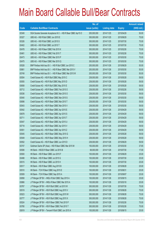|       |                                                                | No. of        |                     |               | <b>Amount raised</b> |
|-------|----------------------------------------------------------------|---------------|---------------------|---------------|----------------------|
| Code  | <b>Callable Bull/Bear Contracts</b>                            | issue (units) | <b>Listing date</b> | <b>Expiry</b> | (HK\$ mil.)          |
| 63349 | SGA Societe Generale Acceptance N.V. - HSI R Bear CBBC Apr15 O | 200,000,000   | 2014/11/25          | 2015/04/29    | 50.00                |
| 63327 | UBS AG - HSI R Bull CBBC Jun 2015 E                            | 300,000,000   | 2014/11/25          | 2015/06/29    | 75.00                |
| 63326 | UBS AG - HSI R Bull CBBC Jul 2015 S                            | 300,000,000   | 2014/11/25          | 2015/07/30    | 75.00                |
| 63402 | UBS AG - HSI R Bull CBBC Jul 2015 T                            | 300,000,000   | 2014/11/25          | 2015/07/30    | 75.00                |
| 63478 | UBS AG - HSI R Bear CBBC Feb 2015 K                            | 300,000,000   | 2014/11/25          | 2015/02/26    | 75.00                |
| 63481 | UBS AG - HSI R Bear CBBC Feb 2015 T                            | 300,000,000   | 2014/11/25          | 2015/02/26    | 75.00                |
| 63473 | UBS AG - HSI R Bear CBBC Mar 2015 P                            | 300,000,000   | 2014/11/25          | 2015/03/30    | 75.00                |
| 63475 | UBS AG - HSI R Bear CBBC Mar 2015 Q                            | 300,000,000   | 2014/11/25          | 2015/03/30    | 75.00                |
| 63528 | BNP Paribas Arbit Issu B.V. - HSI R Bull CBBC Jun 2015 C       | 200,000,000   | 2014/11/26          | 2015/06/29    | 50.00                |
| 63661 | BNP Paribas Arbit Issu B.V. - HSI R Bear CBBC Mar 2015 V       | 200,000,000   | 2014/11/26          | 2015/03/30    | 50.00                |
| 63749 | BNP Paribas Arbit Issu B.V. - HSI R Bear CBBC Mar 2015 W       | 200,000,000   | 2014/11/26          | 2015/03/30    | 50.00                |
| 63554 | Credit Suisse AG - HSI R Bull CBBC May 2015 C                  | 238,000,000   | 2014/11/26          | 2015/05/28    | 59.50                |
| 63555 | Credit Suisse AG - HSI R Bull CBBC May 2015 D                  | 238,000,000   | 2014/11/26          | 2015/05/28    | 59.50                |
| 63658 | Credit Suisse AG - HSI R Bull CBBC May 2015 E                  | 238,000,000   | 2014/11/26          | 2015/05/28    | 59.50                |
| 63712 | Credit Suisse AG - HSI R Bear CBBC Feb 2015 O                  | 238,000,000   | 2014/11/26          | 2015/02/26    | 59.50                |
| 63536 | Credit Suisse AG - HSI R Bear CBBC Mar 2015 O                  | 238,000,000   | 2014/11/26          | 2015/03/30    | 59.50                |
| 63540 | Credit Suisse AG - HSI R Bear CBBC Mar 2015 S                  | 238,000,000   | 2014/11/26          | 2015/03/30    | 59.50                |
| 63698 | Credit Suisse AG - HSI R Bear CBBC Mar 2015 T                  | 238,000,000   | 2014/11/26          | 2015/03/30    | 59.50                |
| 63543 | Credit Suisse AG - HSI R Bear CBBC Mar 2015 V                  | 238,000,000   | 2014/11/26          | 2015/03/30    | 59.50                |
| 63542 | Credit Suisse AG - HSI R Bear CBBC Apr 2015 E                  | 238,000,000   | 2014/11/26          | 2015/04/29    | 59.50                |
| 63678 | Credit Suisse AG - HSI R Bear CBBC Apr 2015 S                  | 238,000,000   | 2014/11/26          | 2015/04/29    | 59.50                |
| 63711 | Credit Suisse AG - HSI R Bear CBBC Apr 2015 T                  | 238,000,000   | 2014/11/26          | 2015/04/29    | 59.50                |
| 63547 | Credit Suisse AG - HSI R Bear CBBC Apr 2015 U                  | 238,000,000   | 2014/11/26          | 2015/04/29    | 59.50                |
| 63718 | Credit Suisse AG - HSI R Bear CBBC Apr 2015 V                  | 238,000,000   | 2014/11/26          | 2015/04/29    | 59.50                |
| 63551 | Credit Suisse AG - HSI R Bear CBBC Apr 2015 Z                  | 238,000,000   | 2014/11/26          | 2015/04/29    | 59.50                |
| 63545 | Credit Suisse AG - HSI R Bear CBBC May 2015 G                  | 238,000,000   | 2014/11/26          | 2015/05/28    | 59.50                |
| 63549 | Credit Suisse AG - HSI R Bear CBBC May 2015 H                  | 238,000,000   | 2014/11/26          | 2015/05/28    | 59.50                |
| 63552 | Credit Suisse AG - HSI R Bear CBBC Jun 2015 D                  | 238,000,000   | 2014/11/26          | 2015/06/29    | 59.50                |
| 63747 | Goldman Sachs SP (Asia) - HSI R Bear CBBC Mar 2015 M           | 150,000,000   | 2014/11/26          | 2015/03/30    | 37.65                |
| 63506 | HK Bank - HSCEI R Bear CBBC Jul 2015 B                         | 68,000,000    | 2014/11/26          | 2015/07/30    | 17.00                |
| 63500 | HK Bank - HSI R Bear CBBC Jun 2015 F                           | 100,000,000   | 2014/11/26          | 2015/06/29    | 25.00                |
| 63498 | HK Bank - HSI R Bear CBBC Jul 2015 G                           | 100,000,000   | 2014/11/26          | 2015/07/30    | 25.00                |
| 63515 | HK Bank - HSI R Bear CBBC Jul 2015 H                           | 100,000,000   | 2014/11/26          | 2015/07/30    | 25.00                |
| 63517 | HK Bank - HSI R Bear CBBC Aug 2015 B                           | 100,000,000   | 2014/11/26          | 2015/08/28    | 25.00                |
| 63510 | HK Bank - TCH R Bear CBBC Aug 2015 E                           | 100,000,000   | 2014/11/26          | 2015/08/31    | 25.00                |
| 63509 | HK Bank - TCH R Bear CBBC Sep 2015 A                           | 100,000,000   | 2014/11/26          | 2015/09/07    | 25.00                |
| 63858 | J P Morgan SP BV - HKEx R Bull CBBC Sep 2015 A                 | 100,000,000   | 2014/11/26          | 2015/09/15    | 25.00                |
| 63866 | J P Morgan SP BV - HKEx R Bear CBBC Mar 2015 A                 | 100,000,000   | 2014/11/26          | 2015/03/18    | 25.00                |
| 63767 | J P Morgan SP BV - HSI R Bull CBBC Jul 2015 W                  | 300,000,000   | 2014/11/26          | 2015/07/30    | 75.00                |
| 63519 | J P Morgan SP BV - HSI R Bull CBBC Aug 2015 V                  | 300,000,000   | 2014/11/26          | 2015/08/28    | 75.00                |
| 63523 | J P Morgan SP BV - HSI R Bull CBBC Aug 2015 W                  | 300,000,000   | 2014/11/26          | 2015/08/28    | 75.00                |
| 63777 | J P Morgan SP BV - HSI R Bull CBBC Aug 2015 X                  | 300,000,000   | 2014/11/26          | 2015/08/28    | 75.00                |
| 63524 | J P Morgan SP BV - HSI R Bear CBBC Feb 2015 P                  | 300,000,000   | 2014/11/26          | 2015/02/26    | 75.00                |
| 63780 | J P Morgan SP BV - HSI R Bear CBBC Feb 2015 T                  | 300,000,000   | 2014/11/26          | 2015/02/26    | 75.00                |
| 63819 | J P Morgan SP BV - Tencent R Bull CBBC Jun 2015 A              | 100,000,000   | 2014/11/26          | 2015/06/15    | 25.00                |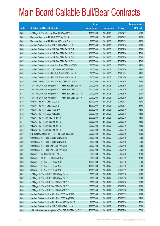|       |                                                                | No. of        |                     |               | <b>Amount raised</b> |
|-------|----------------------------------------------------------------|---------------|---------------------|---------------|----------------------|
| Code  | <b>Callable Bull/Bear Contracts</b>                            | issue (units) | <b>Listing date</b> | <b>Expiry</b> | $(HK$$ mil.)         |
| 63833 | J P Morgan SP BV - Tencent R Bear CBBC Apr 2015 A              | 100,000,000   | 2014/11/26          | 2015/04/27    | 25.00                |
| 63655 | Macquarie Bank Ltd. - HSI R Bull CBBC Apr 2015 A               | 50,000,000    | 2014/11/26          | 2015/04/29    | 12.50                |
| 63645 | Macquarie Bank Ltd. - HSI R Bear CBBC Apr 2015 A               | 50,000,000    | 2014/11/26          | 2015/04/29    | 12.50                |
| 63730 | Standard Chartered Bank - HSI R Bull CBBC Feb 2015 B           | 100,000,000   | 2014/11/26          | 2015/02/26    | 25.00                |
| 63560 | Standard Chartered Bank - HSI R Bear CBBC Feb 2015 H           | 100,000,000   | 2014/11/26          | 2015/02/26    | 25.00                |
| 63563 | Standard Chartered Bank - HSI R Bear CBBC Feb 2015 O           | 100,000,000   | 2014/11/26          | 2015/02/26    | 25.00                |
| 63731 | Standard Chartered Bank - HSI R Bear CBBC Feb 2015 Q           | 120,000,000   | 2014/11/26          | 2015/02/26    | 30.00                |
| 63757 | Standard Chartered Bank - HSI R Bear CBBC Feb 2015 T           | 100,000,000   | 2014/11/26          | 2015/02/26    | 25.00                |
| 63568 | Standard Chartered Bank - Hutchison R Bull CBBC Mar 2015 A     | 50,000,000    | 2014/11/26          | 2015/03/18    | 12.50                |
| 63574 | Standard Chartered Bank - ICBC R Bull CBBC Jul 2015 A          | 50,000,000    | 2014/11/26          | 2015/07/30    | 12.50                |
| 63575 | Standard Chartered Bank - Ping An R Bull CBBC Nov 2015 A       | 50,000,000    | 2014/11/26          | 2015/11/19    | 12.50                |
| 63581 | Standard Chartered Bank - Ping An R Bull CBBC Nov 2015 B       | 50,000,000    | 2014/11/26          | 2015/11/20    | 12.50                |
| 63594 | Standard Chartered Bank - Ping An R Bear CBBC Aug 2015 A       | 50,000,000    | 2014/11/26          | 2015/08/19    | 12.50                |
| 63605 | SGA Societe Generale Acceptance N.V. - HSI R Bull CBBC Jun15 X | 200,000,000   | 2014/11/26          | 2015/06/29    | 50.00                |
| 63606 | SGA Societe Generale Acceptance N.V. - HSI R Bear CBBC Mar15 V | 200,000,000   | 2014/11/26          | 2015/03/30    | 50.00                |
| 63611 | SGA Societe Generale Acceptance N.V. - HSI R Bear CBBC Mar15 W | 200,000,000   | 2014/11/26          | 2015/03/30    | 50.00                |
| 63639 | SGA Societe Generale Acceptance N.V. - HSI R Bear CBBC Mar15 X | 200,000,000   | 2014/11/26          | 2015/03/30    | 50.00                |
| 63525 | UBS AG - HSI R Bull CBBC May 2015 L                            | 300,000,000   | 2014/11/26          | 2015/05/28    | 75.00                |
| 63526 | UBS AG - HSI R Bull CBBC May 2015 T                            | 350,000,000   | 2014/11/26          | 2015/05/28    | 87.50                |
| 63809 | UBS AG - HSI R Bull CBBC Jul 2015 U                            | 300,000,000   | 2014/11/26          | 2015/07/30    | 75.00                |
| 63805 | UBS AG - HSI R Bull CBBC Aug 2015 A                            | 300,000,000   | 2014/11/26          | 2015/08/28    | 75.00                |
| 63803 | UBS AG - HSI R Bear CBBC Feb 2015 W                            | 300,000,000   | 2014/11/26          | 2015/02/26    | 75.00                |
| 63781 | UBS AG - HSI R Bear CBBC Mar 2015 S                            | 300,000,000   | 2014/11/26          | 2015/03/30    | 75.00                |
| 63789 | UBS AG - HSI R Bear CBBC Mar 2015 T                            | 300,000,000   | 2014/11/26          | 2015/03/30    | 75.00                |
| 63793 | UBS AG - HSI R Bear CBBC Mar 2015 W                            | 300,000,000   | 2014/11/26          | 2015/03/30    | 75.00                |
| 63931 | BNP Paribas Arbit Issu B.V. - HSI R Bull CBBC Jun 2015 A       | 200,000,000   | 2014/11/27          | 2015/06/29    | 50.00                |
| 63944 | Credit Suisse AG - HSI R Bull CBBC Apr 2015 G                  | 238,000,000   | 2014/11/27          | 2015/04/29    | 59.50                |
| 63950 | Credit Suisse AG - HSI R Bull CBBC Apr 2015 L                  | 238,000,000   | 2014/11/27          | 2015/04/29    | 59.50                |
| 63951 | Credit Suisse AG - HSI R Bear CBBC Apr 2015 X                  | 238,000,000   | 2014/11/27          | 2015/04/29    | 59.50                |
| 63962 | Credit Suisse AG - HSI R Bear CBBC Apr 2015 Y                  | 238,000,000   | 2014/11/27          | 2015/04/29    | 59.50                |
| 63907 | HK Bank - HKEx R Bear CBBC Jul 2015 E                          | 50,000,000    | 2014/11/27          | 2015/07/20    | 12.50                |
| 63903 | HK Bank - HSCEI R Bear CBBC Jun 2015 A                         | 68,000,000    | 2014/11/27          | 2015/06/29    | 17.00                |
| 63895 | HK Bank - HSI R Bear CBBC Aug 2015 C                           | 100,000,000   | 2014/11/27          | 2015/08/28    | 25.00                |
| 63876 | HK Bank - HSI R Bear CBBC Sep 2015 A                           | 100,000,000   | 2014/11/27          | 2015/09/29    | 25.00                |
| 63896 | HK Bank - HSI R Bear CBBC Sep 2015 B                           | 100,000,000   | 2014/11/27          | 2015/09/29    | 25.00                |
| 63912 | J P Morgan SP BV - HSI R Bull CBBC Aug 2015 Y                  | 300,000,000   | 2014/11/27          | 2015/08/28    | 75.00                |
| 63999 | J P Morgan SP BV - HSI R Bull CBBC Aug 2015 Z                  | 300,000,000   | 2014/11/27          | 2015/08/28    | 75.00                |
| 63915 | J P Morgan SP BV - HSI R Bear CBBC Feb 2015 X                  | 300,000,000   | 2014/11/27          | 2015/02/26    | 75.00                |
| 64008 | JP Morgan SP BV - HSI R Bear CBBC Feb 2015 Z                   | 300,000,000   | 2014/11/27          | 2015/02/26    | 75.00                |
| 64000 | J P Morgan SP BV - HSI R Bear CBBC Mar 2015 Y                  | 300,000,000   | 2014/11/27          | 2015/03/30    | 75.00                |
| 63938 | Standard Chartered Bank - HKEx R Bull CBBC Mar 2015 B          | 80,000,000    | 2014/11/27          | 2015/03/23    | 20.00                |
| 63923 | Standard Chartered Bank - HKEx R Bull CBBC Aug 2015 C          | 80,000,000    | 2014/11/27          | 2015/08/03    | 32.00                |
| 63926 | Standard Chartered Bank - HKEx R Bear CBBC Mar 2015 E          | 80,000,000    | 2014/11/27          | 2015/03/30    | 20.00                |
| 63927 | Standard Chartered Bank - HSI R Bull CBBC Feb 2015 X           | 120,000,000   | 2014/11/27          | 2015/02/26    | 30.00                |
| 63928 | SGA Societe Generale Acceptance N.V. - HSI R Bull CBBC Jul15 Z | 200,000,000   | 2014/11/27          | 2015/07/30    | 50.00                |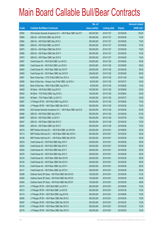|       |                                                                | No. of        |                     |               | <b>Amount raised</b> |
|-------|----------------------------------------------------------------|---------------|---------------------|---------------|----------------------|
| Code  | <b>Callable Bull/Bear Contracts</b>                            | issue (units) | <b>Listing date</b> | <b>Expiry</b> | (HK\$ mil.)          |
| 63930 | SGA Societe Generale Acceptance N.V. - HSI R Bear CBBC Apr15 P | 400,000,000   | 2014/11/27          | 2015/04/29    | 100.00               |
| 63985 | UBS AG - HSI R Bull CBBC Apr 2015 M                            | 300,000,000   | 2014/11/27          | 2015/04/29    | 75.00                |
| 63984 | UBS AG - HSI R Bull CBBC May 2015 U                            | 300,000,000   | 2014/11/27          | 2015/05/28    | 75.00                |
| 63960 | UBS AG - HSI R Bull CBBC Jun 2015 F                            | 300,000,000   | 2014/11/27          | 2015/06/29    | 75.00                |
| 63975 | UBS AG - HSI R Bear CBBC Mar 2015 X                            | 300,000,000   | 2014/11/27          | 2015/03/30    | 75.00                |
| 63980 | UBS AG - HSI R Bear CBBC Mar 2015 Y                            | 300,000,000   | 2014/11/27          | 2015/03/30    | 75.00                |
| 63972 | UBS AG - HSI R Bear CBBC Apr 2015 E                            | 300,000,000   | 2014/11/27          | 2015/04/29    | 75.00                |
| 64067 | Credit Suisse AG - HSI R Bull CBBC Jun 2015 E                  | 238,000,000   | 2014/11/28          | 2015/06/29    | 59.50                |
| 64068 | Credit Suisse AG - HSI R Bull CBBC Jun 2015 K                  | 238,000,000   | 2014/11/28          | 2015/06/29    | 59.50                |
| 64054 | Credit Suisse AG - HSI R Bear CBBC Apr 2015 P                  | 238,000,000   | 2014/11/28          | 2015/04/29    | 59.50                |
| 64065 | Credit Suisse AG - HSI R Bear CBBC Apr 2015 W                  | 238,000,000   | 2014/11/28          | 2015/04/29    | 59.50                |
| 64091 | Bank of East Asia - CITIC R Bull CBBC Nov 2015 A               | 40,000,000    | 2014/11/28          | 2015/11/26    | 10.00                |
| 64090 | Bank of East Asia - Sinopec Corp R Bull CBBC Jul 2015 A        | 80,000,000    | 2014/11/28          | 2015/07/27    | 20.00                |
| 64092 | Bank of East Asia - HKEx R Bull CBBC Aug 2015 A                | 40,000,000    | 2014/11/28          | 2015/08/28    | 10.40                |
| 64029 | HK Bank - HSI R Bull CBBC Aug 2015 K                           | 100,000,000   | 2014/11/28          | 2015/08/28    | 25.00                |
| 64042 | HK Bank - TCH R Bull CBBC Aug 2015 G                           | 100,000,000   | 2014/11/28          | 2015/08/24    | 25.00                |
| 64045 | HK Bank - TCH R Bear CBBC Jul 2015 O                           | 100,000,000   | 2014/11/28          | 2015/07/27    | 25.00                |
| 64087 | J P Morgan SP BV - HSI R Bull CBBC Aug 2015 A                  | 300,000,000   | 2014/11/28          | 2015/08/28    | 75.00                |
| 64088 | J P Morgan SP BV - HSI R Bear CBBC Mar 2015 Z                  | 300,000,000   | 2014/11/28          | 2015/03/30    | 75.00                |
| 64049 | SGA Societe Generale Acceptance N.V. - HSI R Bear CBBC Apr15 Q | 200,000,000   | 2014/11/28          | 2015/04/29    | 50.00                |
| 64086 | UBS AG - HSI R Bull CBBC May 2015 V                            | 350,000,000   | 2014/11/28          | 2015/05/28    | 87.50                |
| 64069 | UBS AG - HSI R Bull CBBC Jul 2015 V                            | 300,000,000   | 2014/11/28          | 2015/07/30    | 75.00                |
| 64047 | UBS AG - HSI R Bear CBBC Mar 2015 Z                            | 300,000,000   | 2014/11/28          | 2015/03/30    | 75.00                |
| 64050 | UBS AG - HSI R Bear CBBC Apr 2015 F                            | 300,000,000   | 2014/11/28          | 2015/04/29    | 75.00                |
| 64215 | BNP Paribas Arbit Issu B.V. - HSI R Bull CBBC Jun 2015 M       | 200,000,000   | 2014/12/01          | 2015/06/29    | 50.00                |
| 64113 | BNP Paribas Arbit Issu B.V. - HSI R Bear CBBC Mar 2015 A       | 200,000,000   | 2014/12/01          | 2015/03/30    | 50.00                |
| 64106 | BNP Paribas Arbit Issu B.V. - HSI R Bear CBBC Mar 2015 B       | 200,000,000   | 2014/12/01          | 2015/03/30    | 50.00                |
| 64233 | Credit Suisse AG - HSI R Bull CBBC May 2015 F                  | 238,000,000   | 2014/12/01          | 2015/05/28    | 59.50                |
| 64245 | Credit Suisse AG - HSI R Bull CBBC May 2015 X                  | 238,000,000   | 2014/12/01          | 2015/05/28    | 59.50                |
| 64254 | Credit Suisse AG - HSI R Bull CBBC May 2015 Y                  | 238,000,000   | 2014/12/01          | 2015/05/28    | 59.50                |
| 64278 | Credit Suisse AG - HSI R Bull CBBC May 2015 Z                  | 238,000,000   | 2014/12/01          | 2015/05/28    | 59.50                |
| 64123 | Credit Suisse AG - HSI R Bear CBBC Mar 2015 R                  | 238,000,000   | 2014/12/01          | 2015/03/30    | 59.50                |
| 64130 | Credit Suisse AG - HSI R Bear CBBC Mar 2015 X                  | 238,000,000   | 2014/12/01          | 2015/03/30    | 59.50                |
| 64134 | Credit Suisse AG - HSI R Bear CBBC Apr 2015 F                  | 238,000,000   | 2014/12/01          | 2015/04/29    | 59.50                |
| 64131 | Credit Suisse AG - HSI R Bear CBBC Apr 2015 Q                  | 238,000,000   | 2014/12/01          | 2015/04/29    | 59.50                |
| 64289 | Goldman Sachs SP (Asia) - HSI R Bull CBBC Mar 2015 D           | 150,000,000   | 2014/12/01          | 2015/03/30    | 47.25                |
| 64300 | Goldman Sachs SP (Asia) - HSI R Bull CBBC Mar 2015 E           | 150,000,000   | 2014/12/01          | 2015/03/30    | 49.35                |
| 64304 | Goldman Sachs SP (Asia) - HSI R Bull CBBC Mar 2015 F           | 150,000,000   | 2014/12/01          | 2015/03/30    | 49.65                |
| 64170 | J P Morgan SP BV - HSI R Bull CBBC Jun 2015 Y                  | 300,000,000   | 2014/12/01          | 2015/06/29    | 75.00                |
| 64313 | J P Morgan SP BV - HSI R Bull CBBC Jul 2015 E                  | 300,000,000   | 2014/12/01          | 2015/07/30    | 75.00                |
| 64174 | J P Morgan SP BV - HSI R Bull CBBC Aug 2015 B                  | 300,000,000   | 2014/12/01          | 2015/08/28    | 75.00                |
| 64095 | J P Morgan SP BV - HSI R Bear CBBC Mar 2015 A                  | 300,000,000   | 2014/12/01          | 2015/03/30    | 75.00                |
| 64097 | J P Morgan SP BV - HSI R Bear CBBC Mar 2015 B                  | 300,000,000   | 2014/12/01          | 2015/03/30    | 75.00                |
| 64105 | J P Morgan SP BV - HSI R Bear CBBC Mar 2015 C                  | 300,000,000   | 2014/12/01          | 2015/03/30    | 75.00                |
| 64176 | J P Morgan SP BV - HSI R Bear CBBC Mar 2015 D                  | 300,000,000   | 2014/12/01          | 2015/03/30    | 75.00                |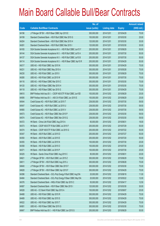|       |                                                                | No. of        |                     |               | <b>Amount raised</b> |
|-------|----------------------------------------------------------------|---------------|---------------------|---------------|----------------------|
| Code  | <b>Callable Bull/Bear Contracts</b>                            | issue (units) | <b>Listing date</b> | <b>Expiry</b> | $(HK$$ mil.)         |
| 64196 | J P Morgan SP BV - HSI R Bear CBBC Apr 2015 E                  | 300,000,000   | 2014/12/01          | 2015/04/29    | 75.00                |
| 64199 | Standard Chartered Bank - HSI R Bull CBBC Mar 2015 G           | 100,000,000   | 2014/12/01          | 2015/03/30    | 25.00                |
| 64204 | Standard Chartered Bank - HSI R Bull CBBC Mar 2015 H           | 120,000,000   | 2014/12/01          | 2015/03/30    | 30.00                |
| 64281 | Standard Chartered Bank - HSI R Bull CBBC Mar 2015 I           | 120,000,000   | 2014/12/01          | 2015/03/30    | 30.00                |
| 64165 | SGA Societe Generale Acceptance N.V. - HSI R Bull CBBC Jun15 Y | 200,000,000   | 2014/12/01          | 2015/06/29    | 50.00                |
| 64144 | SGA Societe Generale Acceptance N.V. - HSI R Bull CBBC Jul15 A | 200,000,000   | 2014/12/01          | 2015/07/30    | 50.00                |
| 64137 | SGA Societe Generale Acceptance N.V. - HSI R Bull CBBC Jul15 B | 200,000,000   | 2014/12/01          | 2015/07/30    | 50.00                |
| 64114 | SGA Societe Generale Acceptance N.V. - HSI R Bear CBBC Apr15 R | 200,000,000   | 2014/12/01          | 2015/04/29    | 50.00                |
| 64217 | UBS AG - HSI R Bull CBBC Apr 2015 N                            | 300,000,000   | 2014/12/01          | 2015/04/29    | 75.00                |
| 64231 | UBS AG - HSI R Bull CBBC May 2015 A                            | 300,000,000   | 2014/12/01          | 2015/05/28    | 75.00                |
| 64230 | UBS AG - HSI R Bull CBBC Jun 2015 I                            | 300,000,000   | 2014/12/01          | 2015/06/29    | 75.00                |
| 64280 | UBS AG - HSI R Bull CBBC Jul 2015 W                            | 300,000,000   | 2014/12/01          | 2015/07/30    | 75.00                |
| 64116 | UBS AG - HSI R Bear CBBC Mar 2015 C                            | 300,000,000   | 2014/12/01          | 2015/03/30    | 75.00                |
| 64120 | UBS AG - HSI R Bear CBBC Mar 2015 H                            | 300,000,000   | 2014/12/01          | 2015/03/30    | 75.00                |
| 64118 | UBS AG - HSI R Bear CBBC Apr 2015 G                            | 300,000,000   | 2014/12/01          | 2015/04/29    | 75.00                |
| 64610 | BNP Paribas Arbit Issu B.V. - CSOP A50 ETF R Bull CBBC Jun15D  | 100,000,000   | 2014/12/02          | 2015/06/29    | 25.00                |
| 64595 | BNP Paribas Arbit Issu B.V. - A50 Ch R Bull CBBC Jun 2015 E    | 100,000,000   | 2014/12/02          | 2015/06/29    | 25.00                |
| 64544 | Credit Suisse AG - HSI R Bull CBBC Jul 2015 T                  | 238,000,000   | 2014/12/02          | 2015/07/30    | 59.50                |
| 64547 | Credit Suisse AG - HSI R Bull CBBC Jul 2015 U                  | 238,000,000   | 2014/12/02          | 2015/07/30    | 59.50                |
| 64565 | Credit Suisse AG - HSI R Bull CBBC Jul 2015 V                  | 238,000,000   | 2014/12/02          | 2015/07/30    | 59.50                |
| 64573 | Credit Suisse AG - HSI R Bear CBBC Mar 2015 P                  | 238,000,000   | 2014/12/02          | 2015/03/30    | 59.50                |
| 64574 | Credit Suisse AG - HSI R Bear CBBC Mar 2015 Q                  | 238,000,000   | 2014/12/02          | 2015/03/30    | 59.50                |
| 64372 | HK Bank - China Life R Bull CBBC Aug 2015 A                    | 60,000,000    | 2014/12/02          | 2015/08/31    | 18.00                |
| 64373 | HK Bank - CSOP A50 ETF R Bull CBBC Jul 2015 F                  | 200,000,000   | 2014/12/02          | 2015/07/29    | 50.00                |
| 64374 | HK Bank - CSOP A50 ETF R Bull CBBC Jul 2015 G                  | 200,000,000   | 2014/12/02          | 2015/07/22    | 50.00                |
| 64347 | HK Bank - A50 R Bull CBBC Jul 2015 D                           | 200,000,000   | 2014/12/02          | 2015/07/27    | 50.00                |
| 64350 | HK Bank - A50 R Bull CBBC Jul 2015 E                           | 200,000,000   | 2014/12/02          | 2015/07/20    | 50.00                |
| 64355 | HK Bank - HSI R Bull CBBC Jul 2015 N                           | 100,000,000   | 2014/12/02          | 2015/07/30    | 25.00                |
| 64358 | HK Bank - HSI R Bull CBBC Jul 2015 O                           | 100,000,000   | 2014/12/02          | 2015/07/30    | 25.00                |
| 64371 | HK Bank - HSI R Bull CBBC Jul 2015 P                           | 100,000,000   | 2014/12/02          | 2015/07/30    | 25.00                |
| 64325 | HK Bank - Sands China R Bull CBBC Aug 2015 C                   | 80,000,000    | 2014/12/02          | 2015/08/31    | 20.00                |
| 64621 | J P Morgan SP BV - HSI R Bull CBBC Jun 2015 Z                  | 300,000,000   | 2014/12/02          | 2015/06/29    | 75.00                |
| 64611 | J P Morgan SP BV - HSI R Bull CBBC Aug 2015 J                  | 300,000,000   | 2014/12/02          | 2015/08/28    | 75.00                |
| 64640 | J P Morgan SP BV - HSI R Bear CBBC Mar 2015 F                  | 300,000,000   | 2014/12/02          | 2015/03/30    | 75.00                |
| 64628 | JP Morgan SP BV - HSI R Bear CBBC Apr 2015 F                   | 300,000,000   | 2014/12/02          | 2015/04/29    | 75.00                |
| 64396 | Standard Chartered Bank - GCL-Poly Energy R Bull CBBC Aug15A   | 20,000,000    | 2014/12/02          | 2015/08/18    | 11.00                |
| 64484 | Standard Chartered Bank - GCL-Poly Energy R Bear CBBC May15A   | 20,000,000    | 2014/12/02          | 2015/05/22    | 12.00                |
| 64376 | Standard Chartered Bank - HKEx R Bull CBBC Apr 2015 C          | 50,000,000    | 2014/12/02          | 2015/04/17    | 12.50                |
| 64587 | Standard Chartered Bank - HSI R Bear CBBC Mar 2015 I           | 120,000,000   | 2014/12/02          | 2015/03/30    | 30.00                |
| 64528 | UBS AG - CC Bank R Bull CBBC Sep 2015 A                        | 100,000,000   | 2014/12/02          | 2015/09/07    | 25.00                |
| 64488 | UBS AG - HSI R Bull CBBC Apr 2015 R                            | 300,000,000   | 2014/12/02          | 2015/04/29    | 75.00                |
| 64489 | UBS AG - HSI R Bull CBBC Apr 2015 S                            | 300,000,000   | 2014/12/02          | 2015/04/29    | 75.00                |
| 64522 | UBS AG - HSI R Bull CBBC Apr 2015 T                            | 300,000,000   | 2014/12/02          | 2015/04/29    | 75.00                |
| 64581 | UBS AG - HSI R Bear CBBC Mar 2015 G                            | 300,000,000   | 2014/12/02          | 2015/03/30    | 75.00                |
| 64847 | BNP Paribas Arbit Issu B.V. - HSI R Bull CBBC Jun 2015 G       | 200,000,000   | 2014/12/03          | 2015/06/29    | 50.00                |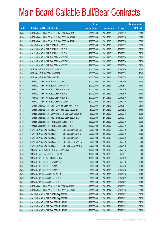|       |                                                                | No. of        |                     |               | <b>Amount raised</b> |
|-------|----------------------------------------------------------------|---------------|---------------------|---------------|----------------------|
| Code  | <b>Callable Bull/Bear Contracts</b>                            | issue (units) | <b>Listing date</b> | <b>Expiry</b> | (HK\$ mil.)          |
| 64844 | BNP Paribas Arbit Issu B.V. - HSI R Bull CBBC Jun 2015 N       | 200,000,000   | 2014/12/03          | 2015/06/29    | 50.00                |
| 64694 | BNP Paribas Arbit Issu B.V. - HSI R Bear CBBC Mar 2015 X       | 200,000,000   | 2014/12/03          | 2015/03/30    | 50.00                |
| 64735 | BNP Paribas Arbit Issu B.V. - HSI R Bear CBBC Mar 2015 Y       | 200,000,000   | 2014/12/03          | 2015/03/30    | 50.00                |
| 64825 | Credit Suisse AG - HSI R Bull CBBC Jun 2015 L                  | 238,000,000   | 2014/12/03          | 2015/06/29    | 59.50                |
| 64835 | Credit Suisse AG - HSI R Bull CBBC Jun 2015 M                  | 238,000,000   | 2014/12/03          | 2015/06/29    | 59.50                |
| 64842 | Credit Suisse AG - HSI R Bull CBBC Jun 2015 O                  | 238,000,000   | 2014/12/03          | 2015/06/29    | 59.50                |
| 64753 | Credit Suisse AG - HSI R Bear CBBC Mar 2015 N                  | 238,000,000   | 2014/12/03          | 2015/03/30    | 59.50                |
| 64738 | Credit Suisse AG - HSI R Bear CBBC Mar 2015 U                  | 238,000,000   | 2014/12/03          | 2015/03/30    | 59.50                |
| 64744 | Credit Suisse AG - HSI R Bear CBBC Mar 2015 Y                  | 238,000,000   | 2014/12/03          | 2015/03/30    | 59.50                |
| 64665 | HK Bank - HSCEI R Bull CBBC Jul 2015 D                         | 100,000,000   | 2014/12/03          | 2015/07/30    | 25.00                |
| 64651 | HK Bank - HSI R Bull CBBC Jun 2015 R                           | 100,000,000   | 2014/12/03          | 2015/06/29    | 25.00                |
| 64664 | HK Bank - HSI R Bull CBBC Jun 2015 S                           | 100,000,000   | 2014/12/03          | 2015/06/29    | 25.00                |
| 64889 | J P Morgan SP BV - HSI R Bull CBBC Jul 2015 C                  | 300,000,000   | 2014/12/03          | 2015/07/30    | 75.00                |
| 64890 | J P Morgan SP BV - HSI R Bull CBBC Aug 2015 K                  | 300,000,000   | 2014/12/03          | 2015/08/28    | 75.00                |
| 64680 | J P Morgan SP BV - HSI R Bear CBBC Mar 2015 H                  | 300,000,000   | 2014/12/03          | 2015/03/30    | 75.00                |
| 64893 | J P Morgan SP BV - HSI R Bear CBBC Mar 2015 J                  | 300,000,000   | 2014/12/03          | 2015/03/30    | 75.00                |
| 64895 | J P Morgan SP BV - HSI R Bear CBBC Mar 2015 L                  | 300,000,000   | 2014/12/03          | 2015/03/30    | 75.00                |
| 64898 | J P Morgan SP BV - HSI R Bear CBBC Apr 2015 G                  | 300,000,000   | 2014/12/03          | 2015/04/29    | 75.00                |
| 64863 | Standard Chartered Bank - China Life R Bull CBBC May 2015 A    | 50,000,000    | 2014/12/03          | 2015/05/18    | 25.00                |
| 64852 | Standard Chartered Bank - China Life R Bear CBBC May 2015 B    | 50,000,000    | 2014/12/03          | 2015/05/22    | 17.50                |
| 64851 | Standard Chartered Bank - CSOP A50 ETF R Bear CBBC Sep 2015A   | 40,000,000    | 2014/12/03          | 2015/09/18    | 10.00                |
| 64849 | Standard Chartered Bank - A50 China R Bear CBBC Sep 2015 A     | 40,000,000    | 2014/12/03          | 2015/09/18    | 10.00                |
| 64870 | Standard Chartered Bank - HSI R Bull CBBC Mar 2015 J           | 120,000,000   | 2014/12/03          | 2015/03/30    | 30.00                |
| 64872 | Standard Chartered Bank - HSI R Bull CBBC Mar 2015 K           | 120,000,000   | 2014/12/03          | 2015/03/30    | 30.00                |
| 64913 | SGA Societe Generale Acceptance N.V. - HSI R Bull CBBC Jun15 W | 200,000,000   | 2014/12/03          | 2015/06/29    | 50.00                |
| 64914 | SGA Societe Generale Acceptance N.V. - HSI R Bull CBBC Jul15 O | 200,000,000   | 2014/12/03          | 2015/07/30    | 50.00                |
| 64904 | SGA Societe Generale Acceptance N.V. - HSI R Bull CBBC Jul15 T | 200,000,000   | 2014/12/03          | 2015/07/30    | 50.00                |
| 64822 | SGA Societe Generale Acceptance N.V. - HSI R Bear CBBC Mar15 Y | 200,000,000   | 2014/12/03          | 2015/03/30    | 50.00                |
| 64808 | SGA Societe Generale Acceptance N.V. - HSI R Bear CBBC Apr15 S | 200,000,000   | 2014/12/03          | 2015/04/29    | 50.00                |
| 64888 | UBS AG - CSOP A50 ETF R Bull CBBC Mar 2015 G                   | 100,000,000   | 2014/12/03          | 2015/03/23    | 25.00                |
| 64883 | UBS AG - A50 China R Bull CBBC Apr 2015 D                      | 100,000,000   | 2014/12/03          | 2015/04/27    | 25.00                |
| 64881 | UBS AG - HSCEI R Bull CBBC Apr 2015 A                          | 100,000,000   | 2014/12/03          | 2015/04/29    | 25.00                |
| 64876 | UBS AG - HSI R Bull CBBC May 2015 B                            | 300,000,000   | 2014/12/03          | 2015/05/28    | 75.00                |
| 64877 | UBS AG - HSI R Bull CBBC Jul 2015 X                            | 300,000,000   | 2014/12/03          | 2015/07/30    | 75.00                |
| 64878 | UBS AG - HSI R Bull CBBC Jul 2015 Y                            | 300,000,000   | 2014/12/03          | 2015/07/30    | 75.00                |
| 64786 | UBS AG - HSI R Bear CBBC Mar 2015 A                            | 300,000,000   | 2014/12/03          | 2015/03/30    | 75.00                |
| 64673 | UBS AG - HSI R Bear CBBC Apr 2015 H                            | 300,000,000   | 2014/12/03          | 2015/04/29    | 75.00                |
| 64772 | UBS AG - HSI R Bear CBBC Apr 2015 I                            | 300,000,000   | 2014/12/03          | 2015/04/29    | 75.00                |
| 64937 | BNP Paribas Arbit Issu B.V. - HSI R Bull CBBC Jun 2015 H       | 200,000,000   | 2014/12/04          | 2015/06/29    | 50.00                |
| 64938 | BNP Paribas Arbit Issu B.V. - HSI R Bear CBBC Mar 2015 E       | 200,000,000   | 2014/12/04          | 2015/03/30    | 50.00                |
| 64943 | Credit Suisse AG - HSI R Bull CBBC Apr 2015 H                  | 238,000,000   | 2014/12/04          | 2015/04/29    | 59.50                |
| 64941 | Credit Suisse AG - HSI R Bull CBBC Apr 2015 M                  | 238,000,000   | 2014/12/04          | 2015/04/29    | 59.50                |
| 64951 | Credit Suisse AG - HSI R Bear CBBC Apr 2015 O                  | 238,000,000   | 2014/12/04          | 2015/04/29    | 59.50                |
| 64952 | Credit Suisse AG - HSI R Bear CBBC Apr 2015 R                  | 238,000,000   | 2014/12/04          | 2015/04/29    | 59.50                |
| 64953 | Credit Suisse AG - HSI R Bear CBBC Apr 2015 S                  | 238,000,000   | 2014/12/04          | 2015/04/29    | 59.50                |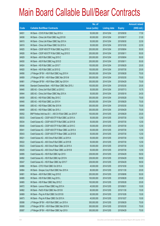|       |                                                             | No. of        |                     |               | <b>Amount raised</b> |
|-------|-------------------------------------------------------------|---------------|---------------------|---------------|----------------------|
| Code  | <b>Callable Bull/Bear Contracts</b>                         | issue (units) | <b>Listing date</b> | <b>Expiry</b> | (HK\$ mil.)          |
| 64931 | HK Bank - COVS R Bull CBBC Sep 2015 A                       | 50,000,000    | 2014/12/04          | 2015/09/30    | 17.50                |
| 64936 | HK Bank - China Life R Bull CBBC Aug 2015 B                 | 60,000,000    | 2014/12/04          | 2015/08/17    | 21.00                |
| 64915 | HK Bank - China Life R Bear CBBC Sep 2015 A                 | 50,000,000    | 2014/12/04          | 2015/09/30    | 32.50                |
| 64919 | HK Bank - China Life R Bear CBBC Oct 2015 A                 | 50,000,000    | 2014/12/04          | 2015/10/30    | 22.50                |
| 64925 | HK Bank - CSOP A50 ETF R Bull CBBC Aug 2015 C               | 200,000,000   | 2014/12/04          | 2015/08/04    | 50.00                |
| 64926 | HK Bank - CSOP A50 ETF R Bull CBBC Aug 2015 D               | 200,000,000   | 2014/12/04          | 2015/08/11    | 50.00                |
| 64929 | HK Bank - A50 R Bull CBBC Aug 2015 C                        | 200,000,000   | 2014/12/04          | 2015/08/04    | 50.00                |
| 64930 | HK Bank - A50 R Bull CBBC Aug 2015 D                        | 200,000,000   | 2014/12/04          | 2015/08/11    | 50.00                |
| 64924 | HK Bank - HSI R Bull CBBC Jun 2015 T                        | 100,000,000   | 2014/12/04          | 2015/06/29    | 25.00                |
| 64920 | HK Bank - HSI R Bull CBBC Jul 2015 Q                        | 100,000,000   | 2014/12/04          | 2015/07/30    | 25.00                |
| 64956 | J P Morgan SP BV - HSI R Bull CBBC Aug 2015 H               | 300,000,000   | 2014/12/04          | 2015/08/28    | 75.00                |
| 64959 | J P Morgan SP BV - HSI R Bear CBBC Mar 2015 M               | 300,000,000   | 2014/12/04          | 2015/03/30    | 75.00                |
| 64961 | J P Morgan SP BV - HSI R Bear CBBC Apr 2015 H               | 300,000,000   | 2014/12/04          | 2015/04/29    | 75.00                |
| 64946 | Standard Chartered Bank - HSI R Bear CBBC Mar 2015 J        | 100,000,000   | 2014/12/04          | 2015/03/30    | 25.00                |
| 64945 | UBS AG - China Life R Bull CBBC Jul 2015 C                  | 50,000,000    | 2014/12/04          | 2015/07/13    | 15.75                |
| 64944 | UBS AG - China Life R Bear CBBC May 2015 A                  | 50,000,000    | 2014/12/04          | 2015/05/18    | 24.50                |
| 64939 | UBS AG - HSI R Bull CBBC May 2015 C                         | 300,000,000   | 2014/12/04          | 2015/05/28    | 75.00                |
| 64940 | UBS AG - HSI R Bull CBBC Jun 2015 H                         | 300,000,000   | 2014/12/04          | 2015/06/29    | 75.00                |
| 64948 | UBS AG - HSI R Bear CBBC Mar 2015 N                         | 300,000,000   | 2014/12/04          | 2015/03/30    | 75.00                |
| 64949 | UBS AG - HSI R Bear CBBC Apr 2015 J                         | 300,000,000   | 2014/12/04          | 2015/04/29    | 75.00                |
| 65052 | BNP Paribas Arbit Issu B.V. - A50 Ch R Bull CBBC Jun 2015 F | 100,000,000   | 2014/12/05          | 2015/06/29    | 25.00                |
| 65033 | Credit Suisse AG - CSOP A50 ETF R Bull CBBC Jul 2015 A      | 50,000,000    | 2014/12/05          | 2015/07/30    | 12.50                |
| 65034 | Credit Suisse AG - CSOP A50 ETF R Bull CBBC Jul 2015 B      | 50,000,000    | 2014/12/05          | 2015/07/30    | 12.50                |
| 65040 | Credit Suisse AG - CSOP A50 ETF R Bull CBBC Jul 2015 C      | 50,000,000    | 2014/12/05          | 2015/07/30    | 12.50                |
| 65041 | Credit Suisse AG - CSOP A50 ETF R Bear CBBC Jul 2015 A      | 50,000,000    | 2014/12/05          | 2015/07/30    | 12.50                |
| 65043 | Credit Suisse AG - CSOP A50 ETF R Bear CBBC Jul 2015 B      | 50,000,000    | 2014/12/05          | 2015/07/30    | 12.50                |
| 65021 | Credit Suisse AG - A50 China R Bull CBBC Jul 2015 A         | 50,000,000    | 2014/12/05          | 2015/07/30    | 12.50                |
| 65022 | Credit Suisse AG - A50 China R Bull CBBC Jul 2015 B         | 50,000,000    | 2014/12/05          | 2015/07/30    | 12.50                |
| 65023 | Credit Suisse AG - A50 China R Bear CBBC Jul 2015 A         | 50,000,000    | 2014/12/05          | 2015/07/30    | 12.50                |
| 65025 | Credit Suisse AG - A50 China R Bear CBBC Jul 2015 B         | 50,000,000    | 2014/12/05          | 2015/07/30    | 12.50                |
| 64995 | Credit Suisse AG - HSI R Bull CBBC Apr 2015 I               | 238,000,000   | 2014/12/05          | 2015/04/29    | 59.50                |
| 64992 | Credit Suisse AG - HSI R Bull CBBC Apr 2015 N               | 238,000,000   | 2014/12/05          | 2015/04/29    | 59.50                |
| 65047 | Credit Suisse AG - HSI R Bear CBBC Apr 2015 T               | 238,000,000   | 2014/12/05          | 2015/04/29    | 59.50                |
| 64966 | HK Bank - CITIC R Bull CBBC Oct 2015 A                      | 40,000,000    | 2014/12/05          | 2015/10/30    | 10.00                |
| 64964 | HK Bank - Sinopec Corp R Bull CBBC Nov 2015 A               | 80,000,000    | 2014/12/05          | 2015/11/30    | 20.00                |
| 64981 | HK Bank - A50 R Bull CBBC Aug 2015 E                        | 200,000,000   | 2014/12/05          | 2015/08/06    | 50.00                |
| 64985 | HK Bank - HSI R Bull CBBC Aug 2015 L                        | 100,000,000   | 2014/12/05          | 2015/08/28    | 25.00                |
| 64965 | HK Bank - HSI R Bear CBBC May 2015 Z                        | 100,000,000   | 2014/12/05          | 2015/05/28    | 25.00                |
| 64972 | HK Bank - Lenovo R Bear CBBC Aug 2015 A                     | 40,000,000    | 2014/12/05          | 2015/08/31    | 10.00                |
| 64962 | HK Bank - PetCh R Bull CBBC Nov 2015 B                      | 60,000,000    | 2014/12/05          | 2015/11/30    | 15.00                |
| 64969 | HK Bank - Ping An R Bull CBBC Oct 2015 B                    | 60,000,000    | 2014/12/05          | 2015/10/26    | 15.00                |
| 64973 | HK Bank - Ping An R Bear CBBC Oct 2015 A                    | 40,000,000    | 2014/12/05          | 2015/10/27    | 10.00                |
| 65088 | J P Morgan SP BV - HSI R Bull CBBC Jun 2015 A               | 300,000,000   | 2014/12/05          | 2015/06/29    | 75.00                |
| 65080 | J P Morgan SP BV - HSI R Bear CBBC Mar 2015 N               | 300,000,000   | 2014/12/05          | 2015/03/30    | 75.00                |
| 65087 | J P Morgan SP BV - HSI R Bear CBBC Apr 2015 I               | 300,000,000   | 2014/12/05          | 2015/04/29    | 75.00                |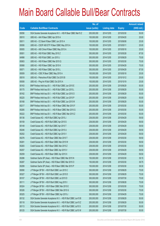|       |                                                                | No. of        |                     |               | <b>Amount raised</b> |
|-------|----------------------------------------------------------------|---------------|---------------------|---------------|----------------------|
| Code  | <b>Callable Bull/Bear Contracts</b>                            | issue (units) | <b>Listing date</b> | <b>Expiry</b> | $(HK$$ mil.)         |
| 65056 | SGA Societe Generale Acceptance N.V. - HSI R Bear CBBC Mar15 Z | 200,000,000   | 2014/12/05          | 2015/03/30    | 50.00                |
| 65010 | UBS AG - AIA R Bear CBBC Apr 2015 A                            | 100,000,000   | 2014/12/05          | 2015/04/20    | 25.00                |
| 65011 | UBS AG - CC Bank R Bear CBBC Jun 2015 A                        | 100,000,000   | 2014/12/05          | 2015/06/08    | 25.00                |
| 65006 | UBS AG - CSOP A50 ETF R Bear CBBC May 2015 A                   | 100,000,000   | 2014/12/05          | 2015/05/11    | 25.00                |
| 65005 | UBS AG - A50 China R Bear CBBC May 2015 A                      | 100,000,000   | 2014/12/05          | 2015/05/18    | 25.00                |
| 65001 | UBS AG - HSI R Bull CBBC May 2015 Z                            | 350,000,000   | 2014/12/05          | 2015/05/28    | 87.50                |
| 64998 | UBS AG - HSI R Bull CBBC Jun 2015 J                            | 300,000,000   | 2014/12/05          | 2015/06/29    | 75.00                |
| 65063 | UBS AG - HSI R Bear CBBC Mar 2015 Q                            | 300,000,000   | 2014/12/05          | 2015/03/30    | 75.00                |
| 65068 | UBS AG - HSI R Bear CBBC Apr 2015 K                            | 300,000,000   | 2014/12/05          | 2015/04/29    | 75.00                |
| 65071 | UBS AG - HSI R Bear CBBC Apr 2015 L                            | 350,000,000   | 2014/12/05          | 2015/04/29    | 87.50                |
| 65009 | UBS AG - ICBC R Bear CBBC May 2015 A                           | 100,000,000   | 2014/12/05          | 2015/05/18    | 25.00                |
| 65018 | UBS AG - Petrochina R Bull CBBC Oct 2015 B                     | 100,000,000   | 2014/12/05          | 2015/10/12    | 25.00                |
| 65008 | UBS AG - Ping An R Bull CBBC Oct 2015 A                        | 100,000,000   | 2014/12/05          | 2015/10/19    | 25.00                |
| 65163 | BNP Paribas Arbit Issu B.V. - HSI R Bull CBBC Jun 2015 E       | 200,000,000   | 2014/12/08          | 2015/06/29    | 50.00                |
| 65175 | BNP Paribas Arbit Issu B.V. - HSI R Bull CBBC Jun 2015 L       | 200,000,000   | 2014/12/08          | 2015/06/29    | 50.00                |
| 65162 | BNP Paribas Arbit Issu B.V. - HSI R Bull CBBC Jun 2015 O       | 200,000,000   | 2014/12/08          | 2015/06/29    | 50.00                |
| 65225 | BNP Paribas Arbit Issu B.V. - HSI R Bull CBBC Jun 2015 P       | 200,000,000   | 2014/12/08          | 2015/06/29    | 50.00                |
| 65168 | BNP Paribas Arbit Issu B.V. - HSI R Bull CBBC Jun 2015 W       | 200,000,000   | 2014/12/08          | 2015/06/29    | 50.00                |
| 65217 | BNP Paribas Arbit Issu B.V. - HSI R Bear CBBC Mar 2015 F       | 200,000,000   | 2014/12/08          | 2015/03/30    | 50.00                |
| 65285 | BNP Paribas Arbit Issu B.V. - HSI R Bear CBBC Mar 2015 G       | 200,000,000   | 2014/12/08          | 2015/03/30    | 50.00                |
| 65222 | BNP Paribas Arbit Issu B.V. - HSI R Bear CBBC Mar 2015 Z       | 200,000,000   | 2014/12/08          | 2015/03/30    | 50.00                |
| 65136 | Credit Suisse AG - HSI R Bull CBBC Apr 2015 J                  | 238,000,000   | 2014/12/08          | 2015/04/29    | 59.50                |
| 65159 | Credit Suisse AG - HSI R Bull CBBC Apr 2015 S                  | 238,000,000   | 2014/12/08          | 2015/04/29    | 59.50                |
| 65149 | Credit Suisse AG - HSI R Bull CBBC Apr 2015 T                  | 238,000,000   | 2014/12/08          | 2015/04/29    | 59.50                |
| 65246 | Credit Suisse AG - HSI R Bull CBBC Apr 2015 U                  | 238,000,000   | 2014/12/08          | 2015/04/29    | 59.50                |
| 65252 | Credit Suisse AG - HSI R Bull CBBC Apr 2015 V                  | 238,000,000   | 2014/12/08          | 2015/04/29    | 59.50                |
| 65276 | Credit Suisse AG - HSI R Bear CBBC Mar 2015 T                  | 238,000,000   | 2014/12/08          | 2015/03/30    | 59.50                |
| 65281 | Credit Suisse AG - HSI R Bear CBBC Mar 2015 W                  | 238,000,000   | 2014/12/08          | 2015/03/30    | 59.50                |
| 65283 | Credit Suisse AG - HSI R Bear CBBC Mar 2015 Z                  | 238,000,000   | 2014/12/08          | 2015/03/30    | 59.50                |
| 65257 | Credit Suisse AG - HSI R Bear CBBC Apr 2015 V                  | 238,000,000   | 2014/12/08          | 2015/04/29    | 59.50                |
| 65259 | Credit Suisse AG - HSI R Bear CBBC Apr 2015 X                  | 238,000,000   | 2014/12/08          | 2015/04/29    | 59.50                |
| 65286 | Goldman Sachs SP (Asia) - HSI R Bear CBBC Mar 2015 N           | 150,000,000   | 2014/12/08          | 2015/03/30    | 39.15                |
| 65287 | Goldman Sachs SP (Asia) - HSI R Bear CBBC Mar 2015 O           | 150,000,000   | 2014/12/08          | 2015/03/30    | 39.75                |
| 65299 | Goldman Sachs SP (Asia) - HSI R Bear CBBC Mar 2015 P           | 150,000,000   | 2014/12/08          | 2015/03/30    | 39.30                |
| 65090 | J P Morgan SP BV - HSI R Bull CBBC Jun 2015 C                  | 300,000,000   | 2014/12/08          | 2015/06/29    | 75.00                |
| 65327 | J P Morgan SP BV - HSI R Bull CBBC Jun 2015 D                  | 300,000,000   | 2014/12/08          | 2015/06/29    | 75.00                |
| 65107 | J P Morgan SP BV - HSI R Bull CBBC Jul 2015 D                  | 300,000,000   | 2014/12/08          | 2015/07/30    | 75.00                |
| 65111 | J P Morgan SP BV - HSI R Bull CBBC Aug 2015 I                  | 300,000,000   | 2014/12/08          | 2015/08/28    | 75.00                |
| 65324 | J P Morgan SP BV - HSI R Bear CBBC Mar 2015 E                  | 300,000,000   | 2014/12/08          | 2015/03/30    | 75.00                |
| 65326 | J P Morgan SP BV - HSI R Bear CBBC Mar 2015 G                  | 300,000,000   | 2014/12/08          | 2015/03/30    | 75.00                |
| 65325 | J P Morgan SP BV - HSI R Bear CBBC Apr 2015 J                  | 300,000,000   | 2014/12/08          | 2015/04/29    | 75.00                |
| 65132 | SGA Societe Generale Acceptance N.V. - HSI R Bull CBBC Jun15 B | 200,000,000   | 2014/12/08          | 2015/06/29    | 50.00                |
| 65118 | SGA Societe Generale Acceptance N.V. - HSI R Bull CBBC Jun15 Z | 200,000,000   | 2014/12/08          | 2015/06/29    | 50.00                |
| 65113 | SGA Societe Generale Acceptance N.V. - HSI R Bull CBBC Jul15 S | 200,000,000   | 2014/12/08          | 2015/07/30    | 50.00                |
| 65125 | SGA Societe Generale Acceptance N.V. - HSI R Bull CBBC Jul15 W | 200,000,000   | 2014/12/08          | 2015/07/30    | 50.00                |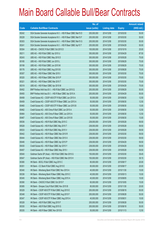|             |                                                                | No. of        |                     |               | <b>Amount raised</b> |
|-------------|----------------------------------------------------------------|---------------|---------------------|---------------|----------------------|
| <b>Code</b> | <b>Callable Bull/Bear Contracts</b>                            | issue (units) | <b>Listing date</b> | <b>Expiry</b> | $(HK$$ mil.)         |
| 65242       | SGA Societe Generale Acceptance N.V. - HSI R Bear CBBC Mar15 D | 200,000,000   | 2014/12/08          | 2015/03/30    | 50.00                |
| 65228       | SGA Societe Generale Acceptance N.V. - HSI R Bear CBBC Mar15 F | 200,000,000   | 2014/12/08          | 2015/03/30    | 50.00                |
| 65303       | SGA Societe Generale Acceptance N.V. - HSI R Bear CBBC Mar15 G | 200,000,000   | 2014/12/08          | 2015/03/30    | 50.00                |
| 65241       | SGA Societe Generale Acceptance N.V. - HSI R Bear CBBC Apr15 T | 200,000,000   | 2014/12/08          | 2015/04/29    | 50.00                |
| 65304       | UBS AG - CNOOC R Bull CBBC Oct 2015 D                          | 100,000,000   | 2014/12/08          | 2015/10/19    | 25.00                |
| 65211       | UBS AG - HSI R Bull CBBC Apr 2015 U                            | 350,000,000   | 2014/12/08          | 2015/04/29    | 87.50                |
| 65243       | UBS AG - HSI R Bull CBBC May 2015 D                            | 300,000,000   | 2014/12/08          | 2015/05/28    | 75.00                |
| 65185       | UBS AG - HSI R Bull CBBC Jun 2015 L                            | 300,000,000   | 2014/12/08          | 2015/06/29    | 75.00                |
| 65199       | UBS AG - HSI R Bull CBBC Jun 2015 M                            | 300,000,000   | 2014/12/08          | 2015/06/29    | 75.00                |
| 65176       | UBS AG - HSI R Bull CBBC Aug 2015 B                            | 300,000,000   | 2014/12/08          | 2015/08/28    | 75.00                |
| 65307       | UBS AG - HSI R Bear CBBC Mar 2015 I                            | 300,000,000   | 2014/12/08          | 2015/03/30    | 75.00                |
| 65320       | UBS AG - HSI R Bear CBBC Mar 2015 P                            | 300,000,000   | 2014/12/08          | 2015/03/30    | 75.00                |
| 65321       | UBS AG - HSI R Bear CBBC Mar 2015 T                            | 300,000,000   | 2014/12/08          | 2015/03/30    | 75.00                |
| 65319       | UBS AG - HSI R Bear CBBC Apr 2015 M                            | 300,000,000   | 2014/12/08          | 2015/04/29    | 75.00                |
| 65452       | BNP Paribas Arbit Issu B.V. - HSI R Bull CBBC Jun 2015 Q       | 200,000,000   | 2014/12/09          | 2015/06/29    | 50.00                |
| 65450       | BNP Paribas Arbit Issu B.V. - HSI R Bear CBBC Apr 2015 A       | 200,000,000   | 2014/12/09          | 2015/04/29    | 50.00                |
| 65458       | Credit Suisse AG - CSOP A50 ETF R Bull CBBC Jun 2015 A         | 50,000,000    | 2014/12/09          | 2015/06/30    | 12.50                |
| 65459       | Credit Suisse AG - CSOP A50 ETF R Bear CBBC Jun 2015 A         | 50,000,000    | 2014/12/09          | 2015/06/30    | 12.50                |
| 65460       | Credit Suisse AG - CSOP A50 ETF R Bear CBBC Jun 2015 B         | 50,000,000    | 2014/12/09          | 2015/06/30    | 13.00                |
| 65462       | Credit Suisse AG - A50 China R Bull CBBC Jun 2015 A            | 50,000,000    | 2014/12/09          | 2015/06/30    | 12.50                |
| 65464       | Credit Suisse AG - A50 China R Bear CBBC Jun 2015 A            | 50,000,000    | 2014/12/09          | 2015/06/30    | 12.50                |
| 65467       | Credit Suisse AG - A50 China R Bear CBBC Jun 2015 B            | 50,000,000    | 2014/12/09          | 2015/06/30    | 13.00                |
| 65536       | Credit Suisse AG - HSI R Bull CBBC May 2015 C                  | 238,000,000   | 2014/12/09          | 2015/05/28    | 59.50                |
| 65528       | Credit Suisse AG - HSI R Bull CBBC May 2015 T                  | 238,000,000   | 2014/12/09          | 2015/05/28    | 59.50                |
| 65533       | Credit Suisse AG - HSI R Bull CBBC May 2015 V                  | 238,000,000   | 2014/12/09          | 2015/05/28    | 59.50                |
| 65442       | Credit Suisse AG - HSI R Bear CBBC Mar 2015 R                  | 238,000,000   | 2014/12/09          | 2015/03/30    | 59.50                |
| 65444       | Credit Suisse AG - HSI R Bear CBBC Mar 2015 X                  | 238,000,000   | 2014/12/09          | 2015/03/30    | 59.50                |
| 65446       | Credit Suisse AG - HSI R Bear CBBC Apr 2015 P                  | 238,000,000   | 2014/12/09          | 2015/04/29    | 59.50                |
| 65430       | Credit Suisse AG - HSI R Bear CBBC Apr 2015 Y                  | 238,000,000   | 2014/12/09          | 2015/04/29    | 59.50                |
| 65457       | Credit Suisse AG - HSI R Bear CBBC May 2015 I                  | 238,000,000   | 2014/12/09          | 2015/05/28    | 59.50                |
| 65540       | Goldman Sachs SP (Asia) - HSI R Bull CBBC Mar 2015 G           | 150,000,000   | 2014/12/09          | 2015/03/30    | 39.45                |
| 65547       | Goldman Sachs SP (Asia) - HSI R Bull CBBC Mar 2015 H           | 150,000,000   | 2014/12/09          | 2015/03/30    | 39.15                |
| 65380       | HK Bank - BOCL R Bull CBBC Aug 2015 C                          | 80,000,000    | 2014/12/09          | 2015/08/17    | 20.00                |
| 65351       | HK Bank - CC Bank R Bull CBBC Aug 2015 E                       | 80,000,000    | 2014/12/09          | 2015/08/17    | 20.00                |
| 65340       | HK Bank - Minsheng Bank R Bull CBBC Nov 2015 A                 | 40,000,000    | 2014/12/09          | 2015/11/30    | 10.00                |
| 65336       | HK Bank - Minsheng Bank R Bear CBBC May 2015 C                 | 40,000,000    | 2014/12/09          | 2015/05/13    | 10.00                |
| 65345       | HK Bank - Minsheng Bank R Bear CBBC Aug 2015 A                 | 40,000,000    | 2014/12/09          | 2015/08/05    | 10.00                |
| 65390       | HK Bank - CNOOC R Bull CBBC Oct 2015 F                         | 60,000,000    | 2014/12/09          | 2015/10/05    | 15.00                |
| 65385       | HK Bank - Sinopec Corp R Bull CBBC Nov 2015 B                  | 80,000,000    | 2014/12/09          | 2015/11/30    | 20.00                |
| 65329       | HK Bank - CSOP A50 ETF R Bull CBBC Aug 2015 E                  | 200,000,000   | 2014/12/09          | 2015/08/18    | 50.00                |
| 65348       | HK Bank - CSOP A50 ETF R Bull CBBC Aug 2015 F                  | 200,000,000   | 2014/12/09          | 2015/08/28    | 50.00                |
| 65347       | HK Bank - CSOP A50 ETF R Bear CBBC Aug 2015 A                  | 40,000,000    | 2014/12/09          | 2015/08/31    | 10.00                |
| 65328       | HK Bank - A50 R Bull CBBC Aug 2015 F                           | 200,000,000   | 2014/12/09          | 2015/08/28    | 50.00                |
| 65330       | HK Bank - A50 R Bull CBBC Aug 2015 G                           | 200,000,000   | 2014/12/09          | 2015/08/18    | 50.00                |
| 65335       | HK Bank - A50 R Bear CBBC Nov 2015 B                           | 50,000,000    | 2014/12/09          | 2015/11/13    | 12.50                |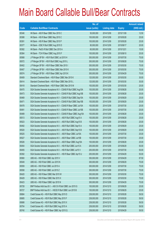|       |                                                                | No. of        |                     |               | <b>Amount raised</b> |
|-------|----------------------------------------------------------------|---------------|---------------------|---------------|----------------------|
| Code  | <b>Callable Bull/Bear Contracts</b>                            | issue (units) | <b>Listing date</b> | <b>Expiry</b> | (HK\$ mil.)          |
| 65346 | HK Bank - A50 R Bear CBBC Nov 2015 C                           | 50,000,000    | 2014/12/09          | 2015/11/09    | 12.50                |
| 65388 | HK Bank - HSI R Bear CBBC May 2015 C                           | 100,000,000   | 2014/12/09          | 2015/05/28    | 25.00                |
| 65391 | HK Bank - HSI R Bear CBBC May 2015 P                           | 100,000,000   | 2014/12/09          | 2015/05/28    | 25.00                |
| 65377 | HK Bank - ICBC R Bull CBBC Aug 2015 D                          | 80,000,000    | 2014/12/09          | 2015/08/17    | 20.00                |
| 65382 | HK Bank - PetCh R Bull CBBC Dec 2015 A                         | 60,000,000    | 2014/12/09          | 2015/12/21    | 15.00                |
| 65364 | HK Bank - TCH R Bear CBBC Aug 2015 F                           | 100,000,000   | 2014/12/09          | 2015/08/10    | 25.00                |
| 65568 | J P Morgan SP BV - HSI R Bull CBBC Jul 2015 H                  | 300,000,000   | 2014/12/09          | 2015/07/30    | 75.00                |
| 65572 | J P Morgan SP BV - HSI R Bull CBBC Aug 2015 L                  | 300,000,000   | 2014/12/09          | 2015/08/28    | 75.00                |
| 65402 | J P Morgan SP BV - HSI R Bear CBBC Mar 2015 I                  | 300,000,000   | 2014/12/09          | 2015/03/30    | 75.00                |
| 65407 | J P Morgan SP BV - HSI R Bear CBBC Mar 2015 K                  | 300,000,000   | 2014/12/09          | 2015/03/30    | 75.00                |
| 65574 | J P Morgan SP BV - HSI R Bear CBBC Apr 2015 K                  | 300,000,000   | 2014/12/09          | 2015/04/29    | 75.00                |
| 65409 | Standard Chartered Bank - HSI R Bear CBBC Mar 2015 K           | 120,000,000   | 2014/12/09          | 2015/03/30    | 30.00                |
| 65414 | Standard Chartered Bank - HSI R Bear CBBC Mar 2015 L           | 120,000,000   | 2014/12/09          | 2015/03/30    | 30.00                |
| 65418 | Standard Chartered Bank - HSI R Bear CBBC Mar 2015 M           | 100,000,000   | 2014/12/09          | 2015/03/30    | 25.00                |
| 65470 | SGA Societe Generale Acceptance N.V - CSA50 R Bull CBBC Aug15A | 100,000,000   | 2014/12/09          | 2015/08/28    | 25.00                |
| 65473 | SGA Societe Generale Acceptance N.V - CSA50 R Bull CBBC Aug15B | 100,000,000   | 2014/12/09          | 2015/08/28    | 25.00                |
| 65469 | SGA Societe Generale Acceptance N.V - CSA50 R Bull CBBC Sep15A | 100,000,000   | 2014/12/09          | 2015/09/29    | 25.00                |
| 65471 | SGA Societe Generale Acceptance N.V - CSA50 R Bull CBBC Sep15B | 100,000,000   | 2014/12/09          | 2015/09/29    | 25.00                |
| 65478 | SGA Societe Generale Acceptance N.V - CSA50 R Bear CBBC Jul15A | 100,000,000   | 2014/12/09          | 2015/07/30    | 25.00                |
| 65491 | SGA Societe Generale Acceptance N.V - CSA50 R Bear CBBC Jul15B | 100,000,000   | 2014/12/09          | 2015/07/30    | 25.00                |
| 65489 | SGA Societe Generale Acceptance N.V - CSA50 R Bear CBBC Aug15A | 100,000,000   | 2014/12/09          | 2015/08/28    | 25.00                |
| 65513 | SGA Societe Generale Acceptance N.V. - A50 R Bull CBBC Aug15 A | 100,000,000   | 2014/12/09          | 2015/08/28    | 25.00                |
| 65523 | SGA Societe Generale Acceptance N.V. - A50 R Bull CBBC Aug15 B | 100,000,000   | 2014/12/09          | 2015/08/28    | 25.00                |
| 65492 | SGA Societe Generale Acceptance N.V. - A50 R Bull CBBC Sep15 A | 100,000,000   | 2014/12/09          | 2015/09/29    | 25.00                |
| 65520 | SGA Societe Generale Acceptance N.V. - A50 R Bull CBBC Sep15 B | 100,000,000   | 2014/12/09          | 2015/09/29    | 25.00                |
| 65525 | SGA Societe Generale Acceptance N.V. - A50 R Bear CBBC Jul15A  | 100,000,000   | 2014/12/09          | 2015/07/30    | 25.00                |
| 65527 | SGA Societe Generale Acceptance N.V. - A50 R Bear CBBC Jul15B  | 100,000,000   | 2014/12/09          | 2015/07/30    | 25.00                |
| 65526 | SGA Societe Generale Acceptance N.V. - A50 R Bear CBBC Aug15A  | 100,000,000   | 2014/12/09          | 2015/08/28    | 25.00                |
| 65454 | SGA Societe Generale Acceptance N.V. - HSI R Bull CBBC Jun15 A | 200,000,000   | 2014/12/09          | 2015/06/29    | 50.00                |
| 65455 | SGA Societe Generale Acceptance N.V. - HSI R Bull CBBC Jul15 V | 200,000,000   | 2014/12/09          | 2015/07/30    | 50.00                |
| 65392 | SGA Societe Generale Acceptance N.V. - HSI R Bear CBBC Apr15 U | 200,000,000   | 2014/12/09          | 2015/04/29    | 50.00                |
| 65560 | UBS AG - HSI R Bull CBBC Apr 2015 V                            | 350,000,000   | 2014/12/09          | 2015/04/29    | 87.50                |
| 65549 | UBS AG - HSI R Bull CBBC Jun 2015 N                            | 300,000,000   | 2014/12/09          | 2015/06/29    | 75.00                |
| 65559 | UBS AG - HSI R Bull CBBC Jul 2015 A                            | 300,000,000   | 2014/12/09          | 2015/07/30    | 75.00                |
| 65558 | UBS AG - HSI R Bull CBBC Jul 2015 Z                            | 300,000,000   | 2014/12/09          | 2015/07/30    | 75.00                |
| 65420 | UBS AG - HSI R Bear CBBC Mar 2015 W                            | 300,000,000   | 2014/12/09          | 2015/03/30    | 75.00                |
| 65429 | UBS AG - HSI R Bear CBBC Mar 2015 X                            | 300,000,000   | 2014/12/09          | 2015/03/30    | 75.00                |
| 65423 | UBS AG - HSI R Bear CBBC Apr 2015 N                            | 300,000,000   | 2014/12/09          | 2015/04/29    | 75.00                |
| 65728 | BNP Paribas Arbit Issu B.V. - A50 Ch R Bull CBBC Jun 2015 G    | 100,000,000   | 2014/12/10          | 2015/06/29    | 25.00                |
| 65727 | BNP Paribas Arbit Issu B.V. - HSCEI R Bull CBBC Jun 2015 B     | 100,000,000   | 2014/12/10          | 2015/06/29    | 25.00                |
| 65684 | Credit Suisse AG - HSI R Bull CBBC May 2015 D                  | 238,000,000   | 2014/12/10          | 2015/05/28    | 59.50                |
| 65685 | Credit Suisse AG - HSI R Bull CBBC May 2015 F                  | 238,000,000   | 2014/12/10          | 2015/05/28    | 59.50                |
| 65688 | Credit Suisse AG - HSI R Bull CBBC May 2015 X                  | 238,000,000   | 2014/12/10          | 2015/05/28    | 59.50                |
| 65704 | Credit Suisse AG - HSI R Bull CBBC Aug 2015 A                  | 238,000,000   | 2014/12/10          | 2015/08/28    | 59.50                |
| 65740 | Credit Suisse AG - HSI R Bear CBBC Apr 2015 Q                  | 238,000,000   | 2014/12/10          | 2015/04/29    | 59.50                |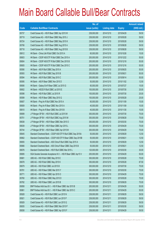|       |                                                                | No. of        |                     |               | <b>Amount raised</b> |
|-------|----------------------------------------------------------------|---------------|---------------------|---------------|----------------------|
| Code  | <b>Callable Bull/Bear Contracts</b>                            | issue (units) | <b>Listing date</b> | <b>Expiry</b> | $(HK$$ mil.)         |
| 65737 | Credit Suisse AG - HSI R Bear CBBC Apr 2015 W                  | 238,000,000   | 2014/12/10          | 2015/04/29    | 59.50                |
| 65719 | Credit Suisse AG - HSI R Bear CBBC May 2015 J                  | 238,000,000   | 2014/12/10          | 2015/05/28    | 59.50                |
| 65724 | Credit Suisse AG - HSI R Bear CBBC May 2015 K                  | 238,000,000   | 2014/12/10          | 2015/05/28    | 59.50                |
| 65706 | Credit Suisse AG - HSI R Bear CBBC Aug 2015 A                  | 238,000,000   | 2014/12/10          | 2015/08/28    | 59.50                |
| 65718 | Credit Suisse AG - HSI R Bear CBBC Aug 2015 B                  | 238,000,000   | 2014/12/10          | 2015/08/28    | 59.50                |
| 65612 | HK Bank - China Life R Bull CBBC Oct 2015 A                    | 60,000,000    | 2014/12/10          | 2015/10/26    | 15.00                |
| 65603 | HK Bank - CSOP A50 ETF R Bull CBBC Dec 2015 A                  | 200,000,000   | 2014/12/10          | 2015/12/22    | 50.00                |
| 65604 | HK Bank - CSOP A50 ETF R Bull CBBC Dec 2015 B                  | 200,000,000   | 2014/12/10          | 2015/12/18    | 50.00                |
| 65605 | HK Bank - CSOP A50 ETF R Bull CBBC Dec 2015 C                  | 200,000,000   | 2014/12/10          | 2015/12/16    | 50.00                |
| 65590 | HK Bank - A50 R Bull CBBC Sep 2015 A                           | 200,000,000   | 2014/12/10          | 2015/09/25    | 50.00                |
| 65593 | HK Bank - A50 R Bull CBBC Sep 2015 B                           | 200,000,000   | 2014/12/10          | 2015/09/21    | 50.00                |
| 65594 | HK Bank - A50 R Bull CBBC Sep 2015 C                           | 200,000,000   | 2014/12/10          | 2015/09/14    | 50.00                |
| 65595 | HK Bank - A50 R Bear CBBC Nov 2015 D                           | 50,000,000    | 2014/12/10          | 2015/11/02    | 12.50                |
| 65606 | HK Bank - Galaxy Ent R Bear CBBC Jul 2015 G                    | 60,000,000    | 2014/12/10          | 2015/07/27    | 15.00                |
| 65602 | HK Bank - HSCEI R Bull CBBC Jul 2015 E                         | 100,000,000   | 2014/12/10          | 2015/07/30    | 25.00                |
| 65598 | HK Bank - HSI R Bull CBBC Jul 2015 R                           | 100,000,000   | 2014/12/10          | 2015/07/30    | 25.00                |
| 65599 | HK Bank - HSI R Bear CBBC May 2015 Q                           | 100,000,000   | 2014/12/10          | 2015/05/28    | 25.00                |
| 65607 | HK Bank - Ping An R Bull CBBC Nov 2015 A                       | 60,000,000    | 2014/12/10          | 2015/11/09    | 15.00                |
| 65609 | HK Bank - Ping An R Bear CBBC Nov 2015 A                       | 40,000,000    | 2014/12/10          | 2015/11/09    | 10.00                |
| 65610 | HK Bank - Ping An R Bear CBBC Nov 2015 B                       | 40,000,000    | 2014/12/10          | 2015/11/30    | 10.00                |
| 65699 | J P Morgan SP BV - HSI R Bull CBBC Jul 2015 M                  | 300,000,000   | 2014/12/10          | 2015/07/30    | 75.00                |
| 65701 | J P Morgan SP BV - HSI R Bull CBBC Aug 2015 M                  | 300,000,000   | 2014/12/10          | 2015/08/28    | 75.00                |
| 65638 | J P Morgan SP BV - HSI R Bear CBBC Mar 2015 O                  | 300,000,000   | 2014/12/10          | 2015/03/30    | 75.00                |
| 65639 | J P Morgan SP BV - HSI R Bear CBBC Apr 2015 L                  | 300,000,000   | 2014/12/10          | 2015/04/29    | 75.00                |
| 65744 | J P Morgan SP BV - HSI R Bear CBBC Apr 2015 M                  | 300,000,000   | 2014/12/10          | 2015/04/29    | 75.00                |
| 65645 | Standard Chartered Bank - CSOP A50 ETF R Bull CBBC Sep 2015A   | 50,000,000    | 2014/12/10          | 2015/09/29    | 12.50                |
| 65662 | Standard Chartered Bank - CSOP A50 ETF R Bear CBBC Sep 2015B   | 50,000,000    | 2014/12/10          | 2015/09/21    | 12.50                |
| 65655 | Standard Chartered Bank - A50 China R Bull CBBC Sep 2015 A     | 50,000,000    | 2014/12/10          | 2015/09/29    | 12.50                |
| 65666 | Standard Chartered Bank - A50 China R Bear CBBC Sep 2015 B     | 50,000,000    | 2014/12/10          | 2015/09/21    | 12.50                |
| 65676 | Standard Chartered Bank - HSI R Bull CBBC Mar 2015 L           | 120,000,000   | 2014/12/10          | 2015/03/30    | 30.00                |
| 65695 | SGA Societe Generale Acceptance N.V. - HSI R Bear CBBC Apr15 V | 200,000,000   | 2014/12/10          | 2015/04/29    | 50.00                |
| 65681 | UBS AG - HSI R Bull CBBC May 2015 E                            | 300,000,000   | 2014/12/10          | 2015/05/28    | 75.00                |
| 65678 | UBS AG - HSI R Bull CBBC May 2015 K                            | 350,000,000   | 2014/12/10          | 2015/05/28    | 87.50                |
| 65679 | UBS AG - HSI R Bull CBBC Jul 2015 B                            | 300,000,000   | 2014/12/10          | 2015/07/30    | 75.00                |
| 65781 | UBS AG - HSI R Bear CBBC Mar 2015 Y                            | 300,000,000   | 2014/12/10          | 2015/03/30    | 75.00                |
| 65771 | UBS AG - HSI R Bear CBBC Apr 2015 O                            | 300,000,000   | 2014/12/10          | 2015/04/29    | 75.00                |
| 65760 | UBS AG - HSI R Bear CBBC May 2015 D                            | 300,000,000   | 2014/12/10          | 2015/05/28    | 75.00                |
| 65782 | UBS AG - HSI R Bear CBBC Jun 2015 B                            | 300,000,000   | 2014/12/10          | 2015/06/29    | 75.00                |
| 65858 | BNP Paribas Arbit Issu B.V. - HSI R Bear CBBC Apr 2015 B       | 200,000,000   | 2014/12/11          | 2015/04/29    | 50.00                |
| 65861 | BNP Paribas Arbit Issu B.V. - HSI R Bear CBBC Apr 2015 C       | 200,000,000   | 2014/12/11          | 2015/04/29    | 50.00                |
| 65928 | Credit Suisse AG - HSI R Bull CBBC Jun 2015 N                  | 238,000,000   | 2014/12/11          | 2015/06/29    | 59.50                |
| 65921 | Credit Suisse AG - HSI R Bull CBBC Jun 2015 P                  | 238,000,000   | 2014/12/11          | 2015/06/29    | 59.50                |
| 65929 | Credit Suisse AG - HSI R Bull CBBC Jun 2015 Q                  | 238,000,000   | 2014/12/11          | 2015/06/29    | 59.50                |
| 65835 | Credit Suisse AG - HSI R Bear CBBC Mar 2015 P                  | 238,000,000   | 2014/12/11          | 2015/03/30    | 59.50                |
| 65838 | Credit Suisse AG - HSI R Bear CBBC Apr 2015 F                  | 238,000,000   | 2014/12/11          | 2015/04/29    | 59.50                |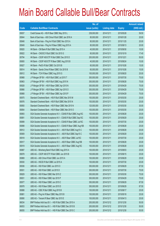|             |                                                                | No. of        |                     |               | <b>Amount raised</b> |
|-------------|----------------------------------------------------------------|---------------|---------------------|---------------|----------------------|
| <b>Code</b> | <b>Callable Bull/Bear Contracts</b>                            | issue (units) | <b>Listing date</b> | <b>Expiry</b> | $(HK$$ mil.)         |
| 65837       | Credit Suisse AG - HSI R Bear CBBC May 2015 L                  | 238,000,000   | 2014/12/11          | 2015/05/28    | 59.50                |
| 65844       | Bank of East Asia - A50 China R Bull CBBC Jan 2016 A           | 80,000,000    | 2014/12/11          | 2016/01/28    | 20.00                |
| 65848       | Bank of East Asia - Ping An R Bull CBBC Nov 2015 A             | 80,000,000    | 2014/12/11          | 2015/11/25    | 20.00                |
| 65849       | Bank of East Asia - Ping An R Bear CBBC Aug 2015 A             | 80,000,000    | 2014/12/11          | 2015/08/13    | 20.00                |
| 65820       | HK Bank - CM Bank R Bull CBBC Sep 2015 A                       | 40,000,000    | 2014/12/11          | 2015/09/30    | 10.00                |
| 65822       | HK Bank - CNOOC R Bull CBBC Oct 2015 G                         | 60,000,000    | 2014/12/11          | 2015/10/19    | 17.40                |
| 65794       | HK Bank - CSOP A50 ETF R Bull CBBC Dec 2015 D                  | 200,000,000   | 2014/12/11          | 2015/12/21    | 50.00                |
| 65800       | HK Bank - CSOP A50 ETF R Bear CBBC Aug 2015 B                  | 40,000,000    | 2014/12/11          | 2015/08/24    | 10.00                |
| 65827       | HK Bank - PetCh R Bull CBBC Oct 2015 B                         | 60,000,000    | 2014/12/11          | 2015/10/26    | 15.00                |
| 65814       | HK Bank - Sands China R Bear CBBC Oct 2015 B                   | 60,000,000    | 2014/12/11          | 2015/10/26    | 15.00                |
| 65812       | HK Bank - TCH R Bear CBBC Aug 2015 G                           | 100,000,000   | 2014/12/11          | 2015/08/20    | 25.00                |
| 65968       | J P Morgan SP BV - HSI R Bull CBBC Jul 2015 T                  | 300,000,000   | 2014/12/11          | 2015/07/30    | 75.00                |
| 65963       | J P Morgan SP BV - HSI R Bull CBBC Aug 2015 N                  | 300,000,000   | 2014/12/11          | 2015/08/28    | 75.00                |
| 65828       | J P Morgan SP BV - HSI R Bear CBBC Apr 2015 N                  | 300,000,000   | 2014/12/11          | 2015/04/29    | 75.00                |
| 65866       | J P Morgan SP BV - HSI R Bear CBBC Apr 2015 O                  | 300,000,000   | 2014/12/11          | 2015/04/29    | 75.00                |
| 65868       | J P Morgan SP BV - HSI R Bear CBBC Apr 2015 P                  | 300,000,000   | 2014/12/11          | 2015/04/29    | 75.00                |
| 65975       | Standard Chartered Bank - HSI R Bull CBBC Mar 2015 M           | 100,000,000   | 2014/12/11          | 2015/03/30    | 25.00                |
| 65976       | Standard Chartered Bank - HSI R Bull CBBC Mar 2015 N           | 100,000,000   | 2014/12/11          | 2015/03/30    | 25.00                |
| 65850       | Standard Chartered Bank - HSI R Bear CBBC Mar 2015 N           | 120,000,000   | 2014/12/11          | 2015/03/30    | 30.00                |
| 65854       | Standard Chartered Bank - HSI R Bear CBBC Mar 2015 O           | 100,000,000   | 2014/12/11          | 2015/03/30    | 25.00                |
| 65893       | SGA Societe Generale Acceptance N.V - CSA50 R Bull CBBC Aug15C | 100,000,000   | 2014/12/11          | 2015/08/28    | 25.00                |
| 65891       | SGA Societe Generale Acceptance N.V - CSA50 R Bull CBBC Sep15C | 100,000,000   | 2014/12/11          | 2015/09/29    | 25.00                |
| 65899       | SGA Societe Generale Acceptance N.V - CSA50 R Bear CBBC Jul15C | 100,000,000   | 2014/12/11          | 2015/07/30    | 25.00                |
| 65898       | SGA Societe Generale Acceptance N.V - CSA50 R Bear CBBC Aug15B | 100,000,000   | 2014/12/11          | 2015/08/28    | 25.00                |
| 65912       | SGA Societe Generale Acceptance N.V. - A50 R Bull CBBC Aug15 C | 100,000,000   | 2014/12/11          | 2015/08/28    | 25.00                |
| 65909       | SGA Societe Generale Acceptance N.V. - A50 R Bull CBBC Sep15 C | 100,000,000   | 2014/12/11          | 2015/09/29    | 25.00                |
| 65918       | SGA Societe Generale Acceptance N.V. - A50 R Bear CBBC Jul15C  | 100,000,000   | 2014/12/11          | 2015/07/30    | 25.00                |
| 65917       | SGA Societe Generale Acceptance N.V. - A50 R Bear CBBC Aug15B  | 100,000,000   | 2014/12/11          | 2015/08/28    | 25.00                |
| 65919       | SGA Societe Generale Acceptance N.V. - A50 R Bear CBBC Aug15C  | 100,000,000   | 2014/12/11          | 2015/08/28    | 26.50                |
| 65887       | UBS AG - Minsheng Bank R Bull CBBC Aug 2015 A                  | 100,000,000   | 2014/12/11          | 2015/08/03    | 25.00                |
| 65878       | UBS AG - CSOP A50 ETF R Bull CBBC Jun 2015 B                   | 100,000,000   | 2014/12/11          | 2015/06/15    | 25.00                |
| 65869       | UBS AG - A50 China R Bull CBBC Jun 2015 A                      | 100,000,000   | 2014/12/11          | 2015/06/29    | 25.00                |
| 65930       | UBS AG - HSCEI R Bull CBBC Jul 2015 A                          | 100,000,000   | 2014/12/11          | 2015/07/30    | 25.00                |
| 65936       | UBS AG - HSI R Bull CBBC Jun 2015 O                            | 350,000,000   | 2014/12/11          | 2015/06/29    | 87.50                |
| 65931       | UBS AG - HSI R Bull CBBC Jul 2015 D                            | 300,000,000   | 2014/12/11          | 2015/07/30    | 75.00                |
| 65829       | UBS AG - HSI R Bear CBBC Mar 2015 Z                            | 300,000,000   | 2014/12/11          | 2015/03/30    | 75.00                |
| 65831       | UBS AG - HSI R Bear CBBC Apr 2015 P                            | 300,000,000   | 2014/12/11          | 2015/04/29    | 75.00                |
| 65977       | UBS AG - HSI R Bear CBBC Jun 2015 C                            | 350,000,000   | 2014/12/11          | 2015/06/29    | 87.50                |
| 65978       | UBS AG - HSI R Bear CBBC Jun 2015 D                            | 350,000,000   | 2014/12/11          | 2015/06/29    | 87.50                |
| 65888       | UBS AG - ICBC R Bull CBBC Aug 2015 B                           | 100,000,000   | 2014/12/11          | 2015/08/17    | 25.00                |
| 65881       | UBS AG - Ping An R Bear CBBC May 2015 B                        | 100,000,000   | 2014/12/11          | 2015/05/18    | 25.00                |
| 65890       | UBS AG - Tencent R Bear CBBC Apr 2015 E                        | 100,000,000   | 2014/12/11          | 2015/04/13    | 25.00                |
| 66034       | BNP Paribas Arbit Issu B.V. - HSI R Bull CBBC Dec 2015 A       | 200,000,000   | 2014/12/12          | 2015/12/30    | 50.00                |
| 66053       | BNP Paribas Arbit Issu B.V. - HSI R Bull CBBC Dec 2015 B       | 200,000,000   | 2014/12/12          | 2015/12/30    | 50.00                |
| 66055       | BNP Paribas Arbit Issu B.V. - HSI R Bull CBBC Dec 2015 C       | 200,000,000   | 2014/12/12          | 2015/12/30    | 50.00                |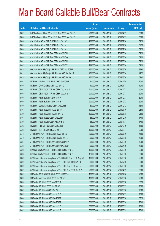|       |                                                                | No. of        |                     |               | <b>Amount raised</b> |
|-------|----------------------------------------------------------------|---------------|---------------------|---------------|----------------------|
| Code  | <b>Callable Bull/Bear Contracts</b>                            | issue (units) | <b>Listing date</b> | <b>Expiry</b> | $(HK$$ mil.)         |
| 66029 | BNP Paribas Arbit Issu B.V. - HSI R Bear CBBC Apr 2015 D       | 200,000,000   | 2014/12/12          | 2015/04/29    | 50.00                |
| 66030 | BNP Paribas Arbit Issu B.V. - HSI R Bear CBBC Apr 2015 E       | 200,000,000   | 2014/12/12          | 2015/04/29    | 50.00                |
| 66074 | Credit Suisse AG - HSI R Bull CBBC Jul 2015 W                  | 238,000,000   | 2014/12/12          | 2015/07/30    | 59.50                |
| 66083 | Credit Suisse AG - HSI R Bull CBBC Jul 2015 X                  | 238,000,000   | 2014/12/12          | 2015/07/30    | 59.50                |
| 66086 | Credit Suisse AG - HSI R Bull CBBC Jul 2015 Y                  | 238,000,000   | 2014/12/12          | 2015/07/30    | 59.50                |
| 66024 | Credit Suisse AG - HSI R Bear CBBC Mar 2015 N                  | 238,000,000   | 2014/12/12          | 2015/03/30    | 59.50                |
| 66026 | Credit Suisse AG - HSI R Bear CBBC Mar 2015 Q                  | 238,000,000   | 2014/12/12          | 2015/03/30    | 59.50                |
| 66023 | Credit Suisse AG - HSI R Bear CBBC Mar 2015 U                  | 238,000,000   | 2014/12/12          | 2015/03/30    | 59.50                |
| 66027 | Credit Suisse AG - HSI R Bear CBBC Mar 2015 Y                  | 238,000,000   | 2014/12/12          | 2015/03/30    | 59.50                |
| 66109 | Goldman Sachs SP (Asia) - HSI R Bull CBBC Mar 2015 I           | 150,000,000   | 2014/12/12          | 2015/03/30    | 39.60                |
| 66112 | Goldman Sachs SP (Asia) - HSI R Bear CBBC Mar 2015 T           | 150,000,000   | 2014/12/12          | 2015/03/30    | 42.75                |
| 66114 | Goldman Sachs SP (Asia) - HSI R Bear CBBC Mar 2015 U           | 150,000,000   | 2014/12/12          | 2015/03/30    | 51.45                |
| 66013 | HK Bank - Minsheng Bank R Bull CBBC Nov 2015 B                 | 40,000,000    | 2014/12/12          | 2015/11/09    | 10.00                |
| 66010 | HK Bank - CNOOC R Bear CBBC Jul 2015 C                         | 40,000,000    | 2014/12/12          | 2015/07/13    | 10.00                |
| 65987 | HK Bank - CSOP A50 ETF R Bull CBBC Dec 2015 E                  | 200,000,000   | 2014/12/12          | 2015/12/23    | 50.00                |
| 65994 | HK Bank - CSOP A50 ETF R Bull CBBC Dec 2015 F                  | 200,000,000   | 2014/12/12          | 2015/12/17    | 50.00                |
| 65995 | HK Bank - A50 R Bull CBBC Dec 2015 A                           | 200,000,000   | 2014/12/12          | 2015/12/23    | 50.00                |
| 65999 | HK Bank - A50 R Bull CBBC Dec 2015 B                           | 200,000,000   | 2014/12/12          | 2015/12/22    | 50.00                |
| 66000 | HK Bank - Galaxy Ent R Bear CBBC Oct 2015 B                    | 60,000,000    | 2014/12/12          | 2015/10/12    | 15.00                |
| 65981 | HK Bank - HSCEI R Bull CBBC Jul 2015 F                         | 100,000,000   | 2014/12/12          | 2015/07/30    | 25.00                |
| 66009 | HK Bank - HSCEI R Bull CBBC Aug 2015 B                         | 100,000,000   | 2014/12/12          | 2015/08/28    | 25.00                |
| 65984 | HK Bank - HSCEI R Bear CBBC Oct 2015 A                         | 68,000,000    | 2014/12/12          | 2015/10/29    | 17.00                |
| 65986 | HK Bank - HSCEI R Bear CBBC Nov 2015 A                         | 68,000,000    | 2014/12/12          | 2015/11/27    | 17.00                |
| 66012 | HK Bank - Ping An R Bull CBBC Oct 2015 C                       | 60,000,000    | 2014/12/12          | 2015/10/19    | 15.00                |
| 66002 | HK Bank - TCH R Bear CBBC Aug 2015 H                           | 100,000,000   | 2014/12/12          | 2015/08/17    | 25.00                |
| 66108 | J P Morgan SP BV - HSI R Bull CBBC Jul 2015 J                  | 300,000,000   | 2014/12/12          | 2015/07/30    | 75.00                |
| 66106 | J P Morgan SP BV - HSI R Bull CBBC Aug 2015 O                  | 300,000,000   | 2014/12/12          | 2015/08/28    | 75.00                |
| 66014 | J P Morgan SP BV - HSI R Bear CBBC Mar 2015 P                  | 300,000,000   | 2014/12/12          | 2015/03/30    | 75.00                |
| 66015 | J P Morgan SP BV - HSI R Bear CBBC Apr 2015 Q                  | 300,000,000   | 2014/12/12          | 2015/04/29    | 75.00                |
| 66056 | Standard Chartered Bank - HSI R Bull CBBC Mar 2015 O           | 100,000,000   | 2014/12/12          | 2015/03/30    | 25.00                |
| 66058 | Standard Chartered Bank - HSI R Bull CBBC Mar 2015 P           | 120,000,000   | 2014/12/12          | 2015/03/30    | 30.00                |
| 66049 | SGA Societe Generale Acceptance N.V - CSA50 R Bear CBBC Aug15C | 100,000,000   | 2014/12/12          | 2015/08/28    | 25.00                |
| 66052 | SGA Societe Generale Acceptance N.V. - HSI R Bull CBBC Jul15 R | 200,000,000   | 2014/12/12          | 2015/07/30    | 50.00                |
| 66019 | SGA Societe Generale Acceptance N.V. - HSI R Bear CBBC Mar15 H | 200,000,000   | 2014/12/12          | 2015/03/30    | 50.00                |
| 66022 | SGA Societe Generale Acceptance N.V. - HSI R Bear CBBC Apr15 W | 200,000,000   | 2014/12/12          | 2015/04/29    | 50.00                |
| 66087 | UBS AG - CSOP A50 ETF R Bull CBBC Jul 2015 A                   | 100,000,000   | 2014/12/12          | 2015/07/06    | 25.00                |
| 66093 | UBS AG - A50 China R Bull CBBC Jun 2015 B                      | 100,000,000   | 2014/12/12          | 2015/06/08    | 25.00                |
| 66060 | UBS AG - HSI R Bull CBBC May 2015 G                            | 350,000,000   | 2014/12/12          | 2015/05/28    | 87.50                |
| 66059 | UBS AG - HSI R Bull CBBC Jun 2015 P                            | 300,000,000   | 2014/12/12          | 2015/06/29    | 75.00                |
| 66042 | UBS AG - HSI R Bear CBBC Mar 2015 H                            | 300,000,000   | 2014/12/12          | 2015/03/30    | 75.00                |
| 66037 | UBS AG - HSI R Bear CBBC Apr 2015 Q                            | 300,000,000   | 2014/12/12          | 2015/04/29    | 75.00                |
| 66044 | UBS AG - HSI R Bear CBBC May 2015 E                            | 350,000,000   | 2014/12/12          | 2015/05/28    | 87.50                |
| 66066 | UBS AG - HSI R Bear CBBC May 2015 F                            | 300,000,000   | 2014/12/12          | 2015/05/28    | 75.00                |
| 66069 | UBS AG - HSI R Bear CBBC Jun 2015 E                            | 300,000,000   | 2014/12/12          | 2015/06/29    | 75.00                |
| 66073 | UBS AG - HSI R Bear CBBC Jun 2015 F                            | 300,000,000   | 2014/12/12          | 2015/06/29    | 75.00                |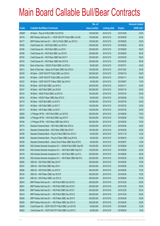|        |                                                                | No. of        |                     |               | <b>Amount raised</b> |
|--------|----------------------------------------------------------------|---------------|---------------------|---------------|----------------------|
| Code   | <b>Callable Bull/Bear Contracts</b>                            | issue (units) | <b>Listing date</b> | <b>Expiry</b> | $(HK$$ mil.)         |
| 64969# | HK Bank - Ping An R Bull CBBC Oct 2015 B                       | 120,000,000   | 2014/12/12          | 2015/10/26    | 30.00                |
| 66178  | BNP Paribas Arbit Issu B.V. - CSOP A50 ETF R Bull CBBC Jun15E  | 100,000,000   | 2014/12/15          | 2015/06/29    | 25.00                |
| 66177  | BNP Paribas Arbit Issu B.V. - A50 Ch R Bull CBBC Jun 2015 H    | 100,000,000   | 2014/12/15          | 2015/06/29    | 25.00                |
| 66195  | Credit Suisse AG - HSI R Bull CBBC Jun 2015 H                  | 238,000,000   | 2014/12/15          | 2015/06/29    | 59.50                |
| 66190  | Credit Suisse AG - HSI R Bull CBBC Jun 2015 I                  | 238,000,000   | 2014/12/15          | 2015/06/29    | 59.50                |
| 66186  | Credit Suisse AG - HSI R Bull CBBC Jun 2015 R                  | 238,000,000   | 2014/12/15          | 2015/06/29    | 59.50                |
| 66152  | Credit Suisse AG - HSI R Bear CBBC Mar 2015 T                  | 238,000,000   | 2014/12/15          | 2015/03/30    | 59.50                |
| 66153  | Credit Suisse AG - HSI R Bear CBBC Mar 2015 W                  | 238,000,000   | 2014/12/15          | 2015/03/30    | 59.50                |
| 66164  | Bank of East Asia - CNOOC R Bull CBBC Jul 2015 A               | 80,000,000    | 2014/12/15          | 2015/07/31    | 20.00                |
| 66213  | Bank of East Asia - Galaxy Ent R Bear CBBC Dec 2015 A          | 100,000,000   | 2014/12/15          | 2015/12/02    | 25.00                |
| 66128  | HK Bank - CSOP A50 ETF R Bull CBBC Jan 2016 A                  | 200,000,000   | 2014/12/15          | 2016/01/18    | 50.00                |
| 66145  | HK Bank - CSOP A50 ETF R Bull CBBC Jan 2016 B                  | 200,000,000   | 2014/12/15          | 2016/01/11    | 50.00                |
| 66122  | HK Bank - CSOP A50 ETF R Bear CBBC Sep 2015 A                  | 40,000,000    | 2014/12/15          | 2015/09/07    | 10.00                |
| 66120  | HK Bank - A50 R Bull CBBC Jan 2016 A                           | 200,000,000   | 2014/12/15          | 2016/01/11    | 50.00                |
| 66147  | HK Bank - A50 R Bull CBBC Jan 2016 B                           | 200,000,000   | 2014/12/15          | 2016/01/18    | 50.00                |
| 66123  | HK Bank - HSCEI R Bull CBBC Jul 2015 G                         | 100,000,000   | 2014/12/15          | 2015/07/30    | 25.00                |
| 66124  | HK Bank - HSCEI R Bear CBBC May 2015 G                         | 68,000,000    | 2014/12/15          | 2015/05/28    | 17.00                |
| 66119  | HK Bank - HSI R Bull CBBC Jul 2015 S                           | 100,000,000   | 2014/12/15          | 2015/07/30    | 25.00                |
| 66121  | HK Bank - HSI R Bull CBBC Jul 2015 T                           | 100,000,000   | 2014/12/15          | 2015/07/30    | 25.00                |
| 66115  | HK Bank - HSI R Bear CBBC Jul 2015 I                           | 100,000,000   | 2014/12/15          | 2015/07/30    | 25.00                |
| 66209  | J P Morgan SP BV - HSI R Bull CBBC Jun 2015 B                  | 300,000,000   | 2014/12/15          | 2015/06/29    | 75.00                |
| 66208  | J P Morgan SP BV - HSI R Bull CBBC Aug 2015 P                  | 300,000,000   | 2014/12/15          | 2015/08/28    | 75.00                |
| 66184  | J P Morgan SP BV - HSI R Bear CBBC Mar 2015 Q                  | 300,000,000   | 2014/12/15          | 2015/03/30    | 75.00                |
| 66175  | Standard Chartered Bank - HSI R Bull CBBC Mar 2015 Q           | 120,000,000   | 2014/12/15          | 2015/03/30    | 30.00                |
| 66172  | Standard Chartered Bank - HSI R Bear CBBC Mar 2015 P           | 100,000,000   | 2014/12/15          | 2015/03/30    | 25.00                |
| 66165  | Standard Chartered Bank - Ping An R Bull CBBC Nov 2015 C       | 50,000,000    | 2014/12/15          | 2015/11/18    | 12.50                |
| 66168  | Standard Chartered Bank - Ping An R Bear CBBC Aug 2015 B       | 50,000,000    | 2014/12/15          | 2015/08/19    | 12.50                |
| 66169  | Standard Chartered Bank - Sands China R Bear CBBC May 2015 B   | 50,000,000    | 2014/12/15          | 2015/05/07    | 12.50                |
| 66180  | SGA Societe Generale Acceptance N.V - CSA50 R Bull CBBC Sep15D | 100,000,000   | 2014/12/15          | 2015/09/29    | 25.00                |
| 66183  | SGA Societe Generale Acceptance N.V. - A50 R Bull CBBC Sep15 D | 100,000,000   | 2014/12/15          | 2015/09/29    | 25.00                |
| 66176  | SGA Societe Generale Acceptance N.V. - HSI R Bull CBBC Jun15 C | 200,000,000   | 2014/12/15          | 2015/06/29    | 50.00                |
| 66150  | SGA Societe Generale Acceptance N.V. - HSI R Bear CBBC Mar15 K | 200,000,000   | 2014/12/15          | 2015/03/30    | 50.00                |
| 66200  | UBS AG - HSI R Bull CBBC May 2015 F                            | 300,000,000   | 2014/12/15          | 2015/05/28    | 75.00                |
| 66197  | UBS AG - HSI R Bull CBBC May 2015 I                            | 300,000,000   | 2014/12/15          | 2015/05/28    | 75.00                |
| 66206  | UBS AG - HSI R Bull CBBC Jun 2015 S                            | 300,000,000   | 2014/12/15          | 2015/06/29    | 75.00                |
| 66154  | UBS AG - HSI R Bear CBBC Apr 2015 R                            | 300,000,000   | 2014/12/15          | 2015/04/29    | 75.00                |
| 66161  | UBS AG - HSI R Bear CBBC Jun 2015 G                            | 350,000,000   | 2014/12/15          | 2015/06/29    | 87.50                |
| 66243  | BNP Paribas Arbit Issu B.V. - HSI R Bull CBBC Dec 2015 D       | 200,000,000   | 2014/12/16          | 2015/12/30    | 50.00                |
| 66301  | BNP Paribas Arbit Issu B.V. - HSI R Bull CBBC Dec 2015 E       | 200,000,000   | 2014/12/16          | 2015/12/30    | 50.00                |
| 66305  | BNP Paribas Arbit Issu B.V. - HSI R Bull CBBC Dec 2015 F       | 200,000,000   | 2014/12/16          | 2015/12/30    | 50.00                |
| 66310  | BNP Paribas Arbit Issu B.V. - HSI R Bull CBBC Dec 2015 G       | 200,000,000   | 2014/12/16          | 2015/12/30    | 50.00                |
| 66346  | BNP Paribas Arbit Issu B.V. - HSI R Bear CBBC Apr 2015 F       | 200,000,000   | 2014/12/16          | 2015/04/29    | 50.00                |
| 66350  | BNP Paribas Arbit Issu B.V. - HSI R Bear CBBC Apr 2015 G       | 200,000,000   | 2014/12/16          | 2015/04/29    | 50.00                |
| 66249  | Credit Suisse AG - CSOP A50 ETF R Bull CBBC Jun 2015 B         | 60,000,000    | 2014/12/16          | 2015/06/30    | 15.00                |
| 66252  | Credit Suisse AG - CSOP A50 ETF R Bull CBBC Jun 2015 C         | 60,000,000    | 2014/12/16          | 2015/06/30    | 15.00                |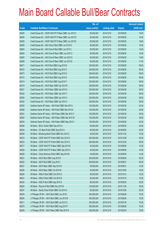|             |                                                        | No. of        |                     |               | <b>Amount raised</b> |
|-------------|--------------------------------------------------------|---------------|---------------------|---------------|----------------------|
| <b>Code</b> | <b>Callable Bull/Bear Contracts</b>                    | issue (units) | <b>Listing date</b> | <b>Expiry</b> | $(HK$$ mil.)         |
| 66255       | Credit Suisse AG - CSOP A50 ETF R Bear CBBC Jun 2015 C | 60,000,000    | 2014/12/16          | 2015/06/30    | 15.00                |
| 66256       | Credit Suisse AG - CSOP A50 ETF R Bear CBBC Jun 2015 D | 60,000,000    | 2014/12/16          | 2015/06/30    | 15.00                |
| 66259       | Credit Suisse AG - CSOP A50 ETF R Bear CBBC Jun 2015 E | 60,000,000    | 2014/12/16          | 2015/06/30    | 16.80                |
| 66260       | Credit Suisse AG - A50 China R Bull CBBC Jun 2015 B    | 60,000,000    | 2014/12/16          | 2015/06/30    | 15.00                |
| 66263       | Credit Suisse AG - A50 China R Bull CBBC Jun 2015 C    | 60,000,000    | 2014/12/16          | 2015/06/30    | 15.00                |
| 66264       | Credit Suisse AG - A50 China R Bear CBBC Jun 2015 C    | 60,000,000    | 2014/12/16          | 2015/06/30    | 15.00                |
| 66265       | Credit Suisse AG - A50 China R Bear CBBC Jun 2015 D    | 60,000,000    | 2014/12/16          | 2015/06/30    | 15.00                |
| 66268       | Credit Suisse AG - A50 China R Bear CBBC Jun 2015 E    | 60,000,000    | 2014/12/16          | 2015/06/30    | 17.40                |
| 66271       | Credit Suisse AG - HSI R Bull CBBC Aug 2015 B          | 238,000,000   | 2014/12/16          | 2015/08/28    | 59.50                |
| 66272       | Credit Suisse AG - HSI R Bull CBBC Aug 2015 C          | 238,000,000   | 2014/12/16          | 2015/08/28    | 59.50                |
| 66273       | Credit Suisse AG - HSI R Bull CBBC Aug 2015 D          | 238,000,000   | 2014/12/16          | 2015/08/28    | 59.50                |
| 66312       | Credit Suisse AG - HSI R Bull CBBC Aug 2015 E          | 238,000,000   | 2014/12/16          | 2015/08/28    | 59.50                |
| 66313       | Credit Suisse AG - HSI R Bull CBBC Aug 2015 F          | 238,000,000   | 2014/12/16          | 2015/08/28    | 59.50                |
| 66319       | Credit Suisse AG - HSI R Bear CBBC Apr 2015 R          | 238,000,000   | 2014/12/16          | 2015/04/29    | 59.50                |
| 66321       | Credit Suisse AG - HSI R Bear CBBC Apr 2015 S          | 238,000,000   | 2014/12/16          | 2015/04/29    | 59.50                |
| 66322       | Credit Suisse AG - HSI R Bear CBBC Apr 2015 T          | 238,000,000   | 2014/12/16          | 2015/04/29    | 59.50                |
| 66330       | Credit Suisse AG - HSI R Bear CBBC Apr 2015 V          | 238,000,000   | 2014/12/16          | 2015/04/29    | 59.50                |
| 66332       | Credit Suisse AG - HSI R Bear CBBC Apr 2015 X          | 238,000,000   | 2014/12/16          | 2015/04/29    | 59.50                |
| 66355       | Goldman Sachs SP (Asia) - HSI R Bull CBBC Mar 2015 J   | 150,000,000   | 2014/12/16          | 2015/03/30    | 42.45                |
| 66358       | Goldman Sachs SP (Asia) - HSI R Bull CBBC Mar 2015 K   | 150,000,000   | 2014/12/16          | 2015/03/30    | 39.90                |
| 66351       | Goldman Sachs SP (Asia) - HSI R Bear CBBC Mar 2015 V   | 150,000,000   | 2014/12/16          | 2015/03/30    | 39.00                |
| 66352       | Goldman Sachs SP (Asia) - HSI R Bear CBBC Mar 2015 W   | 150,000,000   | 2014/12/16          | 2015/03/30    | 38.85                |
| 66353       | Goldman Sachs SP (Asia) - HSI R Bear CBBC May 2015 C   | 150,000,000   | 2014/12/16          | 2015/05/28    | 40.35                |
| 66236       | HK Bank - BOCL R Bull CBBC Sep 2015 A                  | 80,000,000    | 2014/12/16          | 2015/09/30    | 20.00                |
| 66234       | HK Bank - CC Bank R Bull CBBC Sep 2015 A               | 80,000,000    | 2014/12/16          | 2015/09/30    | 20.00                |
| 66239       | HK Bank - Minsheng Bank R Bull CBBC Nov 2015 C         | 40,000,000    | 2014/12/16          | 2015/11/02    | 10.00                |
| 66215       | HK Bank - CSOP A50 ETF R Bull CBBC Dec 2015 G          | 200,000,000   | 2014/12/16          | 2015/12/29    | 50.00                |
| 66233       | HK Bank - CSOP A50 ETF R Bull CBBC Dec 2015 H          | 200,000,000   | 2014/12/16          | 2015/12/30    | 50.00                |
| 66217       | HK Bank - CSOP A50 ETF R Bear CBBC Sep 2015 B          | 40,000,000    | 2014/12/16          | 2015/09/08    | 10.00                |
| 66229       | HK Bank - CSOP A50 ETF R Bear CBBC Sep 2015 C          | 40,000,000    | 2014/12/16          | 2015/09/09    | 10.00                |
| 66238       | HK Bank - China Shenhua R Bull CBBC Sep 2015 B         | 40,000,000    | 2014/12/16          | 2015/09/30    | 14.00                |
| 66221       | HK Bank - A50 R Bull CBBC Aug 2015 H                   | 200,000,000   | 2014/12/16          | 2015/08/24    | 50.00                |
| 66222       | HK Bank - A50 R Bull CBBC Aug 2015 I                   | 200,000,000   | 2014/12/16          | 2015/08/31    | 50.00                |
| 66227       | HK Bank - A50 R Bear CBBC Sep 2015 B                   | 50,000,000    | 2014/12/16          | 2015/09/21    | 14.00                |
| 66226       | HK Bank - A50 R Bear CBBC Oct 2015 B                   | 50,000,000    | 2014/12/16          | 2015/10/05    | 16.00                |
| 66240       | HK Bank - HKEx R Bull CBBC Oct 2015 A                  | 60,000,000    | 2014/12/16          | 2015/10/12    | 15.00                |
| 66241       | HK Bank - HKEx R Bull CBBC Oct 2015 B                  | 60,000,000    | 2014/12/16          | 2015/10/19    | 15.00                |
| 66235       | HK Bank - ICBC R Bull CBBC Sep 2015 A                  | 80,000,000    | 2014/12/16          | 2015/09/30    | 20.00                |
| 66230       | HK Bank - Ping An R Bull CBBC Nov 2015 B               | 120,000,000   | 2014/12/16          | 2015/11/30    | 30.00                |
| 66237       | HK Bank - Sands China R Bull CBBC Oct 2015 A           | 80,000,000    | 2014/12/16          | 2015/10/26    | 20.00                |
| 66276       | J P Morgan SP BV - HSI R Bull CBBC Jun 2015 I          | 300,000,000   | 2014/12/16          | 2015/06/29    | 75.00                |
| 66245       | J P Morgan SP BV - HSI R Bull CBBC Jun 2015 M          | 300,000,000   | 2014/12/16          | 2015/06/29    | 75.00                |
| 66311       | J P Morgan SP BV - HSI R Bull CBBC Jul 2015 Q          | 300,000,000   | 2014/12/16          | 2015/07/30    | 75.00                |
| 66275       | J P Morgan SP BV - HSI R Bull CBBC Aug 2015 F          | 300,000,000   | 2014/12/16          | 2015/08/28    | 75.00                |
| 66339       | J P Morgan SP BV - HSI R Bear CBBC Mar 2015 R          | 300,000,000   | 2014/12/16          | 2015/03/30    | 75.00                |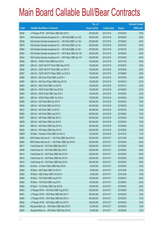|        |                                                                | No. of        |                     |               | <b>Amount raised</b> |
|--------|----------------------------------------------------------------|---------------|---------------------|---------------|----------------------|
| Code   | <b>Callable Bull/Bear Contracts</b>                            | issue (units) | <b>Listing date</b> | <b>Expiry</b> | $(HK$$ mil.)         |
| 66338  | J P Morgan SP BV - HSI R Bear CBBC Mar 2015 S                  | 300,000,000   | 2014/12/16          | 2015/03/30    | 75.00                |
| 66278  | SGA Societe Generale Acceptance N.V. - HSI R Bull CBBC Jun 15E | 200,000,000   | 2014/12/16          | 2015/06/29    | 50.00                |
| 66248  | SGA Societe Generale Acceptance N.V. - HSI R Bull CBBC Jun 15U | 200,000,000   | 2014/12/16          | 2015/06/29    | 50.00                |
| 66279  | SGA Societe Generale Acceptance N.V. - HSI R Bull CBBC Jul 15U | 200,000,000   | 2014/12/16          | 2015/07/30    | 50.00                |
| 66280  | SGA Societe Generale Acceptance N.V. - HSI R Bull CBBC Jul 15X | 200,000,000   | 2014/12/16          | 2015/07/30    | 50.00                |
| 66340  | SGA Societe Generale Acceptance N.V. - HSI R Bear CBBC Apr 15X | 200,000,000   | 2014/12/16          | 2015/04/29    | 50.00                |
| 66344  | SGA Societe Generale Acceptance N.V. - HSI R Bear CBBC Apr 15Y | 200,000,000   | 2014/12/16          | 2015/04/29    | 50.00                |
| 66299  | UBS AG - CNOOC R Bull CBBC Nov 2015 A                          | 100,000,000   | 2014/12/16          | 2015/11/09    | 25.00                |
| 66285  | UBS AG - CSOP A50 ETF R Bull CBBC May 2015 B                   | 100,000,000   | 2014/12/16          | 2015/05/18    | 29.00                |
| 66298  | UBS AG - CSOP A50 ETF R Bull CBBC Jun 2015 C                   | 100,000,000   | 2014/12/16          | 2015/06/29    | 25.00                |
| 66297  | UBS AG - CSOP A50 ETF R Bear CBBC Jun 2015 A                   | 100,000,000   | 2014/12/16          | 2015/06/08    | 26.50                |
| 66296  | UBS AG - A50 China R Bull CBBC Jul 2015 A                      | 100,000,000   | 2014/12/16          | 2015/07/06    | 25.00                |
| 66295  | UBS AG - A50 China R Bear CBBC May 2015 B                      | 100,000,000   | 2014/12/16          | 2015/05/18    | 25.00                |
| 66300  | UBS AG - HKEx R Bull CBBC Jul 2015 B                           | 100,000,000   | 2014/12/16          | 2015/07/13    | 25.00                |
| 66293  | UBS AG - HSCEI R Bull CBBC Sep 2015 B                          | 100,000,000   | 2014/12/16          | 2015/09/29    | 25.00                |
| 66294  | UBS AG - HSCEI R Bull CBBC Sep 2015 C                          | 100,000,000   | 2014/12/16          | 2015/09/29    | 25.00                |
| 66291  | UBS AG - HSCEI R Bear CBBC Apr 2015 A                          | 100,000,000   | 2014/12/16          | 2015/04/29    | 25.00                |
| 66288  | UBS AG - HSI R Bull CBBC Apr 2015 F                            | 300,000,000   | 2014/12/16          | 2015/04/29    | 75.00                |
| 66246  | UBS AG - HSI R Bull CBBC Apr 2015 G                            | 300,000,000   | 2014/12/16          | 2015/04/29    | 75.00                |
| 66247  | UBS AG - HSI R Bull CBBC Jul 2015 C                            | 300,000,000   | 2014/12/16          | 2015/07/30    | 75.00                |
| 66282  | UBS AG - HSI R Bull CBBC Aug 2015 C                            | 300,000,000   | 2014/12/16          | 2015/08/28    | 75.00                |
| 66337  | UBS AG - HSI R Bear CBBC Mar 2015 C                            | 300,000,000   | 2014/12/16          | 2015/03/30    | 75.00                |
| 66336  | UBS AG - HSI R Bear CBBC Apr 2015 S                            | 300,000,000   | 2014/12/16          | 2015/04/29    | 75.00                |
| 66334  | UBS AG - HSI R Bear CBBC May 2015 G                            | 300,000,000   | 2014/12/16          | 2015/05/28    | 75.00                |
| 66335  | UBS AG - HSI R Bear CBBC May 2015 H                            | 300,000,000   | 2014/12/16          | 2015/05/28    | 75.00                |
| 65607# | HK Bank - Hutchison R Bull CBBC Oct 2014 C                     | 120,000,000   | 2014/12/16          | 2014/10/16    | 17.40                |
| 66395  | BNP Paribas Arbit Issu B.V. - HSI R Bull CBBC Dec 2015 H       | 200,000,000   | 2014/12/17          | 2015/12/30    | 50.00                |
| 66394  | BNP Paribas Arbit Issu B.V. - HSI R Bear CBBC Apr 2015 H       | 200,000,000   | 2014/12/17          | 2015/04/29    | 50.00                |
| 66417  | Credit Suisse AG - HSI R Bull CBBC May 2015 C                  | 238,000,000   | 2014/12/17          | 2015/05/28    | 59.50                |
| 66398  | Credit Suisse AG - HSI R Bull CBBC May 2015 Z                  | 238,000,000   | 2014/12/17          | 2015/05/28    | 59.50                |
| 66415  | Credit Suisse AG - HSI R Bear CBBC Mar 2015 R                  | 238,000,000   | 2014/12/17          | 2015/03/30    | 59.50                |
| 66416  | Credit Suisse AG - HSI R Bear CBBC Mar 2015 X                  | 238,000,000   | 2014/12/17          | 2015/03/30    | 59.50                |
| 66414  | Credit Suisse AG - HSI R Bear CBBC Mar 2015 Z                  | 238,000,000   | 2014/12/17          | 2015/03/30    | 59.50                |
| 66378  | HK Bank - CC Bank R Bear CBBC May 2015 B                       | 40,000,000    | 2014/12/17          | 2015/05/04    | 10.00                |
| 66360  | HK Bank - A50 R Bear CBBC Oct 2015 C                           | 50,000,000    | 2014/12/17          | 2015/10/05    | 12.50                |
| 66369  | HK Bank - ICBC R Bear CBBC Oct 2015 A                          | 40,000,000    | 2014/12/17          | 2015/10/26    | 10.00                |
| 66380  | HK Bank - TCH R Bull CBBC Aug 2015 H                           | 100,000,000   | 2014/12/17          | 2015/08/10    | 25.00                |
| 66384  | HK Bank - TCH R Bull CBBC Aug 2015 I                           | 100,000,000   | 2014/12/17          | 2015/08/03    | 25.00                |
| 66383  | HK Bank - TCH R Bear CBBC Sep 2015 B                           | 100,000,000   | 2014/12/17          | 2015/09/07    | 25.00                |
| 66433  | J P Morgan SP BV - HSI R Bull CBBC Aug 2015 Q                  | 300,000,000   | 2014/12/17          | 2015/08/28    | 75.00                |
| 66407  | J P Morgan SP BV - HSI R Bear CBBC Mar 2015 T                  | 300,000,000   | 2014/12/17          | 2015/03/30    | 75.00                |
| 66408  | J P Morgan SP BV - HSI R Bear CBBC Mar 2015 U                  | 300,000,000   | 2014/12/17          | 2015/03/30    | 75.00                |
| 66406  | J P Morgan SP BV - HSI R Bear CBBC Apr 2015 R                  | 300,000,000   | 2014/12/17          | 2015/04/29    | 75.00                |
| 66428  | Macquarie Bank Ltd. - HSI R Bear CBBC May 2015 A               | 50,000,000    | 2014/12/17          | 2015/05/28    | 12.50                |
| 66432  | Macquarie Bank Ltd. - HSI R Bear CBBC May 2015 B               | 50,000,000    | 2014/12/17          | 2015/05/28    | 12.50                |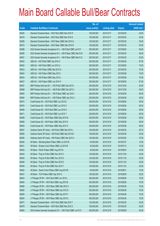|       |                                                                | No. of        |                     |               | <b>Amount raised</b> |
|-------|----------------------------------------------------------------|---------------|---------------------|---------------|----------------------|
| Code  | <b>Callable Bull/Bear Contracts</b>                            | issue (units) | <b>Listing date</b> | <b>Expiry</b> | (HK\$ mil.)          |
| 66405 | Standard Chartered Bank - HSI R Bull CBBC Mar 2015 R           | 100,000,000   | 2014/12/17          | 2015/03/30    | 25.00                |
| 66418 | Standard Chartered Bank - HSI R Bull CBBC Mar 2015 S           | 120,000,000   | 2014/12/17          | 2015/03/30    | 30.00                |
| 66399 | Standard Chartered Bank - HSI R Bear CBBC Mar 2015 Q           | 120,000,000   | 2014/12/17          | 2015/03/30    | 30.00                |
| 66410 | Standard Chartered Bank - HSI R Bear CBBC Mar 2015 R           | 100,000,000   | 2014/12/17          | 2015/03/30    | 25.00                |
| 66388 | SGA Societe Generale Acceptance N.V. - HSI R Bull CBBC Jun15 F | 200,000,000   | 2014/12/17          | 2015/06/29    | 50.00                |
| 66390 | SGA Societe Generale Acceptance N.V. - HSI R Bear CBBC Mar15 M | 200,000,000   | 2014/12/17          | 2015/03/30    | 50.00                |
| 66391 | SGA Societe Generale Acceptance N.V. - HSI R Bear CBBC Mar15 Q | 200,000,000   | 2014/12/17          | 2015/03/30    | 50.00                |
| 66422 | UBS AG - HSI R Bull CBBC Apr 2015 H                            | 350,000,000   | 2014/12/17          | 2015/04/29    | 87.50                |
| 66420 | UBS AG - HSI R Bull CBBC Jun 2015 U                            | 300,000,000   | 2014/12/17          | 2015/06/29    | 75.00                |
| 66423 | UBS AG - HSI R Bear CBBC Mar 2015 G                            | 300,000,000   | 2014/12/17          | 2015/03/30    | 75.00                |
| 66424 | UBS AG - HSI R Bear CBBC May 2015 I                            | 300,000,000   | 2014/12/17          | 2015/05/28    | 75.00                |
| 66425 | UBS AG - HSI R Bear CBBC May 2015 J                            | 300,000,000   | 2014/12/17          | 2015/05/28    | 75.00                |
| 66427 | UBS AG - HSI R Bear CBBC Jun 2015 H                            | 350,000,000   | 2014/12/17          | 2015/06/29    | 87.50                |
| 66467 | BNP Paribas Arbit Issu B.V. - HSI R Bull CBBC Dec 2015 I       | 200,000,000   | 2014/12/18          | 2015/12/30    | 50.00                |
| 66468 | BNP Paribas Arbit Issu B.V. - HSI R Bull CBBC Dec 2015 J       | 200,000,000   | 2014/12/18          | 2015/12/30    | 50.00                |
| 66483 | BNP Paribas Arbit Issu B.V. - HSI R Bear CBBC Apr 2015 I       | 200,000,000   | 2014/12/18          | 2015/04/29    | 50.00                |
| 66484 | BNP Paribas Arbit Issu B.V. - HSI R Bear CBBC Apr 2015 J       | 200,000,000   | 2014/12/18          | 2015/04/29    | 50.00                |
| 66472 | Credit Suisse AG - HSI R Bull CBBC Jun 2015 E                  | 238,000,000   | 2014/12/18          | 2015/06/29    | 59.50                |
| 66476 | Credit Suisse AG - HSI R Bull CBBC Jun 2015 K                  | 238,000,000   | 2014/12/18          | 2015/06/29    | 59.50                |
| 66469 | Credit Suisse AG - HSI R Bull CBBC Jun 2015 S                  | 238,000,000   | 2014/12/18          | 2015/06/29    | 59.50                |
| 66471 | Credit Suisse AG - HSI R Bull CBBC Jun 2015 T                  | 238,000,000   | 2014/12/18          | 2015/06/29    | 59.50                |
| 66488 | Credit Suisse AG - HSI R Bear CBBC May 2015 M                  | 238,000,000   | 2014/12/18          | 2015/05/28    | 59.50                |
| 66489 | Credit Suisse AG - HSI R Bear CBBC May 2015 N                  | 238,000,000   | 2014/12/18          | 2015/05/28    | 59.50                |
| 66493 | Credit Suisse AG - HSI R Bear CBBC May 2015 O                  | 238,000,000   | 2014/12/18          | 2015/05/28    | 59.50                |
| 66507 | Goldman Sachs SP (Asia) - HSI R Bull CBBC Mar 2015 L           | 150,000,000   | 2014/12/18          | 2015/03/30    | 38.70                |
| 66508 | Goldman Sachs SP (Asia) - HSI R Bull CBBC Mar 2015 M           | 150,000,000   | 2014/12/18          | 2015/03/30    | 43.50                |
| 66506 | Goldman Sachs SP (Asia) - HSI R Bear CBBC Mar 2015 X           | 150,000,000   | 2014/12/18          | 2015/03/30    | 37.95                |
| 66440 | HK Bank - Minsheng Bank R Bear CBBC Jul 2015 B                 | 40,000,000    | 2014/12/18          | 2015/07/27    | 10.00                |
| 66441 | HK Bank - Sinopec Corp R Bear CBBC Jul 2015 B                  | 40,000,000    | 2014/12/18          | 2015/07/13    | 10.00                |
| 66439 | HK Bank - PetCh R Bear CBBC Aug 2015 B                         | 40,000,000    | 2014/12/18          | 2015/08/03    | 10.00                |
| 66444 | HK Bank - Ping An R Bull CBBC Nov 2015 C                       | 120,000,000   | 2014/12/18          | 2015/11/02    | 30.00                |
| 66445 | HK Bank - Ping An R Bull CBBC Nov 2015 D                       | 120,000,000   | 2014/12/18          | 2015/11/16    | 30.00                |
| 66448 | HK Bank - Ping An R Bull CBBC Nov 2015 E                       | 120,000,000   | 2014/12/18          | 2015/11/23    | 30.00                |
| 66449 | HK Bank - Ping An R Bull CBBC Nov 2015 F                       | 120,000,000   | 2014/12/18          | 2015/11/23    | 30.00                |
| 66442 | HK Bank - Sands China R Bear CBBC Aug 2015 B                   | 60,000,000    | 2014/12/18          | 2015/08/31    | 15.00                |
| 66437 | HK Bank - TCH R Bear CBBC Sep 2015 C                           | 100,000,000   | 2014/12/18          | 2015/09/29    | 25.00                |
| 66453 | J P Morgan SP BV - HSI R Bull CBBC Jun 2015 L                  | 300,000,000   | 2014/12/18          | 2015/06/29    | 75.00                |
| 66450 | J P Morgan SP BV - HSI R Bull CBBC Aug 2015 B                  | 300,000,000   | 2014/12/18          | 2015/08/28    | 75.00                |
| 66480 | J P Morgan SP BV - HSI R Bear CBBC Mar 2015 X                  | 300,000,000   | 2014/12/18          | 2015/03/30    | 75.00                |
| 66482 | J P Morgan SP BV - HSI R Bear CBBC Apr 2015 S                  | 300,000,000   | 2014/12/18          | 2015/04/29    | 75.00                |
| 66500 | J P Morgan SP BV - HSI R Bear CBBC Apr 2015 T                  | 300,000,000   | 2014/12/18          | 2015/04/29    | 75.00                |
| 66504 | J P Morgan SP BV - HSI R Bear CBBC Apr 2015 U                  | 300,000,000   | 2014/12/18          | 2015/04/29    | 75.00                |
| 66477 | Standard Chartered Bank - HSI R Bull CBBC Mar 2015 T           | 120,000,000   | 2014/12/18          | 2015/03/30    | 30.00                |
| 66478 | Standard Chartered Bank - HSI R Bull CBBC Mar 2015 U           | 100,000,000   | 2014/12/18          | 2015/03/30    | 25.00                |
| 66460 | SGA Societe Generale Acceptance N.V. - HSI R Bull CBBC Jun15 O | 200,000,000   | 2014/12/18          | 2015/06/29    | 50.00                |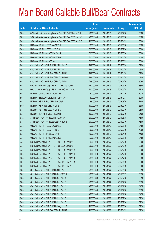|       |                                                                | No. of        |                     |               | <b>Amount raised</b> |
|-------|----------------------------------------------------------------|---------------|---------------------|---------------|----------------------|
| Code  | <b>Callable Bull/Bear Contracts</b>                            | issue (units) | <b>Listing date</b> | <b>Expiry</b> | (HK\$ mil.)          |
| 66462 | SGA Societe Generale Acceptance N.V. - HSI R Bull CBBC Jul15 N | 200,000,000   | 2014/12/18          | 2015/07/30    | 50.00                |
| 66487 | SGA Societe Generale Acceptance N.V. - HSI R Bear CBBC Mar15 R | 200,000,000   | 2014/12/18          | 2015/03/30    | 50.00                |
| 66485 | SGA Societe Generale Acceptance N.V. - HSI R Bear CBBC Apr15 Z | 200,000,000   | 2014/12/18          | 2015/04/29    | 50.00                |
| 66456 | UBS AG - HSI R Bull CBBC May 2015 H                            | 300,000,000   | 2014/12/18          | 2015/05/28    | 75.00                |
| 66454 | UBS AG - HSI R Bull CBBC Jul 2015 G                            | 300,000,000   | 2014/12/18          | 2015/07/30    | 75.00                |
| 66498 | UBS AG - HSI R Bear CBBC Mar 2015 A                            | 300,000,000   | 2014/12/18          | 2015/03/30    | 75.00                |
| 66497 | UBS AG - HSI R Bear CBBC May 2015 K                            | 300,000,000   | 2014/12/18          | 2015/05/28    | 75.00                |
| 66496 | UBS AG - HSI R Bear CBBC Jun 2015 I                            | 300,000,000   | 2014/12/18          | 2015/06/29    | 75.00                |
| 66531 | Credit Suisse AG - HSI R Bull CBBC May 2015 D                  | 238,000,000   | 2014/12/19          | 2015/05/28    | 59.50                |
| 66530 | Credit Suisse AG - HSI R Bull CBBC May 2015 V                  | 238,000,000   | 2014/12/19          | 2015/05/28    | 59.50                |
| 66538 | Credit Suisse AG - HSI R Bear CBBC Apr 2015 Q                  | 238,000,000   | 2014/12/19          | 2015/04/29    | 59.50                |
| 66539 | Credit Suisse AG - HSI R Bear CBBC Apr 2015 W                  | 238,000,000   | 2014/12/19          | 2015/04/29    | 59.50                |
| 66532 | Credit Suisse AG - HSI R Bear CBBC Apr 2015 Y                  | 238,000,000   | 2014/12/19          | 2015/04/29    | 59.50                |
| 66549 | Goldman Sachs SP (Asia) - HSI R Bull CBBC Mar 2015 N           | 150,000,000   | 2014/12/19          | 2015/03/30    | 38.40                |
| 66548 | Goldman Sachs SP (Asia) - HSI R Bear CBBC Jun 2015 A           | 150,000,000   | 2014/12/19          | 2015/06/29    | 41.10                |
| 66519 | HK Bank - CNOOC R Bull CBBC Nov 2015 A                         | 60,000,000    | 2014/12/19          | 2015/11/30    | 19.20                |
| 66518 | HK Bank - Sinopec Corp R Bull CBBC Dec 2015 A                  | 80,000,000    | 2014/12/19          | 2015/12/21    | 20.00                |
| 66515 | HK Bank - HSCEI R Bear CBBC Jun 2015 B                         | 68,000,000    | 2014/12/19          | 2015/06/29    | 17.00                |
| 66509 | HK Bank - HSI R Bear CBBC Jul 2015 J                           | 100,000,000   | 2014/12/19          | 2015/07/30    | 25.00                |
| 66512 | HK Bank - HSI R Bear CBBC Jul 2015 K                           | 100,000,000   | 2014/12/19          | 2015/07/30    | 25.00                |
| 66517 | HK Bank - TCH R Bull CBBC Jul 2015 M                           | 100,000,000   | 2014/12/19          | 2015/07/20    | 25.00                |
| 66523 | J P Morgan SP BV - HSI R Bull CBBC Aug 2015 R                  | 300,000,000   | 2014/12/19          | 2015/08/28    | 75.00                |
| 66543 | J P Morgan SP BV - HSI R Bear CBBC Mar 2015 V                  | 300,000,000   | 2014/12/19          | 2015/03/30    | 75.00                |
| 66528 | UBS AG - HSI R Bull CBBC May 2015 A                            | 350,000,000   | 2014/12/19          | 2015/05/28    | 87.50                |
| 66524 | UBS AG - HSI R Bull CBBC Jun 2015 R                            | 300,000,000   | 2014/12/19          | 2015/06/29    | 75.00                |
| 66540 | UBS AG - HSI R Bear CBBC Apr 2015 T                            | 300,000,000   | 2014/12/19          | 2015/04/29    | 75.00                |
| 66542 | UBS AG - HSI R Bear CBBC May 2015 L                            | 350,000,000   | 2014/12/19          | 2015/05/28    | 87.50                |
| 66575 | BNP Paribas Arbit Issu B.V. - HSI R Bull CBBC Dec 2015 K       | 200,000,000   | 2014/12/22          | 2015/12/30    | 50.00                |
| 66576 | BNP Paribas Arbit Issu B.V. - HSI R Bull CBBC Dec 2015 L       | 200,000,000   | 2014/12/22          | 2015/12/30    | 50.00                |
| 66579 | BNP Paribas Arbit Issu B.V. - HSI R Bull CBBC Dec 2015 M       | 200,000,000   | 2014/12/22          | 2015/12/30    | 50.00                |
| 66580 | BNP Paribas Arbit Issu B.V. - HSI R Bull CBBC Dec 2015 N       | 200,000,000   | 2014/12/22          | 2015/12/30    | 50.00                |
| 66581 | BNP Paribas Arbit Issu B.V. - HSI R Bull CBBC Dec 2015 O       | 200,000,000   | 2014/12/22          | 2015/12/30    | 50.00                |
| 66620 | BNP Paribas Arbit Issu B.V. - HSI R Bear CBBC Apr 2015 K       | 200,000,000   | 2014/12/22          | 2015/04/29    | 50.00                |
| 66621 | BNP Paribas Arbit Issu B.V. - HSI R Bear CBBC Apr 2015 L       | 200,000,000   | 2014/12/22          | 2015/04/29    | 50.00                |
| 66572 | Credit Suisse AG - HSI R Bull CBBC May 2015 F                  | 238,000,000   | 2014/12/22          | 2015/05/28    | 59.50                |
| 66573 | Credit Suisse AG - HSI R Bull CBBC Jun 2015 U                  | 238,000,000   | 2014/12/22          | 2015/06/29    | 59.50                |
| 66560 | Credit Suisse AG - HSI R Bull CBBC Jul 2015 A                  | 238,000,000   | 2014/12/22          | 2015/07/30    | 59.50                |
| 66562 | Credit Suisse AG - HSI R Bull CBBC Jul 2015 B                  | 238,000,000   | 2014/12/22          | 2015/07/30    | 59.50                |
| 66563 | Credit Suisse AG - HSI R Bull CBBC Jul 2015 C                  | 238,000,000   | 2014/12/22          | 2015/07/30    | 59.50                |
| 66564 | Credit Suisse AG - HSI R Bull CBBC Jul 2015 D                  | 238,000,000   | 2014/12/22          | 2015/07/30    | 59.50                |
| 66566 | Credit Suisse AG - HSI R Bull CBBC Jul 2015 E                  | 238,000,000   | 2014/12/22          | 2015/07/30    | 59.50                |
| 66571 | Credit Suisse AG - HSI R Bull CBBC Jul 2015 F                  | 238,000,000   | 2014/12/22          | 2015/07/30    | 59.50                |
| 66559 | Credit Suisse AG - HSI R Bull CBBC Jul 2015 Z                  | 238,000,000   | 2014/12/22          | 2015/07/30    | 59.50                |
| 66574 | Credit Suisse AG - HSI R Bull CBBC Aug 2015 G                  | 238,000,000   | 2014/12/22          | 2015/08/28    | 59.50                |
| 66617 | Credit Suisse AG - HSI R Bear CBBC Apr 2015 F                  | 238,000,000   | 2014/12/22          | 2015/04/29    | 59.50                |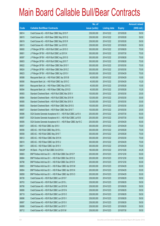|        |                                                                | No. of        |                     |               | <b>Amount raised</b> |
|--------|----------------------------------------------------------------|---------------|---------------------|---------------|----------------------|
| Code   | <b>Callable Bull/Bear Contracts</b>                            | issue (units) | <b>Listing date</b> | <b>Expiry</b> | (HK\$ mil.)          |
| 66614  | Credit Suisse AG - HSI R Bear CBBC May 2015 P                  | 238,000,000   | 2014/12/22          | 2015/05/28    | 59.50                |
| 66615  | Credit Suisse AG - HSI R Bear CBBC May 2015 Q                  | 238,000,000   | 2014/12/22          | 2015/05/28    | 59.50                |
| 66619  | Credit Suisse AG - HSI R Bear CBBC May 2015 R                  | 238,000,000   | 2014/12/22          | 2015/05/28    | 59.50                |
| 66613  | Credit Suisse AG - HSI R Bear CBBC Jun 2015 E                  | 238,000,000   | 2014/12/22          | 2015/06/29    | 59.50                |
| 66600  | J P Morgan SP BV - HSI R Bull CBBC Jun 2015 O                  | 300,000,000   | 2014/12/22          | 2015/06/29    | 75.00                |
| 66601  | J P Morgan SP BV - HSI R Bull CBBC Jul 2015 K                  | 300,000,000   | 2014/12/22          | 2015/07/30    | 75.00                |
| 66597  | J P Morgan SP BV - HSI R Bull CBBC Aug 2015 S                  | 300,000,000   | 2014/12/22          | 2015/08/28    | 75.00                |
| 66603  | J P Morgan SP BV - HSI R Bull CBBC Aug 2015 T                  | 300,000,000   | 2014/12/22          | 2015/08/28    | 75.00                |
| 66622  | J P Morgan SP BV - HSI R Bear CBBC Mar 2015 Y                  | 300,000,000   | 2014/12/22          | 2015/03/30    | 75.00                |
| 66624  | J P Morgan SP BV - HSI R Bear CBBC Mar 2015 Z                  | 300,000,000   | 2014/12/22          | 2015/03/30    | 75.00                |
| 66623  | J P Morgan SP BV - HSI R Bear CBBC Apr 2015 V                  | 300,000,000   | 2014/12/22          | 2015/04/29    | 75.00                |
| 66588  | Macquarie Bank Ltd. - HSI R Bull CBBC Apr 2015 B               | 40,000,000    | 2014/12/22          | 2015/04/29    | 10.00                |
| 66590  | Macquarie Bank Ltd. - HSI R Bull CBBC Apr 2015 C               | 40,000,000    | 2014/12/22          | 2015/04/29    | 10.20                |
| 66591  | Macquarie Bank Ltd. - HSI R Bear CBBC May 2015 C               | 40,000,000    | 2014/12/22          | 2015/05/28    | 10.00                |
| 66594  | Macquarie Bank Ltd. - HSI R Bear CBBC May 2015 D               | 40,000,000    | 2014/12/22          | 2015/05/28    | 10.20                |
| 66583  | Standard Chartered Bank - HSI R Bull CBBC Mar 2015 V           | 100,000,000   | 2014/12/22          | 2015/03/30    | 25.00                |
| 66584  | Standard Chartered Bank - HSI R Bull CBBC Mar 2015 W           | 120,000,000   | 2014/12/22          | 2015/03/30    | 30.00                |
| 66585  | Standard Chartered Bank - HSI R Bull CBBC Mar 2015 X           | 120,000,000   | 2014/12/22          | 2015/03/30    | 30.00                |
| 66605  | Standard Chartered Bank - HSI R Bear CBBC Mar 2015 S           | 100,000,000   | 2014/12/22          | 2015/03/30    | 25.00                |
| 66607  | Standard Chartered Bank - HSI R Bear CBBC Mar 2015 T           | 100,000,000   | 2014/12/22          | 2015/03/30    | 25.00                |
| 66586  | SGA Societe Generale Acceptance N.V. - HSI R Bull CBBC Jul15 A | 200,000,000   | 2014/12/22          | 2015/07/30    | 50.00                |
| 66587  | SGA Societe Generale Acceptance N.V. - HSI R Bull CBBC Jul15 B | 200,000,000   | 2014/12/22          | 2015/07/30    | 50.00                |
| 66595  | SGA Societe Generale Acceptance N.V. - HSI R Bear CBBC Apr15 C | 200,000,000   | 2014/12/22          | 2015/04/29    | 50.00                |
| 66557  | UBS AG - HSI R Bull CBBC Apr 2015 I                            | 300,000,000   | 2014/12/22          | 2015/04/29    | 75.00                |
| 66556  | UBS AG - HSI R Bull CBBC May 2015 L                            | 300,000,000   | 2014/12/22          | 2015/05/28    | 75.00                |
| 66558  | UBS AG - HSI R Bull CBBC May 2015 T                            | 300,000,000   | 2014/12/22          | 2015/05/28    | 75.00                |
| 66612  | UBS AG - HSI R Bear CBBC Mar 2015 N                            | 300,000,000   | 2014/12/22          | 2015/03/30    | 75.00                |
| 66610  | UBS AG - HSI R Bear CBBC Apr 2015 U                            | 300,000,000   | 2014/12/22          | 2015/04/29    | 75.00                |
| 66611  | UBS AG - HSI R Bear CBBC Apr 2015 V                            | 300,000,000   | 2014/12/22          | 2015/04/29    | 75.00                |
| 68428# | HK Bank - Ping An R Bull CBBC Oct 2015 A                       | 180,000,000   | 2014/12/22          | 2015/10/26    | 44.28                |
| 66683  | BNP Paribas Arbit Issu B.V. - HSI R Bull CBBC Dec 2015 P       | 200,000,000   | 2014/12/23          | 2015/12/30    | 50.00                |
| 66684  | BNP Paribas Arbit Issu B.V. - HSI R Bull CBBC Dec 2015 Q       | 200,000,000   | 2014/12/23          | 2015/12/30    | 50.00                |
| 66798  | BNP Paribas Arbit Issu B.V. - HSI R Bull CBBC Dec 2015 R       | 200,000,000   | 2014/12/23          | 2015/12/30    | 50.00                |
| 66803  | BNP Paribas Arbit Issu B.V. - HSI R Bear CBBC Apr 2015 M       | 200,000,000   | 2014/12/23          | 2015/04/29    | 50.00                |
| 66804  | BNP Paribas Arbit Issu B.V. - HSI R Bear CBBC Apr 2015 N       | 200,000,000   | 2014/12/23          | 2015/04/29    | 50.00                |
| 66858  | BNP Paribas Arbit Issu B.V. - HSI R Bear CBBC Apr 2015 O       | 200,000,000   | 2014/12/23          | 2015/04/29    | 50.00                |
| 66726  | Credit Suisse AG - HSI R Bull CBBC Jun 2015 F                  | 238,000,000   | 2014/12/23          | 2015/06/29    | 59.50                |
| 66703  | Credit Suisse AG - HSI R Bull CBBC Jun 2015 L                  | 238,000,000   | 2014/12/23          | 2015/06/29    | 59.50                |
| 66706  | Credit Suisse AG - HSI R Bull CBBC Jun 2015 M                  | 238,000,000   | 2014/12/23          | 2015/06/29    | 59.50                |
| 66806  | Credit Suisse AG - HSI R Bull CBBC Jun 2015 N                  | 238,000,000   | 2014/12/23          | 2015/06/29    | 59.50                |
| 66719  | Credit Suisse AG - HSI R Bull CBBC Jun 2015 O                  | 238,000,000   | 2014/12/23          | 2015/06/29    | 59.50                |
| 66696  | Credit Suisse AG - HSI R Bull CBBC Jun 2015 V                  | 238,000,000   | 2014/12/23          | 2015/06/29    | 59.50                |
| 66697  | Credit Suisse AG - HSI R Bull CBBC Jun 2015 X                  | 238,000,000   | 2014/12/23          | 2015/06/29    | 59.50                |
| 66698  | Credit Suisse AG - HSI R Bull CBBC Jun 2015 Y                  | 238,000,000   | 2014/12/23          | 2015/06/29    | 59.50                |
| 66712  | Credit Suisse AG - HSI R Bull CBBC Jul 2015 M                  | 238,000,000   | 2014/12/23          | 2015/07/30    | 59.50                |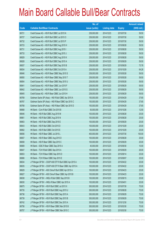|       |                                                        | No. of        |                     |               | <b>Amount raised</b> |
|-------|--------------------------------------------------------|---------------|---------------------|---------------|----------------------|
| Code  | <b>Callable Bull/Bear Contracts</b>                    | issue (units) | <b>Listing date</b> | <b>Expiry</b> | $(HK$$ mil.)         |
| 66721 | Credit Suisse AG - HSI R Bull CBBC Jul 2015 N          | 238,000,000   | 2014/12/23          | 2015/07/30    | 59.50                |
| 66727 | Credit Suisse AG - HSI R Bull CBBC Jul 2015 O          | 238,000,000   | 2014/12/23          | 2015/07/30    | 59.50                |
| 66732 | Credit Suisse AG - HSI R Bull CBBC Jul 2015 P          | 238,000,000   | 2014/12/23          | 2015/07/30    | 59.50                |
| 66723 | Credit Suisse AG - HSI R Bull CBBC Aug 2015 H          | 238,000,000   | 2014/12/23          | 2015/08/28    | 59.50                |
| 66731 | Credit Suisse AG - HSI R Bull CBBC Aug 2015 I          | 238,000,000   | 2014/12/23          | 2015/08/28    | 59.50                |
| 66733 | Credit Suisse AG - HSI R Bull CBBC Aug 2015 J          | 238,000,000   | 2014/12/23          | 2015/08/28    | 59.50                |
| 66829 | Credit Suisse AG - HSI R Bull CBBC Aug 2015 K          | 238,000,000   | 2014/12/23          | 2015/08/28    | 59.50                |
| 66828 | Credit Suisse AG - HSI R Bull CBBC Sep 2015 A          | 238,000,000   | 2014/12/23          | 2015/09/29    | 59.50                |
| 66837 | Credit Suisse AG - HSI R Bull CBBC Sep 2015 B          | 238,000,000   | 2014/12/23          | 2015/09/29    | 73.78                |
| 66834 | Credit Suisse AG - HSI R Bull CBBC Oct 2015 A          | 238,000,000   | 2014/12/23          | 2015/10/29    | 64.26                |
| 66846 | Credit Suisse AG - HSI R Bear CBBC May 2015 S          | 238,000,000   | 2014/12/23          | 2015/05/28    | 59.50                |
| 66850 | Credit Suisse AG - HSI R Bear CBBC May 2015 T          | 238,000,000   | 2014/12/23          | 2015/05/28    | 59.50                |
| 66854 | Credit Suisse AG - HSI R Bear CBBC May 2015 U          | 238,000,000   | 2014/12/23          | 2015/05/28    | 59.50                |
| 66841 | Credit Suisse AG - HSI R Bear CBBC Jun 2015 F          | 238,000,000   | 2014/12/23          | 2015/06/29    | 59.50                |
| 66842 | Credit Suisse AG - HSI R Bear CBBC Jun 2015 G          | 238,000,000   | 2014/12/23          | 2015/06/29    | 59.50                |
| 66845 | Credit Suisse AG - HSI R Bear CBBC Jun 2015 H          | 238,000,000   | 2014/12/23          | 2015/06/29    | 59.50                |
| 66769 | Goldman Sachs SP (Asia) - HSI R Bull CBBC Apr 2015 A   | 150,000,000   | 2014/12/23          | 2015/04/29    | 37.65                |
| 66767 | Goldman Sachs SP (Asia) - HSI R Bear CBBC Apr 2015 C   | 150,000,000   | 2014/12/23          | 2015/04/29    | 37.65                |
| 66768 | Goldman Sachs SP (Asia) - HSI R Bear CBBC Apr 2015 D   | 150,000,000   | 2014/12/23          | 2015/04/29    | 37.65                |
| 66668 | HK Bank - CUni R Bull CBBC Oct 2015 B                  | 50,000,000    | 2014/12/23          | 2015/10/26    | 12.50                |
| 66646 | HK Bank - HSI R Bull CBBC Aug 2015 M                   | 100,000,000   | 2014/12/23          | 2015/08/28    | 25.00                |
| 66661 | HK Bank - HSI R Bull CBBC Aug 2015 N                   | 100,000,000   | 2014/12/23          | 2015/08/28    | 25.00                |
| 66663 | HK Bank - HSI R Bull CBBC Sep 2015 E                   | 100,000,000   | 2014/12/23          | 2015/09/29    | 25.00                |
| 66643 | HK Bank - HSI R Bull CBBC Oct 2015 D                   | 100,000,000   | 2014/12/23          | 2015/10/29    | 25.00                |
| 66662 | HK Bank - HSI R Bull CBBC Oct 2015 E                   | 100,000,000   | 2014/12/23          | 2015/10/29    | 25.00                |
| 66656 | HK Bank - HSI R Bear CBBC Jul 2015 L                   | 400,000,000   | 2014/12/23          | 2015/07/30    | 100.00               |
| 66657 | HK Bank - HSI R Bear CBBC Aug 2015 D                   | 100,000,000   | 2014/12/23          | 2015/08/28    | 25.00                |
| 66658 | HK Bank - HSI R Bear CBBC Sep 2015 C                   | 100,000,000   | 2014/12/23          | 2015/09/29    | 25.00                |
| 66669 | HK Bank - ICBC R Bear CBBC Sep 2015 A                  | 40,000,000    | 2014/12/23          | 2015/09/30    | 10.00                |
| 66647 | HK Bank - TCH R Bull CBBC Sep 2015 A                   | 100,000,000   | 2014/12/23          | 2015/09/29    | 26.00                |
| 66653 | HK Bank - TCH R Bear CBBC Sep 2015 D                   | 100,000,000   | 2014/12/23          | 2015/09/14    | 25.00                |
| 66666 | HK Bank - TCH R Bear CBBC Sep 2015 E                   | 100,000,000   | 2014/12/23          | 2015/09/07    | 25.00                |
| 66634 | J P Morgan SP BV - CSOP A50 ETF R Bull CBBC Apr 2015 A | 100,000,000   | 2014/12/23          | 2015/04/22    | 25.00                |
| 66635 | J P Morgan SP BV - CSOP A50 ETF R Bear CBBC Apr 2015 A | 100,000,000   | 2014/12/23          | 2015/04/22    | 25.00                |
| 66629 | J P Morgan SP BV - A50 China R Bull CBBC Apr 2015 A    | 100,000,000   | 2014/12/23          | 2015/04/23    | 25.00                |
| 66627 | J P Morgan SP BV - A50 China R Bear CBBC Apr 2015 B    | 100,000,000   | 2014/12/23          | 2015/04/23    | 25.00                |
| 66638 | J P Morgan SP BV - HKEx R Bull CBBC Sep 2015 B         | 100,000,000   | 2014/12/23          | 2015/09/15    | 25.00                |
| 66630 | J P Morgan SP BV - HKEx R Bear CBBC Apr 2015 A         | 100,000,000   | 2014/12/23          | 2015/04/01    | 25.00                |
| 66675 | J P Morgan SP BV - HSI R Bull CBBC Jul 2015 X          | 300,000,000   | 2014/12/23          | 2015/07/30    | 75.00                |
| 66735 | J P Morgan SP BV - HSI R Bull CBBC Aug 2015 U          | 300,000,000   | 2014/12/23          | 2015/08/28    | 75.00                |
| 66736 | J P Morgan SP BV - HSI R Bull CBBC Sep 2015 A          | 300,000,000   | 2014/12/23          | 2015/09/29    | 75.00                |
| 66739 | J P Morgan SP BV - HSI R Bull CBBC Sep 2015 B          | 300,000,000   | 2014/12/23          | 2015/09/29    | 75.00                |
| 66742 | J P Morgan SP BV - HSI R Bull CBBC Dec 2015 A          | 300,000,000   | 2014/12/23          | 2015/12/30    | 75.00                |
| 66756 | J P Morgan SP BV - HSI R Bear CBBC Mar 2015 B          | 300,000,000   | 2014/12/23          | 2015/03/30    | 75.00                |
| 66757 | JP Morgan SP BV - HSIR Bear CBBC Mar 2015 C            | 300,000,000   | 2014/12/23          | 2015/03/30    | 75.00                |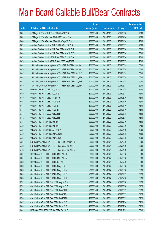|       |                                                                | No. of        |                     |               | <b>Amount raised</b> |
|-------|----------------------------------------------------------------|---------------|---------------------|---------------|----------------------|
| Code  | <b>Callable Bull/Bear Contracts</b>                            | issue (units) | <b>Listing date</b> | <b>Expiry</b> | (HK\$ mil.)          |
| 66861 | J P Morgan SP BV - HSI R Bear CBBC Mar 2015 D                  | 300,000,000   | 2014/12/23          | 2015/03/30    | 75.00                |
| 66625 | J P Morgan SP BV - Tencent R Bull CBBC Apr 2015 A              | 100,000,000   | 2014/12/23          | 2015/04/14    | 25.00                |
| 66640 | J P Morgan SP BV - Tencent R Bear CBBC Apr 2015 B              | 100,000,000   | 2014/12/23          | 2015/04/14    | 25.00                |
| 66781 | Standard Chartered Bank - HSI R Bull CBBC Jun 2015 B           | 100,000,000   | 2014/12/23          | 2015/06/29    | 25.00                |
| 66685 | Standard Chartered Bank - HSI R Bear CBBC Mar 2015 U           | 120,000,000   | 2014/12/23          | 2015/03/30    | 30.00                |
| 66688 | Standard Chartered Bank - HSI R Bear CBBC Mar 2015 V           | 120,000,000   | 2014/12/23          | 2015/03/30    | 30.00                |
| 66785 | Standard Chartered Bank - TCH R Bull CBBC Aug 2015 D           | 80,000,000    | 2014/12/23          | 2015/08/26    | 20.00                |
| 66786 | Standard Chartered Bank - TCH R Bear CBBC Aug 2015 B           | 80,000,000    | 2014/12/23          | 2015/08/27    | 20.00                |
| 66671 | SGA Societe Generale Acceptance N.V. - HSI R Bull CBBC Jun15 X | 200,000,000   | 2014/12/23          | 2015/06/29    | 50.00                |
| 66770 | SGA Societe Generale Acceptance N.V. - HSI R Bull CBBC Jun15 Y | 200,000,000   | 2014/12/23          | 2015/06/29    | 50.00                |
| 66857 | SGA Societe Generale Acceptance N.V. - HSI R Bear CBBC Apr15 D | 200,000,000   | 2014/12/23          | 2015/04/29    | 50.00                |
| 66673 | SGA Societe Generale Acceptance N.V. - HSI R Bear CBBC May15 A | 200,000,000   | 2014/12/23          | 2015/05/28    | 50.00                |
| 66771 | SGA Societe Generale Acceptance N.V. - HSI R Bear CBBC May15 B | 200,000,000   | 2014/12/23          | 2015/05/28    | 50.00                |
| 66776 | SGA Societe Generale Acceptance N.V. - HSI R Bear CBBC May15 C | 200,000,000   | 2014/12/23          | 2015/05/28    | 50.00                |
| 66793 | UBS AG - HSI R Bull CBBC May 2015 B                            | 300,000,000   | 2014/12/23          | 2015/05/28    | 75.00                |
| 66676 | UBS AG - HSI R Bull CBBC May 2015 V                            | 300,000,000   | 2014/12/23          | 2015/05/28    | 75.00                |
| 66680 | UBS AG - HSI R Bull CBBC Jun 2015 Y                            | 300,000,000   | 2014/12/23          | 2015/06/29    | 75.00                |
| 66678 | UBS AG - HSI R Bull CBBC Jul 2015 H                            | 300,000,000   | 2014/12/23          | 2015/07/30    | 75.00                |
| 66788 | UBS AG - HSI R Bull CBBC Jul 2015 I                            | 300,000,000   | 2014/12/23          | 2015/07/30    | 75.00                |
| 66794 | UBS AG - HSI R Bull CBBC Jul 2015 L                            | 300,000,000   | 2014/12/23          | 2015/07/30    | 75.00                |
| 66787 | UBS AG - HSI R Bull CBBC Aug 2015 D                            | 300,000,000   | 2014/12/23          | 2015/08/28    | 75.00                |
| 66792 | UBS AG - HSI R Bull CBBC Aug 2015 E                            | 300,000,000   | 2014/12/23          | 2015/08/28    | 75.00                |
| 66807 | UBS AG - HSI R Bear CBBC Mar 2015 I                            | 300,000,000   | 2014/12/23          | 2015/03/30    | 75.00                |
| 66815 | UBS AG - HSI R Bear CBBC Mar 2015 P                            | 350,000,000   | 2014/12/23          | 2015/03/30    | 87.50                |
| 66814 | UBS AG - HSI R Bear CBBC Apr 2015 W                            | 300,000,000   | 2014/12/23          | 2015/04/29    | 75.00                |
| 66809 | UBS AG - HSI R Bear CBBC May 2015 M                            | 300,000,000   | 2014/12/23          | 2015/05/28    | 75.00                |
| 66811 | UBS AG - HSI R Bear CBBC May 2015 N                            | 300,000,000   | 2014/12/23          | 2015/05/28    | 75.00                |
| 66937 | BNP Paribas Arbit Issu B.V. - HSI R Bull CBBC Dec 2015 S       | 200,000,000   | 2014/12/24          | 2015/12/30    | 50.00                |
| 66942 | BNP Paribas Arbit Issu B.V. - HSI R Bear CBBC Apr 2015 P       | 200,000,000   | 2014/12/24          | 2015/04/29    | 50.00                |
| 67028 | BNP Paribas Arbit Issu B.V. - HSI R Bear CBBC Apr 2015 Q       | 200,000,000   | 2014/12/24          | 2015/04/29    | 50.00                |
| 66951 | Credit Suisse AG - HSI R Bull CBBC May 2015 T                  | 238,000,000   | 2014/12/24          | 2015/05/28    | 59.50                |
| 66961 | Credit Suisse AG - HSI R Bull CBBC May 2015 Y                  | 238,000,000   | 2014/12/24          | 2015/05/28    | 59.50                |
| 66973 | Credit Suisse AG - HSI R Bull CBBC Jul 2015 R                  | 238,000,000   | 2014/12/24          | 2015/07/30    | 59.50                |
| 66976 | Credit Suisse AG - HSI R Bull CBBC Aug 2015 L                  | 238,000,000   | 2014/12/24          | 2015/08/28    | 59.50                |
| 66978 | Credit Suisse AG - HSI R Bull CBBC Aug 2015 M                  | 238,000,000   | 2014/12/24          | 2015/08/28    | 59.50                |
| 66983 | Credit Suisse AG - HSI R Bull CBBC Sep 2015 C                  | 238,000,000   | 2014/12/24          | 2015/09/29    | 59.50                |
| 66986 | Credit Suisse AG - HSI R Bull CBBC Dec 2015 A                  | 238,000,000   | 2014/12/24          | 2015/12/30    | 59.50                |
| 67002 | Credit Suisse AG - HSI R Bear CBBC May 2015 V                  | 238,000,000   | 2014/12/24          | 2015/05/28    | 59.50                |
| 67003 | Credit Suisse AG - HSI R Bear CBBC May 2015 W                  | 238,000,000   | 2014/12/24          | 2015/05/28    | 59.50                |
| 67004 | Credit Suisse AG - HSI R Bear CBBC Jun 2015 I                  | 238,000,000   | 2014/12/24          | 2015/06/29    | 59.50                |
| 67005 | Credit Suisse AG - HSI R Bear CBBC Jun 2015 J                  | 238,000,000   | 2014/12/24          | 2015/06/29    | 59.50                |
| 67010 | Credit Suisse AG - HSI R Bear CBBC Jun 2015 K                  | 238,000,000   | 2014/12/24          | 2015/06/29    | 59.50                |
| 66987 | Credit Suisse AG - HSI R Bear CBBC Jul 2015 C                  | 238,000,000   | 2014/12/24          | 2015/07/30    | 59.50                |
| 66988 | Credit Suisse AG - HSI R Bear CBBC Jul 2015 D                  | 238,000,000   | 2014/12/24          | 2015/07/30    | 59.50                |
| 66909 | HK Bank - CSOP A50 ETF R Bull CBBC Dec 2015 I                  | 200,000,000   | 2014/12/24          | 2015/12/29    | 50.00                |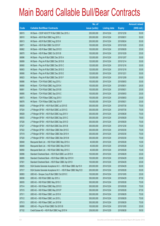|       |                                                                | No. of        |                     |               | <b>Amount raised</b> |
|-------|----------------------------------------------------------------|---------------|---------------------|---------------|----------------------|
| Code  | <b>Callable Bull/Bear Contracts</b>                            | issue (units) | <b>Listing date</b> | <b>Expiry</b> | $(HK$$ mil.)         |
| 66915 | HK Bank - CSOP A50 ETF R Bull CBBC Dec 2015 J                  | 200,000,000   | 2014/12/24          | 2015/12/30    | 50.00                |
| 66910 | HK Bank - A50 R Bull CBBC Aug 2015 J                           | 200,000,000   | 2014/12/24          | 2015/08/31    | 50.00                |
| 66913 | HK Bank - A50 R Bull CBBC Aug 2015 K                           | 200,000,000   | 2014/12/24          | 2015/08/24    | 50.00                |
| 66871 | HK Bank - HSI R Bull CBBC Oct 2015 F                           | 100,000,000   | 2014/12/24          | 2015/10/29    | 25.00                |
| 66862 | HK Bank - HSI R Bear CBBC Sep 2015 D                           | 100,000,000   | 2014/12/24          | 2015/09/29    | 25.00                |
| 66870 | HK Bank - HSI R Bear CBBC Oct 2015 B                           | 100,000,000   | 2014/12/24          | 2015/10/29    | 25.00                |
| 66896 | HK Bank - Ping An R Bull CBBC Dec 2015 A                       | 120,000,000   | 2014/12/24          | 2015/12/07    | 30.00                |
| 66899 | HK Bank - Ping An R Bull CBBC Dec 2015 B                       | 120,000,000   | 2014/12/24          | 2015/12/14    | 30.00                |
| 66900 | HK Bank - Ping An R Bull CBBC Dec 2015 C                       | 120,000,000   | 2014/12/24          | 2015/12/16    | 30.00                |
| 66903 | HK Bank - Ping An R Bull CBBC Dec 2015 D                       | 120,000,000   | 2014/12/24          | 2015/12/18    | 30.00                |
| 66906 | HK Bank - Ping An R Bull CBBC Dec 2015 E                       | 120,000,000   | 2014/12/24          | 2015/12/21    | 30.00                |
| 66923 | HK Bank - Ping An R Bull CBBC Dec 2015 F                       | 120,000,000   | 2014/12/24          | 2015/12/09    | 30.00                |
| 66886 | HK Bank - TCH R Bull CBBC Aug 2015 J                           | 100,000,000   | 2014/12/24          | 2015/08/03    | 30.00                |
| 66890 | HK Bank - TCH R Bull CBBC Aug 2015 K                           | 100,000,000   | 2014/12/24          | 2015/08/31    | 26.00                |
| 66891 | HK Bank - TCH R Bull CBBC Sep 2015 B                           | 100,000,000   | 2014/12/24          | 2015/09/21    | 25.00                |
| 66895 | HK Bank - TCH R Bull CBBC Sep 2015 C                           | 100,000,000   | 2014/12/24          | 2015/09/03    | 25.00                |
| 66873 | HK Bank - TCH R Bear CBBC Aug 2015 I                           | 100,000,000   | 2014/12/24          | 2015/08/03    | 25.00                |
| 66876 | HK Bank - TCH R Bear CBBC Sep 2015 F                           | 100,000,000   | 2014/12/24          | 2015/09/21    | 25.00                |
| 66929 | J P Morgan SP BV - HSI R Bull CBBC Jul 2015 E                  | 300,000,000   | 2014/12/24          | 2015/07/30    | 75.00                |
| 67024 | J P Morgan SP BV - HSI R Bull CBBC Jul 2015 G                  | 300,000,000   | 2014/12/24          | 2015/07/30    | 75.00                |
| 66928 | J P Morgan SP BV - HSI R Bull CBBC Aug 2015 V                  | 300,000,000   | 2014/12/24          | 2015/08/28    | 75.00                |
| 66933 | J P Morgan SP BV - HSI R Bull CBBC Sep 2015 C                  | 300,000,000   | 2014/12/24          | 2015/09/29    | 75.00                |
| 67026 | J P Morgan SP BV - HSI R Bull CBBC Sep 2015 D                  | 300,000,000   | 2014/12/24          | 2015/09/29    | 75.00                |
| 67027 | J P Morgan SP BV - HSI R Bull CBBC Dec 2015 B                  | 300,000,000   | 2014/12/24          | 2015/12/30    | 75.00                |
| 67022 | J P Morgan SP BV - HSI R Bear CBBC Mar 2015 E                  | 300,000,000   | 2014/12/24          | 2015/03/30    | 75.00                |
| 67019 | J P Morgan SP BV - HSI R Bear CBBC Mar 2015 H                  | 300,000,000   | 2014/12/24          | 2015/03/30    | 75.00                |
| 67020 | J P Morgan SP BV - HSI R Bear CBBC Mar 2015 M                  | 300,000,000   | 2014/12/24          | 2015/03/30    | 75.00                |
| 66948 | Macquarie Bank Ltd. - HSI R Bull CBBC May 2015 A               | 40,000,000    | 2014/12/24          | 2015/05/28    | 10.00                |
| 66949 | Macquarie Bank Ltd. - HSI R Bull CBBC May 2015 B               | 40,000,000    | 2014/12/24          | 2015/05/28    | 10.20                |
| 66950 | Macquarie Bank Ltd. - HSI R Bull CBBC May 2015 C               | 40,000,000    | 2014/12/24          | 2015/05/28    | 10.40                |
| 66996 | Standard Chartered Bank - HSI R Bull CBBC Jun 2015 H           | 100,000,000   | 2014/12/24          | 2015/06/29    | 25.00                |
| 66995 | Standard Chartered Bank - HSI R Bear CBBC Apr 2015 H           | 100,000,000   | 2014/12/24          | 2015/04/29    | 25.00                |
| 67001 | Standard Chartered Bank - HSI R Bear CBBC Apr 2015 I           | 100,000,000   | 2014/12/24          | 2015/04/29    | 25.00                |
| 66925 | SGA Societe Generale Acceptance N.V. - HSI R Bear CBBC Apr15 H | 200,000,000   | 2014/12/24          | 2015/04/29    | 50.00                |
| 67017 | SGA Societe Generale Acceptance N.V. - HSI R Bear CBBC May15 D | 200,000,000   | 2014/12/24          | 2015/05/28    | 50.00                |
| 66993 | UBS AG - Sinopec Corp R Bull CBBC Oct 2015 C                   | 100,000,000   | 2014/12/24          | 2015/10/05    | 25.00                |
| 66936 | UBS AG - HSI R Bull CBBC Apr 2015 J                            | 350,000,000   | 2014/12/24          | 2015/04/29    | 87.50                |
| 66935 | UBS AG - HSI R Bull CBBC May 2015 C                            | 300,000,000   | 2014/12/24          | 2015/05/28    | 75.00                |
| 67014 | UBS AG - HSI R Bear CBBC May 2015 O                            | 300,000,000   | 2014/12/24          | 2015/05/28    | 75.00                |
| 67015 | UBS AG - HSI R Bear CBBC May 2015 P                            | 350,000,000   | 2014/12/24          | 2015/05/28    | 87.50                |
| 67011 | UBS AG - HSI R Bear CBBC Jun 2015 K                            | 300,000,000   | 2014/12/24          | 2015/06/29    | 75.00                |
| 67012 | UBS AG - HSI R Bear CBBC Jun 2015 L                            | 300,000,000   | 2014/12/24          | 2015/06/29    | 75.00                |
| 67013 | UBS AG - HSI R Bear CBBC Jun 2015 M                            | 300,000,000   | 2014/12/24          | 2015/06/29    | 75.00                |
| 66990 | UBS AG - Ping An R Bull CBBC Oct 2015 B                        | 100,000,000   | 2014/12/24          | 2015/10/05    | 25.00                |
| 67152 | Credit Suisse AG - HSI R Bull CBBC Aug 2015 N                  | 238,000,000   | 2014/12/29          | 2015/08/28    | 59.50                |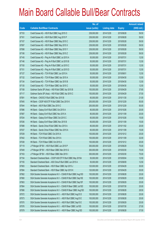|       |                                                                | No. of        |                     |               | <b>Amount raised</b> |
|-------|----------------------------------------------------------------|---------------|---------------------|---------------|----------------------|
| Code  | <b>Callable Bull/Bear Contracts</b>                            | issue (units) | <b>Listing date</b> | <b>Expiry</b> | (HK\$ mil.)          |
| 67153 | Credit Suisse AG - HSI R Bull CBBC Aug 2015 O                  | 238,000,000   | 2014/12/29          | 2015/08/28    | 59.50                |
| 67161 | Credit Suisse AG - HSI R Bull CBBC Aug 2015 P                  | 238,000,000   | 2014/12/29          | 2015/08/28    | 59.50                |
| 67107 | Credit Suisse AG - HSI R Bear CBBC May 2015 C                  | 238,000,000   | 2014/12/29          | 2015/05/28    | 59.50                |
| 67097 | Credit Suisse AG - HSI R Bear CBBC May 2015 X                  | 238,000,000   | 2014/12/29          | 2015/05/28    | 59.50                |
| 67098 | Credit Suisse AG - HSI R Bear CBBC May 2015 Y                  | 238,000,000   | 2014/12/29          | 2015/05/28    | 59.50                |
| 67106 | Credit Suisse AG - HSI R Bear CBBC May 2015 Z                  | 238,000,000   | 2014/12/29          | 2015/05/28    | 59.50                |
| 67145 | Credit Suisse AG - Ping An R Bull CBBC Jul 2015 A              | 50,000,000    | 2014/12/29          | 2015/07/31    | 12.50                |
| 67146 | Credit Suisse AG - Ping An R Bull CBBC Jul 2015 B              | 50,000,000    | 2014/12/29          | 2015/07/31    | 12.50                |
| 67150 | Credit Suisse AG - Ping An R Bull CBBC Jul 2015 C              | 50,000,000    | 2014/12/29          | 2015/07/31    | 12.50                |
| 67151 | Credit Suisse AG - Ping An R Bull CBBC Jul 2015 D              | 50,000,000    | 2014/12/29          | 2015/07/31    | 12.50                |
| 67127 | Credit Suisse AG - TCH R Bull CBBC Jun 2015 A                  | 50,000,000    | 2014/12/29          | 2015/06/01    | 12.50                |
| 67132 | Credit Suisse AG - TCH R Bear CBBC Apr 2015 A                  | 50,000,000    | 2014/12/29          | 2015/04/30    | 12.50                |
| 67134 | Credit Suisse AG - TCH R Bear CBBC Apr 2015 B                  | 50,000,000    | 2014/12/29          | 2015/04/30    | 12.50                |
| 67135 | Credit Suisse AG - TCH R Bear CBBC Apr 2015 C                  | 50,000,000    | 2014/12/29          | 2015/04/30    | 12.50                |
| 67108 | Goldman Sachs SP (Asia) - HSI R Bull CBBC Apr 2015 B           | 150,000,000   | 2014/12/29          | 2015/04/29    | 37.65                |
| 67117 | Goldman Sachs SP (Asia) - HSI R Bull CBBC Apr 2015 C           | 150,000,000   | 2014/12/29          | 2015/04/29    | 37.50                |
| 67091 | HK Bank - CNOOC R Bull CBBC Nov 2015 B                         | 60,000,000    | 2014/12/29          | 2015/11/30    | 21.00                |
| 67045 | HK Bank - CSOP A50 ETF R Bull CBBC Dec 2015 K                  | 200,000,000   | 2014/12/29          | 2015/12/29    | 50.00                |
| 67044 | HK Bank - A50 R Bull CBBC Dec 2015 C                           | 200,000,000   | 2014/12/29          | 2015/12/29    | 50.00                |
| 67086 | HK Bank - Galaxy Ent R Bull CBBC Oct 2015 A                    | 80,000,000    | 2014/12/29          | 2015/10/26    | 20.00                |
| 67087 | HK Bank - Galaxy Ent R Bull CBBC Nov 2015 A                    | 80,000,000    | 2014/12/29          | 2015/11/09    | 20.00                |
| 67034 | HK Bank - Galaxy Ent R Bear CBBC Oct 2015 C                    | 60,000,000    | 2014/12/29          | 2015/10/26    | 15.00                |
| 67036 | HK Bank - Galaxy Ent R Bear CBBC Nov 2015 B                    | 60,000,000    | 2014/12/29          | 2015/11/09    | 15.00                |
| 67088 | HK Bank - Sands China R Bull CBBC Nov 2015 A                   | 80,000,000    | 2014/12/29          | 2015/11/02    | 20.00                |
| 67037 | HK Bank - Sands China R Bear CBBC Nov 2015 A                   | 60,000,000    | 2014/12/29          | 2015/11/09    | 15.00                |
| 67039 | HK Bank - TCH R Bull CBBC Oct 2015 A                           | 100,000,000   | 2014/12/29          | 2015/10/12    | 25.00                |
| 67042 | HK Bank - TCH R Bull CBBC Nov 2015 A                           | 100,000,000   | 2014/12/29          | 2015/11/09    | 32.00                |
| 67038 | HK Bank - TCH R Bear CBBC Oct 2015 A                           | 100,000,000   | 2014/12/29          | 2015/10/12    | 25.00                |
| 67119 | J P Morgan SP BV - HSI R Bull CBBC Jun 2015 P                  | 300,000,000   | 2014/12/29          | 2015/06/29    | 75.00                |
| 67049 | J P Morgan SP BV - HSI R Bear CBBC Mar 2015 G                  | 300,000,000   | 2014/12/29          | 2015/03/30    | 75.00                |
| 67163 | J P Morgan SP BV - HSI R Bear CBBC Mar 2015 I                  | 300,000,000   | 2014/12/29          | 2015/03/30    | 75.00                |
| 67154 | Standard Chartered Bank - CSOP A50 ETF R Bull CBBC May 2015A   | 50,000,000    | 2014/12/29          | 2015/05/04    | 12.50                |
| 67155 | Standard Chartered Bank - A50 China R Bull CBBC Jun 2015 A     | 50,000,000    | 2014/12/29          | 2015/06/09    | 12.50                |
| 67083 | Standard Chartered Bank - HSI R Bear CBBC Apr 2015 J           | 120,000,000   | 2014/12/29          | 2015/04/29    | 30.00                |
| 67084 | Standard Chartered Bank - HSI R Bear CBBC Apr 2015 K           | 120,000,000   | 2014/12/29          | 2015/04/29    | 30.00                |
| 67062 | SGA Societe Generale Acceptance N.V - CSA50 R Bull CBBC Aug15D | 100,000,000   | 2014/12/29          | 2015/08/28    | 25.00                |
| 67060 | SGA Societe Generale Acceptance N.V - CSA50 R Bull CBBC Sep15E | 100,000,000   | 2014/12/29          | 2015/09/29    | 25.00                |
| 67063 | SGA Societe Generale Acceptance N.V - CSA50 R Bull CBBC Sep15F | 100,000,000   | 2014/12/29          | 2015/09/29    | 25.00                |
| 67064 | SGA Societe Generale Acceptance N.V - CSA50 R Bear CBBC Jul15D | 100,000,000   | 2014/12/29          | 2015/07/30    | 25.00                |
| 67066 | SGA Societe Generale Acceptance N.V - CSA50 R Bear CBBC Aug15D | 100,000,000   | 2014/12/29          | 2015/08/28    | 28.50                |
| 67072 | SGA Societe Generale Acceptance N.V. - A50 R Bull CBBC Aug15 D | 100,000,000   | 2014/12/29          | 2015/08/28    | 25.00                |
| 67073 | SGA Societe Generale Acceptance N.V. - A50 R Bull CBBC Aug15 E | 100,000,000   | 2014/12/29          | 2015/08/28    | 25.00                |
| 67070 | SGA Societe Generale Acceptance N.V. - A50 R Bull CBBC Sep15 E | 100,000,000   | 2014/12/29          | 2015/09/29    | 25.00                |
| 67076 | SGA Societe Generale Acceptance N.V. - A50 R Bear CBBC Jul15D  | 100,000,000   | 2014/12/29          | 2015/07/30    | 27.00                |
| 67079 | SGA Societe Generale Acceptance N.V. - A50 R Bear CBBC Aug15D  | 100,000,000   | 2014/12/29          | 2015/08/28    | 37.50                |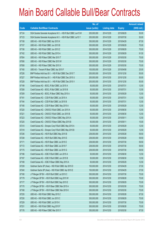|       |                                                                | No. of        |                     |               | <b>Amount raised</b> |
|-------|----------------------------------------------------------------|---------------|---------------------|---------------|----------------------|
| Code  | <b>Callable Bull/Bear Contracts</b>                            | issue (units) | <b>Listing date</b> | <b>Expiry</b> | $(HK$$ mil.)         |
| 67124 | SGA Societe Generale Acceptance N.V. - HSI R Bull CBBC Jun15 W | 200,000,000   | 2014/12/29          | 2015/06/29    | 50.00                |
| 67123 | SGA Societe Generale Acceptance N.V. - HSI R Bull CBBC Jul15 Y | 200,000,000   | 2014/12/29          | 2015/07/30    | 50.00                |
| 67158 | UBS AG - HSI R Bull CBBC Apr 2015 K                            | 350,000,000   | 2014/12/29          | 2015/04/29    | 87.50                |
| 67157 | UBS AG - HSI R Bull CBBC Jun 2015 B                            | 300,000,000   | 2014/12/29          | 2015/06/29    | 75.00                |
| 67156 | UBS AG - HSI R Bull CBBC Jun 2015 Z                            | 300,000,000   | 2014/12/29          | 2015/06/29    | 75.00                |
| 67162 | UBS AG - HSI R Bull CBBC Sep 2015 A                            | 300,000,000   | 2014/12/29          | 2015/09/29    | 91.50                |
| 67054 | UBS AG - HSI R Bear CBBC Mar 2015 T                            | 300,000,000   | 2014/12/29          | 2015/03/30    | 75.00                |
| 67056 | UBS AG - HSI R Bear CBBC Mar 2015 W                            | 300,000,000   | 2014/12/29          | 2015/03/30    | 75.00                |
| 67058 | UBS AG - HSI R Bear CBBC Mar 2015 X                            | 300,000,000   | 2014/12/29          | 2015/03/30    | 75.00                |
| 67160 | UBS AG - Tencent R Bear CBBC Apr 2015 F                        | 100,000,000   | 2014/12/29          | 2015/04/08    | 25.00                |
| 67226 | BNP Paribas Arbit Issu B.V. - HSI R Bull CBBC Dec 2015 T       | 200,000,000   | 2014/12/30          | 2015/12/30    | 50.00                |
| 67227 | BNP Paribas Arbit Issu B.V. - HSI R Bull CBBC Dec 2015 U       | 200,000,000   | 2014/12/30          | 2015/12/30    | 50.00                |
| 67228 | BNP Paribas Arbit Issu B.V. - HSI R Bull CBBC Dec 2015 V       | 200,000,000   | 2014/12/30          | 2015/12/30    | 50.00                |
| 67199 | Credit Suisse AG - BOCL R Bull CBBC Jul 2015 A                 | 50,000,000    | 2014/12/30          | 2015/07/31    | 12.50                |
| 67208 | Credit Suisse AG - BOCL R Bull CBBC Jul 2015 B                 | 50,000,000    | 2014/12/30          | 2015/07/31    | 12.50                |
| 67209 | Credit Suisse AG - BOCL R Bear CBBC May 2015 A                 | 50,000,000    | 2014/12/30          | 2015/05/29    | 12.50                |
| 67181 | Credit Suisse AG - CCB R Bull CBBC Jul 2015 A                  | 50,000,000    | 2014/12/30          | 2015/07/31    | 12.50                |
| 67184 | Credit Suisse AG - CCB R Bull CBBC Jul 2015 B                  | 50,000,000    | 2014/12/30          | 2015/07/31    | 12.50                |
| 67185 | Credit Suisse AG - CCB R Bear CBBC May 2015 A                  | 50,000,000    | 2014/12/30          | 2015/05/29    | 12.50                |
| 67220 | Credit Suisse AG - CNOOC R Bull CBBC Jun 2015 A                | 50,000,000    | 2014/12/30          | 2015/06/30    | 12.50                |
| 67221 | Credit Suisse AG - CNOOC R Bull CBBC Jun 2015 B                | 50,000,000    | 2014/12/30          | 2015/06/30    | 12.50                |
| 67223 | Credit Suisse AG - CNOOC R Bear CBBC May 2015 A                | 50,000,000    | 2014/12/30          | 2015/05/11    | 12.50                |
| 67225 | Credit Suisse AG - CNOOC R Bear CBBC May 2015 B                | 50,000,000    | 2014/12/30          | 2015/05/11    | 15.00                |
| 67210 | Credit Suisse AG - Sinopec Corp R Bull CBBC May 2015 A         | 50,000,000    | 2014/12/30          | 2015/05/29    | 12.50                |
| 67218 | Credit Suisse AG - Sinopec Corp R Bull CBBC May 2015 B         | 50,000,000    | 2014/12/30          | 2015/05/29    | 12.50                |
| 67236 | Credit Suisse AG - HSI R Bull CBBC May 2015 B                  | 238,000,000   | 2014/12/30          | 2015/05/28    | 59.50                |
| 67238 | Credit Suisse AG - HSI R Bull CBBC May 2015 E                  | 238,000,000   | 2014/12/30          | 2015/05/28    | 59.50                |
| 67171 | Credit Suisse AG - HSI R Bear CBBC Jul 2015 E                  | 238,000,000   | 2014/12/30          | 2015/07/30    | 59.50                |
| 67172 | Credit Suisse AG - HSI R Bear CBBC Jul 2015 F                  | 238,000,000   | 2014/12/30          | 2015/07/30    | 59.50                |
| 67175 | Credit Suisse AG - HSI R Bear CBBC Jul 2015 G                  | 238,000,000   | 2014/12/30          | 2015/07/30    | 59.50                |
| 67186 | Credit Suisse AG - ICBC R Bull CBBC Jun 2015 A                 | 50,000,000    | 2014/12/30          | 2015/06/30    | 12.50                |
| 67187 | Credit Suisse AG - ICBC R Bull CBBC Jun 2015 B                 | 50,000,000    | 2014/12/30          | 2015/06/30    | 12.50                |
| 67189 | Credit Suisse AG - ICBC R Bear CBBC May 2015 A                 | 50,000,000    | 2014/12/30          | 2015/05/29    | 12.50                |
| 67239 | Goldman Sachs SP (Asia) - HSI R Bull CBBC Apr 2015 D           | 150,000,000   | 2014/12/30          | 2015/04/29    | 37.50                |
| 67240 | Goldman Sachs SP (Asia) - HSI R Bull CBBC Apr 2015 E           | 150,000,000   | 2014/12/30          | 2015/04/29    | 37.50                |
| 67180 | J P Morgan SP BV - HSI R Bull CBBC Jul 2015 C                  | 300,000,000   | 2014/12/30          | 2015/07/30    | 75.00                |
| 67179 | J P Morgan SP BV - HSI R Bull CBBC Aug 2015 W                  | 300,000,000   | 2014/12/30          | 2015/08/28    | 75.00                |
| 67177 | J P Morgan SP BV - HSI R Bull CBBC Sep 2015 E                  | 300,000,000   | 2014/12/30          | 2015/09/29    | 75.00                |
| 67170 | J P Morgan SP BV - HSI R Bear CBBC Mar 2015 A                  | 300,000,000   | 2014/12/30          | 2015/03/30    | 75.00                |
| 67168 | J P Morgan SP BV - HSI R Bear CBBC Mar 2015 K                  | 300,000,000   | 2014/12/30          | 2015/03/30    | 75.00                |
| 67235 | UBS AG - HSI R Bull CBBC May 2015 Z                            | 350,000,000   | 2014/12/30          | 2015/05/28    | 87.50                |
| 67230 | UBS AG - HSI R Bull CBBC Jun 2015 C                            | 300,000,000   | 2014/12/30          | 2015/06/29    | 75.00                |
| 67229 | UBS AG - HSI R Bull CBBC Jul 2015 K                            | 300,000,000   | 2014/12/30          | 2015/07/30    | 75.00                |
| 67231 | UBS AG - HSI R Bull CBBC Aug 2015 F                            | 300,000,000   | 2014/12/30          | 2015/08/28    | 75.00                |
| 67176 | UBS AG - HSI R Bear CBBC Mar 2015 Y                            | 350,000,000   | 2014/12/30          | 2015/03/30    | 87.50                |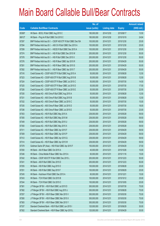|        |                                                               | No. of        |                     |               | <b>Amount raised</b> |
|--------|---------------------------------------------------------------|---------------|---------------------|---------------|----------------------|
| Code   | <b>Callable Bull/Bear Contracts</b>                           | issue (units) | <b>Listing date</b> | <b>Expiry</b> | (HK\$ mil.)          |
| 65380# | HK Bank - BOCL R Bull CBBC Aug 2015 C                         | 180,000,000   | 2014/12/30          | 2015/08/17    | 13.50                |
| 66012# | HK Bank - Ping An R Bull CBBC Oct 2015 C                      | 180,000,000   | 2014/12/30          | 2015/10/19    | 24.84                |
| 67297  | BNP Paribas Arbit Issu B.V. - CSOP A50 ETF R Bull CBBC Dec15A | 100,000,000   | 2014/12/31          | 2015/12/30    | 25.00                |
| 67294  | BNP Paribas Arbit Issu B.V. - A50 Ch R Bull CBBC Dec 2015 A   | 100,000,000   | 2014/12/31          | 2015/12/30    | 25.00                |
| 67299  | BNP Paribas Arbit Issu B.V. - HSCEI R Bull CBBC Dec 2015 A    | 100,000,000   | 2014/12/31          | 2015/12/30    | 25.00                |
| 67374  | BNP Paribas Arbit Issu B.V. - HSI R Bull CBBC Dec 2015 W      | 200,000,000   | 2014/12/31          | 2015/12/30    | 50.00                |
| 67378  | BNP Paribas Arbit Issu B.V. - HSI R Bull CBBC Dec 2015 X      | 200,000,000   | 2014/12/31          | 2015/12/30    | 50.00                |
| 67276  | BNP Paribas Arbit Issu B.V. - HSI R Bear CBBC Apr 2015 R      | 200,000,000   | 2014/12/31          | 2015/04/29    | 50.00                |
| 67281  | BNP Paribas Arbit Issu B.V. - HSI R Bear CBBC Apr 2015 S      | 200,000,000   | 2014/12/31          | 2015/04/29    | 50.00                |
| 67282  | BNP Paribas Arbit Issu B.V. - HSI R Bear CBBC Apr 2015 T      | 200,000,000   | 2014/12/31          | 2015/04/29    | 50.00                |
| 67316  | Credit Suisse AG - CSOP A50 ETF R Bull CBBC Aug 2015 A        | 50,000,000    | 2014/12/31          | 2015/08/28    | 12.50                |
| 67323  | Credit Suisse AG - CSOP A50 ETF R Bull CBBC Aug 2015 B        | 50,000,000    | 2014/12/31          | 2015/08/28    | 12.50                |
| 67324  | Credit Suisse AG - CSOP A50 ETF R Bear CBBC Jul 2015 C        | 50,000,000    | 2014/12/31          | 2015/07/30    | 14.50                |
| 67325  | Credit Suisse AG - CSOP A50 ETF R Bear CBBC Jul 2015 D        | 50,000,000    | 2014/12/31          | 2015/07/30    | 17.50                |
| 67326  | Credit Suisse AG - CSOP A50 ETF R Bear CBBC Jul 2015 E        | 50,000,000    | 2014/12/31          | 2015/07/30    | 22.50                |
| 67330  | Credit Suisse AG - A50 China R Bull CBBC Aug 2015 A           | 50,000,000    | 2014/12/31          | 2015/08/28    | 12.50                |
| 67331  | Credit Suisse AG - A50 China R Bull CBBC Aug 2015 B           | 50,000,000    | 2014/12/31          | 2015/08/28    | 12.50                |
| 67332  | Credit Suisse AG - A50 China R Bear CBBC Jul 2015 C           | 50,000,000    | 2014/12/31          | 2015/07/30    | 15.00                |
| 67335  | Credit Suisse AG - A50 China R Bear CBBC Jul 2015 D           | 50,000,000    | 2014/12/31          | 2015/07/30    | 18.00                |
| 67336  | Credit Suisse AG - A50 China R Bear CBBC Jul 2015 E           | 50,000,000    | 2014/12/31          | 2015/07/30    | 23.00                |
| 67353  | Credit Suisse AG - HSI R Bull CBBC May 2015 A                 | 238,000,000   | 2014/12/31          | 2015/05/28    | 59.50                |
| 67355  | Credit Suisse AG - HSI R Bull CBBC May 2015 M                 | 238,000,000   | 2014/12/31          | 2015/05/28    | 59.50                |
| 67349  | Credit Suisse AG - HSI R Bull CBBC May 2015 U                 | 238,000,000   | 2014/12/31          | 2015/05/28    | 59.50                |
| 67350  | Credit Suisse AG - HSI R Bull CBBC May 2015 X                 | 238,000,000   | 2014/12/31          | 2015/05/28    | 59.50                |
| 67311  | Credit Suisse AG - HSI R Bear CBBC Apr 2015 F                 | 238,000,000   | 2014/12/31          | 2015/04/29    | 59.50                |
| 67309  | Credit Suisse AG - HSI R Bear CBBC Apr 2015 P                 | 238,000,000   | 2014/12/31          | 2015/04/29    | 59.50                |
| 67312  | Credit Suisse AG - HSI R Bear CBBC Apr 2015 Q                 | 238,000,000   | 2014/12/31          | 2015/04/29    | 59.50                |
| 67314  | Credit Suisse AG - HSI R Bear CBBC Apr 2015 W                 | 238,000,000   | 2014/12/31          | 2015/04/29    | 59.50                |
| 67379  | Goldman Sachs SP (Asia) - HSI R Bull CBBC Apr 2015 F          | 150,000,000   | 2014/12/31          | 2015/04/29    | 37.50                |
| 67250  | HK Bank - AIA R Bear CBBC Oct 2015 A                          | 40,000,000    | 2014/12/31          | 2015/10/26    | 10.00                |
| 67246  | HK Bank - China Mobile R Bear CBBC Nov 2015 A                 | 60,000,000    | 2014/12/31          | 2015/11/16    | 15.00                |
| 67242  | HK Bank - CSOP A50 ETF R Bull CBBC Dec 2015 L                 | 200,000,000   | 2014/12/31          | 2015/12/23    | 50.00                |
| 67241  | HK Bank - A50 R Bull CBBC Dec 2015 D                          | 200,000,000   | 2014/12/31          | 2015/12/23    | 50.00                |
| 67255  | HK Bank - HSI R Bull CBBC Aug 2015 O                          | 100,000,000   | 2014/12/31          | 2015/08/28    | 25.00                |
| 67251  | HK Bank - HSI R Bull CBBC Sep 2015 F                          | 100,000,000   | 2014/12/31          | 2015/09/29    | 25.00                |
| 67245  | HK Bank - Hutchison R Bull CBBC Dec 2015 A                    | 60,000,000    | 2014/12/31          | 2015/12/21    | 15.00                |
| 67243  | HK Bank - TCH R Bull CBBC Oct 2015 B                          | 100,000,000   | 2014/12/31          | 2015/10/12    | 25.00                |
| 67244  | HK Bank - TCH R Bull CBBC Oct 2015 C                          | 100,000,000   | 2014/12/31          | 2015/10/05    | 25.00                |
| 67381  | J P Morgan SP BV - HSI R Bull CBBC Jul 2015 D                 | 300,000,000   | 2014/12/31          | 2015/07/30    | 75.00                |
| 67382  | J P Morgan SP BV - HSI R Bull CBBC Aug 2015 J                 | 300,000,000   | 2014/12/31          | 2015/08/28    | 75.00                |
| 67257  | J P Morgan SP BV - HSI R Bear CBBC Mar 2015 V                 | 300,000,000   | 2014/12/31          | 2015/03/30    | 75.00                |
| 67260  | J P Morgan SP BV - HSI R Bear CBBC Mar 2015 X                 | 300,000,000   | 2014/12/31          | 2015/03/30    | 75.00                |
| 67383  | J P Morgan SP BV - HSI R Bear CBBC Mar 2015 Y                 | 300,000,000   | 2014/12/31          | 2015/03/30    | 75.00                |
| 67337  | Standard Chartered Bank - HSI R Bull CBBC Jun 2015 I          | 120,000,000   | 2014/12/31          | 2015/06/29    | 30.00                |
| 67302  | Standard Chartered Bank - HSI R Bear CBBC Apr 2015 L          | 120,000,000   | 2014/12/31          | 2015/04/29    | 30.00                |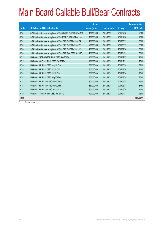|       |                                                                | No. of        |                     |               | <b>Amount raised</b> |
|-------|----------------------------------------------------------------|---------------|---------------------|---------------|----------------------|
| Code  | <b>Callable Bull/Bear Contracts</b>                            | issue (units) | <b>Listing date</b> | <b>Expiry</b> | (HK\$ mil.)          |
| 67341 | SGA Societe Generale Acceptance N.V - CSA50 R Bull CBBC Dec15A | 100,000,000   | 2014/12/31          | 2015/12/30    | 25.00                |
| 67342 | SGA Societe Generale Acceptance N.V. - A50 R Bull CBBC Dec 15A | 100,000,000   | 2014/12/31          | 2015/12/30    | 25.00                |
| 67315 | SGA Societe Generale Acceptance N.V. - HSI R Bull CBBC Jun 15A | 200,000,000   | 2014/12/31          | 2015/06/29    | 50.00                |
| 67363 | SGA Societe Generale Acceptance N.V. - HSI R Bull CBBC Jun 15B | 200,000,000   | 2014/12/31          | 2015/06/29    | 50.00                |
| 67304 | SGA Societe Generale Acceptance N.V. - HSI R Bull CBBC Jul 15Z | 200,000,000   | 2014/12/31          | 2015/07/30    | 50.00                |
| 67308 | SGA Societe Generale Acceptance N.V. - HSI R Bear CBBC Apr 15O | 200,000,000   | 2014/12/31          | 2015/04/29    | 50.00                |
| 67271 | UBS AG - CSOP A50 ETF R Bull CBBC Sep 2015 A                   | 100,000,000   | 2014/12/31          | 2015/09/07    | 25.00                |
| 67267 | UBS AG - A50 China R Bull CBBC Dec 2015 A                      | 100,000,000   | 2014/12/31          | 2015/12/21    | 25.00                |
| 67360 | UBS AG - HSI R Bull CBBC May 2015 D                            | 350,000,000   | 2014/12/31          | 2015/05/28    | 87.50                |
| 67358 | UBS AG - HSI R Bull CBBC Jul 2015 M                            | 300,000,000   | 2014/12/31          | 2015/07/30    | 75.00                |
| 67359 | UBS AG - HSI R Bull CBBC Jul 2015 O                            | 300,000,000   | 2014/12/31          | 2015/07/30    | 75.00                |
| 67357 | UBS AG - HSI R Bull CBBC Aug 2015 G                            | 300,000,000   | 2014/12/31          | 2015/08/28    | 75.00                |
| 67262 | UBS AG - HSI R Bear CBBC May 2015 Q                            | 300,000,000   | 2014/12/31          | 2015/05/28    | 75.00                |
| 67263 | UBS AG - HSI R Bear CBBC May 2015 R                            | 350,000,000   | 2014/12/31          | 2015/05/28    | 87.50                |
| 67261 | UBS AG - HSI R Bear CBBC Jun 2015 N                            | 300,000,000   | 2014/12/31          | 2015/06/29    | 75.00                |
| 67275 | UBS AG - Tencent R Bear CBBC Apr 2015 G                        | 100,000,000   | 2014/12/31          | 2015/04/27    | 25.00                |
| Total |                                                                |               |                     |               | 122,022.54           |

# Further issue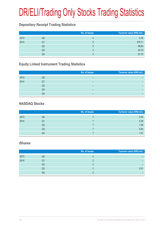# DR/ELI/Trading Only Stocks Trading Statistics

#### **Depositary Receipt Trading Statistics**

|      |    | No. of issues | Turnover value (HK\$ mil.) |
|------|----|---------------|----------------------------|
| 2013 | Q4 |               | 5.78                       |
| 2014 | Q1 | $\mathbf b$   | 276.71                     |
|      | Q2 | 5             | 68.00                      |
|      | Q3 |               | 24.18                      |
|      | Q4 |               | 81.70                      |

### **Equity Linked Instrument Trading Statistics**

|      |    | No. of issues | Turnover value (HK\$ mil.) |
|------|----|---------------|----------------------------|
| 2013 | Q4 | –             |                            |
| 2014 | Q1 | -             | -                          |
|      | Q2 | -             | -                          |
|      | Q3 | -             | -                          |
|      | Q4 | -             |                            |

#### **NASDAQ Stocks**

|      |    | No. of issues | Turnover value (HK\$ mil.) |
|------|----|---------------|----------------------------|
| 2013 | Q4 |               | 0.03                       |
| 2014 | Q1 |               | 0.39                       |
|      | Q2 |               | 1.28                       |
|      | Q3 |               | 0.63                       |
|      | Q4 |               | 1.27                       |

#### **iShares**

|      |    | No. of issues | Turnover value (HK\$ mil.) |
|------|----|---------------|----------------------------|
| 2013 | Q4 |               |                            |
| 2014 | Q1 |               |                            |
|      | Q2 |               |                            |
|      | Q3 |               | 0.01                       |
|      | Q4 |               |                            |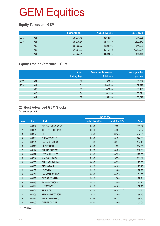### **Equity Turnover – GEM**

|      |    | Share (Mil. shs) | Value (HK\$ mil.) | No. of deals |
|------|----|------------------|-------------------|--------------|
| 2013 | Q4 | 78,234.46        | 32,626.67         | 914,205      |
| 2014 | Q1 | 108,376.84       | 63,841.30         | 1,599,170    |
|      | Q2 | 80,562.77        | 28,231.96         | 844,565      |
|      | Q3 | 91,704.03        | 39,161.42         | 1,013,981    |
|      | Q4 | 77,002.94        | 34,223.56         | 888,648      |

### **Equity Trading Statistics – GEM**

|      |                | No. of<br>trading days | <b>Average daily turnover</b><br>(HK\$ mil.) | <b>Average value</b><br>per deal |
|------|----------------|------------------------|----------------------------------------------|----------------------------------|
| 2013 | Q4             | 62                     | 526.24                                       | 35,689                           |
| 2014 | Q <sub>1</sub> | 61                     | 1,046.58                                     | 39,922                           |
|      | Q <sub>2</sub> | 60                     | 470.53                                       | 33,428                           |
|      | Q3             | 64                     | 611.90                                       | 38,621                           |
|      | Q4             | 62                     | 551.99                                       | 38,512                           |

#### **20 Most Advanced GEM Stocks**

for 4th quarter 2014

|                  |       |                        |                 | <b>Closing price</b>    |        |
|------------------|-------|------------------------|-----------------|-------------------------|--------|
| Rank             | Code  | <b>Stock</b>           | End of Dec 2014 | End of Sep 2014         | % up   |
| 1                | 08007 | <b>DIGITALHONGKONG</b> | 9.360           | 2.020                   | 363.37 |
| $\overline{2}$   | 08051 | <b>TELEEYE HOLDING</b> | 16.000          | 4.350                   | 267.82 |
| $\mathfrak{S}$   | 08337 | <b>DIRECTEL</b>        | 1.050           | 0.345                   | 204.35 |
| 4                | 08003 | <b>GREAT WORLD</b>     | 0.360           | 0.131                   | 174.81 |
| 5                | 08261 | <b>HAITIAN HYDRO</b>   | 1.790           | 0.670                   | 167.16 |
| 6                | 08315 | <b>KF SECURITY</b>     | 4.200           | 1.650                   | 154.55 |
| $\overline{7}$   | 08172 | <b>CHINASTARCMG</b>    | 0.970           | 0.405                   | 139.51 |
| 8                | 08077 | <b>KVB KUNLUN FG</b>   | 0.900           | 0.395                   | 127.85 |
| $\boldsymbol{9}$ | 08209 | <b>MAJOR HLDGS</b>     | 6.100           | 3.030                   | 101.32 |
| 10               | 08250 | <b>CHI NATURAL INV</b> | 0.465           | 0.238                   | 95.38  |
| 11               | 08053 | PIZU GROUP             | 0.310           | 0.163                   | 90.18  |
| 12               | 08162 | LOCO HK                | 2.810           | 1.480                   | 89.86  |
| 13               | 08181 | <b>KONGSHUMUNION</b>   | 0.860           | 0.475                   | 81.05  |
| 14               | 08088 | <b>CROSBY CAPITAL</b>  | 2.480           | 1.380                   | 79.71  |
| 15               | 08218 | ECHO INT HOLD          | 2.480           | 1.400                   | 77.14  |
| 16               | 08041 | LUXEY INT'L            | 0.280           | 0.165                   | 69.70  |
| 17               | 08201 | <b>PPS INT'L</b>       | 0.335           | 0.202<br>$\overline{A}$ | 65.84  |
| 18               | 08005 | YUXING INFOTECH        | 1.680           | 1.060                   | 58.49  |
| 19               | 08011 | POLYARD PETRO          | 0.198           | 0.125                   | 58.40  |
| 20               | 08056 | <b>DIFFER GROUP</b>    | 2.450           | 1.580                   | 55.06  |
|                  |       |                        |                 |                         |        |

A Adjusted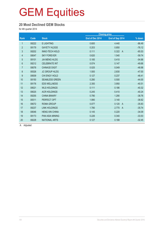#### **20 Most Declined GEM Stocks**

for 4th quarter 2014

|       |                        |                 | <b>Closing price</b>    |                    |
|-------|------------------------|-----------------|-------------------------|--------------------|
| Code  | <b>Stock</b>           | End of Dec 2014 | End of Sep 2014         | $\frac{9}{6}$ down |
| 08222 | <b>E LIGHTING</b>      | 0.600           | 4.440                   | $-86.49$           |
| 08179 | <b>GAYETY HLDGS</b>    | 0.203           | 0.850                   | $-76.12$           |
| 08202 | <b>INNO-TECH HOLD</b>  | 0.111           | 0.322<br>$\overline{A}$ | $-65.53$           |
| 08047 | <b>SKY FOREVER</b>     | 0.620           | 1.540                   | $-59.74$           |
| 08101 | <b>JIA MENG HLDG</b>   | 0.185           | 0.410                   | $-54.88$           |
| 08212 | <b>CELEBRATE INT</b>   | 0.074           | 0.147                   | $-49.66$           |
| 08078 | <b>CHINA3D DIGIT</b>   | 0.025           | 0.049                   | $-48.98$           |
| 08326 | <b>JC GROUP HLDG</b>   | 1.500           | 2.830                   | $-47.00$           |
| 08009 | CHI ENGY HOLD          | 0.127           | 0.237                   | $-46.41$           |
| 08150 | <b>SEAMLESS GREEN</b>  | 0.280           | 0.500                   | $-44.00$           |
| 08176 | <b>EDS WELLNESS</b>    | 2.350           | 3.950                   | $-40.51$           |
| 08021 | <b>WLS HOLDINGS</b>    | 0.111           | 0.186                   | $-40.32$           |
| 08025 | <b>ACR HOLDINGS</b>    | 0.245           | 0.410                   | $-40.24$           |
| 08255 | <b>CHINA BINARY</b>    | 0.790           | 1.290                   | $-38.76$           |
| 08311 | PERFECT OPT            | 1.990           | 3.140                   | $-36.62$           |
| 08072 | <b>ROMA GROUP</b>      | 0.077           | 0.120<br>$\overline{A}$ | $-35.83$           |
| 08237 | <b>LINK HOLDINGS</b>   | 1.780           | 2.770<br>$\overline{A}$ | $-35.74$           |
| 08046 | <b>HENG XIN CHINA</b>  | 0.145           | 0.220                   | $-34.09$           |
| 08173 | <b>PAN ASIA MINING</b> | 0.226           | 0.340                   | $-33.53$           |
| 08228 | <b>NATIONAL ARTS</b>   | 0.127           | 0.188                   | $-32.45$           |
|       |                        |                 |                         |                    |

A Adjusted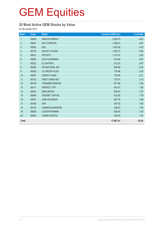### **20 Most Active GEM Stocks by Value**

for 4th quarter 2014

| Rank             | Code  | <b>Stock</b>          | Turnover (HK\$ mil.) | % of total |
|------------------|-------|-----------------------|----------------------|------------|
| $\mathbf{1}$     | 08083 | <b>INNOVATIONPAY</b>  | 2,269.70             | 6.63       |
| $\overline{2}$   | 08047 | <b>SKY FOREVER</b>    | 1,599.31             | 4.67       |
| 3                | 08002 | <b>IGG</b>            | 1,453.38             | 4.25       |
| $\overline{4}$   | 08179 | <b>GAYETY HLDGS</b>   | 1,250.72             | 3.65       |
| 5                | 08201 | PPS INT'L             | 1,191.91             | 3.48       |
| $\,6\,$          | 08055 | <b>CHI E-LEARNING</b> | 914.95               | 2.67       |
| $\overline{7}$   | 08222 | E LIGHTING            | 912.24               | 2.67       |
| 8                | 08250 | CHI NATURAL INV       | 829.86               | 2.42       |
| $\boldsymbol{9}$ | 08326 | <b>JC GROUP HLDG</b>  | 779.98               | 2.28       |
| 10               | 08207 | <b>CREDIT CHINA</b>   | 755.85               | 2.21       |
| 11               | 08123 | FIRST CHINA NET       | 737.81               | 2.16       |
| 12               | 08138 | TONGRENTANGCM         | 677.66               | 1.98       |
| 13               | 08311 | PERFECT OPT           | 643.47               | 1.88       |
| 14               | 08363 | <b>SDM GROUP</b>      | 639.44               | 1.87       |
| 15               | 08088 | <b>CROSBY CAPITAL</b> | 612.60               | 1.79       |
| 16               | 08237 | <b>LINK HOLDINGS</b>  | 567.79               | 1.66       |
| 17               | 08168 | <b>UKF</b>            | 547.02               | 1.60       |
| 18               | 08132 | CHINAOILGANGRAN       | 528.67               | 1.54       |
| 19               | 08058 | <b>LUOXIN PHARMA</b>  | 526.04               | 1.54       |
| 20               | 08050 | YUNBO DIGITAL         | 459.02               | 1.34       |
| <b>Total</b>     |       |                       | 17,897.41            | 52.30      |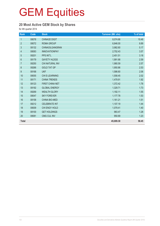### **20 Most Active GEM Stock by Shares**

for 4th quarter 2014

| Rank             | Code  | <b>Stock</b>         | <b>Turnover (Mil. shs)</b> | % of total |
|------------------|-------|----------------------|----------------------------|------------|
| $\mathbf{1}$     | 08078 | <b>CHINA3D DIGIT</b> | 8,074.68                   | 10.49      |
| $\overline{2}$   | 08072 | <b>ROMA GROUP</b>    | 6,846.00                   | 8.89       |
| $\mathfrak{S}$   | 08132 | CHINAOILGANGRAN      | 3,982.60                   | 5.17       |
| $\overline{4}$   | 08083 | <b>INNOVATIONPAY</b> | 2,752.43                   | 3.57       |
| 5                | 08201 | PPS INT'L            | 2,451.51                   | 3.18       |
| $6\,$            | 08179 | <b>GAYETY HLDGS</b>  | 1,991.68                   | 2.59       |
| $\overline{7}$   | 08250 | CHI NATURAL INV      | 1,980.59                   | 2.57       |
| 8                | 08266 | <b>GOLD TAT GP</b>   | 1,950.86                   | 2.53       |
| $\boldsymbol{9}$ | 08168 | <b>UKF</b>           | 1,586.60                   | 2.06       |
| 10               | 08055 | CHI E-LEARNING       | 1,558.45                   | 2.02       |
| 11               | 08171 | <b>CHINA TRENDS</b>  | 1,479.91                   | 1.92       |
| 12               | 08123 | FIRST CHINA NET      | 1,372.42                   | 1.78       |
| 13               | 08192 | <b>GLOBAL ENERGY</b> | 1,329.71                   | 1.73       |
| 14               | 08269 | <b>WEALTH GLORY</b>  | 1,192.11                   | 1.55       |
| 15               | 08047 | <b>SKY FOREVER</b>   | 1,177.78                   | 1.53       |
| 16               | 08158 | <b>CHINA BIO-MED</b> | 1,161.21                   | 1.51       |
| 17               | 08212 | <b>CELEBRATE INT</b> | 1,107.19                   | 1.44       |
| 18               | 08009 | CHI ENGY HOLD        | 1,079.41                   | 1.40       |
| 19               | 08100 | <b>GET HOLDINGS</b>  | 983.47                     | 1.28       |
| 20               | 08081 | CMG CUL INV          | 950.69                     | 1.23       |
| <b>Total</b>     |       |                      | 45,009.30                  | 58.45      |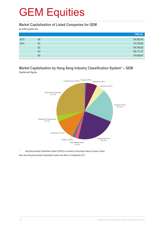#### **Market Capitalisation of Listed Companies for GEM**

as at the quarter end

|      |    | HK\$ mil.   |
|------|----|-------------|
| 2013 | Q4 | 134,002.06  |
| 2014 | Q1 | 172,776.82  |
|      | Q2 | 164,166.52  |
|      | Q3 | 180, 171.37 |
|      | Q4 | 179,409.87  |

#### **Market Capitalisation by Hang Seng Industry Classification System\* – GEM** Quarter-end figures



Hang Seng Industry Classification System (HSICS) is provided by Hang Seng Indexes Company Limited. Note: New Hang Seng Industry Classification System took effect on 9 September 2013.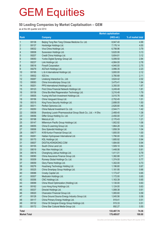#### **50 Leading Companies by Market Capitalisation – GEM**

as at the 4th quarter end 2014

|                     | <b>Market capitalisation</b> |                                                              |             |                   |
|---------------------|------------------------------|--------------------------------------------------------------|-------------|-------------------|
| <b>Rank</b>         |                              | <b>Company</b>                                               | (HK\$ mil.) | % of market total |
| $\mathbf{1}$        | 08138                        | Beijing Tong Ren Tang Chinese Medicine Co. Ltd.              | 8,947.40    | 4.99              |
| $\overline{2}$      | 08137                        | Honbridge Holdings Ltd.                                      | 7,176.14    | 4.00              |
| $\mathbf{3}$        | 08032                        | Viva China Holdings Ltd.                                     | 6,798.96    | 3.79              |
| $\overline{4}$      | 08008                        | Sunevision Holdings Ltd.                                     | 5,620.06    | 3.13              |
| 5                   | 08207                        | Credit China Holdings Ltd.                                   | 5,604.81    | 3.12              |
| $6\phantom{1}6$     | 08050                        | Yunbo Digital Synergy Group Ltd.                             | 5,099.50    | 2.84              |
| $\overline{7}$      | 08237                        | Link Holdings Ltd.                                           | 4,984.00    | 2.78              |
| $\boldsymbol{8}$    | 08018                        | <b>Finsoft Corporation</b>                                   | 4,940.00    | 2.75              |
| 9                   | 08279                        | AGTech Holdings Ltd.                                         | 3,996.35    | 2.23              |
| 10                  | 08195                        | L & A International Holdings Ltd.                            | 3,800.00    | 2.12              |
| 11                  | 08002                        | IGG Inc                                                      | 3,780.68    | 2.11              |
| 12                  | 08267                        | Linekong Interactive Co., Ltd.                               | 3,624.42    | 2.02              |
| 13                  | 08083                        | China Innovationpay Group Ltd.                               | 3,475.41    | 1.94              |
| 14                  | 08201                        | PPS International (Holdings) Ltd.                            | 3,350.00    | 1.87              |
| 15                  | 08123                        | First China Financial Network Holdings Ltd.                  | 3,249.48    | 1.81              |
| 16                  | 08158                        | China Bio-Med Regeneration Technology Ltd.                   | 3,216.48    | 1.79              |
| 17                  | 08005                        | Yuxing InfoTech Investment Holdings Ltd.                     | 3,010.76    | 1.68              |
| 18                  | 08156                        | China Vanguard Group Ltd.                                    | 2,702.45    | 1.51              |
| 19                  | 08315                        | King Force Security Holdings Ltd.                            | 2,688.00    | 1.50              |
| 20                  | 08311                        | Perfect Optronics Ltd.                                       | 2,626.80    | 1.46              |
| 21                  | 08250                        | China Natural Investment Co. Ltd.                            | 2,544.71    | 1.42              |
| 22                  | 08058                        | Shandong Luoxin Pharmaceutical Group Stock Co., Ltd. - H Shs | 2,468.40    | 1.38              |
| 23                  | 08056                        | Differ Group Holding Co. Ltd.                                | 2,450.00    | 1.37              |
| 24                  | 08198                        | MelcoLot Ltd.                                                | 2,170.43    | 1.21              |
| 25                  | 08147                        | Millennium Pacific Group Holdings Ltd.                       | 1,902.92    | 1.06              |
| 26                  | 08055                        | China E-Learning Group Ltd.                                  | 1,864.28    | 1.04              |
| 27                  | 08006                        | Sino Splendid Holdings Ltd.                                  | 1,858.39    | 1.04              |
| 28                  | 08077                        | KVB Kunlun Financial Group Ltd.                              | 1,800.00    | 1.00              |
| 29                  | 08261                        | Haitian Hydropower International Ltd.                        | 1,790.00    | 1.00              |
| 30                  | 08170                        | KSL Holdings Ltd.                                            | 1,685.92    | 0.94              |
| 31                  | 08007                        | DIGITALHONGKONG.COM                                          | 1,684.80    | 0.94              |
| 32                  | 08155                        | South China Land Ltd.                                        | 1,509.10    | 0.84              |
| 33                  | 08019                        | Hao Wen Holdings Ltd.                                        | 1,448.06    | 0.81              |
| 34                  | 08016                        | Changhong Jiahua Holdings Ltd.                               | 1,411.01    | 0.79              |
| 35                  | 08090                        | China Assurance Finance Group Ltd.                           | 1,382.88    | 0.77              |
| 36                  | 08309                        | Runway Global Holdings Co. Ltd.                              | 1,374.00    | 0.77              |
| 37                  | 08059                        | Glory Flame Holdings Ltd.                                    | 1,302.00    | 0.73              |
| 38                  | 08276                        | Huazhang Technology Holding Ltd.                             | 1,196.80    | 0.67              |
| 39                  | 08325                        | China Smartpay Group Holdings Ltd.                           | 1,181.95    | 0.66              |
| 40                  | 08088                        | Crosby Capital Ltd.                                          | 1,173.47    | 0.65              |
| 41                  | 08307                        | Medicskin Holdings Ltd.                                      | 1,172.00    | 0.65              |
| 42                  | 08356                        | CNC Holdings Ltd.                                            | 1,163.39    | 0.65              |
| 43                  | 08099                        | China Wood Optimization (Holding) Ltd.                       | 1,130.00    | 0.63              |
| 44                  | 08162                        | Loco Hong Kong Holdings Ltd.                                 | 1,124.00    | 0.63              |
| 45                  | 08337                        | Directel Holdings Ltd.                                       | 1,089.38    | 0.61              |
| 46                  | 08020                        | Chanceton Financial Group Ltd.                               | 1,065.60    | 0.59              |
| 47                  | 08128                        | China Ground Source Energy Industry Group Ltd.               | 1,045.56    | 0.58              |
| 48                  | 08117                        | China Primary Energy Holdings Ltd.                           | 919.41      | 0.51              |
| 49                  | 08132                        | China Oil Gangran Energy Group Holdings Ltd.                 | 915.33      | 0.51              |
| 50                  | 08172                        | China Star Cultural Media Group Ltd.                         | 892.27      | 0.50              |
| Total               |                              |                                                              | 133,407.74  | 74.36             |
| <b>Market Total</b> |                              |                                                              | 179,409.87  | 100.00            |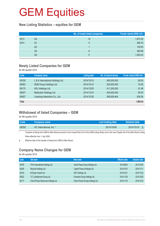#### **New Listing Statistics – equities for GEM**

|      |    | No. of newly listed companies | Funds raised (HK\$ mil.) |
|------|----|-------------------------------|--------------------------|
| 2013 | Q4 | 12                            | 1,873.36                 |
| 2014 | Q1 | 5                             | 496.33                   |
|      | Q2 |                               | 100.00                   |
|      | Q3 | 8                             | 480.88                   |
|      | Q4 | $5^{\circ}$                   | 1,083.24                 |

#### **Newly Listed Companies for GEM**

for 4th quarter 2014

| Code         | <b>Company name</b>               | <b>Listing date</b> | No. of issued shares | Funds raised (HK\$ mil.) |
|--------------|-----------------------------------|---------------------|----------------------|--------------------------|
| 08195        | L & A International Holdings Ltd. | 2014/10/10          | 400,000,000          | 60.00                    |
| 08363        | SDM Group Holdings Ltd.           | 2014/10/14          | 200,000,000          | 75.00                    |
| 08170        | KSL Holdings Ltd.                 | 2014/12/05          | 411,200,000          | 61.68                    |
| 08307        | Medicskin Holdings Ltd.           | 2014/12/18          | 400,000,000          | 60.00                    |
| 08267        | Linekong Interactive Co., Ltd.    | 2014/12/30          | 369,838,464          | 826.56                   |
| <b>Total</b> |                                   |                     |                      | 1,083.24                 |

#### **Withdrawal of listed Companies – GEM**

for 4th quarter 2014

| Code <sup>1</sup> | <b>Company name</b>      | Last trading date | Delisted date |
|-------------------|--------------------------|-------------------|---------------|
| 08292             | HC International, Inc. * | 2014/10/09        | 2014/10/10    |

Transfers of listing from GEM to Main Board pursuant to the revised Rule 9.24 of the GEM Listing Rules and to the new Chapter 9A of the Main Board Listing Rules effective from 1 July 2008.

§ Effective date of the transfer of listing from GEM to Main Board.

#### **Company Name Changes for GEM**

#### for 4th quarter 2014

| Code  | Old name                              | New name                           | <b>Effective date</b> | <b>Adoption date</b> |
|-------|---------------------------------------|------------------------------------|-----------------------|----------------------|
| 08108 | FAVA International Holdings Ltd.      | Grand Peace Group Holdings Ltd.    | 2014/09/02            | 2014/10/09           |
| 08239 | Ming Kei Holdings Ltd.                | Capital Finance Holdings Ltd.      | 2014/10/10            | 2014/11/11           |
| 08100 | M Dream Inworld Ltd.                  | <b>GET Holdings Ltd.</b>           | 2014/10/21            | 2014/11/24           |
| 08022 | TLT Lottotainment Group Ltd.          | Evershine Group Holdings Ltd.      | 2014/11/26            | 2014/12/09           |
| 08117 | China Primary Resources Holdings Ltd. | China Primary Energy Holdings Ltd. | 2014/11/18            | 2014/12/18           |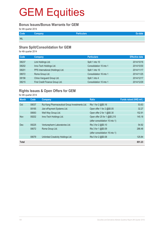#### **Bonus Issues/Bonus Warrants for GEM**

for 4th quarter 2014

| Code       | Company | <b>Particulars</b> |  |
|------------|---------|--------------------|--|
| <b>NIL</b> |         |                    |  |

#### **Share Split/Consolidation for GEM**

for 4th quarter 2014

| Code  | <b>Company</b>                    | <b>Particulars</b>      | <b>Effective date</b> |
|-------|-----------------------------------|-------------------------|-----------------------|
| 08237 | Link Holdings Ltd.                | Split 1 into 10         | 2014/10/16            |
| 08202 | Inno-Tech Holdings Ltd.           | Consolidation 10 into 1 | 2014/10/30            |
| 08201 | PPS International (Holdings) Ltd. | Split 1 into 10         | 2014/11/17            |
| 08072 | Roma Group Ltd.                   | Consolidation 16 into 1 | 2014/11/25            |
| 08156 | China Vanguard Group Ltd.         | Split 1 into 4          | 2014/12/17            |
| 08215 | First Credit Finance Group Ltd.   | Consolidation 10 into 1 | 2014/12/29            |

### **Rights Issues & Open Offers for GEM**

for 4th quarter 2014

| <b>Month</b> | Code  | Company                                        | <b>Ratio</b>                    | Funds raised (HK\$ mil.) |
|--------------|-------|------------------------------------------------|---------------------------------|--------------------------|
| Oct          | 08037 | Rui Kang Pharmaceutical Group Investments Ltd. | Rts 1 for 2 @\$0.16             | 53.63                    |
|              | 08165 | Jian ePayment Systems Ltd.                     | Open offer 1 for 2 @\$0.05      | 32.27                    |
|              | 08063 | Well Way Group Ltd.                            | Open offer 2 for 1 @\$0.30      | 152.91                   |
| <b>Nov</b>   | 08202 | Inno-Tech Holdings Ltd.                        | Open offer 25 for 1 @\$0.215    | 145.18                   |
|              |       |                                                | (after consolidation 10 into 1) |                          |
| Dec          | 08225 | Venturepharm Laboratories Ltd.                 | Rts 3 for 2 @\$0.10             | 54.92                    |
|              | 08072 | Roma Group Ltd.                                | Rts 3 for 1 @\$0.09             | 286.48                   |
|              |       |                                                | (after consolidation 16 into 1) |                          |
|              | 08079 | Unlimited Creativity Holdings Ltd.             | Rts 5 for 2 @\$0.08             | 125.84                   |
| Total        |       |                                                |                                 | 851.23                   |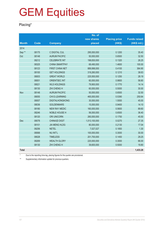#### **Placing\***

|                   |       |                        | No. of        |                      |                     |
|-------------------|-------|------------------------|---------------|----------------------|---------------------|
|                   |       |                        | new shares    | <b>Placing price</b> | <b>Funds raised</b> |
| <b>Month</b>      | Code  | <b>Company</b>         | placed        | (HK\$)               | (HK\$ mil.)         |
| 2014              |       |                        |               |                      |                     |
| Sep <sup>**</sup> | 08175 | C DIGITAL CUL          | 295,000,000   | 0.1200               | 35.40               |
| Oct               | 08148 | <b>AURUM PACIFIC</b>   | 50,000,000    | 0.6500               | 32.50               |
|                   | 08212 | <b>CELEBRATE INT</b>   | 198,830,000   | 0.1320               | 26.25               |
|                   | 08325 | <b>CHINA SMARTPAY</b>  | 68,490,000    | 1.4600               | 100.00              |
|                   | 08123 | FIRST CHINA NET        | 889,998,000   | 0.4100               | 364.90              |
|                   | 08100 | <b>GET HOLDINGS</b>    | 319,260,000   | 0.1210               | 38.63               |
|                   | 08003 | <b>GREAT WORLD</b>     | 225,500,000   | 0.1250               | 28.19               |
|                   | 08001 | <b>ORIENTSEC INT</b>   | 60,000,000    | 0.9800               | 58.80               |
|                   | 08021 | <b>WLS HOLDINGS</b>    | 79,900,000    | 0.1770               | 14.14               |
|                   | 08130 | <b>ZHI CHENG H</b>     | 60,000,000    | 0.5000               | 30.00               |
| Nov               | 08148 | <b>AURUM PACIFIC</b>   | 50,000,000    | 0.6500               | 32.50               |
|                   | 08055 | CHI E-LEARNING         | 465,000,000   | 0.5390               | 250.64              |
|                   | 08007 | <b>DIGITALHONGKONG</b> | 30,000,000    | 1.5000               | 45.00               |
|                   | 08036 | <b>GOLDENMARS</b>      | 15,000,000    | 0.9400               | 14.10               |
|                   | 08180 | <b>NEW RAY MEDIC</b>   | 160,000,000   | 0.5600               | 89.60               |
|                   | 08246 | NOBLE HOUSE H          | 56,000,000    | 0.6500               | 36.40               |
|                   | 08120 | <b>ORI UNICORN</b>     | 260,000,000   | 0.1750               | 45.50               |
| Dec               | 08078 | <b>CHINA3D DIGIT</b>   | 1,013,100,000 | 0.0270               | 27.35               |
|                   | 08101 | <b>JIA MENG HLDG</b>   | 80,000,000    | 0.2130               | 17.04               |
|                   | 08256 | <b>NETEL</b>           | 7,027,027     | 0.1850               | 1.30                |
|                   | 08068 | <b>NU INT'L</b>        | 100,000,000   | 0.3000               | 30.00               |
|                   | 08028 | <b>TIMELESS</b>        | 201,700,000   | 0.1450               | 29.25               |
|                   | 08269 | <b>WEALTH GLORY</b>    | 220,000,000   | 0.3000               | 66.00               |
|                   | 08130 | <b>ZHI CHENG H</b>     | 39,600,000    | 0.5000               | 19.80               |
| <b>Total</b>      |       |                        |               |                      | 1,433.28            |

\* Due to the reporting time-lag, placing figures for the quarter are provisional.

\*\* Supplementary information update for previous quarters.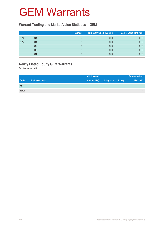### GEM Warrants

#### **Warrant Trading and Market Value Statistics – GEM**

|      |                | <b>Number</b> | Turnover value (HK\$ mil.) | Market value (HK\$ mil.) |
|------|----------------|---------------|----------------------------|--------------------------|
| 2013 | Q4             |               | 0.00                       | 0.00                     |
| 2014 | Q1             |               | 0.00                       | 0.00                     |
|      | Q <sub>2</sub> |               | 0.00                       | 0.00                     |
|      | Q <sub>3</sub> |               | 0.00                       | 0.00                     |
|      | Q4             |               | 0.00                       | 0.00                     |

### **Newly Listed Equity GEM Warrants**

for 4th quarter 2014

|              |                        | <b>Initial issued</b> |                     |               | <b>Amount raised</b> |
|--------------|------------------------|-----------------------|---------------------|---------------|----------------------|
| <b>Code</b>  | <b>Equity warrants</b> | amount (HK)           | <b>Listing date</b> | <b>Expiry</b> | (HK\$ mil.)          |
| Nil          |                        |                       |                     |               |                      |
| <b>Total</b> |                        |                       |                     |               | -                    |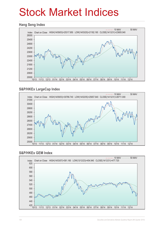## Stock Market Indices

#### **Hang Seng Index**



#### **S&P/HKEx LargeCap Index**



#### **S&P/HKEx GEM Index**

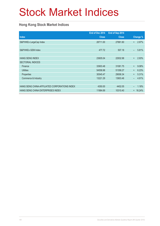# Stock Market Indices

#### **Hong Kong Stock Market Indices**

|                                               | End of Dec 2014 | End of Sep 2014 |          |          |
|-----------------------------------------------|-----------------|-----------------|----------|----------|
| <b>Index</b>                                  | <b>Close</b>    | <b>Close</b>    |          | Change % |
| S&P/HKEx LargeCap Index                       | 28711.00        | 27881.60        | $+$      | 2.97%    |
|                                               |                 |                 |          |          |
| S&P/HKEx GEM Index                            | 477.72          | 507.18          | $\equiv$ | 5.81%    |
|                                               |                 |                 |          |          |
| <b>HANG SENG INDEX</b>                        | 23605.04        | 22932.98        | $+$      | 2.93%    |
| <b>SECTORIAL INDICES</b>                      |                 |                 |          |          |
| Finance                                       | 33903.48        | 31081.75        | $+$      | 9.08%    |
| <b>Utilities</b>                              | 54558.98        | 51358.27        | $+$      | 6.23%    |
| Properties                                    | 30545.47        | 29006.34        | $+$      | 5.31%    |
| Commerce & Industry                           | 13221.29        | 13903.46        |          | 4.91%    |
|                                               |                 |                 |          |          |
| HANG SENG CHINA-AFFILIATED CORPORATIONS INDEX | 4350.00         | 4402.05         |          | 1.18%    |
| HANG SENG CHINA ENTERPRISES INDEX             | 11984.69        | 10310.40        | $+$      | 16.24%   |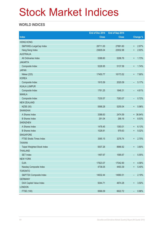## Stock Market Indices

#### **WORLD INDICES**

|                                 | End of Dec 2014 | End of Sep 2014 |                          |                 |
|---------------------------------|-----------------|-----------------|--------------------------|-----------------|
| <b>Index</b>                    | <b>Close</b>    | <b>Close</b>    |                          | <b>Change %</b> |
| <b>HONG KONG</b>                |                 |                 |                          |                 |
| S&P/HKEx LargeCap Index         | 28711.00        | 27881.60        | $\ddot{}$                | 2.97%           |
| Hang Seng Index                 | 23605.04        | 22932.98        | $\ddot{}$                | 2.93%           |
| <b>AUSTRALIA</b>                |                 |                 |                          |                 |
| All Ordinaries Index            | 5388.60         | 5296.76         | $\boldsymbol{+}$         | 1.73%           |
| <b>JAKARTA</b>                  |                 |                 |                          |                 |
| Composite Index                 | 5226.95         | 5137.58         | $\ddot{}$                | 1.74%           |
| <b>JAPAN</b>                    |                 |                 |                          |                 |
| Nikkei (225)                    | 17450.77        | 16173.52        | $\ddot{}$                | 7.90%           |
| <b>KOREA</b>                    |                 |                 |                          |                 |
| Composite Index                 | 1915.59         | 2020.09         | -                        | 5.17%           |
| <b>KUALA LUMPUR</b>             |                 |                 |                          |                 |
| Composite Index                 | 1761.25         | 1846.31         | $\overline{\phantom{0}}$ | 4.61%           |
| <b>MANILA</b>                   |                 |                 |                          |                 |
| Composite Index                 | 7230.57         | 7283.07         | -                        | 0.72%           |
| <b>NEW ZEALAND</b>              |                 |                 |                          |                 |
| <b>NZSE (50)</b>                | 5568.28         | 5255.04         | $\ddot{}$                | 5.96%           |
| <b>SHANGHAI</b>                 |                 |                 |                          |                 |
| A Shares Index                  | 3388.63         | 2474.59         |                          | + 36.94%        |
| <b>B</b> Shares Index           | 291.04          | 268.16          | $\ddot{}$                | 8.53%           |
| <b>SHENZHEN</b>                 |                 |                 |                          |                 |
| A Shares Index                  | 1478.45         | 1393.01         | $\ddot{}$                | 6.13%           |
| <b>B</b> Shares Index           | 1028.81         | 979.63          | $\ddot{}$                | 5.02%           |
| <b>SINGAPORE</b>                |                 |                 |                          |                 |
| <b>FTSE Straits Times Index</b> | 3365.15         | 3276.74         | $\ddot{}$                | 2.70%           |
| <b>TAIWAN</b>                   |                 |                 |                          |                 |
| Taipei Weighted Stock Index     | 9307.26         | 8966.92         | $\ddot{}$                | 3.80%           |
| <b>THAILAND</b>                 |                 |                 |                          |                 |
| <b>SET Index</b>                | 1497.67         | 1585.67         | -                        | 5.55%           |
| <b>NEW YORK</b>                 |                 |                 |                          |                 |
| <b>DJIA</b>                     | 17823.07        | 17042.90        | $\ddagger$               | 4.58%           |
| Nasdaq Composite Index          | 4736.05         | 4493.39         | $\ddot{}$                | 5.40%           |
| <b>TORONTO</b>                  |                 |                 |                          |                 |
| S&P/TSX Composite Index         | 14632.44        | 14960.51        | $\overline{\phantom{a}}$ | 2.19%           |
| <b>GERMANY</b>                  |                 |                 |                          |                 |
| DAX Capital Value Index         | 5044.71         | 4874.28         | $\ddot{}$                | 3.50%           |
| <b>LONDON</b>                   |                 |                 |                          |                 |
| FTSE (100)                      | 6566.09         | 6622.72         | $\qquad \qquad -$        | 0.86%           |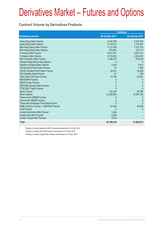# Derivatives Market – Futures and Options

#### **Contract Volume by Derivatives Products**

|                                            | <b>Contracts</b> |                  |  |
|--------------------------------------------|------------------|------------------|--|
| <b>Derivatives product</b>                 | 4th Quarter 2014 | 4th Quarter 2013 |  |
| Hang Seng Index Futures                    | 4,534,728        | 4,314,395        |  |
| Hang Seng Index Options                    | 2,118,013        | 1,774,047        |  |
| Mini-Hang Seng Index Futures               | 2,131,008        | 1,573,318        |  |
| Mini-Hang Seng Index Options               | 276,842          | 237,173          |  |
| <b>H-shares Index Futures</b>              | 6,612,741        | 5,527,741        |  |
| H-shares Index Options                     | 2,716,432        | 2,290,397        |  |
| Mini H-shares Index Futures                | 1,292,073        | 616,619          |  |
| Flexible Hang Seng Index Options           |                  |                  |  |
| Flexible H-shares Index Options            | 3,450            | 3,914            |  |
| <b>HSI Dividend Point Index Futures</b>    | 70               | 1,400            |  |
| <b>HSCEI Dividend Point Index Futures</b>  | 50,041           | 34,496           |  |
| <b>HSI Volatility Index Futures</b>        | 31               | 169              |  |
| CES China 120 Index Futures                | 10,756           | 23,901           |  |
| <b>IBOVESPA Futures</b>                    |                  |                  |  |
| <b>MICEX Index Futures</b>                 | 0                | $\mathbf{0}$     |  |
| S&P BSE Sensex Index Futures               | 0                | $\Omega$         |  |
| FTSE/JSE Top40 Futures                     |                  |                  |  |
| <b>Stock Futures</b>                       | 122,185          | 86,788           |  |
| <b>Stock Options</b>                       | 23,238,909       | 15,367,765       |  |
| Three-month HIBOR Futures                  |                  |                  |  |
| One-month HIBOR Futures                    |                  | $\Omega$         |  |
| Three-year Exchange Fund Note Futures      |                  | 0                |  |
| RMB Currency Futures - USD/CNH Futures     | 53,349           | 40,548           |  |
| <b>Gold Futures</b>                        |                  |                  |  |
| London Aluminium Mini Futures <sup>1</sup> | 1.644            |                  |  |
| London Zinc Mini Futures <sup>2</sup>      | 2,828            |                  |  |
| London Copper Mini Futures <sup>3</sup>    | 4,318            |                  |  |
| <b>Total</b>                               | 43,169,418       | 31,892,673       |  |

1 Trading in London Aluminium Mini Futures commenced on 01 Dec 2014

2 Trading in London Zinc Mini Futures commenced on 01 Dec 2014

3 Trading in London Copper Mini Futures commenced on 01 Dec 2014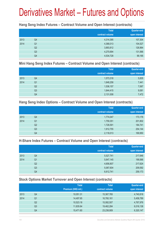# Derivatives Market – Futures and Options

#### **Hang Seng Index Futures – Contract Volume and Open Interest (contracts)**

|      |                | <b>Total</b><br>contract volume | <b>Quarter-end</b><br>open interest |
|------|----------------|---------------------------------|-------------------------------------|
| 2013 | Q4             | 4,314,395                       | 107,304                             |
| 2014 | Q <sub>1</sub> | 4,368,013                       | 104,527                             |
|      | Q <sub>2</sub> | 3,893,812                       | 126,964                             |
|      | Q <sub>3</sub> | 4,270,694                       | 131,566                             |
|      | Q4             | 4,534,728                       | 99,195                              |

#### **Mini Hang Seng Index Futures – Contract Volume and Open Interest (contracts)**

|      |                | <b>Total</b><br>contract volume | <b>Quarter-end</b><br>open interest |
|------|----------------|---------------------------------|-------------------------------------|
| 2013 | Q4             | 1,573,318                       | 5,835                               |
| 2014 | Q <sub>1</sub> | 1,648,258                       | 7,441                               |
|      | Q <sub>2</sub> | 1,536,157                       | 7,067                               |
|      | Q3             | 1,644,415                       | 9,081                               |
|      | Q4             | 2,131,008                       | 7,472                               |

#### **Hang Seng Index Options – Contract Volume and Open Interest (contracts)**

|      |                | <b>Total</b>    | Quarter-end   |
|------|----------------|-----------------|---------------|
|      |                | contract volume | open interest |
| 2013 | Q4             | 1,774,047       | 173,176       |
| 2014 | Q <sub>1</sub> | 1,759,351       | 201,802       |
|      | Q <sub>2</sub> | 1,728,591       | 184,741       |
|      | Q <sub>3</sub> | 1,912,755       | 254,144       |
|      | Q4             | 2,118,013       | 169,950       |

#### **H-Share Index Futures – Contract Volume and Open Interest (contracts)**

|      |                | <b>Total</b>    | <b>Quarter-end</b> |
|------|----------------|-----------------|--------------------|
|      |                | contract volume | open interest      |
| 2013 | Q4             | 5,527,741       | 217,646            |
| 2014 | Q1             | 5,647,145       | 199,566            |
|      | Q <sub>2</sub> | 4,656,807       | 217,624            |
|      | Q3             | 5,067,604       | 209,592            |
|      | Q4             | 6,612,741       | 259,173            |

### **Stock Options Market Turnover and Open Interest (contracts)**

|      |    | <b>Total</b>        | <b>Total</b>    | Quarter-end   |
|------|----|---------------------|-----------------|---------------|
|      |    | Premium (HK\$ mil.) | contract volume | open interest |
| 2013 | Q4 | 10,051.31           | 15,367,765      | 4,740,818     |
| 2014 | Q1 | 14,497.65           | 16,760,161      | 5,458,789     |
|      | Q2 | 10,523.18           | 15,082,507      | 4,767,976     |
|      | Q3 | 11,835.64           | 19,462,284      | 6,016,138     |
|      | Q4 | 15,471.60           | 23,238,909      | 6,320,147     |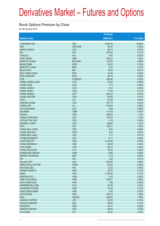#### **Stock Options Premium by Class**

for 4th Quarter 2014

|                           |                 | <b>Premium</b> |            |
|---------------------------|-----------------|----------------|------------|
| <b>Options class</b>      |                 | $(HK$$ mil.)   | % of total |
| X ISHARES A50             | A50             | 2,878.44       | 18.60%     |
| <b>ABC</b>                | ABC/XAB         | 80.24          | 0.52%      |
| <b>ANHUI CONCH</b>        | <b>ACC</b>      | 93.74          | 0.61%      |
| <b>AIA</b>                | <b>AIA</b>      | 357.63         | 2.31%      |
| <b>CHALCO</b>             | <b>ALC</b>      | 4.87           | 0.03%      |
| CAM CSI300                | <b>AMC</b>      | 293.37         | 1.90%      |
| <b>BANK OF CHINA</b>      | <b>BCL/XBC</b>  | 132.55         | 0.86%      |
| <b>BANKCOMM</b>           | <b>BCM</b>      | 24.03          | 0.16%      |
| <b>BANK OF E ASIA</b>     | <b>BEA</b>      | 2.27           | 0.01%      |
| <b>BELLE INT'L</b>        | <b>BIH</b>      | 10.59          | 0.07%      |
| <b>BOC HONG KONG</b>      | <b>BOC</b>      | 35.46          | 0.23%      |
| <b>BYD COMPANY</b>        | <b>BYD</b>      | 60.74          | 0.39%      |
| <b>CCB</b>                | <b>CCB/XCC</b>  | 356.06         | 2.30%      |
| <b>CHINA COMM CONS</b>    | CCC             | 92.62          | 0.60%      |
| <b>CHINA COAL</b>         | <b>CCE</b>      | 7.77           | 0.05%      |
| <b>CHINA COSCO</b>        | <b>CCS</b>      | 5.31           | 0.03%      |
| <b>CHINA CINDA</b>        | <b>CDA</b>      | 17.39          | 0.11%      |
| <b>CHINA MOBILE</b>       | <b>CHT</b>      | 923.22         | 5.97%      |
| <b>CHINA UNICOM</b>       | <b>CHU</b>      | 62.68          | 0.41%      |
| <b>CITIC</b>              | <b>CIT</b>      | 97.64          | 0.63%      |
| <b>CHEUNG KONG</b>        | <b>CKH</b>      | 361.74         | 2.34%      |
| <b>CHINA LIFE</b>         | <b>CLI</b>      | 518.84         | 3.35%      |
| <b>CLP HOLDINGS</b>       | <b>CLP</b>      | 9.49           | 0.06%      |
| <b>CM BANK</b>            | <b>CMB</b>      | 117.29         | 0.76%      |
| <b>CNOOC</b>              | <b>CNC</b>      | 269.53         | 1.74%      |
| <b>CHINA OVERSEAS</b>     | COL             | 178.76         | 1.16%      |
| <b>CATHAY PAC AIR</b>     | <b>CPA</b>      | 4.18           | 0.03%      |
| SINOPEC CORP              | <b>CPC</b>      | 188.90         | 1.22%      |
| <b>CPIC</b>               | <b>CPI</b>      | 155.21         | 1.00%      |
| <b>CHINA RAIL CONS</b>    | <b>CRC</b>      | 8.52           | 0.06%      |
| <b>CHINA RAILWAY</b>      | <b>CRG</b>      | 4.02           | 0.03%      |
| <b>CHINA RES LAND</b>     | <b>CRL</b>      | 1.11           | 0.01%      |
| X WISECSI300ETF           | CS <sub>3</sub> | 0.11           | 0.00%      |
| CSOP A50 ETF              | <b>CSA</b>      | 1,319.93       | 8.53%      |
| <b>CHINA SHENHUA</b>      | <b>CSE</b>      | 52.48          | 0.34%      |
| <b>CITIC BANK</b>         | <b>CTB</b>      | 66.13          | 0.43%      |
| <b>CHINA TELECOM</b>      | <b>CTC</b>      | 43.24          | 0.28%      |
| DONGFENG GROUP            | <b>DFM</b>      | 13.88          | 0.09%      |
| <b>ESPRIT HOLDINGS</b>    | <b>ESP</b>      | 3.13           | 0.02%      |
| <b>FIH</b>                | <b>FIH</b>      | 1.25           | 0.01%      |
| <b>GALAXY ENT</b>         | <b>GLX</b>      | 563.96         | 3.65%      |
| <b>GREATWALL MOTOR</b>    | <b>GWM</b>      | 56.02          | 0.36%      |
| <b>HAITONG SEC</b>        | HAI             | 13.33          | 0.09%      |
| <b>POWER ASSETS</b>       | <b>HEH</b>      | 20.07          | 0.13%      |
| <b>HKEX</b>               | <b>HEX</b>      | 1,146.30       | 7.41%      |
| <b>HENGAN INT'L</b>       | <b>HGN</b>      | 6.24           | 0.04%      |
| <b>HSBC HOLDINGS</b>      | <b>HKB</b>      | 550.01         | 3.55%      |
| <b>HK &amp; CHINA GAS</b> | <b>HKG</b>      | 7.98           | 0.05%      |
| <b>HENDERSON LAND</b>     | <b>HLD</b>      | 34.76          | 0.22%      |
| <b>HUANENG POWER</b>      | <b>HNP</b>      | 19.44          | 0.13%      |
| <b>HANG SENG BANK</b>     | <b>HSB</b>      | 7.08           | 0.05%      |
| <b>HUTCHISON</b>          | <b>HWL</b>      | 290.18         | 1.88%      |
| <b>ICBC</b>               | <b>ICB/XIC</b>  | 208.65         | 1.35%      |
| <b>JIANGXI COPPER</b>     | <b>JXC</b>      | 22.04          | 0.14%      |
| <b>KUNLUN ENERGY</b>      | <b>KLE</b>      | 48.64          | 0.31%      |
| <b>KINGSOFT</b>           | <b>KSO</b>      | 44.77          | 0.29%      |
| LENOVO GROUP              | <b>LEN</b>      | 49.25          | 0.32%      |
| LI & FUNG                 | <b>LIF</b>      | 25.33          | 0.16%      |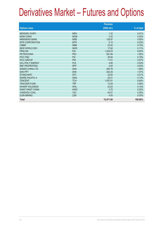|                           |            | <b>Premium</b> |            |
|---------------------------|------------|----------------|------------|
| <b>Options class</b>      |            | (HK\$ mil.)    | % of total |
| <b>MENGNIU DAIRY</b>      | <b>MEN</b> | 1.32           | 0.01%      |
| <b>MGM CHINA</b>          | <b>MGM</b> | 3.32           | 0.02%      |
| <b>MINSHENG BANK</b>      | <b>MSB</b> | 128.97         | 0.83%      |
| <b>MTR CORPORATION</b>    | <b>MTR</b> | 5.15           | 0.03%      |
| <b>CNBM</b>               | <b>NBM</b> | 23.40          | 0.15%      |
| NEW WORLD DEV             | <b>NWD</b> | 17.62          | 0.11%      |
| <b>PING AN</b>            | PAI        | 1,245.23       | 8.05%      |
| <b>PETROCHINA</b>         | <b>PEC</b> | 281.06         | 1.82%      |
| PICC P&C                  | <b>PIC</b> | 29.94          | 0.19%      |
| <b>PICC GROUP</b>         | <b>PIN</b> | 11.51          | 0.07%      |
| <b>GCL-POLY ENERGY</b>    | <b>PLE</b> | 4.85           | 0.03%      |
| <b>R&amp;F PROPERTIES</b> | <b>RFP</b> | 3.93           | 0.03%      |
| <b>SANDS CHINA LTD</b>    | <b>SAN</b> | 293.76         | 1.90%      |
| <b>SHK PPT</b>            | <b>SHK</b> | 243.25         | 1.57%      |
| <b>STANCHART</b>          | <b>STC</b> | 32.83          | 0.21%      |
| SWIRE PACIFIC A           | <b>SWA</b> | 20.21          | 0.13%      |
| <b>TENCENT</b>            | <b>TCH</b> | 1,057.61       | 6.84%      |
| <b>TRACKER FUND</b>       | <b>TRF</b> | 13.59          | 0.09%      |
| <b>WHARF HOLDINGS</b>     | <b>WHL</b> | 22.83          | 0.15%      |
| <b>WANT WANT CHINA</b>    | <b>WWC</b> | 3.70           | 0.02%      |
| YANZHOU COAL              | <b>YZC</b> | 54.57          | 0.35%      |
| <b>ZIJIN MINING</b>       | <b>ZJM</b> | 4.55           | 0.03%      |
| Total                     |            | 15,471.60      | 100.00%    |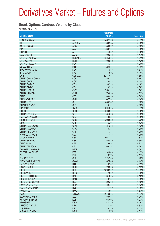#### **Stock Options Contract Volume by Class**

for 4th Quarter 2014

|                        |                 | <b>Contract</b> |            |
|------------------------|-----------------|-----------------|------------|
| <b>Options class</b>   |                 | volume          | % of total |
| X ISHARES A50          | A50             | 1,467,176       | 6.31%      |
|                        |                 |                 |            |
| <b>ABC</b>             | ABC/XAB         | 69,354          | 0.30%      |
| <b>ANHUI CONCH</b>     | <b>ACC</b>      | 186,677         | 0.80%      |
| AIA                    | <b>AIA</b>      | 430,121         | 1.85%      |
| <b>CHALCO</b>          | <b>ALC</b>      | 14,332          | 0.06%      |
| CAM CSI300             | <b>AMC</b>      | 109,218         | 0.47%      |
| <b>BANK OF CHINA</b>   | <b>BCL/XBC</b>  | 1,535,646       | 6.61%      |
| <b>BANKCOMM</b>        | <b>BCM</b>      | 100,062         | 0.43%      |
| <b>BANK OF E ASIA</b>  | <b>BEA</b>      | 14,335          | 0.06%      |
| <b>BELLE INT'L</b>     | <b>BIH</b>      | 23,953          | 0.10%      |
| <b>BOC HONG KONG</b>   | <b>BOC</b>      | 117,855         | 0.51%      |
| <b>BYD COMPANY</b>     | <b>BYD</b>      | 31,592          | 0.14%      |
| <b>CCB</b>             | <b>CCB/XCC</b>  | 2,241,431       | 9.65%      |
| <b>CHINA COMM CONS</b> | CCC             | 183,784         | 0.79%      |
| <b>CHINA COAL</b>      | <b>CCE</b>      | 40,852          | 0.18%      |
| <b>CHINA COSCO</b>     | <b>CCS</b>      | 38,283          | 0.16%      |
|                        |                 |                 |            |
| <b>CHINA CINDA</b>     | <b>CDA</b>      | 18,383          | 0.08%      |
| <b>CHINA MOBILE</b>    | <b>CHT</b>      | 758,132         | 3.26%      |
| <b>CHINA UNICOM</b>    | <b>CHU</b>      | 73,893          | 0.32%      |
| <b>CITIC</b>           | <b>CIT</b>      | 200,436         | 0.86%      |
| <b>CHEUNG KONG</b>     | <b>CKH</b>      | 147,951         | 0.64%      |
| <b>CHINA LIFE</b>      | <b>CLI</b>      | 663,787         | 2.86%      |
| <b>CLP HOLDINGS</b>    | <b>CLP</b>      | 19,101          | 0.08%      |
| <b>CM BANK</b>         | <b>CMB</b>      | 304,025         | 1.31%      |
| <b>CNOOC</b>           | <b>CNC</b>      | 603,807         | 2.60%      |
| <b>CHINA OVERSEAS</b>  | COL             | 134,018         | 0.58%      |
| <b>CATHAY PAC AIR</b>  | <b>CPA</b>      | 10,941          | 0.05%      |
| SINOPEC CORP           | <b>CPC</b>      | 399,530         | 1.72%      |
| <b>CPIC</b>            | <b>CPI</b>      | 145,307         | 0.63%      |
| <b>CHINA RAIL CONS</b> | <b>CRC</b>      | 31,213          | 0.13%      |
|                        |                 |                 |            |
| <b>CHINA RAILWAY</b>   | <b>CRG</b>      | 13,745          | 0.06%      |
| <b>CHINA RES LAND</b>  | <b>CRL</b>      | 713             | 0.00%      |
| X WISECSI300ETF        | CS <sub>3</sub> | 138             | 0.00%      |
| <b>CSOP A50 ETF</b>    | <b>CSA</b>      | 667,718         | 2.87%      |
| <b>CHINA SHENHUA</b>   | <b>CSE</b>      | 152,870         | 0.66%      |
| <b>CITIC BANK</b>      | <b>CTB</b>      | 215,694         | 0.93%      |
| <b>CHINA TELECOM</b>   | <b>CTC</b>      | 66,157          | 0.28%      |
| <b>DONGFENG GROUP</b>  | <b>DFM</b>      | 14,234          | 0.06%      |
| <b>ESPRIT HOLDINGS</b> | <b>ESP</b>      | 34,848          | 0.15%      |
| <b>FIH</b>             | <b>FIH</b>      | 5,370           | 0.02%      |
| <b>GALAXY ENT</b>      | <b>GLX</b>      | 324,388         | 1.40%      |
| <b>GREATWALL MOTOR</b> | <b>GWM</b>      | 102,665         | 0.44%      |
| <b>HAITONG SEC</b>     | HAI             | 6,502           | 0.03%      |
| <b>POWER ASSETS</b>    | <b>HEH</b>      | 28,678          | 0.12%      |
| <b>HKEX</b>            | <b>HEX</b>      | 2,699,322       | 11.62%     |
| <b>HENGAN INT'L</b>    | <b>HGN</b>      |                 | 0.03%      |
|                        |                 | 7,892           |            |
| <b>HSBC HOLDINGS</b>   | <b>HKB</b>      | 731,005         | 3.15%      |
| HK & CHINA GAS         | <b>HKG</b>      | 19,181          | 0.08%      |
| <b>HENDERSON LAND</b>  | <b>HLD</b>      | 22,308          | 0.10%      |
| <b>HUANENG POWER</b>   | <b>HNP</b>      | 30,784          | 0.13%      |
| <b>HANG SENG BANK</b>  | <b>HSB</b>      | 34,160          | 0.15%      |
| <b>HUTCHISON</b>       | <b>HWL</b>      | 156,563         | 0.67%      |
| <b>ICBC</b>            | <b>ICB/XIC</b>  | 1,618,886       | 6.97%      |
| <b>JIANGXI COPPER</b>  | <b>JXC</b>      | 55,481          | 0.24%      |
| <b>KUNLUN ENERGY</b>   | <b>KLE</b>      | 63,402          | 0.27%      |
| <b>KINGSOFT</b>        | <b>KSO</b>      | 42,735          | 0.18%      |
| <b>LENOVO GROUP</b>    | <b>LEN</b>      | 74,202          | 0.32%      |
| LI & FUNG              | <b>LIF</b>      | 30,710          | 0.13%      |
| <b>MENGNIU DAIRY</b>   | <b>MEN</b>      | 1,575           | 0.01%      |
|                        |                 |                 |            |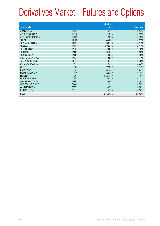| <b>Options class</b>      |            | <b>Contract</b><br>volume | $%$ of total |
|---------------------------|------------|---------------------------|--------------|
| <b>MGM CHINA</b>          | <b>MGM</b> | 10,271                    | 0.04%        |
| <b>MINSHENG BANK</b>      | <b>MSB</b> | 121,678                   | 0.52%        |
| <b>MTR CORPORATION</b>    | <b>MTR</b> | 17,855                    | 0.08%        |
| <b>CNBM</b>               | <b>NBM</b> | 45,087                    | 0.19%        |
| <b>NEW WORLD DEV</b>      | <b>NWD</b> | 39,723                    | 0.17%        |
| <b>PING AN</b>            | PAI        | 1,070,475                 | 4.61%        |
| <b>PETROCHINA</b>         | <b>PEC</b> | 478,080                   | 2.06%        |
| PICC P&C                  | <b>PIC</b> | 34,587                    | 0.15%        |
| <b>PICC GROUP</b>         | <b>PIN</b> | 19,023                    | 0.08%        |
| <b>GCL-POLY ENERGY</b>    | <b>PLE</b> | 8,520                     | 0.04%        |
| <b>R&amp;F PROPERTIES</b> | <b>RFP</b> | 18,737                    | 0.08%        |
| <b>SANDS CHINA LTD</b>    | <b>SAN</b> | 470,388                   | 2.02%        |
| <b>SHK PPT</b>            | <b>SHK</b> | 109,860                   | 0.47%        |
| <b>STANCHART</b>          | <b>STC</b> | 124,326                   | 0.53%        |
| <b>SWIRE PACIFIC A</b>    | <b>SWA</b> | 22,329                    | 0.10%        |
| <b>TENCENT</b>            | <b>TCH</b> | 3,127,850                 | 13.46%       |
| <b>TRACKER FUND</b>       | <b>TRF</b> | 39,780                    | 0.17%        |
| <b>WHARF HOLDINGS</b>     | <b>WHL</b> | 20,901                    | 0.09%        |
| <b>WANT WANT CHINA</b>    | <b>WWC</b> | 12,241                    | 0.05%        |
| YANZHOU COAL              | <b>YZC</b> | 89,778                    | 0.39%        |
| <b>ZIJIN MINING</b>       | <b>ZJM</b> | 20,299                    | 0.09%        |
| <b>Total</b>              |            | 23,238,909                | 100.00%      |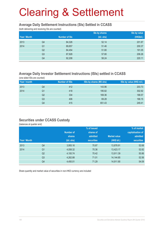#### **Average Daily Settlement Instructions (SIs) Settled in CCASS**

(both delivering and receiving SIs are counted)

|              |                |                      | Sis by shares | Sis by value |
|--------------|----------------|----------------------|---------------|--------------|
| Year / Month |                | <b>Number of SIs</b> | (bil. shs)    | (HK\$bil.)   |
| 2013         | Q4             | 84,326               | 52.14         | 201.87       |
| 2014         | Q <sub>1</sub> | 89,857               | 51.46         | 200.37       |
|              | Q <sub>2</sub> | 84,454               | 51.80         | 191.05       |
|              | Q <sub>3</sub> | 87,928               | 57.80         | 206.26       |
|              | Q4             | 92,208               | 58.24         | 220.11       |

### **Average Daily Investor Settlement Instructions (ISIs) settled in CCASS**

(one sided ISIs are counted)

| Year / month |                | <b>Number of ISIs</b> | ISIs by shares (Mil shs) | ISIs by value (HK\$ mil.) |
|--------------|----------------|-----------------------|--------------------------|---------------------------|
| 2013         | Q4             | 412                   | 143.96                   | 203.73                    |
| 2014         | Q1             | 418                   | 195.82                   | 302.92                    |
|              | Q2             | 334                   | 169.36                   | 188.57                    |
|              | Q <sub>3</sub> | 406                   | 69.28                    | 166.15                    |
|              | Q4             | 415                   | 651.43                   | 249.41                    |

#### **Securities under CCASS Custody**

(balances at quarter end)

|              |                |            | % of issued       |                     | % of market       |
|--------------|----------------|------------|-------------------|---------------------|-------------------|
|              |                | Number of  | shares of         |                     | capitalisation of |
|              |                | shares     | admitted          | <b>Market value</b> | admitted          |
| Year / Month |                | (bil. shs) | <b>securities</b> | (HK\$ bil.)         | <b>securities</b> |
| 2013         | Q4             | 3,955.16   | 70.87             | 13,878.91           | 52.68             |
| 2014         | Q <sub>1</sub> | 4,058.32   | 70.36             | 13,423.17           | 52.82             |
|              | Q <sub>2</sub> | 4,100.74   | 70.42             | 13,911.39           | 50.86             |
|              | Q <sub>3</sub> | 4,262.88   | 71.01             | 14,144.85           | 52.56             |
|              | Q4             | 4,450.01   | 71.29             | 14,911.90           | 54.09             |

Share quantity and market value of securities in non-HKD currency are included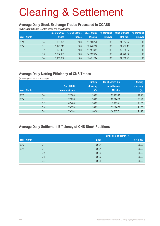#### **Average Daily Stock Exchange Trades Processed in CCASS**

(including CNS trades, isolated trades and cross trades)

| Year / Month |                | <b>No. of CCASS</b><br>trades | % of Exchange<br>trades | No. of shares<br>(Mil. shs) | % of market<br>turnover | Value of trades<br>(HK\$ mil.) | % of market<br>turnover |
|--------------|----------------|-------------------------------|-------------------------|-----------------------------|-------------------------|--------------------------------|-------------------------|
| 2013         | Q4             | 933,875                       | 100                     | 117.032.40                  | 100                     | 58.954.27                      | 100                     |
| 2014         | Q1             | 1,120,215                     | 100                     | 138,407.50                  | 100                     | 68.237.10                      | 100                     |
|              | Q <sub>2</sub> | 928.429                       | 100                     | 112.913.91                  | 100                     | 57,388.97                      | 100                     |
|              | Q <sub>3</sub> | 1,037,135                     | 100                     | 147.929.94                  | 100                     | 70.720.94                      | 100                     |
|              | Q4             | 1,151,087                     | 100                     | 154.712.04                  | 100                     | 80.060.20                      | 100                     |

### **Average Daily Netting Efficiency of CNS Trades**

(in stock positions and share quantity)

|              |                |                 | <b>Netting</b> | No. of shares due | <b>Netting</b> |
|--------------|----------------|-----------------|----------------|-------------------|----------------|
|              |                | No. of CNS      | efficiency     | for settlement    | efficiency     |
| Year / Month |                | stock positions | $(\%)$         | (Mil. shs)        | (%)            |
| 2013         | Q4             | 72,380          | 95.83          | 22,299.70         | 90.28          |
| 2014         | Q <sub>1</sub> | 77,656          | 96.29          | 23,984.86         | 91.21          |
|              | Q <sub>2</sub> | 67,488          | 96.09          | 19,979.41         | 91.05          |
|              | Q <sub>3</sub> | 79,378          | 95.92          | 25,196.56         | 91.36          |
|              | Q4             | 79,394          | 96.28          | 26,827.51         | 91.18          |

### **Average Daily Settlement Efficiency of CNS Stock Positions**

|              |                |       | <b>Settlement efficiency (%)</b> |
|--------------|----------------|-------|----------------------------------|
| Year / Month |                | S day | $S + 1$ day                      |
| 2013         | Q4             | 99.91 | 99.99                            |
| 2014         | Q <sub>1</sub> | 99.91 | 99.99                            |
|              | Q <sub>2</sub> | 99.90 | 99.99                            |
|              | Q <sub>3</sub> | 99.90 | 99.99                            |
|              | Q4             | 99.88 | 99.99                            |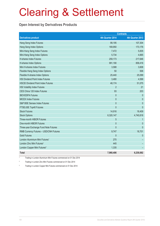#### **Open Interest by Derivatives Products**

|                                            | <b>Contracts</b> |                  |
|--------------------------------------------|------------------|------------------|
| <b>Derivatives product</b>                 | 4th Quarter 2014 | 4th Quarter 2013 |
| Hang Seng Index Futures                    | 99,195           | 107,304          |
| Hang Seng Index Options                    | 169,950          | 173,176          |
| Mini-Hang Seng Index Futures               | 7,472            | 5,835            |
| Mini-Hang Seng Index Options               | 5,734            | 4,665            |
| <b>H-shares Index Futures</b>              | 259,173          | 217,646          |
| H-shares Index Options                     | 991,190          | 858,416          |
| Mini H-shares Index Futures                | 3,588            | 3,608            |
| Flexible Hang Seng Index Options           | 50               | 506              |
| Flexible H-shares Index Options            | 25,440           | 25,099           |
| <b>HSI Dividend Point Index Futures</b>    | 3,480            | 4,599            |
| <b>HSCEI Dividend Point Index Futures</b>  | 48,174           | 51,075           |
| <b>HSI Volatility Index Futures</b>        | $\overline{2}$   | 21               |
| CES China 120 Index Futures                | 93               | 203              |
| <b>IBOVESPA Futures</b>                    | $\mathbf{0}$     | $\mathbf 0$      |
| <b>MICEX Index Futures</b>                 | $\mathbf{0}$     | $\mathbf{0}$     |
| S&P BSE Sensex Index Futures               | $\mathbf 0$      | $\mathbf{0}$     |
| FTSE/JSE Top40 Futures                     | $\overline{0}$   | $\mathbf{0}$     |
| <b>Stock Futures</b>                       | 14,916           | 18,409           |
| <b>Stock Options</b>                       | 6,320,147        | 4,740,818        |
| Three-month HIBOR Futures                  | 5                | 1                |
| One-month HIBOR Futures                    | $\overline{0}$   | $\theta$         |
| Three-year Exchange Fund Note Futures      | $\overline{0}$   | $\mathbf{0}$     |
| RMB Currency Futures - USD/CNH Futures     | 9,747            | 18,701           |
| <b>Gold Futures</b>                        | $\mathbf{0}$     | $\mathbf{0}$     |
| London Aluminium Mini Futures <sup>1</sup> | 270              |                  |
| London Zinc Mini Futures <sup>2</sup>      | 445              |                  |
| London Copper Mini Futures <sup>3</sup>    | 1,335            |                  |
| <b>Total</b>                               | 7,960,406        | 6,230,082        |

1 Trading in London Aluminium Mini Futures commenced on 01 Dec 2014

2 Trading in London Zinc Mini Futures commenced on 01 Dec 2014

3 Trading in London Copper Mini Futures commenced on 01 Dec 2014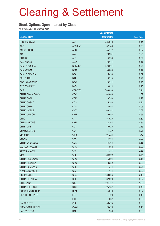#### **Stock Options Open Interest by Class**

as at the end of 4th Quarter 2014

|                        |                 | <b>Open interest</b> |            |
|------------------------|-----------------|----------------------|------------|
| <b>Options class</b>   |                 | (contracts)          | % of total |
| X ISHARES A50          | A50             | 404,870              | 6.41       |
| <b>ABC</b>             | ABC/XAB         | 37,143               | 0.59       |
| <b>ANHUI CONCH</b>     | <b>ACC</b>      | 55,177               | 0.87       |
| AIA                    | <b>AIA</b>      | 79,231               | 1.25       |
| <b>CHALCO</b>          | <b>ALC</b>      | 5,530                | 0.09       |
| CAM CSI300             | AMC             | 26,311               | 0.42       |
| <b>BANK OF CHINA</b>   | <b>BCL/XBC</b>  | 523,821              | 8.29       |
| <b>BANKCOMM</b>        | <b>BCM</b>      | 30,009               | 0.47       |
| <b>BANK OF E ASIA</b>  | <b>BEA</b>      | 5,490                | 0.09       |
| <b>BELLE INT'L</b>     | <b>BIH</b>      | 13,514               | 0.21       |
| <b>BOC HONG KONG</b>   | <b>BOC</b>      | 28,511               | 0.45       |
| <b>BYD COMPANY</b>     | <b>BYD</b>      | 9,814                | 0.16       |
| <b>CCB</b>             | CCB/XCC         | 766,996              | 12.14      |
| CHINA COMM CONS        | CCC             | 64,668               | 1.02       |
| CHINA COAL             | <b>CCE</b>      | 13,758               | 0.22       |
| CHINA COSCO            | CCS             | 15,258               | 0.24       |
| <b>CHINA CINDA</b>     | CDA             | 3,954                | 0.06       |
| <b>CHINA MOBILE</b>    | <b>CHT</b>      | 169,381              | 2.68       |
| <b>CHINA UNICOM</b>    | <b>CHU</b>      | 39,652               | 0.63       |
| <b>CITIC</b>           | <b>CIT</b>      | 51,525               | 0.82       |
| <b>CHEUNG KONG</b>     | <b>CKH</b>      | 22,164               | 0.35       |
| <b>CHINA LIFE</b>      | <b>CLI</b>      | 135,626              | 2.15       |
| <b>CLP HOLDINGS</b>    | <b>CLP</b>      | 4,729                | 0.07       |
| <b>CM BANK</b>         | <b>CMB</b>      | 107,225              | 1.70       |
| <b>CNOOC</b>           | <b>CNC</b>      | 183,454              | 2.90       |
| CHINA OVERSEAS         | COL             | 35,365               | 0.56       |
| <b>CATHAY PAC AIR</b>  | <b>CPA</b>      | 1,668                | 0.03       |
| SINOPEC CORP           | <b>CPC</b>      | 147,317              | 2.33       |
| <b>CPIC</b>            | <b>CPI</b>      | 28,099               | 0.44       |
| CHINA RAIL CONS        | <b>CRC</b>      | 6,994                | 0.11       |
| <b>CHINA RAILWAY</b>   | <b>CRG</b>      | 3,252                | 0.05       |
| <b>CHINA RES LAND</b>  | <b>CRL</b>      | 374                  | 0.01       |
| X WISECSI300ETF        | CS <sub>3</sub> | 174                  | 0.00       |
| CSOP A50 ETF           | <b>CSA</b>      | 138,666              | 2.19       |
| <b>CHINA SHENHUA</b>   | <b>CSE</b>      | 32,928               | 0.52       |
| <b>CITIC BANK</b>      | <b>CTB</b>      | 104,417              | 1.65       |
| CHINA TELECOM          | <b>CTC</b>      | 25,157               | 0.40       |
| DONGFENG GROUP         | <b>DFM</b>      | 4,610                | 0.07       |
| <b>ESPRIT HOLDINGS</b> | <b>ESP</b>      | 11,728               | 0.19       |
| <b>FIH</b>             | <b>FIH</b>      | 1,637                | 0.03       |
| <b>GALAXY ENT</b>      | <b>GLX</b>      | 58,474               | 0.93       |
| <b>GREATWALL MOTOR</b> | <b>GWM</b>      | 25,429               | 0.40       |
| <b>HAITONG SEC</b>     | HAI             | 1,958                | 0.03       |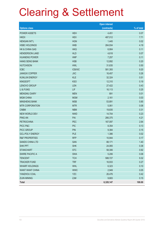|                           |                | <b>Open interest</b> |            |
|---------------------------|----------------|----------------------|------------|
| <b>Options class</b>      |                | (contracts)          | % of total |
| <b>POWER ASSETS</b>       | <b>HEH</b>     | 4,451                | 0.07       |
| <b>HKEX</b>               | <b>HEX</b>     | 487,012              | 7.71       |
| <b>HENGAN INT'L</b>       | <b>HGN</b>     | 1,445                | 0.02       |
| <b>HSBC HOLDINGS</b>      | <b>HKB</b>     | 264,934              | 4.19       |
| <b>HK &amp; CHINA GAS</b> | <b>HKG</b>     | 6,904                | 0.11       |
| <b>HENDERSON LAND</b>     | <b>HLD</b>     | 4,618                | 0.07       |
| <b>HUANENG POWER</b>      | <b>HNP</b>     | 7,257                | 0.11       |
| <b>HANG SENG BANK</b>     | <b>HSB</b>     | 12,892               | 0.20       |
| <b>HUTCHISON</b>          | <b>HWL</b>     | 31,635               | 0.50       |
| <b>ICBC</b>               | <b>ICB/XIC</b> | 581,393              | 9.20       |
| <b>JIANGXI COPPER</b>     | <b>JXC</b>     | 16,457               | 0.26       |
| <b>KUNLUN ENERGY</b>      | <b>KLE</b>     | 32,324               | 0.51       |
| <b>KINGSOFT</b>           | <b>KSO</b>     | 12,310               | 0.19       |
| LENOVO GROUP              | LEN            | 27,422               | 0.43       |
| LI & FUNG                 | <b>LIF</b>     | 16,113               | 0.25       |
| <b>MENGNIU DAIRY</b>      | <b>MEN</b>     | 891                  | 0.01       |
| <b>MGM CHINA</b>          | <b>MGM</b>     | 2,161                | 0.03       |
| <b>MINSHENG BANK</b>      | <b>MSB</b>     | 53,891               | 0.85       |
| <b>MTR CORPORATION</b>    | <b>MTR</b>     | 5,061                | 0.08       |
| <b>CNBM</b>               | <b>NBM</b>     | 19,835               | 0.31       |
| <b>NEW WORLD DEV</b>      | <b>NWD</b>     | 14,704               | 0.23       |
| <b>PING AN</b>            | PAI            | 266,375              | 4.21       |
| <b>PETROCHINA</b>         | <b>PEC</b>     | 167,097              | 2.64       |
| PICC P&C                  | <b>PIC</b>     | 8,354                | 0.13       |
| PICC GROUP                | <b>PIN</b>     | 9,384                | 0.15       |
| <b>GCL-POLY ENERGY</b>    | <b>PLE</b>     | 1,386                | 0.02       |
| <b>R&amp;F PROPERTIES</b> | <b>RFP</b>     | 10,944               | 0.17       |
| <b>SANDS CHINA LTD</b>    | SAN            | 88,171               | 1.40       |
| <b>SHK PPT</b>            | <b>SHK</b>     | 24,065               | 0.38       |
| <b>STANCHART</b>          | <b>STC</b>     | 58,306               | 0.92       |
| <b>SWIRE PACIFIC A</b>    | <b>SWA</b>     | 5,206                | 0.08       |
| <b>TENCENT</b>            | <b>TCH</b>     | 588,727              | 9.32       |
| <b>TRACKER FUND</b>       | <b>TRF</b>     | 16,933               | 0.27       |
| <b>WHARF HOLDINGS</b>     | <b>WHL</b>     | 6,323                | 0.10       |
| <b>WANT WANT CHINA</b>    | <b>WWC</b>     | 2,949                | 0.05       |
| YANZHOU COAL              | <b>YZC</b>     | 26,476               | 0.42       |
| <b>ZIJIN MINING</b>       | ZJM            | 9,683                | 0.15       |
| Total                     |                | 6,320,147            | 100.00     |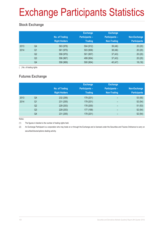# Exchange Participants Statistics

### **Stock Exchange**

|      |                | No. of Trading<br><b>Right Holders</b> | <b>Exchange</b><br><b>Participants -</b><br><b>Trading</b> | <b>Exchange</b><br>Participants -<br><b>Non-Trading</b> | Non-Exchange<br><b>Participants</b> |
|------|----------------|----------------------------------------|------------------------------------------------------------|---------------------------------------------------------|-------------------------------------|
| 2013 | Q4             | 563 (978)                              | 504 (912)                                                  | 39(46)                                                  | 20(20)                              |
| 2014 | Q <sub>1</sub> | 561 (975)                              | 503 (909)                                                  | 38(46)                                                  | 20(20)                              |
|      | Q <sub>2</sub> | 558 (970)                              | 501 (907)                                                  | 37(43)                                                  | 20(20)                              |
|      | Q <sub>3</sub> | 556 (967)                              | 499 (904)                                                  | 37(43)                                                  | 20(20)                              |
|      | Q4             | 558 (969)                              | 500 (904)                                                  | 40 (47)                                                 | 18(18)                              |

( ) No. of trading rights

### **Futures Exchange**

|      |                | No. of Trading<br><b>Right Holders</b> | <b>Exchange</b><br><b>Participants -</b><br><b>Trading</b> | <b>Exchange</b><br><b>Participants -</b><br>Non-Trading | Non-Exchange<br><b>Participants</b> |
|------|----------------|----------------------------------------|------------------------------------------------------------|---------------------------------------------------------|-------------------------------------|
| 2013 | Q4             | 232 (256)                              | 179 (201)                                                  | -                                                       | 53(55)                              |
| 2014 | Q <sub>1</sub> | 231 (255)                              | 179 (201)                                                  | -                                                       | 52(54)                              |
|      | Q <sub>2</sub> | 229 (253)                              | 178 (200)                                                  | $\overline{\phantom{0}}$                                | 51(53)                              |
|      | Q <sub>3</sub> | 229 (253)                              | 177 (199)                                                  | $\overline{\phantom{0}}$                                | 52(54)                              |
|      | Q4             | 231 (255)                              | 179 (201)                                                  |                                                         | 52(54)                              |

Notes:

(1) The figures in blanket is the number of trading rights held.

(2) An Exchange Participant is a corporation who may trade on or through the Exchange and is licensed under the Securities and Futures Ordinance to carry on securities/futures/options dealing activity.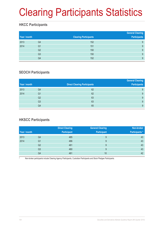# Clearing Participants Statistics

### **HKCC Participants**

| Year / month |                | <b>Clearing Participants</b> | <b>General Clearing</b><br><b>Participants</b> |
|--------------|----------------|------------------------------|------------------------------------------------|
| 2013         | Q4             | 152                          | 9                                              |
| 2014         | Q1             | 151                          | 9                                              |
|              | Q2             | 150                          | 9                                              |
|              | Q <sub>3</sub> | 150                          | 9                                              |
|              | Q4             | 152                          | 9                                              |

### **SEOCH Participants**

|                |                              | <b>General Clearing</b> |
|----------------|------------------------------|-------------------------|
|                | Direct Clearing Participants | <b>Participants</b>     |
| Q4             | 62                           | 9                       |
| Q <sub>1</sub> | 62                           | 9                       |
| Q <sub>2</sub> | 63                           | 9                       |
| Q <sub>3</sub> | 63                           | 9                       |
| Q4             | 65                           | 9                       |
|                |                              |                         |

### **HKSCC Participants**

|              |    | <b>Direct Clearing</b> | <b>General Clearing</b> | Non-broker     |
|--------------|----|------------------------|-------------------------|----------------|
| Year / month |    | <b>Participant</b>     | <b>Participant</b>      | Participants * |
| 2013         | Q4 | 485                    | 9                       | 43             |
| 2014         | Q1 | 486                    | 9                       | 43             |
|              | Q2 | 481                    | 9                       | 43             |
|              | Q3 | 480                    | 9                       | 43             |
|              | Q4 | 481                    | 10                      | 42             |

Non-broker participants include Clearing Agency Participants, Custodian Participants and Stock Pledgee Participants.